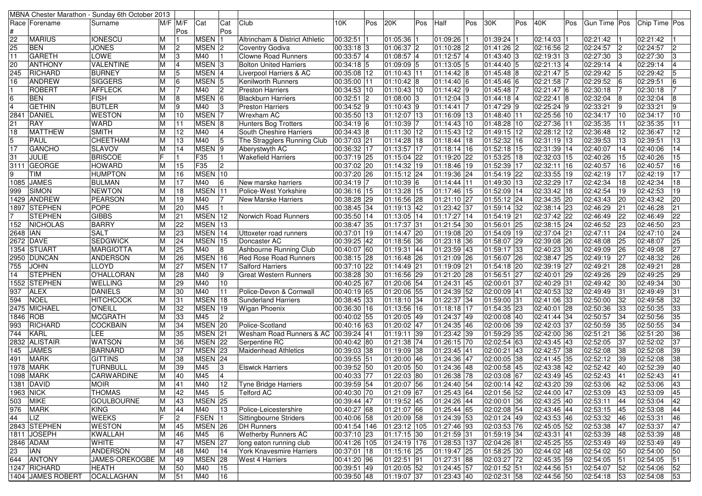| MBNA Chester Marathon - Sunday 6th October 2013 |                   |     |                |                            |                |                                |              |     |                              |     |               |     |                          |     |                      |     |                |                |                               |
|-------------------------------------------------|-------------------|-----|----------------|----------------------------|----------------|--------------------------------|--------------|-----|------------------------------|-----|---------------|-----|--------------------------|-----|----------------------|-----|----------------|----------------|-------------------------------|
| Race Forename                                   | Surname           |     | $M/F$ $M/F$    | Cat                        | Cat            | Club                           | 10K          | Pos | 20K                          | Pos | Half          | Pos | 30K                      | Pos | 40K                  | Pos | Gun Time Pos   |                | Chip Time Pos                 |
|                                                 |                   |     | Pos            |                            | Pos            |                                |              |     |                              |     |               |     |                          |     |                      |     |                |                |                               |
| 22<br><b>MARIUS</b>                             | <b>IONESCU</b>    | M   |                | MSEN 1                     |                | Altrincham & District Athletic | 00:32:51 1   |     | 01:05:36                     |     | 01:09:26      |     | 01:39:24 1               |     | 02:14:03 1           |     | 02:21:42       |                | 02:21:42                      |
| 25<br><b>BEN</b>                                | <b>JONES</b>      | М   | $\overline{c}$ | MSEN <sub>2</sub>          |                | Coventry Godiva                | 00:33:18 3   |     | 01:06:37 2                   |     | 01:10:28 2    |     | 01:41:26 2               |     | 02:16:56 2           |     | 02:24:57       | 2              | 02:24:57<br>2                 |
| 11<br><b>GARETH</b>                             | LOWE              | M   | 3              | M40                        |                | <b>Clowne Road Runners</b>     | 00:33:57 4   |     | 01:08:57 4                   |     | 01:12:57 4    |     | 01:43:40 3               |     | 02:19:31 3           |     | 02:27:30       | 13             | 02:27:30<br>3                 |
| <b>ANTHONY</b><br>20                            | <b>VALENTINE</b>  | M   | $\overline{4}$ | MSEN <sub>3</sub>          |                | <b>Bolton United Harriers</b>  | 00:34:18 5   |     | 01:09:09 5                   |     | 01:13:05 5    |     | 01:44:40 5               |     | 02:21:13 4           |     | 02:29:14       | $\overline{4}$ | 02:29:14                      |
| RICHARD<br>245                                  | <b>BURNEY</b>     | М   | 5              | MSEN 4                     |                | Liverpool Harriers & AC        | 00:35:08 12  |     | 01:10:43 11                  |     | $01:14:42$ 8  |     | 01:45:48 8               |     | $02:21:47$ 5         |     | 02:29:42       | 5              | 02:29:42<br>5                 |
| 16<br><b>ANDREW</b>                             | <b>SIGGERS</b>    | M   | 6              | MSEN 5                     |                | Kenilworth Runners             | 00:35:00 11  |     | $01:10:42$ 8                 |     | 01:14:40 6    |     | 01:45:46 6               |     | $02:21:58$ 7         |     | 02:29:52       | 6              | 02:29:51<br>6                 |
| <b>ROBERT</b>                                   | <b>AFFLECK</b>    | M   | 17             | M40                        | 12             | <b>Preston Harriers</b>        | 00:34:53 10  |     | 01:10:43 10                  |     | $01:14:42$ 9  |     | 01:45:48 7               |     | 02:21:47 6           |     | 02:30:18       |                | 02:30:18                      |
| $6\overline{6}$<br><b>BEN</b>                   | <b>FISH</b>       | M   | 8              | MSEN 6                     |                | <b>Blackburn Harriers</b>      | $00:32:51$ 2 |     | 01:08:00 3                   |     | 01:12:04 3    |     | 01:44:18 4               |     | 02:22:41 8           |     | 02:32:04       | 18             | 02:32:04<br>8                 |
| <b>GETHIN</b><br>$\overline{4}$                 | <b>BUTLER</b>     | M   | 9              | M40                        | 13             | <b>Preston Harriers</b>        | 00:34:52 9   |     | $01:10:43$ 9                 |     | 01:14:41 7    |     | 01:47:29 9               |     | 02:25:24 9           |     | 02:33:21       | 19             | 02:33:21<br>9                 |
| 2841<br>DANIEL                                  | <b>WESTON</b>     | M   | 10             | MSEN <sub>7</sub>          |                | <b>Wrexham AC</b>              | 00:35:50 13  |     | 01:12:07 13                  |     | 01:16:09 13   |     | 01:48:40 11              |     | 02:25:56 10          |     | 02:34:17       | 10             | 02:34:17<br>10                |
| 21<br><b>RAY</b>                                | WARD              |     | 11             | MSEN <sub>8</sub>          |                | Hunters Bog Trotters           | 00:34:19 6   |     | 01:10:39 7                   |     | 01:14:43 10   |     | 01:48:28 10              |     | 02:27:36 11          |     | 02:35:35       | 11             | 02:35:35<br>11                |
| <b>MATTHEW</b><br>18                            | <b>SMITH</b>      | M   | 12             | M40                        | 4              | South Cheshire Harriers        | 00:34:43 8   |     | 01:11:30 12                  |     | 01:15:43 12   |     | 01:49:15 12              |     | 02:28:12 12          |     | 02:36:48       | 12             | 02:36:47<br>12                |
| 5<br>PAUL                                       | CHEETHAM          | M   | 13             | M40                        | 5              | The Stragglers Running Club    | 00:37:03 21  |     | 01:14:28 18                  |     | 01:18:44 18   |     | 01:52:32 16              |     | 02:31:19 13          |     | 02:39:53       | 13             | 02:39:51<br>13                |
| 17<br><b>GANCHO</b>                             | <b>SLAVOV</b>     |     | 14             | MSEN <sub>9</sub>          |                | Aberystwyth AC                 | 00:36:32 17  |     | 01:13:57 17                  |     | 01:18:14 16   |     | 01:52:18 15              |     | 02:31:39 14          |     | 02:40:07       | 14             | 02:40:06<br>14                |
| JULIE<br>31                                     | <b>BRISCOE</b>    |     |                | F35                        |                | <b>Wakefield Harriers</b>      | 00:37:19 25  |     | 01:15:04 22                  |     | 01:19:20 22   |     | 01:53:25 18              |     | 02:32:03 15          |     | 02:40:26       | 15             | 02:40:26<br>15                |
| 3111 GEORGE                                     | <b>HOWARD</b>     | M   | 15             | F35                        | $\overline{2}$ |                                | 00:37:02 20  |     | $01:14:32$ 19                |     | 01:18:46 19   |     | 01:52:39 17              |     | 02:32:11 16          |     | 02:40:57       | 16             | 02:40:57<br>16                |
| 9<br><b>TIM</b>                                 | <b>HUMPTON</b>    | M   | 16             | MSEN 10                    |                |                                | 00:37:20 26  |     | 01:15:12 24                  |     | 01:19:36 24   |     | 01:54:19 22              |     | 02:33:55 19          |     | 02:42:19       | 17             | 02:42:19<br>17                |
| 1085 JAMES                                      | <b>BULMAN</b>     | М   | 17             | M40                        | 16             | New marske harriers            | 00:34:19 7   |     | 01:10:39 6                   |     | $01:14:44$ 11 |     | 01:49:30 13              |     | 02:32:29 17          |     | 02:42:34       | 18             | 02:42:34<br>18                |
| SIMON<br>999                                    |                   | М   | 18             | MSEN 11                    |                | Police-West Yorkshire          |              |     |                              |     | 01:17:46 15   |     | 01:52:09 14              |     | 02:33:42 18          |     |                | 19             | 19                            |
|                                                 | <b>NEWTON</b>     |     |                |                            | 17             |                                | 00:36:16 15  |     | 01:13:28 15<br>$01:16:56$ 28 |     |               |     |                          |     | 02:34:35 20          |     | 02:42:54       |                | 02:42:53<br>$\sqrt{02:}43:42$ |
| 1429 ANDREW                                     | <b>PEARSON</b>    | M   | 19             | M40                        |                | <b>New Marske Harriers</b>     | 00:38:28 29  |     |                              |     | 01:21:10 27   |     | 01:55:12 24              |     |                      |     | 02:43:43       | 20             | 20                            |
| 1897 STEPHEN                                    | <b>POPE</b>       | M   | 20             | M45                        | $\blacksquare$ |                                | 00:38:45 34  |     | 01:19:13 42                  |     | 01:23:42 37   |     | $\overline{01:59:14}$ 32 |     | 02:38:14 23          |     | 02:46:29       | 21             | 02:46:28<br>21                |
| <b>STEPHEN</b>                                  | <b>GIBBS</b>      |     | 21             | MSEN 12                    |                | Norwich Road Runners           | 00:35:50 14  |     | 01:13:05 14                  |     | 01:17:27 14   |     | 01:54:19 21              |     | 02:37:42 22          |     | 02:46:49       | 22             | 22<br>02:46:49                |
| 152<br><b>NICHOLAS</b>                          | <b>BARRY</b>      |     | 22             | MSEN 13                    |                |                                | 00:38:47 35  |     | 01:17:37 31                  |     | 01:21:54 30   |     | 01:56:01 25              |     | $02:38:15$ 24        |     | 02:46:52       | 23             | 02:46:50<br>23                |
| 2648 IAN                                        | <b>SALT</b>       |     | 23             | MSEN 14                    |                | Uttoxeter road runners         | 00:37:01 19  |     | 01:14:47 20                  |     | 01:19:08 20   |     | 01:54:09 19              |     | 02:37:04 21          |     | 02:47:11       | 24             | 02:47:10<br>24                |
| 2672 DAVE                                       | <b>SEDGWICK</b>   |     | 24             | MSEN 15                    |                | Doncaster AC                   | 00:39:25 42  |     | 01:18:56 36                  |     | $01:23:18$ 36 |     | 01:58:07 29              |     | 02:39:08 26          |     | 02:48:08       | 25             | 25<br>02:48:07                |
| 1354 STUART                                     | <b>MARGIOTTA</b>  | M   | 25             | M40                        | 8              | Ashbourne Running Club         | 00:40:07 60  |     | 01:19:31 44                  |     | 01:23:59 43   |     | 01:59:17 33              |     | 02:40:23 30          |     | 02:49:09       | 26             | 27<br>02:49:08                |
| 2950 DUNCAN                                     | ANDERSON          | M   | 26             | MSEN 16                    |                | <b>Red Rose Road Runners</b>   | 00:38:15 28  |     | 01:16:48 26                  |     | 01:21:09 26   |     | 01:56:07 26              |     | 02:38:47 25          |     | 02:49:19       | 27             | 26<br>02:48:32                |
| 755<br><b>JOHN</b>                              | LLOYD             |     | 27             | MSEN 17                    |                | Salford Harriers               | 00:37:10 22  |     | 01:14:49 21                  |     | 01:19:09 21   |     | 01:54:18 20              |     | 02:39:19 27          |     | 02:49:21       | 28             | 02:49:21<br>28                |
| <b>STEPHEN</b><br>14                            | O'HALLORAN        | M   | 28             | $\overline{\mathsf{M}}$ 40 | 9              | <b>Great Western Runners</b>   | 00:38:28 30  |     | 01:16:56 29                  |     | 01:21:20 28   |     | 01:56:51 27              |     | 02:40:01 29          |     | 02:49:26       | 29             | 02:49:25<br>29                |
| 1552 STEPHEN                                    | <b>WELLING</b>    | М   | 29             | M40                        | 10             |                                | 00:40:25 67  |     | 01:20:06 54                  |     | 01:24:31 45   |     | 02:00:01 37              |     | 02:40:29 31          |     | 02:49:42       | 30             | 02:49:34<br>30                |
| 937<br><b>ALEX</b>                              | <b>DANIELS</b>    |     | 30             | M40                        | 11             | Police-Devon & Cornwall        | 00:40:19 65  |     | 01:20:06 55                  |     | 01:24:39 52   |     | 02:00:09 41              |     | $02:40:53$ 32        |     | 02:49:49       | 31             | 02:49:49<br>31                |
| NOEL<br>594                                     | <b>HITCHCOCK</b>  |     | 31             | MSEN 18                    |                | <b>Sunderland Harriers</b>     | 00:38:45 33  |     | 01:18:10 34                  |     | 01:22:37 34   |     | 01:59:00 31              |     | 02:41:06 33          |     | 02:50:00       | 32             | 32<br>02:49:58                |
| 2475 MICHAEL                                    | <b>O'NEILL</b>    |     | 32             | MSEN 19                    |                | <b>Wigan Phoenix</b>           | 00:36:30 16  |     | 01:13:56 16                  |     | $01:18:18$ 17 |     | 01:54:35 23              |     | 02:40:01 28          |     | 02:50:36       | 33             | 02:50:35<br>33                |
| 1846 ROB                                        | <b>MCGRATH</b>    | M   | 33             | M45                        | 2              |                                | 00:40:02 55  |     | 01:20:05 49                  |     | 01:24:37 49   |     | 02:00:08 40              |     | 02:41:44 34          |     | 02:50:57       | 34             | 02:50:56<br>35                |
| RICHARD<br>993                                  | <b>COCKBAIN</b>   | M   | 34             | MSEN 20                    |                | Police-Scotland                | 00:40:16 63  |     | 01:20:02 47                  |     | $01:24:35$ 46 |     | 02:00:06 39              |     | 02:42:03 37          |     | 02:50:59       | 35             | 34<br>02:50:55                |
| KARL<br>744                                     | LEE               |     | 35             | MSEN 21                    |                | Wesham Road Runners & AC       | 00:39:24 41  |     | $01:19:11$ 39                |     | 01:23:42 39   |     | 01:59:29 35              |     | 02:42:00 36          |     | 02:51:21       | 36             | 36<br>02:51:20                |
| 2832 ALISTAIR                                   | <b>WATSON</b>     |     | 36             | MSEN 22                    |                | Serpentine RC                  | 00:40:42 80  |     | 01:21:38 74                  |     | 01:26:15 70   |     | 02:02:54 63              |     | $\sqrt{02:}43:45$ 43 |     | 02:52:05       | 37             | 02:52:02<br>37                |
| <b>JAMES</b><br>145                             | <b>BARNARD</b>    | M   | 37             | MSEN 23                    |                | <b>Maidenhead Athletics</b>    | 00:39:03 38  |     | 01:19:09 38                  |     | 01:23:45 41   |     | 02:00:21 43              |     | 02:42:57 38          |     | 02:52:08       | 38             | 02:52:08<br>39                |
| <b>MARK</b><br>491                              | <b>GITTINS</b>    |     | 38             | MSEN 24                    |                |                                | 00:39:55 51  |     | 01:20:00 46                  |     | 01:24:36 47   |     | 02:00:05 38              |     | 02:41:45 35          |     | 02:52:12       | 39             | 02:52:08<br>38                |
| <b>1978 MARK</b>                                | <b>TURNBULL</b>   |     | 39             | M45                        | 1З             | <b>Elswick Harriers</b>        | 00:39:52 50  |     | 01:20:05 50                  |     | 01:24:36 48   |     | 02:00:58 45              |     | 02:43:38 42          |     | 02:52:42       | 40             | 02:52:39<br>40                |
| 1098 MARK                                       | CARWARDINE        | M   | 40             | M45                        | $\overline{4}$ |                                | 00:40:33 77  |     | $01:22:03$ 80                |     | $01:26:38$ 78 |     | 02:03:08 67              |     | 02:43:49 45          |     | 02:52:43       | 41             | 41<br>02:52:43                |
| 1381 DAVID                                      | <b>MOIR</b>       | M   | 41             | M40                        | 12             | Tyne Bridge Harriers           | 00:39:59 54  |     | 01:20:07 56                  |     | 01:24:40 54   |     | $02:00:14$ 42            |     | 02:43:20 39          |     | $02:53:06$ 42  |                | 43<br>02:53:06                |
| 1963 NICK                                       | <b>THOMAS</b>     | M   | 42             | M45                        | 5              | <b>Telford AC</b>              | 00:40:30 70  |     | 01:21:09 67                  |     | 01:25:43 64   |     | 02:01:56 52              |     | 02:44:00 47          |     | 02:53:09       | 43             | 02:53:09<br>45                |
| 503 MIKE                                        | <b>GOULBOURNE</b> | М   | 43             | MSEN 25                    |                |                                | 00:39:44 47  |     | 01:19:52 45                  |     | 01:24:26 44   |     | 02:00:01 36              |     | 02:43:25 40          |     | 02:53:11       | 44             | 02:53:04<br>42                |
| 976 MARK                                        | <b>KING</b>       | M   | 44             | M40                        | 13             | Police-Leicestershire          | 00:40:27 68  |     | 01:21:07 66                  |     | 01:25:44 65   |     | 02:02:08 54              |     | 02:43:46 44          |     | 02:53:15       | 45             | 02:53:08<br>44                |
| 44<br>LIZ                                       | <b>WEEKS</b>      | IF. | $\overline{2}$ | FSEN 1                     |                | Sittingbourne Striders         | 00:40:06 58  |     | $01:20:09$ 58                |     | 01:24:39 53   |     | 02:01:24 49              |     | 02:43:53 46          |     | 02:53:32       | 46             | 02:53:31<br>46                |
| 2843 STEPHEN                                    |                   |     |                | MSEN 26                    |                | <b>DH</b> Runners              |              |     |                              |     |               |     |                          |     |                      |     |                |                |                               |
|                                                 | <b>WESTON</b>     | M   | 45             |                            |                |                                | 00:41:54 146 |     | 01:23:12 105                 |     | 01:27:46 93   |     | 02:03:53 76              |     | 02:45:05 52          |     | 02:53:38       | 47             | 47<br>02:53:37                |
| 1811 JOSEPH                                     | <b>KWALLAH</b>    | ΙM  | 46             | M45                        | 6              | <b>Wetherby Runners AC</b>     | 00:37:10 23  |     | 01:17:15 30                  |     | 01:21:59 31   |     | 01:59:19 34              |     | 02:43:31 41          |     | 02:53:39       | 48             | 02:53:39<br>48                |
| 2846 ADAM                                       | <b>WHITE</b>      | M   | 47             | MSEN 27                    |                | long eaton running club        | 00:41:26 105 |     | 01:24:19 176                 |     | 01:28:53 137  |     | $02:04:26$ 81            |     | 02:45:25 55          |     | 02:53:49       | 49             | 02:53:49<br>49                |
| 23<br><b>IAN</b>                                | ANDERSON          | M   | 48             | M40                        | 14             | York Knavesmire Harriers       | 00:37:01 18  |     | 01:15:16 25                  |     | 01:19:47 25   |     | 01:58:25 30              |     | 02:44:02 48          |     | 02:54:02       | 50             | 50<br>02:54:00                |
| 644 ANTONY                                      | JAMES-OREKOGBE M  |     | 49             | MSEN 28                    |                | <b>West 4 Harriers</b>         | 00:41:20 96  |     | $01:22:51$ 91                |     | 01:27:31 88   |     | 02:03:27 72              |     | 02:45:35 59          |     | 02:54:05       | 51             | 02:54:05<br>51                |
| 1247 RICHARD                                    | <b>HEATH</b>      | м   | 50             | M40                        | 15             |                                | 00:39:51 49  |     | $01:20:05$ 52                |     | 01:24:45 57   |     | 02:01:52 51              |     | 02:44:56 51          |     | 02:54:07       | 52             | 02:54:06<br>52                |
| 1404 JAMES ROBERT                               | <b>OCALLAGHAN</b> | M   | 51             | M40                        | 16             |                                | 00:39:50 48  |     | 01:19:07 37                  |     | $01:23:43$ 40 |     | 02:02:31 58              |     | 02:44:56 50          |     | $ 02:54:18$ 53 |                | 02:54:08<br>53                |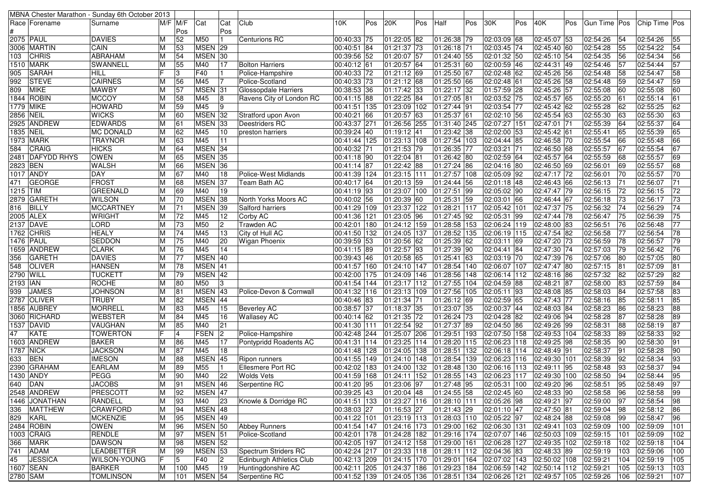|           |                            | MBNA Chester Marathon - Sunday 6th October 2013 |                |                 |                    |                |                          |                           |     |                                 |      |                                        |     |                                                    |     |                             |     |              |          |                   |     |
|-----------|----------------------------|-------------------------------------------------|----------------|-----------------|--------------------|----------------|--------------------------|---------------------------|-----|---------------------------------|------|----------------------------------------|-----|----------------------------------------------------|-----|-----------------------------|-----|--------------|----------|-------------------|-----|
|           | Race  Forename             | Surname                                         | $M/F$ $M/F$    |                 | Cat                | Cat            | Club                     | 10K                       | Pos | 20K                             | Pos  | Half                                   | Pos | 30K                                                | Pos | 40K                         | Pos | Gun Time Pos |          | Chip Time Pos     |     |
|           |                            |                                                 |                | Pos             |                    | Pos            |                          |                           |     |                                 |      |                                        |     |                                                    |     |                             |     |              |          |                   |     |
|           | 2075 PAUL                  | <b>DAVIES</b>                                   | ΙM             | 52              | M50                |                | <b>Centurions RC</b>     | 00:40:33 75               |     | 01:22:05 82                     |      | 01:26:38 79                            |     | 02:03:09 68                                        |     | 02:45:07 53                 |     | 02:54:26     | 54       | 02:54:26          | 55  |
|           | 3006 MARTIN                | CAIN                                            | M              | 53              | MSEN 29            |                |                          | 00:40:51 84               |     | 01:21:37 73                     |      | 01:26:18 71                            |     | 02:03:45 74                                        |     | 02:45:40 60                 |     | 02:54:28     | 55       | 02:54:22          | 54  |
| 103       | <b>CHRIS</b>               | ABRAHAM                                         | ΙM             | 54              | MSEN 30            |                |                          | 00:39:56 52               |     | 01:20:07 57                     |      | 01:24:40 55                            |     | 02:01:32 50                                        |     | 02:45:10 54                 |     | 02:54:35     | 56       | 02:54:34          | 56  |
|           | 1510 MARK                  | <b>SWANNELL</b>                                 | M              | 55              | M40                | 17             | <b>Bolton Harriers</b>   | 00:40:12 61               |     | $01:20:57$ 64                   |      | 01:25:31 60                            |     | 02:00:59 46                                        |     | 02:44:31 49                 |     | 02:54:46     | 57       | 02:54:44          | 57  |
| 905       | <b>SARAH</b>               | <b>HILL</b>                                     | IF             | 3               | F40                |                | Police-Hampshire         | 00:40:33 72               |     | 01:21:12 69                     |      | 01:25:50 67                            |     | 02:02:48 62                                        |     | 02:45:26 56                 |     | 02:54:48     | 58       | 02:54:47          | 58  |
| 992       | <b>STEVE</b>               | <b>CAIRNES</b>                                  | ΙM             | 56              | M45                |                | Police-Scotland          | 00:40:33 73               |     | 01:21:12 68                     |      | 01:25:50 66                            |     | 02:02:48 61                                        |     | 02:45:26 58                 |     | 02:54:48     | 59       | 02:54:47          | 59  |
| 809       | <b>MIKE</b>                | <b>MAWBY</b>                                    | ΙM             | 57              | MSEN 31            |                | Glossopdale Harriers     | 00:38:53 36               |     | 01:17:42 33                     |      | 01:22:17 32                            |     | 01:57:59 28                                        |     | 02:45:26 57                 |     | 02:55:08     | 60       | 02:55:08          | 60  |
|           | 1844  ROBIN                | <b>MCCOY</b>                                    | ΙM             | 58              | M45                | 8              | Ravens City of London RC | 00:41:15 88               |     | 01:22:25 84                     |      | 01:27:05 81                            |     | 02:03:52 75                                        |     | 02:45:57 65                 |     | 02:55:20     | 61       | 02:55:14          | 61  |
|           | 1779 MIKE                  | <b>HOWARD</b>                                   | ΙM             | 59              | M45                | 9              |                          | 00:41:51 135              |     | 01:23:09 102                    |      | 01:27:44 91                            |     | 02:03:54 77                                        |     | 02:45:42 62                 |     | 02:55:28     | 62       | 02:55:25          | 62  |
|           |                            |                                                 |                | 60              | MSEN <sub>32</sub> |                |                          |                           |     |                                 | 63   |                                        |     |                                                    |     | 02:45:54 63                 |     |              | 63       |                   | 63  |
| 2856 NEIL |                            | <b>WICKS</b>                                    | ΙM             |                 |                    |                | Stratford upon Avon      | 00:40:21 66               |     | 01:20:57                        |      | 01:25:37 61                            |     | 02:02:10 56                                        |     |                             |     | 02:55:30     |          | 02:55:30          |     |
|           | 2925 ANDREW                | <b>EDWARDS</b>                                  | ΙM             | 61              | <b>MSEN</b>        | 33             | Deestriders RC           | 00:43:37 271              |     | 01:26:56 255                    |      | 01:31:40 245                           |     | 02:07:27 151                                       |     | 02:47:01 71                 |     | 02:55:39     | 64       | 02:55:37          | 64  |
|           | 1835  NEIL                 | <b>MC DONALD</b>                                | ΙM             | 62              | M45                | 10             | preston harriers         | 00:39:24 40               |     | 01:19:12 41                     |      | 01:23:42 38                            |     | 02:02:00 53                                        |     | 02:45:42 61                 |     | 02:55:41     | 65       | 02:55:39          | 65  |
|           | 1973 MARK                  | <b>TRAYNOR</b>                                  | ΙM             | 63              | M45                | 11             |                          | 00:41:44 125              |     | 01:23:13 108                    |      | 01:27:54 103                           |     | 02:04:44 85                                        |     | 02:46:58 70                 |     | 02:55:54     | 66       | 02:55:48          | 66  |
| 584       | CRAIG                      | <b>HICKS</b>                                    | ΙM             | 64              | MSEN 34            |                |                          | 00:40:32 71               |     | 01:21:53 79                     |      | 01:26:35 77                            |     | 02:03:21 71                                        |     | 02:46:50 68                 |     | 02:55:57     | 67       | 02:55:54          | 67  |
|           | 2481 DAFYDD RHYS           | <b>OWEN</b>                                     | M              | 65              | <b>MSEN</b>        | 35             |                          | 00:41:18 90               |     | 01:22:04                        | 81   | 01:26:42 80                            |     | 02:02:59 64                                        |     | 02:45:57 64                 |     | 02:55:59     | 68       | 02:55:57          | 69  |
| 2823 BEN  |                            | <b>WALSH</b>                                    | ΙM             | 66              | <b>MSEN</b>        | 36             |                          | 00:41:14 87               |     | 01:22:42 88                     |      | 01:27:24 86                            |     | 02:04:16 80                                        |     | 02:46:50 69                 |     | 02:56:01     | 69       | 02:55:57          | 68  |
|           | 1017 ANDY                  | DAY                                             | ΙM             | 67              | M40                | 18             | Police-West Midlands     | 00:41:39 124              |     | 01:23:15 111                    |      | 01:27:57 108                           |     | 02:05:09 92                                        |     | 02:47:17 72                 |     | 02:56:01     | 70       | 02:55:57          | 70  |
| 471       | <b>GEORGE</b>              | FROST                                           | ΙM             | 68              | MSEN 37            |                | Team Bath AC             | 00:40:17 64               |     | 01:20:13 59                     |      | 01:24:44 56                            |     | 02:01:18 48                                        |     | 02:46:43 66                 |     | 02:56:13     | 171      | 02:56:07          | 71  |
| 1215 TIM  |                            | <b>GREENALD</b>                                 | M              | 69              | M40                | 19             |                          | 00:41:19 93               |     | 01:23:07                        | 100  | 01:27:51 99                            |     | 02:05:02 90                                        |     | 02:47:47 79                 |     | 02:56:15     | 172      | 02:56:15          | 72  |
|           | 2879 GARETH                | <b>WILSON</b>                                   | IМ             | 70              | <b>MSEN</b>        | 38             | North Yorks Moors AC     | 00:40:02 56               |     | 01:20:39                        | 60   | 01:25:31 59                            |     | 02:03:01 66                                        |     | 02:46:44 67                 |     | 02:56:18     | 73       | 02:56:17          | 73  |
| 816       | <b>BILLY</b>               | <b>MCCARTNEY</b>                                | ΙM             | 71              | <b>MSEN</b>        | 39             | Salford harriers         | $\overline{00:}41:29$ 109 |     | 01:23:37 122                    |      | 01:28:21 117                           |     | 02:05:42 101                                       |     | 02:47:37 75                 |     | 02:56:32     | 174      | 02:56:29          | 74  |
|           | 2005 ALEX                  | <b>WRIGHT</b>                                   | ΙM             | 72              | M45                | 12             | Corby AC                 | 00:41:36 121              |     | 01:23:05                        | 96   | 01:27:45 92                            |     | 02:05:31 99                                        |     | 02:47:44 78                 |     | 02:56:47     | 75       | 02:56:39          | 75  |
|           | 2137 DAVE                  | LORD                                            | IМ             | 73              | M50                | $\overline{2}$ | Trawden AC               | 00:42:01 180              |     | 01:24:12 159                    |      | 01:28:58 153                           |     | 02:06:24 119                                       |     | 02:48:00 83                 |     | 02:56:51     | 76       | 02:56:48          | 77  |
|           | 1762 CHRIS                 | <b>HEALY</b>                                    | M              | 74              | M45                | 13             | City of Hull AC          | 00:41:50 132              |     | 01:24:05                        | 137  | 01:28:52 135                           |     | 02:06:19 115                                       |     | 02:47:54 82                 |     | 02:56:58     | 77       | 02:56:54          | 78  |
|           | 1476  PAUL                 | <b>SEDDON</b>                                   | ΙM             | 75              | M40                | 20             | <b>Wigan Phoenix</b>     | 00:39:59 53               |     | $01:20:56$ <sup>62</sup>        |      | 01:25:39 62                            |     | 02:03:11 69                                        |     | 02:47:20 73                 |     | 02:56:59     | 78       | 02:56:57          | 79  |
|           | 1659 ANDREW                | <b>CLARK</b>                                    | M              | 76              | M45                | 14             |                          | 00:41:15 89               |     | $01:22:57$ 93                   |      | 01:27:39 90                            |     | 02:04:41 84                                        |     | 02:47:30 74                 |     | 02:57:03     | 79       | 02:56:42          | 76  |
| 356       | <b>GARETH</b>              | <b>DAVIES</b>                                   | M              | 77              | MSEN 40            |                |                          | 00:39:43 46               |     | 01:20:58 65                     |      | 01:25:41 63                            |     | 02:03:19 70                                        |     | 02:47:39 76                 |     | 02:57:06     | 80       | 02:57:05          | 80  |
| 548       | <b>OLIVER</b>              | <b>HANSEN</b>                                   | ΙM             | 78              | MSEN 41            |                |                          | 00:41:57 160              |     | 01:24:10 147                    |      | 01:28:54 140                           |     | 02:06:07 107                                       |     | 02:47:47 80                 |     | 02:57:15     | 81       | 02:57:09          | 81  |
| 2790 WILL |                            | <b>TUCKETT</b>                                  | M              | 79              | MSEN 42            |                |                          | 00:42:00 175              |     | 01:24:09 146                    |      | 01:28:56 148                           |     | 02:06:14 112                                       |     | 02:48:16 86                 |     | 02:57:32     | 182      | 02:57:29          | 82  |
| 2193 IAN  |                            | ROCHE                                           | ΙM             | 80              | M50                | З              |                          | 00:41:54 144              |     | 01:23:17 112                    |      | 01:27:55 104                           |     | 02:04:59 88                                        |     | 02:48:21 87                 |     | 02:58:00     | 83       | 02:57:59          | 84  |
| 939       | <b>JAMES</b>               | <b>JOHNSON</b>                                  | ΙM             | 81              | <b>MSEN</b>        | 43             | Police-Devon & Cornwall  | 00:41:32 116              |     | 01:23:13 109                    |      | 01:27:56 105                           |     | 02:05:11 93                                        |     | 02:48:08 85                 |     | 02:58:03     | 84       | 02:57:58          | 83  |
|           | 2787 OLIVER                | TRUBY                                           | ΙM             | 82              | <b>MSEN</b>        | 44             |                          | 00:40:46 83               |     | 01:21:34 71                     |      | 01:26:12 69                            |     | 02:02:59 65                                        |     | 02:47:43 77                 |     | 02:58:16     | 85       | 02:58:11          | 85  |
|           | 1856 AUBREY                | <b>MORRELL</b>                                  | M              | 83              | M45                | 15             | <b>Beverley AC</b>       | 00:38:57 37               |     | 01:18:37 35                     |      | 01:23:07 35                            |     | 02:00:37 44                                        |     | 02:48:03 84                 |     | 02:58:23     | 86       | 02:58:23          | 88  |
|           | 3060 RICHARD               | <b>WEBSTER</b>                                  | ΙM             | 84              | M45                | 16             | <b>Wallasey AC</b>       | 00:40:14 62               |     | $\overline{01:}21:35$ 72        |      | 01:26:24 73                            |     | 02:04:28 82                                        |     | 02:49:06 94                 |     | 02:58:28     | 187      | 02:58:28          | 89  |
|           | 1537 DAVID                 | VAUGHAN                                         | ΙM             | 85              | M40                | 21             |                          | 00:41:30 111              |     | 01:22:54 92                     |      | 01:27:37 89                            |     | 02:04:50 86                                        |     | 02:49:26 99                 |     | 02:58:31     | 88       | 02:58:19          | 87  |
|           |                            |                                                 | lF             |                 |                    |                |                          |                           |     |                                 |      |                                        |     | 02:07:50 158                                       |     |                             |     |              |          |                   |     |
| 47        | <b>KATE</b><br>1603 ANDREW | <b>TOWERTON</b>                                 |                | 4               | <b>FSEN</b><br>M45 | $ 2\rangle$    | Police-Hampshire         | 00:42:48 244<br>00:41:31  |     | 01:25:07 206                    |      | 01:29:51 193                           |     |                                                    |     | 02:49:53 104<br>02:49:25 98 |     | 02:58:33     | 89<br>90 | 02:58:33          | 92  |
|           |                            | <b>BAKER</b>                                    | M              | 86              |                    | 17             | Pontypridd Roadents AC   |                           | 114 | 01:23:25                        | 1114 | 01:28:20 115                           |     | 02:06:23 118                                       |     |                             |     | 02:58:35     |          | 02:58:30          | 91  |
| 1787 NICK |                            | <b>JACKSON</b>                                  | ΙM             | 87              | M45                | 18             |                          | 00:41:48 128              |     | 01:24:05                        | 138  | 01:28:51 132                           |     | 02:06:18 114                                       |     | 02:48:49 91                 |     | 02:58:37     | 191      | 02:58:28          | 90  |
| 633       | <b>BEN</b>                 | <b>IMESON</b>                                   | ΙM             | 88              | MSEN 45            |                | Ripon runners            | 00:41:55 149              |     | 01:24:10 148                    |      | 01:28:54 139                           |     | 02:06:23 116                                       |     | 02:49:30 101                |     | 02:58:39     | 92       | 02:58:34          | 93  |
|           | 2390 GRAHAM                | <b>EARLAM</b>                                   | ΙM             | 89              | M55                |                | Ellesmere Port RC        | 00:42:02 183              |     | 01:24:00                        | 132  | 01:28:48 130                           |     | 02:06:16 113                                       |     | 02:49:11 95                 |     | 02:58:48     | 93       | 02:58:37          | 94  |
|           | 1430  ANDY                 | PEGG                                            | ΙM             | 90              | M40                | 22             | Wolds Vets               |                           |     | 00:41:59 168 01:24:11 152       |      | 01:28:55 143                           |     | 02:06:23 117                                       |     | 02:49:30 100                |     | 02:58:50     | 94       | 02:58:44          | 95  |
| 640 DAN   |                            | <b>JACOBS</b>                                   | $\overline{M}$ | $\overline{91}$ | MSEN 46            |                | Serpentine RC            | 00:41:20 95               |     | 01:23:06 97                     |      | 01:27:48 95                            |     | $02:05:31$ 100                                     |     | $02:49:20$ 96               |     | 02:58:51     | 95       | 02:58:49          | 97  |
|           | 2548 ANDREW                | PRESCOTT                                        | ΙM             | 92              | MSEN 47            |                |                          | 00:39:25 43               |     | $01:20:04$ 48                   |      | 01:24:55 58                            |     | 02:02:45 60                                        |     | 02:48:33 90                 |     | 02:58:58     | 96       | 02:58:58          | 99  |
|           | 1446 JONATHAN              | <b>RANDELL</b>                                  | ΙM             | 93              | M40                | 23             | Knowle & Dorridge RC     |                           |     |                                 |      | 00:41:51 133 01:23:27 116 01:28:10 111 |     | $02:05:26$ 98                                      |     | 02:49:21 97                 |     | 02:59:00     | 97       | 02:58:54          | 98  |
|           | 336 MATTHEW                | <b>CRAWFORD</b>                                 | M              | 94              | MSEN 48            |                |                          | 00:38:03 27               |     | 01:16:53 27                     |      | $\sqrt{01:21:43}$ 29                   |     | 02:01:10 47                                        |     | 02:47:50 81                 |     | 02:59:04     | 98       | 02:58:12          | 86  |
|           | 829 KARL                   | <b>MCKENZIE</b>                                 | ΙM             | 95              | MSEN 49            |                |                          | 00:41:22 101              |     |                                 |      |                                        |     | $ 01:23:19 113 01:28:03 110 02:05:22 97$           |     | 02:48:24 88                 |     | 02:59:08     | 99       | 02:58:47          | 96  |
|           | 2484 ROBIN                 | <b>OWEN</b>                                     | M              | 96              | MSEN 50            |                | <b>Abbey Runners</b>     |                           |     | 00:41:54   147   01:24:16   173 |      |                                        |     | 01:29:00 162 02:06:30 131                          |     | 02:49:41 103                |     | 02:59:09     | 100      | 02:59:09          | 101 |
|           | 1003 CRAIG                 | <b>RENDLE</b>                                   | IМ             | 97              | MSEN 51            |                | Police-Scotland          | 00:42:01 178              |     | 01:24:28 182                    |      |                                        |     | 01:29:16 174 02:07:07 146                          |     | 02:50:03 109                |     | 02:59:15     | 101      | 02:59:09          | 102 |
| 366       | <b>MARK</b>                | <b>DAWSON</b>                                   | M              | 98              | MSEN 52            |                |                          |                           |     | 00:42:05 197 01:24:12 158       |      | 01:29:00 161                           |     | 02:06:28 127                                       |     | 02:49:35 102                |     | 02:59:18     | 102      | 02:59:18          | 104 |
| 741       | ADAM                       | LEADBETTER                                      | ΙM             | 99              | MSEN 53            |                | Spectrum Striders RC     |                           |     |                                 |      |                                        |     | 00:42:24 217 01:23:33 118 01:28:11 112 02:04:36 83 |     | 02:48:33 89                 |     | 02:59:19     | 103      | 02:59:06          | 100 |
| 45        | <b>JESSICA</b>             | <b>WILSON-YOUNG</b>                             | IF.            | 5               | F40                | $\vert$ 2      | Edinburgh Athletics Club |                           |     | 00:42:13 209 01:24:15 170       |      | 01:29:01 164                           |     | 02:07:02 143                                       |     | 02:50:02 108                |     | 02:59:21     | 104      | $\sqrt{02:59:19}$ | 105 |
|           | 1607 SEAN                  | <b>BARKER</b>                                   | IМ             | 100             | M45                | 19             | Huntingdonshire AC       |                           |     | 00:42:11 205 01:24:37 186       |      | 01:29:23 184                           |     | $02:06:59$ 142                                     |     | 02:50:14 112 02:59:21       |     |              | 105      | 02:59:13          | 103 |
| 2780 SAM  |                            | <b>TOMLINSON</b>                                | M              | 101             | MSEN 54            |                | Serpentine RC            |                           |     |                                 |      |                                        |     |                                                    |     |                             |     |              | 106      | 02:59:21          | 107 |
|           |                            |                                                 |                |                 |                    |                |                          |                           |     |                                 |      |                                        |     |                                                    |     |                             |     |              |          |                   |     |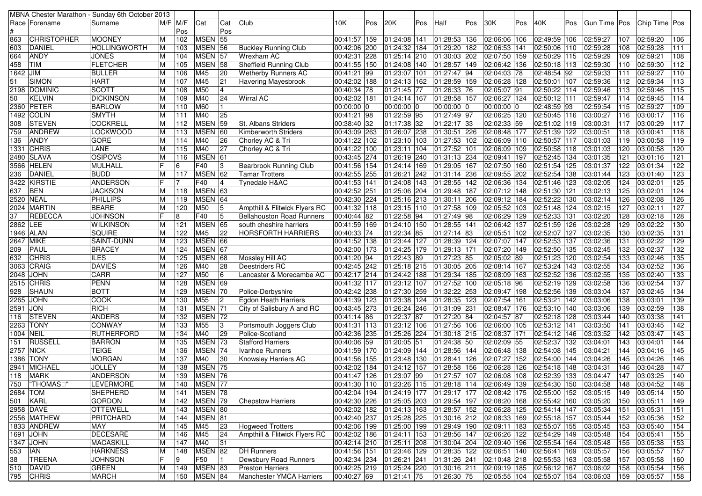| MBNA Chester Marathon - Sunday 6th October 2013 |                   |     |                |                    |     |                                  |                |     |                                        |           |              |     |                                                             |     |              |     |                |     |                 |                  |
|-------------------------------------------------|-------------------|-----|----------------|--------------------|-----|----------------------------------|----------------|-----|----------------------------------------|-----------|--------------|-----|-------------------------------------------------------------|-----|--------------|-----|----------------|-----|-----------------|------------------|
| Race Forename                                   | Surname           | M/F | M/F            | Cat                | Cat | Club                             | 10K            | Pos | 20K                                    | Pos       | Half         | Pos | 30K                                                         | Pos | 40K          | Pos | Gun Time   Pos |     | Chip Time   Pos |                  |
|                                                 |                   |     | Pos            |                    | Pos |                                  |                |     |                                        |           |              |     |                                                             |     |              |     |                |     |                 |                  |
| <b>CHRISTOPHER</b><br>863                       | <b>MOONEY</b>     |     | 102            | MSEN 55            |     |                                  | 00:41:57   159 |     | 01:24:08 141                           |           | 01:28:53 136 |     | 02:06:06 106                                                |     | 02:49:59 106 |     | 02:59:27       | 107 | 02:59:20        | 106              |
| 603<br><b>DANIEL</b>                            | HOLLINGWORTH      |     | 103            | MSEN 56            |     | <b>Buckley Running Club</b>      | 00:42:06 200   |     | 01:24:32                               | 184       | 01:29:20 182 |     | 02:06:53 141                                                |     | 02:50:06 110 |     | 02:59:28       | 108 | 02:59:28        | 111              |
| <b>ANDY</b><br>664                              | <b>JONES</b>      |     | 104            | MSEN 57            |     | Wrexham AC                       | 00:42:31       | 228 | 01:25:14                               | 210       | 01:30:03 202 |     | 02:07:50 159                                                |     | 02:50:29 115 |     | 02:59:29       | 109 | 02:59:21        | 108              |
| 458<br><b>TIM</b>                               | <b>FLETCHER</b>   |     | 105            | MSEN 58            |     | Sheffield Running Club           | 00:41:55  150  |     | 01:24:08                               | 140       | 01:28:57 149 |     | 02:06:42 136                                                |     | 02:50:18 113 |     | 02:59:30       | 110 | 02:59:30        | 112              |
| 1642 JIM                                        | <b>BULLER</b>     |     | 106            | M45                | 20  | <b>Wetherby Runners AC</b>       | 00:41:21 99    |     | 01:23:07                               | 101       | 01:27:47 94  |     | 02:04:03 78                                                 |     | 02:48:54 92  |     | 02:59:33       | 111 | 02:59:27        | 110              |
| SIMON<br>51                                     | <b>HART</b>       |     | 107            | M45                | 21  | Havering Mayesbrook              | 00:42:02 188   |     | 01:24:13 162                           |           | 01:28:59 159 |     | 02:06:28 128                                                |     | 02:50:01 107 |     | 02:59:36       | 112 | 02:59:34        | 113              |
| 2198 DOMINIC                                    | <b>SCOTT</b>      |     | 108            | M50                | 14  |                                  | 00:40:34 78    |     | 01:21:45                               | 77        | 01:26:33 76  |     | 02:05:07 91                                                 |     | 02:50:22 114 |     | 02:59:46       | 113 | 02:59:46        | 115              |
| KELVIN<br>50                                    | <b>DICKINSON</b>  |     | 109            | M40                | 24  | <b>Wirral AC</b>                 | 00:42:02 181   |     | 01:24:14 167                           |           | 01:28:58 157 |     | 02:06:27 124                                                |     | 02:50:12 111 |     | 02:59:47       | 114 | 02:59:45        | 114              |
| 2360 PETER                                      | <b>BARLOW</b>     |     | 110            | M60                |     |                                  | 00:00:00 0     |     | 00:00:00                               |           | 00:00:00 0   |     | 00:00:00 0                                                  |     | 02:48:59 93  |     | 02:59:54       | 115 | 02:59:27        | 109              |
| 1492   COLIN                                    | <b>SMYTH</b>      |     | 111            | M40                | 25  |                                  | 00:41:21 98    |     | 01:22:59 95                            |           | 01:27:49 97  |     | 02:06:25 120                                                |     | 02:50:45 116 |     | 03:00:27       | 116 | 03:00:17        | 116              |
| <b>STEVEN</b><br>308                            | <b>COCKRELL</b>   |     | 112            | MSEN 59            |     | <b>St. Albans Striders</b>       | 00:38:40 32    |     | 01:17:38 32                            |           | 01:22:17 33  |     | 02:02:33 59                                                 |     | 02:51:02 119 |     | 03:00:31       | 117 | 03:00:29        | 117              |
| <b>ANDREW</b><br>759                            | <b>LOCKWOOD</b>   |     | 113            | MSEN 60            |     | <b>Kimberworth Striders</b>      | 00:43:09 263   |     | 01:26:07                               | 238       | 01:30:51 226 |     | 02:08:48 177                                                |     | 02:51:39 122 |     | 03:00:51       | 118 | 03:00:41        | 118              |
| <b>ANDY</b><br>136                              | <b>GORE</b>       | M   | 114            | M40                | 26  | Chorley AC & Tri                 | 00:41:22 102   |     | 01:23:10                               | 103       | 01:27:53 102 |     | 02:06:09 110                                                |     | 02:50:57 117 |     | 03:01:03       | 119 | 03:00:58        | 119              |
| 1331 CHRIS                                      | LANE              |     | 115            | M40                | 27  | Chorley AC & Tri                 | 00:41:22 100   |     | 01:23:11                               | 104       | 01:27:52 101 |     | 02:06:09 109                                                |     | 02:50:58 118 |     | 03:01:03       | 120 | 03:00:58        | 120              |
| 2480 SLAVA                                      | <b>OSIPOVS</b>    |     | 116            | MSEN 61            |     |                                  | 00:43:45 274   |     | 01:26:19 240                           |           | 01:31:13 234 |     | 02:09:41 197                                                |     | 02:52:45 134 |     | 03:01:35       | 121 | 03:01:16        | 121              |
| 3566 HELEN                                      | MULHALL           |     | 6              | F40                | 13  | <b>Bearbrook Running Club</b>    | 00:41:56 154   |     | 01:24:14                               | 169       | 01:29:05 167 |     | 02:07:50 160                                                |     | 02:51:54 125 |     | 03:01:37       | 122 | 03:01:34        | 122              |
| DANIEL<br>236                                   | <b>BUDD</b>       | M   | 117            | MSEN <sub>62</sub> |     | <b>Tamar Trotters</b>            | 00:42:55 255   |     | 01:26:21                               | 242       | 01:31:14 236 |     | 02:09:55 202                                                |     | 02:52:54 138 |     | 03:01:44       | 123 | 03:01:40        | 123              |
| 3422 KIRSTIE                                    | <b>ANDERSON</b>   |     | $\overline{7}$ | F40                | 14  | <b>Tynedale H&amp;AC</b>         | 00:41:53 141   |     | 01:24:08 143                           |           | 01:28:55 142 |     | 02:06:36 134                                                |     | 02:51:46 123 |     | 03:02:05       | 124 | 03:02:01        | 125              |
| 637<br><b>BEN</b>                               | <b>JACKSON</b>    |     | 118            | MSEN 63            |     |                                  | 00:42:52 251   |     | 01:25:06 204                           |           | 01:29:48 187 |     | 02:07:12 148                                                |     | 02:51:30 121 |     | 03:02:13       | 125 | 03:02:01        | 124              |
| 2520 NEAL                                       | <b>PHILLIPS</b>   |     | 119            | MSEN 64            |     |                                  | 00:42:30 224   |     | 01:25:16 213                           |           | 01:30:11 206 |     | 02:09:12 184                                                |     | 02:52:22 130 |     | 03:02:14       | 126 | 03:02:08        | 126              |
| 2024 MARTIN                                     | <b>BEARE</b>      | M   | 120            | M50                | 5   | Ampthill & Flitwick Flyers RC    | 00:41:32 118   |     | 01:23:15 110                           |           | 01:27:58 109 |     | 02:05:52 103                                                |     | 02:51:48 124 |     | 03:02:15       | 127 | 03:02:11        | 127              |
| <b>REBECCA</b><br>37                            | <b>JOHNSON</b>    |     | 8              | F40                | 15  | <b>Bellahouston Road Runners</b> | 00:40:44 82    |     | 01:22:58 94                            |           | 01:27:49 98  |     | 02:06:29 129                                                |     | 02:52:33 131 |     | 03:02:20       | 128 | 03:02:18        | 128              |
| 2862 LEE                                        | <b>WILKINSON</b>  | M   | 121            | MSEN 65            |     | south cheshire harriers          | 00:41:59 169   |     | 01:24:10 150                           |           | 01:28:55 141 |     | $02:06:42$ 137                                              |     | 02:51:59 126 |     | 03:02:28       | 129 | 03:02:22        | 130              |
| 1946 ALAN                                       | <b>SQUIRE</b>     | M   | 122            | M45                | 22  | <b>HORSFORTH HARRIERS</b>        | 00:40:33 74    |     | 01:22:34 85                            |           | 01:27:14 83  |     | 02:05:51 102                                                |     | 02:52:07 127 |     | 03:02:35       | 130 | 03:02:35        | 131              |
| 2647 MIKE                                       | SAINT-DUNN        |     | 123            | MSEN 66            |     |                                  | 00:41:52 138   |     | 01:23:44 127                           |           | 01:28:39 124 |     | 02:07:07 147                                                |     | 02:52:53 137 |     | 03:02:36       | 131 | 03:02:22        | 129              |
| PAUL<br>209                                     | <b>BRACEY</b>     | M   | 124            | MSEN 67            |     |                                  | 00:42:00 173   |     | 01:24:25                               | 179       | 01:29:13 171 |     | 02:07:20 149                                                |     | 02:52:50 135 |     | 03:02:45       | 132 | 03:02:37        | 132              |
| CHRIS<br>632                                    | <b>ILES</b>       |     | 125            | MSEN 68            |     | Mossley Hill AC                  | 00:41:20 94    |     | $\sqrt{01:22:43}$                      | 89        | 01:27:23 85  |     | 02:05:02 89                                                 |     | 02:51:23 120 |     | 03:02:54       | 133 | 03:02:46        | $\overline{135}$ |
| 3063 CRAIG                                      | <b>DAVIES</b>     |     | 126            | M40                | 28  | Deestriders RC                   | 00:42:45 242   |     | 01:25:18 215                           |           | 01:30:05 205 |     | 02:08:14 167                                                |     | 02:53:24 143 |     | 03:02:55       | 134 | 03:02:52        | 136              |
| 2048 JOHN                                       | CARR              |     | 127            | M50                | 16  | Lancaster & Morecambe AC         | 00:42:17 214   |     | 01:24:42 188                           |           | 01:29:34 185 |     | 02:08:09 163                                                |     | 02:52:52 136 |     | 03:02:55       | 135 | 03:02:40        | 133              |
| <b>2515 CHRIS</b>                               | <b>PENN</b>       |     | 128            | MSEN 69            |     |                                  | 00:41:32 117   |     | 01:23:12 107                           |           | 01:27:52 100 |     | 02:05:18 96                                                 |     | 02:52:19 129 |     | 03:02:58       | 136 | 03:02:54        | 137              |
| SHAUN<br>928                                    | <b>BOTT</b>       |     | 129            | MSEN 70            |     | Police-Derbyshire                | 00:42:42 238   |     | 01:27:30                               | 259       | 01:32:22 253 |     | 02:09:47 198                                                |     | 02:52:56 139 |     | 03:03:04       | 137 | 03:02:45        | $\frac{1}{134}$  |
| 2265 JOHN                                       | COOK              |     | 130            | M55                | 2   | Egdon Heath Harriers             | 00:41:39 123   |     | 01:23:38                               | 124       | 01:28:35 123 |     | 02:07:54 161                                                |     | 02:53:21 142 |     | 03:03:06       | 138 | 03:03:01        | 139              |
| 2591 JON                                        | <b>RICH</b>       |     | 131            | MSEN <sub>71</sub> |     | City of Salisbury A and RC       | 00:43:45 273   |     | 01:26:24 246                           |           | 01:31:09 231 |     | 02:08:47 176                                                |     | 02:53:10 140 |     | 03:03:06       | 139 | 03:02:59        | 138              |
| STEVEN<br>116                                   | <b>ANDERS</b>     |     | 132            | MSEN 72            |     |                                  | 00:41:14 86    |     | 01:22:37                               | <b>87</b> | 01:27:20 84  |     | 02:04:57 87                                                 |     | 02:52:18 128 |     | 03:03:44       | 140 | 03:03:38        | 141              |
| 2263 TONY                                       | <b>CONWAY</b>     |     | 133            | M55                | 3   | Portsmouth Joggers Club          | 00:41:31 113   |     | 01:23:12 106                           |           | 01:27:56 106 |     | 02:06:00 105                                                |     | 02:53:12 141 |     | 03:03:50       | 141 | 03:03:45        | 142              |
| 1004 NEIL                                       | <b>RUTHERFORD</b> | M   | 134            | M40                | 29  | Police-Scotland                  | 00:42:36 235   |     | 01:25:26 224                           |           | 01:30:18 215 |     | 02:08:37 171                                                |     | 02:54:12 146 |     | 03:03:52       | 142 | 03:03:47        | 143              |
| <b>RUSSELL</b><br>151                           | <b>BARRON</b>     |     | 135            | MSEN 73            |     | <b>Stafford Harriers</b>         | 00:40:06 59    |     | 01:20:05                               | 151       | 01:24:38 50  |     | 02:02:09 55                                                 |     | 02:52:37 132 |     | 03:04:01       | 143 | 03:04:01        | 144              |
| <b>2757 NICK</b>                                | <b>TEIGE</b>      |     | 136            | MSEN 74            |     | Ivanhoe Runners                  | 00:41:59 170   |     | 01:24:09                               | 144       | 01:28:56 144 |     | 02:06:48 138                                                |     | 02:54:08 145 |     | 03:04:21       | 144 | 03:04:16        | 145              |
| 1386 TONY                                       | <b>MORGAN</b>     |     | 137            | M40                | 30  | <b>Knowsley Harriers AC</b>      | 00:41:56 155   |     | 01:23:48 130                           |           | 01:28:41 126 |     | 02:07:27 152                                                |     | 02:54:00 144 |     | 03:04:26       | 145 | 03:04:26        | 146              |
| 2941 MICHAEL                                    | <b>JOLLEY</b>     |     | 138            | MSEN 75            |     |                                  | 00:42:02 184   |     | 01:24:12                               | 157       | 01:28:58 156 |     | 02:06:28 126                                                |     | 02:54:18 148 |     | 03:04:31       | 146 | 03:04:28        | 147              |
| 118<br><b>MARK</b>                              | ANDERSON          |     | 139            | MSEN 76            |     |                                  | 00:41:47 126   |     | 01:23:07 99                            |           | 01:27:57 107 |     | 02:06:08 108                                                |     | 02:52:39 133 |     | 03:04:47       | 147 | 03:03:25        | 140              |
| 750 THOMAS "                                    | LEVERMORE         | M   | 140            | MSEN 77            |     |                                  | 00:41:30 110   |     |                                        |           |              |     | $\vert$ 01:23:26 115 01:28:18 114 02:06:49 139 02:54:30 150 |     |              |     | 03:04:58       | 148 | 03:04:52        | 148              |
| 2684 TOM                                        | <b>SHEPHERD</b>   | M   | 141            | MSEN 78            |     |                                  | 00:42:04 194   |     | 01:24:19 177                           |           | 01:29:17 177 |     | 02:08:42 175 02:55:00 152                                   |     |              |     | 03:05:15       | 149 | 03:05:14        | 150              |
| 501 KARL                                        | <b>GORDON</b>     | M   | 142            | <b>MSEN 79</b>     |     | <b>Chepstow Harriers</b>         |                |     | 00:42:30 226 01:25:05 203 01:29:54 197 |           |              |     | 02:08:20 168                                                |     | 02:55:42 160 |     | 03:05:20       | 150 | 03:05:11        | 149              |
| 2958 DAVE                                       | <b>OTTEWELL</b>   | M   | 143            | MSEN 80            |     |                                  |                |     | 00:42:02 182 01:24:13 163              |           |              |     | 01:28:57 152 02:06:28 125                                   |     | 02:54:14 147 |     | 03:05:34       | 151 | 03:05:31        | 151              |
| 2556 MATHEW                                     | PRITCHARD         | M   | 144            | MSEN 81            |     |                                  |                |     | 00:42:40 237 01:25:28 225              |           |              |     | 01:30:16 212 02:08:33 169                                   |     | 02:55:18 157 |     | 03:05:44       | 152 | 03:05:36        | 152              |
| 1833 ANDREW                                     | MAY               | M   | 145            | M45                | 23  | <b>Hogweed Trotters</b>          |                |     | 00:42:06 199 01:25:00 199              |           |              |     | 01:29:49 190 02:09:11 183                                   |     | 02:55:07 155 |     | 03:05:45       | 153 | 03:05:40        | 154              |
| 1691 JOHN                                       | DECESARE          | M   | 146            | M45                | 24  | Ampthill & Flitwick Flyers RC    | 00:42:02 186   |     | 01:24:11 153                           |           | 01:28:56 147 |     | 02:06:26 122                                                |     | 02:54:29 149 |     | 03:05:48       | 154 | 03:05:41        | 155              |
| 1347 JOHN                                       | <b>MACASKILL</b>  | M   | 147            | M40                | 31  |                                  |                |     | 00:42:14 210 01:25:11 208              |           |              |     | 01:30:04 204 02:09:40 196                                   |     | 02:55:54 164 |     | 03:05:48       | 155 | 03:05:38        | 153              |
| 553<br><b>IAN</b>                               | <b>HARKNESS</b>   | M   | 148            | MSEN 82            |     | <b>DH</b> Runners                | 00:41:56 151   |     | 01:23:46 129                           |           |              |     | 01:28:35 122 02:06:51 140                                   |     | 02:56:41 169 |     | 03:05:57       | 156 | 03:05:57        | 157              |
| TREENA<br>38                                    | <b>JOHNSON</b>    |     | 9              | F50                | l 1 | Dewsbury Road Runners            | 00:42:34 234   |     | 01:26:21 241                           |           | 01:31:26 241 |     | 02:10:48 218                                                |     | 02:55:53 163 |     | 03:05:58       | 157 | 03:05:58        | 160              |
| 510 DAVID                                       | <b>GREEN</b>      | M   | 149            | <b>MSEN 83</b>     |     | <b>Preston Harriers</b>          |                |     | 00:42:25 219 01:25:24 220              |           |              |     | $ 01:30:16 211 02:09:19 185 02:56:12 167$                   |     |              |     | 03:06:02       | 158 | 03:05:54        | 156              |
| 795 CHRIS                                       | <b>MARCH</b>      | M   | 150            | MSEN 84            |     | Manchester YMCA Harriers         | 00:40:27 69    |     | 01:21:41 75                            |           | 01:26:30 75  |     | 02:05:55 104 02:55:07 154 03:06:03                          |     |              |     |                | 159 |                 |                  |
|                                                 |                   |     |                |                    |     |                                  |                |     |                                        |           |              |     |                                                             |     |              |     |                |     | 03:05:57        | 158              |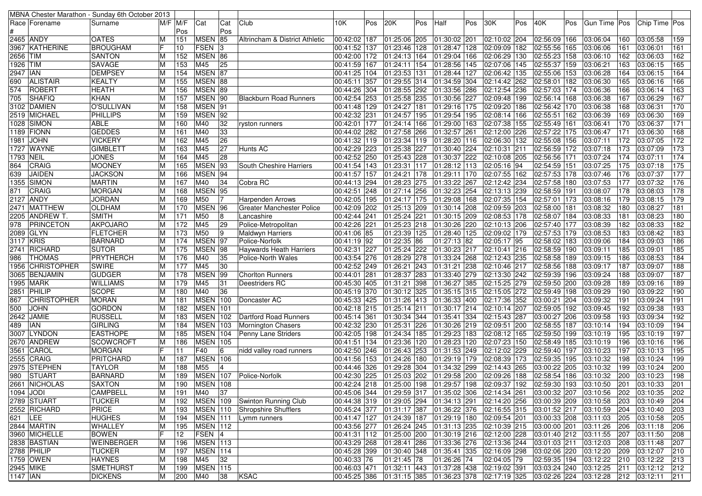|                 |                    | MBNA Chester Marathon - Sunday 6th October 2013 |        |            |                 |                |                                  |                |     |                           |     |                                                                                                                |     |              |     |                       |     |                |     |               |                 |
|-----------------|--------------------|-------------------------------------------------|--------|------------|-----------------|----------------|----------------------------------|----------------|-----|---------------------------|-----|----------------------------------------------------------------------------------------------------------------|-----|--------------|-----|-----------------------|-----|----------------|-----|---------------|-----------------|
|                 | Race   Forename    | Surname                                         |        | M/F  M/F   | Cat             | Cat            | Club                             | 10K            | Pos | 20K                       | Pos | Half                                                                                                           | Pos | 30K          | Pos | 40K                   | Pos | Gun Time   Pos |     | Chip Time Pos |                 |
|                 |                    |                                                 |        | Pos        |                 | Pos            |                                  |                |     |                           |     |                                                                                                                |     |              |     |                       |     |                |     |               |                 |
|                 | 2465 ANDY          | <b>OATES</b>                                    | м      | 151        | <b>MSEN 85</b>  |                | Altrincham & District Athletic   | 00:42:02 187   |     | 01:25:06 205              |     | 01:30:02 201                                                                                                   |     | 02:10:02 204 |     | 02:56:09 166          |     | 03:06:04       | 160 | 03:05:58      | 159             |
|                 | 3967 KATHERINE     | <b>BROUGHAM</b>                                 |        | 10         | $FSEN$ 3        |                |                                  | 00:41:52 137   |     | 01:23:46                  | 128 | 01:28:47 128                                                                                                   |     | 02:09:09 182 |     | 02:55:56 165          |     | 03:06:06       | 161 | 03:06:01      | 161             |
| 2656 TIM        |                    | <b>SANTON</b>                                   | M      | 152        | MSEN 86         |                |                                  | 00:42:00 172   |     | 01:24:13                  | 164 | 01:29:04 166                                                                                                   |     | 02:06:29 130 |     | 02:55:23 158          |     | 03:06:10       | 162 | 03:06:03      | 162             |
| 1926 TIM        |                    | <b>SAVAGE</b>                                   | M      | 153        | M45             | 25             |                                  | 00:41:59 167   |     | 01:24:11                  | 154 | 01:28:56 145                                                                                                   |     | 02:07:06 145 |     | 02:55:37 159          |     | 03:06:21       | 163 | 03:06:15      | 165             |
| 2947 IAN        |                    | <b>DEMPSEY</b>                                  | М      | 154        | MSEN 87         |                |                                  | 00:41:25 104   |     | 01:23:53                  | 131 | 01:28:44 127                                                                                                   |     | 02:06:42 135 |     | 02:55:06 153          |     | 03:06:28       | 164 | 03:06:15      | 164             |
| 690             | <b>ALISTAIR</b>    | <b>KEALTY</b>                                   |        | 155        | MSEN 88         |                |                                  | 00:45:11 357   |     | 01:29:55                  | 314 | 01:34:59 304                                                                                                   |     | 02:14:42 262 |     | 02:58:01 182          |     | 03:06:30       | 165 | 03:06:16      | 166             |
| 574             | <b>ROBERT</b>      | <b>HEATH</b>                                    |        | 156        | MSEN 89         |                |                                  | 00:44:26 304   |     | $\overline{01:28:55}$     | 292 | 01:33:56 286                                                                                                   |     | 02:12:54 236 |     | 02:57:03 174          |     | 03:06:36       | 166 | 03:06:14      | 163             |
| 705             | <b>SHAFIQ</b>      | <b>KHAN</b>                                     |        | 157        | MSEN 90         |                | Blackburn Road Runners           | 00:42:54 253   |     | 01:25:58                  | 235 | 01:30:56 227                                                                                                   |     | 02:09:48 199 |     | 02:56:14 168          |     | 03:06:38       | 167 | 03:06:29      | 167             |
| 3102            | <b>DAMIEN</b>      | O'SULLIVAN                                      | М      | 158        | MSEN 91         |                |                                  | 00:41:48   129 |     | 01:24:27                  | 181 | 01:29:16 175                                                                                                   |     | 02:09:20 186 |     | 02:56:42 170          |     | 03:06:38       | 168 | 03:06:31      | 170             |
|                 | 2519 MICHAEL       | <b>PHILLIPS</b>                                 | M      | 159        | MSEN 92         |                |                                  | 00:42:32 231   |     | 01:24:57 195              |     | 01:29:54 195                                                                                                   |     | 02:08:14 166 |     | 02:55:51 162          |     | 03:06:39       | 169 | 03:06:30      | 169             |
| 1028            | SIMON              | <b>ABLE</b>                                     |        | 160        | M40             | 32             | ryston runners                   | 00:42:01 177   |     | 01:24:14 166              |     | 01:29:00 163                                                                                                   |     | 02:07:38 155 |     | 02:55:49 161          |     | 03:06:41       | 170 | 03:06:37      | 171             |
|                 | 1189 FIONN         | <b>GEDDES</b>                                   | М      | 161        | M40             | 33             |                                  | 00:44:02 282   |     | $\sqrt{01:27:58}$         | 266 | 01:32:57 261                                                                                                   |     | 02:12:00 226 |     | 02:57:22 175          |     | 03:06:47       | 171 | 03:06:30      | 168             |
| 1981            | <b>JOHN</b>        | <b>VICKERY</b>                                  | M      | 162        | M45             | 26             |                                  | 00:41:32 119   |     | 01:23:34                  | 119 | 01:28:20 116                                                                                                   |     | 02:06:30 132 |     | 02:55:08 156          |     | 03:07:11       | 172 | 03:07:05      | 172             |
|                 | 1727 WAYNE         | <b>GIMBLETT</b>                                 |        | 163        | M45             | 27             | Hunts AC                         | 00:42:29 223   |     | 01:25:38                  | 227 | 01:30:40 224                                                                                                   |     | 02:10:31 211 |     | 02:56:59 172          |     | 03:07:18       | 173 | 03:07:09      | $\frac{1}{173}$ |
| 1793            | <b>NEIL</b>        | <b>JONES</b>                                    |        | 164        | M45             | 28             |                                  | 00:42:52 250   |     | 01:25:43                  | 228 | 01:30:37 222                                                                                                   |     | 02:10:08 205 |     | 02:56:56 171          |     | 03:07:24       | 174 | 03:07:11      | 174             |
| 864             | <b>CRAIG</b>       | <b>MOONEY</b>                                   | м      | 165        | MSEN 93         |                | South Cheshire Harriers          | 00:41:54 143   |     | 01:23:31                  | 117 | 01:28:12 113                                                                                                   |     | 02:05:16 94  |     | 02:54:59 151          |     | 03:07:25       | 175 | 03:07:18      | 175             |
| 639             | <b>JAIDEN</b>      | <b>JACKSON</b>                                  |        | 166        | MSEN 94         |                |                                  | 00:41:57 157   |     | 01:24:21                  | 178 | 01:29:11 170                                                                                                   |     | 02:07:55 162 |     | 02:57:53 178          |     | 03:07:46       | 176 | 03:07:37      | 177             |
|                 | 1355 SIMON         | <b>MARTIN</b>                                   | м      | 167        | M40             | 34             | Cobra RC                         | 00:44:13 294   |     | 01:28:23 275              |     | 01:33:22 267                                                                                                   |     | 02:12:42 234 |     | 02:57:58 180          |     | 03:07:53       | 177 | 03:07:32      | 176             |
|                 |                    |                                                 |        |            |                 |                |                                  |                |     | 01:27:14 256              |     |                                                                                                                |     |              |     |                       |     |                |     |               |                 |
| 871             | <b>CRAIG</b>       | <b>MORGAN</b>                                   |        | 168        | MSEN 95         |                |                                  | 00:42:51 248   |     |                           |     | 01:32:23 254                                                                                                   |     | 02:13:13 239 |     | 02:58:59 191          |     | 03:08:07       | 178 | 03:08:03      | 178             |
|                 | 2127 ANDY          | <b>JORDAN</b>                                   | M      | 169        | M50             | <sup>7</sup>   | Harpenden Arrows                 | 00:42:05 195   |     | 01:24:17 175              |     | 01:29:08 168                                                                                                   |     | 02:07:35 154 |     | 02:57:01 173          |     | 03:08:16       | 179 | 03:08:15      | 179             |
|                 | 2471  MATTHEW      | <b>OLDHAM</b>                                   | M      | 170        | <b>MSEN 96</b>  |                | <b>Greater Manchester Police</b> | 00:42:09 202   |     | 01:25:13 209              |     | 01:30:14 208                                                                                                   |     | 02:09:59 203 |     | 02:58:00 181          |     | 03:08:32       | 180 | 03:08:27      | 181             |
|                 | 2205  ANDREW T.    | <b>SMITH</b>                                    |        | 171        | M50             | 8              | Lancashire                       | 00:42:44 241   |     | 01:25:24 221              |     | 01:30:15 209                                                                                                   |     | 02:08:53 178 |     | 02:58:07 184          |     | 03:08:33       | 181 | 03:08:23      | 180             |
| 978             | <b>PRINCETON</b>   | <b>AKPOJARO</b>                                 | M      | 172        | M45             | 29             | Police-Metropolitan              | 00:42:26 221   |     | 01:25:23 218              |     | 01:30:26 220                                                                                                   |     | 02:10:13 206 |     | 02:57:40 177          |     | 03:08:39       | 182 | 03:08:33      | 182             |
|                 | 2089 GLYN          | <b>FLETCHER</b>                                 | M      | 173        | M50             | 9              | <b>Maldwyn Harriers</b>          | 00:41:06 85    |     | 01:23:39                  | 125 | 01:28:40 125                                                                                                   |     | 02:09:02 179 |     | 02:57:53 179          |     | 03:08:53       | 183 | 03:08:42      | 183             |
| 3117 KRIS       |                    | BARNARD                                         |        | 174        | MSEN 97         |                | Police-Norfolk                   | $00:41:19$ 92  |     | 01:22:35                  | 86  | 01:27:13 82                                                                                                    |     | 02:05:17 95  |     | 02:58:02 183          |     | 03:09:06       | 184 | 03:09:03      | 186             |
|                 | 2741  RICHARD      | <b>SUTOR</b>                                    | M      | 175        | MSEN 98         |                | Haywards Heath Harriers          | 00:42:31 227   |     | 01:25:24 222              |     | 01:30:23 217                                                                                                   |     | 02:10:41 216 |     | 02:58:59 190          |     | 03:09:11       | 185 | 03:09:01      | 185             |
| 986             | <b>THOMAS</b>      | <b>PRYTHERCH</b>                                | M      | 176        | M40             | 35             | Police-North Wales               | 00:43:54 276   |     | 01:28:29 278              |     | 01:33:24 268                                                                                                   |     | 02:12:43 235 |     | 02:58:58 189          |     | 03:09:15       | 186 | 03:08:53      | 184             |
| 1956            | <b>CHRISTOPHER</b> | <b>SWIRE</b>                                    |        | 177        | M45             | 30             |                                  | 00:42:52 249   |     | 01:26:21                  | 243 | 01:31:21 238                                                                                                   |     | 02:10:46 217 |     | 02:58:56 188          |     | 03:09:17       | 187 | 03:09:07      | 188             |
|                 | 3065 BENJAMIN      | <b>GUDGER</b>                                   | M      | 178        | MSEN 99         |                | <b>Chorlton Runners</b>          | 00:44:01 281   |     | $\overline{01}$ :28:37    | 283 | 01:33:40 279                                                                                                   |     | 02:13:30 242 |     | 02:59:39 196          |     | 03:09:24       | 188 | 03:09:07      | 187             |
|                 | 1995   MARK        | <b>WILLIAMS</b>                                 | М      | 179        | M45             | 31             | Deestriders RC                   | 00:45:30 405   |     | 01:31:21                  | 398 | 01:36:27 385                                                                                                   |     | 02:15:25 279 |     | 02:59:50 200          |     | 03:09:28       | 189 | 03:09:16      | 189             |
|                 | 2851 PHILIP        | <b>SCOPE</b>                                    |        | 180        | M40             | 36             |                                  | 00:45:19 370   |     | 01:30:12                  | 325 | 01:35:15 315                                                                                                   |     | 02:15:05 272 |     | 02:59:49 198          |     | 03:09:29       | 190 | 03:09:22      | 190             |
| 867             | <b>CHRISTOPHER</b> | <b>MORAN</b>                                    |        | 181        | MSEN 100        |                | Doncaster AC                     | 00:45:33 425   |     | 01:31:26                  | 413 | $\overline{01:}36:33$ 400                                                                                      |     | 02:17:36 352 |     | 03:00:21 204          |     | 03:09:32       | 191 | 03:09:24      | 191             |
| 500             | JOHN               | <b>GORDON</b>                                   |        | 182        | <b>MSEN</b> 101 |                |                                  | 00:42:18 215   |     | $01:25:14$ 211            |     | 01:30:17 214                                                                                                   |     | 02:10:14 207 |     | 02:59:05 192          |     | 03:09:45       | 192 | 03:09:38      | 193             |
| 2642            | <b>JAMIE</b>       | <b>RUSSELL</b>                                  | M      | 183        | <b>MSEN 102</b> |                | Dartford Road Runners            | 00:45:14 361   |     | 01:30:34 344              |     | 01:35:41 334                                                                                                   |     | 02:15:43 287 |     | 03:00:27 206          |     | 03:09:58       | 193 | 03:09:34      | 192             |
| 489             | ian                | <b>GIRLING</b>                                  | M      | 184        | <b>MSEN</b> 103 |                | Mornington Chasers               | 00:42:32 230   |     | 01:25:31                  | 226 | 01:30:26 219                                                                                                   |     | 02:09:51 200 |     | 02:58:55 187          |     | 03:10:14       | 194 | 03:10:09      | 194             |
| 3007            | <b>LYNDON</b>      | <b>EASTHOPE</b>                                 |        | 185        | <b>MSEN</b> 104 |                | Penny Lane Striders              | 00:42:05 198   |     | 01:24:34                  | 185 | 01:29:23 183                                                                                                   |     | 02:08:12 165 |     | 02:59:50 199          |     | 03:10:19       | 195 | 03:10:19      | 197             |
|                 | 2670  ANDREW       | <b>SCOWCROFT</b>                                | М      | 186        | <b>MSEN 105</b> |                |                                  | 00:41:51 134   |     | 01:23:36                  | 120 | 01:28:23 120                                                                                                   |     | 02:07:23 150 |     | 02:58:49 185          |     | 03:10:19       | 196 | 03:10:16      | 196             |
| 3561            | CAROL              | <b>MORGAN</b>                                   |        | 11         | F40             | 6              | nidd valley road runners         | 00:42:50 246   |     | 01:26:43                  | 253 | 01:31:53 249                                                                                                   |     | 02:12:02 229 |     | 02:59:40 197          |     | 03:10:23       | 197 | 03:10:13      | 195             |
|                 | 2555 CRAIG         | <b>PRITCHARD</b>                                | M      | 187        | <b>MSEN</b> 106 |                |                                  | 00:41:56 153   |     | 01:24:26                  | 180 | 01:29:19 179                                                                                                   |     | 02:08:39 173 |     | 02:59:35 195          |     | 03:10:32       | 198 | 03:10:24      | 199             |
|                 | 2975 STEPHEN       | <b>TAYLOR</b>                                   |        | 188        | M55             | $\overline{4}$ |                                  | 00:44:46 326   |     | 01:29:28                  | 304 | 01:34:32 299                                                                                                   |     | 02:14:43 265 |     | 03:00:22 205          |     | 03:10:32       | 199 | 03:10:24      | 200             |
| 980 -           | <b>STUART</b>      | <b>BARNARD</b>                                  |        | 189        | <b>MSEN 107</b> |                | Police-Norfolk                   | 00:42:30 225   |     | 01:25:03 202              |     | 01:29:58 200                                                                                                   |     | 02:09:26 188 |     | 02:58:54 186          |     | 03:10:32       | 200 | 03:10:23      | 198             |
|                 | 2661 NICHOLAS      | <b>SAXTON</b>                                   | М      | 190        | <b>MSEN</b> 108 |                |                                  |                |     |                           |     | 00:42:24 218 01:25:00 198 01:29:57 198 02:09:37 192 02:59:30 193 03:10:50                                      |     |              |     |                       |     |                | 201 | 03:10:33      | 201             |
| 1094 JODI       |                    | <b>CAMPBELL</b>                                 | M      | 191        | M40             | 37             |                                  |                |     |                           |     |                                                                                                                |     |              |     | 03:00:32 207 03:10:56 |     |                | 202 | 03:10:35      | 202             |
|                 | 2789 STUART        | <b>TUCKER</b>                                   | M      | 192        | <b>MSEN</b> 109 |                | Swinton Running Club             |                |     |                           |     | 00:44:38 319 01:29:05 294 01:34:13 291                                                                         |     | 02:14:20 256 |     | 03:00:39 209 03:10:58 |     |                | 203 | 03:10:49      | 204             |
|                 | 2552 RICHARD       | <b>PRICE</b>                                    | M      | 193        | MSEN 110        |                | Shropshire Shufflers             |                |     |                           |     |                                                                                                                |     |              |     |                       |     |                | 204 | 03:10:40      | 203             |
| 621 LEE         |                    | <b>HUGHES</b>                                   | M      |            | <b>MSEN</b> 111 |                |                                  |                |     | 00:41:47 127 01:24:39 187 |     | 00:45:24 377 01:31:17 387 01:36:22 376 02:16:55 315 03:01:52 217 03:10:59<br>$\vert$ 01:29:19 180 02:09:54 201 |     |              |     | 03:00:33 208          |     | 03:11:03       | 205 | 03:10:58      | 205             |
|                 | 2844 MARTIN        | <b>WHALLEY</b>                                  |        | 194<br>195 | <b>MSEN</b> 112 |                | Lymm runners                     |                |     |                           |     |                                                                                                                |     |              |     |                       |     |                | 206 |               |                 |
|                 |                    |                                                 | M<br>F |            |                 |                |                                  | 00:43:56 277   |     | 01:26:24 245              |     | 01:31:13 235 02:10:39 215                                                                                      |     |              |     | 03:00:00 201          |     | 03:11:26       |     | 03:11:18      | 206             |
|                 | 3960 MICHELLE      | <b>BOWEN</b>                                    |        | 12         | $FSEN$ 4        |                |                                  | 00:41:31 112   |     | 01:25:00 200              |     | 01:30:19 216 02:12:00 228                                                                                      |     |              |     | 03:01:40 212 03:11:55 |     |                | 207 | 03:11:50      | 208             |
|                 | 2838 BASTIAN       | WEINBERGER                                      | M      | 196        | <b>MSEN</b> 113 |                |                                  | 00:43:29 268   |     | 01:28:41 286              |     | 01:33:36 276 02:13:36 244                                                                                      |     |              |     | 03:01:03 211          |     | 03:12:03       | 208 | 03:11:48      | 207             |
|                 | 2788 PHILIP        | <b>TUCKER</b>                                   | M      | 197        | <b>MSEN</b> 114 |                |                                  |                |     | 00:45:28 399 01:30:40 348 |     | 01:35:41 335 02:16:09 298                                                                                      |     |              |     | 03:02:06 220 03:12:20 |     |                | 209 | 03:12:07      | 210             |
|                 | 1759 OWEN          | <b>HAYNES</b>                                   | M      | 198        | M45             | 32             |                                  | 00:40:33 76    |     | 01:21:45 78               |     | 01:26:26 74                                                                                                    |     | 02:04:05 79  |     | 02:59:35 194          |     | 03:12:22       | 210 | 03:12:22      | 213             |
|                 | 2945 MIKE          | <b>SMETHURST</b>                                | M      | 199        | MSEN 115        |                |                                  |                |     |                           |     | 00:46:03 471  01:32:11  443  01:37:28  438  02:19:02  391                                                      |     |              |     | 03:03:24 240 03:12:25 |     |                | 211 | 03:12:12      | 212             |
| <b>1147 IAN</b> |                    | <b>DICKENS</b>                                  | M      | 200        | M40             | 38             | <b>KSAC</b>                      |                |     |                           |     | 00:45:25  386  01:31:15  385  01:36:23  378  02:17:19  325  03:02:26  224  03:12:28  212  03:12:11             |     |              |     |                       |     |                |     |               | 211             |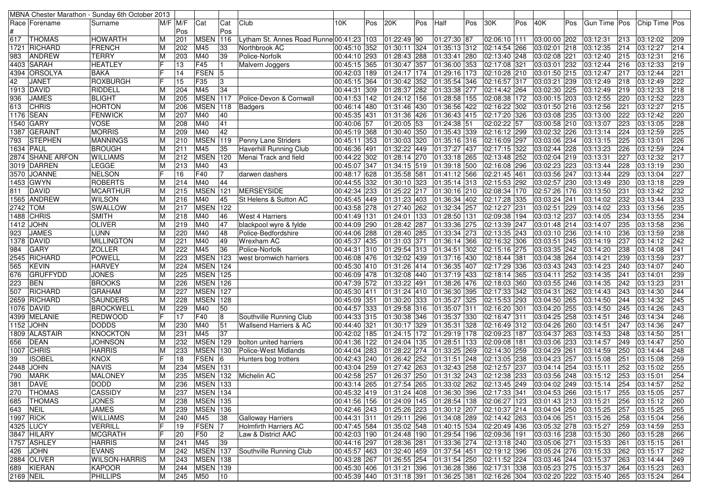| MBNA Chester Marathon - Sunday 6th October 2013 |                      |         |             |                 |              |                                          |                           |     |                           |     |                                                                                     |     |                           |     |                                                |     |                |     |                      |            |
|-------------------------------------------------|----------------------|---------|-------------|-----------------|--------------|------------------------------------------|---------------------------|-----|---------------------------|-----|-------------------------------------------------------------------------------------|-----|---------------------------|-----|------------------------------------------------|-----|----------------|-----|----------------------|------------|
| Race Forename                                   | Surname              |         | $M/F$ $M/F$ | Cat             | Cat          | Club                                     | 10K                       | Pos | 20K                       | Pos | Half                                                                                | Pos | 30K                       | Pos | 40K                                            | Pos | Gun Time   Pos |     | Chip Time Pos        |            |
|                                                 |                      |         | Pos         |                 | Pos          |                                          |                           |     |                           |     |                                                                                     |     |                           |     |                                                |     |                |     |                      |            |
| <b>THOMAS</b><br>617                            | HOWARTH              |         | 201         | <b>MSEN</b>     | 116          | Lytham St. Annes Road Runne 00:41:23 103 |                           |     | 01:22:49 90               |     | 01:27:30 87                                                                         |     | 02:06:10 111              |     | 03:00:00 202                                   |     | 03:12:31       | 213 | 03:12:02             | 209        |
| 1721 RICHARD                                    | <b>FRENCH</b>        |         | 202         | M45             | 33           | Northbrook AC                            | 00:45:10 352              |     | 01:30:11 324              |     | 01:35:13 312                                                                        |     | 02:14:54 266              |     | 03:02:01 218                                   |     | 03:12:35       | 214 | 03:12:27             | 214        |
| <b>ANDREW</b><br>983                            | <b>TERRY</b>         |         | 203         | M40             | 39           | Police-Norfolk                           | 00:44:10 293              |     | 01:28:43 288              |     | 01:33:41 280                                                                        |     | 02:13:40 248              |     | 03:02:08 221                                   |     | 03:12:40       | 215 | 03:12:31             | 216        |
| 4403 SARAH                                      | <b>HEATLEY</b>       |         | 13          | F45             | l 1          | Malvern Joggers                          | 00:45:15 365              |     | 01:30:47 357              |     | 01:36:00 353                                                                        |     | 02:17:08 321              |     | 03:03:01 232                                   |     | 03:12:44       | 216 | 03:12:33             | 219        |
| 4394 ORSOLYA                                    | <b>BAKA</b>          |         | 14          | <b>FSEN</b>     | 5            |                                          | 00:42:03 189              |     | 01:24:17 174              |     | 01:29:16 173                                                                        |     | 02:10:28 210              |     | 03:01:50 215                                   |     | 03:12:47       | 217 | 03:12:44             | 221        |
| 42<br><b>JANET</b>                              | <b>ROXBURGH</b>      |         | 15          | F35             | 3            |                                          | 00:45:15 364              |     | 01:30:42 352              |     | 01:35:54 346                                                                        |     | 02:16:57 317              |     | 03:03:21 239                                   |     | 03:12:49       | 218 | 03:12:49             | 222        |
| 1913 DAVID                                      | RIDDELL              | ΙM      | 204         | M45             | 34           |                                          | 00:44:31 309              |     | 01:28:37 282              |     | 01:33:38 277                                                                        |     | 02:14:42 264              |     | 03:02:30 225                                   |     | 03:12:49       | 219 | 03:12:33             | 218        |
| <b>JAMES</b><br>936                             | <b>BLIGHT</b>        |         | 205         | <b>MSEN</b> 117 |              | Police-Devon & Cornwall                  | 00:41:53 142              |     | 01:24:12 156              |     | 01:28:58 155                                                                        |     | 02:08:38 172              |     | 03:00:15 203                                   |     | 03:12:55       | 220 | 03:12:52             | 223        |
| <b>CHRIS</b><br>613                             | <b>HORTON</b>        |         | 206         | <b>MSEN</b> 118 |              | Badgers                                  | 00:46:14 480              |     | 01:31:46 430              |     | 01:36:56 422                                                                        |     | 02:16:22 302              |     | 03:01:50 216                                   |     | 03:12:56       | 221 | 03:12:27             | 215        |
| 1176 SEAN                                       | <b>FENWICK</b>       |         | 207         | M40             | 40           |                                          | 00:45:35 431              |     | 01:31:36 426              |     | 01:36:43 415                                                                        |     | 02:17:20 326              |     | 03:03:08 235                                   |     | 03:13:00       | 222 | 03:12:42             | 220        |
| 1540 GARY                                       | <b>VOSE</b>          |         | 208         | M40             | 41           |                                          | 00:40:06 57               |     | 01:20:05 53               |     | 01:24:38 51                                                                         |     | 02:02:22 57               |     | 03:00:58 210                                   |     | 03:13:07       | 223 | 03:13:05             | 228        |
| 1387 GERAINT                                    | <b>MORRIS</b>        |         | 209         | M40             | 42           |                                          | 00:45:19 368              |     | 01:30:40 350              |     | 01:35:43 339                                                                        |     | 02:16:12 299              |     | 03:02:32 226                                   |     | 03:13:14       | 224 | 03:12:59             | 225        |
| <b>STEPHEN</b><br>793                           | <b>MANNINGS</b>      |         | 210         | <b>MSEN</b> 119 |              | Penny Lane Striders                      | 00:45:11 353              |     | 01:30:03 320              |     | 01:35:16 316                                                                        |     | 02:16:09 297              |     | 03:03:06 234                                   |     | 03:13:15       | 225 | 03:13:01             | 226        |
| 1634 PAUL                                       | <b>BROUGH</b>        |         | 211         | M45             | 35           | <b>Haverhill Running Club</b>            | 00:46:36 491              |     | 01:32:22 449              |     | 01:37:27 437                                                                        |     | 02:17:15 322              |     | 03:02:44 228                                   |     | 03:13:23       | 226 | 03:12:59             | 224        |
| 2874 SHANE ARFON                                | <b>WILLIAMS</b>      |         | 212         | <b>MSEN</b>     | 120          | Menai Track and field                    | 00:44:22 302              |     | 01:28:14 270              |     | 01:33:18 265                                                                        |     | 02:13:48 252              |     | 03:02:04 219                                   |     | 03:13:31       | 227 | 03:12:32             | 217        |
| 3019 DARREN                                     | LEGGE                | M       | 213         | M40             | 43           |                                          | 00:45:07 347              |     | 01:34:15 519              |     | 01:39:18 500                                                                        |     | 02:16:08 296              |     | 03:02:23 223                                   |     | 03:13:44       | 228 | 03:13:19             | 230        |
| 3570 JOANNE                                     | <b>NELSON</b>        |         | 16          | F40             | 17           | darwen dashers                           | 00:48:17 628              |     | 01:35:58 581              |     | 01:41:12 566                                                                        |     | 02:21:45 461              |     | 03:03:56 247                                   |     | 03:13:44       | 229 | 03:13:04             | 227        |
| 1453 GWYN                                       | <b>ROBERTS</b>       |         | 214         | M40             | 44           |                                          | 00:44:55 332              |     | 01:30:10 323              |     | 01:35:14 313                                                                        |     | 02:15:53 292              |     | 03:02:57 230                                   |     | 03:13:49       | 230 | 03:13:18             | 229        |
| 811 DAVID                                       | <b>MCARTHUR</b>      |         | 215         | MSEN 121        |              | MERSEYSIDE                               | 00:42:34 233              |     | 01:25:22 217              |     | $\overline{01:}30:16$ 210                                                           |     | 02:08:34 170              |     | 02:57:26 176                                   |     | 03:13:50       | 231 | 03:13:42             | 232        |
| 1565 ANDREW                                     | <b>WILSON</b>        |         | 216         | M40             | 45           | St Helens & Sutton AC                    | 00:45:45 449              |     | 01:31:23 403              |     | 01:36:34 402                                                                        |     | 02:17:28 335              |     | 03:03:24 241                                   |     | 03:14:02       | 232 | 03:13:44             | 233        |
| 2742 TOM                                        | SWALLOW              |         | 217         | <b>MSEN</b> 122 |              |                                          | 00:43:58 278              |     | 01:27:40 262              |     | 01:32:34 257                                                                        |     | 02:12:27 231              |     | 03:02:51 229                                   |     | 03:14:02       | 233 | 03:13:56             | 235        |
| 1488 CHRIS                                      | <b>SMITH</b>         |         | 218         | M40             | 46           | <b>West 4 Harriers</b>                   | 00:41:49 131              |     | 01:24:01 133              |     | 01:28:50 131                                                                        |     | 02:09:38 194              |     | 03:03:12 237                                   |     | 03:14:05       | 234 | 03:13:55             | 234        |
| 1412 JOHN                                       | <b>OLIVER</b>        |         | 219         | M40             | 47           | blackpool wyre & fylde                   | 00:44:09 290              |     | 01:28:42 287              |     | 01:33:36 275                                                                        |     | 02:13:39 247              |     | 03:01:48 214                                   |     | 03:14:07       | 235 | 03:13:58             | 236        |
| <b>JAMES</b><br>923                             | LUNN                 |         | 220         | M40             | 48           | Police-Bedfordshire                      | 00:44:06 288              |     | 01:28:40 285              |     | 01:33:34 273                                                                        |     | $\overline{02:13:35}$ 243 |     | 03:03:10 236                                   |     | 03:14:10       | 236 | 03:13:59             | 238        |
| 1378 DAVID                                      | <b>MILLINGTON</b>    |         | 221         | M40             | 49           | Wrexham AC                               | 00:45:37 435              |     | 01:31:03 371              |     | 01:36:14 366                                                                        |     | 02:16:32 306              |     | 03:03:51 245                                   |     | 03:14:19       | 237 | 03:14:12             | 242        |
| GARY<br>984                                     | <b>ZOLLER</b>        | ΙM      | 222         | M45             | 36           | Police-Norfolk                           | 00:44:31 310              |     | 01:29:54 313              |     | 01:34:51 302                                                                        |     | 02:15:16 275              |     | 03:03:35 242                                   |     | 03:14:20       | 238 | 03:14:08             | 241        |
| 2545 RICHARD                                    | <b>POWELL</b>        |         | 223         | <b>MSEN</b> 123 |              | west bromwich harriers                   | 00:46:08 476              |     | 01:32:02 439              |     | 01:37:16 430                                                                        |     | 02:18:44 381              |     | 03:04:38 264                                   |     | 03:14:21       | 239 | 03:13:59             | 237        |
| <b>KEVIN</b><br>565                             | <b>HARVEY</b>        |         | 224         | <b>MSEN</b> 124 |              |                                          | 00:45:30 410              |     | 01:31:26 414              |     | 01:36:35 407                                                                        |     | 02:17:29 336              |     | 03:03:43 243                                   |     | 03:14:23       | 240 | 03:14:07             | 240        |
| <b>GRUFFYDD</b><br>676                          | <b>JONES</b>         |         | 225         | MSEN 125        |              |                                          | 00:46:09 478              |     | 01:32:08 440              |     | 01:37:19 433                                                                        |     | 02:18:14 365              |     | 03:04:11 252                                   |     | 03:14:35       | 241 | 03:14:01             | 239        |
| <b>BEN</b><br>223                               | <b>BROOKS</b>        |         | 226         | <b>MSEN</b> 126 |              |                                          | 00:47:39 572              |     | 01:33:22 491              |     | 01:38:26 476                                                                        |     | 02:18:03 360              |     | 03:03:55 246                                   |     | 03:14:35       | 242 | 03:13:23             | 231        |
| 507<br>RICHARD                                  | <b>GRAHAM</b>        |         | 227         | <b>MSEN</b>     | 127          |                                          | 00:45:30 411              |     | 01:31:24 410              |     | 01:36:30 395                                                                        |     | 02:17:33 342              |     | 03:04:31 262                                   |     | 03:14:43       | 243 | 03:14:30             | 244        |
| 2659 RICHARD                                    | <b>SAUNDERS</b>      |         | 228         | <b>MSEN</b>     | 128          |                                          | 00:45:09 351              |     | 01:30:20 333              |     | 01:35:27 325                                                                        |     | 02:15:53 293              |     | 03:04:50 265                                   |     | 03:14:50       | 244 | 03:14:32             | 245        |
| 1076 DAVID                                      | <b>BROCKWELL</b>     |         | 229         | M40             | 50           |                                          | 00:44:57 333              |     | 01:29:58 316              |     | 01:35:07 311                                                                        |     | 02:16:20 301              |     | 03:04:20 255                                   |     | 03:14:50       | 245 | 03:14:26             | 243        |
| 4399 MELANIE                                    | <b>REDWOOD</b>       |         | 17          | F40             | 8            | Southville Running Club                  | 00:44:33 315              |     | 01:30:38 346              |     | 01:35:37 330                                                                        |     | 02:16:47 311              |     | 03:04:25 258                                   |     | 03:14:51       | 246 | 03:14:34             | 246        |
| 1152 JOHN                                       | <b>DODDS</b>         | M       | 230         | M40             | 51           | <b>Wallsend Harriers &amp; AC</b>        | 00:44:40 321              |     | 01:30:17 329              |     | 01:35:31 328                                                                        |     | $\overline{02:}16:49$ 312 |     | 03:04:26 260                                   |     | 03:14:51       | 247 | 03:14:36             | 247        |
| 1809 ALASTAIR                                   | <b>KNOCKTON</b>      |         | 231         | M45             | 37           |                                          | 00:42:02 185              |     | 01:24:15 172              |     | 01:29:19 178                                                                        |     | 02:09:23 187              |     | 03:04:37 263                                   |     | 03:14:53       | 248 | 03:14:50             | 251        |
| DEAN<br>656                                     | <b>JOHNSON</b>       |         | 232         | MSEN 129        |              | bolton united harriers                   | 00:41:36 122              |     | 01:24:04 135              |     | 01:28:51 133                                                                        |     | 02:09:08 181              |     | 03:03:06 233                                   |     | 03:14:57       | 249 | 03:14:47             | 250        |
| 1007 CHRIS                                      | <b>HARRIS</b>        | M       | 233         | <b>MSEN</b> 130 |              | Police-West Midlands                     | 00:44:04 283              |     | 01:28:22 274              |     | 01:33:25 269                                                                        |     | 02:14:30 259              |     | 03:04:29 261                                   |     | 03:14:59       | 250 | 03:14:44             | 248        |
| <b>ISOBEL</b><br>39                             | <b>KNOX</b>          |         | 18          | FSEN 6          |              | Hunters bog trotters                     | $\overline{00:}42:43$ 240 |     | 01:26:42 252              |     | 01:31:51 248                                                                        |     | 02:13:05 238              |     | 03:04:23 257                                   |     | 03:15:08       | 251 | 03:15:08             | 259        |
| 2448 JOHN                                       | <b>NAVIS</b>         |         | 234         | <b>MSEN</b> 131 |              |                                          | 00:43:04 259              |     | $\overline{01:}27:42$ 263 |     | 01:32:43 258                                                                        |     | $\overline{02:}12:57$ 237 |     | 03:04:14 254                                   |     | 03:15:11       | 252 | 03:15:02             | 255        |
| 790<br>MARK                                     | <b>MALONEY</b>       |         | 235         | MSEN 132        |              | Michelin AC                              | 00:42:58 257              |     | 01:26:37 250              |     | 01:31:32 243 02:12:38 233                                                           |     |                           |     | 03:03:56 248                                   |     | 03:15:12       | 253 | 03:15:01             | 254        |
| 381 DAVE                                        | <b>DODD</b>          | M       | 236         | MSEN 133        |              |                                          |                           |     |                           |     | 00:43:14 265 01:27:54 265 01:33:02 262 02:13:45 249 03:04:02 249 03:15:14           |     |                           |     |                                                |     |                | 254 | 03:14:57             | 252        |
| 270 THOMAS                                      | <b>CASSIDY</b>       | M       | 237         | MSEN 134        |              |                                          |                           |     |                           |     | 00:45:32 419  01:31:24  408  01:36:30  396  02:17:33  341  03:04:53  266  03:15:17  |     |                           |     |                                                |     |                | 255 | 03:15:05             | 257        |
| 685 THOMAS                                      | <b>JONES</b>         | M       | 238         | <b>MSEN</b> 135 |              |                                          |                           |     |                           |     | 00:41:56  156  01:24:09  145  01:28:54  138  02:06:27  123  03:01:43  213  03:15:21 |     |                           |     |                                                |     |                | 256 | 03:15:12             | 260        |
| $643$ NEIL                                      | <b>JAMES</b>         | M       | 239         | <b>MSEN</b> 136 |              |                                          |                           |     | 00:42:46 243 01:25:26 223 |     | $\vert$ 01:30:12 207 02:10:37 214 03:04:04 250 03:15:25                             |     |                           |     |                                                |     |                | 257 | 03:15:25             | 265        |
| 1997 RICK                                       | <b>WILLIAMS</b>      | ΙM      | 240         | M45             | 38           | Galloway Harriers                        | 00:44:31 311              |     | 01:29:11 296              |     | 01:34:08 289 02:14:42 263                                                           |     |                           |     | 03:04:06 251                                   |     | 03:15:26       | 258 | 03:15:04             | 256        |
| 4325 LUCY                                       | <b>VERRILL</b>       | F       | 19          | FSEN 7          |              | <b>Holmfirth Harriers AC</b>             |                           |     | 00:47:45 584 01:35:02 548 |     | 01:40:15 534 02:20:49 436                                                           |     |                           |     | 03:05:32 278                                   |     | 03:15:27       | 259 | 03:14:59             | 253        |
| 3847 HILARY                                     | <b>MCGRATH</b>       |         | 20          | <b>F50</b>      | $ 2\rangle$  | Law & District AAC                       | 00:42:03 190              |     | 01:24:48 190              |     | 01:29:54 196 02:09:36 191                                                           |     |                           |     | 03:03:16 238                                   |     | 03:15:30       | 260 | 03:15:28             | 266        |
| 1757 ASHLEY                                     | <b>HARRIS</b>        | M       | 241         | M45             | 39           |                                          |                           |     | 00:44:16 297 01:28:36 281 |     | 01:33:36 274 02:13:18 240                                                           |     |                           |     | 03:05:06 271                                   |     | 03:15:33       | 261 | 03:15:15             | 261        |
| $426$ JOHN                                      | <b>EVANS</b>         | M       |             | <b>MSEN 137</b> |              | Southville Running Club                  |                           |     |                           |     | 00:45:57 463 01:32:40 459 01:37:54 451                                              |     |                           |     | 03:05:24 276 03:15:33                          |     |                | 262 |                      |            |
| 2884 OLIVER                                     | <b>WILSON-HARRIS</b> |         | 242<br>243  | <b>MSEN 138</b> |              |                                          | 00:43:28 267              |     |                           |     | 01:31:54 250 02:11:52 224                                                           |     | 02:19:12 396              |     |                                                |     |                | 263 | 03:15:17             | 262        |
| 689 KIERAN                                      | <b>KAPOOR</b>        | ΙM<br>M | 244         | <b>MSEN 139</b> |              |                                          |                           |     | 01:26:55 254              |     | 00:45:30 406  01:31:21  396  01:36:28  386  02:17:31  388                           |     |                           |     | 03:03:46 244 03:15:37<br>03:05:23 275 03:15:37 |     |                | 264 | 03:14:44<br>03:15:23 | 249<br>263 |
|                                                 | <b>PHILLIPS</b>      | M       |             |                 |              |                                          |                           |     |                           |     | $\vert$ 01:36:25 381 02:16:26 304 03:02:20 222 03:15:40 265                         |     |                           |     |                                                |     |                |     |                      |            |
| 2169 NEIL                                       |                      |         | 245         | M50             | $ 10\rangle$ |                                          |                           |     | 00:45:39 440 01:31:18 391 |     |                                                                                     |     |                           |     |                                                |     |                |     | 03:15:24             | 264        |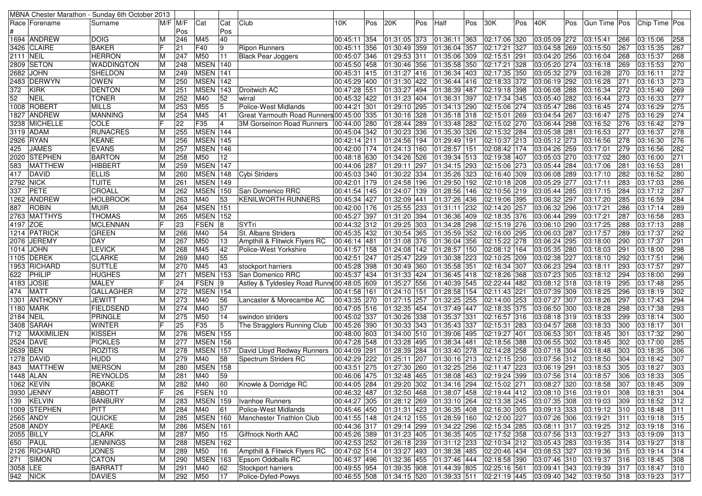|                  |                   | MBNA Chester Marathon - Sunday 6th October 2013 |   |          |                 |                 |                                            |              |     |                                                                               |     |                                                |     |                           |     |              |     |                |               |               |     |
|------------------|-------------------|-------------------------------------------------|---|----------|-----------------|-----------------|--------------------------------------------|--------------|-----|-------------------------------------------------------------------------------|-----|------------------------------------------------|-----|---------------------------|-----|--------------|-----|----------------|---------------|---------------|-----|
|                  | Race   Forename   | Surname                                         |   | M/F  M/F | Cat             | Cat             | Club                                       | 10K          | Pos | 20K                                                                           | Pos | Half                                           | Pos | 30K                       | Pos | 40K          | Pos | Gun Time   Pos |               | Chip Time Pos |     |
|                  |                   |                                                 |   | Pos      |                 | Pos             |                                            |              |     |                                                                               |     |                                                |     |                           |     |              |     |                |               |               |     |
|                  | 1694 ANDREW       | <b>DOIG</b>                                     |   | 246      | M45             | 40              |                                            | 00:45:11 354 |     | 01:31:05 373                                                                  |     | 01:36:11 363                                   |     | 02:17:06 320              |     | 03:05:09 272 |     | 03:15:41       | 266           | 03:15:06      | 258 |
|                  | 3426  CLAIRE      | <b>BAKER</b>                                    |   | 21       | F40             | 9               | <b>Ripon Runners</b>                       | 00:45:11 356 |     | 01:30:49                                                                      | 359 | 01:36:04 357                                   |     | 02:17:21 327              |     | 03:04:58 269 |     | 03:15:50       | 267           | 03:15:35      | 267 |
| <b>2111 NEIL</b> |                   | <b>HERRON</b>                                   |   | 247      | M50             | 11              | <b>Black Pear Joggers</b>                  | 00:45:07 346 |     | 01:29:53                                                                      | 311 | 01:35:06 309                                   |     | 02:15:51 291              |     | 03:04:20 256 |     | 03:16:04       | 268           | 03:15:37      | 268 |
|                  | 2809 SETON        | <b>WADDINGTON</b>                               | M | 248      | MSEN 140        |                 |                                            | 00:45:50 458 |     | 01:30:46 356                                                                  |     | 01:35:58 350                                   |     | 02:17:21 328              |     | 03:05:20 274 |     | 03:16:18       | 269           | 03:15:53      | 270 |
| 2682             | <b>JOHN</b>       | <b>SHELDON</b>                                  |   | 249      | MSEN 141        |                 |                                            | 00:45:31 415 |     | $\overline{01:}31:27$ 416                                                     |     | 01:36:34 403                                   |     | 02:17:35 350              |     | 03:05:32 279 |     | 03:16:28       | 270           | 03:16:11      | 272 |
| 2483             | <b>DERWYN</b>     | <b>OWEN</b>                                     | М | 250      | <b>MSEN 142</b> |                 |                                            | 00:45:29 400 |     | 01:31:30 422                                                                  |     | 01:36:44 416                                   |     | 02:18:33 372              |     | 03:06:19 292 |     | 03:16:28       | 271           | 03:16:13      | 273 |
| 372              | KIRK              | <b>DENTON</b>                                   | м | 251      | <b>MSEN 143</b> |                 | Droitwich AC                               | 00:47:28 551 |     | 01:33:27                                                                      | 494 | 01:38:39 487                                   |     | 02:19:18 398              |     | 03:06:08 288 |     | 03:16:34       | 272           | 03:15:40      | 269 |
| 52               | <b>NEIL</b>       | <b>TONER</b>                                    |   | 252      | M40             | 52              | wirral                                     | 00:45:32 422 |     | 01:31:23 404                                                                  |     | 01:36:31 397                                   |     | 02:17:34 345              |     | 03:05:40 282 |     | 03:16:44       | 273           | 03:16:33      | 277 |
|                  | 1008 ROBERT       | <b>MILLS</b>                                    |   | 253      | M55             | 5               | Police-West Midlands                       | 00:44:21 301 |     | 01:29:10 295                                                                  |     | 01:34:13 290                                   |     | 02:15:06 274              |     | 03:05:47 286 |     | 03:16:45       | 274           | 03:16:29      | 275 |
|                  | 1827  ANDREW      | <b>MANNING</b>                                  | м | 254      | M45             | 41              | Great Yarmouth Road Runners 00:45:00 335   |              |     | 01:30:16 328                                                                  |     | 01:35:18 318                                   |     | 02:15:01 269              |     | 03:04:54 267 |     | 03:16:47       | 275           | 03:16:29      | 274 |
|                  | 3238 MICHELLE     | <b>COLE</b>                                     |   | 22       | F35             | $\overline{4}$  | 3M Gorseinon Road Runners                  | 00:44:00 280 |     | 01:28:44 289                                                                  |     | 01:33:48 282                                   |     | 02:15:02 270              |     | 03:06:44 298 |     | 03:16:52       | 276           | 03:16:42      | 279 |
|                  | 3119 ADAM         | <b>RUNACRES</b>                                 |   | 255      | MSEN 144        |                 |                                            | 00:45:04 342 |     | 01:30:23                                                                      | 336 | 01:35:30 326                                   |     | 02:15:32 284              |     | 03:05:38 281 |     | 03:16:53       | 277           | 03:16:37      | 278 |
|                  | 2926 RYAN         | <b>KEANE</b>                                    | М | 256      | <b>MSEN</b> 145 |                 |                                            | 00:42:14 211 |     | 01:24:56                                                                      | 194 | 01:29:49 191                                   |     | 02:10:37 213              |     | 03:05:12 273 |     | 03:16:56       | 278           | 03:16:30      | 276 |
| 425              | <b>JAMES</b>      | <b>EVANS</b>                                    |   | 257      | <b>MSEN</b> 146 |                 |                                            | 00:42:00 174 |     | 01:24:13                                                                      | 160 | 01:28:57 151                                   |     | 02:08:42 174              |     | 03:04:26 259 |     | 03:17:01       | 279           | 03:16:56      | 282 |
|                  | 2020 STEPHEN      | <b>BARTON</b>                                   |   | 258      | M50             | 12              |                                            | 00:48:18 630 |     | 01:34:26 526                                                                  |     | $\overline{01:}39:34$ 513                      |     | 02:19:38 407              |     | 03:05:03 270 |     | 03:17:02       | 280           | 03:16:00      | 271 |
| 583              | MATTHEW           | <b>HIBBERT</b>                                  |   | 259      | MSEN 147        |                 |                                            | 00:44:06 287 |     | 01:29:11                                                                      | 297 | 01:34:15 293                                   |     | 02:15:06 273              |     | 03:05:44 284 |     | 03:17:06       | 281           | 03:16:53      | 281 |
| 417              | <b>DAVID</b>      | <b>ELLIS</b>                                    |   | 260      | <b>MSEN</b> 148 |                 | Cybi Striders                              | 00:45:03 340 |     | 01:30:22 334                                                                  |     | 01:35:26 323                                   |     | 02:16:40 309              |     | 03:06:08 289 |     | 03:17:10       | 282           | 03:16:52      | 280 |
| 2792             | <b>NICK</b>       | <b>TUITE</b>                                    |   | 261      | MSEN 149        |                 |                                            | 00:42:01 179 |     | 01:24:58 196                                                                  |     | 01:29:50 192                                   |     | 02:10:18 208              |     | 03:05:29 277 |     | 03:17:11       | 283           | 03:17:03      | 286 |
| 337              | PETE              | CROALL                                          |   | 262      | <b>MSEN 150</b> |                 | San Domenico RRC                           | 00:41:54 145 |     | 01:24:07                                                                      | 139 | 01:28:56 146                                   |     | 02:10:56 219              |     | 03:05:44 285 |     | 03:17:15       | 284           | 03:17:12      | 287 |
| 1262             | <b>ANDREW</b>     | <b>HOLBROOK</b>                                 | м | 263      | M40             | 53              | <b>KENILWORTH RUNNERS</b>                  | 00:45:34 427 |     | 01:32:09                                                                      | 441 | 01:37:26 436                                   |     | 02:19:06 395              |     | 03:06:32 297 |     | 03:17:20       | 285           | 03:16:59      | 284 |
| 887              | <b>ROBIN</b>      | <b>MUIR</b>                                     |   | 264      | MSEN 151        |                 |                                            | 00:42:00 176 |     | 01:25:55                                                                      | 233 | 01:31:11 232                                   |     | 02:14:20 257              |     | 03:06:32 296 |     | 03:17:21       | 286           | 03:17:14      | 289 |
|                  | 2763 MATTHYS      | <b>THOMAS</b>                                   |   | 265      | <b>MSEN 152</b> |                 |                                            | 00:45:27 397 |     | 01:31:20 394                                                                  |     | 01:36:36 409                                   |     | 02:18:35 376              |     | 03:06:44 299 |     | 03:17:21       | 287           | 03:16:58      | 283 |
| 4197 ZOE         |                   | <b>MCLENNAN</b>                                 |   | 23       | <b>FSEN</b>     | 18              | SYTri                                      | 00:44:32 312 |     | 01:29:25                                                                      | 303 | 01:34:28 298                                   |     | 02:15:19 276              |     | 03:06:10 290 |     | 03:17:25       | 288           | 03:17:13      | 288 |
|                  | 1214 PATRICK      | <b>GREEN</b>                                    |   | 266      | M40             | 54              | <b>St. Albans Striders</b>                 | 00:45:35 432 |     | 01:30:54                                                                      | 365 | 01:35:59 352                                   |     | 02:16:00 295              |     | 03:06:03 287 |     | 03:17:57       | 289           | 03:17:37      | 292 |
|                  | 2076 JEREMY       | <b>DAY</b>                                      |   | 267      | M50             | 13              | Ampthill & Flitwick Flyers RC              | 00:46:14 481 |     | 01:31:08 376                                                                  |     | 01:36:04 356                                   |     | 02:15:22 278              |     | 03:06:24 295 |     | 03:18:00       | 290           | 03:17:37      | 291 |
|                  | <b>1014 JOHN</b>  | <b>LEVICK</b>                                   |   | 268      | M45             | 42              | Police-West Yorkshire                      | 00:41:57 158 |     | 01:24:08 142                                                                  |     | $\overline{01:}28:57$ 150                      |     | $\sqrt{02:08:12}$ 164     |     | 03:05:35 280 |     | 03:18:03       | 291           | 03:18:00      | 298 |
| 1105             | <b>DEREK</b>      | <b>CLARKE</b>                                   |   | 269      | M40             | 55              |                                            | 00:42:51 247 |     | $01:25:47$ 229                                                                |     | 01:30:38 223                                   |     | 02:10:25 209              |     | 03:02:38 227 |     | 03:18:10       | 292           | 03:17:51      | 296 |
|                  | 1953 RICHARD      | <b>SUTTLE</b>                                   |   | 270      | M45             | 43              | stockport harriers                         | 00:45:28 398 |     | 01:30:49                                                                      | 360 | 01:35:58 351                                   |     | 02:16:34 307              |     | 03:06:23 294 |     | 03:18:11       | 293           | 03:17:57      | 297 |
| 622              | PHILIP            | <b>HUGHES</b><br>ΙM                             |   | 271      | <b>MSEN 153</b> |                 | San Domenico RRC                           | 00:45:37 434 |     | 01:31:33 424                                                                  |     | 01:36:45 418                                   |     | 02:18:26 368              |     | 03:07:23 305 |     | 03:18:12       | 294           | 03:18:00      | 299 |
| 4183             | <b>JOSIE</b>      | <b>MALEY</b>                                    |   | 24       | <b>FSEN</b>     | 19              | Astley & Tyldesley Road Runne 00:48:05 609 |              |     | 01:35:27                                                                      | 556 | 01:40:39 545                                   |     | 02:22:44 482              |     | 03:08:12 318 |     | 03:18:19       | 295           | 03:17:48      | 295 |
| 474              | <b>MATT</b>       | <b>GALLAGHER</b>                                | M | 272      | <b>MSEN</b> 154 |                 |                                            | 00:41:58 161 |     | 01:24:10 151                                                                  |     | 01:28:58 154                                   |     | 02:11:43 221              |     | 03:07:39 309 |     | 03:18:25       | 296           | 03:18:19      | 302 |
|                  | 1301 ANTHONY      | <b>JEWITT</b>                                   | M | 273      | M40             | 56              | Lancaster & Morecambe AC                   | 00:43:35 270 |     | 01:27:15                                                                      | 257 | 01:32:25 255                                   |     | 02:14:00 253              |     | 03:07:27 307 |     | 03:18:26       | 297           | 03:17:43      | 294 |
|                  | 1180  MARK        | <b>FIELDSEND</b>                                |   | 274      | M40             | 57              |                                            | 00:47:05 516 |     | 01:32:35 454                                                                  |     | 01:37:49 447                                   |     | 02:18:35 375              |     | 03:06:50 300 |     | 03:18:28       | 298           | 03:17:38      | 293 |
| 2184             | <b>NEIL</b>       | <b>PRINGLE</b>                                  |   | 275      | M50             | 14              | swindon striders                           | 00:45:02 337 |     | 01:30:26                                                                      | 338 | 01:35:37 331                                   |     | $\overline{02:}16:57$ 316 |     | 03:08:18 319 |     | 03:18:33       | 299           | 03:18:14      | 300 |
|                  | 3408  SARAH       | <b>WINTER</b>                                   |   | 25       | F35             | 15              | The Stragglers Running Club                | 00:45:26 390 |     | 01:30:33 343                                                                  |     | 01:35:43 337                                   |     | 02:15:31 283              |     | 03:04:57 268 |     | 03:18:33       | 300           | 03:18:17      | 301 |
| 712              | <b>MAXIMILIEN</b> | <b>KISSEH</b>                                   |   | 276      | <b>MSEN</b> 155 |                 |                                            | 00:48:00 603 |     | 01:34:00 510                                                                  |     | 01:39:06 495                                   |     | 02:19:27 401              |     | 03:06:53 301 |     | 03:18:45       | 301           | 03:17:32      | 290 |
|                  | 2524 DAVE         | <b>PICKLES</b>                                  |   | 277      | <b>MSEN</b>     | 156             |                                            | 00:47:28 548 |     | 01:33:28                                                                      | 495 | 01:38:34 481                                   |     | 02:18:56 388              |     | 03:06:55 302 |     | 03:18:45       | 302           | 03:17:00      | 285 |
| 2639 BEN         |                   | <b>ROZITIS</b>                                  |   | 278      | <b>MSEN</b>     | 157             | David Lloyd Redway Runners                 | 00:44:09 291 |     | 01:28:39                                                                      | 284 | 01:33:40 278                                   |     | 02:14:28 258              |     | 03:07:18 304 |     | 03:18:48       | 303           | 03:18:35      | 306 |
|                  | 1278  DAVID       | <b>HUDD</b>                                     |   | 279      | M40             | 58              | Spectrum Striders RC                       | 00:42:29 222 |     | 01:25:11                                                                      | 207 | 01:30:16 213                                   |     | 02:12:15 230              |     | 03:07:56 312 |     | 03:18:50       | 304           | 03:18:42      | 307 |
| 843              | MATTHEW           | <b>MERSON</b>                                   |   | 280      | MSEN 158        |                 |                                            | 00:43:51 275 |     | 01:27:30                                                                      | 260 | 01:32:25 256                                   |     | 02:11:47 223              |     | 03:06:19 291 |     | 03:18:53       | 305           | 03:18:27      | 303 |
|                  | 1448 ALAN         | <b>REYNOLDS</b>                                 |   | 281      | M40             | 59              |                                            | 00:46:06 475 |     | 01:32:48 465                                                                  |     | 01:38:08 463                                   |     | 02:19:24 399              |     | 03:07:56 314 |     | 03:18:57       | 306           | 03:18:33      | 305 |
|                  | 1062 KEVIN        | <b>BOAKE</b>                                    | М | 282      | M40             | $\overline{60}$ | Knowle & Dorridge RC                       | 00:44:05 284 |     | $\vert$ 01:29:20 302 01:34:16 294 02:15:02 271 03:08:27 320 03:18:58          |     |                                                |     |                           |     |              |     |                | $\boxed{307}$ | 03:18:45      | 309 |
|                  | 3930 JENNY        | E<br><b>ABBOTT</b>                              |   | 26       | FSEN 10         |                 |                                            | 00:46:32 487 |     | 01:32:50 468                                                                  |     | $\vert$ 01:38:07 458 02:19:44 412 03:08:10 316 |     |                           |     |              |     | 03:19:01       | 308           | 03:18:31      | 304 |
|                  | 139 KELVIN        | <b>BANBURY</b>                                  | М | 283      | <b>MSEN</b> 159 |                 | Ivanhoe Runners                            |              |     | 00:44:27 305 01:28:12 269                                                     |     | $\vert$ 01:33:10 264 02:13:38 245              |     |                           |     | 03:07:35 308 |     | 03:19:03       | 309           | 03:18:52      | 312 |
|                  | 1009 STEPHEN      | <b>PITT</b>                                     | M | 284      | M40             | 61              | Police-West Midlands                       |              |     | 00:45:46 450 01:31:31 423                                                     |     | 01:36:35 408 02:16:30 305                      |     |                           |     | 03:09:13 333 |     | 03:19:12       | 310           | 03:18:48      | 311 |
|                  | 2565 ANDY         | <b>QUICKE</b>                                   | M | 285      | <b>MSEN</b> 160 |                 | Manchester Triathlon Club                  | 00:41:55 148 |     | 01:24:12 155                                                                  |     | 01:28:59 160 02:12:00 227                      |     |                           |     | 03:07:26 306 |     | 03:19:21       | 311           | 03:19:18      | 315 |
|                  | 2508 ANDY         | PEAKE                                           | M | 286      | <b>MSEN</b> 161 |                 |                                            | 00:44:36 317 |     | 01:29:14 299                                                                  |     | 01:34:22 296 02:15:34 285                      |     |                           |     | 03:08:11 317 |     | 03:19:25       | 312           | 03:19:18      | 316 |
|                  | <b>2055 BILLY</b> | <b>CLARK</b>                                    | M | 287      | M50             | 15              | Giffnock North AAC                         | 00:45:26 389 |     | 01:31:23 405                                                                  |     | 01:36:35 405 02:17:52 358                      |     |                           |     | 03:07:56 313 |     | 03:19:27       | 313           | 03:19:09      | 313 |
|                  | 650 PAUL          | <b>JENNINGS</b>                                 | M | 288      | MSEN 162        |                 |                                            |              |     | 00:42:53 252 01:26:18 239                                                     |     | 01:31:12 233 02:10:34 212                      |     |                           |     | 03:05:43 283 |     | 03:19:35       | 314           | 03:19:27      | 318 |
|                  | 2126 RICHARD      | <b>JONES</b>                                    | M | 289      | M50             | 16              | Ampthill & Flitwick Flyers RC              |              |     | $\vert 00:47:02 \vert 514 \vert 01:33:27 \vert 493$                           |     | 01:38:38 485 02:20:46 434                      |     |                           |     | 03:08:53 327 |     | 03:19:36       | 315           | 03:19:14      | 314 |
|                  | 271 SIMON         | <b>CATON</b>                                    | M | 290      | <b>MSEN</b> 163 |                 | Epsom Oddballs RC                          | 00:46:37 496 |     | 01:32:36 455                                                                  |     | 01:37:46 444                                   |     | 02:18:58 390              |     | 03:07:46 310 |     | 03:19:37       | 316           | 03:18:45      | 308 |
| 3058 LEE         |                   | <b>BARRATT</b>                                  | М | 291      | M40             | 62              | Stockport harriers                         |              |     | 00:49:55 954 01:39:35 908                                                     |     | 01:44:39 805 02:25:16 561                      |     |                           |     | 03:09:41 343 |     | 03:19:39       | 317           | 03:18:47      | 310 |
| 942 NICK         |                   | <b>DAVIES</b>                                   | M | 292 M50  |                 | 17              | Police-Dyfed-Powys                         |              |     | 00:46:55 508 01:34:15 520 01:39:33 511 02:21:19 445 03:09:40 342 03:19:50 318 |     |                                                |     |                           |     |              |     |                |               | 03:19:23      | 317 |
|                  |                   |                                                 |   |          |                 |                 |                                            |              |     |                                                                               |     |                                                |     |                           |     |              |     |                |               |               |     |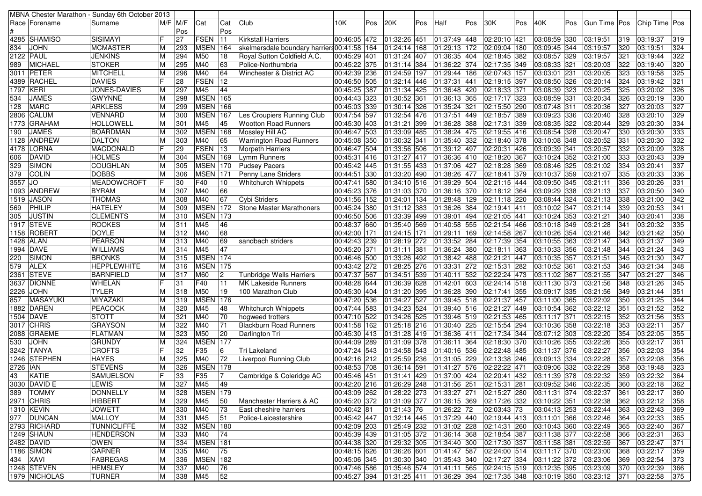|             |                  | MBNA Chester Marathon - Sunday 6th October 2013 |   |           |                 |              |                                             |              |     |                           |      |                                                                                             |     |                              |     |                              |     |                |                 |               |     |
|-------------|------------------|-------------------------------------------------|---|-----------|-----------------|--------------|---------------------------------------------|--------------|-----|---------------------------|------|---------------------------------------------------------------------------------------------|-----|------------------------------|-----|------------------------------|-----|----------------|-----------------|---------------|-----|
|             | Race   Forename  | Surname                                         |   | M/F IM/F  | Cat             | Cat          | Club                                        | 10K          | Pos | 20K                       | Pos  | Half                                                                                        | Pos | 30K                          | Pos | 40K                          | Pos | Gun Time   Pos |                 | Chip Time Pos |     |
|             |                  |                                                 |   | Pos       |                 | Pos          |                                             |              |     |                           |      |                                                                                             |     |                              |     |                              |     |                |                 |               |     |
|             | 4285  SHAMISO    | <b>SISIMAYI</b>                                 |   | 27        | <b>FSEN</b>     | 11           | <b>Kirkstall Harriers</b>                   | 00:46:05 472 |     | 01:32:26 451              |      | 01:37:49 448                                                                                |     | 02:20:10 421                 |     | 03:08:59 330                 |     | 03:19:51       | 319             | 03:19:37      | 319 |
| 834         | <b>JOHN</b>      | <b>MCMASTER</b>                                 |   | 293       | <b>MSEN</b> 164 |              | skelmersdale boundary harriers 00:41:58 164 |              |     | 01:24:14                  | 168  | 01:29:13 172                                                                                |     | 02:09:04 180                 |     | 03:09:45 344                 |     | 03:19:57       | 320             | 03:19:51      | 324 |
|             | <b>2122 PAUL</b> | <b>JENKINS</b>                                  |   | 294       | M50             | 18           | Royal Sutton Coldfield A.C.                 | 00:45:29 401 |     | 01:31:24 407              |      | 01:36:35 404                                                                                |     | 02:18:45 382                 |     | 03:08:57 329                 |     | 03:19:57       | 321             | 03:19:44      | 322 |
| 989         | <b>MICHAEL</b>   | <b>STOKER</b>                                   | м | 295       | M40             | 63           | Police-Northumbria                          | 00:45:22 375 |     | 01:31:14 384              |      | 01:36:22 374                                                                                |     | 02:17:35 349                 |     | 03:08:33 321                 |     | 03:20:03       | 322             | 03:19:40      | 320 |
|             | 3011 PETER       | <b>MITCHELL</b>                                 | М | 296       | M40             | 64           | Winchester & District AC                    | 00:42:39 236 |     | 01:24:59                  | 197  | 01:29:44 186                                                                                |     | 02:07:43 157                 |     | 03:03:01 231                 |     | 03:20:05       | 323             | 03:19:58      | 325 |
|             | 4389 RACHEL      | <b>DAVIES</b>                                   |   | 28        | <b>FSEN</b>     | 12           |                                             | 00:46:50 505 |     | 01:32:14                  | 446  | 01:37:31 441                                                                                |     | 02:19:15 397                 |     | 03:08:50 326                 |     | 03:20:14       | 324             | 03:19:42      | 321 |
| 1797        | KERI             | JONES-DAVIES                                    | M | 297       | M45             | 44           |                                             | 00:45:25 387 |     | 01:31:34                  | 425  | 01:36:48 420                                                                                |     | 02:18:33 371                 |     | 03:08:39 323                 |     | 03:20:25       | 325             | 03:20:02      | 326 |
| 534         | <b>JAMES</b>     | <b>GWYNNE</b>                                   |   | 298       | <b>MSEN</b> 165 |              |                                             | 00:44:43 323 |     | $\sqrt{01:30:52}$         | 361  | $\overline{01:36:13}$ 365                                                                   |     | 02:17:17 323                 |     | 03:08:59 331                 |     | 03:20:34       | 326             | 03:20:19      | 330 |
|             | <b>MARC</b>      |                                                 |   |           | <b>MSEN</b> 166 |              |                                             | 00:45:03 339 |     | 01:30:14                  |      |                                                                                             |     |                              |     | 03:07:48 311                 |     |                | 327             | 03:20:03      | 327 |
| 128         |                  | <b>ARKLESS</b>                                  |   | 299       |                 |              |                                             |              |     |                           | 326  | 01:35:24 321                                                                                |     | 02:15:50 290                 |     |                              |     | 03:20:36       |                 |               |     |
| 2806        | <b>CALUM</b>     | <b>VENNARD</b>                                  |   | 300       | <b>MSEN</b> 167 |              | Les Croupiers Running Club                  | 00:47:54 597 |     | 01:32:54 476              |      | 01:37:51 449                                                                                |     | 02:18:57 389                 |     | 03:09:23 336                 |     | 03:20:40       | 328             | 03:20:10      | 329 |
| 1773        | <b>GRAHAM</b>    | <b>HOLLOWELL</b>                                |   | 301       | M45             | 45           | <b>Wootton Road Runners</b>                 | 00:45:30 403 |     | 01:31:21                  | 399  | 01:36:28 388                                                                                |     | 02:17:31 339                 |     | 03:08:35 322                 |     | 03:20:44       | 329             | 03:20:30      | 334 |
| 190         | <b>JAMES</b>     | <b>BOARDMAN</b>                                 | М | 302       | <b>MSEN</b>     | 168          | Mossley Hill AC                             | 00:46:47 503 |     | 01:33:09                  | 485  | 01:38:24 475                                                                                |     | 02:19:55 416                 |     | 03:08:54 328                 |     | 03:20:47       | 330             | 03:20:30      | 333 |
| 1128        | <b>ANDREW</b>    | <b>DALTON</b>                                   | M | 303       | M40             | 65           | <b>Warrington Road Runners</b>              | 00:45:08 350 |     | 01:30:32                  | 341  | 01:35:40 332                                                                                |     | 02:18:40 378                 |     | 03:10:08 348                 |     | 03:20:52       | 331             | 03:20:30      | 332 |
| 4178        | <b>LORNA</b>     | <b>MACDONALD</b>                                |   | 29        | <b>FSEN</b>     | 13           | <b>Morpeth Harriers</b>                     | 00:46:47 504 |     | 01:33:56 506              |      | 01:39:12 497                                                                                |     | 02:20:31 426                 |     | 03:09:39 341                 |     | 03:20:57       | 332             | 03:20:09      | 328 |
| 606         | <b>DAVID</b>     | <b>HOLMES</b>                                   |   | 304       | <b>MSEN</b> 169 |              | Lymm Runners                                | 00:45:31 416 |     | 01:31:27                  | 417  | 01:36:36 410                                                                                |     | 02:18:20 367                 |     | 03:10:24 352                 |     | 03:21:00       | 333             | 03:20:43      | 339 |
| 329         | <b>SIMON</b>     | <b>COUGHLAN</b>                                 |   | 305       | <b>MSEN</b> 170 |              | <b>Pudsey Pacers</b>                        | 00:45:42 445 |     | 01:31:55                  | 433  | 01:37:06 427                                                                                |     | 02:18:28 369                 |     | 03:08:46 325                 |     | 03:21:02       | 334             | 03:20:41      | 337 |
| 379         | <b>COLIN</b>     | <b>DOBBS</b>                                    |   | 306       | <b>MSEN 171</b> |              | Penny Lane Striders                         | 00:44:51 330 |     | 01:33:20 490              |      | 01:38:26 477                                                                                |     | 02:18:41 379                 |     | 03:10:37 359                 |     | 03:21:07       | 335             | 03:20:33      | 336 |
| 3557        | <b>JO</b>        | <b>MEADOWCROFT</b>                              |   | 30        | F40             | 10           | <b>Whitchurch Whippets</b>                  | 00:47:41 580 |     | 01:34:10 516              |      | 01:39:29 504                                                                                |     | 02:21:15 444                 |     | 03:09:50 345                 |     | 03:21:11       | 336             | 03:20:26      | 331 |
|             | 1093 ANDREW      | <b>BYRAM</b>                                    |   | 307       | M40             | 66           |                                             | 00:45:23 376 |     | 01:31:03                  | 1370 | 01:36:16 370                                                                                |     | 02:18:12 364                 |     | 03:09:29 338                 |     | 03:21:13       | 337             | 03:20:50      | 340 |
| 1519        | <b>JASON</b>     | <b>THOMAS</b>                                   |   | 308       | M40             | 67           | Cybi Striders                               | 00:41:56 152 |     | 01:24:01                  | 134  | 01:28:48 129                                                                                |     | 02:11:18 220                 |     | 03:08:44 324                 |     | 03:21:13       | 338             | 03:21:00      | 342 |
| 569         | PHILIP           | <b>HATELEY</b>                                  |   | 309       | <b>MSEN 172</b> |              | Stone Master Marathoners                    | 00:45:24 380 |     | 01:31:12                  | 383  | 01:36:26 384                                                                                |     | 02:19:41 411                 |     | 03:10:02 347                 |     | 03:21:14       | 339             | 03:20:53      | 341 |
| 305         | <b>JUSTIN</b>    | <b>CLEMENTS</b>                                 |   | 310       | <b>MSEN</b>     | 173          |                                             | 00:46:50 506 |     | 01:33:39                  | 499  | 01:39:01 494                                                                                |     | 02:21:05 441                 |     | 03:10:24 353                 |     | 03:21:21       | 340             | 03:20:41      | 338 |
|             | 1917 STEVE       | <b>ROOKES</b>                                   | M | 311       | M45             | 46           |                                             | 00:48:37 660 |     | 01:35:40 569              |      | 01:40:58 555                                                                                |     | 02:21:54 466                 |     | 03:10:18 349                 |     | 03:21:28       | 341             | 03:20:32      | 335 |
|             | 1158 ROBERT      | <b>DOYLE</b>                                    |   | 312       | M40             | 68           |                                             | 00:42:00 171 |     | 01:24:15 171              |      | 01:29:11 169                                                                                |     | 02:14:58 267                 |     | 03:10:26 354                 |     | 03:21:46       | 342             | 03:21:42      | 350 |
|             | 1428   ALAN      | <b>PEARSON</b>                                  |   | 313       | M40             | 69           | sandbach striders                           | 00:42:43 239 |     | 01:28:19 272              |      | 01:33:52 284                                                                                |     | 02:17:39 354                 |     | 03:10:55 363                 |     | 03:21:47       | 343             | 03:21:37      | 349 |
|             | 1994 DAVE        | <b>WILLIAMS</b>                                 | M | 314       | M45             | 47           |                                             | 00:45:20 371 |     | 01:31:11                  | 381  | 01:36:24 380                                                                                |     | 02:18:11 363                 |     | 03:10:33 356                 |     | 03:21:48       | 344             | 03:21:24      | 343 |
| 220         | <b>SIMON</b>     | <b>BRONKS</b>                                   |   | 315       | <b>MSEN</b> 174 |              |                                             | 00:46:46 500 |     | 01:33:26 492              |      | 01:38:42 488                                                                                |     | 02:21:21 447                 |     | 03:10:35 357                 |     | 03:21:51       | 345             | 03:21:30      | 347 |
| 579         | <b>ALEX</b>      | <b>HEPPLEWHITE</b>                              |   | 316       | <b>MSEN 175</b> |              |                                             | 00:43:42 272 |     | 01:28:25                  | 276  | 01:33:31 272                                                                                |     | 02:15:31 282                 |     | 03:10:52 361                 |     | 03:21:53       | 346             | 03:21:34      | 348 |
| 2361        | <b>STEVE</b>     | <b>BARNFIELD</b>                                | M | 317       | M60             | 12           | Tunbridge Wells Harriers                    | 00:47:37 567 |     | $\overline{0}1:34:51$     | 539  | 01:40:11 532                                                                                |     | 02:22:24 473                 |     | 03:11:02 367                 |     | 03:21:55       | 347             | 03:21:27      | 346 |
|             | 3637 DIONNE      | <b>WHELAN</b>                                   |   | 31        | F40             | 11           | <b>MK Lakeside Runners</b>                  | 00:48:28 644 |     | 01:36:39 628              |      | 01:42:01 603                                                                                |     | 02:24:14 518                 |     | 03:11:30 373                 |     | 03:21:56       | 348             | 03:21:26      | 345 |
| 2226        | <b>JOHN</b>      | <b>TYLER</b>                                    |   | 318       | M50             | 19           | 100 Marathon Club                           | 00:45:30 404 |     | 01:31:20                  | 395  | 01:36:28 390                                                                                |     | 02:17:41 355                 |     | 03:09:17 335                 |     | 03:21:56       | 349             | 03:21:44      | 351 |
| 857         | <b>MASAYUKI</b>  | MIYAZAKI                                        |   | 319       | <b>MSEN</b>     | 176          |                                             | 00:47:20 536 |     | 01:34:27                  | 527  | 01:39:45 518                                                                                |     | 02:21:37 457                 |     | 03:11:00 365                 |     | 03:22:02       | 350             | 03:21:25      | 344 |
| 1882        | DAREN            | <b>PEACOCK</b>                                  |   | 320       | M45             | 48           | Whitchurch Whippets                         | 00:47:44 583 |     | 01:34:23 524              |      | 01:39:40 516                                                                                |     | 02:21:27 449                 |     | 03:10:54 362                 |     | 03:22:12       | 35 <sup>2</sup> | 03:21:52      | 352 |
|             | 1504 DAVE        | <b>STOTT</b>                                    | М | 321       | M40             | 70           | hogweed trotters                            | 00:47:10 522 |     | 01:34:26                  | 525  | 01:39:46 519                                                                                |     | 02:21:53 465                 |     | 03:11:17 371                 |     | 03:22:15       | 352             | 03:21:56      | 353 |
|             | 3017 CHRIS       | <b>GRAYSON</b>                                  | M | 322       | M40             | 71           | <b>Blackburn Road Runners</b>               | 00:41:58 162 |     | 01:25:18 216              |      | 01:30:40 225                                                                                |     | 02:15:54 294                 |     | 03:10:36 358                 |     | 03:22:18       | 353             | 03:22:11      | 357 |
| 2088        | <b>GRAEME</b>    | <b>FLATMAN</b>                                  |   | 323       | M50             | 20           | Darlington Tri                              | 00:45:30 413 |     | 01:31:28 419              |      | $\overline{01}$ :36:36 411                                                                  |     | 02:17:34 344                 |     | 03:07:12 303                 |     | 03:22:20       | 354             | 03:22:05      | 355 |
|             | <b>JOHN</b>      | <b>GRUNDY</b>                                   |   |           | <b>MSEN</b>     | 177          |                                             | 00:44:09 289 |     | 01:31:09                  | 378  |                                                                                             |     |                              |     |                              |     | 03:22:26       | 355             | 03:22:17      | 361 |
| 530<br>3242 | <b>TANYA</b>     | <b>CROFTS</b>                                   | M | 324<br>32 | F35             | 6            | Tri Lakeland                                | 00:47:24 543 |     | 01:34:58                  | 543  | 01:36:11 364<br>01:40:16 536                                                                |     | 02:18:30 370<br>02:22:48 485 |     | 03:10:26 355<br>03:11:37 376 |     | 03:22:27       | 356             | 03:22:03      | 354 |
|             | <b>STEPHEN</b>   | <b>HAYES</b>                                    |   | 325       | M40             | 72           |                                             | 00:42:16 212 |     |                           | 236  | 01:31:05 229                                                                                |     |                              |     |                              |     | 03:22:28       | 357             |               | 356 |
| 1246        |                  |                                                 |   |           | MSEN 178        |              | Liverpool Running Club                      |              |     | 01:25:59                  |      |                                                                                             |     | 02:13:38 246                 |     | 03:09:13 334                 |     |                |                 | 03:22:08      |     |
| 2726   IAN  |                  | <b>STEVENS</b>                                  |   | 326       |                 |              |                                             | 00:48:53 708 |     | 01:36:14                  | 591  | 01:41:27 576                                                                                |     | 02:22:22 471                 |     | 03:09:06 332                 |     | 03:22:29       | 358             | 03:19:48      | 323 |
| 43          | KATIE            | <b>SAMUELSON</b>                                |   | 33        | F35             | 17           | Cambridge & Coleridge AC                    | 00:45:46 451 |     | 01:31:41 429              |      | 01:37:00 424                                                                                |     | 02:20:41 432                 |     | 03:11:39 378                 |     | 03:22:32       | 359             | 03:22:32      | 364 |
|             | 3030 DAVID E     | <b>LEWIS</b>                                    | Μ | 327 M45   |                 | $ 49\rangle$ |                                             |              |     |                           |      | 00:42:20 216 01:26:29 248 01:31:56 251 02:15:31 281 03:09:52 346 03:22:35                   |     |                              |     |                              |     |                | 360             | 03:22:18      | 362 |
|             | 389   TOMMY      | <b>DONNELLY</b>                                 | м | 328       | <b>MSEN</b> 179 |              |                                             |              |     |                           |      | 00:43:09  262  01:28:22  273  01:33:27  271  02:15:27  280  03:11:31  374  03:22:37         |     |                              |     |                              |     |                | 361             | 03:22:17      | 360 |
|             | 2971 CHRIS       | <b>HIBBERT</b>                                  | M | 329       | M45             | 50           | Manchester Harriers & AC                    |              |     |                           |      | 00:45:20  372  01:31:09  377  01:36:15  369  02:17:26  332                                  |     |                              |     | 03:10:22 351                 |     | 03:22:38       | 362             | 03:22:12      | 358 |
|             | 1310 KEVIN       | <b>JOWETT</b>                                   | M | 330       | M40             | 73           | East cheshire harriers                      | 00:40:42 81  |     | 01:21:43 76               |      | 01:26:22 72                                                                                 |     | $02:03:43$ 73                |     | 03:04:13 253                 |     | 03:22:44       | 363             | 03:22:43      | 369 |
|             | 977   DUNCAN     | <b>MALLOY</b>                                   | м | 331       | M45             | 51           | Police-Leicestershire                       |              |     |                           |      | $\vert$ 00:45:42 $\vert$ 447 $\vert$ 01:32:14 $\vert$ 445 $\vert$ 01:37:29 440 02:19:44 413 |     |                              |     | 03:11:01 366                 |     | 03:22:46       | 364             | 03:22:33      | 365 |
|             | 2793 RICHARD     | <b>TUNNICLIFFE</b>                              | M | 332       | <b>MSEN</b> 180 |              |                                             | 00:42:09 203 |     | 01:25:49 232              |      | 01:31:02 228 02:14:31 260                                                                   |     |                              |     | 03:10:43 360                 |     | 03:22:49       | 365             | 03:22:40      | 367 |
|             | 1249 SHAUN       | <b>HENDERSON</b>                                | M | 333       | M40             | 74           |                                             | 00:45:39 439 |     | 01:31:05 372              |      | 01:36:14 368 02:18:54 387                                                                   |     |                              |     | 03:11:38 377                 |     | 03:22:58       | 366             | 03:22:31      | 363 |
|             | 2482 DAVID       | <b>OWEN</b>                                     | м | 334       | <b>MSEN</b> 181 |              |                                             | 00:44:38 320 |     | 01:29:32 305              |      | 01:34:40 300 02:17:30 337                                                                   |     |                              |     | 03:11:58 381                 |     | 03:22:59       | 367             | 03:22:47      | 371 |
|             | 1186 SIMON       | <b>GARNER</b>                                   | M | 335       | M40             | 75           |                                             |              |     | 00:48:15 626 01:36:26 601 |      | 01:41:47 587 02:24:00 514                                                                   |     |                              |     | 03:11:17 370 03:23:00        |     |                | 368             | 03:22:17      | 359 |
|             | 434   XAVI       | <b>FABREGAS</b>                                 | M | 336       | <b>MSEN</b> 182 |              |                                             | 00:45:06 345 |     |                           |      | $\vert$ 01:30:30 340 $\vert$ 01:35:43 340 $\vert$ 02:17:27 334                              |     |                              |     | 03:11:22 372 03:23:06        |     |                | 369             | 03:22:54      | 373 |
|             | 1248 STEVEN      | <b>HEMSLEY</b>                                  | M | 337       | M40             | 76           |                                             |              |     |                           |      | 00:47:46 586 01:35:46 574 01:41:11 565 02:24:15 519 03:12:35 395 03:23:09                   |     |                              |     |                              |     |                | 370             | 03:22:39      | 366 |
|             | 1979 NICHOLAS    | <b>TURNER</b>                                   | M | 338 M45   |                 | 52           |                                             |              |     | 00:45:27 394 01:31:25 411 |      | $ 01:36:29 394 02:17:35 348 03:10:19 350 03:23:12 371$                                      |     |                              |     |                              |     |                |                 | 03:22:58      | 375 |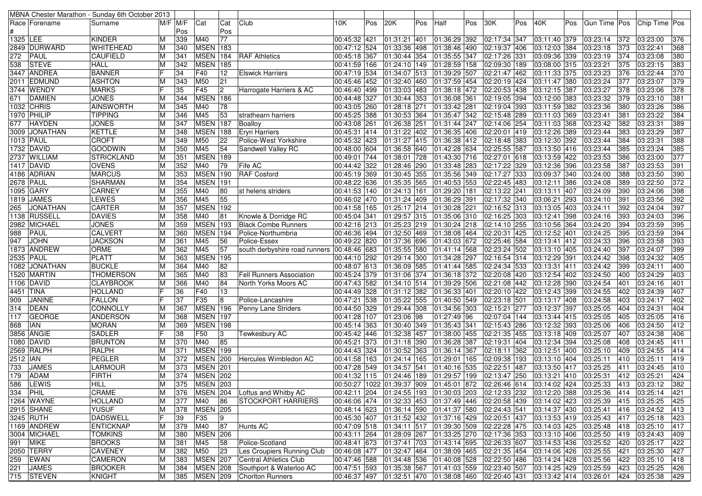|           |                 | MBNA Chester Marathon - Sunday 6th October 2013 |   |          |                        |     |                                 |                |     |                             |     |                                                                            |     |                           |     |                              |     |              |               |               |                  |
|-----------|-----------------|-------------------------------------------------|---|----------|------------------------|-----|---------------------------------|----------------|-----|-----------------------------|-----|----------------------------------------------------------------------------|-----|---------------------------|-----|------------------------------|-----|--------------|---------------|---------------|------------------|
|           | Race   Forename | Surname                                         |   | M/F IM/F | Cat                    | Cat | Club                            | 10K            | Pos | 20K                         | Pos | Half                                                                       | Pos | 30K                       | Pos | 40K                          | Pos | Gun Time Pos |               | Chip Time Pos |                  |
|           |                 |                                                 |   | Pos      |                        | Pos |                                 |                |     |                             |     |                                                                            |     |                           |     |                              |     |              |               |               |                  |
| 1325 LEE  |                 | <b>KINDER</b>                                   | М | 339      | M40                    | 77  |                                 | 00:45:32 421   |     | 01:31:21                    | 401 | 01:36:29 392                                                               |     | 02:17:34 347              |     | 03:11:40 379                 |     | 03:23:14     | 372           | 03:23:00      | 376              |
|           | 2849 DURWARD    | <b>WHITEHEAD</b>                                | м | 340      | <b>MSEN</b> 183        |     |                                 | 00:47:12 524   |     | 01:33:36                    | 498 | 01:38:46 490                                                               |     | 02:19:37 406              |     | 03:12:03 384                 |     | 03:23:18     | 373           | 03:22:41      | 368              |
| 272       | PAUL            | <b>CAUFIELD</b>                                 |   | 341      | <b>MSEN</b>            | 184 | <b>RAF Athletics</b>            | 00:45:18 367   |     | 01:30:44                    | 354 | 01:35:55 347                                                               |     | 02:17:26 331              |     | 03:09:36 339                 |     | 03:23:19     | 374           | 03:23:08      | 380              |
| 538       | <b>STEVE</b>    | <b>HALL</b>                                     |   | 342      | <b>MSEN</b> 185        |     |                                 | 00:41:59 166   |     | 01:24:10 149                |     | 01:28:59 158                                                               |     | 02:09:30 189              |     | 03:08:00 315                 |     | 03:23:21     | 375           | 03:23:15      | 383              |
|           | 3447 ANDREA     | <b>BANNER</b>                                   |   | 34       | F40                    | 12  | <b>Elswick Harriers</b>         | 00:47:19 534   |     | 01:34:07 513                |     | 01:39:29 507                                                               |     | 02:21:47 462              |     | 03:11:33 375                 |     | 03:23:23     | 376           | 03:22:44      | 370              |
|           | 2011 EDMUND     | <b>ASHTON</b>                                   |   | 343      | M50                    | 21  |                                 | 00:45:46 452   |     | 01:32:40                    | 460 | 01:37:59 454                                                               |     | 02:20:19 424              |     | 03:11:47 380                 |     | 03:23:24     | 377           | 03:23:07      | 379              |
|           | 3744  WENDY     | <b>MARKS</b>                                    |   | 35       | F45                    | 2   | Harrogate Harriers & AC         | 00:46:40 499   |     | 01:33:03                    | 483 | 01:38:18 472                                                               |     | 02:20:53 438              |     | 03:12:15 387                 |     | 03:23:27     | 378           | 03:23:06      | $\overline{378}$ |
| 671       | DAMIEN          | <b>JONES</b>                                    |   | 344      | MSEN 186               |     |                                 | 00:44:48 327   |     | 01:30:44                    | 353 | 01:36:08 361                                                               |     | 02:19:05 394              |     | 03:12:00 383                 |     | 03:23:32     | 379           | 03:23:10      | 381              |
| 1032      | <b>CHRIS</b>    | <b>AINSWORTH</b>                                |   | 345      | M40                    | 78  |                                 | 00:43:05 260   |     | 01:28:18 271                |     | 01:33:42 281                                                               |     | 02:19:04 393              |     | 03:11:59 382                 |     | 03:23:36     | 380           | 03:23:26      | 386              |
|           | 1970 PHILIP     | <b>TIPPING</b>                                  | м | 346      | M45                    | 53  | strathearn harriers             | 00:45:25 388   |     | 01:30:53 364                |     | 01:35:47 342                                                               |     | 02:15:48 289              |     | 03:11:03 369                 |     | 03:23:41     | 381           | 03:23:22      | 384              |
| 677       | <b>HAYDEN</b>   | <b>JONES</b>                                    |   | 347      | <b>MSEN 187</b>        |     | Boalloy                         | 00:43:08 261   |     | 01:26:38                    | 251 | 01:31:44 247                                                               |     | 02:14:06 254              |     | 03:11:03 368                 |     | 03:23:42     | 382           | 03:23:31      | 389              |
| 3009      | <b>JONATHAN</b> | <b>KETTLE</b>                                   |   | 348      | <b>MSEN</b> 188        |     | Eryri Harriers                  | 00:45:31 414   |     | 01:31:22 402                |     | $\overline{01:}36:35$ 406                                                  |     | 02:20:01 419              |     | 03:12:26 389                 |     | 03:23:44     | 383           | 03:23:29      | 387              |
|           | 1013 PAUL       | <b>CROFT</b>                                    | м | 349      | M50                    | 22  | Police-West Yorkshire           | 00:45:32 423   |     | 01:31:27 415                |     | 01:36:38 412                                                               |     | 02:18:48 383              |     | 03:12:30 392                 |     | 03:23:44     | 384           | 03:23:31      | 388              |
|           | 1732 DAVID      | <b>GOODWIN</b>                                  |   | 350      | M45                    | 54  | Sandwell Valley RC              | 00:48:00 604   |     | 01:36:58 640                |     | 01:42:28 634                                                               |     | 02:25:55 587              |     | 03:13:50 416                 |     | 03:23:44     | 385           | 03:23:24      | 385              |
|           | 2737 WILLIAM    | <b>STRICKLAND</b>                               | M | 351      | <b>MSEN</b> 189        |     |                                 | 00:49:01 744   |     | 01:38:01                    | 728 | 01:43:30 716                                                               |     | $\overline{02:}27:01$ 618 |     | 03:13:59 422                 |     | 03:23:53     | 386           | 03:23:00      | $\overline{377}$ |
|           | 1417 DAVID      | <b>OVENS</b>                                    | M | 352      | M40                    | 79  | Fife AC                         | 00:44:42 322   |     | 01:28:46 290                |     | 01:33:48 283                                                               |     | 02:17:22 329              |     | 03:12:36 396                 |     | 03:23:58     | 387           | 03:23:53      | 391              |
|           | 4186 ADRIAN     | <b>MARCUS</b>                                   |   | 353      | <b>MSEN 190</b>        |     | <b>RAF</b> Cosford              | 00:45:19 369   |     | 01:30:45                    | 355 | 01:35:56 349                                                               |     | 02:17:27 333              |     | 03:09:37 340                 |     | 03:24:00     | 388           | 03:23:50      | 390              |
|           | 2678 PAUL       | <b>SHARMAN</b>                                  |   | 354      | <b>MSEN</b>            | 191 |                                 | 00:48:22 636   |     | 01:35:35                    | 565 | 01:40:53 553                                                               |     | 02:22:45 483              |     | 03:12:11 386                 |     | 03:24:08     | 389           | 03:22:50      | 372              |
|           | 1095 GARY       | <b>CARNEY</b>                                   | M | 355      | M40                    | 80  | st helens striders              | 00:41:53  140  |     | 01:24:13                    | 161 | 01:29:20 181                                                               |     | 02:13:22 241              |     | 03:13:11 407                 |     | 03:24:09     | 390           | 03:24:06      | 398              |
| 1819      | <b>JAMES</b>    | LEWES                                           | М | 356      | M45                    | 55  |                                 | 00:46:02 470   |     | 01:31:24 409                |     | 01:36:29 391                                                               |     | 02:17:32 340              |     | 03:06:21 293                 |     | 03:24:10     | 391           | 03:23:56      | 392              |
| 265       | <b>JONATHAN</b> | <b>CARTER</b>                                   |   | 357      | <b>MSEN 192</b>        |     |                                 | 00:41:58 165   |     | 01:25:17 214                |     | 01:30:28 221                                                               |     | 02:16:52 313              |     | 03:13:05 403                 |     | 03:24:11     | 392           | 03:24:04      | 397              |
|           | 1138 RUSSELL    | <b>DAVIES</b>                                   |   | 358      | M40                    | 81  | Knowle & Dorridge RC            | 00:45:04 341   |     | 01:29:57 315                |     | 01:35:06 310                                                               |     | 02:16:25 303              |     | 03:12:41 398                 |     | 03:24:16     | 393           | 03:24:03      | 396              |
|           | 2982 MICHAEL    | <b>JONES</b>                                    |   | 359      | <b>MSEN</b> 193        |     | <b>Black Combe Runners</b>      | 00:42:16 213   |     | 01:25:23 219                |     | 01:30:24 218                                                               |     | 02:14:10 255              |     | 03:10:56 364                 |     | 03:24:20     | 394           | 03:23:59      | 395              |
| 988       | PAUL            | <b>CALVERT</b>                                  | M | 360      | MSEN 194               |     | Police-Northumbria              | 00:46:36 494   |     | 01:32:50 469                |     | 01:38:08 464                                                               |     | 02:20:31 425              |     | 03:12:52 401                 |     | 03:24:25     | 395           | 03:23:59      | 394              |
| 947       | <b>JOHN</b>     | <b>JACKSON</b>                                  |   | 361      | M45                    | 56  | Police-Essex                    | 00:49:22 820   |     | 01:37:36                    | 696 | 01:43:03 672                                                               |     | 02:25:46 584              |     | 03:13:41 412                 |     | 03:24:33     | 396           | 03:23:58      | 393              |
|           | 1873 ANDREW     | <b>ORME</b>                                     |   | 362      | M45                    | 57  | south derbyshire road runners   | 00:48:46 683   |     | 01:35:55                    | 580 | 01:41:14 568                                                               |     | 02:23:24 502              |     | 03:13:10 405                 |     | 03:24:40     | 397           | 03:24:07      | 399              |
| 2535 PAUL |                 | <b>PLATT</b>                                    |   | 363      | <b>MSEN</b>            | 195 |                                 | 00:44:10 292   |     | 01:29:14                    | 300 | 01:34:28 297                                                               |     | 02:16:54 314              |     | 03:12:29 391                 |     | 03:24:42     | 398           | 03:24:32      | 405              |
| 1082      | <b>JONATHAN</b> | <b>BUCKLE</b>                                   |   | 364      | M40                    | 82  |                                 | 00:48:07 613   |     | 01:36:09                    | 585 | 01:41:44 585                                                               |     | $\overline{02:}24:34$ 533 |     | 03:13:31 411                 |     | 03:24:42     | 399           | 03:24:11      | 400              |
|           | 1520 MARTIN     | <b>THOMERSON</b>                                | м | 365      | M40                    | 83  | <b>Fell Runners Association</b> | 00:45:24 379   |     | 01:31:06 374                |     | 01:36:18 372                                                               |     | 02:20:08 420              |     | 03:12:54 402                 |     | 03:24:50     | 400           | 03:24:29      | 403              |
|           | 1106 DAVID      | <b>CLAYBROOK</b>                                | M | 366      | M40                    | 84  | North Yorks Moors AC            | 00:47:43 582   |     | 01:34:10 514                |     | 01:39:29 506                                                               |     | 02:21:08 442              |     | 03:12:28 390                 |     | 03:24:54     | 401           | 03:24:16      | 401              |
|           | 4451  TINA      | HOLLAND                                         |   | 36       | F40                    | 13  |                                 | 00:44:49 328   |     | 01:31:12                    | 382 | 01:36:33 401                                                               |     | 02:20:10 422              |     | 03:12:43 399                 |     | 03:24:55     | 402           | 03:24:39      | 407              |
| 909       | <b>JANINE</b>   | <b>FALLON</b>                                   |   | 37       | F35                    | 8   | Police-Lancashire               | 00:47:21 538   |     | 01:35:22 555                |     | 01:40:50 549                                                               |     | 02:23:18 501              |     | 03:13:17 408                 |     | 03:24:58     | 403           | 03:24:17      | 402              |
| 314       | <b>DEAN</b>     | <b>CONNOLLY</b>                                 |   | 367      | <b>MSEN</b> 196        |     | Penny Lane Striders             | 00:44:50 329   |     | 01:29:44 308                |     | 01:34:56 303                                                               |     | 02:15:21 277              |     | 03:12:37 397                 |     | 03:25:05     | 404           | 03:24:31      | 404              |
| 117       | <b>GEORGE</b>   | <b>ANDERSON</b>                                 |   | 368      | <b>MSEN</b>            | 197 |                                 | 00:41:28 107   |     | 01:23:06 98                 |     | $\sqrt{01:27:49}$ 96                                                       |     | 02:07:04 144              |     | 03:13:44 415                 |     | 03:25:05     | 405           | 03:25:05      | 416              |
| 868       | IAN             | <b>MORAN</b>                                    | M | 369      | <b>MSEN</b> 198        |     |                                 | 00:45:14 363   |     | 01:30:40 349                |     | 01:35:43 341                                                               |     | 02:15:43 286              |     | 03:12:32 393                 |     | 03:25:06     | 406           | 03:24:50      | 412              |
|           | 3856 ANGIE      | <b>SADLER</b>                                   |   | 38       | F50                    | 3   | Tewkesbury AC                   | 00:45:42 446   |     | 01:32:38                    | 457 | $\overline{01:}38:00$ 455                                                  |     | 02:21:35 455              |     | 03:13:18 409                 |     | 03:25:07     | 407           | 03:24:38      | 406              |
| 1080      | <b>DAVID</b>    | <b>BRUNTON</b>                                  |   | 370      | M40                    | 85  |                                 | 00:45:21 373   |     | 01:31:18                    | 390 | 01:36:28 387                                                               |     | 02:19:31 404              |     | 03:12:34 394                 |     | 03:25:08     | 408           | 03:24:45      | 411              |
|           | 2569 RALPH      | <b>RALPH</b>                                    |   | 371      | <b>MSEN</b> 199        |     |                                 | 00:44:43 324   |     | 01:30:52                    | 363 | 01:36:14 367                                                               |     | 02:18:11 362              |     | 03:12:51 400                 |     | 03:25:10     | 409           | 03:24:55      | 414              |
| 2512 IAN  |                 | <b>PEGLER</b>                                   |   | 372      | <b>MSEN 200</b>        |     | Hercules Wimbledon AC           | 00:41:58   163 |     | 01:24:14 165                |     | 01:29:01 165                                                               |     | 02:09:38 193              |     | 03:13:10 404                 |     | 03:25:11     | 410           | 03:25:11      | 419              |
| 733       | <b>JAMES</b>    | <b>LARMOUR</b>                                  |   | 373      | <b>MSEN 201</b>        |     |                                 | 00:47:28 549   |     | 01:34:57                    | 541 | 01:40:16 535                                                               |     | 02:22:51 487              |     | 03:13:50 417                 |     | 03:25:25     | 411           | 03:24:45      | 410              |
| 179       | <b>ADAM</b>     | <b>FIRTH</b>                                    |   | 374      | <b>MSEN 202</b>        |     |                                 | 00:41:32 115   |     | 01:24:46 189                |     | 01:29:57 199                                                               |     | 02:13:47 250              |     | 03:13:21 410                 |     | 03:25:31     | 412           | 03:25:21      | 424              |
|           | 586 LEWIS       | <b>HILL</b>                                     | M | 375      | <b>MSEN 203</b>        |     |                                 |                |     |                             |     | 00:50:27 1022 01:39:37 909 01:45:01 872 02:26:46 614 03:14:02 424 03:25:33 |     |                           |     |                              |     |              | $ 413\rangle$ | 03:23:12      | 382              |
| 334       | PHIL            | CRAME                                           |   |          | <b>MSEN 204</b>        |     | Loftus and Whitby AC            |                |     | 00:42:11 204  01:24:55  193 |     | 01:30:03 203 02:12:33 232                                                  |     |                           |     | 03:12:20 388                 |     | 03:25:36     | 414           |               | 421              |
|           |                 |                                                 | М | 376      |                        |     | <b>STOCKPORT HARRIERS</b>       |                |     |                             |     |                                                                            |     |                           |     |                              |     |              |               | 03:25:14      |                  |
|           | 1264 WAYNE      | <b>HOLLAND</b>                                  | M | 377      | M40                    | 86  |                                 |                |     | 00:46:06 474 01:32:33 453   |     | 01:37:49 446 02:20:58 439                                                  |     |                           |     | 03:14:02 423                 |     | 03:25:39     | 415           | 03:25:25      | 425              |
|           | 2915 SHANE      | <b>YUSUF</b>                                    | М | 378      | MSEN 205<br>F35        |     |                                 |                |     | 00:48:14 623 01:36:14 590   |     | 01:41:37 580 02:24:43 541                                                  |     |                           |     | 03:14:37 430<br>03:13:53 419 |     | 03:25:41     | 416           | 03:24:52      | 413              |
|           | 3245 RUTH       | <b>DADSWELL</b><br><b>ENTICKNAP</b>             |   | 39       |                        | 9   | Hunts AC                        | 00:45:30 407   |     | 01:31:52 432                |     | 01:37:16 429                                                               |     | 02:20:51 437              |     |                              |     | 03:25:43     | 417           | 03:25:18      | 423              |
|           | 1169 ANDREW     |                                                 | M | 379      | M40<br><b>MSEN 206</b> | 87  |                                 |                |     | 00:47:09 518 01:34:11 517   |     | 01:39:30 509 02:22:28 475                                                  |     |                           |     | 03:14:03 425                 |     | 03:25:48     | 418           | 03:25:10      | 417              |
|           | 3004 MICHAEL    | <b>TOMKINS</b>                                  | M | 380      |                        |     |                                 |                |     | 00:43:11 264 01:28:09 267   |     | 01:33:25 270 02:17:36 353                                                  |     |                           |     | 03:13:10 406                 |     | 03:25:50     | 419           | 03:24:43      | 409              |
|           | 991 MIKE        | <b>BROOKS</b>                                   | M | 381      | M45                    | 58  | Police-Scotland                 |                |     | 00:48:41 673 01:37:41 703   |     | 01:43:14 695                                                               |     | 02:26:33 607              |     | 03:14:53 436                 |     | 03:25:52     | 420           | 03:25:17      | 422              |
|           | 2050 TERRY      | <b>CAVENEY</b>                                  | M | 382      | M50                    | 23  | Les Croupiers Running Club      | 00:46:08 477   |     | 01:32:47 464                |     | 01:38:09 465                                                               |     | 02:21:35 454              |     | 03:14:06 426                 |     | 03:25:55     | 421           | 03:25:30      | 427              |
| 259       | <b>EWAN</b>     | <b>CAMERON</b>                                  | M | 383      | <b>MSEN 207</b>        |     | Central Athletics Club          | 00:47:46 588   |     | 01:34:48 536                |     | 01:40:08 528                                                               |     | 02:22:50 486              |     | 03:14:24 428                 |     | 03:25:56     | 422           | 03:25:10      | 418              |
|           | 221 JAMES       | <b>BROOKER</b>                                  | M | 384      | <b>MSEN 208</b>        |     | Southport & Waterloo AC         |                |     | 00:47:51 593 01:35:38 567   |     | 01:41:03 559 02:23:40 507                                                  |     |                           |     | 03:14:25 429                 |     | 03:25:59     | 423           | 03:25:25      | 426              |
|           | 715 STEVEN      | <b>KNIGHT</b>                                   | M | 385      | <b>MSEN 209</b>        |     | <b>Chorlton Runners</b>         |                |     |                             |     | 00:46:37  497  01:32:51  470  01:38:08  460  02:20:40  431                 |     |                           |     | 03:13:42 414 03:26:01        |     |              | 424           | 03:25:38      | 429              |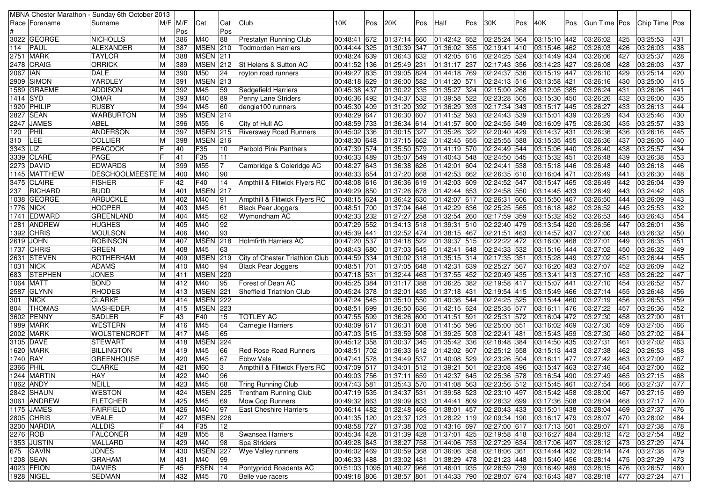|                  |                 | MBNA Chester Marathon - Sunday 6th October 2013 |    |           |                 |                 |                                |                           |     |                            |     |                                                        |     |              |     |                           |     |                   |                 |                       |     |
|------------------|-----------------|-------------------------------------------------|----|-----------|-----------------|-----------------|--------------------------------|---------------------------|-----|----------------------------|-----|--------------------------------------------------------|-----|--------------|-----|---------------------------|-----|-------------------|-----------------|-----------------------|-----|
|                  | Race   Forename | Surname                                         |    | M/F IM/F  | Cat             | Cat             | Club                           | 10K                       | Pos | 20K                        | Pos | Half                                                   | Pos | 30K          | Pos | 40K                       | Pos | Gun Time   Pos    |                 | Chip Time Pos         |     |
|                  |                 |                                                 |    | Pos       |                 | Pos             |                                |                           |     |                            |     |                                                        |     |              |     |                           |     |                   |                 |                       |     |
|                  | 3022 GEORGE     | <b>NICHOLLS</b>                                 | м  | 386       | M40             | 88              | <b>Prestatyn Running Club</b>  | 00:48:41 672              |     | 01:37:14 660               |     | 01:42:42 652                                           |     | 02:25:24 564 |     | 03:15:10 442              |     | 03:26:02          | 425             | 03:25:53              | 431 |
| 114              | PAUL            | ALEXANDER                                       |    | 387       | <b>MSEN 210</b> |                 | Todmorden Harriers             | 00:44:44 325              |     | 01:30:39                   | 347 | 01:36:02 355                                           |     | 02:19:41 410 |     | 03:15:46 462              |     | 03:26:03          | 426             | 03:26:03              | 438 |
|                  | 2751 MARK       | <b>TAYLOR</b>                                   |    | 388       | <b>MSEN 211</b> |                 |                                | 00:48:24 639              |     | 01:36:43 632               |     | 01:42:05 616                                           |     | 02:24:25 524 |     | 03:14:49 434              |     | 03:26:06          | 427             | 03:25:37              | 428 |
| 2478             | CRAIG           | ORRICK                                          | м  | 389       | <b>MSEN 212</b> |                 | St Helens & Sutton AC          | 00:41:52 136              |     | 01:25:49 231               |     | 01:31:17 237                                           |     | 02:17:43 356 |     | 03:14:23 427              |     | 03:26:08          | 428             | 03:26:03              | 437 |
| 2067 IAN         |                 | <b>DALE</b>                                     | М  | 390       | M50             | 24              | royton road runners            | 00:49:27 835              |     | 01:39:05 824               |     | 01:44:18 769                                           |     | 02:24:37 536 |     | 03:15:19 447              |     | 03:26:10          | 429             | 03:25:14              | 420 |
|                  | 2909 SIMON      | YARDLEY                                         |    | 391       | <b>MSEN 213</b> |                 |                                | 00:48:18 629              |     | 01:36:00 582               |     | 01:41:20 571                                           |     | 02:24:13 516 |     | 03:13:58 421              |     | 03:26:16          | 430             | 03:25:00              | 415 |
| 1589             | <b>GRAEME</b>   | <b>ADDISON</b>                                  | M  | 392       | M45             | 59              | Sedgefield Harriers            | 00:45:38 437              |     | 01:30:22 335               |     | 01:35:27 324                                           |     | 02:15:00 268 |     | 03:12:05 385              |     | 03:26:24          | 43 <sup>°</sup> | 03:26:06              | 441 |
| 1414   SYD       |                 | <b>OMAR</b>                                     |    | 393       | M40             | 89              | Penny Lane Striders            | 00:46:36 492              |     | 01:34:37 532               |     | 01:39:58 522                                           |     | 02:23:28 505 |     | 03:15:30 450              |     | 03:26:26          | 432             | 03:26:00              | 435 |
|                  | 1920 PHILIP     | <b>RUSBY</b>                                    | М  | 394       | M45             | 60              | dengie100 runners              | 00:45:30 409              |     | 01:31:20 392               |     | 01:36:29 393                                           |     | 02:17:34 343 |     | 03:15:17 445              |     | 03:26:27          | 433             | $\overline{03:26:13}$ | 444 |
|                  | 2827 SEAN       | <b>WARBURTON</b>                                | M  | 395       | MSEN 214        |                 |                                | 00:48:29 647              |     | 01:36:30 007               |     | 01:41:52 593                                           |     | 02:24:43 539 |     | 03:15:01 439              |     | 03:26:29          | 434             | 03:25:46              | 430 |
| 2247             | <b>JAMES</b>    | ABEL                                            |    | 396       | M55             | $6\overline{6}$ | City of Hull AC                | 00:48:59 733              |     | 01:36:34 614               |     | 01:41:57 600                                           |     | 02:24:55 549 |     | 03:16:09 475              |     | 03:26:30          | 435             | 03:25:57              | 433 |
| 120              | PHIL            | <b>ANDERSON</b>                                 | М  | 397       | <b>MSEN</b> 215 |                 | <b>Riversway Road Runners</b>  | 00:45:02 336              |     | 01:30:15                   | 327 | 01:35:26 322                                           |     | 02:20:40 429 |     | 03:14:37 431              |     | 03:26:36          | 436             | 03:26:16              | 445 |
| 310              | LEE             | <b>COLLIER</b>                                  | M  | 398       | <b>MSEN 216</b> |                 |                                | 00:48:30 648              |     | 01:37:15 662               |     | 01:42:45 655                                           |     | 02:25:55 588 |     | 03:15:35 455              |     | 03:26:36          | 437             | 03:26:05              | 440 |
| 3343             | LIZ             | <b>PEACOCK</b>                                  |    | 40        | F35             | 10              | <b>Parbold Pink Panthers</b>   | 00:47:39 574              |     | 01:35:50 579               |     | 01:41:19 570                                           |     | 02:24:49 544 |     | 03:15:06 440              |     | 03:26:40          | 438             | 03:25:57              | 434 |
|                  | 3339 CLARE      | <b>PAGE</b>                                     |    | 41        | F35             | 11              |                                | 00:46:33 489              |     | 01:35:07 549               |     | 01:40:43 548                                           |     | 02:24:50 545 |     | 03:15:32 451              |     | 03:26:48          | 439             | 03:26:38              | 453 |
|                  | 2273  DAVID     | EDWARDS                                         | ΙM | 399       | M55             | 17              | Cambridge & Coleridge AC       | 00:48:27 643              |     | 01:36:38 626               |     | 01:42:01 604                                           |     | 02:24:41 538 |     | 03:15:18 446              |     | 03:26:48          | 440             | 03:26:18              | 446 |
|                  | 1145 MATTHEW    | <b>DESCHOOLMEESTEIM</b>                         |    | 400       | M40             | 90              |                                | 00:48:33 654              |     | 01:37:20 668               |     | 01:42:53 662                                           |     | 02:26:35 610 |     | $\overline{03:}16:04$ 471 |     | 03:26:49          | 44 <sup>2</sup> | 03:26:30              | 448 |
|                  | 3475 CLAIRE     | <b>FISHER</b>                                   |    | 42        | F40             | 14              |                                | 00:48:08 616              |     | 01:36:36 619               |     | 01:42:03 609                                           |     | 02:24:52 547 |     | 03:15:47 465              |     | 03:26:49          | 442             | 03:26:04              | 439 |
|                  |                 |                                                 |    | 401       | <b>MSEN</b>     | 217             | Ampthill & Flitwick Flyers RC  | 00:49:29 850              |     |                            |     |                                                        |     |              |     | 03:14:45 433              |     | $\sqrt{03:26:49}$ | 443             |                       | 408 |
| 237              | RICHARD         | <b>BUDD</b>                                     |    |           |                 |                 |                                |                           |     | 01:37:26 678               |     | 01:42:44 653                                           |     | 02:24:58 550 |     |                           |     |                   |                 | 03:24:42              |     |
| 1038             | <b>GEORGE</b>   | <b>ARBUCKLE</b>                                 |    | 402       | M40             | 91              | Ampthill & Flitwick Flyers RC  | 00:48:15 624              |     | 01:36:42 630               |     | 01:42:07 617                                           |     | 02:26:31 606 |     | 03:15:50 467              |     | 03:26:50          | 444             | 03:26:09              | 443 |
| <b>1776 NICK</b> |                 | <b>HOOPER</b>                                   |    | 403       | M45             | 61              | <b>Black Pear Joggers</b>      | 00:48:51 700              |     | $\boxed{01:37:04$ 646      |     | $\overline{01:}42:29$ 636                              |     | 02:25:25 565 |     | 03:16:18 482              |     | 03:26:52          | 445             | 03:25:53              | 432 |
|                  | 1741 EDWARD     | <b>GREENLAND</b>                                |    | 404       | M45             | 62              | Wymondham AC                   | 00:42:33 232              |     | 01:27:27 258               |     | 01:32:54 260                                           |     | 02:17:59 359 |     | 03:15:32 452              |     | $\sqrt{03:26:53}$ | 446             | 03:26:43              | 454 |
|                  | 1281 ANDREW     | <b>HUGHES</b>                                   | м  | 405       | M40             | 92              |                                | 00:47:29 552              |     | 01:34:13 518               |     | 01:39:31 510                                           |     | 02:22:40 479 |     | 03:13:54 420              |     | 03:26:56          | 447             | 03:26:01              | 436 |
| 1392             | <b>CHRIS</b>    | <b>MOULSON</b>                                  |    | 406       | M40             | 93              |                                | 00:45:39 441              |     | 01:32:52 474               |     | 01:38:15 467                                           |     | 02:21:51 463 |     | 03:14:57 437              |     | 03:27:00          | 448             | 03:26:32              | 450 |
| 2619             | <b>JOHN</b>     | <b>ROBINSON</b>                                 |    | 407       | <b>MSEN</b>     | 218             | <b>Holmfirth Harriers AC</b>   | 00:47:20 537              |     | 01:34:18 522               |     | 01:39:37 515                                           |     | 02:22:22 472 |     | 03:16:00 468              |     | 03:27:01          | 449             | 03:26:35              | 451 |
|                  | 1737 CHRIS      | <b>GREEN</b>                                    | M  | 408       | M45             | 63              |                                | 00:48:43 680              |     | 01:37:03 645               |     | 01:42:41 648                                           |     | 02:24:33 532 |     | 03:15:16 444              |     | 03:27:02          | 450             | 03:26:32              | 449 |
|                  | 2631 STEVEN     | <b>ROTHERHAM</b>                                | M  | 409       | <b>MSEN 219</b> |                 | City of Chester Triathlon Club | 00:44:59 334              |     | 01:30:02 318               |     | 01:35:15 314                                           |     | 02:17:35 351 |     | 03:15:28 449              |     | 03:27:02          | 451             | 03:26:44              | 455 |
| 1031 NICK        |                 | <b>ADAMS</b>                                    |    | 410       | M40             | 94              | <b>Black Pear Joggers</b>      | 00:48:51 701              |     | 01:37:05 648               |     | 01:42:31 639                                           |     | 02:25:27 567 |     | 03:16:20 483              |     | 03:27:07          | 452             | 03:26:09              | 442 |
| 683              | <b>STEPHEN</b>  | JONES                                           |    | 411       | <b>MSEN 220</b> |                 |                                | 00:47:18 531              |     | 01:32:44 463               |     | 01:37:55 452                                           |     | 02:20:49 435 |     | 03:13:41 413              |     | 03:27:10          | 453             | 03:26:22              | 447 |
|                  | 1064 MATT       | <b>BOND</b>                                     |    | 412       | M40             | 95              | Forest of Dean AC              | 00:45:25 384              |     | 01:31:17                   | 388 | 01:36:25 382                                           |     | 02:19:58 417 |     | 03:15:07 441              |     | 03:27:10          | 454             | 03:26:52              | 457 |
| 2587             | <b>GLYNN</b>    | <b>RHODES</b>                                   |    | 413       | MSEN 221        |                 | Sheffield Triathlon Club       | 00:45:24 378              |     | 01:32:01                   | 435 | 01:37:18 431                                           |     | 02:19:54 415 |     | 03:15:49 466              |     | 03:27:14          | 455             | 03:26:48              | 456 |
| 301              | <b>NICK</b>     | <b>CLARKE</b>                                   |    | 414       | <b>MSEN 222</b> |                 |                                | 00:47:24 545              |     | 01:35:10 550               |     | $\overline{01:}40:36$ 544                              |     | 02:24:25 525 |     | 03:15:44 460              |     | 03:27:19          | 456             | 03:26:53              | 459 |
| 804              | <b>THOMAS</b>   | <b>MASHEDER</b>                                 |    | 415       | <b>MSEN 223</b> |                 |                                | 00:48:51 699              |     | 01:36:50 636               |     | $\overline{01:}42:15$ 624                              |     | 02:25:35 577 |     | 03:16:11 476              |     | 03:27:22          | 457             | 03:26:36              | 452 |
| 3602             | PENNY           | <b>SADLER</b>                                   |    | 43        | F40             | 15              | <b>TOTLEY AC</b>               | 00:47:55 599              |     | 01:36:26 600               |     | 01:41:51 591                                           |     | 02:25:31 572 |     | 03:16:04 472              |     | 03:27:30          | 458             | 03:27:00              | 461 |
| 1989             | <b>MARK</b>     | <b>WESTERN</b>                                  | M  | 416       | M45             | 64              | <b>Carnegie Harriers</b>       | 00:48:09 617              |     | 01:36:31                   | 608 | 01:41:56 596                                           |     | 02:25:00 551 |     | 03:16:02 469              |     | 03:27:30          | 459             | 03:27:05              | 466 |
|                  | 2002 MARK       | <b>WOLSTENCROFT</b>                             |    | 417       | M45             | 65              |                                | $\overline{00:}47:03$ 515 |     | 01:33:59 508               |     | 01:39:25 503                                           |     | 02:22:41 481 |     | 03:15:43 459              |     | 03:27:30          | 460             | 03:27:02              | 464 |
|                  | 3105 DAVE       | <b>STEWART</b>                                  | м  | 418       | <b>MSEN</b>     | 224             |                                | 00:45:12 358              |     | 01:30:37                   | 345 | 01:35:42 336                                           |     | 02:18:48 384 |     | 03:14:50 435              |     | 03:27:31          | 461             | 03:27:02              | 463 |
|                  | 1620  MARK      | <b>BILLINGTON</b>                               |    | 419       | M45             | 66              | <b>Red Rose Road Runners</b>   | 00:48:51 702              |     | 01:36:33                   | 612 | 01:42:02 607                                           |     | 02:25:12 558 |     | 03:15:13 443              |     | 03:27:38          | 462             | 03:26:53              | 458 |
| 1740 RAY         |                 | <b>GREENHOUSE</b>                               | M  | 420       | M45             | 67              | Ebbw Vale                      | 00:47:41 578              |     | 01:34:49 537               |     | 01:40:08 529                                           |     | 02:23:26 504 |     | 03:16:11 477              |     | 03:27:42          | 463             | 03:27:09              | 467 |
| 2366 PHIL        |                 | <b>CLARKE</b>                                   |    | 421       | M60             | 3               | Ampthill & Flitwick Flyers RC  | 00:47:09 517              |     | 01:34:01                   | 512 | 01:39:21 501                                           |     | 02:23:08 496 |     | 03:15:47 463              |     | 03:27:46          | 464             | 03:27:00              | 462 |
|                  | 1244 MARTIN     | HAY                                             | М  | 422       | M40             | 96              |                                | 00:49:03 756              |     | 01:37:11 659               |     | 01:42:37 645                                           |     | 02:25:36 578 |     | 03:16:54 490              |     | 03:27:49          | 465             | 03:27:15              | 468 |
|                  | 1862 ANDY       | <b>NEILL</b>                                    | M  | 423       | M45             | 68              | Tring Running Club             | 00:47:43 581              |     |                            |     |                                                        |     |              |     |                           |     | 03:27:54          | 466             | 03:27:37              | 477 |
|                  | 2842 SHAUN      | <b>WESTON</b>                                   | М  | 424       | <b>MSEN</b> 225 |                 | Trentham Running Club          | 00:47:19 535              |     |                            |     | $ 01:34:37 531 01:39:58 523 02:23:10 497 03:15:42 458$ |     |              |     |                           |     | 03:28:00          | 467             | 03:27:15              | 469 |
|                  | 3061 ANDREW     | <b>FLETCHER</b>                                 | M  | 425       | M45             | 69              | Mow Cop Runners                | 00:49:32 863              |     |                            |     | $ 01:39:09 833 01:44:41 809 02:28:32 699$              |     |              |     | 03:17:36 508 03:28:04     |     |                   | 468             | 03:27:17              | 470 |
|                  | 1175 JAMES      | <b>FAIRFIELD</b>                                | M  | 426       | M40             | $\overline{97}$ | <b>East Cheshire Harriers</b>  |                           |     |                            |     | 00:46:14 482  01:32:48 466  01:38:01 457  02:20:43 433 |     |              |     | 03:15:01 438              |     | 03:28:04          | 469             | 03:27:37              | 476 |
|                  | 2805 CHRIS      | <b>VEALE</b>                                    | М  | 427       | <b>MSEN</b> 226 |                 |                                | 00:41:35 120              |     | 01:23:37 123               |     | $\vert$ 01:28:22 119 02:09:34 190                      |     |              |     | 03:16:17 479              |     | 03:28:07          | 470             | 03:28:02              | 484 |
|                  | 3200 NARDIA     | <b>ALLDIS</b>                                   |    | 44        | F35             | 12              |                                | 00:48:58 727              |     | 01:37:38 702               |     | 01:43:16 697                                           |     | 02:27:00 617 |     | 03:17:13 501              |     | 03:28:07          | 471             | 03:27:38              | 478 |
| 2276 ROB         |                 | <b>FALCONER</b>                                 | M  | 428       | M55             | 8               | Swansea Harriers               | 00:45:34 428              |     | $ 01:31:39 $ 428           |     | 01:37:01 425                                           |     | 02:19:58 418 |     | 03:16:27 484              |     | 03:28:12          | 472             | 03:27:54              | 482 |
|                  | 1353 JUSTIN     | <b>MALLARD</b>                                  | М  | 429       | M40             | 98              | <b>Spa Striders</b>            |                           |     | 00:49:28 843 01:38:27 758  |     | 01:44:06 753 02:27:29 634                              |     |              |     | 03:17:06 497              |     | 03:28:12          | 473             | 03:27:29              | 474 |
|                  |                 |                                                 |    |           | <b>MSEN 227</b> |                 |                                |                           |     | 00:46:02 469 01:30:59 368  |     |                                                        |     |              |     |                           |     |                   | 474             |                       |     |
|                  | 675 GAVIN       | <b>JONES</b>                                    | M  | 430       |                 | 99              | <b>Wye Valley runners</b>      |                           |     |                            |     | 01:36:06 358 02:18:06 361                              |     |              |     | 03:14:44 432              |     | 03:28:14          |                 | 03:27:38              | 479 |
|                  | 1208 SEAN       | <b>GRAHAM</b>                                   | M  | 431       | M40             |                 |                                | 00:46:33 488              |     | 01:33:02 481               |     | 01:38:29 478                                           |     | 02:21:23 448 |     | 03:15:40 456              |     | 03:28:14          | 475             | 03:27:29              | 473 |
|                  | 4023 FFION      | <b>DAVIES</b>                                   |    | 45        | FSEN 14         |                 | Pontypridd Roadents AC         |                           |     | 00:51:03 1095 01:40:27 966 |     | 01:46:01 935 02:28:59 739                              |     |              |     | 03:16:49 489              |     | 03:28:15          | 476             | 03:26:57              | 460 |
|                  | 1928 NIGEL      | SEDMAN                                          | М  | 432   M45 |                 | 70              | Belle vue racers               |                           |     | 00:49:18 806 01:38:57 801  |     | $\vert$ 01:44:33 790 02:28:07 674 03:16:43 487         |     |              |     |                           |     | $ 03:28:18$ 477   |                 | 03:27:24              | 471 |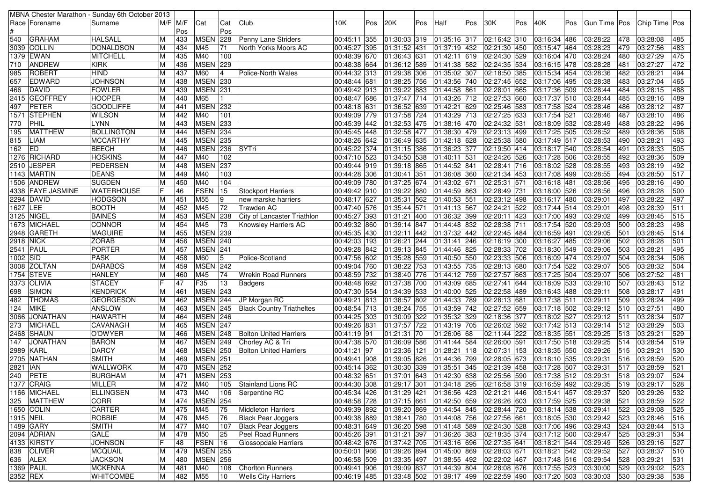| MBNA Chester Marathon - Sunday 6th October 2013 |                   |        |             |                 |              |                                  |                          |     |                                           |     |                  |     |                                                                                     |     |                         |     |                |            |                      |     |
|-------------------------------------------------|-------------------|--------|-------------|-----------------|--------------|----------------------------------|--------------------------|-----|-------------------------------------------|-----|------------------|-----|-------------------------------------------------------------------------------------|-----|-------------------------|-----|----------------|------------|----------------------|-----|
| Race Forename                                   | Surname           |        | $M/F$ $M/F$ | Cat             | Cat          | Club                             | 10K                      | Pos | 20K                                       | Pos | Half             | Pos | 30K                                                                                 | Pos | 40K                     | Pos | Gun Time   Pos |            | Chip Time Pos        |     |
|                                                 |                   |        | Pos         |                 | Pos          |                                  |                          |     |                                           |     |                  |     |                                                                                     |     |                         |     |                |            |                      |     |
| 540<br><b>GRAHAM</b>                            | <b>HALSALL</b>    |        | 433         | MSEN 228        |              | Penny Lane Striders              | 00:45:11 355             |     | 01:30:03 319                              |     | 01:35:16 317     |     | $02:16:42$ 310                                                                      |     | 03:16:34 486            |     | 03:28:22       | 478        | 03:28:08             | 485 |
| 3039 COLLIN                                     | <b>DONALDSON</b>  | M      | 434         | M45             | 71           | North Yorks Moors AC             | 00:45:27 395             |     | 01:31:52 431                              |     | 01:37:19 432     |     | 02:21:30 450                                                                        |     | 03:15:47 464            |     | 03:28:23       | 479        | 03:27:56             | 483 |
| 1379 EWAN                                       | <b>MITCHELL</b>   | M      | 435         | M40             | 100          |                                  | 00:48:39 670             |     | 01:36:43                                  | 631 | 01:42:11 619     |     | 02:24:30 529                                                                        |     | 03:16:04 470            |     | 03:28:24       | 480        | 03:27:29             | 475 |
| <b>ANDREW</b><br>710                            | <b>KIRK</b>       |        | 436         | <b>MSEN 229</b> |              |                                  | 00:48:38 664             |     | 01:36:12 589                              |     | 01:41:38 582     |     | 02:24:35 534                                                                        |     | 03:16:15 478            |     | 03:28:28       | 481        | 03:27:27             | 472 |
| ROBERT<br>985                                   | <b>HIND</b>       |        | 437         | M60             | 14           | Police-North Wales               | 00:44:32 313             |     | 01:29:38 306                              |     | 01:35:02 307     |     | 02:18:50 385                                                                        |     | 03:15:34 454            |     | 03:28:36       | 482        | 03:28:21             | 494 |
| 657<br><b>EDWARD</b>                            | JOHNSON           |        | 438         | <b>MSEN 230</b> |              |                                  | 00:48:44 681             |     | 01:38:25                                  | 756 | 01:43:56 740     |     | $ 02:27:45 $ 652                                                                    |     | 03:17:06 495            |     | 03:28:38       | 483        | 03:27:04             | 465 |
| DAVID<br>466                                    | <b>FOWLER</b>     |        | 439         | <b>MSEN 231</b> |              |                                  | 00:49:42 913             |     | 01:39:22 883                              |     | 01:44:58 861     |     | 02:28:01 665                                                                        |     | 03:17:36 509            |     | 03:28:44       | 484        | 03:28:15             | 488 |
| 2415 GEOFFREY                                   | <b>HOOPER</b>     |        | 440         | M65             |              |                                  | 00:48:47 686             |     | 01:37:47 714                              |     | 01:43:26 712     |     | 02:27:53 660                                                                        |     | 03:17:37 510            |     | 03:28:44       | 485        | 03:28:16             | 489 |
| PETER<br>497                                    | <b>GOODLIFFE</b>  |        | 441         | <b>MSEN 232</b> |              |                                  | 00:48:18 631             |     | 01:36:52 639                              |     | 01:42:21 629     |     | 02:25:46 583                                                                        |     | 03:17:58 524            |     | 03:28:46       | 486        | 03:28:12             | 487 |
| 1571 STEPHEN                                    | <b>WILSON</b>     |        | 442         | M40             | 101          |                                  | 00:49:09 779             |     | 01:37:58 724                              |     | 01:43:29 713     |     | 02:27:25 633                                                                        |     | 03:17:54 521            |     | 03:28:46       | 487        | 03:28:10             | 486 |
| PHIL<br>770                                     | LYNN              |        | 443         | <b>MSEN 233</b> |              |                                  | 00:45:39 442             |     | 01:32:53 475                              |     | 01:38:16 470     |     | 02:24:32 531                                                                        |     | 03:18:09 532            |     | 03:28:49       | 488        | 03:28:22             | 496 |
| 195<br><b>MATTHEW</b>                           | <b>BOLLINGTON</b> |        | 444         | <b>MSEN 234</b> |              |                                  | 00:45:45 448             |     | 01:32:58 477                              |     | 01:38:30 479     |     | 02:23:13 499                                                                        |     | 03:17:25 505            |     | 03:28:52       | 489        | 03:28:36             | 508 |
| LIAM<br>815                                     | <b>MCCARTHY</b>   |        | 445         | <b>MSEN 235</b> |              |                                  | 00:48:26 642             |     | 01:36:49 635                              |     | 01:42:18 628     |     | 02:25:38 580                                                                        |     | 03:17:49 517            |     | 03:28:53       | 490        | 03:28:21             | 493 |
| <b>IED</b><br>162                               | <b>BEECH</b>      |        | 446         | <b>MSEN 236</b> |              | SYTri                            | 00:45:22 374             |     | 01:31:15 386                              |     | 01:36:23 377     |     | 02:19:50 414                                                                        |     | 03:18:17 540            |     | 03:28:54       | 491        | 03:28:33             | 505 |
| 1276 RICHARD                                    | <b>HOSKINS</b>    |        | 447         | M40             | 102          |                                  | 00:47:10 523             |     | 01:34:50 538                              |     | $ 01:40:11 $ 531 |     | 02:24:26 526                                                                        |     | 03:17:28 506            |     | 03:28:55       | 492        | 03:28:36             | 509 |
| 2510 JESPER                                     | <b>PEDERSEN</b>   |        | 448         | <b>MSEN</b>     | 237          |                                  | 00:49:44 919             |     | 01:39:18 865                              |     | 01:44:52 841     |     | $\overline{02:}28:41$ 716                                                           |     | 03:18:02 528            |     | 03:28:55       | 493        | 03:28:19             | 492 |
| 1143 MARTIN                                     | <b>DEANS</b>      |        | 449         | M40             | 103          |                                  | 00:44:28 306             |     | 01:30:41                                  | 351 | 01:36:08 360     |     | 02:21:34 453                                                                        |     | 03:17:08 499            |     | 03:28:55       | 494        | 03:28:50             | 517 |
| 1506 ANDREW                                     | <b>SUGDEN</b>     |        | 450         | M40             | 104          |                                  | 00:49:09 780             |     | 01:37:25                                  | 674 | 01:43:02 671     |     | 02:25:31 571                                                                        |     | 03:16:18 481            |     | 03:28:56       | 495        | 03:28:16             | 490 |
| 4338 FAYE JASMINE                               | <b>WATERHOUSE</b> |        | 46          | FSEN            | 15           | <b>Stockport Harriers</b>        | 00:49:42 910             |     | 01:39:22 880                              |     | 01:44:59 863     |     | 02:28:49 731                                                                        |     | 03:18:00 526            |     | 03:28:56       | 496        | 03:28:28             | 500 |
| 2294 DAVID                                      | <b>HODGSON</b>    |        | 451         | M55             | 19           | new marske harriers              | 00:48:17 627             |     | 01:35:31                                  | 562 | 01:40:53 551     |     | 02:23:12 498                                                                        |     | 03:16:17 480            |     | 03:29:01       | 497        | 03:28:22             | 497 |
| 1627   LEE                                      | <b>BOOTH</b>      |        | 452         | M45             | 72           | Trawden AC                       | 00:47:40 576             |     | 01:35:44 571                              |     | 01:41:13 567     |     | 02:24:21 522                                                                        |     | 03:17:44 514            |     | 03:29:01       | 498        | 03:28:39             | 511 |
| 3125 NIGEL                                      | <b>BAINES</b>     |        | 453         | <b>MSEN 238</b> |              | City of Lancaster Triathlon      | 00:45:27 393             |     | 01:31:21                                  | 400 | 01:36:32 399     |     | 02:20:11 423                                                                        |     | 03:17:00 493            |     | 03:29:02       | 499        | 03:28:45             | 515 |
| 1673 MICHAEL                                    | <b>CONNOR</b>     |        | 454         | M45             | 73           | <b>Knowsley Harriers AC</b>      | 00:49:32 860             |     | 01:39:14 847                              |     | 01:44:48 832     |     | 02:28:38 711                                                                        |     | 03:17:54 520            |     | 03:29:03       | 500        | 03:28:23             | 498 |
| 2948 GARETH                                     | <b>MAGUIRE</b>    |        | 455         | <b>MSEN 239</b> |              |                                  | 00:45:35 430             |     | 01:32:11                                  | 442 | 01:37:32 442     |     | 02:22:45 484                                                                        |     | 03:16:59 491            |     | 03:29:05       | 501        | 03:28:45             | 514 |
| <b>2918 NICK</b>                                | <b>ZORAB</b>      |        | 456         | <b>MSEN 240</b> |              |                                  | 00:42:03 193             |     | 01:26:21                                  | 244 | 01:31:41 246     |     | 02:16:19 300                                                                        |     | 03:16:27 485            |     | 03:29:06       | 502        | 03:28:28             | 501 |
| 2541 PAUL                                       | <b>PORTER</b>     |        | 457         | <b>MSEN 241</b> |              |                                  | 00:49:28 842             |     | 01:39:13 845                              |     | 01:44:46 825     |     | 02:28:33 702                                                                        |     | 03:18:30 549            |     | 03:29:06       | 503        | 03:28:21             | 495 |
| 1002 SID                                        | <b>PASK</b>       |        | 458         | M60             | 15           | Police-Scotland                  | 00:47:56 602             |     | 01:35:28 559                              |     | 01:40:50 550     |     | 02:23:33 506                                                                        |     | 03:16:09 474            |     | 03:29:07       | 504        | 03:28:34             | 506 |
| 3008 ZOLTAN                                     | <b>DARABOS</b>    |        | 459         | <b>MSEN 242</b> |              |                                  | 00:49:04 760             |     | $01:38:22$ 753                            |     | 01:43:55 735     |     | 02:28:13 680                                                                        |     | 03:17:54 522            |     | 03:29:07       | 505        | 03:28:32             | 504 |
| 1754 STEVE                                      | <b>HANLEY</b>     |        | 460         | M45             | 74           | Wrekin Road Runners              | 00:48:59 732             |     | 01:38:40 776                              |     | 01:44:12 759     |     | 02:27:57 663                                                                        |     | 03:17:25 504            |     | 03:29:07       | 506        | 03:27:52             | 481 |
| 3373 OLIVIA                                     | <b>STACEY</b>     |        | 47          | F35             | 13           | Badgers                          | 00:48:48 692             |     | $\boxed{01:37:38}$ 700                    |     | 01:43:09 685     |     | 02:27:41 644                                                                        |     | 03:18:09 533            |     | 03:29:10       | 507        | 03:28:43             | 512 |
| SIMON<br>698                                    | KENDRICK          |        | 461         | <b>MSEN 243</b> |              |                                  | 00:47:30 554             |     | 01:34:39                                  | 533 | 01:40:00 525     |     | 02:22:58 489                                                                        |     | 03:16:43 488            |     | 03:29:11       | 508        | 03:28:17             | 491 |
| <b>THOMAS</b><br>482                            | <b>GEORGESON</b>  | M      | 462         | <b>MSEN 244</b> |              | JP Morgan RC                     | 00:49:21 813             |     | 01:38:57                                  | 802 | 01:44:33 789     |     | 02:28:13 681                                                                        |     | 03:17:38 511            |     | 03:29:11       | 509        | 03:28:24             | 499 |
| <b>MIKE</b><br>124                              | <b>ANSLOW</b>     |        | 463         | <b>MSEN 245</b> |              | <b>Black Country Triatheltes</b> | 00:48:54 713             |     | 01:38:24 755                              |     | 01:43:59 742     |     | 02:27:52 659                                                                        |     | 03:17:18 502            |     | 03:29:12       | 510        | 03:27:51             | 480 |
| 3066 JONATHAN                                   | HAWARTH           |        | 464         | <b>MSEN 246</b> |              |                                  | 00:44:25 303             |     | 01:30:09                                  | 322 | 01:35:32 329     |     | 02:18:36 377                                                                        |     | 03:18:02 527            |     | 03:29:12       | 511        | 03:28:34             | 507 |
| <b>MICHAEL</b><br>273                           | CAVANAGH          | M      | 465         | <b>MSEN 247</b> |              |                                  | 00:49:26 831             |     | 01:37:57 722                              |     | 01:43:19 705     |     | 02:26:02 592                                                                        |     | 03:17:42 513            |     | 03:29:14       | 512        | 03:28:29             | 503 |
| 2468 SHAUN                                      | O'DWYER           | M      | 466         | <b>MSEN 248</b> |              | <b>Bolton United Harriers</b>    | $\overline{00:}41:19$ 91 |     | 01:21:31                                  | 70  | 01:26:06 68      |     | 02:11:44 222                                                                        |     | 03:18:35 551            |     | 03:29:25       | 513        | 03:29:21             | 529 |
| <b>JONATHAN</b><br>147                          | <b>BARON</b>      |        | 467         | <b>MSEN 249</b> |              | Chorley AC & Tri                 | 00:47:38 570             |     | 01:36:09 586                              |     | 01:41:44 584     |     | 02:26:00 591                                                                        |     | 03:17:50 518            |     | 03:29:25       | 514        | 03:28:54             | 519 |
| 2989 KARL                                       | <b>DARCY</b>      |        | 468         | <b>MSEN 250</b> |              | <b>Bolton United Harriers</b>    | 00:41:21 97              |     | 01:23:36                                  | 121 | 01:28:21 118     |     | 02:07:31 153                                                                        |     | 03:18:35 550            |     | 03:29:26       | 515        | 03:29:21             | 530 |
| 2705 NATHAN                                     | <b>SMITH</b>      |        | 469         | <b>MSEN 251</b> |              |                                  | 00:49:41 908             |     | $01:39:05$ 826                            |     | 01:44:36 799     |     | 02:28:05 673                                                                        |     | 03:18:10 535            |     | 03:29:31       | 516        | 03:28:59             | 520 |
| 2821   IAN                                      | WALLWORK          |        | 470         | <b>MSEN 252</b> |              |                                  | 00:45:14 362             |     | 01:30:30                                  | 339 | 01:35:51 345     |     | 02:21:39 458                                                                        |     | 03:17:28 507            |     | 03:29:31       | 517        | 03:28:59             | 521 |
| PETE<br>240                                     | <b>BURGHAM</b>    |        | 471         | <b>MSEN 253</b> |              |                                  | 00:48:32 651             |     | 01:37:01 643                              |     | 01:42:30 638     |     | 02:25:56 590                                                                        |     | 03:17:38 512            |     | 03:29:31       | 518        | 03:29:07             | 524 |
| 1377 CRAIG                                      | <b>MILLER</b>     | M      | 472         | M40             |              | 105 Stainland Lions RC           |                          |     |                                           |     |                  |     | 00:44:30 308 01:29:17 301 01:34:18 295 02:16:58 319 03:16:59 492 03:29:35           |     |                         |     |                |            | 519 03:29:17         | 528 |
| 1166 MICHAEL                                    | <b>ELLINGSEN</b>  | M      | 473         | M40             |              | Serpentine RC                    | 00:45:34 426             |     |                                           |     |                  |     |                                                                                     |     |                         |     |                |            | 03:29:26             | 532 |
| 325   MATTHEW                                   | <b>CORR</b>       |        | 474         | MSEN 254        | 106          |                                  |                          |     | 01:31:29 421<br>00:48:58 728 01:37:15 661 |     |                  |     | $ 01:36:56 423 02:21:21 446 03:15:41 457 03:29:37$                                  |     | 03:17:59 525 03:29:38   |     |                | 520<br>521 |                      | 522 |
| 1650 COLIN                                      | CARTER            | M<br>M | 475         | M45             | 75           |                                  |                          |     |                                           |     |                  |     | 01:42:50 659 02:26:26 603<br>00:49:39 892 01:39:20 869 01:44:54 845 02:28:44 720    |     | 03:18:14 538            |     | 03:29:41       | 522        | 03:28:59<br>03:29:08 | 525 |
|                                                 |                   |        |             |                 |              | Middleton Harriers               | 00:49:38 889             |     |                                           |     |                  |     |                                                                                     |     |                         |     |                |            |                      |     |
| 1915 NEIL                                       | ROBBIE            | M      | 476         | M45             | 76           | <b>Black Pear Joggers</b>        |                          |     | 01:38:41 780                              |     |                  |     | 01:44:08 756 02:27:56 661                                                           |     | 03:18:05 530            |     | 03:29:42       | 523        | 03:28:46             | 516 |
| 1489 GARY                                       | <b>SMITH</b>      | M      | 477         | M40             | 107          | <b>Black Pear Joggers</b>        | 00:48:31 649             |     | 01:36:20 598                              |     |                  |     | 01:41:48 589 02:24:30 528                                                           |     | 03:17:06 496            |     | 03:29:43       | 524        | 03:28:44             | 513 |
| 2094 ADRIAN                                     | GALE              | M      | 478         | M50             | 25           | Peel Road Runners                | 00:45:26 391             |     | 01:31:21 397                              |     |                  |     | 01:36:26 383 02:18:35 374                                                           |     | 03:17:12 500            |     | 03:29:47       | 525        | 03:29:31             | 534 |
| 4133 KIRSTY                                     | <b>JOHNSON</b>    |        | 48          | FSEN 16         |              | Glossopdale Harriers             |                          |     | 00:48:42 676 01:37:42 705                 |     |                  |     | 01:43:16 696 02:27:35 641                                                           |     | 03:18:21 544 03:29:49   |     |                | 526        | 03:29:16             | 527 |
| 838 OLIVER                                      | <b>MCQUAIL</b>    | M      | 479         | <b>MSEN 255</b> |              |                                  |                          |     | 00:50:01 966 01:39:26 894                 |     |                  |     | 01:45:00 869 02:28:03 671                                                           |     | 03:18:21 542 03:29:52   |     |                | 527        | 03:28:37             | 510 |
| 636 ALEX                                        | <b>JACKSON</b>    | M      | 480         | <b>MSEN 256</b> |              |                                  | 00:46:58 509             |     | 01:33:35 497                              |     |                  |     | 01:38:55 492 02:22:02 467                                                           |     | 03:17:48 516            |     | 03:29:54       | 528        | 03:29:21             | 531 |
| 1369 PAUL                                       | <b>MCKENNA</b>    | M      | 481         | M40             | 108          | <b>Chorlton Runners</b>          |                          |     | 00:49:41 906 01:39:09 837                 |     |                  |     | 01:44:39 804 02:28:08 676                                                           |     | $03:17:55$ 523 03:30:00 |     |                | 529        | 03:29:02             | 523 |
| 2352 REX                                        | <b>WHITCOMBE</b>  | M      | 482         | M55             | $ 10\rangle$ | <b>Wells City Harriers</b>       |                          |     |                                           |     |                  |     | 00:46:19  485  01:33:48  502  01:39:17  499  02:22:59  490  03:17:20  503  03:30:03 |     |                         |     |                | 530        | 03:29:38             | 538 |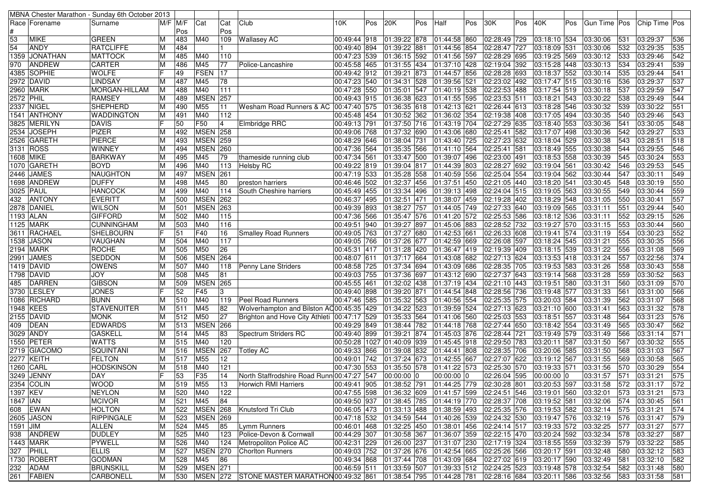|           |                   | MBNA Chester Marathon - Sunday 6th October 2013 |   |          |                 |                |                                                        |              |     |                                                                          |     |                                   |     |              |     |              |     |                |                 |               |     |
|-----------|-------------------|-------------------------------------------------|---|----------|-----------------|----------------|--------------------------------------------------------|--------------|-----|--------------------------------------------------------------------------|-----|-----------------------------------|-----|--------------|-----|--------------|-----|----------------|-----------------|---------------|-----|
|           | Race   Forename   | Surname                                         |   | M/F  M/F | Cat             | Cat            | Club                                                   | 10K          | Pos | 20K                                                                      | Pos | Half                              | Pos | 30K          | Pos | 40K          | Pos | Gun Time   Pos |                 | Chip Time Pos |     |
|           |                   |                                                 |   | Pos      |                 | Pos            |                                                        |              |     |                                                                          |     |                                   |     |              |     |              |     |                |                 |               |     |
| 53        | <b>MIKE</b>       | <b>GREEN</b>                                    | м | 483      | M40             | 109            | <b>Wallasey AC</b>                                     | 00:49:44 918 |     | 01:39:22 878                                                             |     | 01:44:58 860                      |     | 02:28:49 729 |     | 03:18:10 534 |     | 03:30:06       | 531             | 03:29:37      | 536 |
| 54        | <b>ANDY</b>       | <b>RATCLIFFE</b>                                |   | 484      |                 |                |                                                        | 00:49:40 894 |     | 01:39:22 881                                                             |     | 01:44:56 854                      |     | 02:28:47 727 |     | 03:18:09 531 |     | 03:30:06       | 532             | 03:29:35      | 535 |
| 1359      | <b>JONATHAN</b>   | <b>MATTOCK</b>                                  |   | 485      | M40             | 110            |                                                        | 00:47:23 539 |     | 01:36:15                                                                 | 592 | 01:41:56 597                      |     | 02:28:29 695 |     | 03:19:25 569 |     | 03:30:12       | 533             | 03:29:46      | 542 |
| 970       | ANDREW            | <b>CARTER</b>                                   |   | 486      | M45             | 77             | Police-Lancashire                                      | 00:45:58 465 |     | 01:31:55 434                                                             |     | 01:37:10 428                      |     | 02:19:04 392 |     | 03:15:28 448 |     | 03:30:13       | 534             | 03:29:41      | 539 |
| 4385      | SOPHIE            | <b>WOLFE</b>                                    |   | 49       | <b>FSEN</b>     | 17             |                                                        | 00:49:42 912 |     | 01:39:21                                                                 | 873 | 01:44:57 856                      |     | 02:28:28 693 |     | 03:18:37 552 |     | 03:30:14       | 535             | 03:29:44      | 541 |
|           | 2972 DAVID        | LINDSAY                                         |   | 487      | M45             | 78             |                                                        | 00:47:23 540 |     | 01:34:31                                                                 | 528 | 01:39:56 521                      |     | 02:23:02 492 |     | 03:17:47 515 |     | 03:30:16       | 536             | 03:29:37      | 537 |
|           | 2960 MARK         | MORGAN-HILLAM                                   | м | 488      | M40             | 111            |                                                        | 00:47:28 550 |     | 01:35:01                                                                 | 547 | 01:40:19 538                      |     | 02:22:53 488 |     | 03:17:54 519 |     | 03:30:18       | 537             | 03:29:59      | 547 |
| 2572 PHIL |                   | <b>RAMSEY</b>                                   |   | 489      | <b>MSEN</b>     | 257            |                                                        | 00:49:43 915 |     | 01:36:38 623                                                             |     | 01:41:55 595                      |     | 02:23:53 511 |     | 03:18:21 543 |     | 03:30:22       | 538             | 03:29:49      | 544 |
| 2337      | <b>NIGEL</b>      | <b>SHEPHERD</b>                                 |   | 490      | M55             | 11             | Wesham Road Runners & AC                               | 00:47:40 575 |     | 01:36:35                                                                 | 618 | 01:42:13 621                      |     | 02:26:44 613 |     | 03:18:28 546 |     | 03:30:32       | 539             | 03:30:22      | 551 |
|           | 1541 ANTHONY      | <b>WADDINGTON</b>                               | M | 491      | M40             | 112            |                                                        | 00:45:48 454 |     | 01:30:52 362                                                             |     | 01:36:02 354                      |     | 02:19:38 408 |     | 03:17:05 494 |     | 03:30:35       | 540             | 03:29:46      | 543 |
|           | 3825 MERILYN      | <b>DAVIS</b>                                    |   | 50       | F50             | $\overline{4}$ | Elmbridge RRC                                          | 00:49:13 791 |     | 01:37:50 716                                                             |     | 01:43:19 704                      |     | 02:27:29 635 |     | 03:18:40 553 |     | 03:30:36       | 541             | 03:30:05      | 548 |
|           | 2534 JOSEPH       | <b>PIZER</b>                                    | M | 492      | <b>MSEN 258</b> |                |                                                        | 00:49:06 768 |     | $\overline{01:}37:32$ 690                                                |     | 01:43:06 680                      |     | 02:25:41 582 |     | 03:17:07 498 |     | 03:30:36       | 542             | 03:29:27      | 533 |
|           | 2526  GARETH      | <b>PIERCE</b>                                   |   | 493      | <b>MSEN</b>     | 259            |                                                        | 00:48:29 646 |     | 01:38:04                                                                 | 731 | 01:43:40 725                      |     | 02:27:23 632 |     | 03:18:04 529 |     | 03:30:38       | 543             | 03:28:51      | 518 |
|           | 3131 ROSS         | <b>WINNEY</b>                                   |   | 494      | <b>MSEN 260</b> |                |                                                        | 00:47:36 564 |     | 01:35:35                                                                 | 566 | 01:41:10 564                      |     | 02:25:41 581 |     | 03:18:49 555 |     | 03:30:38       | 544             | 03:29:55      | 546 |
|           | 1608 MIKE         | <b>BARKWAY</b>                                  | м | 495      | M45             | 79             | thameside running club                                 | 00:47:34 561 |     | 01:33:47 500                                                             |     | 01:39:07 496                      |     | 02:23:00 491 |     | 03:18:53 558 |     | 03:30:39       | 545             | 03:30:24      | 553 |
|           | 1070  GARETH      | <b>BOYD</b>                                     |   | 496      | M40             | 113            | <b>Helsby RC</b>                                       | 00:49:22 819 |     | 01:39:04                                                                 | 817 | 01:44:39 803                      |     | 02:28:27 692 |     | 03:19:04 561 |     | 03:30:42       | 546             | 03:29:53      | 545 |
| 2446      | <b>JAMES</b>      | <b>NAUGHTON</b>                                 | M | 497      | <b>MSEN 261</b> |                |                                                        | 00:47:19 533 |     | 01:35:28 558                                                             |     | 01:40:59 556                      |     | 02:25:04 554 |     | 03:19:04 562 |     | 03:30:44       | 547             | 03:30:11      | 549 |
|           | 1698 ANDREW       | <b>DUFFY</b>                                    |   | 498      | M45             | 80             | preston harriers                                       | 00:46:46 502 |     | 01:32:37 456                                                             |     | 01:37:51 450                      |     | 02:21:05 440 |     | 03:18:20 541 |     | 03:30:45       | 548             | 03:30:19      | 550 |
|           | 3025  PAUL        | <b>HANCOCK</b>                                  |   | 499      | M40             | 114            | South Cheshire harriers                                | 00:45:49 455 |     | 01:33:34                                                                 | 496 | 01:39:13 498                      |     | 02:24:04 515 |     | 03:19:05 563 |     | 03:30:55       | 549             | 03:30:44      | 559 |
| 432       | <b>ANTONY</b>     | <b>EVERITT</b>                                  |   | 500      | <b>MSEN 262</b> |                |                                                        | 00:46:37 495 |     | 01:32:51                                                                 | 471 | 01:38:07 459                      |     | 02:19:28 402 |     | 03:18:29 548 |     | 03:31:05       | 550             | 03:30:41      | 557 |
|           | 2878 DANIEL       | <b>WILSON</b>                                   |   | 501      | <b>MSEN</b>     | 263            |                                                        | 00:49:39 893 |     | 01:38:27 757                                                             |     | 01:44:05 749                      |     | 02:27:33 640 |     | 03:19:09 565 |     | 03:31:11       | 551             | 03:29:44      | 540 |
|           | 1193  ALAN        | <b>GIFFORD</b>                                  |   | 502      | M40             | 115            |                                                        | 00:47:36 566 |     | 01:35:47 576                                                             |     | 01:41:20 572                      |     | 02:25:53 586 |     | 03:18:12 536 |     | 03:31:11       | 552             | 03:29:15      | 526 |
|           | <b>1125 MARK</b>  | <b>CUNNINGHAM</b>                               | M | 503      | M40             | 116            |                                                        | 00:49:51 940 |     | 01:39:27                                                                 | 897 | 01:45:06 883                      |     | 02:28:52 732 |     | 03:19:27 570 |     | 03:31:15       | 553             | 03:30:44      | 560 |
|           | 3611 RACHAEL      | <b>SHELBOURN</b>                                |   | 51       | F40             | 16             | <b>Smalley Road Runners</b>                            | 00:49:05 763 |     | 01:37:27 680                                                             |     | 01:42:53 661                      |     | 02:26:33 608 |     | 03:19:41 574 |     | 03:31:19       | 554             | 03:30:23      | 552 |
| 1538      | <b>JASON</b>      | VAUGHAN                                         |   | 504      | M40             | 117            |                                                        | 00:49:05 766 |     | 01:37:26 677                                                             |     | 01:42:59 669                      |     | 02:26:08 597 |     | 03:18:24 545 |     | 03:31:21       | 555             | 03:30:35      | 556 |
|           | 2194 MARK         | <b>ROCHE</b>                                    |   | 505      | M50             | 26             |                                                        | 00:45:31 417 |     | 01:31:28                                                                 | 420 | 01:36:47 419                      |     | 02:19:39 409 |     | 03:18:15 539 |     | 03:31:22       | 556             | 03:31:08      | 569 |
| 2991      | <b>JAMES</b>      | <b>SEDDON</b>                                   |   | 506      | <b>MSEN</b>     | 264            |                                                        | 00:48:07 611 |     | 01:37:17 664                                                             |     | 01:43:08 682                      |     | 02:27:13 624 |     | 03:13:53 418 |     | 03:31:24       | 557             | 03:22:56      | 374 |
|           | 1419 DAVID        | <b>OWENS</b>                                    | М | 507      | M40             | 118            | Penny Lane Striders                                    | 00:48:58 725 |     | 01:37:34 694                                                             |     | 01:43:09 686                      |     | 02:28:35 705 |     | 03:19:53 583 |     | 03:31:26       | 558             | 03:30:43      | 558 |
|           | 1798 DAVID        | <b>JOY</b>                                      |   | 508      | M45             | 81             |                                                        | 00:49:03 755 |     | 01:37:36                                                                 | 697 | 01:43:12 690                      |     | 02:27:37 643 |     | 03:19:14 568 |     | 03:31:28       | 559             | 03:30:52      | 563 |
| 485       | DARREN            | <b>GIBSON</b>                                   |   | 509      | <b>MSEN</b>     | 265            |                                                        | 00:45:55 461 |     | 01:32:02 438                                                             |     | 01:37:19 434                      |     | 02:21:10 443 |     | 03:19:51 580 |     | 03:31:31       | 560             | 03:31:09      | 570 |
| 3730      | <b>LESLEY</b>     | <b>JONES</b>                                    |   | 52       | F45             | 3              |                                                        | 00:49:40 898 |     | 01:39:20                                                                 | 871 | 01:44:54 848                      |     | 02:28:56 736 |     | 03:19:48 577 |     | 03:31:33       | 56 <sup>2</sup> | 03:31:00      | 566 |
| 1086      | RICHARD           | <b>BUNN</b>                                     |   | 510      | M40             | 119            | <b>Peel Road Runners</b>                               | 00:47:46 585 |     | 01:35:32 563                                                             |     | 01:40:56 554                      |     | 02:25:35 575 |     | 03:20:03 584 |     | 03:31:39       | 562             | 03:31:07      | 568 |
|           | 1948 KEES         | <b>STAVENUITER</b>                              | M | 511      | M45             | 82             | Wolverhampton and Bilston AC00:45:35 429               |              |     | 01:34:22                                                                 | 523 | 01:39:59 524                      |     | 02:27:13 623 |     | 03:21:10 600 |     | 03:31:41       | 563             | 03:31:32      | 578 |
| 2155      | DAVID             | <b>MONK</b>                                     |   | 512      | M50             | 27             | Brighton and Hove City Athleti                         | 00:47:17 529 |     | 01:35:33                                                                 | 564 | 01:41:06 560                      |     | 02:25:03 553 |     | 03:18:51 557 |     | 03:31:48       | 564             | 03:31:23      | 576 |
| 409       | DEAN              | <b>EDWARDS</b>                                  |   | 513      | <b>MSEN</b>     | 266            |                                                        | 00:49:29 849 |     | 01:38:44                                                                 | 782 | 01:44:18 768                      |     | 02:27:44 650 |     | 03:18:42 554 |     | 03:31:49       | 565             | 03:30:47      | 562 |
|           | 3029 ANDY         | <b>GASKELL</b>                                  |   | 514      | M45             | 83             | Spectrum Striders RC                                   | 00:49:40 899 |     | 01:39:21                                                                 | 874 | 01:45:03 876                      |     | 02:28:44 721 |     | 03:19:49 579 |     | 03:31:49       | 566             | 03:31:14      | 571 |
| 1550      | PETER             | <b>WATTS</b>                                    |   | 515      | M40             | 120            |                                                        |              |     | 00:50:28 1027 01:40:09                                                   | 939 | 01:45:45 918                      |     | 02:29:50 783 |     | 03:20:11 587 |     | 03:31:50       | 567             | 03:30:32      | 555 |
| 2719      | <b>GIACOMO</b>    | <b>SQUINTANI</b>                                |   | 516      | <b>MSEN</b>     | 267            | <b>Totley AC</b>                                       | 00:49:33 866 |     | 01:39:08                                                                 | 832 | 01:44:41 808                      |     | 02:28:35 706 |     | 03:20:06 585 |     | 03:31:50       | 568             | 03:31:03      | 567 |
|           | <b>2277 KEITH</b> | <b>FELTON</b>                                   |   | 517      | M55             | 12             |                                                        | 00:49:01 742 |     | 01:37:24 673                                                             |     | 01:42:55 667                      |     | 02:27:07 622 |     | 03:19:12 567 |     | 03:31:55       | 569             | 03:30:58      | 565 |
|           | 1260 CARL         | <b>HODSKINSON</b>                               |   | 518      | M40             | 121            |                                                        | 00:47:30 553 |     | 01:35:50 578                                                             |     | 01:41:22 573                      |     | 02:25:30 570 |     | 03:19:33 571 |     | 03:31:56       | 570             | 03:30:29      | 554 |
|           | 3249 JENNY        | DAY                                             |   | 53       | F35             | 14             | North Staffrodshire Road Runn 00:47:27 547             |              |     | 00:00:00 0                                                               |     | $00:00:00$ 0                      |     | 02:26:04 595 |     | 00:00:00 0   |     | 03:31:57       | 571             | 03:31:21      | 575 |
|           | 2354 COLIN        | <b>WOOD</b>                                     | M | 519      | M55             | 13             | <b>Horwich RMI Harriers</b>                            | 00:49:41 905 |     | 01:38:52 791 01:44:25 779 02:30:28 801 03:20:53 597                      |     |                                   |     |              |     |              |     | 03:31:58       | 572             | 03:31:17      | 572 |
| 1397 KEV  |                   | <b>NEYLON</b>                                   | М | 520      | M40             | 122            |                                                        | 00:47:55 598 |     | 01:36:32 609                                                             |     | $\vert$ 01:41:57 599 02:24:51 546 |     |              |     | 03:19:01 560 |     | 03:32:01       | 573             | 03:31:21      | 573 |
| 1847 IAN  |                   | <b>MCIVOR</b>                                   | M | 521      | M45             | 84             |                                                        | 00:49:50 937 |     | 01:38:45 785                                                             |     | 01:44:19 770 02:28:37 708         |     |              |     | 03:19:52 581 |     | 03:32:06       | 574             | 03:30:45      | 561 |
|           | 608 EWAN          | <b>HOLTON</b>                                   | M | 522      | <b>MSEN</b> 268 |                | Knutsford Tri Club                                     | 00:46:05 473 |     | 01:33:13 488                                                             |     | 01:38:59 493                      |     | 02:25:35 576 |     | 03:19:53 582 |     | 03:32:14       | 575             | 03:31:21      | 574 |
|           | 2605 JASON        | RIPPINGALE                                      | M | 523      | <b>MSEN 269</b> |                |                                                        |              |     | 00:47:18 532 01:34:59 544                                                |     | 01:40:26 539 02:24:32 530         |     |              |     | 03:19:47 576 |     | 03:32:19       | 576             | 03:31:47      | 579 |
| 1591 JIM  |                   | <b>ALLEN</b>                                    | M | 524      | M45             | 85             | Lymm Runners                                           | 00:46:01 468 |     | 01:32:25 450                                                             |     | 01:38:01 456 02:24:14 517         |     |              |     | 03:19:33 572 |     | 03:32:25       | 577             | 03:31:27      | 577 |
|           | 938 ANDREW        | <b>DUDLEY</b>                                   | M | 525      | M40             | 123            | Police-Devon & Cornwall                                | 00:44:29 307 |     | 01:30:58 367                                                             |     | 01:36:07 359                      |     | 02:22:15 470 |     | 03:20:24 592 |     | 03:32:34       | 578             | 03:32:27      | 587 |
|           | 1443 MARK         | PYWELL                                          | M | 526      | M40             | 124            | Metropoliton Police AC                                 | 00:42:31 229 |     | 01:26:00 237                                                             |     | 01:31:07 230 02:17:19 324         |     |              |     | 03:18:55 559 |     | 03:32:39       | 579             | 03:32:22      | 585 |
| 327       | PHILL             | <b>ELLIS</b>                                    | M | 527      | <b>MSEN 270</b> |                | <b>Chorlton Runners</b>                                | 00:49:03 752 |     | $\sqrt{01:}37:26$ 676                                                    |     | 01:42:54 665 02:25:26 566         |     |              |     | 03:20:17 591 |     | 03:32:48       | 580             | 03:32:12      | 583 |
|           | 1730 ROBERT       | <b>GODMAN</b>                                   | M | 528      | M45             | 86             |                                                        | 00:49:34 868 |     | $01:37:44$ 708                                                           |     | 01:43:09 684                      |     | 02:27:02 619 |     | 03:20:17 590 |     | 03:32:49       | 581             | 03:32:10      | 582 |
| 232       | <b>ADAM</b>       | <b>BRUNSKILL</b>                                | M | 529      | <b>MSEN</b> 271 |                |                                                        | 00:46:59 511 |     | 01:33:59 507                                                             |     | 01:39:33 512 02:24:25 523         |     |              |     | 03:19:48 578 |     | 03:32:54       | 582             | 03:31:48      | 580 |
|           | 261 FABIEN        | CARBONELL                                       | M |          |                 |                | 530   MSEN   272   STONE MASTER MARATHON00:49:32   861 |              |     | $\vert$ 01:38:54 795 01:44:28 781 02:28:16 684 03:20:11 586 03:32:56 583 |     |                                   |     |              |     |              |     |                |                 | 03:31:58      | 581 |
|           |                   |                                                 |   |          |                 |                |                                                        |              |     |                                                                          |     |                                   |     |              |     |              |     |                |                 |               |     |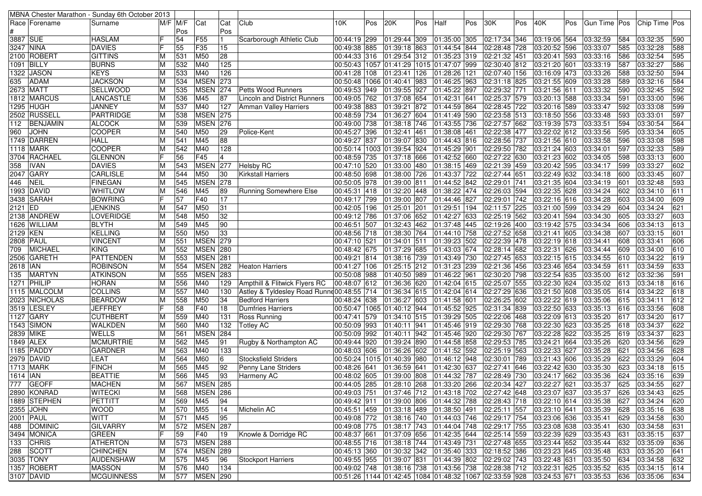|           |                  | MBNA Chester Marathon - Sunday 6th October 2013 |   |            |                 |                 |                                            |                                  |     |                           |     |                                                                                  |     |              |     |                              |     |                      |     |                      |     |
|-----------|------------------|-------------------------------------------------|---|------------|-----------------|-----------------|--------------------------------------------|----------------------------------|-----|---------------------------|-----|----------------------------------------------------------------------------------|-----|--------------|-----|------------------------------|-----|----------------------|-----|----------------------|-----|
|           | Race Forename    | Surname                                         |   | M/F  M/F   | Cat             | Cat             | Club                                       | 10K                              | Pos | 20K                       | Pos | Half                                                                             | Pos | 30K          | Pos | 40K                          | Pos | Gun Time Pos         |     | Chip Time Pos        |     |
|           |                  |                                                 |   | Pos        |                 | Pos             |                                            |                                  |     |                           |     |                                                                                  |     |              |     |                              |     |                      |     |                      |     |
| 3887 SUE  |                  | <b>HASLAM</b>                                   |   | 54         | F <sub>55</sub> | $\blacksquare$  | Scarborough Athletic Club                  | 00:44:19 299                     |     | 01:29:44 309              |     | 01:35:00 305                                                                     |     | 02:17:34 346 |     | 03:19:06 564                 |     | 03:32:59             | 584 | 03:32:35             | 590 |
| 3247 NINA |                  | <b>DAVIES</b>                                   |   | 55         | F35             | 15              |                                            | 00:49:38 885                     |     | 01:39:18 863              |     | 01:44:54 844                                                                     |     | 02:28:48 728 |     | 03:20:52 596                 |     | 03:33:07             | 585 | 03:32:28             | 588 |
|           | 2100 ROBERT      | <b>GITTINS</b>                                  |   | 531        | M50             | 28              |                                            | 00:44:33 316                     |     | 01:29:54 312              |     | 01:35:23 319                                                                     |     | 02:21:32 451 |     | 03:20:41 593                 |     | 03:33:16             | 586 | 03:32:54             | 595 |
|           | 1091 BILLY       | <b>BURNS</b>                                    | M | 532        | M40             | 125             |                                            |                                  |     |                           |     | 00:50:43   1057   01:41:29   1015   01:47:07   999                               |     | 02:30:40 812 |     | 03:21:20 601                 |     | 03:33:19             | 587 | 03:32:27             | 586 |
| 1322      | <b>JASON</b>     | <b>KEYS</b>                                     | М | 533        | M40             | 126             |                                            | 00:41:28 108                     |     | 01:23:41                  | 126 | 01:28:26 121                                                                     |     | 02:07:40 156 |     | 03:16:09 473                 |     | 03:33:26             | 588 | 03:32:50             | 594 |
| 635       | <b>ADAM</b>      | <b>JACKSON</b>                                  |   | 534        | <b>MSEN 273</b> |                 |                                            | 00:50:48 1066 01:40:41           |     |                           | 983 | 01:46:25 963                                                                     |     | 02:31:18 825 |     | 03:21:55 609                 |     | 03:33:28             | 589 | 03:32:16             | 584 |
|           | 2673 MATT        | <b>SELLWOOD</b>                                 | M | 535        | <b>MSEN</b>     | 274             | Petts Wood Runners                         | 00:49:53 949                     |     | 01:39:55                  | 927 | 01:45:22 897                                                                     |     | 02:29:32 771 |     | 03:21:56 611                 |     | 03:33:32             | 590 | 03:32:45             | 592 |
|           | 1812 MARCUS      | <b>LANCASTLE</b>                                |   | 536        | M45             | 87              | Lincoln and District Runners               | 00:49:05 762                     |     | 01:37:08 654              |     | 01:42:31 641                                                                     |     | 02:25:37 579 |     | 03:20:13 588                 |     | 03:33:34             | 591 | 03:33:00             | 596 |
| 1295      | <b>HUGH</b>      | JANNEY                                          | М | 537        | M40             | 127             | Amman Valley Harriers                      | 00:49:38 883                     |     | 01:39:21                  | 872 | 01:44:59 864                                                                     |     | 02:28:45 722 |     | 03:20:16 589                 |     | 03:33:47             | 592 | 03:33:08             | 599 |
|           | 2502 RUSSELL     | PARTRIDGE                                       | м | 538        | <b>MSEN 275</b> |                 |                                            | 00:48:59 734                     |     | 01:36:27 604              |     | 01:41:49 590                                                                     |     | 02:23:58 513 |     | 03:18:50 556                 |     | 03:33:48             | 593 | 03:33:01             | 597 |
| 112       | <b>BENJAMIN</b>  | <b>ALCOCK</b>                                   |   | 539        | <b>MSEN 276</b> |                 |                                            | 00:49:00 738                     |     | 01:38:18 746              |     | 01:43:55 736                                                                     |     | 02:27:57 662 |     | 03:19:39 573                 |     | 03:33:51             | 594 | 03:30:54             | 564 |
| 960       | <b>JOHN</b>      | <b>COOPER</b>                                   | М | 540        | M50             | 29              | Police-Kent                                | 00:45:27 396                     |     | 01:32:41                  | 461 | 01:38:08 461                                                                     |     | 02:22:38 477 |     | 03:22:02 612                 |     | 03:33:56             | 595 | 03:33:34             | 605 |
|           | 1749 DARREN      | <b>HALL</b>                                     | M | 541        | M45             | 88              |                                            | 00:49:27 837                     |     | 01:39:07 830              |     | 01:44:43 816                                                                     |     | 02:28:56 737 |     | 03:21:56 610                 |     | 03:33:58             | 596 | 03:33:08             | 598 |
|           | <b>1118 MARK</b> | <b>COOPER</b>                                   |   | 542        | M40             | 128             |                                            | 00:50:14 1003 01:39:54 924       |     |                           |     | 01:45:29 901                                                                     |     | 02:29:50 782 |     | 03:21:24 603                 |     | 03:34:01             | 597 | 03:32:33             | 589 |
|           | 3704 RACHAEL     | <b>GLENNON</b>                                  |   | 56         | F45             | $\overline{4}$  |                                            | 00:48:59 735                     |     | 01:37:18                  | 666 | 01:42:52 660                                                                     |     | 02:27:22 630 |     | 03:21:23 602                 |     | 03:34:05             | 598 | 03:33:13             | 600 |
| 358       | IVAN             | <b>DAVIES</b>                                   | м | 543        | <b>MSEN</b>     | 277             | <b>Helsby RC</b>                           | 00:47:10 520                     |     | 01:33:00                  | 480 | 01:38:15 469                                                                     |     | 02:21:39 459 |     | 03:20:42 595                 |     | 03:34:17             | 599 | 03:33:27             | 602 |
| 2047      | <b>GARY</b>      | <b>CARLISLE</b>                                 | M | 544        | M50             | 30              | <b>Kirkstall Harriers</b>                  | 00:48:50 698                     |     | 01:38:00 726              |     | 01:43:37 722                                                                     |     | 02:27:44 651 |     | 03:22:49 632                 |     | 03:34:18             | 600 | 03:33:45             | 607 |
| 446       | <b>NEIL</b>      | <b>FINEGAN</b>                                  | м | 545        | <b>MSEN 278</b> |                 |                                            | 00:50:05 978                     |     | $\overline{01:}39:00$ 811 |     | 01:44:52 842                                                                     |     | 02:29:01 741 |     | 03:21:35 604                 |     | 03:34:19             | 601 | 03:32:48             | 593 |
|           | 1993 DAVID       | WHITLOW                                         |   | 546        | M45             | 89              | <b>Running Somewhere Else</b>              | 00:45:31 418                     |     | 01:32:20                  | 448 | 01:38:22 474                                                                     |     | 02:26:03 594 |     | 03:22:35 628                 |     | 03:34:24             | 602 | 03:34:10             | 611 |
| 3438      | <b>SARAH</b>     | <b>BOWRING</b>                                  |   | 57         | F40             | $\overline{17}$ |                                            | 00:49:17 799                     |     | 01:39:00 807              |     | 01:44:46 827                                                                     |     | 02:29:01 742 |     | 03:22:16 616                 |     | 03:34:28             | 603 | 03:34:00             | 609 |
| 2121 ED   |                  | <b>JENKINS</b>                                  | M | 547        | M50             | 31              |                                            | 00:42:05 196                     |     | 01:25:01                  | 201 | 01:29:51 194                                                                     |     | 02:11:57 225 |     | 03:21:00 599                 |     | 03:34:29             | 604 | 03:34:24             | 621 |
|           | 2138  ANDREW     | LOVERIDGE                                       |   | 548        | M50             | 32              |                                            | 00:49:12 786                     |     | 01:37:06 652              |     | 01:42:27 633                                                                     |     | 02:25:19 562 |     | 03:20:41 594                 |     | 03:34:30             | 605 | 03:33:27             | 603 |
|           | 1626 WILLIAM     | <b>BLYTH</b>                                    |   | 549        | M45             | 90              |                                            | 00:46:51 507                     |     | 01:32:43 462              |     | 01:37:48 445                                                                     |     | 02:19:26 400 |     | 03:19:42 575                 |     | 03:34:34             | 606 | 03:34:13             | 613 |
| 2129 KEN  |                  | <b>KELLING</b>                                  |   | 550        | M50             | 33              |                                            | 00:48:56 718                     |     | 01:38:30 764              |     | 01:44:10 758                                                                     |     | 02:27:52 658 |     | 03:21:41 605                 |     | 03:34:38             | 607 | 03:33:15             | 601 |
|           | 2808   PAUL      | <b>VINCENT</b>                                  |   | 551        | <b>MSEN 279</b> |                 |                                            | 00:47:10 521                     |     | 01:34:01                  | 511 | 01:39:23 502                                                                     |     | 02:22:39 478 |     | 03:22:19 618                 |     | 03:34:41             | 608 | 03:33:41             | 606 |
| 709       | MICHAEL          | <b>KING</b>                                     | M | 552        | <b>MSEN 280</b> |                 |                                            | 00:48:42 675                     |     | 01:37:29 685              |     | 01:43:03 674                                                                     |     | 02:28:14 682 |     | 03:22:31 626                 |     | 03:34:44             | 609 | 03:34:00             | 610 |
|           | 2506 GARETH      | <b>PATTENDEN</b>                                | M | 553        | <b>MSEN</b> 281 |                 |                                            | 00:49:21 814                     |     | 01:38:16 739              |     | 01:43:49 730                                                                     |     | 02:27:45 653 |     | 03:22:15 615                 |     | 03:34:55             | 610 | 03:34:22             | 619 |
| 2618 IAN  |                  | <b>ROBINSON</b>                                 |   | 554        | <b>MSEN 282</b> |                 | <b>Heaton Harriers</b>                     | 00:41:27 106                     |     | 01:25:15 212              |     | 01:31:23 239                                                                     |     | 02:21:36 456 |     | 03:23:46 654                 |     | 03:34:59             | 611 | 03:34:59             | 633 |
| 135       | <b>MARTYN</b>    | <b>ATKINSON</b>                                 | M | 555        | <b>MSEN 283</b> |                 |                                            | 00:50:08 988                     |     | 01:40:50 989              |     | 01:46:22 961                                                                     |     | 02:30:20 798 |     | 03:22:54 635                 |     | 03:35:00             | 612 | 03:32:36             | 591 |
|           | 1271 PHILIP      | <b>HORAN</b>                                    | M | 556        | M40             | 129             | Ampthill & Flitwick Flyers RC              | 00:48:07 612                     |     | 01:36:36 620              |     | 01:42:04 615                                                                     |     | 02:25:07 555 |     | 03:22:30 624                 |     | 03:35:02             | 613 | 03:34:18             | 616 |
|           | 1115 MALCOLM     | <b>COLLINS</b>                                  |   | 557        | M40             | 130             | Astley & Tyldesley Road Runne 00:48:55 714 |                                  |     | 01:36:34 615              |     | 01:42:04 614                                                                     |     | 02:27:29 636 |     | 03:21:50 608                 |     | 03:35:05             | 614 | 03:34:22             | 618 |
|           | 2023 NICHOLAS    | <b>BEARDOW</b>                                  |   | 558        | M50             | 34              | <b>Bedford Harriers</b>                    | 00:48:24 638                     |     | 01:36:27                  | 603 | 01:41:58 601                                                                     |     | 02:26:25 602 |     | 03:22:22 619                 |     | 03:35:06             | 615 | 03:34:11             | 612 |
| 3519      | LESLEY           | <b>JEFFREY</b>                                  |   | 58         | F40             | 18              | Dumfries Harriers                          | 00:50:47   1065   01:40:12   944 |     |                           |     | 01:45:52 925                                                                     |     | 02:31:34 839 |     | 03:22:50 633                 |     | 03:35:13             | 616 | 03:33:56             | 608 |
| 1127      | <b>GARY</b>      | <b>CUTHBERT</b>                                 | м | 559        | M40             | 131             | <b>Ross Running</b>                        | 00:47:41 579                     |     | 01:34:10 515              |     | 01:39:29 505                                                                     |     | 02:22:06 468 |     | 03:22:09 613                 |     | 03:35:20             | 617 | 03:34:20             | 617 |
|           | 1543 SIMON       | <b>WALKDEN</b>                                  | M | 560        | M40             | 132             | <b>Totley AC</b>                           | 00:50:09 993                     |     | 01:40:11                  | 941 | 01:45:46 919                                                                     |     | 02:29:30 768 |     | 03:22:30 623                 |     | 03:35:25             | 618 | 03:34:37             | 622 |
|           | 2839 MIKE        | <b>WELLS</b>                                    |   | 561        | <b>MSEN 284</b> |                 |                                            | 00:50:09 992                     |     | 01:40:11                  | 942 | 01:45:46 920                                                                     |     | 02:29:30 767 |     | 03:22:28 622                 |     | 03:35:25             | 619 | 03:34:37             | 623 |
|           | 1849 ALEX        | <b>MCMURTRIE</b>                                | M | 562        | M45             | 91              | Rugby & Northampton AC                     | 00:49:44 920                     |     | 01:39:24 890              |     | 01:44:58 858                                                                     |     | 02:29:53 785 |     | 03:24:21 664                 |     | 03:35:26             | 620 | 03:34:56             | 629 |
|           | 1185 PADDY       | <b>GARDNER</b>                                  |   | 563        | M40             | 133             |                                            | 00:48:03 606                     |     | 01:36:26                  | 602 | 01:41:52 592                                                                     |     | 02:25:19 563 |     | 03:22:33 627                 |     | 03:35:28             | 621 | 03:34:56             | 628 |
|           | 2979 DAVID       | LEAT                                            | м | 564        | M60             | 6               | <b>Stocksfield Striders</b>                | 00:50:24 1015 01:40:39           |     |                           | 980 | 01:46:12 948                                                                     |     | 02:30:01 789 |     | 03:21:43 606                 |     | 03:35:29             | 622 | 03:33:29             | 604 |
|           | 1713 MARK        | <b>FINCH</b>                                    |   | 565        | M45             | 92              | Penny Lane Striders                        | 00:48:26 641                     |     | 01:36:59                  | 641 | 01:42:30 637                                                                     |     | 02:27:41 646 |     | 03:22:42 630                 |     | 03:35:30             | 623 | 03:34:18             | 615 |
| 1614  IAN |                  | <b>BEATTIE</b>                                  |   | 566        | M45             | 93              | Harmeny AC                                 | 00:48:02 605                     |     | 01:39:00 808              |     | 01:44:32 787                                                                     |     | 02:28:49 730 |     | 03:24:17 662                 |     | 03:35:36             | 624 | 03:35:16             | 639 |
|           | 777 GEOFF        | <b>MACHEN</b>                                   | М | 567        | <b>MSEN 285</b> |                 |                                            |                                  |     |                           |     | 00:44:05 285 01:28:10 268 01:33:20 266 02:20:34 427 03:22:27 621                 |     |              |     |                              |     | 03:35:37             | 625 | 03:34:55             | 627 |
|           | 2890 KONRAD      | <b>WITECKI</b>                                  | М | 568        | <b>MSEN 286</b> |                 |                                            | 00:49:03 751                     |     |                           |     | $ 01:37:46 712 01:43:18 702 02:27:42 648 03:23:07 637$                           |     |              |     |                              |     | 03:35:37             | 626 | 03:34:43             | 625 |
|           | 1889 STEPHEN     | <b>PETTITT</b>                                  | M | 569        | M45             | 94              |                                            | 00:49:42 911                     |     |                           |     | 01:39:00  806  01:44:32  788  02:28:43  718                                      |     |              |     | 03:22:10 614 03:35:38        |     |                      | 627 | 03:34:24             | 620 |
|           | 2355 JOHN        | <b>WOOD</b>                                     | м | 570        | M55             | 14              | Michelin AC                                |                                  |     |                           |     | 00:45:51 459 01:33:18 489 01:38:50 491                                           |     | 02:25:11 557 |     | 03:23:10 641                 |     | 03:35:39             | 628 | 03:35:16             | 638 |
|           | 2001 PAUL        | WITT                                            | М |            | M45             | 95              |                                            |                                  |     |                           |     | 00:49:08 772 01:38:16 740 01:44:03 746 02:29:17 754                              |     |              |     | 03:23:06 636                 |     | 03:35:41             | 629 | 03:34:58             | 630 |
|           | 488 DOMINIC      | <b>GILVARRY</b>                                 | M | 571<br>572 | <b>MSEN 287</b> |                 |                                            |                                  |     |                           |     |                                                                                  |     |              |     |                              |     |                      | 630 |                      | 631 |
|           | 3494 MONICA      | <b>GREEN</b>                                    | F | 59         | F40             | 19              | Knowle & Dorridge RC                       | 00:48:37 661                     |     | 01:37:09 656              |     | 00:49:08 775 01:38:17 743 01:44:04 748 02:29:17 755<br>01:42:35 644 02:25:14 559 |     |              |     | 03:23:08 638                 |     | 03:35:41<br>03:35:43 | 631 | 03:34:58<br>03:35:15 | 637 |
| 133       | CHRIS            | <b>ATHERTON</b>                                 | М |            | <b>MSEN 288</b> |                 |                                            |                                  |     |                           |     | 00:48:55 716 01:38:18 744 01:43:49 731                                           |     | 02:27:48 655 |     | 03:22:39 629<br>03:23:44 652 |     | 03:35:44             | 632 | 03:35:09             | 636 |
|           |                  |                                                 |   | 573        |                 |                 |                                            |                                  |     |                           |     |                                                                                  |     |              |     |                              |     |                      |     |                      |     |
|           | 288 SCOTT        | <b>CHINCHEN</b>                                 | М | 574        | <b>MSEN</b> 289 |                 |                                            |                                  |     |                           |     | 00:45:13  360  01:30:32  342  01:35:40  333  02:18:52  386                       |     |              |     | 03:23:23 645                 |     | 03:35:48             | 633 | 03:35:20             | 641 |
|           | 3035 TONY        | <b>AUDENSHAW</b>                                | M | 575        | M45             | 96              | Stockport Harriers                         | 00:49:55 955 01:39:07 831        |     |                           |     | 01:44:39 802 02:29:02 743                                                        |     |              |     | 03:22:48 631                 |     | 03:35:50             | 634 | 03:34:58             | 632 |
|           | 1357 ROBERT      | <b>MASSON</b>                                   | M | 576        | M40             | 134             |                                            |                                  |     |                           |     | 00:49:02 748 01:38:16 738 01:43:56 738 02:28:38 712 03:22:31 625                 |     |              |     |                              |     | 03:35:52             | 635 | 03:34:15             | 614 |
|           | 3107 DAVID       | MCGUINNESS                                      | M | 577        | <b>MSEN 290</b> |                 |                                            |                                  |     |                           |     | 00:51:26  1144  01:42:45  1084  01:48:32  1067  02:33:59  928  03:24:53  671     |     |              |     |                              |     | $ 03:35:53 $ 636     |     | 03:35:06             | 634 |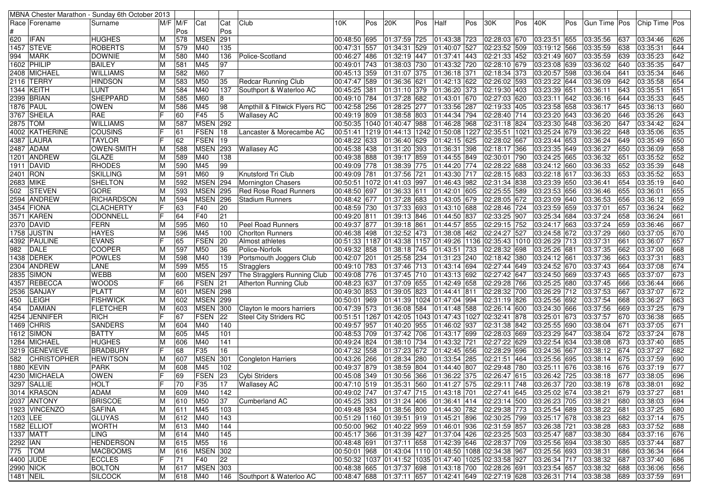|          |                                      | MBNA Chester Marathon - Sunday 6th October 2013 |   |            |                    |                 |                               |                              |     |                            |      |                                                                               |     |              |     |                              |     |                      |            |                      |            |
|----------|--------------------------------------|-------------------------------------------------|---|------------|--------------------|-----------------|-------------------------------|------------------------------|-----|----------------------------|------|-------------------------------------------------------------------------------|-----|--------------|-----|------------------------------|-----|----------------------|------------|----------------------|------------|
|          | Race   Forename                      | Surname                                         |   | M/F IM/F   | Cat                | Cat             | Club                          | 10K                          | Pos | 20K                        | Pos  | Half                                                                          | Pos | 30K          | Pos | 40K                          | Pos | Gun Time   Pos       |            | Chip Time Pos        |            |
|          |                                      |                                                 |   | Pos        |                    | Pos             |                               |                              |     |                            |      |                                                                               |     |              |     |                              |     |                      |            |                      |            |
| 620      | <b>IFAN</b>                          | <b>HUGHES</b>                                   | м | 578        | <b>MSEN</b>        | 291             |                               | 00:48:50 695                 |     | 01:37:59 725               |      | 01:43:38 723                                                                  |     | 02:28:03 670 |     | 03:23:51 655                 |     | 03:35:56             | 637        | 03:34:46             | 626        |
| 1457     | <b>STEVE</b>                         | <b>ROBERTS</b>                                  |   | 579        | M40                | 135             |                               | 00:47:31 557                 |     | 01:34:31                   | 529  | 01:40:07 527                                                                  |     | 02:23:52 509 |     | 03:19:12 566                 |     | 03:35:59             | 638        | 03:35:31             | 644        |
| 994      | <b>MARK</b>                          | <b>DOWNIE</b>                                   |   | 580        | M40                | 136             | Police-Scotland               | 00:46:27 486                 |     | 01:32:19 447               |      | 01:37:41 443                                                                  |     | 02:21:33 452 |     | 03:21:49 607                 |     | 03:35:59             | 639        | 03:35:23             | 642        |
|          | 1602  PHILIP                         | <b>BAILEY</b>                                   | м | 581        | M45                | 97              |                               | 00:49:01 743                 |     | 01:38:03 730               |      | 01:43:32 720                                                                  |     | 02:28:10 679 |     | 03:23:08 639                 |     | 03:36:02             | 640        | 03:35:35             | 647        |
|          | 2408 MICHAEL                         | <b>WILLIAMS</b>                                 | M | 582        | M60                | 17              |                               | 00:45:13 359                 |     | 01:31:07 375               |      | 01:36:18 371                                                                  |     | 02:18:34 373 |     | 03:20:57 598                 |     | 03:36:04             | 641        | 03:35:34             | 646        |
|          | 2116 TERRY                           | <b>HINDSON</b>                                  |   | 583        | M50                | 35              | <b>Redcar Running Club</b>    | 00:47:47 589                 |     | 01:36:36 621               |      | 01:42:13 622                                                                  |     | 02:26:02 593 |     | 03:23:22 644                 |     | 03:36:09             | 642        | 03:35:58             | 654        |
|          | 1344 KEITH                           | LUNT                                            |   | 584        | M40                | 137             | Southport & Waterloo AC       | 00:45:25 381                 |     | 01:31:10 379               |      | 01:36:20 373                                                                  |     | 02:19:30 403 |     | 03:23:39 651                 |     | 03:36:11             | 643        | 03:35:51             | 651        |
|          | 2399 BRIAN                           | <b>SHEPPARD</b>                                 |   | 585        | M60                | 8               |                               | 00:49:10 784                 |     | 01:37:28 682               |      | 01:43:01 670                                                                  |     | 02:27:03 620 |     | 03:23:11 642                 |     | 03:36:16             | 644        | 03:35:33             | 645        |
|          | 1876 PAUL                            | <b>OWEN</b>                                     | м | 586        | M45                | 98              | Ampthill & Flitwick Flyers RC | 00:42:58 256                 |     | 01:28:25                   | 277  | 01:33:56 287                                                                  |     | 02:19:33 405 |     | 03:23:58 658                 |     | 03:36:17             | 645        | 03:36:13             | 660        |
|          | 3767 SHEILA                          | RAE                                             |   | 60         | F45                | 5               | <b>Wallasey AC</b>            | 00:49:19 809                 |     | 01:38:58 803               |      | 01:44:34 794                                                                  |     | 02:28:40 714 |     | 03:23:20 643                 |     | 03:36:20             | 646        | 03:35:26             | 643        |
| 2875 TOM |                                      | <b>WILLIAMS</b>                                 |   | 587        | <b>MSEN 292</b>    |                 |                               |                              |     | 00:50:35 1040 01:40:47     | 988  | 01:46:28 968                                                                  |     | 02:31:18 824 |     | 03:23:30 648                 |     | 03:36:20             | 647        | 03:34:42             | 624        |
|          | 4002 KATHERINE                       | <b>COUSINS</b>                                  |   | 61         | <b>FSEN</b>        | 18              | Lancaster & Morecambe AC      |                              |     |                            |      | 00:51:41  1219  01:44:13  1242  01:50:08  1227  02:35:51  1021                |     |              |     | 03:25:24 679                 |     | 03:36:22             | 648        | 03:35:06             | 635        |
|          | 4387 LAURA                           | <b>TAYLOR</b>                                   |   | 62         | <b>FSEN</b>        | 19              |                               | 00:48:22 633                 |     | 01:36:40 629               |      | 01:42:15 625                                                                  |     | 02:28:02 667 |     | 03:23:44 653                 |     | 03:36:24             | 649        | 03:35:49             | 650        |
|          | 2487 ADAM                            | <b>OWEN-SMITH</b>                               |   | 588        | <b>MSEN</b>        | 293             | <b>Wallasey AC</b>            | 00:45:38 438                 |     | 01:31:20 393               |      | 01:36:31 398                                                                  |     | 02:18:17 366 |     | 03:23:35 649                 |     | 03:36:27             | 650        | 03:36:09             | 658        |
|          | 1201 ANDREW                          | <b>GLAZE</b>                                    |   | 589        | M40                | 138             |                               | 00:49:38 888                 |     | 01:39:17 859               |      | 01:44:55 849                                                                  |     | 02:30:01 790 |     | 03:24:25 665                 |     | 03:36:32             | $65 -$     | 03:35:52             | 652        |
|          | 1911  DAVID                          | RHODES                                          |   | 590        | M45                | 99              |                               | 00:49:09 778                 |     | 01:38:39 775               |      | 01:44:20 774                                                                  |     | 02:28:22 688 |     | 03:24:12 660                 |     | 03:36:33             | 652        | 03:35:39             | 648        |
| 2401 RON |                                      | <b>SKILLING</b>                                 |   | 591        | M60                | 9               | Knutsford Tri Club            | 00:49:09 781                 |     | 01:37:56 721               |      | 01:43:30 717                                                                  |     | 02:28:15 683 |     | 03:22:18 617                 |     | 03:36:33             | 653        | 03:35:52             | 653        |
|          | 2683 MIKE                            | <b>SHELTON</b>                                  |   | 592        | MSEN 294           |                 | Mornington Chasers            | 00:50:51 1072 01:41:03 997   |     |                            |      | 01:46:43 982                                                                  |     | 02:31:34 838 |     | 03:23:39 650                 |     | 03:36:41             | 654        | 03:35:19             | 640        |
| 502      | <b>STEVEN</b>                        | <b>GORE</b>                                     |   | 593        | <b>MSEN 295</b>    |                 | <b>Red Rose Road Runners</b>  | 00:48:50 697                 |     | 01:36:33 611               |      | 01:42:01 605                                                                  |     | 02:25:55 589 |     | 03:23:53 656                 |     | $\sqrt{03:36:46}$    | 655        | 03:36:01             | 655        |
|          | 2594 ANDREW                          | <b>RICHARDSON</b>                               | м | 594        | <b>MSEN</b>        | 296             | <b>Stadium Runners</b>        | 00:48:42 677                 |     | 01:37:28 683               |      | 01:43:05 679                                                                  |     | 02:28:05 672 |     | 03:23:09 640                 |     | 03:36:53             | 656        | 03:36:12             | 659        |
|          | 3454 FIONA                           | <b>CLACHERTY</b>                                |   | 63         | F40                | 20              |                               | 00:48:59 730                 |     | $\boxed{01:37:33}$ 693     |      | $\overline{01:}43:10$ 688                                                     |     | 02:28:46 724 |     | 03:23:59 659                 |     | 03:37:01             | 657        | 03:36:24             | 662        |
|          | 3571  KAREN                          | <b>ODONNELL</b>                                 |   | 64         | F40                | 21              |                               | 00:49:20 811                 |     | 01:39:13 846               |      | 01:44:50 837                                                                  |     | 02:33:25 907 |     | 03:25:34 684                 |     | 03:37:24             | 658        | 03:36:24             | 661        |
|          | 2370 DAVID                           | <b>FERN</b>                                     |   | 595        | M60                | 10              | Peel Road Runners             | 00:49:37 877                 |     | 01:39:18 861               |      | 01:44:57 855                                                                  |     | 02:29:15 752 |     | 03:24:17 663                 |     | 03:37:24             | 659        | 03:36:46             | 667        |
|          | 1758 JUSTIN                          | <b>HAYES</b>                                    |   | 596        | M45                | 100             | <b>Chorlton Runners</b>       | 00:46:38 498                 |     | 01:32:52 473               |      | 01:38:08 462                                                                  |     | 02:24:27 527 |     | 03:24:58 672                 |     | 03:37:29             | 660        | 03:37:05             | 670        |
|          | 4392 PAULINE                         | <b>EVANS</b>                                    |   | 65         | <b>FSEN</b>        | 20              | Almost athletes               |                              |     |                            |      | 00:51:33  1187  01:43:38  1157  01:49:26  1136  02:35:43  1010                |     |              |     | 03:26:29 713                 |     | 03:37:31             | 66         | 03:36:07             | 657        |
| 982      | <b>DALE</b>                          | <b>COOPER</b>                                   | M | 597        | M50                | 36              | Police-Norfolk                | 00:49:32 858                 |     | 01:38:18 745               |      | 01:43:51 733                                                                  |     | 02:28:32 698 |     | 03:25:26 681                 |     | 03:37:35             | 662        | 03:37:00             | 668        |
|          | 1438 DEREK                           | <b>POWLES</b>                                   |   | 598        | M40                | 139             | Portsmouth Joggers Club       | 00:42:07 201                 |     | 01:25:58 234               |      | 01:31:23 240                                                                  |     | 02:18:42 380 |     | 03:24:12 661                 |     | 03:37:36             | 663        | 03:37:31             | 683        |
|          | 2304 ANDREW                          | LANE                                            |   | 599        | M55                | 15              | Stragglers                    | 00:49:10 783                 |     | 01:37:46 713               |      | 01:43:14 694                                                                  |     | 02:27:44 649 |     | 03:24:52 670                 |     | 03:37:43             | 664        | 03:37:08             | 674        |
|          | 2835 SIMON                           | <b>WEBB</b>                                     |   | 600        | <b>MSEN 297</b>    |                 | The Stragglers Running Club   | 00:49:08 776                 |     | 01:37:45 710               |      | 01:43:13 692                                                                  |     | 02:27:42 647 |     | 03:24:50 669                 |     | 03:37:43             | 665        | 03:37:07             | 673        |
|          | 4357 REBECCA                         | <b>WOODS</b>                                    |   | 66         | FSEN               | 21              | Atherton Running Club         | 00:48:23 637                 |     | 01:37:09 655               |      | 01:42:49 658                                                                  |     | 02:29:28 766 |     | 03:25:25 680                 |     | 03:37:45             | 666        | 03:36:44             | 666        |
| 2536     | <b>SANJAY</b>                        | <b>PLATT</b>                                    |   | 601        | <b>MSEN 298</b>    |                 |                               | 00:49:30 853                 |     | 01:39:05                   | 823  | 01:44:41 811                                                                  |     | 02:28:32 700 |     | 03:26:29 712                 |     | 03:37:53             | 667        | 03:37:07             | 672        |
| 450      | <b>LEIGH</b>                         | <b>FISHWICK</b>                                 |   | 602        | <b>MSEN 299</b>    |                 |                               | 00:50:01 969                 |     | 01:41:39                   | 1024 | 01:47:04 994                                                                  |     | 02:31:19 826 |     | 03:25:56 692                 |     | 03:37:54             | 668        | 03:36:27             | 663        |
| 454      | DAMIAN                               | <b>FLETCHER</b>                                 |   | 603        | <b>MSEN</b>        | 300             | Clayton le moors harriers     | 00:47:39 573                 |     | 01:36:08                   | 584  | 01:41:48 588                                                                  |     | 02:26:14 600 |     | 03:24:30 666                 |     | 03:37:56             | 669        | 03:37:25             | 679        |
| 4254     | <b>JENNIFER</b>                      | <b>RICH</b>                                     |   | 67         | <b>FSEN</b>        | 22              | <b>Steel City Striders RC</b> |                              |     | 00:51:51   1267   01:42:05 |      | 1043 01:47:43 1027 02:32:41 878                                               |     |              |     | 03:25:01 673                 |     | 03:37:57             | 670        | 03:36:38             | 665        |
|          |                                      |                                                 |   |            | M40                | 140             |                               |                              |     | 01:40:20 955               |      |                                                                               |     |              |     |                              |     |                      | 671        |                      | 671        |
|          | 1469 CHRIS                           | SANDERS<br><b>BATTY</b>                         |   | 604<br>605 | M45                | 101             |                               | 00:49:57 957                 |     | 01:37:42 706               |      | 01:46:02 937<br>01:43:17 699                                                  |     | 02:31:38 842 |     | 03:25:55 690<br>03:23:29 647 |     | 03:38:04             | 672        | 03:37:05<br>03:37:24 | 678        |
|          | 1612 SIMON                           | <b>HUGHES</b>                                   |   |            | M40                |                 |                               | 00:48:53 709<br>00:49:24 824 |     | 01:38:10 734               |      |                                                                               |     | 02:28:03 669 |     |                              |     | 03:38:04<br>03:38:08 | 673        |                      |            |
|          | 1284  MICHAEL                        |                                                 |   | 606        |                    | 141             |                               |                              |     |                            |      | 01:43:32 721                                                                  |     | 02:27:22 629 |     | 03:22:54 634                 |     |                      |            | 03:37:40             | 685        |
| 582      | 3219 GENEVIEVE<br><b>CHRISTOPHER</b> | <b>BRADBURY</b>                                 |   | 68<br>607  | F35<br><b>MSEN</b> | 16<br>301       |                               | 00:47:32 558                 |     | 01:37:23 672               |      | 01:42:45 656                                                                  |     | 02:28:29 696 |     | 03:24:36 667<br>03:25:56 695 |     | 03:38:12             | 674<br>675 | 03:37:27             | 682<br>690 |
|          |                                      | <b>HEWITSON</b>                                 |   |            |                    |                 | Congleton Harriers            | 00:43:26 266                 |     | 01:28:34 280               |      | 01:33:54 285                                                                  |     | 02:21:51 464 |     |                              |     | 03:38:14             |            | 03:37:59             |            |
|          | 1880 KEVIN                           | <b>PARK</b>                                     |   | 608        | M45                | 102             |                               | 00:49:37 879                 |     | 01:38:59                   | 804  | 01:44:40 807                                                                  |     | 02:29:48 780 |     | 03:25:11 676                 |     | 03:38:16             | 676        | 03:37:19             | 677        |
|          | 4230  MICHAELA                       | <b>OWEN</b>                                     | F | 69         | FSEN               | 23              | Cybi Striders                 | 00:45:08 349                 |     | 01:30:56 366               |      | 01:36:22 375                                                                  |     | 02:26:47 615 |     | 03:26:42 725                 |     | 03:38:18             | 677        | 03:38:05             | 696        |
|          | 3297 SALLIE                          | <b>HOLT</b>                                     |   | 70         | F35                | $\overline{17}$ | <b>Wallasey AC</b>            |                              |     |                            |      | 00:47:10 519 01:35:31 560 01:41:27 575 02:29:11 748 03:26:37 720 03:38:19 678 |     |              |     |                              |     |                      |            | 03:38:01             | 692        |
|          | 3014 KRASON                          | <b>ADAM</b>                                     | M | 609        | M40                | 142             |                               |                              |     |                            |      | 00:49:02 747 01:37:47 715 01:43:18 701 02:27:41 645 03:25:02 674 03:38:21     |     |              |     |                              |     |                      | 679        | 03:37:27             | 681        |
|          | 2037 ANTONY                          | <b>BRISCOE</b>                                  |   | 610        | M50                | 37              | Cumberland AC                 |                              |     |                            |      | 00:45:25  383  01:31:24  406  01:36:41  414  02:23:14  500                    |     |              |     | 03:26:23 705 03:38:21        |     |                      | 680        | 03:38:03             | 694        |
|          | 1923 VINCENZO                        | <b>SAFINA</b>                                   | м | 611        | M45                | 103             |                               |                              |     |                            |      |                                                                               |     |              |     | 03:25:54 689                 |     | 03:38:22             | 681        | 03:37:25             | 680        |
| 1203 LEE |                                      | <b>GLUYAS</b>                                   | M | 612        | M40                | 143             |                               |                              |     |                            |      |                                                                               |     |              |     | 03:25:17 678                 |     | 03:38:23             | 682        | 03:37:14             | 675        |
|          | 1582 ELLIOT                          | <b>WORTH</b>                                    |   | 613        | M40                | 144             |                               | 00:50:00 962 01:40:22 959    |     |                            |      | 01:46:01 936 02:31:59 857                                                     |     |              |     | 03:26:38 721                 |     | 03:38:28             | 683        | 03:37:52             | 688        |
|          | 1337 MATT                            | LING                                            | M | 614        | M40                | 145             |                               |                              |     |                            |      | 00:45:17 366  01:31:39  427  01:37:04  426  02:23:25  503                     |     |              |     | 03:25:47 687                 |     | 03:38:30             | 684        | 03:37:16             | 676        |
| 2292 IAN |                                      | <b>HENDERSON</b>                                | M | 615        | M55                | 16              |                               |                              |     |                            |      | 00:48:48 691  01:37:11  658  01:42:39  646  02:28:37  709                     |     |              |     | 03:25:56 694                 |     | 03:38:30             | 685        | 03:37:44             | 687        |
|          | 775   TOM                            | <b>MACBOOMS</b>                                 | M | 616        | <b>MSEN 302</b>    |                 |                               |                              |     |                            |      | 00:50:01 968 01:43:04 1110 01:48:50 1088 02:34:38 967                         |     |              |     | 03:25:56 693                 |     | 03:38:31             | 686        | 03:36:34             | 664        |
|          | 4400 JUDE                            | <b>ECCLES</b>                                   | F | 71         | F40                | 22              |                               |                              |     |                            |      | 00:50:32  1037  01:41:52  1035  01:47:40  1025  02:33:58  927                 |     |              |     | 03:26:34 717                 |     | 03:38:32             | 687        | 03:37:40             | 686        |
|          | 2990 NICK                            | <b>BOLTON</b>                                   | М | 617        | <b>MSEN 303</b>    |                 |                               |                              |     |                            |      | 00:48:38 665 01:37:37 698 01:43:18 700 02:28:26 691                           |     |              |     | 03:23:54 657                 |     | 03:38:32             | 688        | 03:36:06             | 656        |
|          | 1481 NEIL                            | <b>SILCOCK</b>                                  | M | 618 M40    |                    |                 | 146 Southport & Waterloo AC   |                              |     |                            |      | 00:48:47 688 01:37:11 657 01:42:41 649 02:27:19 628 03:26:31 714 03:38:38 689 |     |              |     |                              |     |                      |            | 03:37:59             | 691        |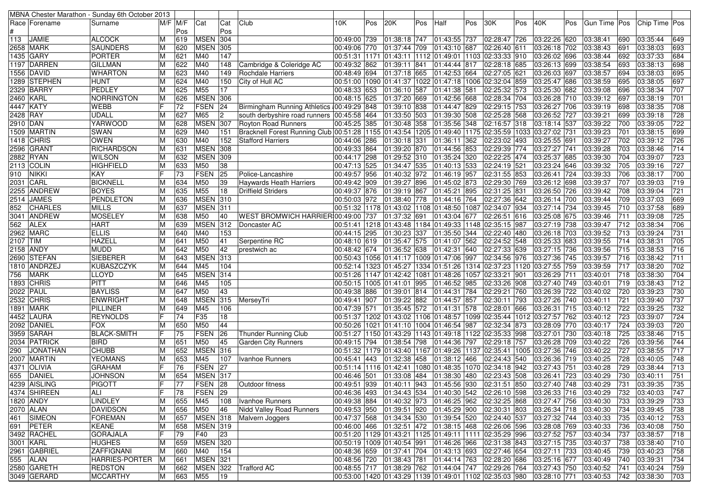| MBNA Chester Marathon - Sunday 6th October 2013 |                       |                           |             |                 |                |                                                                                       |              |     |                               |     |                                                                           |     |              |     |                       |     |                                                                               |     |                 |     |
|-------------------------------------------------|-----------------------|---------------------------|-------------|-----------------|----------------|---------------------------------------------------------------------------------------|--------------|-----|-------------------------------|-----|---------------------------------------------------------------------------|-----|--------------|-----|-----------------------|-----|-------------------------------------------------------------------------------|-----|-----------------|-----|
| Race   Forename                                 | Surname               |                           | $M/F$ $M/F$ | Cat             | Cat            | Club                                                                                  | 10K          | Pos | 20K                           | Pos | Half                                                                      | Pos | 30K          | Pos | 40K                   | Pos | Gun Time Pos                                                                  |     | Chip Time   Pos |     |
|                                                 |                       |                           | Pos         |                 | Pos            |                                                                                       |              |     |                               |     |                                                                           |     |              |     |                       |     |                                                                               |     |                 |     |
| 113<br><b>JAMIE</b>                             | <b>ALCOCK</b>         |                           | 619         | <b>MSEN 304</b> |                |                                                                                       | 00:49:00 739 |     | 01:38:18 747                  |     | 01:43:55 737                                                              |     | 02:28:47 726 |     | 03:22:26 620          |     | 03:38:41                                                                      | 690 | 03:35:44        | 649 |
| 2658 MARK                                       | <b>SAUNDERS</b>       |                           | 620         | <b>MSEN 305</b> |                |                                                                                       | 00:49:06 770 |     | 01:37:44 709                  |     | 01:43:10 687                                                              |     | 02:26:40 611 |     | 03:26:18 702          |     | 03:38:43                                                                      | 691 | 03:38:03        | 693 |
| 1435 GARY                                       | <b>PORTER</b>         |                           | 621         | M40             | 147            |                                                                                       |              |     |                               |     | 00:51:31 1171 01:43:11 1112 01:49:01 1103 02:33:33 910                    |     |              |     | 03:26:02 696          |     | 03:38:44                                                                      | 692 | 03:37:33        | 684 |
| 1197 DARREN                                     | <b>GILLMAN</b>        | ΙM                        | 622         | M40             | 148            | Cambridge & Coleridge AC                                                              | 00:49:32 862 |     | 01:39:11 841                  |     | 01:44:44 817                                                              |     | 02:28:18 685 |     | 03:26:13 699          |     | 03:38:54                                                                      | 693 | 03:38:13        | 698 |
| 1556 DAVID                                      | <b>WHARTON</b>        | M                         | 623         | M40             | 149            | Rochdale Harriers                                                                     | 00:48:49 694 |     | 01:37:18 665                  |     | 01:42:53 664                                                              |     | 02:27:05 621 |     | 03:26:03 697          |     | 03:38:57                                                                      | 694 | 03:38:03        | 695 |
| 1289 STEPHEN                                    | <b>HUNT</b>           |                           | 624         | M40             | 150            | City of Hull AC                                                                       |              |     |                               |     | 00:51:00  1090  01:41:37  1022  01:47:18  1006  02:32:04  859             |     |              |     | 03:25:47 686          |     | 03:38:59                                                                      | 695 | 03:38:05        | 697 |
| 2329 BARRY                                      | PEDLEY                |                           | 625         | M55             | 17             |                                                                                       | 00:48:33 653 |     | 01:36:10 587                  |     | 01:41:38 581                                                              |     | 02:25:32 573 |     | 03:25:30 682          |     | 03:39:08                                                                      | 696 | 03:38:34        | 707 |
| 2460 KARL                                       | <b>NORRINGTON</b>     |                           | 626         | <b>MSEN 306</b> |                |                                                                                       | 00:48:15 625 |     | 01:37:20 669                  |     | 01:42:56 668                                                              |     | 02:28:34 704 |     | 03:26:28 710          |     | 03:39:12                                                                      | 697 | 03:38:19        | 701 |
| 4447 KATY                                       | <b>WEBB</b>           |                           | 72          | <b>FSEN</b>     | 24             | Birmingham Running Athletics 00:49:29 848                                             |              |     | 01:39:10 838                  |     | 01:44:47 829                                                              |     | 02:29:15 753 |     | 03:26:27 706          |     | 03:39:19                                                                      | 698 | 03:38:35        | 708 |
| 2428 RAY                                        | <b>UDALL</b>          |                           | 627         | M65             | $\overline{2}$ | south derbyshire road runners 00:45:58 464                                            |              |     | 01:33:50 503                  |     | 01:39:30 508                                                              |     | 02:25:28 568 |     | 03:26:52 727          |     | 03:39:21                                                                      | 699 | 03:39:18        | 728 |
|                                                 | YARWOOD               |                           | 628         | <b>MSEN 307</b> |                |                                                                                       |              |     | 01:30:48 358                  |     | 01:35:56 348                                                              |     | 02:16:57 318 |     | 03:18:14 537          |     |                                                                               | 700 | 03:39:05        | 722 |
| 2910 DAN<br>1509 MARTIN                         | <b>SWAN</b>           |                           | 629         | M40             | 151            | Royton Road Runners                                                                   | 00:45:25 385 |     |                               |     |                                                                           |     |              |     |                       |     | 03:39:22                                                                      |     |                 |     |
|                                                 |                       |                           |             |                 |                | Bracknell Forest Running Club 00:51:28 1155 01:43:54 1205 01:49:40 1175 02:35:59 1033 |              |     |                               |     |                                                                           |     |              |     | 03:27:02 731          |     | 03:39:23                                                                      | 701 | 03:38:15        | 699 |
| 1418 CHRIS                                      | <b>OWEN</b>           |                           | 630         | M40             | 152            | <b>Stafford Harriers</b>                                                              | 00:44:06 286 |     | 01:30:18 331                  |     | 01:36:11 362                                                              |     | 02:23:02 493 |     | 03:25:55 691          |     | 03:39:27                                                                      | 702 | 03:39:12        | 726 |
| 2596 GRANT                                      | <b>RICHARDSON</b>     |                           | 631         | <b>MSEN 308</b> |                |                                                                                       | 00:49:33 864 |     | 01:39:20 870                  |     | 01:44:56 853                                                              |     | 02:29:39 774 |     | 03:27:27 741          |     | 03:39:28                                                                      | 703 | 03:38:46        | 714 |
| 2882 RYAN                                       | <b>WILSON</b>         |                           | 632         | <b>MSEN 309</b> |                |                                                                                       | 00:44:17 298 |     | 01:29:52 310                  |     | $\overline{01:}35:24$ 320                                                 |     | 02:22:25 474 |     | 03:25:37 685          |     | 03:39:30                                                                      | 704 | 03:39:07        | 723 |
| <b>2113 COLIN</b>                               | <b>HIGHFIELD</b>      | M                         | 633         | M50             | 38             |                                                                                       | 00:47:13 525 |     | 01:34:47 535                  |     | 01:40:13 533                                                              |     | 02:24:19 521 |     | 03:23:24 646          |     | 03:39:32                                                                      | 705 | 03:39:16        | 727 |
| <b>NIKKI</b><br>910                             | <b>KAY</b>            |                           | 73          | FSEN            | 25             | Police-Lancashire                                                                     | 00:49:57 956 |     | 01:40:32 972                  |     | 01:46:19 957                                                              |     | 02:31:55 853 |     | 03:26:41 724          |     | 03:39:33                                                                      | 706 | 03:38:17        | 700 |
| 2031 CARL                                       | <b>BICKNELL</b>       |                           | 634         | M50             | 39             | <b>Haywards Heath Harriers</b>                                                        | 00:49:42 909 |     | 01:39:27 896                  |     | 01:45:02 873                                                              |     | 02:29:30 769 |     | 03:26:12 698          |     | 03:39:37                                                                      | 707 | 03:39:03        | 719 |
| 2255 ANDREW                                     | <b>BOYES</b>          |                           | 635         | M <sub>55</sub> | 18             | <b>Driffield Striders</b>                                                             | 00:49:37 876 |     | 01:39:19 867                  |     | 01:45:21 895                                                              |     | 02:31:25 831 |     | 03:26:50 726          |     | 03:39:42                                                                      | 708 | 03:39:04        | 721 |
| 2514 JAMES                                      | <b>PENDLETON</b>      | ΙM                        | 636         | <b>MSEN 310</b> |                |                                                                                       | 00:50:03 972 |     | 01:38:40 778                  |     | 01:44:16 764                                                              |     | 02:27:36 642 |     | 03:26:14 700          |     | 03:39:44                                                                      | 709 | 03:37:03        | 669 |
| <b>CHARLES</b><br>852                           | <b>MILLS</b>          |                           | 637         | <b>MSEN</b> 311 |                |                                                                                       |              |     |                               |     | 00:51:32 1178 01:43:02 1108 01:48:50 1087 02:34:07 934                    |     |              |     | 03:27:14 734          |     | 03:39:45                                                                      | 710 | 03:37:58        | 689 |
| 3041 ANDREW                                     | <b>MOSELEY</b>        |                           | 638         | M50             | 40             | WEST BROMWICH HARRIER100:49:00 737                                                    |              |     | 01:37:32 691                  |     | 01:43:04 677                                                              |     | 02:26:51 616 |     | 03:25:08 675          |     | 03:39:46                                                                      | 711 | 03:39:08        | 725 |
| <b>ALEX</b><br>562                              | <b>HART</b>           |                           | 639         | MSEN 312        |                | Doncaster AC                                                                          |              |     |                               |     | 00:51:41  1218  01:43:48  1184  01:49:33  1148 02:35:15  987              |     |              |     | 03:27:19 738          |     | 03:39:47                                                                      | 712 | 03:38:34        | 706 |
| 2962 MARC                                       | <b>ELLIS</b>          |                           | 640         | M40             | 153            |                                                                                       | 00:44:15 295 |     | 01:30:23 337                  |     | 01:35:50 344                                                              |     | 02:22:40 480 |     | 03:26:18 703          |     | 03:39:52                                                                      | 713 | 03:39:24        | 731 |
| 2107 TIM                                        | <b>HAZELL</b>         |                           | 641         | M50             | 41             | Serpentine RC                                                                         | 00:48:10 619 |     | 01:35:47 575                  |     | 01:41:07 562 02:24:52 548                                                 |     |              |     | 03:25:33 683          |     | 03:39:55                                                                      | 714 | 03:38:31        | 705 |
| 2158 ANDY                                       | <b>MUDD</b>           |                           | 642         | M50             | 42             | prestwich ac                                                                          | 00:48:42 674 |     | 01:36:52 638                  |     | 01:42:31 640                                                              |     | 02:27:33 639 |     | 03:27:15 736          |     | 03:39:56                                                                      | 715 | 03:38:53        | 716 |
| 2690 STEFAN                                     | <b>SIEBERER</b>       |                           | 643         | <b>MSEN 313</b> |                |                                                                                       |              |     |                               |     | 00:50:43  1056  01:41:17  1009  01:47:06  997                             |     | 02:34:56 976 |     | 03:27:36 745          |     | 03:39:57                                                                      | 716 | 03:38:42        | 711 |
| 1810 ANDRZEJ                                    | <b>KUBASZCZYK</b>     |                           | 644         | M45             | 104            |                                                                                       |              |     |                               |     | 00:52:14  1323  01:45:27  1334  01:51:26  1314  02:37:23  1120            |     |              |     | 03:27:55 759          |     | 03:39:59                                                                      | 717 | 03:38:20        | 702 |
| <b>MARK</b><br>756                              | <b>LLOYD</b>          |                           | 645         | MSEN 314        |                |                                                                                       |              |     |                               |     | 00:51:26 1147 01:42:42 1081 01:48:26 1057 02:33:21 901                    |     |              |     | 03:26:29 711          |     | 03:40:01                                                                      | 718 | 03:38:30        | 704 |
| 1893 CHRIS                                      | <b>PITT</b>           | M                         | 646         | M45             | 105            |                                                                                       |              |     | 00:50:15  1005  01:41:01  995 |     | 01:46:52 985                                                              |     | 02:33:26 908 |     | 03:27:40 749          |     | 03:40:01                                                                      | 719 | 03:38:43        | 712 |
| 2022 PAUL                                       | <b>BAYLISS</b>        |                           | 647         | M50             | 43             |                                                                                       | 00:49:38 886 |     | 01:39:01 814                  |     | 01:44:31 784                                                              |     | 02:29:21 760 |     | 03:26:39 722          |     | 03:40:02                                                                      | 720 | 03:39:23        | 730 |
| 2532 CHRIS                                      | <b>ENWRIGHT</b>       |                           | 648         | <b>MSEN</b>     | 315            | MerseyTri                                                                             | 00:49:41 907 |     | 01:39:22 882                  |     | 01:44:57 857                                                              |     | 02:30:11 793 |     | 03:27:26 740          |     | 03:40:11                                                                      | 721 | 03:39:40        | 737 |
| 1891 MARK                                       | <b>PILLINER</b>       |                           | 649         | M45             | 106            |                                                                                       | 00:47:39 571 |     | 01:35:45 572                  |     | 01:41:31 578                                                              |     | 02:28:01 666 |     | 03:26:31 715          |     | 03:40:12                                                                      | 722 | 03:39:25        | 732 |
| 4452 LAURA                                      | <b>REYNOLDS</b>       |                           | 74          | F35             | 18             |                                                                                       |              |     |                               |     | 00:51:37  1202  01:43:02  1106  01:48:57  1099  02:35:44  1012            |     |              |     | 03:27:57 762          |     | 03:40:12                                                                      | 723 | 03:39:07        | 724 |
| 2092 DANIEL                                     | <b>FOX</b>            |                           | 650         | M50             | 44             |                                                                                       |              |     |                               |     | 00:50:26 1021 01:41:10 1004 01:46:54 987                                  |     | 02:32:34 873 |     | 03:28:09 770          |     | 03:40:17                                                                      | 724 | 03:39:03        | 720 |
| 3959 SARAH                                      | <b>BLACK-SMITH</b>    |                           | 75          | <b>FSEN</b>     | 26             | Thunder Running Club                                                                  |              |     |                               |     | 00:51:27  1150  01:43:29  1143  01:49:18  1122  02:35:33  998             |     |              |     | 03:27:01 730          |     | 03:40:18                                                                      | 725 | 03:38:46        | 715 |
| 2034 PATRICK                                    | <b>BIRD</b>           |                           | 651         | M50             | 45             | <b>Garden City Runners</b>                                                            | 00:49:15 794 |     | 01:38:54 798                  |     | 01:44:36 797                                                              |     | 02:29:18 757 |     | 03:26:28 709          |     | 03:40:22                                                                      | 726 | 03:39:56        | 744 |
| 290<br><b>JONATHAN</b>                          | <b>CHUBB</b>          |                           | 652         | <b>MSEN</b> 316 |                |                                                                                       |              |     |                               |     | 00:51:32  1179  01:43:40  1167  01:49:26  1137  02:35:41  1005            |     |              |     | 03:27:36 746          |     | 03:40:22                                                                      | 727 | 03:38:55        | 717 |
| 2007   MARTIN                                   | <b>YEOMANS</b>        |                           | 653         | M45             | 107            | Ivanhoe Runners                                                                       | 00:45:41 443 |     | 01:32:38 458                  |     | 01:38:12 466                                                              |     | 02:24:43 540 |     | 03:26:36 719          |     | 03:40:25                                                                      | 728 | 03:40:05        | 748 |
| 4371 OLIVIA                                     | <b>GRAHAM</b>         |                           | 76          | <b>FSEN</b>     | 27             |                                                                                       |              |     | 00:51:14  1116  01:42:41      |     | 1080 01:48:35 1070 02:34:18 942                                           |     |              |     | 03:27:43 751          |     | 03:40:28                                                                      | 729 | 03:38:44        | 713 |
|                                                 |                       |                           | 654         | <b>MSEN 317</b> |                |                                                                                       |              |     |                               |     |                                                                           |     |              |     |                       |     |                                                                               | 730 |                 | 751 |
| 655 DANIEL                                      | JOHNSON               | $ \overline{\mathsf{F}} $ |             |                 |                |                                                                                       | 00:46:46 501 |     |                               |     | $ 01:33:08 484 01:38:30 480 02:23:43 508$                                 |     |              |     | 03:26:41 723          |     | 03:40:29                                                                      |     | 03:40:11        |     |
| 4239 AISLING                                    | PIGOTT                | lF.                       | 77          | FSEN 28         |                | Outdoor fitness                                                                       |              |     |                               |     |                                                                           |     |              |     |                       |     | 00:49:51 939 01:40:11 943 01:45:56 930 02:31:51 850 03:27:40 748 03:40:29 731 |     | 03:39:35        | 735 |
| 4374 SHIREEN                                    | ALI                   |                           | 78          | FSEN 29         |                |                                                                                       |              |     |                               |     | 00:46:36 493 01:34:43 534 01:40:30 542 02:26:10 598 03:26:33 716 03:40:29 |     |              |     |                       |     |                                                                               | 732 | 03:40:03        | 747 |
| 1820 ANDY                                       | LINDLEY               | M                         | 655         | M45             | 108            | Ivanhoe Runners                                                                       |              |     |                               |     | 00:49:38  884  01:40:32  973  01:46:25  962  02:32:25  868                |     |              |     | 03:27:47 756 03:40:30 |     |                                                                               | 733 | 03:39:29        | 733 |
| 2070 ALAN                                       | <b>DAVIDSON</b>       | ΙM                        | 656         | M50             | 46             | Nidd Valley Road Runners                                                              |              |     |                               |     | 00:49:53  950  01:39:51  920  01:45:29  900  02:30:31  803                |     |              |     | 03:26:34 718 03:40:30 |     |                                                                               | 734 | 03:39:45        | 738 |
| 461 SIMEON                                      | <b>FOREMAN</b>        | M                         | 657         | <b>MSEN 318</b> |                | Malvern Joggers                                                                       |              |     | 00:47:37 568 01:34:34 530     |     | 01:39:54 520 02:24:40 537                                                 |     |              |     | 03:27:32 744          |     | 03:40:33                                                                      | 735 | 03:40:12        | 753 |
| 691 <b>PETER</b>                                | <b>KEANE</b>          | M                         | 658         | <b>MSEN 319</b> |                |                                                                                       |              |     |                               |     |                                                                           |     |              |     | 03:28:08 769          |     | 03:40:33                                                                      | 736 | 03:40:08        | 750 |
| 3492 RACHEL                                     | <b>GORAJALA</b>       |                           | 79          | F40             | 23             |                                                                                       |              |     |                               |     | 00:51:20  1129  01:43:21  1125  01:49:11  1111  02:35:29  996             |     |              |     | 03:27:52 757          |     | 03:40:34                                                                      | 737 | 03:38:57        | 718 |
| 3001 KARL                                       | <b>HUGHES</b>         | M                         | 659         | <b>MSEN 320</b> |                |                                                                                       |              |     | 00:50:19 1009 01:40:54 991    |     | 01:46:26 966 02:31:38 843                                                 |     |              |     | 03:27:15 735          |     | 03:40:37                                                                      | 738 | 03:38:40        | 710 |
| 2961 GABRIEL                                    | ZAFFIGNANI            | M                         | 660         | M40             | 154            |                                                                                       |              |     |                               |     | 00:48:36 659  01:37:41  704  01:43:13  693  02:27:46  654                 |     |              |     | 03:27:11 733          |     | 03:40:45                                                                      | 739 | 03:40:23        | 758 |
| 555 ALAN                                        | HARRIES-PORTER<br>-IM |                           | 661         | <b>MSEN 321</b> |                |                                                                                       |              |     | 00:48:56 720 01:38:43 781     |     | 01:44:14 763 02:28:20 686                                                 |     |              |     | 03:25:16 677          |     | 03:40:49                                                                      | 740 | 03:39:31        | 734 |
| 2580 GARETH                                     | <b>REDSTON</b>        | ΙM                        | 662         | <b>MSEN 322</b> |                | <b>Trafford AC</b>                                                                    |              |     |                               |     | 00:48:55 717 01:38:29 762 01:44:04 747 02:29:26 764                       |     |              |     | 03:27:43 750          |     | 03:40:52                                                                      | 741 | 03:40:24        | 759 |
| 3049 GERARD                                     | <b>MCCARTHY</b>       | M                         | 663         | M55             | 19             |                                                                                       |              |     |                               |     | 00:53:00 1420 01:43:29 1139 01:49:01 1102 02:35:03 980 03:28:10 771       |     |              |     |                       |     | 03:40:53 742                                                                  |     | 03:38:30        | 703 |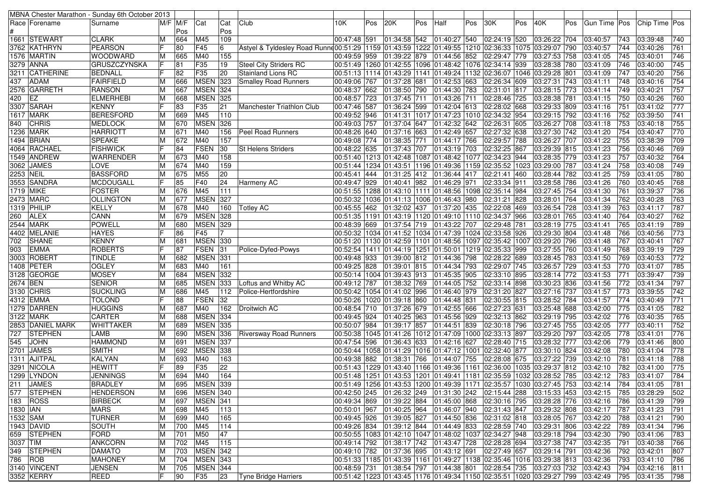|           |                            | MBNA Chester Marathon - Sunday 6th October 2013 |             |     |                 |              |                                                                                                     |                               |     |              |     |                                               |     |                                                                |     |                                                                                        |     |                |            |               |                  |
|-----------|----------------------------|-------------------------------------------------|-------------|-----|-----------------|--------------|-----------------------------------------------------------------------------------------------------|-------------------------------|-----|--------------|-----|-----------------------------------------------|-----|----------------------------------------------------------------|-----|----------------------------------------------------------------------------------------|-----|----------------|------------|---------------|------------------|
|           | Race   Forename            | Surname                                         | $M/F$ $M/F$ |     | Cat             | Cat          | Club                                                                                                | 10K                           | Pos | 20K          | Pos | Half                                          | Pos | 30K                                                            | Pos | 40K                                                                                    | Pos | Gun Time   Pos |            | Chip Time Pos |                  |
|           |                            |                                                 |             | Pos |                 | Pos          |                                                                                                     |                               |     |              |     |                                               |     |                                                                |     |                                                                                        |     |                |            |               |                  |
|           | 1661 STEWART               | <b>CLARK</b>                                    | M           | 664 | M45             | 109          |                                                                                                     | 00:47:48 591                  |     |              |     | 01:34:58 542 01:40:27 540                     |     | 02:24:19 520                                                   |     | 03:26:22 704                                                                           |     | 03:40:57       | 743        | 03:39:48      | 740              |
|           | 3762 KATHRYN               | PEARSON                                         |             | 80  | F45             | 6            | Astyel & Tyldesley Road Runne 00:51:29   1159   01:43:59   1222   01:49:55   1210   02:36:33   1075 |                               |     |              |     |                                               |     |                                                                |     | 03:29:07 790                                                                           |     | 03:40:57       | 744        | 03:40:26      | 761              |
|           | 1576  MARTIN               | <b>WOODWARD</b>                                 | M           | 665 | M40             | 155          |                                                                                                     |                               |     |              |     | 00:49:59 959 01:39:22 879 01:44:56 852        |     | 02:29:47 779                                                   |     | 03:27:53 758                                                                           |     | 03:41:05       | 745        | 03:40:01      | 746              |
|           | 3279 ANNA                  | <b>GRUSZCZYNSKA</b>                             | IF          | 81  | F35             | 19           | <b>Steel City Striders RC</b>                                                                       |                               |     |              |     |                                               |     | 00:51:49  1260  01:42:55  1096  01:48:42  1076  02:34:14  939  |     | 03:28:38 780                                                                           |     | 03:41:09       | 746        | 03:40:00      | 745              |
|           | 3211 CATHERINE             | <b>BEDNALL</b>                                  |             | 82  | F35             | 20           | Stainland Lions RC                                                                                  |                               |     |              |     |                                               |     | 00:51:13  1114  01:43:29  1141  01:49:24  1132  02:36:07  1046 |     | 03:29:28 801                                                                           |     | 03:41:09       | 747        | 03:40:20      | 756              |
| 437       | <b>ADAM</b>                | FAIRFIELD                                       | M           | 666 | <b>MSEN</b>     | 323          | Smalley Road Runners                                                                                | 00:49:06 767                  |     | 01:37:28 681 |     | 01:42:53 663                                  |     | 02:26:34 609                                                   |     | 03:27:31 743                                                                           |     | 03:41:11       | 748        | 03:40:16      | 754              |
|           | 2576 GARRETH               | <b>RANSON</b>                                   | M           | 667 | <b>MSEN 324</b> |              |                                                                                                     | 00:48:37 662                  |     | 01:38:50 790 |     | 01:44:30 783                                  |     | 02:31:01 817                                                   |     | 03:28:15 773                                                                           |     | 03:41:14       | 749        | 03:40:21      | 757              |
| 420       | IEZ                        | <b>ELMERHEBI</b>                                | M           | 668 | <b>MSEN</b>     | 325          |                                                                                                     | 00:48:57 723                  |     | 01:37:45 711 |     | 01:43:26 711                                  |     | 02:28:46 725                                                   |     | 03:28:38 781                                                                           |     | 03:41:15       | 750        | 03:40:26      | 760              |
|           | 3307 SARAH                 | <b>KENNY</b>                                    |             | 83  | F35             | 21           | Manchester Triathlon Club                                                                           | 00:47:46 587                  |     | 01:36:24 599 |     | 01:42:04 613                                  |     | 02:28:02 668                                                   |     | 03:29:33 809                                                                           |     | 03:41:16       | 751        | 03:41:02      | $\overline{777}$ |
|           | 1617   MARK                | <b>BERESFORD</b>                                | ΙM          | 669 | M45             | 110          |                                                                                                     | 00:49:52 946                  |     |              |     |                                               |     | 01:41:31 1017 01:47:23 1010 02:34:32 954                       |     | 03:29:15 792                                                                           |     | 03:41:16       | 752        | 03:39:50      | $\overline{741}$ |
| 840       | <b>CHRIS</b>               | <b>MEDLOCK</b>                                  | M           | 670 | <b>MSEN</b>     | 326          |                                                                                                     | 00:49:03 757                  |     | 01:37:04 647 |     | 01:42:32 642                                  |     | 02:26:31 605                                                   |     | 03:26:27 708                                                                           |     | 03:41:18       | 753        | 03:40:18      | 755              |
|           | 1236 MARK                  | <b>HARRIOTT</b>                                 | M           | 671 | M40             | 156          | Peel Road Runners                                                                                   | 00:48:26 640                  |     | 01:37:16 663 |     | 01:42:49 657                                  |     | 02:27:32 638                                                   |     | 03:27:30 742                                                                           |     | 03:41:20       | 754        | 03:40:47      | 770              |
|           | 1494 BRIAN                 | <b>SPEAKE</b>                                   | M           | 672 | M40             | 157          |                                                                                                     | 00:49:08 774                  |     | 01:38:35 771 |     | 01:44:17 766                                  |     | 02:29:57 788                                                   |     | 03:26:27 707                                                                           |     | 03:41:22       | 755        | 03:38:39      | 709              |
|           | 4064  RACHAEL              | <b>FISHWICK</b>                                 |             | 84  | <b>FSEN</b>     | 30           | <b>St Helens Striders</b>                                                                           | 00:48:22 635                  |     | 01:37:43 707 |     | 01:43:19 703                                  |     | 02:32:25 867                                                   |     | 03:29:39 815                                                                           |     | 03:41:23       | 756        | 03:40:46      | 769              |
|           | 1549  ANDREW               | <b>WARRENDER</b>                                | ΙM          | 673 | M40             | 158          |                                                                                                     |                               |     |              |     |                                               |     | 00:51:40 1213 01:42:48 1087 01:48:42 1077 02:34:23 944         |     | 03:28:35 779                                                                           |     | 03:41:23       | 757        | 03:40:32      | 764              |
|           | 3062 JAMES                 | LOVE                                            | M           | 674 | M40             | 159          |                                                                                                     |                               |     |              |     |                                               |     | 00:51:44  1234  01:43:51  1196  01:49:36  1159  02:35:52  1023 |     | 03:29:00 787                                                                           |     | 03:41:24       | 758        | 03:40:08      | 749              |
| 2253 NEIL |                            | <b>BASSFORD</b>                                 | M           | 675 | M55             | 20           |                                                                                                     | 00:45:41 444                  |     | 01:31:25 412 |     | 01:36:44 417                                  |     | 02:21:41 460                                                   |     | 03:28:44 782                                                                           |     | 03:41:25       | 759        | 03:41:05      | 780              |
|           | 3553 SANDRA                | <b>MCDOUGALL</b>                                |             | 85  | F40             | 24           | Harmeny AC                                                                                          | 00:49:47 929                  |     | 01:40:41 982 |     | 01:46:29 971                                  |     | 02:33:34 911                                                   |     | 03:28:58 786                                                                           |     | 03:41:26       | 760        | 03:40:45      | 768              |
| 1719 MIKE |                            | <b>FOSTER</b>                                   | ΙM          | 676 | M45             | 111          |                                                                                                     |                               |     |              |     |                                               |     | 00:51:55  1288  01:43:10  1111  01:48:56  1098  02:35:14  984  |     | 03:27:45 754                                                                           |     | 03:41:30       | 761        | 03:39:37      | 736              |
|           | 2473 MARC                  | <b>OLLINGTON</b>                                | M           | 677 | <b>MSEN</b>     | 327          |                                                                                                     |                               |     |              |     | 00:50:32  1036  01:41:13  1006  01:46:43  980 |     | 02:31:21 828                                                   |     | 03:28:01 764                                                                           |     | 03:41:34       | 762        | 03:40:28      | 763              |
|           | 1319 PHILIP                | KELLY                                           | M           | 678 | M40             | 160          | <b>Totley AC</b>                                                                                    | 00:45:55 462 01:32:02 437     |     |              |     | 01:37:20 435                                  |     | 02:22:08 469                                                   |     | 03:26:54 728                                                                           |     | 03:41:39       | 763        | 03:41:17      | 787              |
| 260       | ALEX                       | CANN                                            | M           | 679 | <b>MSEN</b>     | 328          |                                                                                                     |                               |     |              |     |                                               |     | 00:51:35  1191  01:43:19  1120  01:49:10  1110  02:34:37  966  |     | 03:28:01 765                                                                           |     | 03:41:40       | 764        | 03:40:27      | 762              |
|           | 2544 MARK                  | POWELL                                          | ΙM          | 680 | <b>MSEN</b>     | 329          |                                                                                                     | 00:48:39 669                  |     |              |     | 01:37:54 719 01:43:22 707                     |     | 02:29:48 781                                                   |     | 03:28:19 775                                                                           |     | 03:41:41       | 765        | 03:41:19      | 789              |
|           | 4402 MELANIE               | <b>HAYES</b>                                    |             | 86  | F45             |              |                                                                                                     |                               |     |              |     |                                               |     | 00:50:32 1034 01:41:52 1034 01:47:39 1024 02:33:58 926         |     | 03:29:30 804                                                                           |     | 03:41:48       | 766        | 03:40:56      | 773              |
| 702       | SHANE                      | <b>KENNY</b>                                    | ΙM          | 681 | <b>MSEN 330</b> |              |                                                                                                     |                               |     |              |     |                                               |     | 00:51:20  1130  01:42:59  1101  01:48:56  1097  02:35:42  1007 |     | 03:29:20 796                                                                           |     | 03:41:48       | 767        | 03:40:41      | 767              |
| 903       | <b>EMMA</b>                | <b>ROBERTS</b>                                  |             | 87  | FSEN            | 31           | Police-Dyfed-Powys                                                                                  |                               |     |              |     |                                               |     | 00:52:54  1411  01:44:19  1251  01:50:01  1219 02:35:33  999   |     | 03:27:55 760                                                                           |     | 03:41:49       | 768        | 03:39:19      | 729              |
|           | 3003 ROBERT                | <b>TINDLE</b>                                   | ΙM          | 682 | MSEN 331        |              |                                                                                                     |                               |     |              |     | 00:49:48 933 01:39:00 812 01:44:36 798        |     | 02:28:22 689                                                   |     | 03:28:45 783                                                                           |     | 03:41:50       | 769        | 03:40:53      | 772              |
|           | 1408 PETER                 | <b>OGLEY</b>                                    | M           | 683 | M40             | 161          |                                                                                                     | 00:49:25 828 01:39:01 815     |     |              |     | 01:44:34 793                                  |     | 02:29:07 745                                                   |     | 03:26:57 729                                                                           |     | 03:41:53       | 770        | 03:41:07      | 785              |
|           | 3128 GEORGE                | <b>MOSEY</b>                                    | ΙM          | 684 | <b>MSEN</b>     | 332          |                                                                                                     | 00:50:14 1004 01:39:43 913    |     |              |     | 01:45:35 905                                  |     | 02:33:10 895                                                   |     | 03:28:14 772                                                                           |     | 03:41:53       | 771        | 03:39:47      | 739              |
| 2674 BEN  |                            | <b>SENIOR</b>                                   | ΙM          | 685 | <b>MSEN</b>     | 333          | Loftus and Whitby AC                                                                                | 00:49:12 787                  |     | 01:38:32 769 |     | 01:44:05 752                                  |     | 02:33:14 898                                                   |     | 03:30:23 836                                                                           |     | 03:41:56       | 772        | 03:41:34      | 797              |
|           | 3130 CHRIS                 | <b>SUCKLING</b>                                 | м           | 686 | M45             | 112          | Police-Hertfordshire                                                                                | 00:50:42 1054 01:41:02 996    |     |              |     | 01:46:40 979                                  |     | 02:31:20 827                                                   |     | 03:27:16 737                                                                           |     | 03:41:57       | 773        | 03:39:55      | 742              |
|           | 4312 EMMA                  | <b>TOLOND</b>                                   | IF          | 88  | FSEN            | 32           |                                                                                                     | 00:50:26  1020  01:39:18  860 |     |              |     | 01:44:48 831                                  |     | 02:30:55 815                                                   |     | 03:28:52 784                                                                           |     | 03:41:57       | 774        | 03:40:49      | $\overline{771}$ |
|           | 1279 DARREN                | <b>HUGGINS</b>                                  | M           | 687 | M40             | 162          | Droitwich AC                                                                                        | 00:48:54 710                  |     | 01:37:26 679 |     | 01:42:55 666                                  |     | 02:27:23 631                                                   |     | 03:25:48 688                                                                           |     | 03:42:00       | 775        | 03:41:05      | 782              |
|           | 3122 MARK                  | <b>CARTER</b>                                   |             | 688 | <b>MSEN 334</b> |              |                                                                                                     | 00:49:45 924                  |     | 01:40:25 963 |     | 01:45:56 929                                  |     | 02:32:13 862                                                   |     | 03:29:19 795                                                                           |     | 03:42:02       | 776        | 03:40:35      | 765              |
|           | 2853 DANIEL MARK           | WHITTAKER                                       | м           | 689 | <b>MSEN 335</b> |              |                                                                                                     |                               |     |              |     |                                               |     |                                                                |     |                                                                                        |     |                | 777        |               | 752              |
|           | <b>STEPHEN</b>             | <b>LAMB</b>                                     | ΙM          | 690 | <b>MSEN 336</b> |              |                                                                                                     | 00:50:07 984                  |     | 01:39:17 857 |     | 01:44:51 839                                  |     | 02:30:18 796                                                   |     | 03:27:45 755                                                                           |     | 03:42:05       | 778        | 03:40:11      | 776              |
| 727       |                            |                                                 | M           |     |                 |              | <b>Riversway Road Runners</b>                                                                       |                               |     |              |     |                                               |     | 00:50:38  1045  01:41:26  1012  01:47:09  1000  02:33:13  897  |     | 03:29:20 797                                                                           |     | 03:42:05       |            | 03:41:01      |                  |
| 545       | <b>JOHN</b>                | <b>HAMMOND</b>                                  | M           | 691 | <b>MSEN</b>     | 337          |                                                                                                     | 00:47:54 596                  |     | 01:36:43 633 |     | 01:42:16 627                                  |     | 02:28:40 715                                                   |     | 03:28:32 777<br>03:30:10 824                                                           |     | 03:42:06       | 779        | 03:41:46      | 800              |
|           | 2701 JAMES<br>1311 AJITPAL | <b>SMITH</b><br>KALYAN                          | M           | 692 | <b>MSEN</b>     | 338          |                                                                                                     |                               |     |              |     | 01:44:07 755                                  |     | 00:50:44  1058  01:41:29  1016  01:47:12  1001  02:32:40  877  |     |                                                                                        |     | 03:42:08       | 780<br>781 | 03:41:04      | 778<br>788       |
|           |                            |                                                 | м           | 693 | M40             | 163          |                                                                                                     | 00:49:38 882 01:38:31 766     |     |              |     |                                               |     | 02:28:08 675                                                   |     | 03:27:22 739                                                                           |     | 03:42:10       |            | 03:41:18      |                  |
|           | 3291 NICOLA                | <b>HEWITT</b>                                   |             | 89  | F35             | $ 22\rangle$ |                                                                                                     |                               |     |              |     |                                               |     | 00:51:43  1229  01:43:40  1166  01:49:36  1161  02:36:00  1035 |     | 03:29:37 812                                                                           |     | 03:42:10       | 782        | 03:41:00      | 775              |
|           | 1299  LYNDON               | JENNINGS                                        | м           | 694 | M40             | 164          |                                                                                                     |                               |     |              |     |                                               |     |                                                                |     | 00:51:48   1251   01:43:53   1201   01:49:41   1181   02:35:59   1032   03:28:52   785 |     | 03:42:12       | 783        | 03:41:07      | 784              |
|           | 211 JAMES                  | <b>BRADLEY</b>                                  | M           | 695 | <b>MSEN 339</b> |              |                                                                                                     |                               |     |              |     |                                               |     |                                                                |     | 00:51:49 1256 01:43:53 1200 01:49:39 1171 02:35:57 1030 03:27:45 753                   |     | 03:42:14       | 784        | 03:41:05      | 781              |
|           | 577 STEPHEN                | <b>HENDERSON</b>                                | M           | 696 | <b>MSEN 340</b> |              |                                                                                                     |                               |     |              |     |                                               |     | 00:42:50  245  01:26:32  249  01:31:30  242  02:15:44  288     |     | 03:15:33 453                                                                           |     | 03:42:15       | 785        | 03:28:29      | 502              |
|           | 183   ROSS                 | <b>BIRBECK</b>                                  | M           | 697 | <b>MSEN</b> 341 |              |                                                                                                     |                               |     |              |     |                                               |     | 00:49:34  869  01:39:22  884  01:45:00  868  02:30:16  795     |     | 03:28:28 776                                                                           |     | 03:42:16       | 786        | 03:41:39      | 799              |
| 1830 IAN  |                            | <b>MARS</b>                                     | M           | 698 | M45             | 113          |                                                                                                     |                               |     |              |     |                                               |     | 00:50:01 967 01:40:25 964 01:46:07 940 02:31:43 847            |     | 03:29:32 808                                                                           |     | 03:42:17       | 787        | 03:41:23      | 791              |
| 1532 SAM  |                            | <b>TURNER</b>                                   | M           | 699 | M40             | 165          |                                                                                                     |                               |     |              |     |                                               |     | 00:49:45 926 01:39:05 827 01:44:50 836 02:31:02 818            |     | 03:28:05 767                                                                           |     | 03:42:20       | 788        | 03:41:21      | 790              |
|           | 1943 DAVID                 | SOUTH                                           | M           | 700 | M45             | 114          |                                                                                                     |                               |     |              |     |                                               |     | 00:49:26 834 01:39:12 844 01:44:49 833 02:28:59 740            |     | 03:29:31 806                                                                           |     | 03:42:22       | 789        | 03:41:34      | 796              |
|           | 659 STEPHEN                | <b>FORD</b>                                     | M           | 701 | M50             | 47           |                                                                                                     |                               |     |              |     |                                               |     | 00:50:55  1083  01:42:10  1047  01:48:02  1037  02:34:27  948  |     | 03:29:18 794                                                                           |     | 03:42:30       | 790        | 03:41:06      | 783              |
| 3037 TIM  |                            | <b>ANKCORN</b>                                  | M           | 702 | M45             | 115          |                                                                                                     |                               |     |              |     |                                               |     | 00:49:14 792 01:38:17 742 01:43:47 728 02:28:28 694            |     | 03:27:38 747                                                                           |     | 03:42:35       | 791        | 03:40:38      | 766              |
|           | 349 STEPHEN                | <b>DAMATO</b>                                   | М           | 703 | <b>MSEN 342</b> |              |                                                                                                     |                               |     |              |     |                                               |     | 00:49:10 782 01:37:36 695 01:43:12 691 02:27:49 657            |     | 03:29:14 791                                                                           |     | 03:42:36       | 792        | 03:42:01      | 807              |
| 786 ROB   |                            | <b>MAHONEY</b>                                  | M           | 704 | MSEN 343        |              |                                                                                                     |                               |     |              |     |                                               |     |                                                                |     | 00:51:33 1185 01:43:39 1161 01:49:27 1138 02:35:46 1016 03:29:38 813                   |     | 03:42:36       | 793        | 03:41:10      | 786              |
|           | 3140 VINCENT               | <b>JENSEN</b>                                   | M           | 705 | <b>MSEN 344</b> |              |                                                                                                     |                               |     |              |     |                                               |     |                                                                |     | 00:48:59 731 01:38:54 797 01:44:38 801 02:28:54 735 03:27:03 732                       |     | 03:42:43       | 794        | 03:42:16      | 811              |
|           | 3352 KERRY                 | REED                                            | F           | 90  | F35             | 23           | Tyne Bridge Harriers                                                                                |                               |     |              |     |                                               |     |                                                                |     | 00:51:42 1223 01:43:45 1176 01:49:34 1150 02:35:51 1020 03:29:27 799                   |     | 03:42:49       | 795        | 03:41:35      | 798              |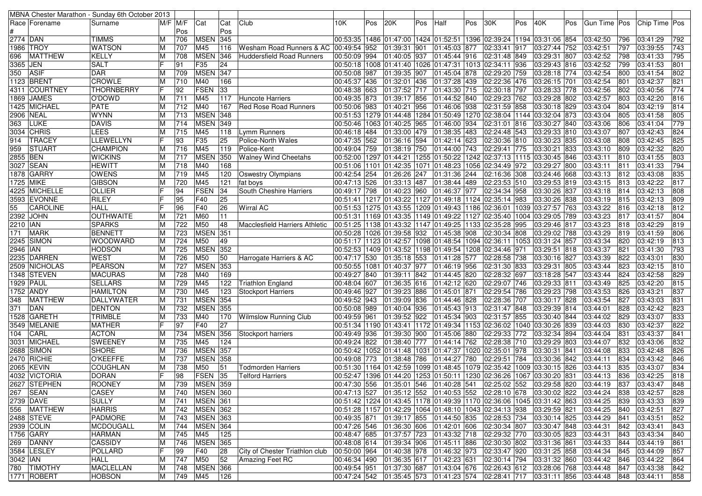|            |                   | MBNA Chester Marathon - Sunday 6th October 2013 |   |          |                 |     |                                  |                               |     |     |                |     |                                                                                                       |     |              |     |              |     |                                                                               |                 |               |     |
|------------|-------------------|-------------------------------------------------|---|----------|-----------------|-----|----------------------------------|-------------------------------|-----|-----|----------------|-----|-------------------------------------------------------------------------------------------------------|-----|--------------|-----|--------------|-----|-------------------------------------------------------------------------------|-----------------|---------------|-----|
|            | Race   Forename   | Surname                                         |   | M/F IM/F | Cat             | Cat | Club                             | 10K                           | Pos | 20K |                | Pos | Half                                                                                                  | Pos | 30K          | Pos | 40K          | Pos | Gun Time Pos                                                                  |                 | Chip Time Pos |     |
|            |                   |                                                 |   | Pos      |                 | Pos |                                  |                               |     |     |                |     |                                                                                                       |     |              |     |              |     |                                                                               |                 |               |     |
| 2774 DAN   |                   | <b>TIMMS</b>                                    | м | 706      | <b>MSEN</b>     | 345 |                                  |                               |     |     |                |     | 00:53:35  1486  01:47:00  1424  01:52:51  1396  02:39:24  1194  03:31:06  854                         |     |              |     |              |     | 03:42:50                                                                      | 796             | 03:41:29      | 792 |
| 1986       | <b>TROY</b>       | <b>WATSON</b>                                   |   | 707      | M45             | 116 | Wesham Road Runners & AC         | 00:49:54 952                  |     |     | 01:39:31       | 901 | 01:45:03 877                                                                                          |     | 02:33:41 917 |     | 03:27:44 752 |     | 03:42:51                                                                      | 797             | 03:39:55      | 743 |
| 696        | <b>MATTHEW</b>    | <b>KELLY</b>                                    |   | 708      | <b>MSEN 346</b> |     | <b>Huddersfield Road Runners</b> | 00:50:09 994                  |     |     | 01:40:05       | 937 | $ 01:45:44$ 916 02:31:48 849                                                                          |     |              |     | 03:29:31 807 |     | 03:42:52                                                                      | 798             | 03:41:33      | 795 |
| 3365       | <b>JEN</b>        | <b>SALT</b>                                     |   | 91       | F35             | 24  |                                  |                               |     |     |                |     | 00:50:18  1008  01:41:40  1026  01:47:31  1013  02:34:11  936                                         |     |              |     | 03:29:43 816 |     | 03:42:52                                                                      | 799             | 03:41:53      | 801 |
| 350        | <b>ASIF</b>       | <b>DAR</b>                                      | M | 709      | <b>MSEN 347</b> |     |                                  | 00:50:08 987                  |     |     | 01:39:35       | 907 | 01:45:04 878                                                                                          |     | 02:29:20 759 |     | 03:28:18 774 |     | 03:42:54                                                                      | 800             | 03:41:54      | 802 |
|            | 1123 BRENT        | <b>CROWLE</b>                                   |   | 710      | M40             | 166 |                                  | 00:45:37 436                  |     |     | 01:32:01       | 436 | 01:37:28 439                                                                                          |     | 02:22:36 476 |     | 03:26:15 701 |     | 03:42:54                                                                      | 80 <sup>2</sup> | 03:42:37      | 821 |
|            | 4311  COURTNEY    | <b>THORNBERRY</b>                               |   | 92       | <b>FSEN</b>     | 33  |                                  | 00:48:38 663                  |     |     | 01:37:52 717   |     | 01:43:30 715                                                                                          |     | 02:30:18 797 |     | 03:28:33 778 |     | 03:42:56                                                                      | 802             | 03:40:56      | 774 |
| 1869       | <b>JAMES</b>      | O'DOWD                                          |   | 711      | M45             | 117 | Huncote Harriers                 | 00:49:35 873                  |     |     | 01:39:17       | 856 | 01:44:52 840                                                                                          |     | 02:29:23 762 |     | 03:29:28 802 |     | 03:42:57                                                                      | 803             | 03:42:20      | 816 |
| 1425       | <b>MICHAEL</b>    | <b>PATE</b>                                     | м | 712      | M40             | 167 | Red Rose Road Runners            | 00:50:06 983                  |     |     | 01:40:21       | 956 | 01:46:06 938                                                                                          |     | 02:31:59 858 |     | 03:30:18 829 |     | 03:43:04                                                                      | 804             | 03:42:19      | 814 |
| 2906 NEAL  |                   | <b>WYNN</b>                                     |   | 713      | <b>MSEN 348</b> |     |                                  |                               |     |     |                |     | 00:51:53  1279  01:44:48  1284  01:50:49  1270  02:38:04  1144                                        |     |              |     | 03:32:04 873 |     | 03:43:04                                                                      | 805             | 03:41:58      | 805 |
| 363        | LUKE              | <b>DAVIS</b>                                    |   | 714      | <b>MSEN 349</b> |     |                                  | 00:50:46 1063 01:40:25        |     |     |                | 965 | 01:46:00 934                                                                                          |     | 02:31:01 816 |     | 03:30:27 840 |     | 03:43:06                                                                      | 806             | 03:41:04      | 779 |
| 3034       | <b>CHRIS</b>      | LEES                                            | м | 715      | M45             | 118 | Lymm Runners                     | 00:46:18 484                  |     |     | 01:33:00 479   |     | 01:38:35 483                                                                                          |     | 02:24:48 543 |     | 03:29:33 810 |     | 03:43:07                                                                      | 807             | 03:42:43      | 824 |
| 914        | <b>TRACEY</b>     | <b>LLEWELLYN</b>                                |   | 93       | F35             | 25  | Police-North Wales               | 00:47:35 562                  |     |     | 01:36:16 594   |     | 01:42:14 623                                                                                          |     | 02:30:36 810 |     | 03:30:23 835 |     | 03:43:08                                                                      | 808             | 03:42:45      | 825 |
| 959        | <b>STUART</b>     | <b>CHAMPION</b>                                 | м | 716      | M45             | 119 | Police-Kent                      | 00:49:04 759                  |     |     | 01:38:19 750   |     | 01:44:00 743                                                                                          |     | 02:29:41 775 |     | 03:30:21 833 |     | 03:43:10                                                                      | 809             | 03:42:32      | 820 |
| 2855 BEN   |                   | <b>WICKINS</b>                                  |   | 717      | <b>MSEN</b>     | 350 | <b>Walney Wind Cheetahs</b>      | 00:52:00 1297 01:44:21        |     |     |                |     | 1255 01:50:22   1242   02:37:13   1115                                                                |     |              |     | 03:30:45 846 |     | 03:43:11                                                                      | 810             | 03:41:55      | 803 |
|            | 3027   SEAN       | <b>HEWITT</b>                                   |   | 718      | M40             | 168 |                                  | 00:51:06   1101   01:42:35    |     |     |                |     | 1071 01:48:23   1056   02:34:49   972                                                                 |     |              |     | 03:29:27 800 |     | 03:43:11                                                                      | 811             | 03:41:33      | 794 |
| 1878       | <b>GARRY</b>      | <b>OWENS</b>                                    |   | 719      | M45             | 120 | <b>Oswestry Olympians</b>        | 00:42:54 254                  |     |     | 01:26:26 247   |     | 01:31:36 244                                                                                          |     | 02:16:36 308 |     | 03:24:46 668 |     | 03:43:13                                                                      | 812             | 03:43:08      | 835 |
| 1725 MIKE  |                   | <b>GIBSON</b>                                   |   | 720      | M45             | 121 |                                  | 00:47:13 526                  |     |     | 01:33:13 487   |     | $\boxed{01:38:44}$ 489                                                                                |     | 02:23:53 510 |     | 03:29:53 819 |     | 03:43:15                                                                      | 813             | 03:42:22      | 817 |
|            |                   |                                                 |   |          |                 | 34  | fat boys                         |                               |     |     |                |     |                                                                                                       |     |              |     |              |     |                                                                               | 814             |               | 808 |
|            | 4225  MICHELLE    | OLLIER                                          |   | 94       | <b>FSEN</b>     |     | South Cheshire Harriers          | 00:49:17 798                  |     |     | 01:40:23 960   |     | 01:46:37 977                                                                                          |     | 02:34:34 958 |     | 03:30:26 837 |     | 03:43:18                                                                      |                 | 03:42:13      |     |
|            | 3593 EVONNE       | <b>RILEY</b>                                    |   | 95       | F40             | 25  |                                  |                               |     |     |                |     | 00:51:41   1217   01:43:22   1127   01:49:18   1124   02:35:14   983                                  |     |              |     | 03:30:26 838 |     | 03:43:19                                                                      | 815             | 03:42:13      | 809 |
| 55         | <b>CAROLINE</b>   | <b>HALL</b>                                     |   | 96       | F40             | 26  | <b>Wirral AC</b>                 |                               |     |     |                |     | 00:51:53  1275  01:43:55  1209  01:49:43  1186  02:36:01  1039                                        |     |              |     | 03:27:57 763 |     | 03:43:22                                                                      | 816             | 03:42:18      | 812 |
| 2392       | <b>JOHN</b>       | <b>OUTHWAITE</b>                                |   | 721      | M60             | 11  |                                  | 00:51:31  1169  01:43:35      |     |     |                |     | 1149 01:49:22 1127 02:35:40 1004                                                                      |     |              |     | 03:29:05 789 |     | 03:43:23                                                                      | 817             | 03:41:57      | 804 |
| 2210 IAN   |                   | <b>SPARKS</b>                                   |   | 722      | M50             | 48  | Macclesfield Harriers Athletic   |                               |     |     |                |     | 00:51:25  1138  01:43:32  1147  01:49:25  1133 02:35:28  995                                          |     |              |     | 03:29:46 817 |     | 03:43:23                                                                      | 818             | 03:42:29      | 819 |
| 171        | <b>MARK</b>       | <b>BENNETT</b>                                  |   | 723      | <b>MSEN</b> 351 |     |                                  | 00:50:28 1026 01:39:58 932    |     |     |                |     | 01:45:38 908                                                                                          |     | 02:30:34 808 |     | 03:29:02 788 |     | 03:43:29                                                                      | 819             | 03:41:59      | 806 |
| 2245       | <b>SIMON</b>      | WOODWARD                                        |   | 724      | M50             | 49  |                                  |                               |     |     |                |     | 00:51:17  1123  01:42:57  1098  01:48:54  1094  02:36:11  1053                                        |     |              |     | 03:31:24 857 |     | 03:43:34                                                                      | 820             | 03:42:19      | 813 |
| 2946  IAN  |                   | <b>HODSON</b>                                   | M | 725      | <b>MSEN</b>     | 352 |                                  |                               |     |     |                |     | 00:52:53  1409  01:43:52  1198  01:49:54  1208  02:34:46  971                                         |     |              |     | 03:29:51 818 |     | 03:43:37                                                                      | 821             | 03:41:30      | 793 |
|            | 2235 DARREN       | <b>WEST</b>                                     | М | 726      | M50             | 50  | Harrogate Harriers & AC          | 00:47:17 530                  |     |     | 01:35:18 553   |     | 01:41:28 577                                                                                          |     | 02:28:58 738 |     | 03:30:16 827 |     | 03:43:39                                                                      | 822             | 03:43:01      | 830 |
|            | 2509 NICHOLAS     | <b>PEARSON</b>                                  |   | 727      | <b>MSEN 353</b> |     |                                  | 00:50:55  1081  01:40:37  977 |     |     |                |     | 01:46:19 956                                                                                          |     | 02:31:30 833 |     | 03:29:31 805 |     | 03:43:44                                                                      | 823             | 03:42:15      | 810 |
|            | 1348 STEVEN       | <b>MACURAS</b>                                  | M | 728      | M40             | 169 |                                  | 00:49:27 840                  |     |     | 01:39:11       | 842 | 01:44:45 820                                                                                          |     | 02:28:32 697 |     | 03:18:28 547 |     | 03:43:44                                                                      | 824             | 03:42:58      | 829 |
| 1929  PAUL |                   | <b>SELLARS</b>                                  |   | 729      | M45             | 122 | Triathlon England                | 00:48:04 607                  |     |     | $01:36:35$ 616 |     | 01:42:12 620                                                                                          |     | 02:29:07 746 |     | 03:29:33 811 |     | 03:43:49                                                                      | 825             | 03:42:20      | 815 |
| 1752       | <b>ANDY</b>       | HAMILTON                                        |   | 730      | M45             | 123 | <b>Stockport Harriers</b>        | 00:49:46 927                  |     |     | 01:39:23 886   |     | 01:45:01 871                                                                                          |     | 02:29:54 786 |     | 03:29:23 798 |     | 03:43:53                                                                      | 826             | 03:43:21      | 837 |
| 348        | <b>MATTHEW</b>    | DALLYWATER                                      | M | 731      | MSEN 354        |     |                                  | 00:49:52 943                  |     |     | 01:39:09       | 836 | 01:44:46 828                                                                                          |     | 02:28:36 707 |     | 03:30:17 828 |     | 03:43:54                                                                      | 827             | 03:43:03      | 831 |
| 371        | DAN               | <b>DENTON</b>                                   |   | 732      | <b>MSEN</b>     | 355 |                                  | 00:50:08 989                  |     |     | 01:40:04 936   |     | 01:45:43 913                                                                                          |     | 02:31:47 848 |     | 03:29:39 814 |     | 03:44:01                                                                      | 828             | 03:42:42      | 823 |
| 1528       | <b>GARETH</b>     | <b>TRIMBLE</b>                                  | м | 733      | M40             | 170 | <b>Wilmslow Running Club</b>     | 00:49:59 961                  |     |     | 01:39:52 922   |     | 01:45:34 903                                                                                          |     | 02:31:57 855 |     | 03:30:40 844 |     | 03:44:02                                                                      | 829             | 03:43:07      | 833 |
|            | 3549 MELANIE      | <b>MATHER</b>                                   |   | 97       | F40             | 27  |                                  | 00:51:34  1190  01:43:41      |     |     |                |     | 1172 01:49:34 1153 02:36:02 1040                                                                      |     |              |     | 03:30:26 839 |     | 03:44:03                                                                      | 830             | 03:42:37      | 822 |
| 104        | CARL              | <b>ACTON</b>                                    |   | 734      | <b>MSEN 356</b> |     | Stockport harriers               | 00:49:49 936                  |     |     | 01:39:30       | 900 | 01:45:06 880                                                                                          |     | 02:29:33 772 |     | 03:32:34 894 |     | 03:44:04                                                                      | 831             | 03:43:37      | 841 |
| 3031       | MICHAEL           | <b>SWEENEY</b>                                  | м | 735      | M45             | 124 |                                  | 00:49:24 822                  |     |     | 01:38:40       | 777 | 01:44:14 762                                                                                          |     | 02:28:38 710 |     | 03:29:29 803 |     | 03:44:07                                                                      | 832             | 03:43:06      | 832 |
|            | 2688 SIMON        | <b>SHORE</b>                                    |   | 736      | MSEN 357        |     |                                  | 00:50:42 1052 01:41:48        |     |     |                |     | 1031 01:47:37 1020 02:35:01 978                                                                       |     |              |     | 03:30:31 841 |     | 03:44:08                                                                      | 833             | 03:42:48      | 826 |
|            | 2470 RICHIE       | <b>O'KEEFFE</b>                                 |   | 737      | <b>MSEN 358</b> |     |                                  | 00:49:08 773                  |     |     | 01:38:48 786   |     | 01:44:27 780                                                                                          |     | 02:29:51 784 |     | 03:30:36 842 |     | 03:44:11                                                                      | 834             | 03:43:42      | 846 |
|            | <b>2065 KEVIN</b> | <b>COUGHLAN</b>                                 |   | 738      | M50             | 51  | Todmorden Harriers               | 00:51:30   1164   01:42:59    |     |     |                |     | 1099 01:48:45 1079 02:35:42 1009                                                                      |     |              |     | 03:30:15 826 |     | 03:44:13                                                                      | 835             | 03:43:07      | 834 |
|            | 4032 VICTORIA     | DORAN                                           |   | 98       | FSEN 35         |     | <b>Telford Harriers</b>          |                               |     |     |                |     | 00:52:47  1396  01:44:20  1253  01:50:11  1230  02:36:26  1067  03:30:20  831                         |     |              |     |              |     | 03:44:13                                                                      | 836             | 03:42:25      | 818 |
|            | 2627 STEPHEN      | <b>ROONEY</b>                                   | M |          | 739 MSEN 359    |     |                                  |                               |     |     |                |     | 00:47:30 556 01:35:01 546 01:40:28 541 02:25:02 552 03:29:58 820 03:44:19                             |     |              |     |              |     |                                                                               | 837             | 03:43:47      | 848 |
|            | 267 SEAN          | CASEY                                           | M |          | 740 MSEN 360    |     |                                  |                               |     |     |                |     | 00:47:13 527 01:35:12 552 01:40:53 552 02:28:10 678 03:30:02 822 03:44:24                             |     |              |     |              |     |                                                                               | 838             | 03:42:57      | 828 |
|            | 2739 DAVE         | <b>SULLY</b>                                    | M | 741      | MSEN 361        |     |                                  |                               |     |     |                |     | 03:44:25 03:42   363   344:25 01:49:39   36:06   36:07 1170   35:36:06   36:37:42   36:34:25 00:51:42 |     |              |     |              |     |                                                                               | 839             | 03:43:33      | 839 |
|            | 556 MATTHEW       | <b>HARRIS</b>                                   | м |          | 742 MSEN 362    |     |                                  |                               |     |     |                |     | 00:51:28  1157  01:42:29  1064  01:48:10  1043  02:34:13  938  03:29:59  821                          |     |              |     |              |     | 03:44:25                                                                      | 840             | 03:42:51      | 827 |
|            | 2488 STEVE        | PADMORE                                         | M | 743      | <b>MSEN 363</b> |     |                                  |                               |     |     |                |     | 00:49:35 871 01:39:17 855 01:44:50 835 02:28:53 734 03:30:14 825                                      |     |              |     |              |     | 03:44:29                                                                      | 841             | 03:43:51      | 852 |
|            | 2939 COLIN        | <b>MCDOUGALL</b>                                | м | 744      | <b>MSEN 364</b> |     |                                  |                               |     |     |                |     | 00:47:26 546  01:36:30  606  01:42:01  606  02:30:34  807                                             |     |              |     | 03:30:47 848 |     | 03:44:31                                                                      | 842             | 03:43:41      | 843 |
|            | 1756 GARY         | <b>HARMAN</b>                                   | M | 745      | M45             | 125 |                                  | 00:48:47 685 01:37:57 723     |     |     |                |     | 01:43:32 718 02:29:32 770                                                                             |     |              |     | 03:30:05 823 |     | 03:44:31                                                                      | 843             | 03:43:34      | 840 |
|            | 269 DANNY         | <b>CASSIDY</b>                                  | M | 746      | <b>MSEN 365</b> |     |                                  | 00:48:08 614 01:39:34 906     |     |     |                |     | $ 01:45:11 886$ 02:30:30 802                                                                          |     |              |     | 03:31:36 861 |     | 03:44:33                                                                      | 844             | 03:44:19      | 861 |
|            | 3584 LESLEY       | POLLARD                                         |   |          | F40             |     |                                  |                               |     |     |                |     | 00:50:00 964 01:40:38 978 01:46:32 973 02:33:47 920 03:31:25 858 03:44:34                             |     |              |     |              |     |                                                                               |                 |               |     |
|            |                   |                                                 |   | 99       |                 | 28  | City of Chester Triathlon club   |                               |     |     |                |     |                                                                                                       |     |              |     |              |     |                                                                               | 845             | 03:44:09      | 857 |
| 3042 IAN   |                   | HALL                                            | M | 747      | M50             | 52  | Amazing Feet RC                  |                               |     |     |                |     | 00:46:34 490 01:36:35 617 01:42:23 631                                                                |     | 02:30:14 794 |     | 03:31:32 860 |     | 03:44:42                                                                      | 846             | 03:44:22      | 864 |
|            | 780 TIMOTHY       | <b>MACLELLAN</b>                                | M | 748      | <b>MSEN 366</b> |     |                                  |                               |     |     |                |     | 00:49:54 951 01:37:30 687 01:43:04 676 02:26:43 612 03:28:06 768 03:44:48                             |     |              |     |              |     |                                                                               | 847             | 03:43:38      | 842 |
|            | 1771   ROBERT     | <b>HOBSON</b>                                   | М | 749 M45  |                 | 126 |                                  |                               |     |     |                |     |                                                                                                       |     |              |     |              |     | 00:47:24 542 01:35:45 573 01:41:23 574 02:28:41 717 03:31:11 856 03:44:48 848 |                 | 03:44:11      | 858 |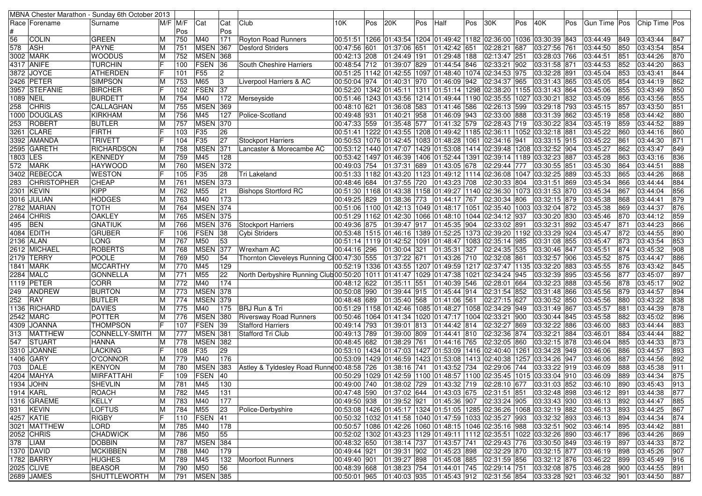|            |                    | MBNA Chester Marathon - Sunday 6th October 2013 |             |     |                 |     |                                                                                                    |                              |     |          |              |     |                       |     |                                                                                                                                                                      |     |                       |     |                                                                               |     |               |     |
|------------|--------------------|-------------------------------------------------|-------------|-----|-----------------|-----|----------------------------------------------------------------------------------------------------|------------------------------|-----|----------|--------------|-----|-----------------------|-----|----------------------------------------------------------------------------------------------------------------------------------------------------------------------|-----|-----------------------|-----|-------------------------------------------------------------------------------|-----|---------------|-----|
|            | Race  Forename     | Surname                                         | $M/F$ $M/F$ |     | Cat             | Cat | Club                                                                                               | 10K                          | Pos | 20K      |              | Pos | Half                  | Pos | 30K                                                                                                                                                                  | Pos | 40K                   | Pos | Gun Time Pos                                                                  |     | Chip Time Pos |     |
|            |                    |                                                 |             | Pos |                 | Pos |                                                                                                    |                              |     |          |              |     |                       |     |                                                                                                                                                                      |     |                       |     |                                                                               |     |               |     |
| 56         | <b>COLIN</b>       | <b>GREEN</b>                                    | ΙM          | 750 | M40             | 171 | Royton Road Runners                                                                                |                              |     |          |              |     |                       |     | 00:51:51  1266  01:43:54  1204  01:49:42  1182  02:36:00  1036  03:30:39  843                                                                                        |     |                       |     | 03:44:49                                                                      | 849 | 03:43:44      | 847 |
| 578        | ASH                | <b>PAYNE</b>                                    | ΙM          | 751 | <b>MSEN</b>     | 367 | Desford Striders                                                                                   | 00:47:56 601                 |     | 01:37:06 |              | 651 | 01:42:42 651          |     | 02:28:21 687                                                                                                                                                         |     | 03:27:56 761          |     | 03:44:50                                                                      | 850 | 03:43:54      | 854 |
|            | 3002  MARK         | <b>WOODUS</b>                                   | ΙM          | 752 | <b>MSEN 368</b> |     |                                                                                                    | 00:42:13 208 01:24:49 191    |     |          |              |     | 01:29:48 188          |     | 02:13:47 251                                                                                                                                                         |     | 03:28:03 766          |     | 03:44:51                                                                      | 851 | 03:44:26      | 870 |
|            | 4317 ANIFE         | <b>TURCHIN</b>                                  | lF          | 100 | <b>FSEN</b>     | 36  | South Cheshire Harriers                                                                            | 00:48:54 712                 |     |          | 01:39:07 829 |     | 01:44:54 846          |     | 02:33:21 902                                                                                                                                                         |     | 03:31:58 871          |     | 03:44:53                                                                      | 852 | 03:44:20      | 863 |
|            | 3872 JOYCE         | <b>ATHERDEN</b>                                 | lF          | 101 | F55             | 2   |                                                                                                    | 00:51:25 1142 01:42:55       |     |          |              |     |                       |     | 1097 01:48:40   1074 02:34:53   975                                                                                                                                  |     | 03:32:28 891          |     | 03:45:04                                                                      | 853 | 03:43:41      | 844 |
|            | 2426 PETER         | <b>SIMPSON</b>                                  | ΙM          | 753 | M65             | 3   | Liverpool Harriers & AC                                                                            | 00:50:04 974                 |     | 01:40:31 |              | 970 | 01:46:09 942          |     | 02:34:37 965                                                                                                                                                         |     | 03:31:43 865          |     | 03:45:05                                                                      | 854 | 03:44:19      | 862 |
|            | 3957 STEFANIE      | <b>BIRCHER</b>                                  | IF          | 102 | FSEN            | 37  |                                                                                                    | 00:52:20   1342   01:45:11   |     |          |              |     |                       |     | 1311 01:51:14 1298 02:38:20 1155                                                                                                                                     |     | 03:31:43 864          |     | 03:45:06                                                                      | 855 | 03:43:49      | 850 |
| 1089  NEIL |                    | BURDETT                                         | ΙM          | 754 | M40             | 172 |                                                                                                    |                              |     |          |              |     |                       |     | 00:51:46   1243   01:43:56   1214   01:49:44   1190   02:35:55   1027   03:30:21   832                                                                               |     |                       |     | 03:45:09                                                                      | 856 | 03:43:56      | 855 |
|            | <b>CHRIS</b>       | CALLAGHAN                                       |             |     | <b>MSEN</b>     | 369 | Merseyside                                                                                         |                              |     | 01:36:08 |              |     |                       |     |                                                                                                                                                                      |     |                       |     |                                                                               | 857 |               |     |
| 258        |                    |                                                 | M           | 755 |                 | 127 |                                                                                                    | 00:48:10 621                 |     | 01:40:21 |              | 583 | 01:41:46 586          |     | 02:26:13 599<br>02:33:00 888                                                                                                                                         |     | 03:29:18 793          |     | 03:45:15                                                                      | 858 | 03:43:50      | 851 |
|            | 1000 DOUGLAS       | KIRKHAM                                         | ΙM          | 756 | M45             |     | Police-Scotland                                                                                    | 00:49:48 931<br>00:47:33 559 |     |          |              | 958 | 01:46:09 943          |     |                                                                                                                                                                      |     | 03:31:39 862          |     | 03:45:19                                                                      |     | 03:44:42      | 880 |
| 253        | ROBERT             | <b>BUTLER</b>                                   | ΙM          | 757 | <b>MSEN 370</b> |     |                                                                                                    |                              |     |          | 01:35:48 577 |     |                       |     | 01:41:32 579 02:28:43 719                                                                                                                                            |     | 03:30:22 834          |     | 03:45:19                                                                      | 859 | 03:44:52      | 889 |
|            | 3261 CLARE         | FIRTH                                           | IF          | 103 | F35             | 26  |                                                                                                    | 00:51:41   1222   01:43:55   |     |          |              |     |                       |     | 1208 01:49:42 1185 02:36:11 1052 03:32:18 881                                                                                                                        |     |                       |     | 03:45:22                                                                      | 860 | 03:44:16      | 860 |
|            | 3392  AMANDA       | <b>TRIVETT</b>                                  | IF          | 104 | F35             | 27  | Stockport Harriers                                                                                 | 00:50:53   1076   01:42:45   |     |          |              |     |                       |     | 1083 01:48:28 1061 02:34:16 941                                                                                                                                      |     | 03:33:15 915          |     | 03:45:22                                                                      | 86  | 03:44:30      | 871 |
|            | 2595 GARETH        | <b>RICHARDSON</b>                               | ΙM          | 758 | <b>MSEN</b>     | 371 | Lancaster & Morecambe AC                                                                           | 00:53:12 1440 01:47:07       |     |          |              |     |                       |     | 1429  01:53:08  1414  02:39:48  1208  03:32:52  904                                                                                                                  |     |                       |     | 03:45:27                                                                      | 862 | 03:43:47      | 849 |
| 1803 LES   |                    | KENNEDY                                         | ΙM          | 759 | M45             | 128 |                                                                                                    | 00:53:42  1497  01:46:39     |     |          |              |     |                       |     | 1406 01:52:44  1391 02:39:14  1189                                                                                                                                   |     | 03:32:23 887          |     | 03:45:28                                                                      | 863 | 03:43:16      | 836 |
| 572        | MARK               | <b>HAYWOOD</b>                                  | ΙM          | 760 | <b>MSEN</b>     | 372 |                                                                                                    | $00:49:03$ 754 01:37:31      |     |          |              | 689 | 01:43:05 678          |     | 02:29:44 777                                                                                                                                                         |     | 03:30:55 851          |     | 03:45:30                                                                      | 864 | 03:44:51      | 888 |
|            | 3402 REBECCA       | <b>WESTON</b>                                   | IF          | 105 | F35             | 28  | <b>Tri Lakeland</b>                                                                                |                              |     |          |              |     |                       |     | 00:51:33 1182 01:43:20 1123 01:49:12 11114 02:36:08 1047                                                                                                             |     | 03:32:25 889          |     | 03:45:33                                                                      | 865 | 03:44:26      | 868 |
| 283        | <b>CHRISTOPHER</b> | <b>CHEAP</b>                                    | ΙM          | 761 | <b>MSEN</b>     | 373 |                                                                                                    | 00:48:46 684                 |     |          | 01:37:55 720 |     | $\sqrt{01:43:23}$ 708 |     | 02:30:33 804                                                                                                                                                         |     | 03:31:51 869          |     | 03:45:34                                                                      | 866 | 03:44:44      | 884 |
|            | 2301 KEVIN         | <b>KIPP</b>                                     | ΙM          | 762 | M55             | 21  | <b>Bishops Stortford RC</b>                                                                        | 00:51:30   1168   01:43:38   |     |          |              |     |                       |     | 1158 01:49:27  1140 02:36:30  1073 03:31:53 870                                                                                                                      |     |                       |     | 03:45:34                                                                      | 867 | 03:44:04      | 856 |
|            | 3016 JULIAN        | <b>HODGES</b>                                   | IМ          | 763 | M40             | 173 |                                                                                                    | 00:49:25 829                 |     | 01:38:36 |              | 773 | 01:44:17 767          |     | 02:30:34 806                                                                                                                                                         |     | 03:32:15 879          |     | 03:45:38                                                                      | 868 | 03:44:41      | 879 |
|            | 2782   MARIAN      | <b>TOTH</b>                                     | ΙM          | 764 | <b>MSEN 374</b> |     |                                                                                                    |                              |     |          |              |     |                       |     | 00:51:06 1100 01:42:13 1049 01:48:17 1051 02:35:40 1003 03:32:04 872                                                                                                 |     |                       |     | 03:45:38                                                                      | 869 | 03:44:37      | 876 |
|            | 2464   CHRIS       | <b>OAKLEY</b>                                   | ΙM          | 765 | <b>MSEN</b>     | 375 |                                                                                                    | 00:51:29  1162  01:42:30     |     |          |              |     |                       |     | 1066 01:48:10  1044 02:34:12  937                                                                                                                                    |     | 03:30:20 830          |     | 03:45:46                                                                      | 870 | 03:44:12      | 859 |
| 495        | <b>BEN</b>         | <b>GNATIUK</b>                                  | IМ          | 766 | <b>MSEN</b>     | 376 | Stockport Harriers                                                                                 | 00:49:36 875                 |     |          | 01:39:47 917 |     | 01:45:35 904          |     | 02:33:02 891                                                                                                                                                         |     | 03:32:31 892          |     | 03:45:47                                                                      | 871 | 03:44:23      | 866 |
|            | 4084 EDITH         | GRUBER                                          | ΙF          | 106 | FSEN            | 38  | Cybi Striders                                                                                      |                              |     |          |              |     |                       |     | 00:53:48 1515 01:46:16 1389 01:52:25 1373 02:39:20 1192                                                                                                              |     | 03:33:29 924          |     | 03:45:47                                                                      | 872 | 03:44:55      | 890 |
|            | 2136 ALAN          | LONG                                            | ΙM          | 767 | M50             | 53  |                                                                                                    | 00:51:14 1119 01:42:52       |     |          |              |     |                       |     | 1091 01:48:47 1083 02:35:14 985                                                                                                                                      |     | 03:31:08 855          |     | 03:45:47                                                                      | 873 | 03:43:54      | 853 |
|            | 2612  MICHAEL      | <b>ROBERTS</b>                                  | ΙM          | 768 | <b>MSEN</b>     | 377 | Wrexham AC                                                                                         | 00:44:16 296                 |     | 01:30:04 |              | 321 | 01:35:31 327          |     | 02:24:35 535                                                                                                                                                         |     | 03:30:46 847          |     | 03:45:51                                                                      | 874 | 03:45:32      | 908 |
|            | 2179 TERRY         | POOLE                                           | ΙM          | 769 | M50             | 54  | Thornton Cleveleys Running C100:47:30 555 01:37:22 671                                             |                              |     |          |              |     | 01:43:26 710          |     | $02:32:08$ 861                                                                                                                                                       |     | 03:32:57 906          |     | 03:45:52                                                                      | 875 | 03:44:47      | 886 |
|            | 1841 MARK          | <b>MCCARTHY</b>                                 | ΙM          | 770 | M45             | 129 |                                                                                                    |                              |     |          |              |     |                       |     | 00:52:19 1336 01:43:55 1207 01:49:59 1217 02:37:47 1135                                                                                                              |     | 03:32:20 883          |     | 03:45:55                                                                      | 876 | 03:43:42      | 845 |
|            | 2284 MALC          | <b>GONNELLA</b>                                 | ΙM          | 771 | M55             | 22  | North Derbyshire Running Club 00:50:20   1011   01:41:47   1029   01:47:38   1021   02:34:24   945 |                              |     |          |              |     |                       |     |                                                                                                                                                                      |     | 03:32:39 895          |     | 03:45:56                                                                      | 877 | 03:45:07      | 897 |
|            | 1119 PETER         | <b>CORR</b>                                     | ΙM          | 772 | M40             | 174 |                                                                                                    | 00:48:12 622                 |     | 01:35:11 |              | 551 | 01:40:39 546          |     | 02:28:01 664                                                                                                                                                         |     | 03:32:23 888          |     | 03:45:56                                                                      | 878 | 03:45:17      | 902 |
| 249        | ANDREW             | <b>BURTON</b>                                   | ΙM          | 773 | <b>MSEN</b>     | 378 |                                                                                                    | 00:50:08 990                 |     |          | 01:39:44 915 |     | 01:45:44 914          |     | 02:31:54 852                                                                                                                                                         |     | 03:31:48 866          |     | 03:45:56                                                                      | 879 | 03:44:57      | 894 |
| 252        | <b>IRAY</b>        | <b>BUTLER</b>                                   | ΙM          | 774 | <b>MSEN</b>     | 379 |                                                                                                    | 00:48:48 689                 |     |          | 01:35:40 568 |     | 01:41:06 561          |     | 02:27:15 627                                                                                                                                                         |     | 03:30:52 850          |     | 03:45:56                                                                      | 880 | 03:43:22      | 838 |
|            | 1136  RICHARD      | DAVIES                                          | ΙM          | 775 | M40             | 175 | BRJ Run & Tri                                                                                      | 00:51:29  1158  01:42:46     |     |          |              |     |                       |     | 1085  01:48:27  1058  02:34:29  949                                                                                                                                  |     | 03:31:49 867          |     | 03:45:57                                                                      | 88  | 03:44:39      | 878 |
|            | 2542 MARC          | POTTER                                          | ΙM          | 776 | <b>MSEN</b>     | 380 | <b>Riversway Road Runners</b>                                                                      | 00:50:46   1064   01:41:34   |     |          |              |     |                       |     | 1020 01:47:17 1004 02:33:21 900                                                                                                                                      |     | 03:30:44 845          |     | 03:45:58                                                                      | 882 | 03:45:02      | 896 |
|            | 4309  JOANNA       | THOMPSON                                        | IF          | 107 | <b>FSEN</b>     | 39  | Stafford Harriers                                                                                  | 00:49:14 793                 |     | 01:39:01 |              | 813 | 01:44:42 814          |     | 02:32:27 869                                                                                                                                                         |     | 03:32:22 886          |     | 03:46:00                                                                      | 883 | 03:44:44      | 883 |
| 313        | <b>MATTHEW</b>     | CONNELLY-SMITH                                  | -M          | 777 | <b>MSEN 381</b> |     | Stafford Tri Club                                                                                  | 00:49:13 789                 |     | 01:39:00 |              | 809 | 01:44:41 810          |     | 02:32:36 874                                                                                                                                                         |     | 03:32:21 884          |     | 03:46:01                                                                      | 884 | 03:44:44      | 882 |
| 547        | STUART             | <b>HANNA</b>                                    | ΙM          | 778 | <b>MSEN</b>     | 382 |                                                                                                    | 00:48:45 682                 |     | 01:38:29 |              | 761 | 01:44:16 765          |     | 02:32:05 860                                                                                                                                                         |     | 03:32:15 878          |     | 03:46:04                                                                      | 885 | 03:44:33      | 873 |
|            | 3310 JOANNE        | LACKING                                         | IF          | 108 | F35             | 29  |                                                                                                    | 00:53:10   1434   01:47:03   |     |          |              |     |                       |     | 1427  01:53:09  1416  02:40:40  1261                                                                                                                                 |     | 03:34:28 949          |     | 03:46:06                                                                      | 886 | 03:44:57      | 893 |
|            | 1406 GARY          | O'CONNOR                                        | ΙM          | 779 | M40             | 176 |                                                                                                    |                              |     |          |              |     |                       |     | 00:53:09 1429 01:46:59 1423 01:53:08 1413 02:40:38 1257 03:34:26 947                                                                                                 |     |                       |     | 03:46:06                                                                      | 887 | 03:44:56      | 892 |
| 703        | <b>DALE</b>        | <b>KENYON</b>                                   | ΙM          | 780 | <b>MSEN</b>     | 383 | Astley & Tyldesley Road Runne00:48:58                                                              |                              | 726 | 01:38:16 |              | 741 | 01:43:52 734          |     | 02:29:06                                                                                                                                                             | 744 | 03:33:22 919          |     | 03:46:09                                                                      | 888 | 03:45:38      | 911 |
|            | 4204  MAHYA        | <b>MIRFATTAHI</b>                               | IF          | 109 | <b>FSEN</b>     | 40  |                                                                                                    |                              |     |          |              |     |                       |     | 00:50:29 1029 01:42:59 1100 01:48:57 1100 02:35:45 1015 03:33:04 910                                                                                                 |     |                       |     | 03:46:09                                                                      | 889 | 03:44:34      | 875 |
|            | 1934 JOHN          | <b>SHEVLIN</b>                                  | M           | 781 | M45             | 130 |                                                                                                    |                              |     |          |              |     |                       |     |                                                                                                                                                                      |     |                       |     | 00:49:00 740 01:38:02 729 01:43:32 719 02:28:10 677 03:31:03 852 03:46:10 890 |     | 03:45:43      | 913 |
|            | 1914 KARL          | ROACH                                           | ΙM          | 782 | M45             | 131 |                                                                                                    |                              |     |          |              |     |                       |     |                                                                                                                                                                      |     |                       |     | 00:47:48 590 01:37:02 644 01:43:03 675 02:31:51 851 03:32:48 898 03:46:12 891 |     | 03:44:38      | 877 |
|            |                    |                                                 |             |     |                 |     |                                                                                                    |                              |     |          |              |     |                       |     |                                                                                                                                                                      |     |                       |     |                                                                               |     |               |     |
|            | 1316 GRAEME        | <b>KELLY</b>                                    | ΙM          | 783 | M40             | 177 |                                                                                                    |                              |     |          |              |     |                       |     | 00:49:50  938  01:39:52  921  01:45:36  907  02:33:24  905  03:33:43  930  03:46:13<br>00:53:08 1426 01:45:17 1324 01:51:05 1285 02:36:26 1068 03:32:19 882 03:46:13 |     |                       |     |                                                                               | 892 | 03:44:47      | 885 |
|            | 931 KEVIN          | LOFTUS                                          | M<br>IF     | 784 | M55             | 23  | Police-Derbyshire                                                                                  |                              |     |          |              |     |                       |     |                                                                                                                                                                      |     |                       |     |                                                                               | 893 | 03:44:25      | 867 |
|            | 4257 KATIE         | <b>RIGBY</b>                                    |             | 110 | <b>FSEN</b>     | 41  |                                                                                                    |                              |     |          |              |     |                       |     | 00:50:32 1032 01:41:58 1040 01:47:59 1033 02:35:27 993 03:32:32 893                                                                                                  |     |                       |     | 03:46:13                                                                      | 894 | 03:44:34      | 874 |
|            | 3021 MATTHEW       | LORD                                            | M           | 785 | M40             | 178 |                                                                                                    |                              |     |          |              |     |                       |     | 00:50:57  1086  01:42:26  1060  01:48:15  1046  02:35:16  988                                                                                                        |     | 03:32:51 902          |     | 03:46:14                                                                      | 895 | 03:44:42      | 881 |
|            | 2052 CHRIS         | <b>CHADWICK</b>                                 | ΙM          | 786 | M50             | 55  |                                                                                                    |                              |     |          |              |     |                       |     | 00:52:02 1302 01:43:23 1129 01:49:11 1112 02:35:51 1022 03:32:26 890                                                                                                 |     |                       |     | 03:46:17                                                                      | 896 | 03:44:26      | 869 |
| 378 LIAM   |                    | <b>DOBBIN</b>                                   | M           | 787 | <b>MSEN</b>     | 384 |                                                                                                    | 00:48:32 650 01:38:14 737    |     |          |              |     | 01:43:57 741          |     | 02:29:43 776                                                                                                                                                         |     | 03:30:50 849          |     | 03:46:19                                                                      | 897 | 03:44:33      | 872 |
|            | 1370 DAVID         | <b>MCKIBBEN</b>                                 | M           | 788 | M40             | 179 |                                                                                                    |                              |     |          |              |     |                       |     | 00:49:44  921  01:39:31  902  01:45:23  898  02:32:29  870                                                                                                           |     | 03:32:15 877          |     | 03:46:19                                                                      | 898 | 03:45:26      | 907 |
|            | 1782 BARRY         | <b>HUGHES</b>                                   | ΙM          | 789 | M45             | 132 | Moorfoot Runners                                                                                   |                              |     |          |              |     |                       |     | 00:49:40 901  01:39:27 898  01:45:08 885  02:31:59 856                                                                                                               |     | 03:32:12 876          |     | 03:46:22                                                                      | 899 | 03:45:49      | 916 |
|            | 2025 CLIVE         | <b>BEASOR</b>                                   | ΙM          | 790 | M50             | 56  |                                                                                                    |                              |     |          |              |     |                       |     | 00:48:39 668  01:38:23  754  01:44:01  745  02:29:14  751                                                                                                            |     | 03:32:08 875 03:46:28 |     |                                                                               | 900 | 03:44:55      | 891 |
|            | 2689 JAMES         | <b>SHUTTLEWORTH</b>                             | M           | 791 | <b>MSEN 385</b> |     |                                                                                                    |                              |     |          |              |     |                       |     | 00:50:01 965 01:40:03 935 01:45:43 912 02:31:56 854 03:33:28 921                                                                                                     |     |                       |     | $ 03:46:32 $ 901                                                              |     | 03:44:50      | 887 |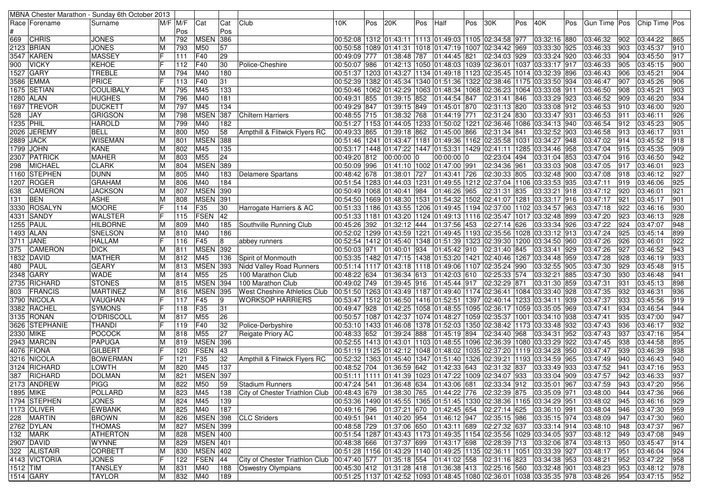|           |                 | MBNA Chester Marathon - Sunday 6th October 2013 |   |          |                 |                 |                                     |                            |     |              |     |                                                                                                             |     |              |     |              |     |                                                                                   |        |                 |     |
|-----------|-----------------|-------------------------------------------------|---|----------|-----------------|-----------------|-------------------------------------|----------------------------|-----|--------------|-----|-------------------------------------------------------------------------------------------------------------|-----|--------------|-----|--------------|-----|-----------------------------------------------------------------------------------|--------|-----------------|-----|
|           | Race   Forename | Surname                                         |   | M/F IM/F | Cat             | Cat             | Club                                | 10K                        | Pos | 20K          | Pos | Half                                                                                                        | Pos | 30K          | Pos | 40K          | Pos | Gun Time   Pos                                                                    |        | Chip Time   Pos |     |
|           |                 |                                                 |   | Pos      |                 | Pos             |                                     |                            |     |              |     |                                                                                                             |     |              |     |              |     |                                                                                   |        |                 |     |
| 669       | <b>CHRIS</b>    | JONES                                           |   | 792      | <b>MSEN</b>     | 386             |                                     |                            |     |              |     | 00:52:08  1312  01:43:11  1113  01:49:03  1105  02:34:58  977                                               |     |              |     | 03:32:16 880 |     | 03:46:32                                                                          | 902    | 03:44:22        | 865 |
|           | 2123 BRIAN      | <b>JONES</b>                                    |   | 793      | M50             | 57              |                                     | 00:50:58   1089   01:41:31 |     |              |     | 1018 01:47:19 1007 02:34:42 969                                                                             |     |              |     | 03:33:30 925 |     | 03:46:33                                                                          | 903    | 03:45:37        | 910 |
|           | 3547  KAREN     | <b>MASSEY</b>                                   |   | 111      | <b>F40</b>      | 29              |                                     | 00:49:09 777               |     |              |     | $ 01:38:48$ 787 $ 01:44:45$ 821                                                                             |     | 02:34:03 929 |     | 03:33:24 920 |     | 03:46:33                                                                          | 904    | 03:45:50        | 917 |
| 900       | <b>VICKY</b>    | <b>KEHOE</b>                                    |   | 112      | F40             | 30              | Police-Cheshire                     | 00:50:07 986               |     |              |     | 01:42:13  1050 01:48:03  1039 02:36:01  1037  03:33:17  917                                                 |     |              |     |              |     | 03:46:33                                                                          | 905    | 03:45:15        | 900 |
|           | 1527 GARY       | <b>TREBLE</b>                                   |   | 794      | M40             | 180             |                                     |                            |     |              |     | 00:51:37  1203  01:43:27  1134  01:49:18  1123  02:35:45  1014  03:32:39  896                               |     |              |     |              |     | 03:46:43                                                                          | 906    | 03:45:21        | 904 |
|           | 3586 EMMA       | <b>PRICE</b>                                    |   | 113      | F40             | 31              |                                     |                            |     |              |     | 00:52:39 1382 01:45:34 1340 01:51:36 1322 02:38:46 1175 03:33:50 934                                        |     |              |     |              |     | 03:46:47                                                                          | 907    | 03:45:26        | 906 |
|           | 1675 SETIAN     | <b>COULIBALY</b>                                |   | 795      | M45             | 133             |                                     | 00:50:46   1062   01:42:29 |     |              |     | 1063 01:48:34 1068 02:36:23 1064                                                                            |     |              |     | 03:33:08 911 |     | 03:46:50                                                                          | 908    | 03:45:21        | 903 |
|           | 1280  ALAN      | <b>HUGHES</b>                                   |   | 796      | M40             | 181             |                                     | 00:49:31 855               |     | 01:39:15 852 |     | 01:44:54 847                                                                                                |     | 02:31:41 846 |     | 03:33:29 923 |     | 03:46:52                                                                          | 909    | 03:46:20        | 934 |
|           | 1697 TREVOR     | <b>DUCKETT</b>                                  | м | 797      | M45             | 134             |                                     | 00:49:29 847               |     | 01:39:15 849 |     | 01:45:01 870 02:31:13 820                                                                                   |     |              |     | 03:33:08 912 |     | 03:46:53                                                                          | 910    | 03:46:00        | 920 |
| 528       | JAY             | <b>GRIGSON</b>                                  |   | 798      | <b>MSEN</b>     | 387             | <b>Chiltern Harriers</b>            | 00:48:55 715               |     | 01:38:32 768 |     | 01:44:19 771                                                                                                |     | 02:31:24 830 |     | 03:33:47 931 |     | 03:46:53                                                                          | 911    | 03:46:11        | 926 |
|           |                 | <b>HAROLD</b>                                   |   | 799      | M40             | 182             |                                     |                            |     |              |     |                                                                                                             |     |              |     | 03:34:13 940 |     | 03:46:54                                                                          | 912    | 03:45:23        | 905 |
| 1235 PHIL |                 |                                                 |   |          |                 |                 |                                     |                            |     |              |     | 00:51:27  1153  01:44:05  1233  01:50:02  1221  02:36:46  1086                                              |     |              |     |              |     |                                                                                   |        |                 |     |
| 2026      | <b>JEREMY</b>   | <b>BELL</b>                                     |   | 800      | M50             | 58              | Ampthill & Flitwick Flyers RC       | 00:49:33 865               |     | 01:39:18 862 |     | 01:45:00 866                                                                                                |     | 02:31:34 841 |     | 03:32:52 903 |     | 03:46:58                                                                          | 913    | 03:46:17        | 931 |
|           | 2889 JACK       | <b>WISEMAN</b>                                  |   | 801      | <b>MSEN 388</b> |                 |                                     |                            |     |              |     | 00:51:46  1241  01:43:47  1181  01:49:36  1162  02:35:58  1031  03:34:27  948                               |     |              |     |              |     | 03:47:02                                                                          | 914    | 03:45:52        | 918 |
|           | 1799  JOHN      | <b>KANE</b>                                     |   | 802      | M45             | 135             |                                     |                            |     |              |     | 00:53:17  1448  01:47:22  1447  01:53:31  1429 02:41:11  1285                                               |     |              |     | 03:34:46 958 |     | 03:47:04                                                                          | 915    | 03:45:35        | 909 |
|           | 2307 PATRICK    | <b>MAHER</b>                                    |   | 803      | M55             | 24              |                                     | 00:49:20 812               |     | 00:00:00 0   |     | 00:00:00 0                                                                                                  |     | 02:23:04 494 |     | 03:31:04 853 |     | 03:47:04                                                                          | 916    | 03:46:50        | 942 |
| 298       | MICHAEL         | <b>CLARK</b>                                    |   | 804      | <b>MSEN</b>     | 389             |                                     | 00:50:09 996               |     |              |     | 01:41:10 1002 01:47:00 991                                                                                  |     | 02:34:36 961 |     | 03:33:03 908 |     | 03:47:05                                                                          | 917    | 03:46:01        | 923 |
|           | 1160 STEPHEN    | <b>DUNN</b>                                     |   | 805      | M40             | 183             | Delamere Spartans                   | 00:48:42 678               |     | 01:38:01     | 727 | 01:43:41 726                                                                                                |     | 02:30:33 805 |     | 03:32:48 900 |     | 03:47:08                                                                          | 918    | 03:46:12        | 927 |
|           | 1207 ROGER      | <b>GRAHAM</b>                                   |   | 806      | M40             | 184             |                                     |                            |     |              |     | 00:51:54  1283  01:44:03  1231  01:49:55  1212  02:37:04  1106                                              |     |              |     | 03:33:53 935 |     | 03:47:11                                                                          | 919    | 03:46:06        | 925 |
| 638       | <b>CAMERON</b>  | <b>JACKSON</b>                                  |   | 807      | <b>MSEN 390</b> |                 |                                     | 00:50:49   1068   01:40:41 |     |              | 984 | 01:46:26 965 02:31:31 835                                                                                   |     |              |     | 03:33:21 918 |     | 03:47:12                                                                          | 920    | 03:46:01        | 921 |
| 131       | <b>BEN</b>      | <b>ASHE</b>                                     |   | 808      | <b>MSEN</b>     | 391             |                                     |                            |     |              |     | 00:54:50  1669  01:48:30  1531  01:54:32  1502  02:41:07  1281  03:33:17  916                               |     |              |     |              |     | 03:47:17                                                                          | 921    | 03:45:17        | 901 |
|           | 3330 ROSALYN    | <b>MOORE</b>                                    |   | 114      | F35             | 30              | Harrogate Harriers & AC             |                            |     |              |     | 00:51:33  1186  01:43:55  1206  01:49:45  1194  02:37:00  1102  03:34:57  963                               |     |              |     |              |     | 03:47:18                                                                          | 922    | 03:46:16        | 930 |
|           | 4331  SANDY     | WALSTER                                         |   | 115      | <b>FSEN</b>     | 42              |                                     | 00:51:33   1181   01:43:20 |     |              |     | 1124 01:49:13  1116 02:35:47  1017 03:32:48 899                                                             |     |              |     |              |     | 03:47:20                                                                          | 923    | 03:46:13        | 928 |
|           | 1255   PAUL     | <b>HILBORNE</b>                                 |   | 809      | M40             | 185             | Southville Running Club             | 00:45:26 392               |     | 01:32:12 444 |     | 01:37:56 453                                                                                                |     | 02:27:14 626 |     | 03:33:34 926 |     | 03:47:22                                                                          | 924    | 03:47:07        | 948 |
|           | 1493 ALAN       | SNELSON                                         |   | 810      | M40             | 186             |                                     |                            |     |              |     | 00:52:02  1299  01:43:59  1221  01:49:45  1193  02:35:56  1028                                              |     |              |     | 03:33:12 913 |     | 03:47:24                                                                          | 925    | 03:45:14        | 899 |
|           | 3711   JANE     | <b>HALLAM</b>                                   |   | 116      | F45             | 8               | abbey runners                       |                            |     |              |     | 00:52:54  1412  01:45:40  1348  01:51:39  1323  02:39:30  1200  03:34:50  960                               |     |              |     |              |     | 03:47:26                                                                          | 926    | 03:46:01        | 922 |
| 375       | CAMERON         | <b>DICK</b>                                     |   | 811      | <b>MSEN 392</b> |                 |                                     | 00:50:03 971               |     | 01:40:01     | 934 | 01:45:42 910 02:31:40 845                                                                                   |     |              |     | 03:33:41 929 |     | 03:47:26                                                                          | 927    | 03:46:52        | 943 |
| 1832      | DAVID           | <b>MATHER</b>                                   |   | 812      | M45             | 136             | Spirit of Monmouth                  |                            |     |              |     | 00:53:35  1482  01:47:15  1438  01:53:20  1421  02:40:46  1267                                              |     |              |     | 03:34:48 959 |     | 03:47:28                                                                          | 928    | 03:46:19        | 933 |
| 480       | PAUL            | <b>GEARY</b>                                    |   | 813      | <b>MSEN 393</b> |                 | <b>Nidd Valley Road Runners</b>     |                            |     |              |     | 00:51:14  1117  01:43:18  1118  01:49:06  1107  02:35:24  990                                               |     |              |     | 03:32:55 905 |     | 03:47:30                                                                          | 929    | 03:45:48        | 915 |
|           | 2348 GARY       | WADE                                            |   | 814      | M55             | 25              | 100 Marathon Club                   | 00:48:22 634               |     | 01:36:34 613 |     | 01:42:03 610                                                                                                |     | 02:25:33 574 |     | 03:32:21 885 |     | 03:47:30                                                                          | 930    | 03:46:48        | 941 |
|           | 2735 RICHARD    | <b>STONES</b>                                   |   | 815      | <b>MSEN 394</b> |                 | 100 Marathon Club                   | 00:49:02 749               |     | 01:39:45 916 |     | 01:45:44 917                                                                                                |     | 02:32:29 871 |     | 03:31:30 859 |     | 03:47:31                                                                          | 931    | 03:45:13        | 898 |
| 803       | FRANCIS         | <b>MARTINEZ</b>                                 |   | 816      | <b>MSEN 395</b> |                 | <b>West Cheshire Athletics Club</b> |                            |     |              |     | 00:51:50  1263  01:43:49  1187  01:49:40  1174  02:36:41  1084  03:33:40  928                               |     |              |     |              |     | 03:47:35                                                                          | 932    | 03:46:31        | 936 |
|           | 3790 NICOLA     | VAUGHAN                                         |   | 117      | F45             | 9               | <b>WORKSOP HARRIERS</b>             |                            |     |              |     | 00:53:47  1512  01:46:50  1416  01:52:51  1397  02:40:14  1233  03:34:11  939                               |     |              |     |              |     | 03:47:37                                                                          | 933    | 03:45:56        | 919 |
|           | 3382  RACHEL    | <b>SYMONS</b>                                   |   | 118      | F35             | 31              |                                     | 00:49:47 928               |     |              |     | 01:42:25 1058 01:48:55 1095 02:36:17 1059 03:35:05 969                                                      |     |              |     |              |     | 03:47:41                                                                          | 934    | 03:46:54        | 944 |
|           | 3135 RONAN      | O'DRISCOLL                                      | м | 817      | M55             | 26              |                                     |                            |     |              |     | 00:50:57  1087  01:42:37  1074  01:48:27  1059  02:35:37  1001  03:34:10  938                               |     |              |     |              |     | 03:47:41                                                                          | 935    | 03:47:00        | 947 |
|           | 3626 STEPHANIE  | THANDI                                          |   | 119      | F40             | 32              | Police-Derbyshire                   |                            |     |              |     | 00:53:10  1433  01:46:08  1378  01:52:03  1350  02:38:42  1173  03:33:48  932                               |     |              |     |              |     | 03:47:43                                                                          | 936    | 03:46:17        | 932 |
|           | 2330 MIKE       | <b>POCOCK</b>                                   |   | 818      | M55             | 27              | Reigate Priory AC                   | 00:48:33 652               |     | 01:39:24 888 |     | 01:45:19 894                                                                                                |     | 02:34:40 968 |     | 03:34:31 952 |     | 03:47:43                                                                          | 937    | 03:47:16        | 954 |
|           | 2943 MARCIN     | <b>PAPUGA</b>                                   | м | 819      | <b>MSEN 396</b> |                 |                                     | 00:52:55 1413 01:43:01     |     |              |     | 1103 01:48:55 1096 02:36:39 1080 03:33:29 922                                                               |     |              |     |              |     | 03:47:45                                                                          | 938    | 03:44:58        | 895 |
|           | 4076  FIONA     | <b>GILBERT</b>                                  |   | 120      | <b>FSEN</b>     | 43              |                                     |                            |     |              |     | 00:51:19  1125  01:42:12  1048  01:48:02  1035  02:37:20  1119  03:34:28  950                               |     |              |     |              |     | 03:47:47                                                                          | 939    | 03:46:39        | 938 |
|           | 3216 NICOLA     | <b>BOWERMAN</b>                                 |   | 121      | F35             | 32              | Ampthill & Flitwick Flyers RC       |                            |     |              |     | 00:52:32 1363 01:45:40 1347 01:51:40 1326 02:39:21 1193 03:34:59 965                                        |     |              |     |              |     | 03:47:49                                                                          | 940    | 03:46:43        | 940 |
|           | 3124 RICHARD    | <b>LOWTH</b>                                    |   | 820      | M45             | 137             |                                     | 00:48:52 704               |     | 01:36:59     | 642 | 01:42:33 643                                                                                                |     | 02:31:32 837 |     | 03:33:49 933 |     | 03:47:52                                                                          | $94 -$ | 03:47:16        | 953 |
| 387       | <b>RICHARD</b>  | <b>DOLMAN</b>                                   |   | 821      | <b>MSEN 397</b> |                 |                                     |                            |     |              |     | 00:51:11  1111  01:41:39  1023  01:47:22  1009  02:34:07  933                                               |     |              |     | 03:33:04 909 |     | 03:47:57                                                                          | 942    | 03:46:33        | 937 |
|           | 2173 ANDREW     | <b>PIGG</b>                                     |   | 822 M50  |                 | 59              | Stadium Runners                     |                            |     |              |     |                                                                                                             |     |              |     |              |     | 00:47:24 541 01:36:48 634 01:43:06 681 02:33:34 912 03:35:01 967 03:47:59 943     |        |                 |     |
|           |                 |                                                 | M |          |                 |                 |                                     |                            |     |              |     |                                                                                                             |     |              |     |              |     |                                                                                   |        | 03:47:20        | 956 |
|           | 1895 MIKE       | POLLARD                                         | M | 823      | M45             | 138             | City of Chester Triathlon Club      |                            |     |              |     | $ 00:48:43 679 01:38:30 765 01:44:22 776 02:32:39 875 03:35:09 971$                                         |     |              |     |              |     | 03:48:00 944                                                                      |        | 03:47:36        | 966 |
|           | 1794 STEPHEN    | <b>JONES</b>                                    | M | 824      | M45             | 139             |                                     |                            |     |              |     | 00:53:36  1490  01:45:55  1365  01:51:45  1330  02:38:36  1165  03:34:29  951                               |     |              |     |              |     | 03:48:02                                                                          | 1945   | 03:46:16        | 929 |
|           | 1173 OLIVER     | <b>EWBANK</b>                                   | M | 825      | M40             | $\frac{1}{187}$ |                                     |                            |     |              |     | 00:49:16  796  01:37:21  670  01:42:45  654  02:27:14  625                                                  |     |              |     | 03:36:10 991 |     | 03:48:04                                                                          | 946    | 03:47:30        | 959 |
|           | 228   MARTIN    | <b>BROWN</b>                                    | M | 826      | <b>MSEN 398</b> |                 | <b>CLC Striders</b>                 |                            |     |              |     | 00:49:51 941 01:40:20 954 01:46:12 947 02:35:15 986 03:35:15 974                                            |     |              |     |              |     | 03:48:09                                                                          | 947    | 03:47:30        | 960 |
|           | 2762 DYLAN      | <b>THOMAS</b>                                   | M | 827      | <b>MSEN 399</b> |                 |                                     |                            |     |              |     | 00:48:58 729  01:37:06  650  01:43:11  689  02:27:32  637                                                   |     |              |     | 03:33:14 914 |     | 03:48:10                                                                          | 948    | 03:47:37        | 967 |
|           | 132 MARK        | <b>ATHERTON</b>                                 | M | 828      | <b>MSEN 400</b> |                 |                                     |                            |     |              |     | 00:51:54  1287  01:43:43  1173  01:49:35  1154  02:35:56  1029  03:34:05  937                               |     |              |     |              |     | 03:48:12                                                                          | 949    | 03:47:08        | 949 |
|           | 2907 DAVID      | <b>WYNNE</b>                                    | М | 829      | <b>MSEN 401</b> |                 |                                     |                            |     |              |     | 00:48:38 666 01:37:37 699 01:43:17 698 02:28:39 713 03:32:06 874                                            |     |              |     |              |     | 03:48:13                                                                          | 950    | 03:45:47        | 914 |
|           | 322 ALISTAIR    | <b>CORBETT</b>                                  | M | 830      | <b>MSEN 402</b> |                 |                                     |                            |     |              |     | 00:51:28  1156  01:43:29  1140  01:49:25  1135  02:36:11  1051  03:33:39  927                               |     |              |     |              |     | 03:48:17                                                                          | 951    | 03:46:04        | 924 |
|           | 4143 VICTORIA   | <b>JONES</b>                                    |   |          | 122   FSEN   44 |                 | City of Chester Triathlon Club      |                            |     |              |     | $\overline{)00:47:40}$ 577 $\overline{)01:35:18}$ 554 $\overline{)01:41:02}$ 558 $\overline{)02:31:16}$ 823 |     |              |     | 03:34:38 953 |     | 03:48:21                                                                          | 952    | 03:47:22        | 958 |
| 1512 TIM  |                 | <b>TANSLEY</b>                                  | M | 831      | M40             | 188             | <b>Oswestry Olympians</b>           |                            |     |              |     | 00:45:30 412  01:31:28 418  01:36:38 413  02:25:16 560  03:32:48 901                                        |     |              |     |              |     | 03:48:23                                                                          | 953    | 03:48:12        | 978 |
|           | 1514 GARY       | <b>TAYLOR</b>                                   | M | 832 M40  |                 | 189             |                                     |                            |     |              |     |                                                                                                             |     |              |     |              |     | 00:51:25 1137 01:42:52 1093 01:48:45 1080 02:36:01 1038 03:35:35 978 03:48:26 954 |        | 03:47:15        | 952 |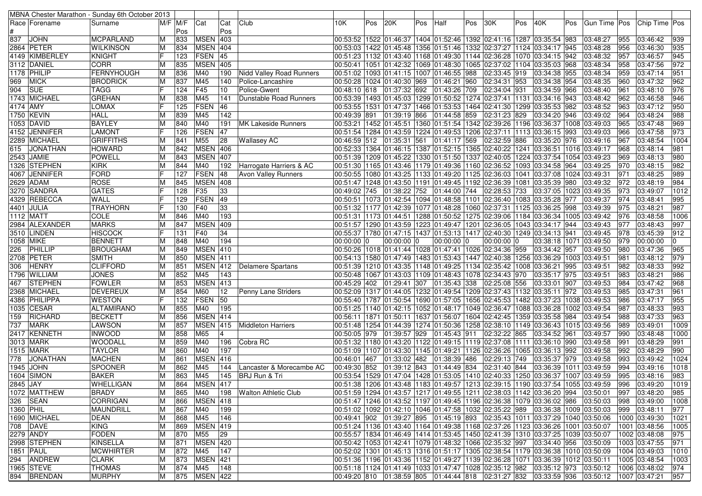| $M/F$ $M/F$<br>Club<br>10K<br>20K<br>30K<br>40K<br>Chip Time   Pos<br>Race   Forename<br>Cat<br>Cat<br>Pos<br>Pos<br>Half<br>Pos<br>Pos<br>Pos<br>Gun Time   Pos<br>Surname<br>Pos<br>Pos<br><b>MSEN</b><br>403<br>00:53:52  1522  01:46:37  1404  01:52:46  1392  02:41:16  1287  03:35:54  983<br><b>JOHN</b><br><b>MCPARLAND</b><br>833<br>03:48:27<br>955<br>03:46:42<br>939<br>M<br>MSEN 404<br>2864 PETER<br><b>WILKINSON</b><br>834<br>00:53:03  1422  01:45:48  1356  01:51:46  1332  02:37:27  1124  03:34:17  945<br>956<br>935<br>м<br>03:48:28<br>03:46:30<br>123<br><b>FSEN</b><br>45<br>957<br>945<br>4149 KIMBERLEY<br>KNIGHT<br> 00:51:23  1132  01:43:40  1168  01:49:30  1144  02:36:28  1070  03:34:15  942<br>03:48:32<br>03:46:57<br><b>MSEN</b><br><b>CORR</b><br>405<br>958<br>972<br>ΙM<br>835<br> 00:50:41  1051  01:42:32  1069  01:48:30  1065  02:37:02  1104  03:35:03  968<br>03:48:34<br>03:47:56<br>951<br>1178 PHILIP<br>FERNYHOUGH<br>836<br>M40<br>00:51:02 1093 01:41:15 1007 01:46:55 988<br> 02:33:45 919<br>03:34:38 955<br>03:48:34<br>959<br>03:47:14<br>ΙM<br>190<br>Nidd Valley Road Runners<br>962<br><b>MICK</b><br><b>BRODRICK</b><br>837<br>M45<br>00:50:28 1024 01:40:30 969 01:46:21 960<br>03:34:38 954<br>960<br>03:47:32<br>969<br>M<br>140<br>02:34:31 953<br>03:48:35<br> Police-Lancashire<br><b>TAGG</b><br>F45<br>961<br>976<br>904<br><b>SUE</b><br>124<br>10<br>Police-Gwent<br>00:48:10 618  01:37:32  692  01:43:26  709<br>02:34:04 931<br>03:34:59 966<br>03:48:40<br>03:48:10<br>1743 MICHAEL<br><b>GREHAN</b><br>M45<br>962<br>03:46:58<br>946<br>838<br>141<br>Dunstable Road Runners<br> 00:53:39  1493  01:45:03  1299  01:50:52  1274  02:37:41  1131<br>03:34:16 943<br>03:48:42<br>FSEN<br>950<br><b>LOMAX</b><br>46<br>00:53:55  1531  01:47:37  1466  01:53:53  1464  02:41:30  1299<br>03:35:53 982<br>963<br>03:47:12<br>4174 AMY<br>125<br>03:48:52<br>988<br>1750 KEVIN<br><b>HALL</b><br>M45<br>142<br>01:39:19 866 01:44:58 859<br>02:31:23 829<br>03:34:20 946<br>964<br>03:48:24<br>839<br>00:49:39 891<br>03:49:02<br>969<br>1053  DAVID<br><b>BAYLEY</b><br>M40<br>00:53:21 1452 01:45:51 1360 01:51:54 1342 02:39:26 1196<br>03:36:37 1008 03:49:03<br>965<br>03:47:48<br>840<br>191<br><b>MK Lakeside Runners</b><br>M<br>FSEN<br>973<br>4152 JENNIFER<br><b>LAMONT</b><br>47<br>00:51:54  1284  01:43:59  1224  01:49:53  1206  02:37:11  1113<br>966<br>03:47:58<br>126<br>03:36:15 993<br>03:49:03<br>M55<br>1004<br><b>GRIFFITHS</b><br>28<br>00:46:59 512 01:35:31 561<br>01:41:17 569<br> 02:32:59 886<br>03:35:20 976<br>967<br>03:48:54<br>2289 MICHAEL<br>841<br><b>Wallasey AC</b><br>03:49:16<br>M<br><b>MSEN</b><br>406<br>981<br><b>HOWARD</b><br>00:52:33 1364 01:46:15 1387 01:52:15 1365 02:40:22 1241<br>968<br>03:48:14<br>615<br><b>JONATHAN</b><br>842<br>03:36:51   1016   03:49:17<br>м<br><b>MSEN</b><br><b>POWELL</b><br>407<br>00:51:39  1209  01:45:22  1330  01:51:50  1337  02:40:05  1224  03:37:54  1054  03:49:23<br>969<br>980<br>843<br>03:48:13<br>ΙM<br>982<br>M40<br>970<br>1326  STEPHEN<br><b>KIRK</b><br>844<br>192<br>Harrogate Harriers & AC<br> 00:51:30  1165  01:43:46  1179  01:49:36  1160  02:36:52  1093  03:34:58  964<br>03:49:25<br>03:48:15<br>M<br><b>FORD</b><br>FSEN<br>989<br>4067 JENNIFER<br>127<br>48<br>00:50:55  1080  01:43:25  1133  01:49:20  1125  02:36:03  1041<br>03:37:08 1024 03:49:31<br>971<br>03:48:25<br><b>Avon Valley Runners</b><br><b>MSEN</b> 408<br><b>ROSE</b><br>984<br> 00:51:47  1248  01:43:50  1191  01:49:45  1192  02:36:39  1081<br>03:35:39 980<br>03:49:32<br>972<br>03:48:19<br>2629 ADAM<br>ΙM<br>845<br>F35<br>33<br>973<br>3270  SANDRA<br><b>GATES</b><br>128<br>00:49:02 745 01:38:22 752 01:44:00 744<br>02:28:53 733<br>03:37:05   1023   03:49:35<br>03:49:07<br>FSEN<br>49<br>995<br>4329 REBECCA<br>WALL<br>00:50:51  1073  01:42:54  1094  01:48:58  1101  02:36:40  1083<br>03:35:28 977<br>974<br>129<br>03:49:37<br>03:48:41<br>987<br><b>TRAYHORN</b><br>F40<br>33<br>00:51:32 1177 01:42:39 1077 01:48:28 1060 02:37:31 1125 03:36:25 998<br>975<br>03:48:21<br>4401 JULIA<br>130<br>03:49:39<br>193<br>976<br>1112 MATT<br><b>COLE</b><br>846<br>M40<br> 00:51:31  1173  01:44:51  1288  01:50:52  1275  02:39:06  1184  03:36:34  1005  03:49:42<br>03:48:58<br><b>MSEN</b><br>997<br><b>MARKS</b><br>409<br>977<br>2984 ALEXANDER<br>ΙM<br>847<br>00:51:57  1290  01:43:59  1223  01:49:47  1201  02:36:05  1043  03:34:17  944<br>03:49:43<br>03:48:43<br>34<br>912<br>3510 LINDEN<br><b>HISCOCK</b><br>F40<br>00:55:37   1780   01:47:15   1437   01:53:13   1417   02:40:30   1249<br>03:34:13 941<br>978<br>03:45:39<br>131<br>03:49:45<br><b>BENNETT</b><br>M40<br>194<br>979<br>00:00:00<br>1058 MIKE<br>848<br>$00:00:00$ 0<br>$00:00:00$ 0<br> 00:00:00 0<br>$00:00:00$ 0<br>03:38:18   1071<br>03:49:50<br>0<br>M<br><b>MSEN</b><br>410<br>965<br>00:50:26  1018  01:41:44  1028  01:47:41  1026 02:34:36  959<br>980<br>03:47:36<br>PHILLIP<br><b>BROUGHAM</b><br>849<br>03:34:42 957<br>03:49:50<br>226<br>ΙM<br><b>MSEN</b> 411<br>979<br>2708 PETER<br>981<br><b>SMITH</b><br>850<br> 00:54:13  1580  01:47:49  1483  01:53:43  1447  02:40:38  1256  03:36:29  1003  03:49:51<br>03:48:12<br>M<br>992<br><b>HENRY</b><br><b>CLIFFORD</b><br>MSEN 412<br>982<br>306<br>851<br>00:51:39  1210  01:43:35  1148  01:49:25  1134  02:35:42  1008<br>03:36:21 995<br>03:49:51<br>03:48:33<br>M<br>Delamere Spartans<br>M45<br><b>JONES</b><br>852<br>143<br>00:50:48  1067  01:43:03  1109  01:48:43  1078  02:34:43  970<br>03:35:17 975<br>983<br>03:48:21<br>986<br>1796 WILLIAM<br>03:49:51<br>ΙM<br>968<br><b>FOWLER</b><br><b>MSEN 413</b><br>00:45:29 402  01:29:41 307  01:35:43 338  02:25:08  556<br>984<br><b>STEPHEN</b><br>853<br>03:33:01 907<br>03:49:53<br>03:47:42<br>467<br>ΙM<br>961<br>2368 MICHAEL<br><b>DEVEREUX</b><br>854<br>M60<br>12<br>00:52:09  1317  01:44:05  1232  01:49:54  1209  02:37:43  1132  <br>03:35:11 972<br>985<br>03:47:31<br>Penny Lane Striders<br>03:49:53<br>м<br>FSEN<br>50<br>955<br>4386 PHILIPPA<br><b>WESTON</b><br>132<br>00:55:40  1787  01:50:54  1690  01:57:05  1656 02:45:53  1482<br>03:37:23   1038   03:49:53<br>986<br>03:47:17<br>195<br>993<br><b>ALTAMIRANO</b><br>855<br>M40<br>987<br>03:48:33<br>1035   CESAR<br>00:51:25  1140  01:42:15  1052  01:48:17  1049  02:36:47  1088  03:36:28  1002  03:49:54<br>ΙM<br><b>MSEN</b><br>963<br><b>RICHARD</b><br><b>BECKETT</b><br>856<br>414<br>988<br>03:47:33<br>159<br>M<br>00:56:11<br> 1871 01:50:11  1637 01:56:07  1604 02:42:45  1359<br>03:35:58 984<br>03:49:54<br>737<br>LAWSON<br><b>MSEN</b><br>989<br>1009<br><b>MARK</b><br>857<br>415<br>Middleton Harriers<br>00:51:48   1254   01:44:39   1274   01:50:36   1258   02:38:10   1149<br>03:36:43   1015   03:49:56<br>03:49:01<br>м<br>2417 KENNETH<br><b>INWOOD</b><br>858<br>M65<br>00:50:05 979  01:39:57  929  01:45:43  911  02:32:22  865<br>990<br>03:48:48<br>1000<br>03:34:52 961<br>03:49:57<br>M<br>3013 MARK<br><b>WOODALL</b><br>M40<br> 00:51:32  1180  01:43:20  1122  01:49:15  1119  02:37:08  1111<br>03:36:10 990<br>991<br>03:48:29<br>991<br>859<br>196<br>Cobra RC<br>03:49:58<br>м<br><b>TAYLOR</b><br>860<br>M40<br>197<br>992<br>990<br>1515  MARK<br>00:51:09 1107 01:43:30 1145 01:49:21 1126 02:36:26 1065<br>03:36:13 992<br>03:49:58<br>03:48:29<br>M<br><b>MSEN 416</b><br>1024<br><b>MACHEN</b><br>993<br>03:49:42<br>778<br><b>JONATHAN</b><br>861<br>00:46:01 467<br>01:33:02 482<br>01:38:39 486<br>02:29:13 749<br>03:35:37 979<br>03:49:58<br>ΙM<br>SPOONER<br>M45<br>00:49:30 852<br>994<br>1018<br>1945  JOHN<br>862<br>144<br>Lancaster & Morecambe AC<br>01:39:12 843<br>01:44:49 834<br>02:31:40 844<br>03:36:39 1011<br>03:49:59<br>03:49:16<br>м<br>863<br>M45<br>00:53:54   1529   01:47:04   1428   01:53:05   1410   02:40:33   1250   03:36:37   1007   03:49:59<br>995<br>983<br>1604   SIMON<br><b>BAKER</b><br>ΙM<br>145<br>BRJ Run & Tri<br>03:48:16<br>MSEN 417<br>1019<br><b>WHELLIGAN</b><br>M<br>864<br>00:51:38  1206 01:43:48  1183 01:49:57  1213 02:39:15  1190 03:37:54  1055 03:49:59  996 03:49:20<br>00:51:59 1294 01:43:57 1217 01:49:55 1211 02:38:03 1142 03:36:20 994 03:50:01<br><b>BRADY</b><br>865<br>M40<br>997<br>03:48:20<br>985<br>M<br>198   Walton Athletic Club<br><b>MSEN</b> 418<br>326   SEAN<br>CORRIGAN<br>866<br>00:51:47  1246  01:43:52  1197  01:49:45  1196  02:36:38  1079  03:36:02  986  03:50:03<br>03:49:00<br>м<br>998<br>867<br>199<br>00:51:02 1092 01:42:10 1046 01:47:58 1032 02:35:22 989 03:36:38 1009 03:50:03<br>977<br><b>MAUNDRILL</b><br>M40<br>999 03:48:11<br>M<br>00:49:41 902 01:39:27 895 01:45:19 893 02:35:43 1011 03:37:29 1040 03:50:06<br>1690 MICHAEL<br><b>DEAN</b><br>1000 03:49:30<br>M<br>868<br>M45<br>146<br><b>MSEN</b> 419<br>708   DAVE<br><b>KING</b><br>869<br>00:51:24  1136  01:43:40  1164  01:49:38  1168  02:37:26  1123  03:36:26  1001  03:50:07<br>1001 03:48:56<br>M<br>$ 29\rangle$<br>FODEN<br>00:55:57  1834  01:46:49  1414  01:53:45  1450  02:41:39  1310  03:37:25  1039  03:50:07<br>975<br>M<br>870<br>M <sub>55</sub><br>1002 03:48:08<br><b>KINSELLA</b><br>MSEN 420<br>00:50:42 1053 01:42:41 1079 01:48:32 1066 02:35:32 997<br>03:34:40 956<br>1003 03:47:55<br>871<br>03:50:09<br>M<br>00:52:02 1301 01:45:13 1316 01:51:17 1305 02:38:54 1179 03:36:38 1010 03:50:09<br>1851 PAUL<br><b>MCWHIRTER</b><br>872<br>M45<br>147<br>1004 03:49:03<br>М<br><b>CLARK</b><br>873<br><b>MSEN 421</b><br> 00:51:36  1196  01:43:36  1152  01:49:27  1139  02:36:28  1071  03:36:39  1012  03:50:11<br>1005 03:48:54<br>M<br>1965 STEVE<br><b>THOMAS</b><br>874<br>00:51:18 1124 01:41:49 1033 01:47:47 1028 02:35:12 982 03:35:12 973<br>M<br>M45<br>148<br> 03:50:12 <br>1006 03:48:02<br><b>MURPHY</b><br>875   MSEN   422<br>00:49:20 810  01:38:59 805  01:44:44 818  02:31:27 832  03:33:59 936  03:50:12<br>1007 03:47:21<br>M |  | MBNA Chester Marathon - Sunday 6th October 2013 |  |  |  |  |  |  |  |  |  |      |
|------------------------------------------------------------------------------------------------------------------------------------------------------------------------------------------------------------------------------------------------------------------------------------------------------------------------------------------------------------------------------------------------------------------------------------------------------------------------------------------------------------------------------------------------------------------------------------------------------------------------------------------------------------------------------------------------------------------------------------------------------------------------------------------------------------------------------------------------------------------------------------------------------------------------------------------------------------------------------------------------------------------------------------------------------------------------------------------------------------------------------------------------------------------------------------------------------------------------------------------------------------------------------------------------------------------------------------------------------------------------------------------------------------------------------------------------------------------------------------------------------------------------------------------------------------------------------------------------------------------------------------------------------------------------------------------------------------------------------------------------------------------------------------------------------------------------------------------------------------------------------------------------------------------------------------------------------------------------------------------------------------------------------------------------------------------------------------------------------------------------------------------------------------------------------------------------------------------------------------------------------------------------------------------------------------------------------------------------------------------------------------------------------------------------------------------------------------------------------------------------------------------------------------------------------------------------------------------------------------------------------------------------------------------------------------------------------------------------------------------------------------------------------------------------------------------------------------------------------------------------------------------------------------------------------------------------------------------------------------------------------------------------------------------------------------------------------------------------------------------------------------------------------------------------------------------------------------------------------------------------------------------------------------------------------------------------------------------------------------------------------------------------------------------------------------------------------------------------------------------------------------------------------------------------------------------------------------------------------------------------------------------------------------------------------------------------------------------------------------------------------------------------------------------------------------------------------------------------------------------------------------------------------------------------------------------------------------------------------------------------------------------------------------------------------------------------------------------------------------------------------------------------------------------------------------------------------------------------------------------------------------------------------------------------------------------------------------------------------------------------------------------------------------------------------------------------------------------------------------------------------------------------------------------------------------------------------------------------------------------------------------------------------------------------------------------------------------------------------------------------------------------------------------------------------------------------------------------------------------------------------------------------------------------------------------------------------------------------------------------------------------------------------------------------------------------------------------------------------------------------------------------------------------------------------------------------------------------------------------------------------------------------------------------------------------------------------------------------------------------------------------------------------------------------------------------------------------------------------------------------------------------------------------------------------------------------------------------------------------------------------------------------------------------------------------------------------------------------------------------------------------------------------------------------------------------------------------------------------------------------------------------------------------------------------------------------------------------------------------------------------------------------------------------------------------------------------------------------------------------------------------------------------------------------------------------------------------------------------------------------------------------------------------------------------------------------------------------------------------------------------------------------------------------------------------------------------------------------------------------------------------------------------------------------------------------------------------------------------------------------------------------------------------------------------------------------------------------------------------------------------------------------------------------------------------------------------------------------------------------------------------------------------------------------------------------------------------------------------------------------------------------------------------------------------------------------------------------------------------------------------------------------------------------------------------------------------------------------------------------------------------------------------------------------------------------------------------------------------------------------------------------------------------------------------------------------------------------------------------------------------------------------------------------------------------------------------------------------------------------------------------------------------------------------------------------------------------------------------------------------------------------------------------------------------------------------------------------------------------------------------------------------------------------------------------------------------------------------------------------------------------------------------------------------------------------------------------------------------------------------------------------------------------------------------------------------------------------------------------------------------------------------------------------------------------------------------------------------------------------------------------------------------------------------------------------------------------------------------------------------------------------------------------------------------------------------------------------------------------------------------------------------------------------------------------------------------------------------------------------------------------------------------------------------------------------------------------------------------------------------------------------------------------------------------------------------------------------------------------------------------------------------------------------------------------------------------------------------------------------------------------------------------------------------------------------------------------------------------------------------------------------------------------------------------------------------------------------------------------------------------------------------------------------------------------------------------------------------------------------------------------------------------------------------------------------------------------------------------------------------------------------------------------------------------------------------------------------------------------------------------------------------------------------------------------------------------------------------------------------------------------------------------------------------------------------------------------------------------------------------------------------------------------------------------------------------------|--|-------------------------------------------------|--|--|--|--|--|--|--|--|--|------|
| 837<br>3112 DANIEL<br>2543 JAMIE<br>2845 JAY<br>1072 MATTHEW<br>1360 PHIL<br><b>2279 ANDY</b><br>2998 STEPHEN<br>294 ANDREW<br>894 BRENDAN                                                                                                                                                                                                                                                                                                                                                                                                                                                                                                                                                                                                                                                                                                                                                                                                                                                                                                                                                                                                                                                                                                                                                                                                                                                                                                                                                                                                                                                                                                                                                                                                                                                                                                                                                                                                                                                                                                                                                                                                                                                                                                                                                                                                                                                                                                                                                                                                                                                                                                                                                                                                                                                                                                                                                                                                                                                                                                                                                                                                                                                                                                                                                                                                                                                                                                                                                                                                                                                                                                                                                                                                                                                                                                                                                                                                                                                                                                                                                                                                                                                                                                                                                                                                                                                                                                                                                                                                                                                                                                                                                                                                                                                                                                                                                                                                                                                                                                                                                                                                                                                                                                                                                                                                                                                                                                                                                                                                                                                                                                                                                                                                                                                                                                                                                                                                                                                                                                                                                                                                                                                                                                                                                                                                                                                                                                                                                                                                                                                                                                                                                                                                                                                                                                                                                                                                                                                                                                                                                                                                                                                                                                                                                                                                                                                                                                                                                                                                                                                                                                                                                                                                                                                                                                                                                                                                                                                                                                                                                                                                                                                                                                                                                                                                                                                                                                                                                                                                                                                                                                                                                                                                                                                                                                                                                                                                                                                                                                                                                                                                                                                                                                                                                                                                                                                                                                                                                                                                                                                                                                                                                                                                                                                                                                                                                                                                                                                                                                                                   |  |                                                 |  |  |  |  |  |  |  |  |  |      |
|                                                                                                                                                                                                                                                                                                                                                                                                                                                                                                                                                                                                                                                                                                                                                                                                                                                                                                                                                                                                                                                                                                                                                                                                                                                                                                                                                                                                                                                                                                                                                                                                                                                                                                                                                                                                                                                                                                                                                                                                                                                                                                                                                                                                                                                                                                                                                                                                                                                                                                                                                                                                                                                                                                                                                                                                                                                                                                                                                                                                                                                                                                                                                                                                                                                                                                                                                                                                                                                                                                                                                                                                                                                                                                                                                                                                                                                                                                                                                                                                                                                                                                                                                                                                                                                                                                                                                                                                                                                                                                                                                                                                                                                                                                                                                                                                                                                                                                                                                                                                                                                                                                                                                                                                                                                                                                                                                                                                                                                                                                                                                                                                                                                                                                                                                                                                                                                                                                                                                                                                                                                                                                                                                                                                                                                                                                                                                                                                                                                                                                                                                                                                                                                                                                                                                                                                                                                                                                                                                                                                                                                                                                                                                                                                                                                                                                                                                                                                                                                                                                                                                                                                                                                                                                                                                                                                                                                                                                                                                                                                                                                                                                                                                                                                                                                                                                                                                                                                                                                                                                                                                                                                                                                                                                                                                                                                                                                                                                                                                                                                                                                                                                                                                                                                                                                                                                                                                                                                                                                                                                                                                                                                                                                                                                                                                                                                                                                                                                                                                                                                                                                                              |  |                                                 |  |  |  |  |  |  |  |  |  |      |
|                                                                                                                                                                                                                                                                                                                                                                                                                                                                                                                                                                                                                                                                                                                                                                                                                                                                                                                                                                                                                                                                                                                                                                                                                                                                                                                                                                                                                                                                                                                                                                                                                                                                                                                                                                                                                                                                                                                                                                                                                                                                                                                                                                                                                                                                                                                                                                                                                                                                                                                                                                                                                                                                                                                                                                                                                                                                                                                                                                                                                                                                                                                                                                                                                                                                                                                                                                                                                                                                                                                                                                                                                                                                                                                                                                                                                                                                                                                                                                                                                                                                                                                                                                                                                                                                                                                                                                                                                                                                                                                                                                                                                                                                                                                                                                                                                                                                                                                                                                                                                                                                                                                                                                                                                                                                                                                                                                                                                                                                                                                                                                                                                                                                                                                                                                                                                                                                                                                                                                                                                                                                                                                                                                                                                                                                                                                                                                                                                                                                                                                                                                                                                                                                                                                                                                                                                                                                                                                                                                                                                                                                                                                                                                                                                                                                                                                                                                                                                                                                                                                                                                                                                                                                                                                                                                                                                                                                                                                                                                                                                                                                                                                                                                                                                                                                                                                                                                                                                                                                                                                                                                                                                                                                                                                                                                                                                                                                                                                                                                                                                                                                                                                                                                                                                                                                                                                                                                                                                                                                                                                                                                                                                                                                                                                                                                                                                                                                                                                                                                                                                                                                              |  |                                                 |  |  |  |  |  |  |  |  |  |      |
|                                                                                                                                                                                                                                                                                                                                                                                                                                                                                                                                                                                                                                                                                                                                                                                                                                                                                                                                                                                                                                                                                                                                                                                                                                                                                                                                                                                                                                                                                                                                                                                                                                                                                                                                                                                                                                                                                                                                                                                                                                                                                                                                                                                                                                                                                                                                                                                                                                                                                                                                                                                                                                                                                                                                                                                                                                                                                                                                                                                                                                                                                                                                                                                                                                                                                                                                                                                                                                                                                                                                                                                                                                                                                                                                                                                                                                                                                                                                                                                                                                                                                                                                                                                                                                                                                                                                                                                                                                                                                                                                                                                                                                                                                                                                                                                                                                                                                                                                                                                                                                                                                                                                                                                                                                                                                                                                                                                                                                                                                                                                                                                                                                                                                                                                                                                                                                                                                                                                                                                                                                                                                                                                                                                                                                                                                                                                                                                                                                                                                                                                                                                                                                                                                                                                                                                                                                                                                                                                                                                                                                                                                                                                                                                                                                                                                                                                                                                                                                                                                                                                                                                                                                                                                                                                                                                                                                                                                                                                                                                                                                                                                                                                                                                                                                                                                                                                                                                                                                                                                                                                                                                                                                                                                                                                                                                                                                                                                                                                                                                                                                                                                                                                                                                                                                                                                                                                                                                                                                                                                                                                                                                                                                                                                                                                                                                                                                                                                                                                                                                                                                                                              |  |                                                 |  |  |  |  |  |  |  |  |  |      |
|                                                                                                                                                                                                                                                                                                                                                                                                                                                                                                                                                                                                                                                                                                                                                                                                                                                                                                                                                                                                                                                                                                                                                                                                                                                                                                                                                                                                                                                                                                                                                                                                                                                                                                                                                                                                                                                                                                                                                                                                                                                                                                                                                                                                                                                                                                                                                                                                                                                                                                                                                                                                                                                                                                                                                                                                                                                                                                                                                                                                                                                                                                                                                                                                                                                                                                                                                                                                                                                                                                                                                                                                                                                                                                                                                                                                                                                                                                                                                                                                                                                                                                                                                                                                                                                                                                                                                                                                                                                                                                                                                                                                                                                                                                                                                                                                                                                                                                                                                                                                                                                                                                                                                                                                                                                                                                                                                                                                                                                                                                                                                                                                                                                                                                                                                                                                                                                                                                                                                                                                                                                                                                                                                                                                                                                                                                                                                                                                                                                                                                                                                                                                                                                                                                                                                                                                                                                                                                                                                                                                                                                                                                                                                                                                                                                                                                                                                                                                                                                                                                                                                                                                                                                                                                                                                                                                                                                                                                                                                                                                                                                                                                                                                                                                                                                                                                                                                                                                                                                                                                                                                                                                                                                                                                                                                                                                                                                                                                                                                                                                                                                                                                                                                                                                                                                                                                                                                                                                                                                                                                                                                                                                                                                                                                                                                                                                                                                                                                                                                                                                                                                                              |  |                                                 |  |  |  |  |  |  |  |  |  |      |
|                                                                                                                                                                                                                                                                                                                                                                                                                                                                                                                                                                                                                                                                                                                                                                                                                                                                                                                                                                                                                                                                                                                                                                                                                                                                                                                                                                                                                                                                                                                                                                                                                                                                                                                                                                                                                                                                                                                                                                                                                                                                                                                                                                                                                                                                                                                                                                                                                                                                                                                                                                                                                                                                                                                                                                                                                                                                                                                                                                                                                                                                                                                                                                                                                                                                                                                                                                                                                                                                                                                                                                                                                                                                                                                                                                                                                                                                                                                                                                                                                                                                                                                                                                                                                                                                                                                                                                                                                                                                                                                                                                                                                                                                                                                                                                                                                                                                                                                                                                                                                                                                                                                                                                                                                                                                                                                                                                                                                                                                                                                                                                                                                                                                                                                                                                                                                                                                                                                                                                                                                                                                                                                                                                                                                                                                                                                                                                                                                                                                                                                                                                                                                                                                                                                                                                                                                                                                                                                                                                                                                                                                                                                                                                                                                                                                                                                                                                                                                                                                                                                                                                                                                                                                                                                                                                                                                                                                                                                                                                                                                                                                                                                                                                                                                                                                                                                                                                                                                                                                                                                                                                                                                                                                                                                                                                                                                                                                                                                                                                                                                                                                                                                                                                                                                                                                                                                                                                                                                                                                                                                                                                                                                                                                                                                                                                                                                                                                                                                                                                                                                                                                              |  |                                                 |  |  |  |  |  |  |  |  |  |      |
|                                                                                                                                                                                                                                                                                                                                                                                                                                                                                                                                                                                                                                                                                                                                                                                                                                                                                                                                                                                                                                                                                                                                                                                                                                                                                                                                                                                                                                                                                                                                                                                                                                                                                                                                                                                                                                                                                                                                                                                                                                                                                                                                                                                                                                                                                                                                                                                                                                                                                                                                                                                                                                                                                                                                                                                                                                                                                                                                                                                                                                                                                                                                                                                                                                                                                                                                                                                                                                                                                                                                                                                                                                                                                                                                                                                                                                                                                                                                                                                                                                                                                                                                                                                                                                                                                                                                                                                                                                                                                                                                                                                                                                                                                                                                                                                                                                                                                                                                                                                                                                                                                                                                                                                                                                                                                                                                                                                                                                                                                                                                                                                                                                                                                                                                                                                                                                                                                                                                                                                                                                                                                                                                                                                                                                                                                                                                                                                                                                                                                                                                                                                                                                                                                                                                                                                                                                                                                                                                                                                                                                                                                                                                                                                                                                                                                                                                                                                                                                                                                                                                                                                                                                                                                                                                                                                                                                                                                                                                                                                                                                                                                                                                                                                                                                                                                                                                                                                                                                                                                                                                                                                                                                                                                                                                                                                                                                                                                                                                                                                                                                                                                                                                                                                                                                                                                                                                                                                                                                                                                                                                                                                                                                                                                                                                                                                                                                                                                                                                                                                                                                                                              |  |                                                 |  |  |  |  |  |  |  |  |  |      |
|                                                                                                                                                                                                                                                                                                                                                                                                                                                                                                                                                                                                                                                                                                                                                                                                                                                                                                                                                                                                                                                                                                                                                                                                                                                                                                                                                                                                                                                                                                                                                                                                                                                                                                                                                                                                                                                                                                                                                                                                                                                                                                                                                                                                                                                                                                                                                                                                                                                                                                                                                                                                                                                                                                                                                                                                                                                                                                                                                                                                                                                                                                                                                                                                                                                                                                                                                                                                                                                                                                                                                                                                                                                                                                                                                                                                                                                                                                                                                                                                                                                                                                                                                                                                                                                                                                                                                                                                                                                                                                                                                                                                                                                                                                                                                                                                                                                                                                                                                                                                                                                                                                                                                                                                                                                                                                                                                                                                                                                                                                                                                                                                                                                                                                                                                                                                                                                                                                                                                                                                                                                                                                                                                                                                                                                                                                                                                                                                                                                                                                                                                                                                                                                                                                                                                                                                                                                                                                                                                                                                                                                                                                                                                                                                                                                                                                                                                                                                                                                                                                                                                                                                                                                                                                                                                                                                                                                                                                                                                                                                                                                                                                                                                                                                                                                                                                                                                                                                                                                                                                                                                                                                                                                                                                                                                                                                                                                                                                                                                                                                                                                                                                                                                                                                                                                                                                                                                                                                                                                                                                                                                                                                                                                                                                                                                                                                                                                                                                                                                                                                                                                                              |  |                                                 |  |  |  |  |  |  |  |  |  |      |
|                                                                                                                                                                                                                                                                                                                                                                                                                                                                                                                                                                                                                                                                                                                                                                                                                                                                                                                                                                                                                                                                                                                                                                                                                                                                                                                                                                                                                                                                                                                                                                                                                                                                                                                                                                                                                                                                                                                                                                                                                                                                                                                                                                                                                                                                                                                                                                                                                                                                                                                                                                                                                                                                                                                                                                                                                                                                                                                                                                                                                                                                                                                                                                                                                                                                                                                                                                                                                                                                                                                                                                                                                                                                                                                                                                                                                                                                                                                                                                                                                                                                                                                                                                                                                                                                                                                                                                                                                                                                                                                                                                                                                                                                                                                                                                                                                                                                                                                                                                                                                                                                                                                                                                                                                                                                                                                                                                                                                                                                                                                                                                                                                                                                                                                                                                                                                                                                                                                                                                                                                                                                                                                                                                                                                                                                                                                                                                                                                                                                                                                                                                                                                                                                                                                                                                                                                                                                                                                                                                                                                                                                                                                                                                                                                                                                                                                                                                                                                                                                                                                                                                                                                                                                                                                                                                                                                                                                                                                                                                                                                                                                                                                                                                                                                                                                                                                                                                                                                                                                                                                                                                                                                                                                                                                                                                                                                                                                                                                                                                                                                                                                                                                                                                                                                                                                                                                                                                                                                                                                                                                                                                                                                                                                                                                                                                                                                                                                                                                                                                                                                                                                              |  |                                                 |  |  |  |  |  |  |  |  |  |      |
|                                                                                                                                                                                                                                                                                                                                                                                                                                                                                                                                                                                                                                                                                                                                                                                                                                                                                                                                                                                                                                                                                                                                                                                                                                                                                                                                                                                                                                                                                                                                                                                                                                                                                                                                                                                                                                                                                                                                                                                                                                                                                                                                                                                                                                                                                                                                                                                                                                                                                                                                                                                                                                                                                                                                                                                                                                                                                                                                                                                                                                                                                                                                                                                                                                                                                                                                                                                                                                                                                                                                                                                                                                                                                                                                                                                                                                                                                                                                                                                                                                                                                                                                                                                                                                                                                                                                                                                                                                                                                                                                                                                                                                                                                                                                                                                                                                                                                                                                                                                                                                                                                                                                                                                                                                                                                                                                                                                                                                                                                                                                                                                                                                                                                                                                                                                                                                                                                                                                                                                                                                                                                                                                                                                                                                                                                                                                                                                                                                                                                                                                                                                                                                                                                                                                                                                                                                                                                                                                                                                                                                                                                                                                                                                                                                                                                                                                                                                                                                                                                                                                                                                                                                                                                                                                                                                                                                                                                                                                                                                                                                                                                                                                                                                                                                                                                                                                                                                                                                                                                                                                                                                                                                                                                                                                                                                                                                                                                                                                                                                                                                                                                                                                                                                                                                                                                                                                                                                                                                                                                                                                                                                                                                                                                                                                                                                                                                                                                                                                                                                                                                                                              |  |                                                 |  |  |  |  |  |  |  |  |  |      |
|                                                                                                                                                                                                                                                                                                                                                                                                                                                                                                                                                                                                                                                                                                                                                                                                                                                                                                                                                                                                                                                                                                                                                                                                                                                                                                                                                                                                                                                                                                                                                                                                                                                                                                                                                                                                                                                                                                                                                                                                                                                                                                                                                                                                                                                                                                                                                                                                                                                                                                                                                                                                                                                                                                                                                                                                                                                                                                                                                                                                                                                                                                                                                                                                                                                                                                                                                                                                                                                                                                                                                                                                                                                                                                                                                                                                                                                                                                                                                                                                                                                                                                                                                                                                                                                                                                                                                                                                                                                                                                                                                                                                                                                                                                                                                                                                                                                                                                                                                                                                                                                                                                                                                                                                                                                                                                                                                                                                                                                                                                                                                                                                                                                                                                                                                                                                                                                                                                                                                                                                                                                                                                                                                                                                                                                                                                                                                                                                                                                                                                                                                                                                                                                                                                                                                                                                                                                                                                                                                                                                                                                                                                                                                                                                                                                                                                                                                                                                                                                                                                                                                                                                                                                                                                                                                                                                                                                                                                                                                                                                                                                                                                                                                                                                                                                                                                                                                                                                                                                                                                                                                                                                                                                                                                                                                                                                                                                                                                                                                                                                                                                                                                                                                                                                                                                                                                                                                                                                                                                                                                                                                                                                                                                                                                                                                                                                                                                                                                                                                                                                                                                                              |  |                                                 |  |  |  |  |  |  |  |  |  |      |
|                                                                                                                                                                                                                                                                                                                                                                                                                                                                                                                                                                                                                                                                                                                                                                                                                                                                                                                                                                                                                                                                                                                                                                                                                                                                                                                                                                                                                                                                                                                                                                                                                                                                                                                                                                                                                                                                                                                                                                                                                                                                                                                                                                                                                                                                                                                                                                                                                                                                                                                                                                                                                                                                                                                                                                                                                                                                                                                                                                                                                                                                                                                                                                                                                                                                                                                                                                                                                                                                                                                                                                                                                                                                                                                                                                                                                                                                                                                                                                                                                                                                                                                                                                                                                                                                                                                                                                                                                                                                                                                                                                                                                                                                                                                                                                                                                                                                                                                                                                                                                                                                                                                                                                                                                                                                                                                                                                                                                                                                                                                                                                                                                                                                                                                                                                                                                                                                                                                                                                                                                                                                                                                                                                                                                                                                                                                                                                                                                                                                                                                                                                                                                                                                                                                                                                                                                                                                                                                                                                                                                                                                                                                                                                                                                                                                                                                                                                                                                                                                                                                                                                                                                                                                                                                                                                                                                                                                                                                                                                                                                                                                                                                                                                                                                                                                                                                                                                                                                                                                                                                                                                                                                                                                                                                                                                                                                                                                                                                                                                                                                                                                                                                                                                                                                                                                                                                                                                                                                                                                                                                                                                                                                                                                                                                                                                                                                                                                                                                                                                                                                                                                              |  |                                                 |  |  |  |  |  |  |  |  |  |      |
|                                                                                                                                                                                                                                                                                                                                                                                                                                                                                                                                                                                                                                                                                                                                                                                                                                                                                                                                                                                                                                                                                                                                                                                                                                                                                                                                                                                                                                                                                                                                                                                                                                                                                                                                                                                                                                                                                                                                                                                                                                                                                                                                                                                                                                                                                                                                                                                                                                                                                                                                                                                                                                                                                                                                                                                                                                                                                                                                                                                                                                                                                                                                                                                                                                                                                                                                                                                                                                                                                                                                                                                                                                                                                                                                                                                                                                                                                                                                                                                                                                                                                                                                                                                                                                                                                                                                                                                                                                                                                                                                                                                                                                                                                                                                                                                                                                                                                                                                                                                                                                                                                                                                                                                                                                                                                                                                                                                                                                                                                                                                                                                                                                                                                                                                                                                                                                                                                                                                                                                                                                                                                                                                                                                                                                                                                                                                                                                                                                                                                                                                                                                                                                                                                                                                                                                                                                                                                                                                                                                                                                                                                                                                                                                                                                                                                                                                                                                                                                                                                                                                                                                                                                                                                                                                                                                                                                                                                                                                                                                                                                                                                                                                                                                                                                                                                                                                                                                                                                                                                                                                                                                                                                                                                                                                                                                                                                                                                                                                                                                                                                                                                                                                                                                                                                                                                                                                                                                                                                                                                                                                                                                                                                                                                                                                                                                                                                                                                                                                                                                                                                                                              |  |                                                 |  |  |  |  |  |  |  |  |  |      |
|                                                                                                                                                                                                                                                                                                                                                                                                                                                                                                                                                                                                                                                                                                                                                                                                                                                                                                                                                                                                                                                                                                                                                                                                                                                                                                                                                                                                                                                                                                                                                                                                                                                                                                                                                                                                                                                                                                                                                                                                                                                                                                                                                                                                                                                                                                                                                                                                                                                                                                                                                                                                                                                                                                                                                                                                                                                                                                                                                                                                                                                                                                                                                                                                                                                                                                                                                                                                                                                                                                                                                                                                                                                                                                                                                                                                                                                                                                                                                                                                                                                                                                                                                                                                                                                                                                                                                                                                                                                                                                                                                                                                                                                                                                                                                                                                                                                                                                                                                                                                                                                                                                                                                                                                                                                                                                                                                                                                                                                                                                                                                                                                                                                                                                                                                                                                                                                                                                                                                                                                                                                                                                                                                                                                                                                                                                                                                                                                                                                                                                                                                                                                                                                                                                                                                                                                                                                                                                                                                                                                                                                                                                                                                                                                                                                                                                                                                                                                                                                                                                                                                                                                                                                                                                                                                                                                                                                                                                                                                                                                                                                                                                                                                                                                                                                                                                                                                                                                                                                                                                                                                                                                                                                                                                                                                                                                                                                                                                                                                                                                                                                                                                                                                                                                                                                                                                                                                                                                                                                                                                                                                                                                                                                                                                                                                                                                                                                                                                                                                                                                                                                                              |  |                                                 |  |  |  |  |  |  |  |  |  |      |
|                                                                                                                                                                                                                                                                                                                                                                                                                                                                                                                                                                                                                                                                                                                                                                                                                                                                                                                                                                                                                                                                                                                                                                                                                                                                                                                                                                                                                                                                                                                                                                                                                                                                                                                                                                                                                                                                                                                                                                                                                                                                                                                                                                                                                                                                                                                                                                                                                                                                                                                                                                                                                                                                                                                                                                                                                                                                                                                                                                                                                                                                                                                                                                                                                                                                                                                                                                                                                                                                                                                                                                                                                                                                                                                                                                                                                                                                                                                                                                                                                                                                                                                                                                                                                                                                                                                                                                                                                                                                                                                                                                                                                                                                                                                                                                                                                                                                                                                                                                                                                                                                                                                                                                                                                                                                                                                                                                                                                                                                                                                                                                                                                                                                                                                                                                                                                                                                                                                                                                                                                                                                                                                                                                                                                                                                                                                                                                                                                                                                                                                                                                                                                                                                                                                                                                                                                                                                                                                                                                                                                                                                                                                                                                                                                                                                                                                                                                                                                                                                                                                                                                                                                                                                                                                                                                                                                                                                                                                                                                                                                                                                                                                                                                                                                                                                                                                                                                                                                                                                                                                                                                                                                                                                                                                                                                                                                                                                                                                                                                                                                                                                                                                                                                                                                                                                                                                                                                                                                                                                                                                                                                                                                                                                                                                                                                                                                                                                                                                                                                                                                                                                              |  |                                                 |  |  |  |  |  |  |  |  |  |      |
|                                                                                                                                                                                                                                                                                                                                                                                                                                                                                                                                                                                                                                                                                                                                                                                                                                                                                                                                                                                                                                                                                                                                                                                                                                                                                                                                                                                                                                                                                                                                                                                                                                                                                                                                                                                                                                                                                                                                                                                                                                                                                                                                                                                                                                                                                                                                                                                                                                                                                                                                                                                                                                                                                                                                                                                                                                                                                                                                                                                                                                                                                                                                                                                                                                                                                                                                                                                                                                                                                                                                                                                                                                                                                                                                                                                                                                                                                                                                                                                                                                                                                                                                                                                                                                                                                                                                                                                                                                                                                                                                                                                                                                                                                                                                                                                                                                                                                                                                                                                                                                                                                                                                                                                                                                                                                                                                                                                                                                                                                                                                                                                                                                                                                                                                                                                                                                                                                                                                                                                                                                                                                                                                                                                                                                                                                                                                                                                                                                                                                                                                                                                                                                                                                                                                                                                                                                                                                                                                                                                                                                                                                                                                                                                                                                                                                                                                                                                                                                                                                                                                                                                                                                                                                                                                                                                                                                                                                                                                                                                                                                                                                                                                                                                                                                                                                                                                                                                                                                                                                                                                                                                                                                                                                                                                                                                                                                                                                                                                                                                                                                                                                                                                                                                                                                                                                                                                                                                                                                                                                                                                                                                                                                                                                                                                                                                                                                                                                                                                                                                                                                                                              |  |                                                 |  |  |  |  |  |  |  |  |  |      |
|                                                                                                                                                                                                                                                                                                                                                                                                                                                                                                                                                                                                                                                                                                                                                                                                                                                                                                                                                                                                                                                                                                                                                                                                                                                                                                                                                                                                                                                                                                                                                                                                                                                                                                                                                                                                                                                                                                                                                                                                                                                                                                                                                                                                                                                                                                                                                                                                                                                                                                                                                                                                                                                                                                                                                                                                                                                                                                                                                                                                                                                                                                                                                                                                                                                                                                                                                                                                                                                                                                                                                                                                                                                                                                                                                                                                                                                                                                                                                                                                                                                                                                                                                                                                                                                                                                                                                                                                                                                                                                                                                                                                                                                                                                                                                                                                                                                                                                                                                                                                                                                                                                                                                                                                                                                                                                                                                                                                                                                                                                                                                                                                                                                                                                                                                                                                                                                                                                                                                                                                                                                                                                                                                                                                                                                                                                                                                                                                                                                                                                                                                                                                                                                                                                                                                                                                                                                                                                                                                                                                                                                                                                                                                                                                                                                                                                                                                                                                                                                                                                                                                                                                                                                                                                                                                                                                                                                                                                                                                                                                                                                                                                                                                                                                                                                                                                                                                                                                                                                                                                                                                                                                                                                                                                                                                                                                                                                                                                                                                                                                                                                                                                                                                                                                                                                                                                                                                                                                                                                                                                                                                                                                                                                                                                                                                                                                                                                                                                                                                                                                                                                                              |  |                                                 |  |  |  |  |  |  |  |  |  |      |
|                                                                                                                                                                                                                                                                                                                                                                                                                                                                                                                                                                                                                                                                                                                                                                                                                                                                                                                                                                                                                                                                                                                                                                                                                                                                                                                                                                                                                                                                                                                                                                                                                                                                                                                                                                                                                                                                                                                                                                                                                                                                                                                                                                                                                                                                                                                                                                                                                                                                                                                                                                                                                                                                                                                                                                                                                                                                                                                                                                                                                                                                                                                                                                                                                                                                                                                                                                                                                                                                                                                                                                                                                                                                                                                                                                                                                                                                                                                                                                                                                                                                                                                                                                                                                                                                                                                                                                                                                                                                                                                                                                                                                                                                                                                                                                                                                                                                                                                                                                                                                                                                                                                                                                                                                                                                                                                                                                                                                                                                                                                                                                                                                                                                                                                                                                                                                                                                                                                                                                                                                                                                                                                                                                                                                                                                                                                                                                                                                                                                                                                                                                                                                                                                                                                                                                                                                                                                                                                                                                                                                                                                                                                                                                                                                                                                                                                                                                                                                                                                                                                                                                                                                                                                                                                                                                                                                                                                                                                                                                                                                                                                                                                                                                                                                                                                                                                                                                                                                                                                                                                                                                                                                                                                                                                                                                                                                                                                                                                                                                                                                                                                                                                                                                                                                                                                                                                                                                                                                                                                                                                                                                                                                                                                                                                                                                                                                                                                                                                                                                                                                                                                              |  |                                                 |  |  |  |  |  |  |  |  |  |      |
|                                                                                                                                                                                                                                                                                                                                                                                                                                                                                                                                                                                                                                                                                                                                                                                                                                                                                                                                                                                                                                                                                                                                                                                                                                                                                                                                                                                                                                                                                                                                                                                                                                                                                                                                                                                                                                                                                                                                                                                                                                                                                                                                                                                                                                                                                                                                                                                                                                                                                                                                                                                                                                                                                                                                                                                                                                                                                                                                                                                                                                                                                                                                                                                                                                                                                                                                                                                                                                                                                                                                                                                                                                                                                                                                                                                                                                                                                                                                                                                                                                                                                                                                                                                                                                                                                                                                                                                                                                                                                                                                                                                                                                                                                                                                                                                                                                                                                                                                                                                                                                                                                                                                                                                                                                                                                                                                                                                                                                                                                                                                                                                                                                                                                                                                                                                                                                                                                                                                                                                                                                                                                                                                                                                                                                                                                                                                                                                                                                                                                                                                                                                                                                                                                                                                                                                                                                                                                                                                                                                                                                                                                                                                                                                                                                                                                                                                                                                                                                                                                                                                                                                                                                                                                                                                                                                                                                                                                                                                                                                                                                                                                                                                                                                                                                                                                                                                                                                                                                                                                                                                                                                                                                                                                                                                                                                                                                                                                                                                                                                                                                                                                                                                                                                                                                                                                                                                                                                                                                                                                                                                                                                                                                                                                                                                                                                                                                                                                                                                                                                                                                                                              |  |                                                 |  |  |  |  |  |  |  |  |  |      |
|                                                                                                                                                                                                                                                                                                                                                                                                                                                                                                                                                                                                                                                                                                                                                                                                                                                                                                                                                                                                                                                                                                                                                                                                                                                                                                                                                                                                                                                                                                                                                                                                                                                                                                                                                                                                                                                                                                                                                                                                                                                                                                                                                                                                                                                                                                                                                                                                                                                                                                                                                                                                                                                                                                                                                                                                                                                                                                                                                                                                                                                                                                                                                                                                                                                                                                                                                                                                                                                                                                                                                                                                                                                                                                                                                                                                                                                                                                                                                                                                                                                                                                                                                                                                                                                                                                                                                                                                                                                                                                                                                                                                                                                                                                                                                                                                                                                                                                                                                                                                                                                                                                                                                                                                                                                                                                                                                                                                                                                                                                                                                                                                                                                                                                                                                                                                                                                                                                                                                                                                                                                                                                                                                                                                                                                                                                                                                                                                                                                                                                                                                                                                                                                                                                                                                                                                                                                                                                                                                                                                                                                                                                                                                                                                                                                                                                                                                                                                                                                                                                                                                                                                                                                                                                                                                                                                                                                                                                                                                                                                                                                                                                                                                                                                                                                                                                                                                                                                                                                                                                                                                                                                                                                                                                                                                                                                                                                                                                                                                                                                                                                                                                                                                                                                                                                                                                                                                                                                                                                                                                                                                                                                                                                                                                                                                                                                                                                                                                                                                                                                                                                                              |  |                                                 |  |  |  |  |  |  |  |  |  |      |
|                                                                                                                                                                                                                                                                                                                                                                                                                                                                                                                                                                                                                                                                                                                                                                                                                                                                                                                                                                                                                                                                                                                                                                                                                                                                                                                                                                                                                                                                                                                                                                                                                                                                                                                                                                                                                                                                                                                                                                                                                                                                                                                                                                                                                                                                                                                                                                                                                                                                                                                                                                                                                                                                                                                                                                                                                                                                                                                                                                                                                                                                                                                                                                                                                                                                                                                                                                                                                                                                                                                                                                                                                                                                                                                                                                                                                                                                                                                                                                                                                                                                                                                                                                                                                                                                                                                                                                                                                                                                                                                                                                                                                                                                                                                                                                                                                                                                                                                                                                                                                                                                                                                                                                                                                                                                                                                                                                                                                                                                                                                                                                                                                                                                                                                                                                                                                                                                                                                                                                                                                                                                                                                                                                                                                                                                                                                                                                                                                                                                                                                                                                                                                                                                                                                                                                                                                                                                                                                                                                                                                                                                                                                                                                                                                                                                                                                                                                                                                                                                                                                                                                                                                                                                                                                                                                                                                                                                                                                                                                                                                                                                                                                                                                                                                                                                                                                                                                                                                                                                                                                                                                                                                                                                                                                                                                                                                                                                                                                                                                                                                                                                                                                                                                                                                                                                                                                                                                                                                                                                                                                                                                                                                                                                                                                                                                                                                                                                                                                                                                                                                                                                              |  |                                                 |  |  |  |  |  |  |  |  |  |      |
|                                                                                                                                                                                                                                                                                                                                                                                                                                                                                                                                                                                                                                                                                                                                                                                                                                                                                                                                                                                                                                                                                                                                                                                                                                                                                                                                                                                                                                                                                                                                                                                                                                                                                                                                                                                                                                                                                                                                                                                                                                                                                                                                                                                                                                                                                                                                                                                                                                                                                                                                                                                                                                                                                                                                                                                                                                                                                                                                                                                                                                                                                                                                                                                                                                                                                                                                                                                                                                                                                                                                                                                                                                                                                                                                                                                                                                                                                                                                                                                                                                                                                                                                                                                                                                                                                                                                                                                                                                                                                                                                                                                                                                                                                                                                                                                                                                                                                                                                                                                                                                                                                                                                                                                                                                                                                                                                                                                                                                                                                                                                                                                                                                                                                                                                                                                                                                                                                                                                                                                                                                                                                                                                                                                                                                                                                                                                                                                                                                                                                                                                                                                                                                                                                                                                                                                                                                                                                                                                                                                                                                                                                                                                                                                                                                                                                                                                                                                                                                                                                                                                                                                                                                                                                                                                                                                                                                                                                                                                                                                                                                                                                                                                                                                                                                                                                                                                                                                                                                                                                                                                                                                                                                                                                                                                                                                                                                                                                                                                                                                                                                                                                                                                                                                                                                                                                                                                                                                                                                                                                                                                                                                                                                                                                                                                                                                                                                                                                                                                                                                                                                                                              |  |                                                 |  |  |  |  |  |  |  |  |  | 1012 |
|                                                                                                                                                                                                                                                                                                                                                                                                                                                                                                                                                                                                                                                                                                                                                                                                                                                                                                                                                                                                                                                                                                                                                                                                                                                                                                                                                                                                                                                                                                                                                                                                                                                                                                                                                                                                                                                                                                                                                                                                                                                                                                                                                                                                                                                                                                                                                                                                                                                                                                                                                                                                                                                                                                                                                                                                                                                                                                                                                                                                                                                                                                                                                                                                                                                                                                                                                                                                                                                                                                                                                                                                                                                                                                                                                                                                                                                                                                                                                                                                                                                                                                                                                                                                                                                                                                                                                                                                                                                                                                                                                                                                                                                                                                                                                                                                                                                                                                                                                                                                                                                                                                                                                                                                                                                                                                                                                                                                                                                                                                                                                                                                                                                                                                                                                                                                                                                                                                                                                                                                                                                                                                                                                                                                                                                                                                                                                                                                                                                                                                                                                                                                                                                                                                                                                                                                                                                                                                                                                                                                                                                                                                                                                                                                                                                                                                                                                                                                                                                                                                                                                                                                                                                                                                                                                                                                                                                                                                                                                                                                                                                                                                                                                                                                                                                                                                                                                                                                                                                                                                                                                                                                                                                                                                                                                                                                                                                                                                                                                                                                                                                                                                                                                                                                                                                                                                                                                                                                                                                                                                                                                                                                                                                                                                                                                                                                                                                                                                                                                                                                                                                                              |  |                                                 |  |  |  |  |  |  |  |  |  |      |
|                                                                                                                                                                                                                                                                                                                                                                                                                                                                                                                                                                                                                                                                                                                                                                                                                                                                                                                                                                                                                                                                                                                                                                                                                                                                                                                                                                                                                                                                                                                                                                                                                                                                                                                                                                                                                                                                                                                                                                                                                                                                                                                                                                                                                                                                                                                                                                                                                                                                                                                                                                                                                                                                                                                                                                                                                                                                                                                                                                                                                                                                                                                                                                                                                                                                                                                                                                                                                                                                                                                                                                                                                                                                                                                                                                                                                                                                                                                                                                                                                                                                                                                                                                                                                                                                                                                                                                                                                                                                                                                                                                                                                                                                                                                                                                                                                                                                                                                                                                                                                                                                                                                                                                                                                                                                                                                                                                                                                                                                                                                                                                                                                                                                                                                                                                                                                                                                                                                                                                                                                                                                                                                                                                                                                                                                                                                                                                                                                                                                                                                                                                                                                                                                                                                                                                                                                                                                                                                                                                                                                                                                                                                                                                                                                                                                                                                                                                                                                                                                                                                                                                                                                                                                                                                                                                                                                                                                                                                                                                                                                                                                                                                                                                                                                                                                                                                                                                                                                                                                                                                                                                                                                                                                                                                                                                                                                                                                                                                                                                                                                                                                                                                                                                                                                                                                                                                                                                                                                                                                                                                                                                                                                                                                                                                                                                                                                                                                                                                                                                                                                                                                              |  |                                                 |  |  |  |  |  |  |  |  |  |      |
|                                                                                                                                                                                                                                                                                                                                                                                                                                                                                                                                                                                                                                                                                                                                                                                                                                                                                                                                                                                                                                                                                                                                                                                                                                                                                                                                                                                                                                                                                                                                                                                                                                                                                                                                                                                                                                                                                                                                                                                                                                                                                                                                                                                                                                                                                                                                                                                                                                                                                                                                                                                                                                                                                                                                                                                                                                                                                                                                                                                                                                                                                                                                                                                                                                                                                                                                                                                                                                                                                                                                                                                                                                                                                                                                                                                                                                                                                                                                                                                                                                                                                                                                                                                                                                                                                                                                                                                                                                                                                                                                                                                                                                                                                                                                                                                                                                                                                                                                                                                                                                                                                                                                                                                                                                                                                                                                                                                                                                                                                                                                                                                                                                                                                                                                                                                                                                                                                                                                                                                                                                                                                                                                                                                                                                                                                                                                                                                                                                                                                                                                                                                                                                                                                                                                                                                                                                                                                                                                                                                                                                                                                                                                                                                                                                                                                                                                                                                                                                                                                                                                                                                                                                                                                                                                                                                                                                                                                                                                                                                                                                                                                                                                                                                                                                                                                                                                                                                                                                                                                                                                                                                                                                                                                                                                                                                                                                                                                                                                                                                                                                                                                                                                                                                                                                                                                                                                                                                                                                                                                                                                                                                                                                                                                                                                                                                                                                                                                                                                                                                                                                                                              |  |                                                 |  |  |  |  |  |  |  |  |  | 1006 |
|                                                                                                                                                                                                                                                                                                                                                                                                                                                                                                                                                                                                                                                                                                                                                                                                                                                                                                                                                                                                                                                                                                                                                                                                                                                                                                                                                                                                                                                                                                                                                                                                                                                                                                                                                                                                                                                                                                                                                                                                                                                                                                                                                                                                                                                                                                                                                                                                                                                                                                                                                                                                                                                                                                                                                                                                                                                                                                                                                                                                                                                                                                                                                                                                                                                                                                                                                                                                                                                                                                                                                                                                                                                                                                                                                                                                                                                                                                                                                                                                                                                                                                                                                                                                                                                                                                                                                                                                                                                                                                                                                                                                                                                                                                                                                                                                                                                                                                                                                                                                                                                                                                                                                                                                                                                                                                                                                                                                                                                                                                                                                                                                                                                                                                                                                                                                                                                                                                                                                                                                                                                                                                                                                                                                                                                                                                                                                                                                                                                                                                                                                                                                                                                                                                                                                                                                                                                                                                                                                                                                                                                                                                                                                                                                                                                                                                                                                                                                                                                                                                                                                                                                                                                                                                                                                                                                                                                                                                                                                                                                                                                                                                                                                                                                                                                                                                                                                                                                                                                                                                                                                                                                                                                                                                                                                                                                                                                                                                                                                                                                                                                                                                                                                                                                                                                                                                                                                                                                                                                                                                                                                                                                                                                                                                                                                                                                                                                                                                                                                                                                                                                                              |  |                                                 |  |  |  |  |  |  |  |  |  |      |
|                                                                                                                                                                                                                                                                                                                                                                                                                                                                                                                                                                                                                                                                                                                                                                                                                                                                                                                                                                                                                                                                                                                                                                                                                                                                                                                                                                                                                                                                                                                                                                                                                                                                                                                                                                                                                                                                                                                                                                                                                                                                                                                                                                                                                                                                                                                                                                                                                                                                                                                                                                                                                                                                                                                                                                                                                                                                                                                                                                                                                                                                                                                                                                                                                                                                                                                                                                                                                                                                                                                                                                                                                                                                                                                                                                                                                                                                                                                                                                                                                                                                                                                                                                                                                                                                                                                                                                                                                                                                                                                                                                                                                                                                                                                                                                                                                                                                                                                                                                                                                                                                                                                                                                                                                                                                                                                                                                                                                                                                                                                                                                                                                                                                                                                                                                                                                                                                                                                                                                                                                                                                                                                                                                                                                                                                                                                                                                                                                                                                                                                                                                                                                                                                                                                                                                                                                                                                                                                                                                                                                                                                                                                                                                                                                                                                                                                                                                                                                                                                                                                                                                                                                                                                                                                                                                                                                                                                                                                                                                                                                                                                                                                                                                                                                                                                                                                                                                                                                                                                                                                                                                                                                                                                                                                                                                                                                                                                                                                                                                                                                                                                                                                                                                                                                                                                                                                                                                                                                                                                                                                                                                                                                                                                                                                                                                                                                                                                                                                                                                                                                                                                              |  |                                                 |  |  |  |  |  |  |  |  |  |      |
|                                                                                                                                                                                                                                                                                                                                                                                                                                                                                                                                                                                                                                                                                                                                                                                                                                                                                                                                                                                                                                                                                                                                                                                                                                                                                                                                                                                                                                                                                                                                                                                                                                                                                                                                                                                                                                                                                                                                                                                                                                                                                                                                                                                                                                                                                                                                                                                                                                                                                                                                                                                                                                                                                                                                                                                                                                                                                                                                                                                                                                                                                                                                                                                                                                                                                                                                                                                                                                                                                                                                                                                                                                                                                                                                                                                                                                                                                                                                                                                                                                                                                                                                                                                                                                                                                                                                                                                                                                                                                                                                                                                                                                                                                                                                                                                                                                                                                                                                                                                                                                                                                                                                                                                                                                                                                                                                                                                                                                                                                                                                                                                                                                                                                                                                                                                                                                                                                                                                                                                                                                                                                                                                                                                                                                                                                                                                                                                                                                                                                                                                                                                                                                                                                                                                                                                                                                                                                                                                                                                                                                                                                                                                                                                                                                                                                                                                                                                                                                                                                                                                                                                                                                                                                                                                                                                                                                                                                                                                                                                                                                                                                                                                                                                                                                                                                                                                                                                                                                                                                                                                                                                                                                                                                                                                                                                                                                                                                                                                                                                                                                                                                                                                                                                                                                                                                                                                                                                                                                                                                                                                                                                                                                                                                                                                                                                                                                                                                                                                                                                                                                                                              |  |                                                 |  |  |  |  |  |  |  |  |  |      |
|                                                                                                                                                                                                                                                                                                                                                                                                                                                                                                                                                                                                                                                                                                                                                                                                                                                                                                                                                                                                                                                                                                                                                                                                                                                                                                                                                                                                                                                                                                                                                                                                                                                                                                                                                                                                                                                                                                                                                                                                                                                                                                                                                                                                                                                                                                                                                                                                                                                                                                                                                                                                                                                                                                                                                                                                                                                                                                                                                                                                                                                                                                                                                                                                                                                                                                                                                                                                                                                                                                                                                                                                                                                                                                                                                                                                                                                                                                                                                                                                                                                                                                                                                                                                                                                                                                                                                                                                                                                                                                                                                                                                                                                                                                                                                                                                                                                                                                                                                                                                                                                                                                                                                                                                                                                                                                                                                                                                                                                                                                                                                                                                                                                                                                                                                                                                                                                                                                                                                                                                                                                                                                                                                                                                                                                                                                                                                                                                                                                                                                                                                                                                                                                                                                                                                                                                                                                                                                                                                                                                                                                                                                                                                                                                                                                                                                                                                                                                                                                                                                                                                                                                                                                                                                                                                                                                                                                                                                                                                                                                                                                                                                                                                                                                                                                                                                                                                                                                                                                                                                                                                                                                                                                                                                                                                                                                                                                                                                                                                                                                                                                                                                                                                                                                                                                                                                                                                                                                                                                                                                                                                                                                                                                                                                                                                                                                                                                                                                                                                                                                                                                                              |  |                                                 |  |  |  |  |  |  |  |  |  |      |
|                                                                                                                                                                                                                                                                                                                                                                                                                                                                                                                                                                                                                                                                                                                                                                                                                                                                                                                                                                                                                                                                                                                                                                                                                                                                                                                                                                                                                                                                                                                                                                                                                                                                                                                                                                                                                                                                                                                                                                                                                                                                                                                                                                                                                                                                                                                                                                                                                                                                                                                                                                                                                                                                                                                                                                                                                                                                                                                                                                                                                                                                                                                                                                                                                                                                                                                                                                                                                                                                                                                                                                                                                                                                                                                                                                                                                                                                                                                                                                                                                                                                                                                                                                                                                                                                                                                                                                                                                                                                                                                                                                                                                                                                                                                                                                                                                                                                                                                                                                                                                                                                                                                                                                                                                                                                                                                                                                                                                                                                                                                                                                                                                                                                                                                                                                                                                                                                                                                                                                                                                                                                                                                                                                                                                                                                                                                                                                                                                                                                                                                                                                                                                                                                                                                                                                                                                                                                                                                                                                                                                                                                                                                                                                                                                                                                                                                                                                                                                                                                                                                                                                                                                                                                                                                                                                                                                                                                                                                                                                                                                                                                                                                                                                                                                                                                                                                                                                                                                                                                                                                                                                                                                                                                                                                                                                                                                                                                                                                                                                                                                                                                                                                                                                                                                                                                                                                                                                                                                                                                                                                                                                                                                                                                                                                                                                                                                                                                                                                                                                                                                                                                              |  |                                                 |  |  |  |  |  |  |  |  |  |      |
|                                                                                                                                                                                                                                                                                                                                                                                                                                                                                                                                                                                                                                                                                                                                                                                                                                                                                                                                                                                                                                                                                                                                                                                                                                                                                                                                                                                                                                                                                                                                                                                                                                                                                                                                                                                                                                                                                                                                                                                                                                                                                                                                                                                                                                                                                                                                                                                                                                                                                                                                                                                                                                                                                                                                                                                                                                                                                                                                                                                                                                                                                                                                                                                                                                                                                                                                                                                                                                                                                                                                                                                                                                                                                                                                                                                                                                                                                                                                                                                                                                                                                                                                                                                                                                                                                                                                                                                                                                                                                                                                                                                                                                                                                                                                                                                                                                                                                                                                                                                                                                                                                                                                                                                                                                                                                                                                                                                                                                                                                                                                                                                                                                                                                                                                                                                                                                                                                                                                                                                                                                                                                                                                                                                                                                                                                                                                                                                                                                                                                                                                                                                                                                                                                                                                                                                                                                                                                                                                                                                                                                                                                                                                                                                                                                                                                                                                                                                                                                                                                                                                                                                                                                                                                                                                                                                                                                                                                                                                                                                                                                                                                                                                                                                                                                                                                                                                                                                                                                                                                                                                                                                                                                                                                                                                                                                                                                                                                                                                                                                                                                                                                                                                                                                                                                                                                                                                                                                                                                                                                                                                                                                                                                                                                                                                                                                                                                                                                                                                                                                                                                                                              |  |                                                 |  |  |  |  |  |  |  |  |  |      |
|                                                                                                                                                                                                                                                                                                                                                                                                                                                                                                                                                                                                                                                                                                                                                                                                                                                                                                                                                                                                                                                                                                                                                                                                                                                                                                                                                                                                                                                                                                                                                                                                                                                                                                                                                                                                                                                                                                                                                                                                                                                                                                                                                                                                                                                                                                                                                                                                                                                                                                                                                                                                                                                                                                                                                                                                                                                                                                                                                                                                                                                                                                                                                                                                                                                                                                                                                                                                                                                                                                                                                                                                                                                                                                                                                                                                                                                                                                                                                                                                                                                                                                                                                                                                                                                                                                                                                                                                                                                                                                                                                                                                                                                                                                                                                                                                                                                                                                                                                                                                                                                                                                                                                                                                                                                                                                                                                                                                                                                                                                                                                                                                                                                                                                                                                                                                                                                                                                                                                                                                                                                                                                                                                                                                                                                                                                                                                                                                                                                                                                                                                                                                                                                                                                                                                                                                                                                                                                                                                                                                                                                                                                                                                                                                                                                                                                                                                                                                                                                                                                                                                                                                                                                                                                                                                                                                                                                                                                                                                                                                                                                                                                                                                                                                                                                                                                                                                                                                                                                                                                                                                                                                                                                                                                                                                                                                                                                                                                                                                                                                                                                                                                                                                                                                                                                                                                                                                                                                                                                                                                                                                                                                                                                                                                                                                                                                                                                                                                                                                                                                                                                                              |  |                                                 |  |  |  |  |  |  |  |  |  |      |
|                                                                                                                                                                                                                                                                                                                                                                                                                                                                                                                                                                                                                                                                                                                                                                                                                                                                                                                                                                                                                                                                                                                                                                                                                                                                                                                                                                                                                                                                                                                                                                                                                                                                                                                                                                                                                                                                                                                                                                                                                                                                                                                                                                                                                                                                                                                                                                                                                                                                                                                                                                                                                                                                                                                                                                                                                                                                                                                                                                                                                                                                                                                                                                                                                                                                                                                                                                                                                                                                                                                                                                                                                                                                                                                                                                                                                                                                                                                                                                                                                                                                                                                                                                                                                                                                                                                                                                                                                                                                                                                                                                                                                                                                                                                                                                                                                                                                                                                                                                                                                                                                                                                                                                                                                                                                                                                                                                                                                                                                                                                                                                                                                                                                                                                                                                                                                                                                                                                                                                                                                                                                                                                                                                                                                                                                                                                                                                                                                                                                                                                                                                                                                                                                                                                                                                                                                                                                                                                                                                                                                                                                                                                                                                                                                                                                                                                                                                                                                                                                                                                                                                                                                                                                                                                                                                                                                                                                                                                                                                                                                                                                                                                                                                                                                                                                                                                                                                                                                                                                                                                                                                                                                                                                                                                                                                                                                                                                                                                                                                                                                                                                                                                                                                                                                                                                                                                                                                                                                                                                                                                                                                                                                                                                                                                                                                                                                                                                                                                                                                                                                                                                              |  |                                                 |  |  |  |  |  |  |  |  |  |      |
|                                                                                                                                                                                                                                                                                                                                                                                                                                                                                                                                                                                                                                                                                                                                                                                                                                                                                                                                                                                                                                                                                                                                                                                                                                                                                                                                                                                                                                                                                                                                                                                                                                                                                                                                                                                                                                                                                                                                                                                                                                                                                                                                                                                                                                                                                                                                                                                                                                                                                                                                                                                                                                                                                                                                                                                                                                                                                                                                                                                                                                                                                                                                                                                                                                                                                                                                                                                                                                                                                                                                                                                                                                                                                                                                                                                                                                                                                                                                                                                                                                                                                                                                                                                                                                                                                                                                                                                                                                                                                                                                                                                                                                                                                                                                                                                                                                                                                                                                                                                                                                                                                                                                                                                                                                                                                                                                                                                                                                                                                                                                                                                                                                                                                                                                                                                                                                                                                                                                                                                                                                                                                                                                                                                                                                                                                                                                                                                                                                                                                                                                                                                                                                                                                                                                                                                                                                                                                                                                                                                                                                                                                                                                                                                                                                                                                                                                                                                                                                                                                                                                                                                                                                                                                                                                                                                                                                                                                                                                                                                                                                                                                                                                                                                                                                                                                                                                                                                                                                                                                                                                                                                                                                                                                                                                                                                                                                                                                                                                                                                                                                                                                                                                                                                                                                                                                                                                                                                                                                                                                                                                                                                                                                                                                                                                                                                                                                                                                                                                                                                                                                                                              |  |                                                 |  |  |  |  |  |  |  |  |  |      |
|                                                                                                                                                                                                                                                                                                                                                                                                                                                                                                                                                                                                                                                                                                                                                                                                                                                                                                                                                                                                                                                                                                                                                                                                                                                                                                                                                                                                                                                                                                                                                                                                                                                                                                                                                                                                                                                                                                                                                                                                                                                                                                                                                                                                                                                                                                                                                                                                                                                                                                                                                                                                                                                                                                                                                                                                                                                                                                                                                                                                                                                                                                                                                                                                                                                                                                                                                                                                                                                                                                                                                                                                                                                                                                                                                                                                                                                                                                                                                                                                                                                                                                                                                                                                                                                                                                                                                                                                                                                                                                                                                                                                                                                                                                                                                                                                                                                                                                                                                                                                                                                                                                                                                                                                                                                                                                                                                                                                                                                                                                                                                                                                                                                                                                                                                                                                                                                                                                                                                                                                                                                                                                                                                                                                                                                                                                                                                                                                                                                                                                                                                                                                                                                                                                                                                                                                                                                                                                                                                                                                                                                                                                                                                                                                                                                                                                                                                                                                                                                                                                                                                                                                                                                                                                                                                                                                                                                                                                                                                                                                                                                                                                                                                                                                                                                                                                                                                                                                                                                                                                                                                                                                                                                                                                                                                                                                                                                                                                                                                                                                                                                                                                                                                                                                                                                                                                                                                                                                                                                                                                                                                                                                                                                                                                                                                                                                                                                                                                                                                                                                                                                                              |  |                                                 |  |  |  |  |  |  |  |  |  |      |
|                                                                                                                                                                                                                                                                                                                                                                                                                                                                                                                                                                                                                                                                                                                                                                                                                                                                                                                                                                                                                                                                                                                                                                                                                                                                                                                                                                                                                                                                                                                                                                                                                                                                                                                                                                                                                                                                                                                                                                                                                                                                                                                                                                                                                                                                                                                                                                                                                                                                                                                                                                                                                                                                                                                                                                                                                                                                                                                                                                                                                                                                                                                                                                                                                                                                                                                                                                                                                                                                                                                                                                                                                                                                                                                                                                                                                                                                                                                                                                                                                                                                                                                                                                                                                                                                                                                                                                                                                                                                                                                                                                                                                                                                                                                                                                                                                                                                                                                                                                                                                                                                                                                                                                                                                                                                                                                                                                                                                                                                                                                                                                                                                                                                                                                                                                                                                                                                                                                                                                                                                                                                                                                                                                                                                                                                                                                                                                                                                                                                                                                                                                                                                                                                                                                                                                                                                                                                                                                                                                                                                                                                                                                                                                                                                                                                                                                                                                                                                                                                                                                                                                                                                                                                                                                                                                                                                                                                                                                                                                                                                                                                                                                                                                                                                                                                                                                                                                                                                                                                                                                                                                                                                                                                                                                                                                                                                                                                                                                                                                                                                                                                                                                                                                                                                                                                                                                                                                                                                                                                                                                                                                                                                                                                                                                                                                                                                                                                                                                                                                                                                                                                              |  |                                                 |  |  |  |  |  |  |  |  |  |      |
|                                                                                                                                                                                                                                                                                                                                                                                                                                                                                                                                                                                                                                                                                                                                                                                                                                                                                                                                                                                                                                                                                                                                                                                                                                                                                                                                                                                                                                                                                                                                                                                                                                                                                                                                                                                                                                                                                                                                                                                                                                                                                                                                                                                                                                                                                                                                                                                                                                                                                                                                                                                                                                                                                                                                                                                                                                                                                                                                                                                                                                                                                                                                                                                                                                                                                                                                                                                                                                                                                                                                                                                                                                                                                                                                                                                                                                                                                                                                                                                                                                                                                                                                                                                                                                                                                                                                                                                                                                                                                                                                                                                                                                                                                                                                                                                                                                                                                                                                                                                                                                                                                                                                                                                                                                                                                                                                                                                                                                                                                                                                                                                                                                                                                                                                                                                                                                                                                                                                                                                                                                                                                                                                                                                                                                                                                                                                                                                                                                                                                                                                                                                                                                                                                                                                                                                                                                                                                                                                                                                                                                                                                                                                                                                                                                                                                                                                                                                                                                                                                                                                                                                                                                                                                                                                                                                                                                                                                                                                                                                                                                                                                                                                                                                                                                                                                                                                                                                                                                                                                                                                                                                                                                                                                                                                                                                                                                                                                                                                                                                                                                                                                                                                                                                                                                                                                                                                                                                                                                                                                                                                                                                                                                                                                                                                                                                                                                                                                                                                                                                                                                                                              |  |                                                 |  |  |  |  |  |  |  |  |  |      |
|                                                                                                                                                                                                                                                                                                                                                                                                                                                                                                                                                                                                                                                                                                                                                                                                                                                                                                                                                                                                                                                                                                                                                                                                                                                                                                                                                                                                                                                                                                                                                                                                                                                                                                                                                                                                                                                                                                                                                                                                                                                                                                                                                                                                                                                                                                                                                                                                                                                                                                                                                                                                                                                                                                                                                                                                                                                                                                                                                                                                                                                                                                                                                                                                                                                                                                                                                                                                                                                                                                                                                                                                                                                                                                                                                                                                                                                                                                                                                                                                                                                                                                                                                                                                                                                                                                                                                                                                                                                                                                                                                                                                                                                                                                                                                                                                                                                                                                                                                                                                                                                                                                                                                                                                                                                                                                                                                                                                                                                                                                                                                                                                                                                                                                                                                                                                                                                                                                                                                                                                                                                                                                                                                                                                                                                                                                                                                                                                                                                                                                                                                                                                                                                                                                                                                                                                                                                                                                                                                                                                                                                                                                                                                                                                                                                                                                                                                                                                                                                                                                                                                                                                                                                                                                                                                                                                                                                                                                                                                                                                                                                                                                                                                                                                                                                                                                                                                                                                                                                                                                                                                                                                                                                                                                                                                                                                                                                                                                                                                                                                                                                                                                                                                                                                                                                                                                                                                                                                                                                                                                                                                                                                                                                                                                                                                                                                                                                                                                                                                                                                                                                                              |  |                                                 |  |  |  |  |  |  |  |  |  |      |
|                                                                                                                                                                                                                                                                                                                                                                                                                                                                                                                                                                                                                                                                                                                                                                                                                                                                                                                                                                                                                                                                                                                                                                                                                                                                                                                                                                                                                                                                                                                                                                                                                                                                                                                                                                                                                                                                                                                                                                                                                                                                                                                                                                                                                                                                                                                                                                                                                                                                                                                                                                                                                                                                                                                                                                                                                                                                                                                                                                                                                                                                                                                                                                                                                                                                                                                                                                                                                                                                                                                                                                                                                                                                                                                                                                                                                                                                                                                                                                                                                                                                                                                                                                                                                                                                                                                                                                                                                                                                                                                                                                                                                                                                                                                                                                                                                                                                                                                                                                                                                                                                                                                                                                                                                                                                                                                                                                                                                                                                                                                                                                                                                                                                                                                                                                                                                                                                                                                                                                                                                                                                                                                                                                                                                                                                                                                                                                                                                                                                                                                                                                                                                                                                                                                                                                                                                                                                                                                                                                                                                                                                                                                                                                                                                                                                                                                                                                                                                                                                                                                                                                                                                                                                                                                                                                                                                                                                                                                                                                                                                                                                                                                                                                                                                                                                                                                                                                                                                                                                                                                                                                                                                                                                                                                                                                                                                                                                                                                                                                                                                                                                                                                                                                                                                                                                                                                                                                                                                                                                                                                                                                                                                                                                                                                                                                                                                                                                                                                                                                                                                                                                              |  |                                                 |  |  |  |  |  |  |  |  |  |      |
|                                                                                                                                                                                                                                                                                                                                                                                                                                                                                                                                                                                                                                                                                                                                                                                                                                                                                                                                                                                                                                                                                                                                                                                                                                                                                                                                                                                                                                                                                                                                                                                                                                                                                                                                                                                                                                                                                                                                                                                                                                                                                                                                                                                                                                                                                                                                                                                                                                                                                                                                                                                                                                                                                                                                                                                                                                                                                                                                                                                                                                                                                                                                                                                                                                                                                                                                                                                                                                                                                                                                                                                                                                                                                                                                                                                                                                                                                                                                                                                                                                                                                                                                                                                                                                                                                                                                                                                                                                                                                                                                                                                                                                                                                                                                                                                                                                                                                                                                                                                                                                                                                                                                                                                                                                                                                                                                                                                                                                                                                                                                                                                                                                                                                                                                                                                                                                                                                                                                                                                                                                                                                                                                                                                                                                                                                                                                                                                                                                                                                                                                                                                                                                                                                                                                                                                                                                                                                                                                                                                                                                                                                                                                                                                                                                                                                                                                                                                                                                                                                                                                                                                                                                                                                                                                                                                                                                                                                                                                                                                                                                                                                                                                                                                                                                                                                                                                                                                                                                                                                                                                                                                                                                                                                                                                                                                                                                                                                                                                                                                                                                                                                                                                                                                                                                                                                                                                                                                                                                                                                                                                                                                                                                                                                                                                                                                                                                                                                                                                                                                                                                                                              |  |                                                 |  |  |  |  |  |  |  |  |  |      |
|                                                                                                                                                                                                                                                                                                                                                                                                                                                                                                                                                                                                                                                                                                                                                                                                                                                                                                                                                                                                                                                                                                                                                                                                                                                                                                                                                                                                                                                                                                                                                                                                                                                                                                                                                                                                                                                                                                                                                                                                                                                                                                                                                                                                                                                                                                                                                                                                                                                                                                                                                                                                                                                                                                                                                                                                                                                                                                                                                                                                                                                                                                                                                                                                                                                                                                                                                                                                                                                                                                                                                                                                                                                                                                                                                                                                                                                                                                                                                                                                                                                                                                                                                                                                                                                                                                                                                                                                                                                                                                                                                                                                                                                                                                                                                                                                                                                                                                                                                                                                                                                                                                                                                                                                                                                                                                                                                                                                                                                                                                                                                                                                                                                                                                                                                                                                                                                                                                                                                                                                                                                                                                                                                                                                                                                                                                                                                                                                                                                                                                                                                                                                                                                                                                                                                                                                                                                                                                                                                                                                                                                                                                                                                                                                                                                                                                                                                                                                                                                                                                                                                                                                                                                                                                                                                                                                                                                                                                                                                                                                                                                                                                                                                                                                                                                                                                                                                                                                                                                                                                                                                                                                                                                                                                                                                                                                                                                                                                                                                                                                                                                                                                                                                                                                                                                                                                                                                                                                                                                                                                                                                                                                                                                                                                                                                                                                                                                                                                                                                                                                                                                                              |  |                                                 |  |  |  |  |  |  |  |  |  |      |
|                                                                                                                                                                                                                                                                                                                                                                                                                                                                                                                                                                                                                                                                                                                                                                                                                                                                                                                                                                                                                                                                                                                                                                                                                                                                                                                                                                                                                                                                                                                                                                                                                                                                                                                                                                                                                                                                                                                                                                                                                                                                                                                                                                                                                                                                                                                                                                                                                                                                                                                                                                                                                                                                                                                                                                                                                                                                                                                                                                                                                                                                                                                                                                                                                                                                                                                                                                                                                                                                                                                                                                                                                                                                                                                                                                                                                                                                                                                                                                                                                                                                                                                                                                                                                                                                                                                                                                                                                                                                                                                                                                                                                                                                                                                                                                                                                                                                                                                                                                                                                                                                                                                                                                                                                                                                                                                                                                                                                                                                                                                                                                                                                                                                                                                                                                                                                                                                                                                                                                                                                                                                                                                                                                                                                                                                                                                                                                                                                                                                                                                                                                                                                                                                                                                                                                                                                                                                                                                                                                                                                                                                                                                                                                                                                                                                                                                                                                                                                                                                                                                                                                                                                                                                                                                                                                                                                                                                                                                                                                                                                                                                                                                                                                                                                                                                                                                                                                                                                                                                                                                                                                                                                                                                                                                                                                                                                                                                                                                                                                                                                                                                                                                                                                                                                                                                                                                                                                                                                                                                                                                                                                                                                                                                                                                                                                                                                                                                                                                                                                                                                                                                              |  |                                                 |  |  |  |  |  |  |  |  |  |      |
|                                                                                                                                                                                                                                                                                                                                                                                                                                                                                                                                                                                                                                                                                                                                                                                                                                                                                                                                                                                                                                                                                                                                                                                                                                                                                                                                                                                                                                                                                                                                                                                                                                                                                                                                                                                                                                                                                                                                                                                                                                                                                                                                                                                                                                                                                                                                                                                                                                                                                                                                                                                                                                                                                                                                                                                                                                                                                                                                                                                                                                                                                                                                                                                                                                                                                                                                                                                                                                                                                                                                                                                                                                                                                                                                                                                                                                                                                                                                                                                                                                                                                                                                                                                                                                                                                                                                                                                                                                                                                                                                                                                                                                                                                                                                                                                                                                                                                                                                                                                                                                                                                                                                                                                                                                                                                                                                                                                                                                                                                                                                                                                                                                                                                                                                                                                                                                                                                                                                                                                                                                                                                                                                                                                                                                                                                                                                                                                                                                                                                                                                                                                                                                                                                                                                                                                                                                                                                                                                                                                                                                                                                                                                                                                                                                                                                                                                                                                                                                                                                                                                                                                                                                                                                                                                                                                                                                                                                                                                                                                                                                                                                                                                                                                                                                                                                                                                                                                                                                                                                                                                                                                                                                                                                                                                                                                                                                                                                                                                                                                                                                                                                                                                                                                                                                                                                                                                                                                                                                                                                                                                                                                                                                                                                                                                                                                                                                                                                                                                                                                                                                                                              |  |                                                 |  |  |  |  |  |  |  |  |  |      |
|                                                                                                                                                                                                                                                                                                                                                                                                                                                                                                                                                                                                                                                                                                                                                                                                                                                                                                                                                                                                                                                                                                                                                                                                                                                                                                                                                                                                                                                                                                                                                                                                                                                                                                                                                                                                                                                                                                                                                                                                                                                                                                                                                                                                                                                                                                                                                                                                                                                                                                                                                                                                                                                                                                                                                                                                                                                                                                                                                                                                                                                                                                                                                                                                                                                                                                                                                                                                                                                                                                                                                                                                                                                                                                                                                                                                                                                                                                                                                                                                                                                                                                                                                                                                                                                                                                                                                                                                                                                                                                                                                                                                                                                                                                                                                                                                                                                                                                                                                                                                                                                                                                                                                                                                                                                                                                                                                                                                                                                                                                                                                                                                                                                                                                                                                                                                                                                                                                                                                                                                                                                                                                                                                                                                                                                                                                                                                                                                                                                                                                                                                                                                                                                                                                                                                                                                                                                                                                                                                                                                                                                                                                                                                                                                                                                                                                                                                                                                                                                                                                                                                                                                                                                                                                                                                                                                                                                                                                                                                                                                                                                                                                                                                                                                                                                                                                                                                                                                                                                                                                                                                                                                                                                                                                                                                                                                                                                                                                                                                                                                                                                                                                                                                                                                                                                                                                                                                                                                                                                                                                                                                                                                                                                                                                                                                                                                                                                                                                                                                                                                                                                                              |  |                                                 |  |  |  |  |  |  |  |  |  |      |
|                                                                                                                                                                                                                                                                                                                                                                                                                                                                                                                                                                                                                                                                                                                                                                                                                                                                                                                                                                                                                                                                                                                                                                                                                                                                                                                                                                                                                                                                                                                                                                                                                                                                                                                                                                                                                                                                                                                                                                                                                                                                                                                                                                                                                                                                                                                                                                                                                                                                                                                                                                                                                                                                                                                                                                                                                                                                                                                                                                                                                                                                                                                                                                                                                                                                                                                                                                                                                                                                                                                                                                                                                                                                                                                                                                                                                                                                                                                                                                                                                                                                                                                                                                                                                                                                                                                                                                                                                                                                                                                                                                                                                                                                                                                                                                                                                                                                                                                                                                                                                                                                                                                                                                                                                                                                                                                                                                                                                                                                                                                                                                                                                                                                                                                                                                                                                                                                                                                                                                                                                                                                                                                                                                                                                                                                                                                                                                                                                                                                                                                                                                                                                                                                                                                                                                                                                                                                                                                                                                                                                                                                                                                                                                                                                                                                                                                                                                                                                                                                                                                                                                                                                                                                                                                                                                                                                                                                                                                                                                                                                                                                                                                                                                                                                                                                                                                                                                                                                                                                                                                                                                                                                                                                                                                                                                                                                                                                                                                                                                                                                                                                                                                                                                                                                                                                                                                                                                                                                                                                                                                                                                                                                                                                                                                                                                                                                                                                                                                                                                                                                                                                              |  |                                                 |  |  |  |  |  |  |  |  |  |      |
|                                                                                                                                                                                                                                                                                                                                                                                                                                                                                                                                                                                                                                                                                                                                                                                                                                                                                                                                                                                                                                                                                                                                                                                                                                                                                                                                                                                                                                                                                                                                                                                                                                                                                                                                                                                                                                                                                                                                                                                                                                                                                                                                                                                                                                                                                                                                                                                                                                                                                                                                                                                                                                                                                                                                                                                                                                                                                                                                                                                                                                                                                                                                                                                                                                                                                                                                                                                                                                                                                                                                                                                                                                                                                                                                                                                                                                                                                                                                                                                                                                                                                                                                                                                                                                                                                                                                                                                                                                                                                                                                                                                                                                                                                                                                                                                                                                                                                                                                                                                                                                                                                                                                                                                                                                                                                                                                                                                                                                                                                                                                                                                                                                                                                                                                                                                                                                                                                                                                                                                                                                                                                                                                                                                                                                                                                                                                                                                                                                                                                                                                                                                                                                                                                                                                                                                                                                                                                                                                                                                                                                                                                                                                                                                                                                                                                                                                                                                                                                                                                                                                                                                                                                                                                                                                                                                                                                                                                                                                                                                                                                                                                                                                                                                                                                                                                                                                                                                                                                                                                                                                                                                                                                                                                                                                                                                                                                                                                                                                                                                                                                                                                                                                                                                                                                                                                                                                                                                                                                                                                                                                                                                                                                                                                                                                                                                                                                                                                                                                                                                                                                                                              |  |                                                 |  |  |  |  |  |  |  |  |  |      |
|                                                                                                                                                                                                                                                                                                                                                                                                                                                                                                                                                                                                                                                                                                                                                                                                                                                                                                                                                                                                                                                                                                                                                                                                                                                                                                                                                                                                                                                                                                                                                                                                                                                                                                                                                                                                                                                                                                                                                                                                                                                                                                                                                                                                                                                                                                                                                                                                                                                                                                                                                                                                                                                                                                                                                                                                                                                                                                                                                                                                                                                                                                                                                                                                                                                                                                                                                                                                                                                                                                                                                                                                                                                                                                                                                                                                                                                                                                                                                                                                                                                                                                                                                                                                                                                                                                                                                                                                                                                                                                                                                                                                                                                                                                                                                                                                                                                                                                                                                                                                                                                                                                                                                                                                                                                                                                                                                                                                                                                                                                                                                                                                                                                                                                                                                                                                                                                                                                                                                                                                                                                                                                                                                                                                                                                                                                                                                                                                                                                                                                                                                                                                                                                                                                                                                                                                                                                                                                                                                                                                                                                                                                                                                                                                                                                                                                                                                                                                                                                                                                                                                                                                                                                                                                                                                                                                                                                                                                                                                                                                                                                                                                                                                                                                                                                                                                                                                                                                                                                                                                                                                                                                                                                                                                                                                                                                                                                                                                                                                                                                                                                                                                                                                                                                                                                                                                                                                                                                                                                                                                                                                                                                                                                                                                                                                                                                                                                                                                                                                                                                                                                                              |  |                                                 |  |  |  |  |  |  |  |  |  |      |
|                                                                                                                                                                                                                                                                                                                                                                                                                                                                                                                                                                                                                                                                                                                                                                                                                                                                                                                                                                                                                                                                                                                                                                                                                                                                                                                                                                                                                                                                                                                                                                                                                                                                                                                                                                                                                                                                                                                                                                                                                                                                                                                                                                                                                                                                                                                                                                                                                                                                                                                                                                                                                                                                                                                                                                                                                                                                                                                                                                                                                                                                                                                                                                                                                                                                                                                                                                                                                                                                                                                                                                                                                                                                                                                                                                                                                                                                                                                                                                                                                                                                                                                                                                                                                                                                                                                                                                                                                                                                                                                                                                                                                                                                                                                                                                                                                                                                                                                                                                                                                                                                                                                                                                                                                                                                                                                                                                                                                                                                                                                                                                                                                                                                                                                                                                                                                                                                                                                                                                                                                                                                                                                                                                                                                                                                                                                                                                                                                                                                                                                                                                                                                                                                                                                                                                                                                                                                                                                                                                                                                                                                                                                                                                                                                                                                                                                                                                                                                                                                                                                                                                                                                                                                                                                                                                                                                                                                                                                                                                                                                                                                                                                                                                                                                                                                                                                                                                                                                                                                                                                                                                                                                                                                                                                                                                                                                                                                                                                                                                                                                                                                                                                                                                                                                                                                                                                                                                                                                                                                                                                                                                                                                                                                                                                                                                                                                                                                                                                                                                                                                                                                              |  |                                                 |  |  |  |  |  |  |  |  |  | 1008 |
|                                                                                                                                                                                                                                                                                                                                                                                                                                                                                                                                                                                                                                                                                                                                                                                                                                                                                                                                                                                                                                                                                                                                                                                                                                                                                                                                                                                                                                                                                                                                                                                                                                                                                                                                                                                                                                                                                                                                                                                                                                                                                                                                                                                                                                                                                                                                                                                                                                                                                                                                                                                                                                                                                                                                                                                                                                                                                                                                                                                                                                                                                                                                                                                                                                                                                                                                                                                                                                                                                                                                                                                                                                                                                                                                                                                                                                                                                                                                                                                                                                                                                                                                                                                                                                                                                                                                                                                                                                                                                                                                                                                                                                                                                                                                                                                                                                                                                                                                                                                                                                                                                                                                                                                                                                                                                                                                                                                                                                                                                                                                                                                                                                                                                                                                                                                                                                                                                                                                                                                                                                                                                                                                                                                                                                                                                                                                                                                                                                                                                                                                                                                                                                                                                                                                                                                                                                                                                                                                                                                                                                                                                                                                                                                                                                                                                                                                                                                                                                                                                                                                                                                                                                                                                                                                                                                                                                                                                                                                                                                                                                                                                                                                                                                                                                                                                                                                                                                                                                                                                                                                                                                                                                                                                                                                                                                                                                                                                                                                                                                                                                                                                                                                                                                                                                                                                                                                                                                                                                                                                                                                                                                                                                                                                                                                                                                                                                                                                                                                                                                                                                                                              |  |                                                 |  |  |  |  |  |  |  |  |  |      |
|                                                                                                                                                                                                                                                                                                                                                                                                                                                                                                                                                                                                                                                                                                                                                                                                                                                                                                                                                                                                                                                                                                                                                                                                                                                                                                                                                                                                                                                                                                                                                                                                                                                                                                                                                                                                                                                                                                                                                                                                                                                                                                                                                                                                                                                                                                                                                                                                                                                                                                                                                                                                                                                                                                                                                                                                                                                                                                                                                                                                                                                                                                                                                                                                                                                                                                                                                                                                                                                                                                                                                                                                                                                                                                                                                                                                                                                                                                                                                                                                                                                                                                                                                                                                                                                                                                                                                                                                                                                                                                                                                                                                                                                                                                                                                                                                                                                                                                                                                                                                                                                                                                                                                                                                                                                                                                                                                                                                                                                                                                                                                                                                                                                                                                                                                                                                                                                                                                                                                                                                                                                                                                                                                                                                                                                                                                                                                                                                                                                                                                                                                                                                                                                                                                                                                                                                                                                                                                                                                                                                                                                                                                                                                                                                                                                                                                                                                                                                                                                                                                                                                                                                                                                                                                                                                                                                                                                                                                                                                                                                                                                                                                                                                                                                                                                                                                                                                                                                                                                                                                                                                                                                                                                                                                                                                                                                                                                                                                                                                                                                                                                                                                                                                                                                                                                                                                                                                                                                                                                                                                                                                                                                                                                                                                                                                                                                                                                                                                                                                                                                                                                                              |  |                                                 |  |  |  |  |  |  |  |  |  | 1021 |
|                                                                                                                                                                                                                                                                                                                                                                                                                                                                                                                                                                                                                                                                                                                                                                                                                                                                                                                                                                                                                                                                                                                                                                                                                                                                                                                                                                                                                                                                                                                                                                                                                                                                                                                                                                                                                                                                                                                                                                                                                                                                                                                                                                                                                                                                                                                                                                                                                                                                                                                                                                                                                                                                                                                                                                                                                                                                                                                                                                                                                                                                                                                                                                                                                                                                                                                                                                                                                                                                                                                                                                                                                                                                                                                                                                                                                                                                                                                                                                                                                                                                                                                                                                                                                                                                                                                                                                                                                                                                                                                                                                                                                                                                                                                                                                                                                                                                                                                                                                                                                                                                                                                                                                                                                                                                                                                                                                                                                                                                                                                                                                                                                                                                                                                                                                                                                                                                                                                                                                                                                                                                                                                                                                                                                                                                                                                                                                                                                                                                                                                                                                                                                                                                                                                                                                                                                                                                                                                                                                                                                                                                                                                                                                                                                                                                                                                                                                                                                                                                                                                                                                                                                                                                                                                                                                                                                                                                                                                                                                                                                                                                                                                                                                                                                                                                                                                                                                                                                                                                                                                                                                                                                                                                                                                                                                                                                                                                                                                                                                                                                                                                                                                                                                                                                                                                                                                                                                                                                                                                                                                                                                                                                                                                                                                                                                                                                                                                                                                                                                                                                                                                              |  |                                                 |  |  |  |  |  |  |  |  |  | 1005 |
|                                                                                                                                                                                                                                                                                                                                                                                                                                                                                                                                                                                                                                                                                                                                                                                                                                                                                                                                                                                                                                                                                                                                                                                                                                                                                                                                                                                                                                                                                                                                                                                                                                                                                                                                                                                                                                                                                                                                                                                                                                                                                                                                                                                                                                                                                                                                                                                                                                                                                                                                                                                                                                                                                                                                                                                                                                                                                                                                                                                                                                                                                                                                                                                                                                                                                                                                                                                                                                                                                                                                                                                                                                                                                                                                                                                                                                                                                                                                                                                                                                                                                                                                                                                                                                                                                                                                                                                                                                                                                                                                                                                                                                                                                                                                                                                                                                                                                                                                                                                                                                                                                                                                                                                                                                                                                                                                                                                                                                                                                                                                                                                                                                                                                                                                                                                                                                                                                                                                                                                                                                                                                                                                                                                                                                                                                                                                                                                                                                                                                                                                                                                                                                                                                                                                                                                                                                                                                                                                                                                                                                                                                                                                                                                                                                                                                                                                                                                                                                                                                                                                                                                                                                                                                                                                                                                                                                                                                                                                                                                                                                                                                                                                                                                                                                                                                                                                                                                                                                                                                                                                                                                                                                                                                                                                                                                                                                                                                                                                                                                                                                                                                                                                                                                                                                                                                                                                                                                                                                                                                                                                                                                                                                                                                                                                                                                                                                                                                                                                                                                                                                                                              |  |                                                 |  |  |  |  |  |  |  |  |  |      |
|                                                                                                                                                                                                                                                                                                                                                                                                                                                                                                                                                                                                                                                                                                                                                                                                                                                                                                                                                                                                                                                                                                                                                                                                                                                                                                                                                                                                                                                                                                                                                                                                                                                                                                                                                                                                                                                                                                                                                                                                                                                                                                                                                                                                                                                                                                                                                                                                                                                                                                                                                                                                                                                                                                                                                                                                                                                                                                                                                                                                                                                                                                                                                                                                                                                                                                                                                                                                                                                                                                                                                                                                                                                                                                                                                                                                                                                                                                                                                                                                                                                                                                                                                                                                                                                                                                                                                                                                                                                                                                                                                                                                                                                                                                                                                                                                                                                                                                                                                                                                                                                                                                                                                                                                                                                                                                                                                                                                                                                                                                                                                                                                                                                                                                                                                                                                                                                                                                                                                                                                                                                                                                                                                                                                                                                                                                                                                                                                                                                                                                                                                                                                                                                                                                                                                                                                                                                                                                                                                                                                                                                                                                                                                                                                                                                                                                                                                                                                                                                                                                                                                                                                                                                                                                                                                                                                                                                                                                                                                                                                                                                                                                                                                                                                                                                                                                                                                                                                                                                                                                                                                                                                                                                                                                                                                                                                                                                                                                                                                                                                                                                                                                                                                                                                                                                                                                                                                                                                                                                                                                                                                                                                                                                                                                                                                                                                                                                                                                                                                                                                                                                                              |  |                                                 |  |  |  |  |  |  |  |  |  | 971  |
|                                                                                                                                                                                                                                                                                                                                                                                                                                                                                                                                                                                                                                                                                                                                                                                                                                                                                                                                                                                                                                                                                                                                                                                                                                                                                                                                                                                                                                                                                                                                                                                                                                                                                                                                                                                                                                                                                                                                                                                                                                                                                                                                                                                                                                                                                                                                                                                                                                                                                                                                                                                                                                                                                                                                                                                                                                                                                                                                                                                                                                                                                                                                                                                                                                                                                                                                                                                                                                                                                                                                                                                                                                                                                                                                                                                                                                                                                                                                                                                                                                                                                                                                                                                                                                                                                                                                                                                                                                                                                                                                                                                                                                                                                                                                                                                                                                                                                                                                                                                                                                                                                                                                                                                                                                                                                                                                                                                                                                                                                                                                                                                                                                                                                                                                                                                                                                                                                                                                                                                                                                                                                                                                                                                                                                                                                                                                                                                                                                                                                                                                                                                                                                                                                                                                                                                                                                                                                                                                                                                                                                                                                                                                                                                                                                                                                                                                                                                                                                                                                                                                                                                                                                                                                                                                                                                                                                                                                                                                                                                                                                                                                                                                                                                                                                                                                                                                                                                                                                                                                                                                                                                                                                                                                                                                                                                                                                                                                                                                                                                                                                                                                                                                                                                                                                                                                                                                                                                                                                                                                                                                                                                                                                                                                                                                                                                                                                                                                                                                                                                                                                                                              |  |                                                 |  |  |  |  |  |  |  |  |  | 1010 |
|                                                                                                                                                                                                                                                                                                                                                                                                                                                                                                                                                                                                                                                                                                                                                                                                                                                                                                                                                                                                                                                                                                                                                                                                                                                                                                                                                                                                                                                                                                                                                                                                                                                                                                                                                                                                                                                                                                                                                                                                                                                                                                                                                                                                                                                                                                                                                                                                                                                                                                                                                                                                                                                                                                                                                                                                                                                                                                                                                                                                                                                                                                                                                                                                                                                                                                                                                                                                                                                                                                                                                                                                                                                                                                                                                                                                                                                                                                                                                                                                                                                                                                                                                                                                                                                                                                                                                                                                                                                                                                                                                                                                                                                                                                                                                                                                                                                                                                                                                                                                                                                                                                                                                                                                                                                                                                                                                                                                                                                                                                                                                                                                                                                                                                                                                                                                                                                                                                                                                                                                                                                                                                                                                                                                                                                                                                                                                                                                                                                                                                                                                                                                                                                                                                                                                                                                                                                                                                                                                                                                                                                                                                                                                                                                                                                                                                                                                                                                                                                                                                                                                                                                                                                                                                                                                                                                                                                                                                                                                                                                                                                                                                                                                                                                                                                                                                                                                                                                                                                                                                                                                                                                                                                                                                                                                                                                                                                                                                                                                                                                                                                                                                                                                                                                                                                                                                                                                                                                                                                                                                                                                                                                                                                                                                                                                                                                                                                                                                                                                                                                                                                                              |  |                                                 |  |  |  |  |  |  |  |  |  | 1003 |
|                                                                                                                                                                                                                                                                                                                                                                                                                                                                                                                                                                                                                                                                                                                                                                                                                                                                                                                                                                                                                                                                                                                                                                                                                                                                                                                                                                                                                                                                                                                                                                                                                                                                                                                                                                                                                                                                                                                                                                                                                                                                                                                                                                                                                                                                                                                                                                                                                                                                                                                                                                                                                                                                                                                                                                                                                                                                                                                                                                                                                                                                                                                                                                                                                                                                                                                                                                                                                                                                                                                                                                                                                                                                                                                                                                                                                                                                                                                                                                                                                                                                                                                                                                                                                                                                                                                                                                                                                                                                                                                                                                                                                                                                                                                                                                                                                                                                                                                                                                                                                                                                                                                                                                                                                                                                                                                                                                                                                                                                                                                                                                                                                                                                                                                                                                                                                                                                                                                                                                                                                                                                                                                                                                                                                                                                                                                                                                                                                                                                                                                                                                                                                                                                                                                                                                                                                                                                                                                                                                                                                                                                                                                                                                                                                                                                                                                                                                                                                                                                                                                                                                                                                                                                                                                                                                                                                                                                                                                                                                                                                                                                                                                                                                                                                                                                                                                                                                                                                                                                                                                                                                                                                                                                                                                                                                                                                                                                                                                                                                                                                                                                                                                                                                                                                                                                                                                                                                                                                                                                                                                                                                                                                                                                                                                                                                                                                                                                                                                                                                                                                                                                              |  |                                                 |  |  |  |  |  |  |  |  |  | 974  |
|                                                                                                                                                                                                                                                                                                                                                                                                                                                                                                                                                                                                                                                                                                                                                                                                                                                                                                                                                                                                                                                                                                                                                                                                                                                                                                                                                                                                                                                                                                                                                                                                                                                                                                                                                                                                                                                                                                                                                                                                                                                                                                                                                                                                                                                                                                                                                                                                                                                                                                                                                                                                                                                                                                                                                                                                                                                                                                                                                                                                                                                                                                                                                                                                                                                                                                                                                                                                                                                                                                                                                                                                                                                                                                                                                                                                                                                                                                                                                                                                                                                                                                                                                                                                                                                                                                                                                                                                                                                                                                                                                                                                                                                                                                                                                                                                                                                                                                                                                                                                                                                                                                                                                                                                                                                                                                                                                                                                                                                                                                                                                                                                                                                                                                                                                                                                                                                                                                                                                                                                                                                                                                                                                                                                                                                                                                                                                                                                                                                                                                                                                                                                                                                                                                                                                                                                                                                                                                                                                                                                                                                                                                                                                                                                                                                                                                                                                                                                                                                                                                                                                                                                                                                                                                                                                                                                                                                                                                                                                                                                                                                                                                                                                                                                                                                                                                                                                                                                                                                                                                                                                                                                                                                                                                                                                                                                                                                                                                                                                                                                                                                                                                                                                                                                                                                                                                                                                                                                                                                                                                                                                                                                                                                                                                                                                                                                                                                                                                                                                                                                                                                                              |  |                                                 |  |  |  |  |  |  |  |  |  | 957  |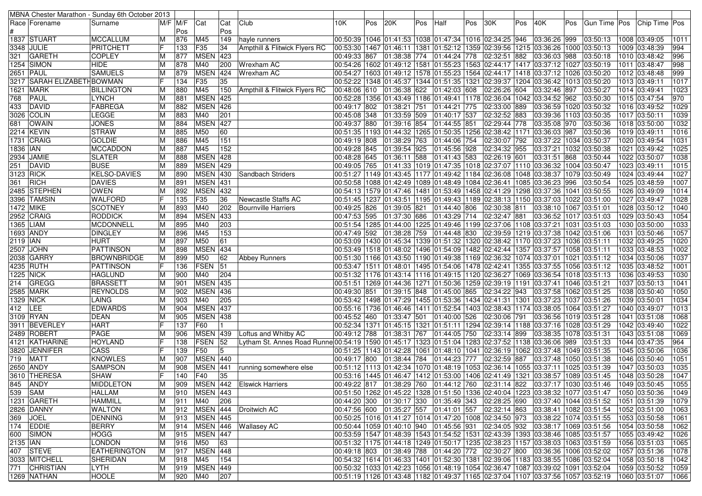|            |                            | MBNA Chester Marathon - Sunday 6th October 2013 |    |                    |                 |            |                                                                                                                    |                             |     |              |     |              |     |                                                                                          |     |                               |     |                                                                                                          |      |                |                  |
|------------|----------------------------|-------------------------------------------------|----|--------------------|-----------------|------------|--------------------------------------------------------------------------------------------------------------------|-----------------------------|-----|--------------|-----|--------------|-----|------------------------------------------------------------------------------------------|-----|-------------------------------|-----|----------------------------------------------------------------------------------------------------------|------|----------------|------------------|
|            | Race   Forename            | Surname                                         |    | $M/F$ $M/F$<br>Pos | Cat             | Cat<br>Pos | Club                                                                                                               | 10K                         | Pos | 120K         | Pos | Half         | Pos | 130K                                                                                     | Pos | 40K                           | Pos | Gun Time   Pos                                                                                           |      | Chip Time Pos  |                  |
|            | 1837 STUART                | <b>MCCALLUM</b><br>ΙM                           |    | 876                | M45             | 149        | hayle runners                                                                                                      |                             |     |              |     |              |     | 00:50:39  1046  01:41:53  1038  01:47:34  1016  02:34:25  946                            |     | 03:36:26 999                  |     | 03:50:13                                                                                                 |      | 1008 03:49:05  | 1011             |
|            | 3348  JULIE                | ΙF<br>PRITCHETT                                 |    | 133                | F35             | 34         | Ampthill & Flitwick Flyers RC                                                                                      | 00:53:30 1467 01:46:11 1381 |     |              |     |              |     | 01:52:12 1359 02:39:56 1215 03:36:26 1000 03:50:13                                       |     |                               |     |                                                                                                          |      | 1009 03:48:39  | 994              |
| 321        | <b>GARETH</b>              | <b>COPLEY</b>                                   | M  | 877                | <b>MSEN</b>     | 423        |                                                                                                                    | 00:49:33 867 01:38:38 774   |     |              |     | 01:44:24 778 |     | 02:32:51 882                                                                             |     | 03:36:03 988                  |     | 03:50:18                                                                                                 |      | 1010 03:48:42  | 996              |
|            | 1254 SIMON                 | <b>HIDE</b><br>ΙM                               |    | 878                | M40             | 200        | Wrexham AC                                                                                                         |                             |     |              |     |              |     | 00:54:26  1602  01:49:12  1581  01:55:23  1563  02:44:17  1417  03:37:12  1027  03:50:19 |     |                               |     |                                                                                                          |      | 1011 03:48:47  | 998              |
|            | <b>2651 PAUL</b>           | <b>SAMUELS</b><br>ΙM                            |    | 879                | <b>MSEN</b>     | 424        | Wrexham AC                                                                                                         |                             |     |              |     |              |     | 00:54:27  1603  01:49:12  1578  01:55:23  1564  02:44:17  1418  03:37:12  1026  03:50:20 |     |                               |     |                                                                                                          |      | 1012 03:48:48  | 999              |
|            | 3217 SARAH ELIZABETHBOWMAN | lF                                              |    | 134                | F35             | 35         |                                                                                                                    |                             |     |              |     |              |     | 00:52:22  1348  01:45:37  1344  01:51:35  1321  02:39:37  1204  03:36:42  1013  03:50:20 |     |                               |     |                                                                                                          |      | 1013 03:49:11  | 1017             |
| 1621       | <b>MARK</b>                | <b>BILLINGTON</b>                               | ΙM | 880                | M45             | 150        | Ampthill & Flitwick Flyers RC                                                                                      | 00:48:06 610                |     | 01:36:38 622 |     | 01:42:03 608 |     | 02:26:26 604                                                                             |     | 03:32:46 897                  |     | 03:50:27                                                                                                 |      | 1014 03:49:41  | 1023             |
| 768        | PAUL                       | <b>LYNCH</b><br>ΙM                              |    | 881                | <b>MSEN</b>     | 425        |                                                                                                                    |                             |     |              |     |              |     | 00:52:28  1356  01:43:49  1186  01:49:41  1178  02:36:04  1042                           |     | 03:34:52 962                  |     | 03:50:30                                                                                                 |      | 1015 03:47:54  | 970              |
| 433        | DAVID                      | FABREGA<br>ΙM                                   |    | 882                | <b>MSEN</b>     | 426        |                                                                                                                    | 00:49:17 802                |     | 01:38:21 751 |     | 01:44:21 775 |     | 02:33:00 889                                                                             |     | 03:36:59 1020 03:50:32        |     |                                                                                                          |      | 1016 03:49:52  | 1029             |
|            | 3026 COLIN                 | LEGGE<br>ΙM                                     |    | 883                | M40             | 201        |                                                                                                                    | 00:45:08 348                |     | 01:33:59 509 |     | 01:40:17 537 |     | 02:32:52 883                                                                             |     | 03:39:36 1103 03:50:35        |     |                                                                                                          |      | 1017 03:50:11  | 1039             |
| 681        | <b>OWAIN</b>               | <b>JONES</b><br>ΙM                              |    | 884                | <b>MSEN 427</b> |            |                                                                                                                    | 00:49:37 880 01:39:16 854   |     |              |     | 01:44:55 851 |     | 02:29:44 778                                                                             |     | 03:35:08 970                  |     | 03:50:36                                                                                                 |      | 1018 03:50:00  | 1032             |
|            | 2214 KEVIN                 | <b>STRAW</b><br>ΙM                              |    | 885                | M50             | 60         |                                                                                                                    |                             |     |              |     |              |     | 00:51:35  1193  01:44:32  1265  01:50:35  1256  02:38:42  1171                           |     | 03:36:03 987                  |     | 03:50:36                                                                                                 |      | 1019 03:49:11  | 1016             |
|            | 1731 CRAIG                 | <b>GOLDIE</b><br>ΙM                             |    | 886                | M45             | 151        |                                                                                                                    | 00:49:19 808                |     | 01:38:29 763 |     | 01:44:06 754 |     | 02:30:07 792                                                                             |     | 03:37:22   1034   03:50:37    |     |                                                                                                          |      | 1020 03:49:54  | 1031             |
| 1836   IAN |                            | <b>MCCADDON</b>                                 | ΙM | 887                | M45             | 152        |                                                                                                                    | 00:49:28 845                |     | 01:39:54 925 |     | 01:45:56 928 |     | 02:34:32 955                                                                             |     | 03:37:21   1032   03:50:38    |     |                                                                                                          | 1021 | 03:49:42       | $\frac{1025}{2}$ |
|            | 2934 JAMIE                 | <b>SLATER</b><br>IМ                             |    | 888                | <b>MSEN</b>     | 428        |                                                                                                                    | 00:48:28 645                |     | 01:36:11 588 |     | 01:41:43 583 |     | 02:26:19 601                                                                             |     | 03:31:51 868                  |     | 03:50:44                                                                                                 |      | 1022 03:50:07  | 1038             |
| 251        | DAVID                      | <b>BUSE</b><br>ΙM                               |    | 889                | <b>MSEN</b>     | 429        |                                                                                                                    | 00:49:05 765                |     |              |     |              |     | 01:41:33  1019  01:47:35  1018  02:37:07  1110  03:36:32  1004  03:50:47                 |     |                               |     |                                                                                                          |      | 1023 03:49:11  | 1015             |
| 3123 RICK  |                            | <b>KELSO-DAVIES</b><br>ΙM                       |    | 890                | MSEN 430        |            | Sandbach Striders                                                                                                  |                             |     |              |     |              |     | 00:51:27  1149  01:43:45  1177  01:49:42  1184  02:36:08                                 |     | 1048 03:38:37  1079 03:50:49  |     |                                                                                                          |      | 1024 03:49:44  | 1027             |
| 361        | <b>RICH</b>                | <b>DAVIES</b>                                   | ΙM | 891                | <b>MSEN</b> 431 |            |                                                                                                                    |                             |     |              |     |              |     | 00:50:58  1088  01:42:49  1089  01:48:49  1084  02:36:41                                 |     | 1085 03:36:23 996             |     | 03:50:54                                                                                                 |      | 1025 03:48:59  | 1007             |
|            | 2485 STEPHEN               | <b>OWEN</b><br>ΙM                               |    | 892                | <b>MSEN</b>     | 432        |                                                                                                                    |                             |     |              |     |              |     | 00:54:13 1579 01:47:46 1481 01:53:49 1458 02:41:29 1298 03:37:36 1041 03:50:55           |     |                               |     |                                                                                                          |      | 1026 03:49:09  | $\frac{1014}{x}$ |
|            | 3396 TAMSIN                | <b>WALFORD</b><br>IF                            |    | 135                | F35             | 36         | Newcastle Staffs AC                                                                                                |                             |     |              |     |              |     | 00:51:45  1237  01:43:51  1195  01:49:43  1189  02:38:13  1150  03:37:03  1022  03:51:00 |     |                               |     |                                                                                                          |      | 1027 03:49:47  | 1028             |
|            | 1472 MIKE                  | <b>SCOTNEY</b>                                  | M  | 893                | M40             | 202        | Bournville Harriers                                                                                                | 00:49:25 826                |     | 01:39:05 821 |     | 01:44:40 806 |     | 02:30:38 811                                                                             |     | 03:38:10  1067  03:51:01      |     |                                                                                                          |      | 1028 03:50:12  | 1040             |
|            | 2952 CRAIG                 | <b>RODDICK</b><br>ΙM                            |    | 894                | <b>MSEN</b>     | 433        |                                                                                                                    | 00:47:53 595                |     | 01:37:30 686 |     | 01:43:29 714 |     | 02:32:47 881                                                                             |     | 03:36:52   1017   03:51:03    |     |                                                                                                          |      | 1029 03:50:43  | 1054             |
|            | 1365 LIAM                  | <b>MCDONNELL</b><br>ΙM                          |    | 895                | M40             | 203        |                                                                                                                    |                             |     |              |     |              |     | 00:51:54 1285 01:44:00 1225 01:49:46 1199 02:37:06 1108 03:37:21 1031 03:51:03           |     |                               |     |                                                                                                          |      | 1030 03:50:00  | 1033             |
|            | 1693 ANDY                  | <b>DINGLEY</b>                                  | M  | 896                | M45             | 153        |                                                                                                                    | 00:47:49 592 01:38:28 759   |     |              |     | 01:44:48 830 |     | 02:39:59 1219 03:37:38 1042 03:51:06                                                     |     |                               |     |                                                                                                          | 1031 | 03:50:46       | 1057             |
| 2119   IAN |                            | <b>HURT</b>                                     | ΙM | 897                | M50             | 61         |                                                                                                                    |                             |     |              |     |              |     | 00:53:09  1430  01:45:34  1339  01:51:32  1320  02:38:42                                 |     | 1170 03:37:23 1036 03:51:11   |     |                                                                                                          |      | 1032 03:49:25  | 1020             |
|            | 2507   JOHN                | <b>PATTINSON</b><br>ΙM                          |    | 898                | <b>MSEN</b>     | 434        |                                                                                                                    |                             |     |              |     |              |     | 00:53:49  1518  01:48:02  1496  01:54:09  1482  02:42:44  1357  03:37:57  1058  03:51:11 |     |                               |     |                                                                                                          |      | 1033 03:48:53  | 1002             |
|            | 2038 GARRY                 | <b>BROWNBRIDGE</b><br>ΙM                        |    | 899                | M50             | 62         | <b>Abbey Runners</b>                                                                                               |                             |     |              |     |              |     | 00:51:30  1166  01:43:50  1190  01:49:38  1169  02:36:32                                 |     | 1074 03:37:01 1021 03:51:12   |     |                                                                                                          |      | 1034 03:50:06  | 1037             |
|            | 4235 RUTH                  | IF<br><b>PATTINSON</b>                          |    | 136                | FSEN            | 51         |                                                                                                                    |                             |     |              |     |              |     | 00:53:47  1511  01:48:01  1495  01:54:06  1478  02:42:41                                 |     | 1355 03:37:55 1056 03:51:12   |     |                                                                                                          |      | 1035 03:48:52  | 1001             |
|            | 1225  NICK                 | <b>HAGLUND</b><br>IМ                            |    | 900                | M40             | 204        |                                                                                                                    |                             |     |              |     |              |     | 00:51:32  1176  01:43:14  1116  01:49:15  1120  02:36:27                                 |     | 1069 03:36:54   1018 03:51:13 |     |                                                                                                          |      | 1036 03:49:53  | 1030             |
| 214        | GREGG                      | <b>BRASSETT</b><br>ΙM                           |    | 901                | <b>MSEN</b>     | 435        |                                                                                                                    |                             |     |              |     |              |     | 00:51:61  1269  01:44:36  1271  01:50:36  1259  02:39:19  1191  03:37:41  1046  03:51:21 |     |                               |     |                                                                                                          |      | 1037 03:50:13  | 1041             |
|            | 2585 MARK                  | <b>REYNOLDS</b><br>ΙM                           |    | 902                | <b>MSEN</b>     | 436        |                                                                                                                    | 00:49:30 851 01:39:15 848   |     |              |     |              |     | 01:45:00 865 02:34:22 943                                                                |     | 03:37:58   1062   03:51:25    |     |                                                                                                          |      | 1038 03:50:40  | 1050             |
|            | 1329 NICK                  | LAING                                           | ΙM | 903                | M40             | 205        |                                                                                                                    |                             |     |              |     |              |     | 00:53:42  1498  01:47:29  1455  01:53:36  1434  02:41:31  1301  03:37:23  1037  03:51:26 |     |                               |     |                                                                                                          |      | 1039 03:50:01  | 1034             |
| 412        | LEE                        | <b>EDWARDS</b><br>ΙM                            |    | 904                | <b>MSEN 437</b> |            |                                                                                                                    |                             |     |              |     |              |     | 00:55:16  1736  01:46:46  1411  01:52:54  1403  02:38:43  1174  03:38:05  1064  03:51:27 |     |                               |     |                                                                                                          |      | 1040 03:49:07  | 1013             |
|            | 3109 RYAN                  | <b>DEAN</b><br>ΙM                               |    | 905                | <b>MSEN 438</b> |            |                                                                                                                    | 00:45:52 460                |     | 01:33:47 501 |     | 01:40:00 526 |     | 02:30:06 791                                                                             |     | 03:36:56   1019   03:51:28    |     |                                                                                                          |      | 1041 03:51:08  | 1068             |
|            | 3911 BEVERLEY              | IF<br><b>HART</b>                               |    | 137                | <b>F60</b>      |            |                                                                                                                    | 00:52:34 1371 01:45:15 1321 |     |              |     |              |     | 01:51:11  1294   02:39:14   1188   03:37:16   1028   03:51:29                            |     |                               |     |                                                                                                          |      | 1042 03:49:40  | 1022             |
|            | 2489 ROBERT                | <b>PAGE</b><br>ΙM                               |    | 906                | <b>MSEN 439</b> |            | Loftus and Whitby AC                                                                                               | 00:49:12 788                |     | 01:38:31 767 |     | 01:44:05 750 |     | 02:33:14 899                                                                             |     | 03:38:35   1078   03:51:31    |     |                                                                                                          |      | 1043 03:51:08  | 1069             |
|            | 4121  KATHARINE            | lF<br><b>HOYLAND</b>                            |    | 138                | <b>FSEN</b>     | 52         | Lytham St. Annes Road Runne 00:54:19   1590   01:45:17   1323   01:51:04   1283   02:37:52   1138   03:36:06   989 |                             |     |              |     |              |     |                                                                                          |     |                               |     | 03:51:33                                                                                                 |      | 1044 03:47:35  | 964              |
|            | 3820 JENNIFER              | IF<br><b>CASS</b>                               |    | 139                | F50             | 5          |                                                                                                                    | 00:51:25 1143 01:42:28 1061 |     |              |     |              |     | 01:48:10  1041  02:36:19  1062  03:37:48  1049  03:51:35                                 |     |                               |     |                                                                                                          |      | 1045 03:50:06  | 1036             |
| 719        | <b>MATT</b>                | <b>KNOWLES</b><br>ΙM                            |    | 907                | MSEN 440        |            |                                                                                                                    | 00:49:17 800 01:38:44 784   |     |              |     | 01:44:23 777 |     | 02:32:59 887                                                                             |     | 03:37:48   1050   03:51:38    |     |                                                                                                          |      | 1046 03:50:40  | 1051             |
|            | 2650 ANDY                  | <b>SAMPSON</b>                                  | ΙM | 908                | <b>MSEN</b>     | 441        | running somewhere else                                                                                             |                             |     |              |     |              |     | 00:51:12  1113  01:42:34  1070  01:48:19  1053  02:36:14  1055  03:37:11  1025  03:51:39 |     |                               |     |                                                                                                          |      | 1047 03:50:03  | 1035             |
|            | 3610 THERESA               | IF<br><b>SHAW</b>                               |    | 140                | F40             | 35         |                                                                                                                    |                             |     |              |     |              |     |                                                                                          |     |                               |     | 00:53:16  1445  01:46:47  1412  01:53:00  1406  02:41:49  1321  03:38:57  1089  03:51:45                 |      | 1048 03:50:28  | 1047             |
|            | 845 ANDY                   | MIDDLETON                                       | M  |                    |                 |            | 909 MSEN 442 Elswick Harriers                                                                                      |                             |     |              |     |              |     |                                                                                          |     |                               |     | 00:49:22 817 01:38:29 760 01:44:12 760 02:31:14 822 03:37:17 1030 03:51:46 1049 03:50:45                 |      |                | 1055             |
| 539 SAM    |                            | <b>HALLAM</b>                                   | M  | 910                | <b>MSEN 443</b> |            |                                                                                                                    |                             |     |              |     |              |     |                                                                                          |     |                               |     | 00:51:50  1262  01:45:22  1328  01:51:50  1336  02:40:04  1223  03:38:32  1077  03:51:47  1050  03:50:36 |      |                | 1049             |
|            | 1231 GARETH                | <b>HAMMILL</b>                                  | ΙM | 911                | M40             | 206        |                                                                                                                    |                             |     |              |     |              |     |                                                                                          |     |                               |     | 00:44:20 300 01:30:17 330 01:35:49 343 02:28:25 690 03:37:40 1044 03:51:52                               |      | 1051 03:51:39  | 1079             |
|            | 2826 DANNY                 | <b>WALTON</b>                                   | ΙM |                    |                 |            | 912   MSEN   444   Droitwich AC                                                                                    |                             |     |              |     |              |     |                                                                                          |     |                               |     | 03:38:41  1082  03:51:54                                                                                 |      | 1052 03:51:00  | 1063             |
|            | 369 JOEL                   | <b>DENNING</b>                                  | M  | 913                | <b>MSEN 445</b> |            |                                                                                                                    |                             |     |              |     |              |     | 00:50:25  1016  01:41:27  1014  01:47:20  1008  02:34:50  973                            |     |                               |     | 03:38:22 1074 03:51:55                                                                                   |      | 1053 03:50:58  | 1061             |
|            | 174 EDDIE                  | <b>BERRY</b>                                    | ΙM | 914                |                 |            | MSEN 446 Wallasey AC                                                                                               |                             |     |              |     |              |     | 00:50:44  1059  01:40:10  940  01:45:56  931  02:34:05  932                              |     |                               |     | 03:38:17  1069  03:51:56                                                                                 |      | 1054  03:50:58 | 1062             |
|            | 600 SIMON                  | <b>HOGG</b>                                     | ΙM | 915                | MSEN 447        |            |                                                                                                                    |                             |     |              |     |              |     |                                                                                          |     |                               |     | 00:53:59 1547 01:48:39 1543 01:54:52 1531 02:43:39 1393 03:38:46 1085 03:51:57                           |      | 1055 03:49:42  | 1026             |
| 2135   IAN |                            | <b>LONDON</b>                                   | ΙM | 916                | M50             | 63         |                                                                                                                    |                             |     |              |     |              |     |                                                                                          |     |                               |     | 00:51:69 03:51:59 01:44:18 01:44:18 01:50:17 1235 02:38:23 1157 03:38:03 1063 03:51:59                   |      | 1056 03:51:03  | 1065             |
|            | 407 STEVE                  | <b>EATHERINGTON</b>                             | ΙM | 917                | <b>MSEN</b> 448 |            |                                                                                                                    |                             |     |              |     |              |     |                                                                                          |     |                               |     | 00:49:18  803    01:38:49  788    01:44:20  772    02:30:27  800    03:36:36  1006  03:52:02             |      | 1057 03:51:36  | 1078             |
|            | 3033 MITCHELL              | SHERIDAN                                        | ΙM | 918                | M45             | 154        |                                                                                                                    |                             |     |              |     |              |     |                                                                                          |     |                               |     | 00:54:32  1614  01:46:33  1401  01:52:30  1381  02:39:06  1183  03:38:55  1086  03:52:04                 |      | 1058 03:50:18  | 1042             |
|            | 771 CHRISTIAN              | <b>LYTH</b><br>M                                |    | 919                | <b>MSEN</b> 449 |            |                                                                                                                    |                             |     |              |     |              |     |                                                                                          |     |                               |     | 00:50:32 1033 01:42:23 1056 01:48:19 1054 02:36:47 1087 03:39:02 1091 03:52:04                           |      | 1059 03:50:52  | 1059             |
|            | 1269 NATHAN                | <b>HOOLE</b>                                    | M  | 920                | M40             | 207        |                                                                                                                    |                             |     |              |     |              |     |                                                                                          |     |                               |     | 00:51:19  1126  01:43:48  1182  01:49:37  1165  02:37:04  1107  03:37:56  1057  03:52:19                 |      | 1060 03:51:07  | 1066             |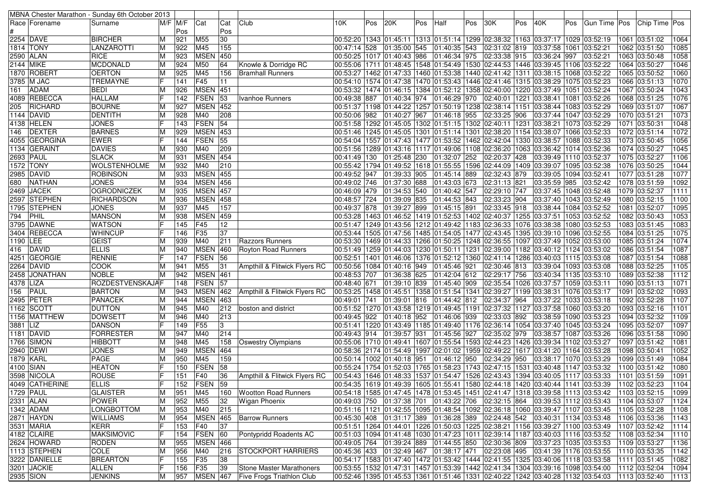| MBNA Chester Marathon - Sunday 6th October 2013 |                    |   |          |                 |     |                               |                                                                                      |     |              |     |              |     |                                                                |     |                                                                                                    |     |                                                                                              |      |                 |                  |
|-------------------------------------------------|--------------------|---|----------|-----------------|-----|-------------------------------|--------------------------------------------------------------------------------------|-----|--------------|-----|--------------|-----|----------------------------------------------------------------|-----|----------------------------------------------------------------------------------------------------|-----|----------------------------------------------------------------------------------------------|------|-----------------|------------------|
| Race Forename                                   | Surname            |   | M/F  M/F | Cat             | Cat | Club                          | 10K                                                                                  | Pos | 20K          | Pos | Half         | Pos | 30K                                                            | Pos | 40K                                                                                                | Pos | Gun Time   Pos                                                                               |      | Chip Time   Pos |                  |
|                                                 |                    |   | Pos      |                 | Pos |                               |                                                                                      |     |              |     |              |     |                                                                |     |                                                                                                    |     |                                                                                              |      |                 |                  |
| 2254 DAVE                                       | <b>BIRCHER</b>     | M | 921      | M55             | 30  |                               |                                                                                      |     |              |     |              |     |                                                                |     | 00:52:20  1343  01:45:11  1313  01:51:14  1299  02:38:32  1163  03:37:17  1029  03:52:19           |     |                                                                                              |      | 1061 03:51:02   | 1064             |
| 1814 TONY                                       | LANZAROTTI         | M | 922      | M45             | 155 |                               | 00:47:14 528                                                                         |     | 01:35:00 545 |     | 01:40:35 543 |     | 02:31:02 819                                                   |     | 03:37:58 1061                                                                                      |     | 03:52:21                                                                                     |      | 1062 03:51:50   | 1085             |
| 2590 ALAN                                       | <b>RICE</b>        |   | 923      | <b>MSEN</b>     | 450 |                               | 00:50:25 1017 01:40:43 986                                                           |     |              |     | 01:46:34 975 |     | 02:33:38 915                                                   |     | 03:36:24 997                                                                                       |     | 03:52:21                                                                                     |      | 1063 03:50:48   | 1058             |
| 2144 MIKE                                       | MCDONALD           | M | 924      | M50             | 64  | Knowle & Dorridge RC          |                                                                                      |     |              |     |              |     |                                                                |     | 00:55:06  1711  01:48:45  1548  01:54:49  1530  02:44:53  1446  03:39:45  1106  03:52:22           |     |                                                                                              |      | 1064 03:50:27   | 1046             |
| 1870 ROBERT                                     | <b>OERTON</b>      | М | 925      | M45             | 156 | Bramhall Runners              |                                                                                      |     |              |     |              |     |                                                                |     | 00:53:27  1462  01:47:33  1460  01:53:38  1440  02:41:42  1311  03:38:15  1068  03:52:22           |     |                                                                                              |      | 1065 03:50:52   | 1060             |
| 3785 M JAC                                      | <b>TREMAYNE</b>    |   | 141      | F45             | 11  |                               | 00:54:10  1574  01:47:38  1470  01:53:43  1446  02:41:46                             |     |              |     |              |     |                                                                |     | 1315  03:38:29  1075  03:52:23                                                                     |     |                                                                                              |      | 1066 03:51:13   | 1070             |
| <b>ADAM</b><br>161                              | <b>BEDI</b>        | M | 926      | <b>MSEN</b>     | 451 |                               | 00:53:32  1474  01:46:15  1384  01:52:12  1358  02:40:00                             |     |              |     |              |     |                                                                |     | 1220 03:37:49 1051 03:52:24                                                                        |     |                                                                                              |      | 1067 03:50:24   | 1043             |
| 4089 REBECCA                                    | <b>HALLAM</b>      |   | 142      | <b>FSEN</b>     | 53  | Ivanhoe Runners               | 00:49:38 887                                                                         |     | 01:40:34 974 |     | 01:46:29 970 |     | 02:40:01                                                       |     | 1221  03:38:41  1081  03:52:26                                                                     |     |                                                                                              |      | 1068 03:51:25   | 1076             |
| RICHARD<br>205                                  | <b>BOURNE</b>      |   | 927      | <b>MSEN 452</b> |     |                               |                                                                                      |     |              |     |              |     |                                                                |     | 00:51:37  1198  01:44:22  1257  01:50:19  1238  02:38:14  1151  03:38:44  1083  03:52:29           |     |                                                                                              |      | 1069 03:51:07   | 1067             |
| 1144 DAVID                                      | <b>DENTITH</b>     |   | 928      | M40             | 208 |                               | 00:50:06 982 01:40:27 967                                                            |     |              |     | 01:46:18 955 |     | 02:33:25 906                                                   |     | 03:37:44 1047 03:52:29                                                                             |     |                                                                                              |      | 1070 03:51:21   | 1073             |
|                                                 | <b>JONES</b>       | M | 143      | <b>FSEN</b>     | 54  |                               |                                                                                      |     |              |     |              |     |                                                                |     |                                                                                                    |     |                                                                                              |      | 1071 03:50:31   |                  |
| 4138 HELEN<br>DEXTER                            |                    |   |          |                 |     |                               |                                                                                      |     |              |     |              |     |                                                                |     | 00:51:58  1292  01:45:05  1302  01:51:15  1302  02:40:11  1231  03:38:21  1073  03:52:29           |     |                                                                                              |      |                 | 1048<br>1072     |
| 146                                             | <b>BARNES</b>      |   | 929      | <b>MSEN 453</b> |     |                               |                                                                                      |     |              |     |              |     |                                                                |     | 00:51:46   1245   01:45:05   1301   01:51:14   1301   02:38:20   1154   03:38:07   1066   03:52:33 |     |                                                                                              |      | 1072 03:51:14   |                  |
| 4055 GEORGINA                                   | <b>EWER</b>        |   | 144      | <b>FSEN</b>     | 55  |                               | 00:54:04  1557  01:47:43  1477  01:53:52  1462  02:42:04                             |     |              |     |              |     |                                                                |     | 1330 03:38:57  1088 03:52:33                                                                       |     |                                                                                              |      | 1073 03:50:45   | 1056             |
| 1134 GERAINT                                    | <b>DAVIES</b>      |   | 930      | M40             | 209 |                               | 00:51:56  1289  01:43:16  1117  01:49:06  1108  02:36:20                             |     |              |     |              |     |                                                                |     | 1063 03:36:42 1014 03:52:36                                                                        |     |                                                                                              |      | 1074 03:50:27   | 1045             |
| 2693 PAUL                                       | <b>SLACK</b>       |   | 931      | <b>MSEN</b>     | 454 |                               | 00:41:49 130                                                                         |     | 01:25:48 230 |     | 01:32:07 252 |     | 02:20:37                                                       | 428 | 03:39:49 1110 03:52:37                                                                             |     |                                                                                              |      | 1075 03:52:27   | 1106             |
| 1572 TONY                                       | WOLSTENHOLME       | M | 932      | M40             | 210 |                               |                                                                                      |     |              |     |              |     | 00:55:42 1794 01:49:52 1618 01:55:55 1596 02:44:09             |     | 1409 03:39:07 1095 03:52:38                                                                        |     |                                                                                              |      | 1076 03:50:25   | 1044             |
| 2985 DAVID                                      | <b>ROBINSON</b>    |   | 933      | <b>MSEN 455</b> |     |                               | 00:49:52 947                                                                         |     | 01:39:33 905 |     | 01:45:14 889 |     | 02:32:43 879                                                   |     | 03:39:05   1094   03:52:41                                                                         |     |                                                                                              |      | 1077 03:51:28   | 1077             |
| NATHAN<br>680                                   | <b>JONES</b>       | M | 934      | <b>MSEN 456</b> |     |                               | 00:49:02 746                                                                         |     | 01:37:30 688 |     | 01:43:03 673 |     | 02:31:13 821                                                   |     | 03:35:59 985                                                                                       |     | 03:52:42                                                                                     |      | 1078 03:51:59   | 1092             |
| 2469 JACEK                                      | <b>OGRODNICZEK</b> |   | 935      | <b>MSEN</b>     | 457 |                               | 00:46:09 479                                                                         |     | 01:34:53 540 |     | 01:40:42 547 |     | 02:29:10 747                                                   |     | 03:37:45   1048   03:52:48                                                                         |     |                                                                                              |      | 1079 03:52:37   | 1111             |
| 2597 STEPHEN                                    | <b>RICHARDSON</b>  | M | 936      | MSEN 458        |     |                               | 00:48:57 724                                                                         |     | 01:39:09 835 |     | 01:44:53 843 |     | 02:33:23 904                                                   |     | 03:37:40 1043 03:52:49                                                                             |     |                                                                                              |      | 1080 03:52:15   | 1100             |
| 1795 STEPHEN                                    | <b>JONES</b>       | M | 937      | M45             | 157 |                               | 00:49:37 878                                                                         |     | 01:39:27 899 |     | 01:45:15 891 |     | 02:33:45 918                                                   |     | 03:38:44   1084   03:52:52                                                                         |     |                                                                                              | 1081 | 03:52:07        | 1095             |
| <b>PHIL</b><br>794                              | <b>MANSON</b>      |   | 938      | <b>MSEN</b>     | 459 |                               |                                                                                      |     |              |     |              |     |                                                                |     | 00:53:28  1463  01:46:52  1419  01:52:53  1402  02:40:37  1255  03:37:51  1053  03:52:52           |     |                                                                                              |      | 1082 03:50:43   | 1053             |
| 3795 DAWNE                                      | <b>WATSON</b>      |   | 145      | F45             | 12  |                               |                                                                                      |     |              |     |              |     | 00:51:47 1249 01:43:56 1212 01:49:42 1183 02:36:33             |     | 1076 03:38:38 1080 03:52:53                                                                        |     |                                                                                              |      | 1083 03:51:45   | 1083             |
| 3404 REBECCA                                    | <b>WHINCUP</b>     |   | 146      | F <sub>35</sub> | 37  |                               | 00:53:44 1505 01:47:56 1485 01:54:05 1477 02:43:45                                   |     |              |     |              |     |                                                                |     | 1395 03:39:10 1096 03:52:55                                                                        |     |                                                                                              |      | 1084 03:51:25   | $\frac{1075}{2}$ |
| 1190 LEE                                        | GEIST              |   | 939      | M40             | 211 | Razzors Runners               | 00:53:30  1469  01:44:33  1266  01:50:25  1248  02:36:55                             |     |              |     |              |     |                                                                |     | 1097 03:37:49 1052 03:53:00                                                                        |     |                                                                                              |      | 1085 03:51:24   | 1074             |
| <b>DAVID</b><br>416                             | <b>ELLIS</b>       |   | 940      | <b>MSEN</b>     | 460 | Royton Road Runners           | 00:51:49 1259 01:44:03 1230 01:50:11 1231 02:39:00                                   |     |              |     |              |     |                                                                |     | 1182  03:40:12  1124  03:53:02                                                                     |     |                                                                                              |      | 1086 03:51:54   | 1087             |
| 4251 GEORGIE                                    | <b>RENNIE</b>      |   | 147      | <b>FSEN</b>     | 56  |                               |                                                                                      |     |              |     |              |     |                                                                |     | 00:52:51  1401  01:46:06  1376  01:52:12  1360  02:41:14  1286  03:40:03  1115  03:53:08           |     |                                                                                              |      | 1087 03:51:54   | 1088             |
| 2264 DAVID                                      | COOK               |   | 941      | M55             | 31  | Ampthill & Flitwick Flyers RC | 00:50:56 1084 01:40:16 949                                                           |     |              |     | 01:45:46 921 |     | 02:30:46 813                                                   |     | 03:39:04   1093   03:53:08                                                                         |     |                                                                                              |      | 1088 03:52:25   | 1105             |
| 2458 JONATHAN                                   | <b>NOBLE</b>       | M | 942      | <b>MSEN</b> 461 |     |                               | 00:48:53 707                                                                         |     | 01:36:38 625 |     | 01:42:04 612 |     | 02:29:17 756                                                   |     | 03:40:34 1135 03:53:10                                                                             |     |                                                                                              |      | 1089 03:52:38   | 1112             |
| 4378 LIZA                                       | ROZDESTVENSKAJAF   |   | 148      | <b>FSEN</b>     | 57  |                               | 00:48:40 671                                                                         |     | 01:39:10 839 |     | 01:45:40 909 |     |                                                                |     | 02:35:54 1026 03:37:57 1059 03:53:11                                                               |     |                                                                                              |      | 1090 03:51:13   | 1071             |
| PAUL<br>156                                     | <b>BARTON</b>      |   | 943      | <b>MSEN</b>     | 462 | Ampthill & Flitwick Flyers RC |                                                                                      |     |              |     |              |     |                                                                |     | 00:53:25  1458  01:45:51  1358  01:51:54  1341  02:39:27  1199  03:38:31  1076  03:53:17           |     |                                                                                              | 1091 | 03:52:02        | 1093             |
| <b>2495 PETER</b>                               | <b>PANACEK</b>     | M | 944      | <b>MSEN</b>     | 463 |                               | $\overline{00:}49:01$ 741                                                            |     | 01:39:01 816 |     | 01:44:42 812 |     | 02:34:37 964                                                   |     | 03:37:22  1033  03:53:18                                                                           |     |                                                                                              |      | 1092 03:52:28   | 1107             |
| 1162 SCOTT                                      | <b>DUTTON</b>      | M | 945      | M40             | 212 | boston and district           |                                                                                      |     |              |     |              |     |                                                                |     | 00:51:52  1270  01:43:58  1219  01:49:45  1191  02:37:32  1127  03:37:58  1060  03:53:20           |     |                                                                                              |      | 1093 03:52:16   | 1101             |
| 1156   MATTHEW                                  | <b>DOWSETT</b>     | м | 946      | M40             | 213 |                               | 00:49:45 922                                                                         |     | 01:40:18 952 |     | 01:46:06 939 |     | 02:33:03 892                                                   |     | 03:38:59   1090   03:53:23                                                                         |     |                                                                                              |      | 1094 03:52:32   | 1109             |
| 3881 LIZ                                        | <b>DANSON</b>      |   | 149      | F <sub>55</sub> | 3   |                               |                                                                                      |     |              |     |              |     | 00:51:41  1220  01:43:49  1185  01:49:40  1176  02:36:14  1054 |     | 03:37:40 1045 03:53:24                                                                             |     |                                                                                              |      | 1095 03:52:07   | 1097             |
| 1181 DAVID                                      | <b>FORRESTER</b>   |   | 947      | M40             | 214 |                               | 00:49:43 914 01:39:57 931                                                            |     |              |     | 01:45:56 927 |     | 02:35:02 979                                                   |     | 03:38:57   1087   03:53:26                                                                         |     |                                                                                              |      | 1096 03:51:58   | 1090             |
| 1766 SIMON                                      | <b>HIBBOTT</b>     |   | 948      | M45             | 158 |                               | 00:55:06 1710 01:49:41 1607 01:55:54 1593 02:44:23                                   |     |              |     |              |     |                                                                |     | 1426 03:39:34 1102 03:53:27                                                                        |     |                                                                                              |      | 1097 03:51:42   | 1081             |
| 2940 DEWI                                       | JONES              |   | 949      | <b>MSEN</b>     | 464 | Oswestry Olympians            |                                                                                      |     |              |     |              |     | 00:58:36 2174 01:54:49 1997 02:01:02 1959 02:49:22             |     | 1617 03:41:20 1164 03:53:28                                                                        |     |                                                                                              |      | 1098 03:50:41   | 1052             |
| 1879 KARL                                       | <b>PAGE</b>        |   | 950      | M45             | 159 |                               | 00:50:14 1002 01:40:18 951                                                           |     |              |     | 01:46:12 950 |     | 02:34:29                                                       | 950 | 03:38:17 1070 03:53:29                                                                             |     |                                                                                              |      | 1099 03:51:49   | 1084             |
| 4100 SIAN                                       | <b>HEATON</b>      |   |          | <b>FSEN</b>     |     |                               |                                                                                      |     |              |     |              |     |                                                                |     |                                                                                                    |     |                                                                                              |      |                 |                  |
|                                                 |                    |   | 150      |                 | 58  |                               |                                                                                      |     |              |     |              |     | 00:55:24  1754  01:52:03  1765  01:58:23  1743  02:47:15       |     | 1531  03:40:48  1147  03:53:32                                                                     |     |                                                                                              |      | 1100 03:51:42   | 1080             |
| 3598 NICOLA                                     | ROUSE              |   | 151      | F40             | 36  | Ampthill & Flitwick Flyers RC |                                                                                      |     |              |     |              |     |                                                                |     | 00:54:43  1646  01:48:33  1537  01:54:47  1526  02:43:43  1394  03:40:05  1117  03:53:33           |     |                                                                                              |      | 1101 03:51:59   | 1091             |
| 4049 CATHERINE                                  | <b>ELLIS</b>       | F | $152$    | FSEN 59         |     |                               |                                                                                      |     |              |     |              |     |                                                                |     |                                                                                                    |     | 00:54:35 1619 01:49:39 1605 01:55:41 1580 02:44:18 1420 03:40:44 1141 03:53:39 1102 03:52:23 |      |                 | 1104             |
| 1729 PAUL                                       | <b>GLAISTER</b>    | M | 951      | M45             | 160 | <b>Wootton Road Runners</b>   |                                                                                      |     |              |     |              |     |                                                                |     | 00:54:18  1585  01:47:45  1478  01:53:45  1451  02:41:47  1318  03:39:58  1113  03:53:42           |     |                                                                                              |      | 1103 03:52:15   | 1099             |
| 2331 ALAN                                       | <b>POWER</b>       | M | 952      | M55             | 32  | <b>Wigan Phoenix</b>          |                                                                                      |     |              |     |              |     |                                                                |     | 00:49:03 750 01:37:38 701 01:43:22 706 02:32:15 864 03:39:53 1112 03:53:43                         |     |                                                                                              |      | 1104 03:53:07   | 1124             |
| 1342 ADAM                                       | LONGBOTTOM         | M | 953      | M40             | 215 |                               |                                                                                      |     |              |     |              |     |                                                                |     | 00:51:16  1121  01:42:55  1095  01:48:54  1092  02:36:18  1060  03:39:47  1107  03:53:45           |     |                                                                                              |      | 1105 03:52:28   | 1108             |
| 2871 HAYDN                                      | <b>WILLIAMS</b>    | M | 954      |                 |     | MSEN 465 Barrow Runners       |                                                                                      |     |              |     |              |     |                                                                |     | 00:45:30 408 01:31:17 389 01:36:28 389 02:24:48 542 03:40:31 1134 03:53:48                         |     |                                                                                              |      | 1106 03:53:36   | 1143             |
| 3531 MARIA                                      | KERR               |   | 153      | F40             | 37  |                               |                                                                                      |     |              |     |              |     |                                                                |     | 00:51:51  1264  01:44:01  1226  01:50:03  1225  02:38:21  1156  03:39:27  1100  03:53:49           |     |                                                                                              |      | 1107 03:52:42   | 1114             |
| 4182 CLAIRE                                     | <b>MAKSIMOVIC</b>  |   | 154      | FSEN 60         |     | Pontypridd Roadents AC        |                                                                                      |     |              |     |              |     |                                                                |     | 00:51:03 1094 01:41:48 1030 01:47:23 1011 02:39:14 1187 03:40:03 1116 03:53:52                     |     |                                                                                              |      | 1108 03:52:34   | 1110             |
| 2624 HOWARD                                     | RODEN              | M | 955      | <b>MSEN</b> 466 |     |                               | 00:49:05  764  01:39:24  889  01:44:55  850  02:30:36  809  03:37:23  1035  03:53:53 |     |              |     |              |     |                                                                |     |                                                                                                    |     |                                                                                              |      | 1109 03:53:27   | 1136             |
| 1113 STEPHEN                                    | <b>COLE</b>        | M | 956      | M40             |     | 216   STOCKPORT HARRIERS      | 00:45:36 433 01:32:49 467                                                            |     |              |     | 01:38:17 471 |     | 02:23:08 495                                                   |     | 03:41:39 1176 03:53:55                                                                             |     |                                                                                              |      | 1110 03:53:35   | 1142             |
| 3222 DANIELLE                                   | <b>BREARTON</b>    |   | 155      | F35             | 38  |                               |                                                                                      |     |              |     |              |     |                                                                |     | 00:54:17  1583  01:47:40  1472  01:53:42  1444  02:41:55  1325  03:40:06  1118  03:53:58           |     |                                                                                              |      | 1111 03:51:45   | 1082             |
| 3201 JACKIE                                     | <b>ALLEN</b>       | F | 156      | F35             | 39  | Stone Master Marathoners      | 00:53:55 1532 01:47:31 1457 01:53:39 1442 02:41:34 1304 03:39:16 1098 03:54:00       |     |              |     |              |     |                                                                |     |                                                                                                    |     |                                                                                              |      | 1112 03:52:04   | 1094             |
| 2935 SION                                       | JENKINS            | M | 957      | <b>MSEN</b> 467 |     | Five Frogs Triathlon Club     |                                                                                      |     |              |     |              |     |                                                                |     | 00:52:46 1395 01:45:53 1361 01:51:46 1331 02:40:22 1242 03:40:28 1132 03:54:03                     |     |                                                                                              |      | 1113 03:52:40   | 1113             |
|                                                 |                    |   |          |                 |     |                               |                                                                                      |     |              |     |              |     |                                                                |     |                                                                                                    |     |                                                                                              |      |                 |                  |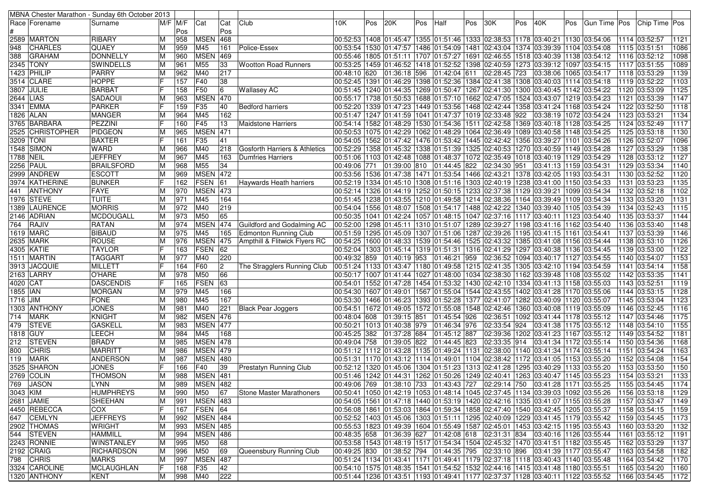|            |                            | MBNA Chester Marathon - Sunday 6th October 2013 |             |            |                        |                |                                |              |     |                               |     |              |     |                                                                                                                                                                  |     |                          |     |                                                                                                          |                                |                       |
|------------|----------------------------|-------------------------------------------------|-------------|------------|------------------------|----------------|--------------------------------|--------------|-----|-------------------------------|-----|--------------|-----|------------------------------------------------------------------------------------------------------------------------------------------------------------------|-----|--------------------------|-----|----------------------------------------------------------------------------------------------------------|--------------------------------|-----------------------|
|            | Race   Forename            | Surname                                         | $M/F$ $M/F$ |            | Cat                    | Cat            | Club                           | 10K          | Pos | 20K                           | Pos | Half         | Pos | 30K                                                                                                                                                              | Pos | 40K                      | Pos | Gun Time   Pos                                                                                           | Chip Time Pos                  |                       |
|            |                            |                                                 |             | Pos        |                        | Pos            |                                |              |     |                               |     |              |     |                                                                                                                                                                  |     |                          |     |                                                                                                          |                                |                       |
|            | 2589 MARTON                | RIBARY                                          | ΙM          | 958        | <b>MSEN</b>            | 468            |                                |              |     |                               |     |              |     | 00:52:53  1408  01:45:47  1355  01:51:46  1333  02:38:53  1178  03:40:21  1130  03:54:06                                                                         |     |                          |     |                                                                                                          | 1114 03:52:57                  | 1121                  |
| 948        | <b>CHARLES</b>             | <b>QUAEY</b>                                    | M           | 959        | M45                    | 161            | Police-Essex                   |              |     |                               |     |              |     | 00:53:54  1530  01:47:57  1486  01:54:09  1481  02:43:04  1374  03:39:39  1104  03:54:08                                                                         |     |                          |     |                                                                                                          | 1115 03:51:51                  | 1086                  |
| 388        | <b>GRAHAM</b>              | <b>DONNELLY</b>                                 | M           | 960        | <b>MSEN</b>            | 469            |                                |              |     |                               |     |              |     | 00:55:46 1805 01:51:11 1707 01:57:27 1691 02:46:55 1518 03:40:39 1138 03:54:12                                                                                   |     |                          |     |                                                                                                          | 1116 03:52:12                  | 1098                  |
|            | 2345 TONY                  | <b>SWINDELLS</b>                                | ΙM          | 961        | M55                    | 33             | <b>Wootton Road Runners</b>    |              |     |                               |     |              |     | 00:53:25  1459  01:46:52  1418  01:52:52  1398  02:40:59  1273  03:39:12  1097  03:54:15                                                                         |     |                          |     |                                                                                                          | 1117 03:51:55                  | 1089                  |
|            | 1423 PHILIP                | PARRY                                           | M           | 962        | M40                    | 217            |                                |              |     | 00:48:10 620 01:36:18 596     |     | 01:42:04 611 |     | 02:28:45 723                                                                                                                                                     |     | 03:38:06 1065 03:54:17   |     |                                                                                                          | 1118 03:53:29                  | 1139                  |
|            | 3514 CLARE                 | <b>HOPPE</b>                                    | IF          | 157        | F40                    | 38             |                                |              |     |                               |     |              |     | 00:52:45  1391  01:46:29  1398  01:52:36  1384  02:41:38  1308                                                                                                   |     | 03:40:03 1114 03:54:18   |     |                                                                                                          | 1119 03:52:22                  | 1103                  |
|            | 3807 JULIE                 | <b>BARBAT</b>                                   |             | 158        | F50                    | 6              | <b>Wallasey AC</b>             |              |     |                               |     |              |     | 00:51:45   1240   01:44:35   1269   01:50:47   1267   02:41:30   1300   03:40:45   1142   03:54:22                                                               |     |                          |     |                                                                                                          | 1120 03:53:09                  | 1125                  |
| 2644 LIAS  |                            | SADAOUI                                         | ΙM          | 963        | <b>MSEN</b>            | 470            |                                |              |     |                               |     |              |     | 00:55:17  1738  01:50:53  1688  01:57:10  1662  02:47:05  1524  03:43:07  1219  03:54:23                                                                         |     |                          |     |                                                                                                          | 1121 03:53:39                  | 1147                  |
|            | 3341 EMMA                  | <b>PARKER</b>                                   |             | 159        | F35                    | 40             | Bedford harriers               |              |     |                               |     |              |     | 00:52:20  1339  01:47:23  1449  01:53:56  1468  02:42:44  1358  03:41:24  1168  03:54:24                                                                         |     |                          |     |                                                                                                          | 1122 03:52:50                  | 1118                  |
|            | 1826  ALAN                 | <b>MANGER</b>                                   |             | 964        | M45                    | 162            |                                |              |     |                               |     |              |     | 00:51:47  1247  01:41:59  1041  01:47:37  1019  02:33:48  922                                                                                                    |     | 03:38:19  1072  03:54:24 |     |                                                                                                          | 1123 03:53:21                  | 1134                  |
|            | 3765 BARBARA               | PEZZINI                                         |             | 160        | F45                    | 13             | <b>Maidstone Harriers</b>      |              |     |                               |     |              |     | 00:54:14   1582   01:48:29   1530   01:54:36   1511   02:42:58   1369                                                                                            |     | 03:40:18 1128 03:54:25   |     |                                                                                                          | 1124 03:52:49                  | 1117                  |
| 2525       | <b>CHRISTOPHER</b>         | PIDGEON                                         | M           | 965        | MSE                    | 471            |                                |              |     |                               |     |              |     | 00:50:53 1075 01:42:29 1062 01:48:29 1064 02:36:49 1089 03:40:58 1148 03:54:25                                                                                   |     |                          |     |                                                                                                          | 1125 03:53:18                  | 1130                  |
|            | 3209  TONI                 | <b>BAXTER</b>                                   |             | 161        | F35                    | 41             |                                |              |     |                               |     |              |     | 00:54:05  1562  01:47:42  1476  01:53:42  1445  02:42:42  1356  03:39:27  1101  03:54:26                                                                         |     |                          |     |                                                                                                          | 1126 03:52:07                  | 1096                  |
|            | 1548   SIMON               | <b>WARD</b>                                     | ΙM          | 966        | M40                    | 218            | Gosforth Harriers & Athletics  |              |     |                               |     |              |     | 00:52:29 1358 01:45:32 1338 01:51:39 1325 02:40:53 1270 03:40:59 1149 03:54:28                                                                                   |     |                          |     |                                                                                                          | 1127 03:53:29                  | 1138                  |
| 1788 NEIL  |                            | <b>JEFFREY</b>                                  | ΙM          | 967        | M45                    | 163            | Dumfries Harriers              |              |     |                               |     |              |     | 00:51:06  1103  01:42:48  1088  01:48:37  1072  02:35:49  1018  03:40:19  1129  03:54:29                                                                         |     |                          |     |                                                                                                          | 1128 03:53:12                  | 1127                  |
|            | 2256 PAUL                  | <b>BRAILSFORD</b>                               | M           | 968        | M55                    | 34             |                                | 00:49:06 771 |     |                               |     |              |     | 01:39:00 810 01:44:45 822 02:34:30 951                                                                                                                           |     | 03:41:13 1159 03:54:31   |     |                                                                                                          | 1129 03:53:34                  | 1140                  |
|            | 2999 ANDREW                | <b>ESCOTT</b>                                   | M           | 969        | <b>MSEN 472</b>        |                |                                |              |     |                               |     |              |     | 00:53:56  1536  01:47:38  1471  01:53:54  1466  02:43:21  1378  03:42:05  1193  03:54:31                                                                         |     |                          |     |                                                                                                          | 1130 03:52:52                  | 1120                  |
|            | 3974 KATHERINE             | <b>BUNKER</b>                                   |             | 162        | FSEN                   | 61             | <b>Haywards Heath harriers</b> |              |     |                               |     |              |     | 00:52:19 1334 01:45:10 1308 01:51:16 1303 02:40:19 1238 03:41:00 1150 03:54:33                                                                                   |     |                          |     |                                                                                                          | 1131 03:53:23                  | 1135                  |
| 441        | <b>ANTHONY</b>             | FAYE                                            |             | 970        | <b>MSEN 473</b>        |                |                                |              |     |                               |     |              |     | 00:52:14  1326  01:44:19  1252  01:50:15  1233  02:37:38  1129  03:39:21  1099  03:54:34                                                                         |     |                          |     |                                                                                                          | 1132 03:52:18                  | $\frac{1102}{1}$      |
|            | 1976  STEVE                | <b>TUITE</b>                                    | M           | 971        | M45                    | 164            |                                |              |     |                               |     |              |     | 00:51:45  1238  01:43:55  1210  01:49:58  1214  02:38:36  1164  03:39:49  1109  03:54:34                                                                         |     |                          |     |                                                                                                          | 1133 03:53:20                  | 1131                  |
|            | 1389 LAURENCE              | <b>MORRIS</b>                                   | M           | 972        | M40                    | 219            |                                |              |     |                               |     |              |     | 00:54:04 1556 01:48:07 1508 01:54:17 1488 02:42:22 1340 03:39:40 1105 03:54:39                                                                                   |     |                          |     |                                                                                                          | 1134 03:52:43                  | 1115                  |
|            | 2146  ADRIAN               | <b>MCDOUGALL</b>                                | м           | 973        | M50                    | 65             |                                |              |     |                               |     |              |     | 00:50:35  1041  01:42:24  1057  01:48:15  1047  02:37:16  1117  03:40:11  1123  03:54:40                                                                         |     |                          |     |                                                                                                          | 1135 03:53:37                  | 1144                  |
| 764        | RAJIV                      | <b>RATAN</b>                                    | ΙM          | 974        | <b>MSEN</b>            | 474            | Guildford and Godalming AC     |              |     |                               |     |              |     | 00:52:00 1298 01:45:11 1310 01:51:07 1289 02:39:27 1198 03:41:16 1162 03:54:40                                                                                   |     |                          |     |                                                                                                          | 1136 03:53:40                  | 1148                  |
|            | 1619 MARC                  | <b>BIBAUD</b>                                   | ΙM          | 975        | M45                    | 165            | <b>Edmonton Running Club</b>   |              |     |                               |     |              |     | 00:51:59  1295  01:45:09  1307  01:51:06  1287  02:39:26  1195  03:41:15  1161  03:54:41                                                                         |     |                          |     |                                                                                                          | 1137 03:53:39                  | 1146                  |
|            | 2635 MARK                  | <b>ROUSE</b>                                    | ΙM          | 976        | <b>MSEN</b>            | 475            | Ampthill & Flitwick Flyers RC  |              |     |                               |     |              |     | 00:54:25 1600 01:48:33 1539 01:54:46 1525 02:43:32 1385 03:41:08 1156 03:54:44                                                                                   |     |                          |     |                                                                                                          | 1138 03:53:10                  | 1126                  |
|            | 4305 KATIE                 | <b>TAYLOR</b>                                   |             | 163        | FSEN                   | 62             |                                |              |     |                               |     |              |     | 00:52:04 1303 01:45:14 1319 01:51:31 1316 02:41:29 1297 03:40:38 1136 03:54:45                                                                                   |     |                          |     |                                                                                                          | 1139 03:53:00                  | 1122                  |
|            | 1511  MARTIN               | <b>TAGGART</b>                                  | ΙM          | 977        | M40                    | 220            |                                | 00:49:32 859 |     | 01:40:19  953                 |     | 01:46:21 959 |     | 02:36:52 1094 03:40:17 1127 03:54:55                                                                                                                             |     |                          |     |                                                                                                          | 1140 03:54:07                  | 1153                  |
|            | 3913 JACQUIE               | <b>MILLETT</b>                                  |             | 164        | F60                    | $\overline{c}$ | The Stragglers Running Club    |              |     |                               |     |              |     | 00:51:24  1133  01:43:47  1180  01:49:58  1215  02:41:35  1305  03:42:10  1194  03:54:59                                                                         |     |                          |     |                                                                                                          | 1141 03:54:14                  | 1158                  |
|            | 2163 LARRY                 | O'HARE                                          | ΙM          | 978        | M50                    | 66             |                                |              |     |                               |     |              |     | 00:55:02 1108 1108 103:55:02 1162 12:38:30 12:41:44 1027 103:48:00 1034 102:38:30 1162 03:39:48 1108 03:55:02                                                    |     |                          |     |                                                                                                          | 1142 03:53:35                  | 1141                  |
| 4020   CAT |                            | <b>DASCENDIS</b>                                |             | 165        | <b>FSEN</b>            | 63             |                                |              |     |                               |     |              |     | 00:54:01  1552  01:47:28  1454  01:53:32  1430  02:42:10  1334  03:41:13  1158  03:55:03                                                                         |     |                          |     |                                                                                                          | 1143 03:52:51                  | 1119                  |
| 1855   IAN |                            | <b>MORGAN</b>                                   | M           | 979        | M45                    | 166            |                                |              |     |                               |     |              |     | 00:54:30 1170 03:55:06 1402 02:43:55 1402 02:43:50 1170 03:55:00 1607 01:49:01 1567 01:55:04                                                                     |     |                          |     |                                                                                                          | 1144 03:53:15                  | 1128                  |
| 1716 JIM   |                            | <b>FONE</b>                                     | ΙM          | 980        | M45                    | 167            |                                |              |     |                               |     |              |     | 00:53:30  1466  01:46:23  1393  01:52:28  1377  02:41:07  1282  03:40:09  1120  03:55:07                                                                         |     |                          |     |                                                                                                          | 1145 03:53:04                  | 1123                  |
|            | 1303 ANTHONY               | <b>JONES</b>                                    | M           | 981        | M40                    | 221            | <b>Black Pear Joggers</b>      |              |     |                               |     |              |     | 00:54:51  1672  01:49:05  1572  01:55:08  1548  02:42:46  1360  03:40:08  1119  03:55:09                                                                         |     |                          |     |                                                                                                          | 1146 03:52:45                  | 1116                  |
| 714        | <b>MARK</b>                | KNIGHT                                          | ΙM          | 982        | <b>MSEN</b>            | 476            |                                | 00:48:04 608 |     | 01:39:15 851                  |     | 01:45:54 926 |     | 02:36:51   1092   03:41:44   1178   03:55:12                                                                                                                     |     |                          |     |                                                                                                          | 1147 03:54:46                  | 1175                  |
| 479        | <b>STEVE</b>               | <b>GASKELL</b>                                  | M           | 983        | <b>MSEN</b>            | 477            |                                |              |     | 00:50:21  1013  01:40:38  979 |     | 01:46:34 976 |     | 02:33:54 924                                                                                                                                                     |     | 03:41:38 1175 03:55:12   |     |                                                                                                          | 1148 03:54:10                  | 1155                  |
| 1818 GUY   |                            | LEECH                                           | ΙM          | 984        | M45                    | 168            |                                |              |     | 00:45:25 382 01:37:28 684     |     | 01:45:12 887 |     | 02:39:36 1202 03:41:23 1167 03:55:12                                                                                                                             |     |                          |     |                                                                                                          | 1149 03:54:52                  | 1181                  |
| 212.       | <b>STEVEN</b>              | <b>BRADY</b>                                    | M           | 985        | <b>MSEN</b>            | 478            |                                | 00:49:04 758 |     | 01:39:05 822                  |     | 01:44:45 823 |     | 02:33:35 914                                                                                                                                                     |     | 03:41:34 1172 03:55:14   |     |                                                                                                          | 1150 03:54:36                  | 1168                  |
| 800        | <b>CHRIS</b>               | <b>MARRITT</b>                                  | M           | 986        | <b>MSEN</b>            | 479            |                                |              |     |                               |     |              |     | 00:51:12  1112  01:43:28  1135  01:49:24  1131  02:38:00  1140  03:41:34  1174  03:55:14                                                                         |     |                          |     |                                                                                                          | 1151 03:54:24                  | 1163                  |
| 119        | <b>MARK</b>                | ANDERSON                                        | ΙM          | 987        | <b>MSEN 480</b>        |                |                                |              |     |                               |     |              |     | 00:51:31  1170  01:43:12  1114  01:49:01  1104  02:38:42  1172  03:41:05  1153  03:55:20                                                                         |     |                          |     |                                                                                                          | 1152 03:54:08                  | 1154                  |
|            | 3525 SHARON                | <b>JONES</b>                                    |             | 166        | F40                    | 39             | Prestatyn Running Club         |              |     |                               |     |              |     | 00:52:12  1320  01:45:06  1304  01:51:23  1313  02:41:28  1295  03:40:29  1133  03:55:20                                                                         |     |                          |     |                                                                                                          | 1153 03:53:50                  | 1150                  |
|            | 2769   COLIN               | <b>THOMSON</b>                                  |             | 988        | <b>MSEN</b> 481        |                |                                |              |     |                               |     |              |     | 00:51:46  1242  01:44:31  1262  01:50:26  1249  02:40:41  1263  03:40:47  1145  03:55:23                                                                         |     |                          |     |                                                                                                          | 1154 03:53:21                  | 1133                  |
|            | 769 JASON                  | <b>LYNN</b>                                     | M           | 989        | <b>MSEN 482</b>        |                |                                |              |     |                               |     |              |     |                                                                                                                                                                  |     |                          |     | 00:49:06 769 01:38:10 733 01:43:43 727 02:29:14 750 03:41:28 1171 03:55:25 1155 03:54:45                 |                                | 1174                  |
| 3043 KIM   |                            | <b>HUMPHREYS</b>                                | M           | 990        | M50                    | 67             | Stone Master Marathoners       |              |     |                               |     |              |     |                                                                                                                                                                  |     |                          |     | 00:50:41  1050  01:42:19  1053  01:48:14  1045  02:37:45  1134  03:39:03  1092  03:55:26  1156  03:53:18 |                                | 1129                  |
|            | 2681 JAMIE                 | SHEEHAN                                         | M           | 991        | <b>MSEN 483</b>        |                |                                |              |     |                               |     |              |     | 00:54:05  1561  01:47:18  1440  01:53:19  1420  02:42:16  1335  03:41:07  1155  03:55:28                                                                         |     |                          |     |                                                                                                          | 1157 03:53:47                  | 1149                  |
|            | 4450 REBECCA               | <b>COX</b>                                      | lF.         | 167        | FSEN 64                |                |                                |              |     |                               |     |              |     | 00:56:08 1861 01:53:03 1864 01:59:34 1858 02:47:40 1540 03:42:45 1205 03:55:37                                                                                   |     |                          |     |                                                                                                          | 1158 03:54:15                  | 1159                  |
|            | 647 CEMLYN                 | <b>JEFFREYS</b>                                 | M           | 992        | <b>MSEN 484</b>        |                |                                |              |     |                               |     |              |     | 00:52:52 1403 01:45:06 1303 01:51:11 1295 02:40:09 1229 03:41:45 1179 03:55:42<br>00:55:53 1823 01:49:39 1604 01:55:49 1587 02:45:01 1453 03:42:15 1195 03:55:43 |     |                          |     |                                                                                                          | 1159 03:54:45                  | 1173                  |
|            | 2902 THOMAS                | <b>WRIGHT</b>                                   | ΙM          | 993        | <b>MSEN</b> 485        |                |                                |              |     |                               |     |              |     |                                                                                                                                                                  |     |                          |     |                                                                                                          | 1160 03:53:20                  | 1132                  |
|            | 544 STEVEN                 | <b>HAMMILL</b>                                  | M           | 994        | <b>MSEN</b> 486        |                |                                |              |     |                               |     |              |     | 00:48:35 658 01:36:39 627 01:42:08 618 02:31:31 834 03:40:16 1126 03:55:44                                                                                       |     |                          |     |                                                                                                          | 1161 03:55:12                  | 1191                  |
|            | 2243 RONNIE                | <b>WINSTANLEY</b>                               | M           | 995        | M50                    | 68             |                                |              |     |                               |     |              |     | 00:53:58  1543  01:48:19  1517  01:54:34  1504  02:45:32  1470  03:41:51  1182  03:55:45                                                                         |     |                          |     |                                                                                                          | 1162 03:53:29                  | 1137                  |
|            | 2192 CRAIG                 | <b>RICHARDSON</b>                               | M           | 996        | M50                    | 69             | Queensbury Running Club        |              |     |                               |     |              |     | 00:49:25 830  01:38:52 794  01:44:35 795  02:33:10 896                                                                                                           |     | 03:41:39 1177 03:55:47   |     |                                                                                                          | 1163 03:54:58                  | 1182                  |
|            | 798 CHRIS<br>3324 CAROLINE | <b>MARKS</b><br><b>MCLAUGHLAN</b>               | M<br>F      | 997<br>168 | <b>MSEN 487</b><br>F35 | 42             |                                |              |     |                               |     |              |     | 00:51:24 1134 01:43:41 1171 01:49:41 1179 02:37:18 1118 03:40:43 1140 03:55:48<br>00:54:10 1575 01:48:35 1541 01:54:52 1532 02:44:16 1415 03:41:48 1180 03:55:51 |     |                          |     |                                                                                                          | 1164 03:54:42<br>1165 03:54:20 | $\sqrt{1170}$<br>1160 |
|            | 1320 ANTHONY               | KENT                                            | M           |            | M40                    | 222            |                                |              |     |                               |     |              |     |                                                                                                                                                                  |     |                          |     | 00:51:44  1236  01:43:51  1193  01:49:41  1177  02:37:37  1128  03:40:11  1122  03:55:52                 | 1166 03:54:45                  |                       |
|            |                            |                                                 |             | 998        |                        |                |                                |              |     |                               |     |              |     |                                                                                                                                                                  |     |                          |     |                                                                                                          |                                | 1172                  |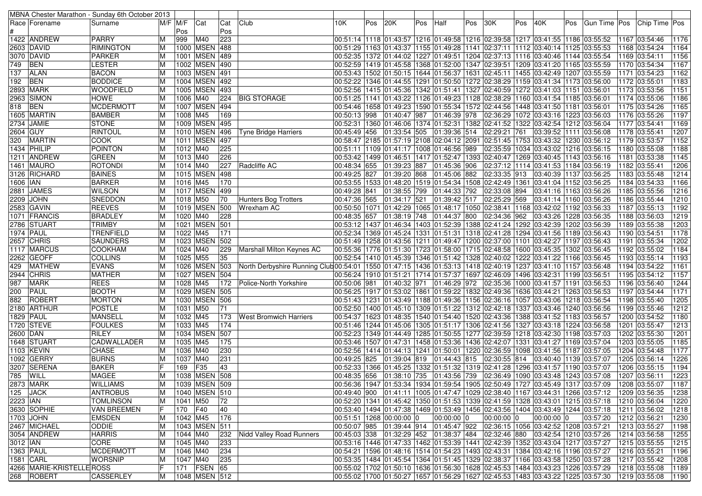|            |                           | MBNA Chester Marathon - Sunday 6th October 2013 |                |          |                   |     |                                                                                                                                  |              |     |                          |     |                                                                                                                              |     |                                      |     |                        |     |                                                                                                                      |                                  |      |
|------------|---------------------------|-------------------------------------------------|----------------|----------|-------------------|-----|----------------------------------------------------------------------------------------------------------------------------------|--------------|-----|--------------------------|-----|------------------------------------------------------------------------------------------------------------------------------|-----|--------------------------------------|-----|------------------------|-----|----------------------------------------------------------------------------------------------------------------------|----------------------------------|------|
|            | Race   Forename           | Surname                                         | $M/F$ $M/F$    |          | Cat               | Cat | Club                                                                                                                             | 10K.         | Pos | 20K                      | Pos | Half                                                                                                                         | Pos | 30K                                  | Pos | 40K                    | Pos |                                                                                                                      | Gun Time   Pos   Chip Time   Pos |      |
|            |                           |                                                 |                | Pos      |                   | Pos |                                                                                                                                  |              |     |                          |     |                                                                                                                              |     |                                      |     |                        |     |                                                                                                                      |                                  |      |
|            | 1422 ANDREW               | <b>PARRY</b>                                    | ΙM             | 999      | M40               | 223 |                                                                                                                                  |              |     |                          |     | 00:51:14 1118 01:43:57 1216 01:49:58 1216 02:39:58 1217 03:41:55 1186 03:55:52                                               |     |                                      |     |                        |     |                                                                                                                      | 1167 03:54:46                    | 1176 |
|            | 2603  DAVID               | <b>RIMINGTON</b>                                | ΙM             |          | 1000 MSEN 488     |     |                                                                                                                                  |              |     |                          |     | 00:51:29  1163  01:43:37  1155  01:49:28  1141  02:37:11  1112  03:40:14  1125  03:55:53                                     |     |                                      |     |                        |     |                                                                                                                      | 1168 03:54:24                    | 1164 |
|            | 3070 DAVID                | PARKER                                          | M              |          | 1001 MSEN 489     |     |                                                                                                                                  |              |     |                          |     | 00:52:35 1372 01:44:02 1227 01:49:51 1204 02:37:13 1116 03:40:46 1144 03:55:54                                               |     |                                      |     |                        |     |                                                                                                                      | 1169 03:54:11                    | 1156 |
| 749        | <b>BEN</b>                | <b>LESTER</b>                                   | ΙM             |          | 1002 MSEN 490     |     |                                                                                                                                  |              |     |                          |     | 00:52:59 1165 03:55:59 01:419 1368 01:52:00 1347 02:39:51 1209 03:41:20 1165 03:55:59                                        |     |                                      |     |                        |     |                                                                                                                      | 1170 03:54:34                    | 1167 |
| 137        | <b>ALAN</b>               | <b>BACON</b>                                    | ΙM             |          | 1003 MSEN 491     |     |                                                                                                                                  |              |     |                          |     | 00:53:43 1502 01:50:15 1644 01:56:37 1631 02:45:11 1455 03:42:49 1207 03:55:59                                               |     |                                      |     |                        |     |                                                                                                                      | 1171 03:54:23                    | 1162 |
| 192        | <b>BEN</b>                | <b>BODDICE</b>                                  | ΙM             |          | 1004 MSEN 492     |     |                                                                                                                                  |              |     |                          |     | 00:52:22  1346  01:44:55  1291  01:50:50  1272  02:38:29  1159  03:41:34  1173  03:56:00                                     |     |                                      |     |                        |     |                                                                                                                      | 1172 03:55:01                    | 1183 |
|            | 2893 MARK                 | <b>WOODFIELD</b>                                | ΙM             |          | 1005 MSEN 493     |     |                                                                                                                                  |              |     |                          |     | 00:52:56  1415  01:45:36  1342  01:51:41  1327  02:40:59  1272  03:41:03  1151  03:56:01                                     |     |                                      |     |                        |     |                                                                                                                      | 1173 03:53:56                    | 1151 |
|            | 2963 SIMON                | <b>HOWE</b>                                     |                | 1006 M40 |                   |     | 224 BIG STORAGE                                                                                                                  |              |     |                          |     | 00:51:25 1141 01:43:22 1126 01:49:23 1128 02:38:29 1160 03:41:54 1185 03:56:01                                               |     |                                      |     |                        |     |                                                                                                                      | 1174 03:55:06                    | 1186 |
|            | <b>BEN</b>                | <b>MCDERMOTT</b>                                | M              |          | 1007 MSEN 494     |     |                                                                                                                                  |              |     |                          |     | 00:54:46  1658  01:49:23  1590  01:55:34  1572  02:44:56  1448  03:41:50  1181  03:56:01                                     |     |                                      |     |                        |     |                                                                                                                      | 1175 03:54:26                    | 1165 |
| 818        |                           |                                                 |                |          |                   |     |                                                                                                                                  |              |     |                          |     |                                                                                                                              |     |                                      |     |                        |     |                                                                                                                      |                                  | 1197 |
|            | 1605 MARTIN               | <b>BAMBER</b>                                   | ΙM             | 1008 M45 | 1009 MSEN 495     | 169 |                                                                                                                                  |              |     |                          |     | 00:50:13 998 01:40:47 987 01:46:39 978                                                                                       |     | 02:36:29 1072 03:43:16 1223 03:56:03 |     |                        |     |                                                                                                                      | 1176 03:55:26                    |      |
|            | 2734 JAMIE                | <b>STONE</b>                                    |                |          |                   |     |                                                                                                                                  |              |     |                          |     | 00:52:31  1360  01:46:06  1374  01:52:31  1382  02:41:52  1322  03:42:54  1212  03:56:04                                     |     |                                      |     |                        |     |                                                                                                                      | 1177 03:54:41                    | 1169 |
| 2604 GUY   |                           | <b>RINTOUL</b>                                  | M              |          | 1010 MSEN 496     |     | Tyne Bridge Harriers                                                                                                             | 00:45:49 456 |     |                          |     | $\sqrt{01:33:54}$ 505 01:39:36 514 02:29:21 761                                                                              |     |                                      |     | 03:39:52 1111 03:56:08 |     |                                                                                                                      | 1178 03:55:41                    | 1207 |
| 320        | <b>MARTIN</b>             | <b>COOK</b>                                     | ΙM             |          | 1011   MSEN   497 |     |                                                                                                                                  |              |     |                          |     | 00:58:47 2185 01:57:19 2108 02:04:12 2091 02:51:45 1753 03:43:32 1230 03:56:12                                               |     |                                      |     |                        |     |                                                                                                                      | 1179 03:53:57                    | 1152 |
|            | 1434 PHILIP               | POINTON                                         | ΙM             | 1012 M40 |                   | 225 |                                                                                                                                  |              |     |                          |     | 00:51:11  1109  01:41:17  1008  01:46:56  989                                                                                |     | 02:35:59 1034 03:43:02 1216 03:56:15 |     |                        |     |                                                                                                                      | 1180 03:55:08                    | 1188 |
|            | 1211  ANDREW              | <b>GREEN</b>                                    | ΙM             | 1013 M40 |                   | 226 |                                                                                                                                  |              |     |                          |     | 00:53:42  1499  01:46:51  1417  01:52:47  1393  02:40:47  1269  03:40:45  1143  03:56:16                                     |     |                                      |     |                        |     |                                                                                                                      | 1181 03:53:38                    | 1145 |
|            | 1461  MAURO               | <b>ROTONDI</b>                                  | ΙM             | 1014 M40 |                   | 227 | Radcliffe AC                                                                                                                     |              |     |                          |     | 00:48:34 655 01:39:23 887 01:45:36 906                                                                                       |     | 02:37:12 1114 03:41:53 1184 03:56:19 |     |                        |     |                                                                                                                      | 1182 03:55:41                    | 1206 |
|            | 3126 RICHARD              | <b>BAINES</b>                                   | ΙM             |          | 1015 MSEN 498     |     |                                                                                                                                  | 00:49:25 827 |     | 01:39:20 868             |     | 01:45:06 882                                                                                                                 |     | 02:33:35 913                         |     | 03:40:39 1137 03:56:25 |     |                                                                                                                      | 1183 03:55:48                    | 1214 |
| 1606   IAN |                           | <b>BARKER</b>                                   | M              | 1016 M45 |                   | 170 |                                                                                                                                  |              |     |                          |     | 00:53:55  1533  01:48:20  1519  01:54:34  1508  02:42:49  1361                                                               |     |                                      |     | 03:41:04 1152 03:56:25 |     |                                                                                                                      | 1184 03:54:33                    | 1166 |
|            | 2881 JAMES                | <b>WILSON</b>                                   |                |          | 1017   MSEN   499 |     |                                                                                                                                  | 00:49:28 841 |     | 01:38:55 799             |     | 01:44:33 792                                                                                                                 |     | 02:33:08 894                         |     |                        |     | 03:41:16   1163   03:56:26                                                                                           | 1185 03:55:56                    | 1216 |
|            | 2209 JOHN                 | <b>SNEDDON</b>                                  | ΙM             | 1018 M50 |                   | 70  | Hunters Bog Trotters                                                                                                             | 00:47:36 565 |     | 01:34:17 521             |     | 01:39:42 517                                                                                                                 |     | 02:25:29 569                         |     |                        |     | 03:41:14 1160 03:56:26                                                                                               | 1186 03:55:44                    | 1210 |
|            | 2583 GAVIN                | <b>REEVES</b>                                   | ΙM             |          | 1019 MSEN 500     |     | Wrexham AC                                                                                                                       |              |     |                          |     | 00:50:50   1071   01:42:29   1065   01:48:17   1050   02:38:41   1168   03:42:02   1192   03:56:33                           |     |                                      |     |                        |     |                                                                                                                      | 1187 03:55:13                    | 1192 |
|            | 1071   FRANCIS            | <b>BRADLEY</b>                                  | ΙM             | 1020 M40 |                   | 228 |                                                                                                                                  |              |     |                          |     | 00:48:35 657 01:38:19 748 01:44:37 800                                                                                       |     | 02:34:36 962                         |     | 03:43:26 1228 03:56:35 |     |                                                                                                                      | 1188 03:56:03                    | 1219 |
|            | 2786 STUART               | <b>TRIMBY</b>                                   | M              |          | 1021 MSEN 501     |     |                                                                                                                                  |              |     |                          |     | 00:53:12  1437  01:46:34  1403  01:52:39  1388  02:41:24  1292  03:42:39  1202  03:56:39                                     |     |                                      |     |                        |     |                                                                                                                      | 1189 03:55:38                    | 1203 |
|            | <b>1974 PAUL</b>          | TRENFIELD                                       | M              | 1022 M45 |                   | 171 |                                                                                                                                  |              |     |                          |     | 00:52:34 1369 01:45:24 1331 01:51:31 1318 02:41:28 1294 03:41:56 1189 03:56:43                                               |     |                                      |     |                        |     |                                                                                                                      | 1190 03:54:51                    | 1178 |
|            | 2657 CHRIS                | <b>SAUNDERS</b>                                 | ΙM             |          | 1023 MSEN 502     |     |                                                                                                                                  |              |     |                          |     | 00:51:49  1258  01:43:56  1211  01:49:47  1200  02:37:00  1101  03:42:27  1197  03:56:43                                     |     |                                      |     |                        |     |                                                                                                                      | 1191 03:55:34                    | 1202 |
|            | 1117 MARCUS               | <b>COOKHAM</b>                                  | ΙM             | 1024 M40 |                   | 229 | Marshall Milton Keynes AC                                                                                                        |              |     |                          |     | 00:55:36 1776 01:51:30 1723 01:58:00 1715 02:48:58 1600 03:45:35 1302 03:56:45                                               |     |                                      |     |                        |     |                                                                                                                      | 1192 03:55:02                    | 1184 |
|            | 2262 GEOFF                | <b>COLLINS</b>                                  | ΙM             | 1025 M55 |                   | 35  |                                                                                                                                  |              |     |                          |     | 00:52:54 1410 01:45:39 1346 01:51:42 1328 02:40:02 1222 03:41:22 1166 03:56:45                                               |     |                                      |     |                        |     |                                                                                                                      | 1193 03:55:14                    | 1193 |
| 429        | <b>MATHEW</b>             | <b>EVANS</b>                                    | ΙM             |          | 1026 MSEN 503     |     | North Derbyshire Running Club 00:54:01   1550   01:47:15   1436   01:53:13   1418   02:40:19   1237   03:41:10   1157   03:56:48 |              |     |                          |     |                                                                                                                              |     |                                      |     |                        |     |                                                                                                                      | 1194 03:54:22                    | 1161 |
|            | 2944 CHRIS                | <b>MATHER</b>                                   | ΙM             |          | 1027 MSEN 504     |     |                                                                                                                                  |              |     |                          |     | 00:56:24  1910  01:51:21  1714  01:57:37  1697  02:46:09  1496  03:42:31  1199  03:56:51                                     |     |                                      |     |                        |     |                                                                                                                      | 1195 03:54:12                    | 1157 |
| 987        | <b>MARK</b>               | <b>REES</b>                                     | ΙM             | 1028 M45 |                   | 172 | Police-North Yorkshire                                                                                                           |              |     |                          |     | 00:50:06  981  01:40:32  971  01:46:29  972  02:35:36  1000  03:41:57  1191  03:56:53                                        |     |                                      |     |                        |     |                                                                                                                      | 1196 03:56:40                    | 1244 |
| 200        | PAUL                      | <b>BOOTH</b>                                    | ΙM             |          | 1029 MSEN 505     |     |                                                                                                                                  |              |     |                          |     | 00:56:25  1917  01:53:02  1861  01:59:22  1832  02:49:36  1636  03:44:21  1263  03:56:53                                     |     |                                      |     |                        |     |                                                                                                                      | 1197 03:54:44                    | 1171 |
| 882        | ROBERT                    | <b>MORTON</b>                                   | ΙM             |          | 1030 MSEN 506     |     |                                                                                                                                  |              |     |                          |     | 00:51:43   1231   01:43:49   1188   01:49:36   1156   02:36:16   1057   03:43:06   1218   03:56:54                           |     |                                      |     |                        |     |                                                                                                                      | 1198 03:55:40                    | 1205 |
|            | 2180  ARTHUR              | <b>POSTLE</b>                                   |                | 1031 M50 |                   | 71  |                                                                                                                                  |              |     |                          |     | 00:52:50  1400  01:45:10  1309  01:51:22  1312  02:42:18  1337  03:43:46  1240  03:56:56                                     |     |                                      |     |                        |     |                                                                                                                      | 1199 03:55:46                    | 1212 |
|            | 1829 PAUL                 | <b>MANSELL</b>                                  | ΙM             | 1032 M45 |                   | 173 | <b>West Bromwich Harriers</b>                                                                                                    |              |     |                          |     | 00:54:37  1623  01:48:35  1540  01:54:40  1520  02:43:36  1388  03:41:52  1183  03:56:57                                     |     |                                      |     |                        |     |                                                                                                                      | 1200 03:54:52                    | 1180 |
|            | 1720 STEVE                | <b>FOULKES</b>                                  | ΙM             | 1033 M45 |                   | 174 |                                                                                                                                  |              |     |                          |     | 00:51:46  1244  01:45:06  1305  01:51:17  1306  02:41:56  1327  03:43:18  1224  03:56:58                                     |     |                                      |     |                        |     |                                                                                                                      | 1201 03:55:47                    | 1213 |
| 2600 DAN   |                           | <b>RILEY</b>                                    | ΙM             |          | 1034 MSEN 507     |     |                                                                                                                                  |              |     |                          |     | 00:52:23  1349  01:44:49  1285  01:50:55  1277  02:39:59  1218  03:42:30  1198  03:57:03                                     |     |                                      |     |                        |     |                                                                                                                      | 1202 03:55:30                    | 1201 |
|            | 1648 STUART               | <b>CADWALLADER</b>                              | M              | 1035 M45 |                   | 175 |                                                                                                                                  |              |     |                          |     | 00:53:46 1507 01:47:31 1458 01:53:36 1436 02:42:07 1331 03:41:27 1169 03:57:04                                               |     |                                      |     |                        |     |                                                                                                                      | 1203 03:55:05                    | 1185 |
|            | 1103 KEVIN                | <b>CHASE</b>                                    |                | 1036 M40 |                   | 230 |                                                                                                                                  |              |     |                          |     | 00:52:56  1414  01:44:13  1241  01:50:01  1220  02:36:59  1098  03:41:56  1187  03:57:05                                     |     |                                      |     |                        |     |                                                                                                                      | 1204 03:54:48                    | 1177 |
|            | 1092 GERRY                | <b>BURNS</b>                                    | ΙM             | 1037 M40 |                   | 231 |                                                                                                                                  |              |     |                          |     |                                                                                                                              |     |                                      |     | 03:40:40 1139 03:57:07 |     |                                                                                                                      | 1205 03:56:14                    | 1226 |
|            |                           |                                                 |                |          | F35               | 43  |                                                                                                                                  |              |     |                          |     | 00:49:25 825 01:39:04 819 01:44:43 815 02:30:55 814<br>1366 01:45:25 1332 01:51:32 1319 02:41:28 1296 03:41:57 1190 03:57:07 |     |                                      |     |                        |     |                                                                                                                      |                                  |      |
|            | 3207 SERENA               | <b>BAKER</b>                                    |                | 169      | 1038 MSEN 508     |     |                                                                                                                                  | 00:52:33     |     |                          |     |                                                                                                                              |     |                                      |     |                        |     |                                                                                                                      | 1206 03:55:15                    | 1194 |
| 785        | WILL                      | <b>MAGEE</b>                                    | ΙM             |          |                   |     |                                                                                                                                  |              |     |                          |     | 00:48:35 656 01:38:10 735 01:43:56 739 02:36:49 1090 03:43:48 1243 03:57:08                                                  |     |                                      |     |                        |     |                                                                                                                      | 1207 03:56:11                    | 1223 |
|            | 2873 MARK                 | <b>WILLIAMS</b>                                 | $\blacksquare$ |          | 1039 MSEN 509     |     |                                                                                                                                  |              |     |                          |     |                                                                                                                              |     |                                      |     |                        |     | 00:56:36   1947   01:53:34   1934   01:59:54   1905   02:50:49   1727   03:45:49   1317   03:57:09   1208   03:55:07 |                                  | 1187 |
|            | $125$ JACK                | <b>ANTROBUS</b>                                 | ΙM             |          | 1040 MSEN 510     |     |                                                                                                                                  |              |     |                          |     |                                                                                                                              |     |                                      |     |                        |     | 00:49:40 900  01:41:11  1005  01:47:47  1029  02:38:40  1167  03:44:31  1266  03:57:12                               | 1209 03:56:35                    | 1238 |
| 2223 IAN   |                           | <b>TOMLINSON</b>                                | M              | 1041 M50 |                   | 72  |                                                                                                                                  |              |     |                          |     | 00:52:20  1341  01:45:42  1350  01:51:53  1339  02:41:59  1328  03:43:01  1215  03:57:18                                     |     |                                      |     |                        |     |                                                                                                                      | 1210 03:56:04                    | 1220 |
|            | 3630 SOPHIE               | <b>VAN BREEMEN</b>                              | IF.            | 170 F40  |                   | 40  |                                                                                                                                  |              |     |                          |     | 00:53:40  1494  01:47:38  1469  01:53:49  1456  02:43:56  1404  03:43:49  1244  03:57:18                                     |     |                                      |     |                        |     |                                                                                                                      | 1211 03:56:02                    | 1218 |
|            | 1703 JOHN                 | <b>EMSDEN</b>                                   | M              | 1042 M45 |                   | 176 |                                                                                                                                  |              |     | 00:51:51 1268 00:00:00 0 |     | 00:00:00 0                                                                                                                   |     | 00:00:00 0                           |     | 00:00:00 0             |     | 03:57:20                                                                                                             | 1212 03:56:21                    | 1230 |
|            | 2467 MICHAEL              | <b>ODDIE</b>                                    | M              |          | 1043 MSEN 511     |     |                                                                                                                                  |              |     |                          |     | 00:50:07 985 01:39:44 914 01:45:47 922 02:36:15 1056 03:42:52 1208 03:57:21                                                  |     |                                      |     |                        |     |                                                                                                                      | 1213 03:55:27                    | 1198 |
|            | 3054 ANDREW               | <b>HARRIS</b>                                   | ΙM             | 1044 M40 |                   | 232 | Nidd Valley Road Runners                                                                                                         |              |     |                          |     | 00:45:03 338  01:32:29  452  01:38:37  484  02:32:46  880                                                                    |     |                                      |     | 03:42:54 1210 03:57:26 |     |                                                                                                                      | 1214 03:56:58                    | 1255 |
| 3012 IAN   |                           | <b>CORE</b>                                     | ΙM             | 1045 M40 |                   | 233 |                                                                                                                                  |              |     |                          |     | 00:53:16  1446  01:47:33  1462  01:53:39  1441  02:42:39  1352  03:43:04  1217  03:57:27                                     |     |                                      |     |                        |     |                                                                                                                      | 1215 03:55:55                    | 1215 |
|            | 1363 PAUL                 | <b>MCDERMOTT</b>                                | M              | 1046 M40 |                   | 234 |                                                                                                                                  |              |     |                          |     | 00:54:21  1596  01:48:16  1514  01:54:23  1493  02:43:31  1384  03:42:16  1196  03:57:27                                     |     |                                      |     |                        |     |                                                                                                                      | 1216 03:55:21                    | 1196 |
|            | 1581 CARL                 | <b>WORSNIP</b>                                  | M              | 1047 M40 |                   | 235 |                                                                                                                                  |              |     |                          |     | 00:53:35  1484  01:45:54  1364  01:51:45  1329  02:38:37  1166  03:43:58  1250  03:57:28                                     |     |                                      |     |                        |     |                                                                                                                      | 1217 03:55:42                    | 1208 |
|            | 4266 MARIE-KRISTELLE ROSS |                                                 | F              |          | 171 FSEN 65       |     |                                                                                                                                  |              |     |                          |     | 00:55:02 1702 01:50:10 1636 01:56:30 1628 02:45:53 1484 03:43:23 1226 03:57:29                                               |     |                                      |     |                        |     |                                                                                                                      | 1218 03:55:08                    | 1189 |
|            | 268 ROBERT                | <b>CASSERLEY</b>                                | M              |          | 1048 MSEN 512     |     |                                                                                                                                  |              |     |                          |     | 00:55:02 1700 01:50:27 1657 01:56:29 1627 02:45:53 1483 03:43:22 1225 03:57:30                                               |     |                                      |     |                        |     |                                                                                                                      | 1219 03:55:08                    | 1190 |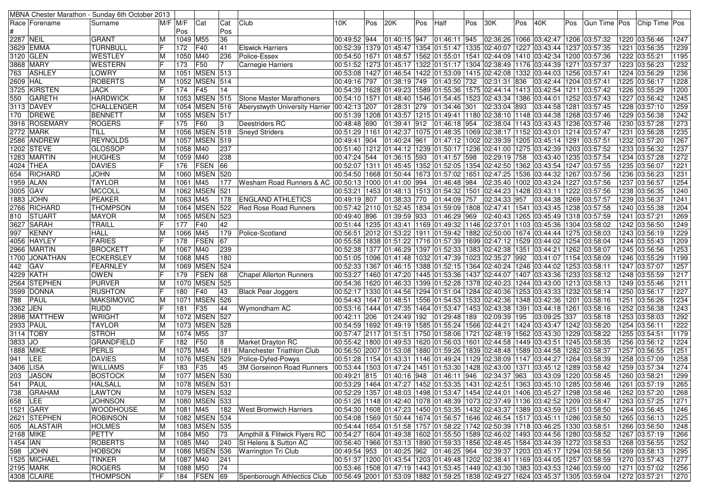|           |                 | MBNA Chester Marathon - Sunday 6th October 2013 |    |             |                   |     |                                  |                           |     |               |     |                                         |     |                                                                                                    |     |                            |      |              |  |                                |      |
|-----------|-----------------|-------------------------------------------------|----|-------------|-------------------|-----|----------------------------------|---------------------------|-----|---------------|-----|-----------------------------------------|-----|----------------------------------------------------------------------------------------------------|-----|----------------------------|------|--------------|--|--------------------------------|------|
|           | Race  Forename  | Surname                                         |    | $M/F$ $M/F$ | Cat               | Cat | Club                             | 10K                       | Pos | 20K           | Pos | Half                                    | Pos | 30K                                                                                                | Pos | 40K                        | Pos  | Gun Time Pos |  | Chip Time Pos                  |      |
|           |                 |                                                 |    | Pos         |                   | Pos |                                  |                           |     |               |     |                                         |     |                                                                                                    |     |                            |      |              |  |                                |      |
| 2287 NEIL |                 | <b>GRANT</b>                                    | M  | 1049 M55    |                   | 36  |                                  | 00:49:52 944              |     | 01:40:15 947  |     | 01:46:11 945                            |     | 02:36:26   1066   03:42:47   1206   03:57:32                                                       |     |                            |      |              |  | 1220 03:56:46                  | 1247 |
|           | 3629 EMMA       | TURNBULL                                        | F  | 172         | F40               | 41  | <b>Elswick Harriers</b>          |                           |     |               |     |                                         |     | 00:52:39 1379 01:45:47 1354 01:51:47 1335 02:40:07 1227 03:43:44 1237 03:57:35                     |     |                            |      |              |  | 1221 03:56:35                  | 1239 |
|           | 3120 GLEN       | <b>WESTLEY</b>                                  | M  | 1050 M40    |                   | 236 | Police-Essex                     |                           |     |               |     |                                         |     | 00:54:50 1671 01:48:57 1562 01:55:01 1541 02:44:09 1410 03:42:34 1200 03:57:36                     |     |                            |      |              |  | 1222 03:55:21                  | 1195 |
|           | 3868  MARY      | <b>WESTERN</b>                                  |    | 173         | F50               | 17  | <b>Carnegie Harriers</b>         |                           |     |               |     |                                         |     | 00:51:52  1273  01:45:17  1322  01:51:17  1304  02:38:49  1176  03:44:39  1271  03:57:37           |     |                            |      |              |  | 1223 03:56:23                  | 1232 |
| 763       | <b>ASHLEY</b>   | LOWRY                                           | M  |             | 1051 MSEN 513     |     |                                  |                           |     |               |     |                                         |     | 00:53:08  1427  01:46:54  1422  01:53:09  1415  02:42:08  1332  03:44:03  1256  03:57:41           |     |                            |      |              |  | 1224 03:56:29                  | 1236 |
| 2609 HAL  |                 | <b>ROBERTS</b>                                  | M  |             | 1052 MSEN 514     |     |                                  | 00:49:16 797              |     | 01:38:19 749  |     | 01:43:50 732                            |     | 02:31:31 836                                                                                       |     | 03:42:44 1204 03:57:41     |      |              |  | 1225 03:56:17                  | 1228 |
|           | 3725 KIRSTEN    | <b>JACK</b>                                     | IF | 174         | F45               | 14  |                                  |                           |     |               |     |                                         |     | 00:54:39 1628 01:49:23 1589 01:55:36 1575 02:44:14 1413 03:42:54 1211 03:57:42                     |     |                            |      |              |  | 1226 03:55:29                  | 1200 |
| 550       | <b>GARETH</b>   | <b>HARDWICK</b>                                 | M  |             | 1053 MSEN 515     |     | Stone Master Marathoners         |                           |     |               |     |                                         |     | 00:54:10  1571  01:48:40  1546  01:54:45  1523  02:43:34  1386  03:44:01  1252  03:57:43           |     |                            |      |              |  | 1227 03:56:42                  | 1245 |
|           | 3113 DAVEY      | <b>CHALLENGER</b>                               | M  |             | 1054 MSEN 516     |     | Aberystwyth University Harrier   | 00:42:13 207              |     | 01:28:31 279  |     | 01:34:46 301                            |     | 02:33:04 893                                                                                       |     | 03:44:58 1281 03:57:45     |      |              |  | 1228 03:57:10                  | 1259 |
| 170       | DREWE           | BENNETT                                         | M  |             | 1055 MSEN 517     |     |                                  |                           |     |               |     |                                         |     | 00:51:39  1208  01:43:57  1215  01:49:41  1180  02:38:10  1148  03:44:38  1268  03:57:46           |     |                            |      |              |  | 1229 03:56:38                  | 1242 |
|           | 3916 ROSEMARY   | <b>ROGERS</b>                                   |    | 175         | F60               | 13  | Deestriders RC                   | 00:48:48 690 01:39:41 912 |     |               |     | 01:46:18 954                            |     | 02:38:04 1143 03:43:43 1236 03:57:46                                                               |     |                            |      |              |  | 1230 03:57:28                  | 1273 |
|           | 2772 MARK       | TILL                                            | M  |             | 1056 MSEN 518     |     | <b>Sneyd Striders</b>            |                           |     |               |     |                                         |     | 00:51:29  1161  01:42:37  1075  01:48:35  1069  02:38:17  1152  03:43:01  1214  03:57:47           |     |                            |      |              |  | 1231 03:56:28                  | 1235 |
|           | 2586 ANDREW     | <b>REYNOLDS</b>                                 | M  |             | 1057 MSEN 519     |     |                                  | 00:49:41 904              |     | 01:40:24 961  |     |                                         |     | 01:47:12  1002  02:39:39  1205  03:45:14  1291  03:57:51                                           |     |                            |      |              |  | 1232 03:57:20                  | 1267 |
|           | 1202 STEVE      | <b>GLOSSOP</b>                                  | M  | 1058 M40    |                   | 237 |                                  |                           |     |               |     |                                         |     | 00:51:40  1212  01:44:12  1239  01:50:17  1236  02:41:00  1275  03:42:39  1203  03:57:52           |     |                            |      |              |  | 1233 03:56:32                  | 1237 |
|           | 1283 MARTIN     | <b>HUGHES</b>                                   | M  | 1059 M40    |                   | 238 |                                  | 00:47:24 544              |     | 01:36:15 593  |     | 01:41:57 598                            |     | 02:29:19 758                                                                                       |     | 03:43:40   1235   03:57:54 |      |              |  | 1234 03:57:28                  | 1272 |
|           | 4024  THEA      | DAVIES                                          |    | 176         | FSEN              | 66  |                                  |                           |     |               |     |                                         |     | 00:52:07  1311  01:45:45  1352  01:52:05  1354  02:42:50  1362  03:43:54  1247  03:57:55           |     |                            |      |              |  | 1235 03:56:07                  | 1221 |
| 654       | RICHARD         | <b>JOHN</b>                                     | ΙM |             | 1060 MSEN 520     |     |                                  |                           |     |               |     |                                         |     | 00:54:50 1668 01:50:44 1673 01:57:02 1651 02:47:25 1536 03:44:32 1267 03:57:56                     |     |                            |      |              |  | 1236 03:56:23                  | 1231 |
|           | 1959 ALAN       | <b>TAYLOR</b>                                   | M  | 1061 M45    |                   | 177 | Wesham Road Runners & AC         |                           |     |               |     | 00:50:13 1000 01:41:00 994 01:46:48 984 |     | 02:35:40   1002   03:43:24   1227   03:57:56                                                       |     |                            |      |              |  | 1237 03:56:57                  | 1254 |
| 3005 GAV  |                 | <b>MCCOLL</b>                                   | M  |             | 1062 MSEN 521     |     |                                  |                           |     |               |     |                                         |     | 00:53:21  1453  01:48:13  1513  01:54:32  1501  02:44:23  1428  03:43:11  1222  03:57:56           |     |                            |      |              |  | 1238 03:56:35                  | 1240 |
|           | 1883 JOHN       | <b>PEAKER</b>                                   | M  | 1063 M45    |                   | 178 | <b>ENGLAND ATHLETICS</b>         | 00:49:19 807              |     | 01:38:33 770  |     | 01:44:09 757                            |     | 02:34:33 957                                                                                       |     | 03:44:38   1269   03:57:57 |      |              |  | 1239 03:56:37                  | 1241 |
|           | 2766 RICHARD    | <b>THOMPSON</b>                                 | M  |             | 1064 MSEN         | 522 | Red Rose Road Runners            |                           |     |               |     |                                         |     | 00:57:42 2110 01:52:45 1834 01:59:09 1808 02:47:41 1541 03:43:45 1238 03:57:58                     |     |                            |      |              |  | 1240 03:55:38                  | 1204 |
| 810       | <b>STUART</b>   | <b>MAYOR</b>                                    | M  |             | 1065 MSEN 523     |     |                                  | 00:49:40 896              |     | 01:39:59 933  |     | 01:46:29 969                            |     | 02:40:43   1265   03:45:49   1318   03:57:59                                                       |     |                            |      |              |  | 1241 03:57:21                  | 1269 |
|           | 3627 SARAH      | TRAILL                                          | IF | 177         | F40               | 42  |                                  |                           |     |               |     |                                         |     | 00:51:44  1235  01:43:41  1169  01:49:32  1146  02:37:01  1103  03:45:36  1304  03:58:02           |     |                            |      |              |  | 1242 03:56:50                  | 1249 |
| 997       | <b>KENNY</b>    | <b>HALL</b>                                     | M  | 1066 M45    |                   | 179 | Police-Scotland                  |                           |     |               |     |                                         |     | 00:56:51 2012 01:53:22 1911 01:59:42 1882 02:50:00 1674 03:44:44 1275 03:58:03                     |     |                            |      |              |  | 1243 03:56:19                  | 1229 |
|           | 4056  HAYLEY    | <b>FARIES</b>                                   | IF | 178         | FSEN              | 67  |                                  |                           |     |               |     |                                         |     | 00:55:58  1838  01:51:22  1716  01:57:39  1699  02:47:12  1529  03:44:02  1254  03:58:04           |     |                            |      |              |  | 1244 03:55:43                  | 1209 |
|           | 2966  MARTIN    | <b>BROCKETT</b>                                 | M  | 1067 M40    |                   | 239 |                                  |                           |     |               |     |                                         |     | 00:52:38  1377  01:46:29  1397  01:52:33  1383  02:42:38  1351  03:44:21  1262  03:58:07           |     |                            |      |              |  | 1245 03:56:56                  | 1253 |
|           | 1700   JONATHAN | <b>ECKERSLEY</b>                                | M  | 1068 M45    |                   | 180 |                                  |                           |     |               |     |                                         |     | 00:51:05  1096  01:41:48  1032  01:47:39  1023  02:35:27  992                                      |     | 03:41:07 1154 03:58:09     |      |              |  | 1246 03:55:29                  | 1199 |
| 442 GAV   |                 | FEARNLEY                                        | M  |             | 1069 MSEN 524     |     |                                  |                           |     |               |     |                                         |     | 00:52:33  1367  01:46:15  1388  01:52:15  1364  02:40:24  1246  03:44:02  1253  03:58:11           |     |                            |      |              |  | 1247 03:57:07                  | 1257 |
|           | 4229 KATH       | <b>OWEN</b>                                     |    | 179         | <b>FSEN</b>       | 68  | <b>Chapel Allerton Runners</b>   |                           |     |               |     |                                         |     | 00:53:27  1460  01:47:20  1445  01:53:36  1437  02:44:07  1407  03:43:36  1233  03:58:12           |     |                            |      |              |  | 1248 03:55:59                  | 1217 |
|           | 2564 STEPHEN    | PURVER                                          | M  |             | 1070 MSEN 525     |     |                                  |                           |     |               |     |                                         |     | 00:54:36 1620 01:46:33 1399 01:52:28 1378 02:40:23 1244 03:43:00 1213 03:58:13                     |     |                            |      |              |  | 1249 03:55:46                  | 1211 |
|           | 3599  DONNA     | <b>RUSHTON</b>                                  | IF | 180         | F40               | 43  | <b>Black Pear Joggers</b>        |                           |     |               |     |                                         |     | 00:52:17   1330   01:44:56   1294   01:51:04   1284   02:40:36   1253   03:43:33   1232   03:58:14 |     |                            |      |              |  | 1250 03:56:17                  | 1227 |
| 788       | PAUL            | <b>MAKSIMOVIC</b>                               | M  |             | 1071 MSEN         | 526 |                                  |                           |     |               |     |                                         |     | 00:54:43  1647  01:48:51  1556  01:54:53  1533  02:42:36  1348  03:42:36                           |     |                            | 1201 | 03:58:16     |  | 1251 03:56:26                  | 1234 |
| 3362 JEN  |                 | <b>RUDD</b>                                     |    | 181         | F35               | 44  | Wymondham AC                     |                           |     |               |     |                                         |     | 00:53:16  1444  01:47:35  1464  01:53:47  1453  02:43:38  1391                                     |     | 03:44:18 1261 03:58:16     |      |              |  | 1252 03:56:38                  | 1243 |
|           | 2898  MATTHEW   | <b>WRIGHT</b>                                   | M  |             | 1072 MSEN 527     |     |                                  | 00:42:11 206              |     | 01:24:49  192 |     | 01:29:48 189                            |     | 02:09:39 195                                                                                       |     | 03:09:25 337               |      | 03:58:18     |  | 1253 03:58:03                  | 1292 |
| 2933 PAUL |                 | <b>TAYLOR</b>                                   | ΙM |             | 1073 MSEN 528     |     |                                  |                           |     |               |     |                                         |     | 00:54:59  1692  01:49:19  1585  01:55:24  1566  02:44:21  1424  03:43:47  1242  03:58:20           |     |                            |      |              |  | 1254 03:56:11                  | 1222 |
|           | 3114 TOBY       | <b>STROH</b>                                    | M  | 1074 M55    |                   | 37  |                                  |                           |     |               |     |                                         |     | 00:57:47  2117  01:51:51  1750  01:58:06  1721  02:48:19  1562  03:43:30  1229  03:58:22           |     |                            |      |              |  | 1255 03:54:51                  | 1179 |
| 3833 JO   |                 | <b>GRANDFIELD</b>                               | IF | 182         | F50               | 8   | Market Drayton RC                |                           |     |               |     |                                         |     | 00:55:42  1800  01:49:53  1620  01:56:03  1601  02:44:58  1449  03:43:51  1245  03:58:35           |     |                            |      |              |  | 1256 03:56:12                  | 1224 |
| 1888 MIKE |                 | <b>PERLS</b>                                    | M  | 1075 M45    |                   | 181 | Manchester Triathlon Club        |                           |     |               |     |                                         |     | 00:56:50  2007  01:53:08  1880  01:59:26  1839  02:48:48  1589  03:44:58  1282  03:58:37           |     |                            |      |              |  | 1257 03:56:55                  | 1251 |
| 941       | LEE             | <b>DAVIES</b>                                   | M  |             | 1076 MSEN 529     |     | Police-Dyfed-Powys               |                           |     |               |     |                                         |     | 00:51:28  1154  01:43:31  1146  01:49:24  1129  02:38:09  1147  03:44:27  1264  03:58:39           |     |                            |      |              |  | 1258 03:57:09                  | 1258 |
| 3406 LISA |                 | <b>WILLIAMS</b>                                 |    | 183         | F35               | 45  | <b>3M Gorseinon Road Runners</b> |                           |     |               |     |                                         |     | 00:53:44  1503  01:47:24  1451  01:53:30  1428  02:43:00  1371                                     |     | 03:45:12 1289 03:58:42     |      |              |  | 1259 03:57:34                  | 1274 |
| 203       | <b>JASON</b>    | <b>BOSTOCK</b>                                  | M  |             | 1077 MSEN 530     |     |                                  |                           |     |               |     |                                         |     | 00:49:21 815 01:40:16 948 01:46:11 946 02:34:37 963                                                |     | 03:43:09 1220 03:58:45     |      |              |  | 1260 03:58:21                  | 1299 |
|           | 541 PAUL        | <b>HALSALL</b>                                  | M  |             | 1078 MSEN 531     |     |                                  |                           |     |               |     |                                         |     | 00:53:29 1464 01:47:27 1452 01:53:35 1431 02:42:51 1363 03:45:10 1285 03:58:46 1261 03:57:19       |     |                            |      |              |  |                                | 1265 |
|           | 738 GRAHAM      | LAWTON                                          | M  |             | 1079 MSEN 532     |     |                                  |                           |     |               |     |                                         |     | 00:52:29  1357  01:48:03  1498  01:53:47  1454  02:44:01  1406  03:45:27  1298  03:58:46           |     |                            |      |              |  | 1262 03:57:20                  | 1268 |
| 658 LEE   |                 | <b>JOHNSON</b>                                  | M  |             | 1080   MSEN   533 |     |                                  |                           |     |               |     |                                         |     | 00:51:26  1148  01:42:40  1078  01:48:39  1073  02:37:49  1136  03:42:52  1209  03:58:47           |     |                            |      |              |  | 1263 03:57:25                  | 1271 |
|           | 1521 GARY       | <b>WOODHOUSE</b>                                | M  | 1081 M45    |                   |     | 182 West Bromwich Harriers       |                           |     |               |     |                                         |     | 00:54:30  1608  01:47:23  1450  01:53:35  1432  02:43:37  1389  03:43:59  1251  03:58:50           |     |                            |      |              |  | 1264 03:56:45                  | 1246 |
|           | 2621 STEPHEN    | <b>ROBINSON</b>                                 | M  |             | 1082 MSEN 534     |     |                                  |                           |     |               |     |                                         |     | 00:54:08 1569 01:50:44 1674 01:56:57 1646 02:46:54 1517 03:45:11 1286 03:58:50                     |     |                            |      |              |  | 1265 03:56:13                  | 1225 |
|           | 605 ALASTAIR    | <b>HOLMES</b>                                   | M  |             | 1083 MSEN 535     |     |                                  |                           |     |               |     |                                         |     | 00:54:44  1654  01:51:58  1757  01:58:22  1742  02:50:39  1718  03:46:25  1330  03:58:51           |     |                            |      |              |  | 1266 03:56:50                  | 1248 |
| 2168 MIKE |                 | PETTY                                           | M  | 1084 M50    |                   | 73  | Ampthill & Flitwick Flyers RC    |                           |     |               |     |                                         |     | 00:54:27 1604 01:49:38 1602 01:55:50 1589 02:46:02 1493 03:44:56 1280 03:58:52                     |     |                            |      |              |  | 1267 03:57:19                  | 1266 |
| 1454 IAN  |                 | ROBERTS                                         | M  | 1085 M40    |                   | 240 | St Helens & Sutton AC            |                           |     |               |     |                                         |     | 00:56:40  1966  01:53:13  1890  01:59:33  1856  02:48:45  1584  03:44:39  1272  03:58:53           |     |                            |      |              |  | 1268 03:56:55                  | 1252 |
|           | 598 JOHN        | HOBSON                                          | M  |             | 1086 MSEN 536     |     | <b>Warrington Tri Club</b>       |                           |     |               |     |                                         |     | 00:49:54 953 01:40:25 962 01:46:25 964 02:39:37 1203 03:45:17 1294 03:58:56                        |     |                            |      |              |  | 1269 03:58:13                  | 1295 |
|           | 1525 MICHAEL    | TINKER                                          | M  | 1087 M40    |                   | 241 |                                  |                           |     |               |     |                                         |     | 00:51:37 1200 01:43:54 1203 01:49:48 1202 02:38:41 1169 03:44:05 1257 03:58:59                     |     |                            |      |              |  |                                | 1277 |
|           | 2195 MARK       | ROGERS                                          | M  | 1088 M50    |                   | 74  |                                  |                           |     |               |     |                                         |     | 00:53:46 1508 01:47:19 1443 01:53:45 1449 02:43:30 1383 03:43:53 1246 03:59:00                     |     |                            |      |              |  | 1270 03:57:43<br>1271 03:57:02 |      |
|           | 4308 CLAIRE     |                                                 | IF |             | 184 FSEN 69       |     |                                  |                           |     |               |     |                                         |     | 00:56:49 2001 01:53:09 1882 01:59:25 1838 02:49:27 1624 03:45:37 1305 03:59:04                     |     |                            |      |              |  | 1272 03:57:21                  | 1256 |
|           |                 | <b>THOMPSON</b>                                 |    |             |                   |     | Spenborough Athlectics Club      |                           |     |               |     |                                         |     |                                                                                                    |     |                            |      |              |  |                                | 1270 |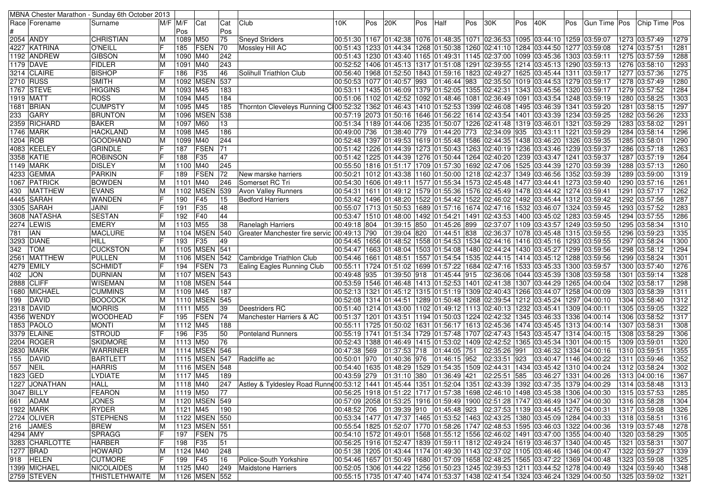|          |                 | MBNA Chester Marathon - Sunday 6th October 2013 |                |            |                  |           |                                                                                                                                         |                                  |     |              |     |                                                                                          |     |                  |      |                                      |      |                                                                                              |                                |      |
|----------|-----------------|-------------------------------------------------|----------------|------------|------------------|-----------|-----------------------------------------------------------------------------------------------------------------------------------------|----------------------------------|-----|--------------|-----|------------------------------------------------------------------------------------------|-----|------------------|------|--------------------------------------|------|----------------------------------------------------------------------------------------------|--------------------------------|------|
|          | Race   Forename | Surname                                         | $M/F$ $M/F$    |            | Cat              | Cat       | Club                                                                                                                                    | 10K                              | Pos | 20K          | Pos | Half                                                                                     | Pos | 30K              | Pos  | 40K                                  | ⊩Pos | Gun Time   Pos                                                                               | Chip Time Pos                  |      |
|          |                 |                                                 |                | Pos        |                  | Pos       |                                                                                                                                         |                                  |     |              |     |                                                                                          |     |                  |      |                                      |      |                                                                                              |                                |      |
|          | 2054 ANDY       | <b>CHRISTIAN</b>                                | ΙM             | 1089 M50   |                  | 75        | <b>Sneyd Striders</b>                                                                                                                   |                                  |     |              |     | 00:51:30  1167  01:42:38  1076  01:48:35  1071  02:36:53  1095  03:44:10  1259  03:59:07 |     |                  |      |                                      |      |                                                                                              | 1273 03:57:49                  | 1279 |
|          | 4227 KATRINA    | <b>O'NEILL</b>                                  |                | 185        | FSEN             | 70        | Mossley Hill AC                                                                                                                         |                                  |     |              |     | 00:51:43  1233  01:44:34  1268  01:50:38  1260  02:41:10                                 |     |                  |      | 1284 03:44:50 1277 03:59:08          |      |                                                                                              | 1274 03:57:51                  | 1281 |
|          | 1192  ANDREW    | <b>GIBSON</b>                                   | ΙM             | 1090 M40   |                  | 242       |                                                                                                                                         |                                  |     |              |     | 00:51:43 1230 01:43:40 1165 01:49:31 1145 02:37:00                                       |     |                  |      | 1099 03:45:36 1303 03:59:11          |      |                                                                                              | 1275 03:57:59                  | 1288 |
|          | 1179 DAVE       | <b>FIDLER</b>                                   | ΙM             | 1091 M40   |                  | 243       |                                                                                                                                         |                                  |     |              |     | 00:52:52  1406  01:45:13  1317  01:51:08  1291  02:39:55  1214  03:45:13  1290  03:59:13 |     |                  |      |                                      |      |                                                                                              | 1276 03:58:10                  | 1293 |
|          | 3214 CLAIRE     | <b>BISHOP</b>                                   |                | 186        | F <sub>35</sub>  | 46        | Solihull Triathlon Club                                                                                                                 |                                  |     |              |     | 00:56:40 1968 01:52:50 1843 01:59:16 1823 02:49:27                                       |     |                  |      | 1625 03:45:44 1311 03:59:17          |      |                                                                                              | 1277 03:57:36                  | 1275 |
|          | 2710 RUSS       | <b>SMITH</b>                                    | ΙM             |            | 1092 MSEN        | 537       |                                                                                                                                         | 00:50:53   1077   01:40:57   993 |     |              |     | 01:46:44 983                                                                             |     | 02:35:50         |      | 1019 03:44:53 1279 03:59:17          |      |                                                                                              | 1278 03:57:49                  | 1280 |
|          | 1767 STEVE      | <b>HIGGINS</b>                                  | ΙM             | 1093       | M45              | 183       |                                                                                                                                         |                                  |     |              |     | 00:53:11  1435  01:46:09  1379  01:52:05  1355  02:42:31                                 |     |                  |      | 1343 03:45:56                        |      | 1320 03:59:17                                                                                | 1279 03:57:52                  | 1284 |
|          | 1919  MATT      | <b>ROSS</b>                                     | ΙM             | 1094       | M45              | 184       |                                                                                                                                         |                                  |     |              |     | 00:51:06  1102  01:42:52  1092  01:48:46  1081 02:36:49                                  |     |                  |      | 1091  03:43:54  1248  03:59:19       |      |                                                                                              | 1280 03:58:25                  | 1303 |
|          | 1681 BRIAN      | <b>CUMPSTY</b>                                  | lМ             | 1095 M45   |                  | 185       | Thornton Cleveleys Running C100:52:32 1362 01:46:43 1410 01:52:53 1399 02:46:08                                                         |                                  |     |              |     |                                                                                          |     |                  |      | 1495 03:46:39 1341 03:59:20          |      |                                                                                              | 1281 03:58:15                  | 1297 |
| 233      | <b>GARY</b>     | <b>BRUNTON</b>                                  | ΙM             | 1096       | <b>MSEN</b>      | 538       |                                                                                                                                         |                                  |     |              |     | 00:57:19 2073 01:50:16 1646 01:56:22 1614 02:43:54                                       |     |                  |      | 1401 03:43:39 1234 03:59:25          |      |                                                                                              | 1282 03:56:26                  | 1233 |
|          | 2359 RICHARD    | <b>BAKER</b>                                    | ΙM             | 1097 M60   |                  | 13        |                                                                                                                                         |                                  |     |              |     | 00:51:34  1189  01:44:06  1235  01:50:07  1226  02:41:48                                 |     |                  |      | 1319 03:46:01                        |      | 1321 03:59:29                                                                                | 1283 03:58:02                  | 1291 |
|          | 1746 MARK       | <b>HACKLAND</b>                                 | ΙM             | 1098 M45   |                  | 186       |                                                                                                                                         | 00:49:00 736                     |     | 01:38:40 779 |     | 01:44:20 773                                                                             |     | 02:34:09 935     |      | 03:43:11                             |      | 1221 03:59:29                                                                                | 1284 03:58:14                  | 1296 |
| 1204 ROB |                 | <b>GOODHAND</b>                                 | ΙM             | 1099       | M40              | 244       |                                                                                                                                         |                                  |     |              |     | 00:52:48 1397 01:49:53 1619 01:55:48 1586 02:44:35                                       |     |                  |      | 1438 03:46:20                        |      | 1326 03:59:35                                                                                | 1285 03:58:01                  | 1290 |
|          | 4083 KEELEY     | <b>GRINDLE</b>                                  |                | 187        | FSEN             | 71        |                                                                                                                                         |                                  |     |              |     | 00:51:42  1226  01:44:39  1273  01:50:43  1263  02:40:19  1236  03:43:46                 |     |                  |      |                                      |      | 1239 03:59:37                                                                                | 1286 03:57:18                  | 1263 |
|          | 3358 KATIE      | <b>ROBINSON</b>                                 | IF             | 188        | F35              | 47        |                                                                                                                                         |                                  |     |              |     | 00:51:42  1225  01:44:39  1276  01:50:44  1264  02:40:20                                 |     |                  |      | 1239 03:43:47  1241 03:59:37         |      |                                                                                              | 1287 03:57:19                  | 1264 |
|          | 1149   MARK     | <b>DISLEY</b>                                   | ΙM             | 1100 M40   |                  | 245       |                                                                                                                                         |                                  |     |              |     | 00:55:50  1816  01:51:17  1709  01:57:30  1692  02:47:06                                 |     |                  |      | 1525 03:44:39 1270 03:59:39          |      |                                                                                              | 1288 03:57:13                  | 1260 |
|          | 4233 GEMMA      | <b>PARKIN</b>                                   | lF             | 189        | FSEN             | 72        | New marske harriers                                                                                                                     |                                  |     |              |     | 00:50:21  1012  01:43:38  1160  01:50:00  1218  02:42:37                                 |     |                  |      | 1349 03:46:56  1352 03:59:39         |      |                                                                                              | 1289 03:59:00                  | 1319 |
|          | 1067 PATRICK    | <b>BOWDEN</b>                                   |                |            | M40              | 246       | Somerset RC Tri                                                                                                                         |                                  |     |              |     |                                                                                          |     |                  |      | 1477 03:44:41                        |      | 1273 03:59:40                                                                                |                                | 1261 |
|          |                 |                                                 | IМ             | 1101       |                  |           |                                                                                                                                         |                                  |     |              |     | 00:54:30 1606 01:49:11 1577 01:55:34 1573 02:45:48                                       |     |                  |      |                                      |      |                                                                                              | 1290 03:57:16                  |      |
| 430      | <b>MATTHEW</b>  | <b>EVANS</b>                                    | ΙM             | 1102       | <b>MSEN</b>      | 539       | <b>Avon Valley Runners</b>                                                                                                              |                                  |     |              |     | 00:54:31  1611  01:49:12  1579  01:55:36  1576  02:45:49                                 |     |                  |      | 1478  03:44:42  1274  03:59:41       |      |                                                                                              | 1291 03:57:17                  | 1262 |
|          | 4445 SARAH      | <b>WANDEN</b>                                   | IF             | 190        | F45              | 15        | <b>Bedford Harriers</b>                                                                                                                 |                                  |     |              |     | 00:53:42 1496 01:48:20 1522 01:54:42 1522 02:46:02                                       |     |                  |      | 1492 03:45:44                        |      | 1312 03:59:42                                                                                | 1292 03:57:56                  | 1287 |
|          | 3305 SARAH      | <b>JAINI</b>                                    |                | 191        | F35              | 48        |                                                                                                                                         |                                  |     |              |     | 00:55:07  1713  01:50:53  1689  01:57:16  1674  02:47:16                                 |     |                  |      | 1532 03:46:07                        |      | 1324 03:59:45                                                                                | 1293 03:57:52                  | 1283 |
|          | 3608  NATASHA   | <b>SESTAN</b>                                   |                | 192        | F40              | 44        |                                                                                                                                         |                                  |     |              |     | 00:53:47  1510  01:48:00  1492  01:54:21  1491  02:43:53  1400  03:45:02  1283  03:59:45 |     |                  |      |                                      |      |                                                                                              | 1294 03:57:55                  | 1286 |
|          | 2274 LEWIS      | <b>EMERY</b>                                    | ΙM             | 1103 M55   |                  | 38        | Ranelagh Harriers                                                                                                                       | 00:49:18 804                     |     | 01:39:15 850 |     | 01:45:26 899                                                                             |     |                  |      | 02:37:07 1109 03:43:57 1249 03:59:50 |      |                                                                                              | 1295 03:58:34                  | 1310 |
| 781      | <b>IAN</b>      | <b>MACLURE</b>                                  | ΙM             | 1104       | <b>MSEN</b>      | 540       | Greater Manchester fire servic                                                                                                          | 00:49:13 790                     |     | 01:39:04 820 |     | 01:44:51 838                                                                             |     | 02:36:37         |      | 1078 03:45:48   1315 03:59:55        |      |                                                                                              | 1296 03:59:23                  | 1335 |
|          | 3293 DIANE      | <b>HILL</b>                                     |                | 193        | F35              | 49        |                                                                                                                                         |                                  |     |              |     | 00:54:45   1656   01:48:52   1558   01:54:53   1534   02:44:16                           |     |                  |      | 1416 03:45:16                        |      | 1293 03:59:55                                                                                | 1297 03:58:24                  | 1300 |
| 342      | <b>TOM</b>      | <b>CUCKSTON</b>                                 | ΙM             | 1105       | <b>MSEN</b>      | 541       |                                                                                                                                         |                                  |     |              |     | 00:54:47  1663  01:48:04  1503  01:54:08  1480  02:44:24                                 |     |                  |      | 1430 03:45:27                        |      | 1299 03:59:56                                                                                | 1298 03:58:12                  | 1294 |
|          | 2561  MATTHEW   | PULLEN                                          | ΙM             | 1106       | <b>MSEN 542</b>  |           | Cambridge Triathlon Club                                                                                                                |                                  |     |              |     | 00:54:46  1661  01:48:51  1557  01:54:54  1535  02:44:15  1414  03:45:12  1288  03:59:56 |     |                  |      |                                      |      |                                                                                              | 1299 03:58:24                  | 1301 |
|          | 4279 EMILY      | <b>SCHMIDT</b>                                  |                | 194        | <b>FSEN</b>      | 73        | <b>Ealing Eagles Running Club</b>                                                                                                       |                                  |     |              |     | 00:55:11  1724  01:51:02  1699  01:57:22  1684  02:47:16  1533  03:45:33  1300  03:59:57 |     |                  |      |                                      |      |                                                                                              | 1300 03:57:40                  | 1276 |
| 402      | <b>JON</b>      | <b>DURNIAN</b>                                  | IМ             |            | 1107 MSEN 543    |           |                                                                                                                                         | 00:49:48 935                     |     | 01:39:50 918 |     | 01:45:44 915                                                                             |     | 02:36:06         |      | 1044 03:45:39                        |      | 1308 03:59:58                                                                                | 1301 03:59:14                  | 1328 |
|          | 2888 CLIFF      | <b>WISEMAN</b>                                  | ΙM             |            | 1108 MSEN 544    |           |                                                                                                                                         |                                  |     |              |     | 00:53:59  1546  01:46:48  1413  01:52:53  1401  02:41:38  1307  03:44:29  1265  04:00:04 |     |                  |      |                                      |      |                                                                                              | 1302 03:58:17                  | 1298 |
|          | 1680 MICHAEL    | <b>CUMMINS</b>                                  | ΙM             | 1109 M45   |                  | 187       |                                                                                                                                         |                                  |     |              |     | 00:52:13  1321  01:45:12  1315  01:51:19  1309  02:40:43  1266  03:44:07  1258  04:00:09 |     |                  |      |                                      |      |                                                                                              | 1303 03:58:39                  | 1311 |
| 199      | DAVID           | <b>BOOCOCK</b>                                  | ΙM             |            | 1110 MSEN 545    |           |                                                                                                                                         |                                  |     |              |     | 00:52:08  1314  01:44:51  1289  01:50:48  1268  02:39:54  1212  03:45:24  1297  04:00:10 |     |                  |      |                                      |      |                                                                                              | 1304 03:58:40                  | 1312 |
|          | 2318 DAVID      | <b>MORRIS</b>                                   | ΙM             | 1111 M55   |                  | 39        | Deestriders RC                                                                                                                          |                                  |     |              |     | 00:51:40  1214  01:43:00  1102  01:49:12  1113  02:40:13  1232  03:45:41                 |     |                  |      |                                      |      | 1309 04:00:11                                                                                | 1305 03:59:05                  | 1322 |
|          | 4356 WENDY      | <b>WOODHEAD</b>                                 | IF             | 195        | <b>FSEN</b>      | 74        | Manchester Harriers & AC                                                                                                                |                                  |     |              |     | 00:51:37  1201  01:43:51  1194  01:50:03  1224  02:42:32                                 |     |                  |      | 1345 03:46:33 1336 04:00:14          |      |                                                                                              | 1306 03:58:52                  | 1317 |
|          | 1853 PAOLO      | <b>MONTI</b>                                    | ΙM             | 1112 M45   |                  | 188       |                                                                                                                                         |                                  |     |              |     | 00:55:11  1725  01:50:02  1631  01:56:17  1613  02:45:36                                 |     |                  |      | 1474 03:45:45 1313 04:00:14          |      |                                                                                              | 1307 03:58:31                  | 1308 |
|          | 3379 ELAINE     | STROUD                                          |                | 196        | F <sub>35</sub>  | 50        | <b>Ponteland Runners</b>                                                                                                                |                                  |     |              |     | 00:55:19  1741  01:51:34  1729  01:57:48  1707  02:47:43  1543  03:45:47  1314  04:00:15 |     |                  |      |                                      |      |                                                                                              | 1308 03:58:29                  | 1306 |
|          | 2204 ROGER      | <b>SKIDMORE</b>                                 | ΙM             | 1113 M50   |                  | 76        |                                                                                                                                         |                                  |     |              |     | 00:52:43 1388 01:46:49 1415 01:53:02 1409 02:42:52 1365 03:45:34 1301 04:00:15           |     |                  |      |                                      |      |                                                                                              | 1309 03:59:01                  | 1320 |
|          | 2830 MARK       | <b>WARRINER</b>                                 | ΙM             |            | 1114 MSEN 546    |           |                                                                                                                                         | 00:47:38 569 01:37:53 718        |     |              |     | 01:44:05 751                                                                             |     | 02:35:26         | 991  | 03:46:32 1334 04:00:16               |      |                                                                                              | 1310 03:59:51                  | 1355 |
| 155      | DAVID           | <b>BARTLETT</b>                                 | ΙM             |            | <b>1115 MSEN</b> | 547       | Radcliffe ac                                                                                                                            | 00:50:01 970                     |     | 01:40:36 976 |     | 01:46:15 952                                                                             |     | 02:33:51 923     |      | 03:40:47 1146 04:00:22               |      |                                                                                              | 1311 03:59:46                  | 1352 |
| 557      | <b>NEIL</b>     | <b>HARRIS</b>                                   | ΙM             |            | 1116 MSEN 548    |           |                                                                                                                                         |                                  |     |              |     | 00:54:40 1635 01:48:29 1529 01:54:35 1509 02:44:31                                       |     |                  | 1434 | 03:45:42 1310 04:00:24               |      |                                                                                              | 1312 03:58:24                  | 1302 |
| 1823 GED |                 | <b>LYDIATE</b>                                  | ΙM             | 1117 M45   |                  | 189       |                                                                                                                                         | 00:43:59 279 01:31:10 380        |     |              |     | 01:36:49 421                                                                             |     | $ 02:25:51 $ 585 |      | 03:46:27 1331 04:00:26               |      |                                                                                              | 1313 04:00:16                  | 1367 |
|          | 1227 JONATHAN   | <b>HALL</b>                                     | $\overline{M}$ |            |                  |           | 1118 M40 247 Astley & Tyldesley Road Runne 00:53:12 1441 01:45:44 1351 01:52:04 1351 02:43:39 1392 03:47:35 1379 04:00:29 1314 03:58:48 |                                  |     |              |     |                                                                                          |     |                  |      |                                      |      |                                                                                              |                                | 1313 |
|          | 3047 BILLY      | FEARON                                          | M              | 1119 M50   |                  | <b>77</b> |                                                                                                                                         |                                  |     |              |     |                                                                                          |     |                  |      |                                      |      | 00:56:25 1918 01:51:22 1717 01:57:38 1698 02:46:10 1498 03:45:38 1306 04:00:30 1315 03:57:53 |                                | 1285 |
|          | 661 ADAM        | <b>JONES</b>                                    | M              |            | 1120 MSEN 549    |           |                                                                                                                                         |                                  |     |              |     | 04:00:30  2058  01:53:25  1916  01:59:49  1900  02:51:28  1747  03:46:49  1347  04:00:30 |     |                  |      |                                      |      |                                                                                              | 1316 03:58:28                  | 1304 |
|          | 1922 MARK       | <b>RYDER</b>                                    | M              | $1121$ M45 |                  | 190       |                                                                                                                                         |                                  |     |              |     | 00:48:52 706 01:39:39 910 01:45:48 923 02:37:53 1139 03:44:45 1276 04:00:31              |     |                  |      |                                      |      |                                                                                              | 1317 03:59:08                  | 1326 |
|          |                 |                                                 |                |            | 1122 MSEN 550    |           |                                                                                                                                         |                                  |     |              |     | 00:53:34 1477 01:47:37 1465 01:53:52 1463 02:43:25 1380 03:45:09 1284 04:00:33           |     |                  |      |                                      |      |                                                                                              |                                | 1316 |
|          | 2724 OLIVER     | <b>STEPHENS</b><br>BREW                         | M              |            | 1123 MSEN 551    |           |                                                                                                                                         |                                  |     |              |     |                                                                                          |     |                  |      |                                      |      |                                                                                              | 1318 03:58:51<br>1319 03:57:48 | 1278 |
|          | 216 JAMES       |                                                 | ΙM             |            |                  |           |                                                                                                                                         |                                  |     |              |     | 00:55:54  1825  01:52:07  1770  01:58:26  1747  02:48:53  1595  03:46:03  1322  04:00:36 |     |                  |      |                                      |      |                                                                                              |                                |      |
| 4294 AMY |                 | SPRAGG                                          | IF<br>IF       |            | 197 FSEN 75      |           |                                                                                                                                         |                                  |     |              |     | 00:54:10  1572  01:49:01  1568  01:55:12  1556  02:46:02  1491  03:47:00  1355  04:00:40 |     |                  |      |                                      |      |                                                                                              | 1320 03:58:29                  | 1305 |
|          | 3283 CHARLOTTE  | <b>HARBER</b>                                   |                | 198        | F35              | 51        |                                                                                                                                         |                                  |     |              |     | 00:56:25  1916  01:52:47  1839  01:59:11  1812  02:49:24  1619  03:46:37  1340  04:00:45 |     |                  |      |                                      |      |                                                                                              | 1321 03:58:31                  | 1307 |
|          | 1277 BRAD       | <b>HOWARD</b>                                   | ΙM             | 1124 M40   |                  | 248       |                                                                                                                                         |                                  |     |              |     | 00:51:38  1205  01:43:44  1174  01:49:30  1143  02:37:02  1105  03:46:46  1346  04:00:47 |     |                  |      |                                      |      |                                                                                              | 1322 03:59:27                  | 1339 |
|          | 918 HELEN       | <b>CUTMORE</b>                                  | IF             | 199 F45    |                  | 16        | Police-South Yorkshire                                                                                                                  |                                  |     |              |     | 00:54:46 1657 01:50:49 1680 01:57:09 1658 02:48:25 1565 03:47:22 1369 04:00:48           |     |                  |      |                                      |      |                                                                                              | 1323 03:59:08                  | 1325 |
|          | 1399 MICHAEL    | <b>NICOLAIDES</b>                               | M              | 1125 M40   |                  | 249       | Maidstone Harriers                                                                                                                      |                                  |     |              |     | 00:52:05 1306 01:44:22 1256 01:50:23 1245 02:39:53 1211 03:44:52 1278 04:00:49           |     |                  |      |                                      |      |                                                                                              | 1324 03:59:40                  | 1348 |
|          | 2759 STEVEN     | THISTLETHWAITE                                  | $\mathsf{M}$   |            | 1126 MSEN 552    |           |                                                                                                                                         |                                  |     |              |     | 00:55:15  1735  01:47:40  1474  01:53:37  1438  02:41:54  1324  03:46:24  1329  04:00:50 |     |                  |      |                                      |      |                                                                                              | 1325 03:59:02 1321             |      |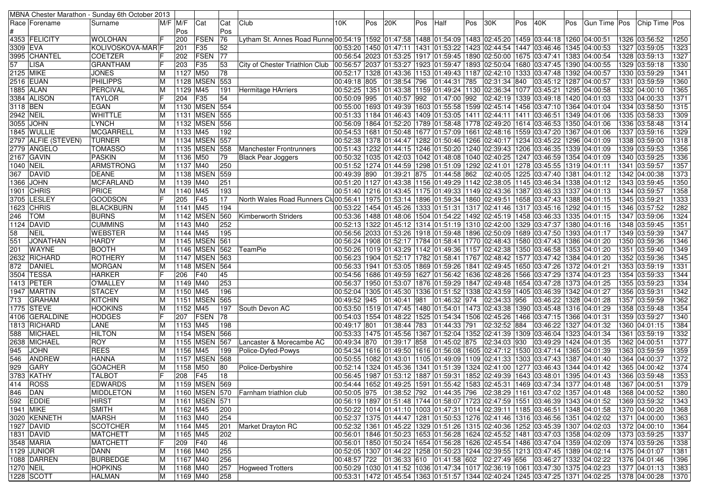|                       |                        | MBNA Chester Marathon - Sunday 6th October 2013 |          |                              |                                  |                 |                                                                                                                                |                                                                                                                      |     |                                                                                                  |     |                        |     |              |     |                                                                                          |     |                                                                                              |      |                                |              |
|-----------------------|------------------------|-------------------------------------------------|----------|------------------------------|----------------------------------|-----------------|--------------------------------------------------------------------------------------------------------------------------------|----------------------------------------------------------------------------------------------------------------------|-----|--------------------------------------------------------------------------------------------------|-----|------------------------|-----|--------------|-----|------------------------------------------------------------------------------------------|-----|----------------------------------------------------------------------------------------------|------|--------------------------------|--------------|
|                       | Race   Forename        | Surname                                         |          | $M/F$ $M/F$                  | Cat                              | Cat             | Club                                                                                                                           | 10K                                                                                                                  | Pos | 20K                                                                                              | Pos | Half                   | Pos | 130K         | Pos | 40K                                                                                      | Pos | Gun Time   Pos                                                                               |      | Chip Time   Pos                |              |
|                       |                        |                                                 |          | Pos                          |                                  | Pos             |                                                                                                                                |                                                                                                                      |     |                                                                                                  |     |                        |     |              |     |                                                                                          |     |                                                                                              |      |                                |              |
|                       | 4353 FELICITY          | <b>WOLOHAN</b>                                  |          | 200                          | FSEN                             | $\overline{76}$ | Lytham St. Annes Road Runne 00:54:19   1592   01:47:58   1488   01:54:09   1483   02:45:20   1459   03:44:18   1260   04:00:51 |                                                                                                                      |     |                                                                                                  |     |                        |     |              |     |                                                                                          |     |                                                                                              |      | 1326 03:56:52                  | 1250         |
| 3309 EVA              |                        | KOLIVOSKOVA-MAR <sup>1</sup> F                  |          | 201                          | F35                              | 52              |                                                                                                                                |                                                                                                                      |     |                                                                                                  |     |                        |     |              |     | 00:53:20  1450  01:47:11  1431  01:53:22  1423  02:44:54  1447  03:46:46  1345  04:00:53 |     |                                                                                              |      | 1327 03:59:05                  | 1323         |
|                       | 3995 CHANTEL           | <b>COETZER</b>                                  | IF       | 202                          | <b>FSEN</b>                      | 77              |                                                                                                                                | 00:56:54 2023 01:53:25 1917 01:59:45 1890 02:50:00                                                                   |     |                                                                                                  |     |                        |     |              |     | 1675 03:47:41                                                                            |     | 1383 04:00:54                                                                                |      | 1328 03:59:13                  | 1327         |
| 57                    | <b>LISA</b>            | <b>GRANTHAM</b>                                 |          | 203                          | F35                              | 53              | City of Chester Triathlon Club                                                                                                 |                                                                                                                      |     |                                                                                                  |     |                        |     |              |     | 00:56:57 2037 01:53:27 1923 01:59:47 1893 02:50:04 1680 03:47:45 1390 04:00:55           |     |                                                                                              |      | 1329 03:59:18                  | 1330         |
| 2125 MIKE             |                        | <b>JONES</b>                                    | ΙM       | 1127 M50                     |                                  | 78              |                                                                                                                                |                                                                                                                      |     |                                                                                                  |     |                        |     |              |     | 00:52:17  1328  01:43:36  1153  01:49:43  1187  02:42:10  1333  03:47:48  1392  04:00:57 |     |                                                                                              |      | 1330 03:59:29                  | 1341<br>1360 |
|                       | 2516 EUAN<br>1885 ALAN | <b>PHILIPPS</b><br>PERCIVAL                     | ΙM       |                              | 1128 MSEN<br>M45                 | 553             |                                                                                                                                | 00:49:18 805                                                                                                         |     | 01:38:54 796                                                                                     |     | 01:44:31 785           |     | 02:31:34 840 |     | 03:45:12   1287   04:00:57                                                               |     |                                                                                              | 1331 | 03:59:59                       | 1365         |
|                       | 3384 ALISON            | <b>TAYLOR</b>                                   | ΙM       | 1129                         | F <sub>35</sub>                  | 191<br>54       | Hermitage HArriers                                                                                                             |                                                                                                                      |     | 00:52:25   1351   01:43:38   1159   01:49:24   1130   02:36:34   1077   03:45:21<br>01:40:57 992 |     | $\boxed{01:47:00}$ 992 |     | 02:42:19     |     | 1339  03:49:18  1420  04:01:03                                                           |     | 1295 04:00:58                                                                                |      | 1332 04:00:10<br>1333 04:00:33 | 1371         |
|                       |                        | <b>EGAN</b>                                     |          | 204                          | 1130 MSEN 554                    |                 |                                                                                                                                | 00:50:09 995                                                                                                         |     |                                                                                                  |     |                        |     |              |     |                                                                                          |     |                                                                                              |      | 1334 03:58:50                  | 1315         |
| 3118 BEN<br>2942 NEIL |                        |                                                 | IМ       |                              |                                  |                 |                                                                                                                                | 00:55:00 1693 01:49:39 1603 01:55:58 1599 02:45:14                                                                   |     |                                                                                                  |     |                        |     |              |     | 1456 03:47:10 1364 04:01:04                                                              |     |                                                                                              |      |                                | 1309         |
|                       | 3055 JOHN              | <b>WHITTLE</b><br><b>LYNCH</b>                  | ΙM<br>ΙM |                              | 1131   MSEN 555<br>1132 MSEN 556 |                 |                                                                                                                                | 00:51:33  1184  01:46:43  1409  01:53:05  1411  02:44:11<br>00:56:09  1864  01:52:20  1789  01:58:48  1778  02:49:20 |     |                                                                                                  |     |                        |     |              |     | 1411 03:46:51 1349 04:01:06<br>1614 03:46:53 1350 04:01:06                               |     |                                                                                              |      | 1335 03:58:33<br>1336 03:58:48 | 1314         |
|                       | 1845 WULLIE            | <b>MCGARRELL</b>                                | ΙM       | 1133 M45                     |                                  | 192             |                                                                                                                                |                                                                                                                      |     | 00:54:53   1681   01:50:48   1677   01:57:09   1661   02:48:16                                   |     |                        |     |              |     | 1559 03:47:20 1367 04:01:06                                                              |     |                                                                                              | 1337 | 03:59:16                       | 1329         |
|                       | 2797 ALFIE (STEVEN)    | <b>TURNER</b>                                   | ΙM       |                              | 1134 MSEN                        | 557             |                                                                                                                                | 00:52:38 1378 01:44:47 1282 01:50:46 1266 02:40:17                                                                   |     |                                                                                                  |     |                        |     |              |     | 1234 03:45:22 1296 04:01:09                                                              |     |                                                                                              |      | 1338 03:59:00                  | 1318         |
|                       | 2779  ANGELO           | <b>TOMASSO</b>                                  | ΙM       | 1135                         | <b>MSEN 558</b>                  |                 | Manchester Frontrunners                                                                                                        | 00:51:43  1232  01:44:15  1246  01:50:20  1240  02:39:43                                                             |     |                                                                                                  |     |                        |     |              |     | 1206 03:46:35 1339 04:01:09                                                              |     |                                                                                              |      | 1339 03:59:53                  | 1356         |
|                       | 2167 GAVIN             | <b>PASKIN</b>                                   | IМ       | 1136                         | M50                              | 79              | <b>Black Pear Joggers</b>                                                                                                      | 00:50:32  1035  01:42:03  1042  01:48:08  1040  02:40:25                                                             |     |                                                                                                  |     |                        |     |              |     | 1247 03:46:59 1354 04:01:09                                                              |     |                                                                                              |      | 1340 03:59:25                  | 1336         |
| 1040 NEIL             |                        | ARMSTRONG                                       | ΙM       | 1137 M40                     |                                  | 250             |                                                                                                                                | 00:51:52  1274  01:44:59  1298  01:51:09  1292  02:41:01                                                             |     |                                                                                                  |     |                        |     |              |     | 1278 03:45:55 1319 04:01:11                                                              |     |                                                                                              | 1341 | 03:59:57                       | 1357         |
| 367                   | DAVID                  | <b>DEANE</b>                                    | ΙM       |                              | 1138 MSEN 559                    |                 |                                                                                                                                | 00:49:39 890                                                                                                         |     | 01:39:21 875                                                                                     |     | 01:44:58 862           |     | 02:40:05     |     | 1225 03:47:40 1381 04:01:12                                                              |     |                                                                                              |      | 1342 04:00:38                  | 1373         |
| 1366                  | <b>JOHN</b>            | <b>MCFARLAND</b>                                | ΙM       | 1139 M40                     |                                  | 251             |                                                                                                                                | 00:51:20 1127 01:43:38 1156 01:49:29 1142 02:38:05                                                                   |     |                                                                                                  |     |                        |     |              |     | 1145 03:46:34 1338 04:01:12                                                              |     |                                                                                              |      | 1343 03:59:45                  | 1350         |
|                       | 1901 CHRIS             | PRICE                                           | IМ       | 1140 M45                     |                                  | 193             |                                                                                                                                | 00:51:40  1216  01:43:45  1175  01:49:33  1149  02:43:36                                                             |     |                                                                                                  |     |                        |     |              |     | 1387 03:46:33 1337 04:01:13                                                              |     |                                                                                              |      | 1344 03:59:57                  | 1358         |
| 3705                  | LESLEY                 | <b>GOODSON</b>                                  |          | 205                          | F45                              | 17              | North Wales Road Runners Clu00:56:41   1975   01:53:14   1896   01:59:34   1860   02:49:51                                     |                                                                                                                      |     |                                                                                                  |     |                        |     |              |     | 1658 03:47:43 1388 04:01:15                                                              |     |                                                                                              |      | 1345 03:59:21                  | 1333         |
| 1623                  | <b>CHRIS</b>           | <b>BLACKBURN</b>                                | ΙM       | 1141 M45                     |                                  | 194             |                                                                                                                                | 00:53:22  1454  01:45:26  1333  01:51:31  1317  02:41:46                                                             |     |                                                                                                  |     |                        |     |              |     | 1317 03:45:16 1292 04:01:15                                                              |     |                                                                                              |      | 1346 03:57:52                  | 1282         |
| 246                   | <b>TOM</b>             | <b>BURNS</b>                                    | lМ       |                              | <b>1142 MSEN</b>                 | 560             | Kimberworth Striders                                                                                                           | 00:53:36  1488  01:48:06  1504  01:54:22  1492  02:45:19                                                             |     |                                                                                                  |     |                        |     |              |     | 1458 03:46:33 1335 04:01:15                                                              |     |                                                                                              |      | 1347 03:59:06                  | 1324         |
|                       | 1124 DAVID             | <b>CUMMINS</b>                                  | IМ       | $1143 \overline{\text{M}40}$ |                                  | 252             |                                                                                                                                | 00:52:13 1322 01:45:12 1314 01:51:19 1310 02:42:00                                                                   |     |                                                                                                  |     |                        |     |              |     | 1329 03:47:37 1380 04:01:16                                                              |     |                                                                                              |      | 1348 03:59:45                  | 1351         |
| 58                    | <b>NEIL</b>            | <b>WEBSTER</b>                                  | ΙM       | $1144$ M45                   |                                  | 195             |                                                                                                                                | 00:56:56 2033 01:53:26 1918 01:59:48 1896 02:50:09                                                                   |     |                                                                                                  |     |                        |     |              |     | 1689 03:47:50 1393 04:01:17                                                              |     |                                                                                              |      | 1349 03:59:39                  | 1347         |
| 551                   | <b>JONATHAN</b>        | <b>HARDY</b>                                    | ΙM       |                              | 1145 MSEN 561                    |                 |                                                                                                                                | 00:56:24  1908  01:52:17  1784  01:58:41  1770  02:48:43                                                             |     |                                                                                                  |     |                        |     |              |     | 1580 03:47:43 1386 04:01:20                                                              |     |                                                                                              |      | 1350 03:59:36                  | 1346         |
| 201                   | <b>WAYNE</b>           | <b>BOOTH</b>                                    | IМ       |                              | 1146 MSEN                        | 562             | <b>TeamPie</b>                                                                                                                 |                                                                                                                      |     | 00:50:26 1019 01:43:29 1142 01:49:36 1157 02:42:38                                               |     |                        |     |              |     | 1350 03:46:58 1353 04:01:20                                                              |     |                                                                                              | 1351 | 03:59:40                       | 1349         |
|                       | 2632 RICHARD           | <b>ROTHERY</b>                                  | ΙM       |                              | 1147 MSEN 563                    |                 |                                                                                                                                | 00:56:23  1904  01:52:17  1782  01:58:41  1767  02:48:42                                                             |     |                                                                                                  |     |                        |     |              |     | 1577 03:47:42 1384 04:01:20                                                              |     |                                                                                              |      | 1352 03:59:36                  | 1345         |
| 872                   | DANIEL                 | <b>MORGAN</b>                                   | ΙM       |                              | 1148 MSEN 564                    |                 |                                                                                                                                | 00:56:33  1941  01:53:05  1869  01:59:26  1841  02:49:45                                                             |     |                                                                                                  |     |                        |     |              |     | 1650 03:47:26 1372 04:01:21                                                              |     |                                                                                              |      | 1353 03:59:19                  | 1331         |
|                       | 3504 TESSA             | <b>HARKER</b>                                   | lF       | 206                          | F40                              | 45              |                                                                                                                                |                                                                                                                      |     | 00:54:56 1686 01:49:59 1627 01:56:42 1636 02:48:26                                               |     |                        |     |              |     | 1566 03:47:29 1374 04:01:23                                                              |     |                                                                                              |      | 1354 03:59:33                  | 1344         |
|                       | 1413 PETER             | O'MALLEY                                        | M        | 1149 M40                     |                                  | 253             |                                                                                                                                | 00:56:37  1950  01:53:07  1876  01:59:29  1847  02:49:48                                                             |     |                                                                                                  |     |                        |     |              |     | 1654 03:47:28 1373 04:01:25                                                              |     |                                                                                              |      | 1355 03:59:23                  | 1334         |
|                       | 1947  MARTIN           | <b>STACEY</b>                                   | ΙM       | 1150 M45                     |                                  | 196             |                                                                                                                                | 00:52:04  1305  01:45:30  1336  01:51:52  1338  02:43:59                                                             |     |                                                                                                  |     |                        |     |              |     | 1405  03:46:39  1342  04:01:27                                                           |     |                                                                                              |      | 1356 03:59:31                  | 1342         |
| 713                   | <b>GRAHAM</b>          | <b>KITCHIN</b>                                  | ΙM       |                              | <b>1151 MSEN</b>                 | 565             |                                                                                                                                | 00:49:52 945                                                                                                         |     | 01:40:41 981                                                                                     |     | 01:46:32 974           |     | 02:34:33 956 |     | 03:46:22   1328   04:01:28                                                               |     |                                                                                              |      | 1357 03:59:59                  | 1362         |
|                       | 1775 STEVE             | <b>HOOKINS</b>                                  | ΙM       | 1152 M45                     |                                  | 197             | South Devon AC                                                                                                                 | 00:53:50  1519  01:47:45  1480  01:54:01  1473  02:43:38                                                             |     |                                                                                                  |     |                        |     |              |     | 1390  03:45:48  1316  04:01:29                                                           |     |                                                                                              |      | 1358 03:59:48                  | 1354         |
| 4106                  | <b>GERALDINE</b>       | <b>HODGES</b>                                   | IF       | 207                          | FSEN                             | 78              |                                                                                                                                | 00:54:03 1554 01:48:22 1525 01:54:34 1506 02:45:26                                                                   |     |                                                                                                  |     |                        |     |              |     | 1466 03:47:15 1366 04:01:31                                                              |     |                                                                                              |      | 1359 03:59:27                  | 1340         |
|                       | 1813 RICHARD           | LANE                                            | IМ       | 1153 M45                     |                                  | 198             |                                                                                                                                | 00:49:17 801                                                                                                         |     | 01:38:44 783                                                                                     |     | 01:44:33 791           |     | 02:32:52 884 |     | 03:46:22   1327   04:01:32                                                               |     |                                                                                              |      | 1360 04:01:15                  | 1384         |
| 588                   | MICHAEL                | <b>HILTON</b>                                   | ΙM       |                              | 1154 MSEN 566                    |                 |                                                                                                                                | 00:53:33  1475  01:45:56  1367  01:52:04  1352  02:41:39  1309                                                       |     |                                                                                                  |     |                        |     |              |     | 03:46:04   1323   04:01:34                                                               |     |                                                                                              | 1361 | 03:59:19                       | 1332         |
|                       | 2638 MICHAEL           | <b>ROY</b>                                      | IМ       |                              | 1155 MSEN                        | 567             | Lancaster & Morecambe AC                                                                                                       | 00:49:34 870                                                                                                         |     | 01:39:17 858                                                                                     |     | 01:45:02 875           |     | 02:34:03     | 930 | 03:49:29   1424   04:01:35                                                               |     |                                                                                              |      | 1362 04:00:51                  | 1377         |
| 945                   | <b>JOHN</b>            | <b>REES</b>                                     | ΙM       | 1156 M45                     |                                  | 199             | Police-Dyfed-Powys                                                                                                             | 00:54:34 1616 01:49:50 1616 01:56:08 1605 02:47:12                                                                   |     |                                                                                                  |     |                        |     |              |     | 1530  03:47:14  1365  04:01:39                                                           |     |                                                                                              |      | 1363 03:59:59                  | 1359         |
| 546                   | <b>ANDREW</b>          | <b>HANNA</b>                                    | ΙM       |                              | 1157 MSEN 568                    |                 |                                                                                                                                | 00:50:55  1082  01:43:01  1105  01:49:09  1109  02:41:33                                                             |     |                                                                                                  |     |                        |     |              |     | 1303 03:47:43 1387 04:01:40                                                              |     |                                                                                              |      | 1364 04:00:37                  | 1372         |
| 929                   | <b>GARY</b>            | <b>GOACHER</b>                                  | ΙM       | 1158 M50                     |                                  | 80              | Police-Derbyshire                                                                                                              |                                                                                                                      |     | 00:52:14   1324   01:45:36   1341                                                                |     | 01:51:39 1324 02:41:00 |     |              |     | 1277  03:46:43  1344  04:01:42                                                           |     |                                                                                              |      | 1365 04:00:42                  | 1374         |
|                       | 3783 KATHY             | <b>TALBOT</b>                                   | IF       | 208                          | F45                              | 18              |                                                                                                                                |                                                                                                                      |     |                                                                                                  |     |                        |     |              |     | 00:56:45  1987  01:53:12  1887  01:59:31  1852  02:49:39  1643  03:48:01  1395  04:01:43 |     |                                                                                              |      | 1366 03:59:48                  | 1353         |
|                       | 414   ROSS             | <b>EDWARDS</b>                                  | M        |                              | 1159 MSEN 569                    |                 |                                                                                                                                |                                                                                                                      |     |                                                                                                  |     |                        |     |              |     |                                                                                          |     | 00:54:44 1652 01:49:25 1591 01:55:42 1583 02:45:31 1469 03:47:34 1377 04:01:48 1367 04:00:51 |      |                                | 1379         |
| 846 DAN               |                        | <b>MIDDLETON</b>                                | ΙM       |                              |                                  |                 | 1160   MSEN 570   Farnham triathlon club                                                                                       |                                                                                                                      |     |                                                                                                  |     |                        |     |              |     |                                                                                          |     | 00:50:05 975 01:38:52 792 01:44:35 796 02:38:29 1161 03:47:02 1357 04:01:48                  |      | 1368 04:00:52                  | 1380         |
|                       | 592 EDDIE              | <b>HIRST</b>                                    | ΙM       |                              | 1161   MSEN   571                |                 |                                                                                                                                |                                                                                                                      |     |                                                                                                  |     |                        |     |              |     |                                                                                          |     | 00:56:19  1897  01:51:48  1744  01:58:07  1723  02:47:59  1551  03:46:39  1343  04:01:52     |      | 1369 03:59:32                  | 1343         |
|                       | 1941 MIKE              | <b>SMITH</b>                                    | M        | 1162 M45                     |                                  | 200             |                                                                                                                                |                                                                                                                      |     |                                                                                                  |     |                        |     |              |     | 00:50:22 1014 01:41:10 1003 01:47:31 1014 02:39:11 1185 03:46:51 1348 04:01:58           |     |                                                                                              |      | 1370 04:00:20                  | 1368         |
|                       | 3020 KENNETH           | <b>MARSH</b>                                    | M        | 1163 M40                     |                                  | 254             |                                                                                                                                |                                                                                                                      |     |                                                                                                  |     |                        |     |              |     | 00:52:37 1375 01:44:47 1281 01:50:53 1276 02:41:46 1316 03:46:56 1351 04:02:02           |     |                                                                                              |      | 1371 04:00:00                  | 1363         |
|                       | 1927 DAVID             | SCOTCHER                                        | ΙM       | 1164 M45                     |                                  | 201             | Market Drayton RC                                                                                                              |                                                                                                                      |     |                                                                                                  |     |                        |     |              |     | 00:52:32  1361  01:45:22  1329  01:51:26  1315  02:40:36  1252  03:45:39  1307  04:02:03 |     |                                                                                              |      | 1372 04:00:10                  | 1364         |
|                       | 1831 DAVID             | <b>MATCHETT</b>                                 | M        | 1165 M45                     |                                  | 202             |                                                                                                                                |                                                                                                                      |     |                                                                                                  |     |                        |     |              |     | 00:56:01  1846  01:50:23  1653  01:56:28  1624  02:45:52  1481  03:47:03  1358  04:02:09 |     |                                                                                              |      | 1373 03:59:25                  | 1337         |
|                       | 3548 MARIA             | <b>MATCHETT</b>                                 | IF.      | 209 F40                      |                                  | 46              |                                                                                                                                |                                                                                                                      |     |                                                                                                  |     |                        |     |              |     | 00:56:01  1850  01:50:24  1654  01:56:28  1626  02:45:54  1486  03:47:04  1359  04:02:09 |     |                                                                                              |      | 1374 03:59:26                  | 1338         |
|                       | 1129 JUNIOR            | DANN                                            | M        | 1166 M40                     |                                  | 255             |                                                                                                                                |                                                                                                                      |     |                                                                                                  |     |                        |     |              |     | 00:52:05  1307  01:44:22  1258  01:50:23  1244  02:39:55  1213  03:47:45  1389  04:02:14 |     |                                                                                              |      | 1375 04:01:07                  | 1381         |
|                       | 1088 DARREN            | <b>BURBEDGE</b>                                 | M        | 1167 M40                     |                                  | 256             |                                                                                                                                | 00:48:57  722  01:36:33  610  01:41:58  602  02:27:49  656                                                           |     |                                                                                                  |     |                        |     |              |     | 03:46:27 1332 04:02:22                                                                   |     |                                                                                              |      | 1376 04:01:46                  | 1396         |
| 1270 NEIL             |                        | <b>HOPKINS</b>                                  | M        | 1168 M40                     |                                  | 257             | Hogweed Trotters                                                                                                               |                                                                                                                      |     |                                                                                                  |     |                        |     |              |     | 00:50:29 1030 01:41:52 1036 01:47:34 1017 02:36:19 1061 03:47:30 1375 04:02:23           |     |                                                                                              |      | 1377 04:01:13                  | 1383         |
|                       | 1228 SCOTT             | <b>HALMAN</b>                                   |          | M   1169   M40               |                                  | 258             |                                                                                                                                |                                                                                                                      |     |                                                                                                  |     |                        |     |              |     |                                                                                          |     | 00:53:31  1472  01:45:54  1363  01:51:57  1344  02:40:24  1245  03:47:25  1371  04:02:25     |      | 1378 04:00:28                  | 1370         |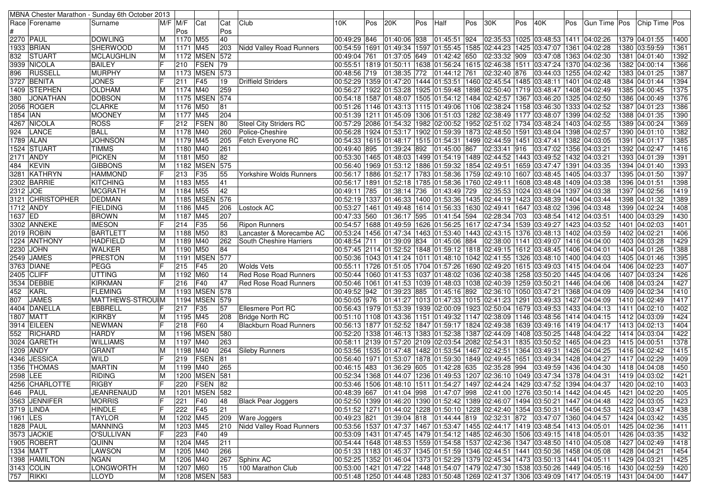|            |                           | MBNA Chester Marathon - Sunday 6th October 2013 |           |                      |                   |           |                                |                           |     |              |     |                                                                                                                |     |              |     |                                               |      |                                                                                          |                                |              |
|------------|---------------------------|-------------------------------------------------|-----------|----------------------|-------------------|-----------|--------------------------------|---------------------------|-----|--------------|-----|----------------------------------------------------------------------------------------------------------------|-----|--------------|-----|-----------------------------------------------|------|------------------------------------------------------------------------------------------|--------------------------------|--------------|
|            | Race   Forename           | Surname                                         |           | $M/F$ $M/F$          | Cat               | Cat       | Club                           | 10K.                      | Pos | 20K          | Pos | Half                                                                                                           | Pos | 30K          | Pos | 40K                                           | ⊩Pos | Gun Time   Pos                                                                           | <b>Chip Time Pos</b>           |              |
|            |                           |                                                 |           | Pos                  |                   | Pos       |                                |                           |     |              |     |                                                                                                                |     |              |     |                                               |      |                                                                                          |                                |              |
|            | <b>2270 PAUL</b>          | <b>DOWLING</b>                                  | ΙM        | 1170 M55             |                   | 40        |                                | 00:49:29 846              |     | 01:40:06 938 |     | 01:45:51 924                                                                                                   |     |              |     | 02:35:53 1025 03:48:53 1411 04:02:26          |      |                                                                                          | 1379 04:01:55                  | 1400         |
|            | 1933 BRIAN                | <b>SHERWOOD</b>                                 | ΙM        | 1171 M45             |                   | 203       | Nidd Valley Road Runners       |                           |     |              |     | 00:54:59 1691 01:49:34 1597 01:55:45 1585 02:44:23                                                             |     |              |     | 1425 03:47:07 1361 04:02:28                   |      |                                                                                          | 1380 03:59:59                  | 1361         |
| 832        | STUART                    | MCLAUGHLIN                                      | ΙM        |                      | 1172 MSEN 572     |           |                                | 00:49:04 761              |     | 01:37:05 649 |     | 01:42:42 650                                                                                                   |     | 02:33:32 909 |     | 03:47:08 1363 04:02:30                        |      |                                                                                          | 1381 04:01:40                  | 1392         |
|            | 3939 NICOLA               | <b>BAILEY</b>                                   | lF        | 210                  | <b>FSEN</b>       | 79        |                                |                           |     |              |     | 00:55:51  1819  01:50:11  1638  01:56:24  1615  02:46:38  1511  03:47:24  1370  04:02:36                       |     |              |     |                                               |      |                                                                                          | 1382 04:00:14                  | 1366         |
| 896        | RUSSELL                   | MURPHY                                          | IМ        |                      | 1173 MSEN         | 573       |                                | 00:48:56 719              |     | 01:38:35 772 |     | 01:44:12 761                                                                                                   |     | 02:32:40 876 |     | 03:44:03 1255 04:02:42                        |      |                                                                                          | 1383 04:01:25                  | 1387         |
|            | 3727 BENITA               | <b>JONES</b>                                    | IF        | 211                  | F45               | 19        | Driffield Striders             |                           |     |              |     | 00:52:29   1359   01:47:20   1444   01:53:51   1460   02:45:54   1485   03:48:11                               |     |              |     |                                               |      | 1401 04:02:48                                                                            | 1384 04:01:44                  | 1394         |
|            | 1409 STEPHEN              | <b>OLDHAM</b>                                   | ΙM        | 1174 M40             |                   | 259       |                                |                           |     |              |     | 00:56:27  1922  01:53:28  1925  01:59:48  1898  02:50:40  1719  03:48:47  1408  04:02:49                       |     |              |     |                                               |      |                                                                                          | 1385 04:00:45                  | 1375         |
| 380        | <b>JONATHAN</b>           | <b>DOBSON</b>                                   | ΙM        |                      | 1175 MSEN 574     |           |                                |                           |     |              |     | 00:54:18  1587  01:48:07  1505  01:54:12  1484  02:42:57  1367  03:46:20                                       |     |              |     |                                               |      | 1325 04:02:50                                                                            | 1386 04:00:49                  | 1376         |
|            | 2056 ROGER                | <b>CLARKE</b>                                   | lМ        | 1176 M50             |                   | 81        |                                |                           |     |              |     | 00:51:26  1146  01:43:13  1115  01:49:06  1106  02:38:24  1158  03:46:30  1333  04:02:52                       |     |              |     |                                               |      |                                                                                          | 1387 04:01:23                  | 1386         |
| 1854   IAN |                           | <b>MOONEY</b>                                   | ΙM        | 1177 M45             |                   | 204       |                                |                           |     |              |     | 00:51:39 1211 01:45:09 1306 01:51:03 1282 02:38:49                                                             |     |              |     | 1177 03:48:07 1399 04:02:52                   |      |                                                                                          | 1388 04:01:35                  | 1390         |
|            | 4267 NICOLA               | ROSS                                            |           | 212                  | <b>FSEN</b>       | 80        | Steel City Striders RC         |                           |     |              |     | 00:57:29  2086  01:54:32  1982  02:00:52  1952  02:51:02  1734  03:48:24  1403  04:02:55                       |     |              |     |                                               |      |                                                                                          | 1389 04:00:24                  | 1369         |
| 924        | LANCE                     | <b>BALL</b>                                     | IМ        | 1178 M40             |                   | 260       | Police-Cheshire                |                           |     |              |     | 00:56:28 1924 01:53:17 1902 01:59:39 1873 02:48:50                                                             |     |              |     | 1591 03:48:04 1398 04:02:57                   |      |                                                                                          | 1390 04:01:10                  | 1382         |
|            | 1789 ALAN                 | <b>JOHNSON</b>                                  | ΙM        | 1179 M45             |                   | 205       | Fetch Everyone RC              |                           |     |              |     | 00:54:33  1615  01:48:17  1515  01:54:31  1499  02:44:59                                                       |     |              |     | 1451 03:47:41                                 |      | 1382 04:03:05                                                                            | 1391 04:01:17                  | 1385         |
|            | 1524  STUART              | <b>TIMMS</b>                                    | ΙM        | 1180 M40             |                   | 261       |                                | 00:49:40 895              |     | 01:39:24 892 |     | 01:45:00 867                                                                                                   |     | 02:33:41 916 |     | 03:47:02                                      |      | 1356 04:03:21                                                                            | 1392 04:02:47                  | 1416         |
|            | 2171 ANDY                 | <b>PICKEN</b>                                   | ΙM        | 1181 M50             |                   | 82        |                                |                           |     |              |     | 00:53:30  1465  01:48:03  1499  01:54:19  1489  02:44:52  1443  03:49:52  1432  04:03:21                       |     |              |     |                                               |      |                                                                                          | 1393 04:01:39                  | 1391         |
| 484        | <b>KEVIN</b>              | <b>GIBBONS</b>                                  | ΙM        |                      | 1182 MSEN         | 575       |                                |                           |     |              |     | 00:56:40 1969 01:53:12 1886 01:59:32 1854 02:49:51                                                             |     |              |     | 1659 03:47:47 1391 04:03:35                   |      |                                                                                          | 1394 04:01:40                  | 1393         |
|            | 3281 KATHRYN              | <b>HAMMOND</b>                                  | IF        | 213                  | F35               | 55        | <b>Yorkshire Wolds Runners</b> |                           |     |              |     | 00:56:17   1886   01:52:17   1783   01:58:36   1759   02:49:10   1607   03:48:45                               |     |              |     |                                               |      | 1405 04:03:37                                                                            | 1395 04:01:50                  | 1397         |
|            | 2302 BARRIE               | <b>KITCHING</b>                                 | IМ        | 1183 M55             |                   | 41        |                                |                           |     |              |     | 00:56:17  1891  01:52:18  1785  01:58:36  1760  02:49:11                                                       |     |              |     | 1608 03:48:48 1409 04:03:38                   |      |                                                                                          | 1396 04:01:51                  | 1398         |
| 2312 JOE   |                           | <b>MCGRATH</b>                                  | ΙM        | 1184 M55             |                   | 42        |                                | 00:49:11 785              |     | 01:38:14 736 |     | 01:43:49 729                                                                                                   |     | 02:35:53     |     | 1024 03:48:04 1397 04:03:38                   |      |                                                                                          | 1397 04:02:56                  | 1419         |
|            | 3121 CHRISTOPHER          | <b>DEDMAN</b>                                   | ΙM        |                      | 1185 MSEN         | 576       |                                |                           |     |              |     | 00:52:19 1337 01:46:33 1400 01:53:36 1435 02:44:19                                                             |     |              |     | 1423 03:48:39                                 |      | 1404 04:03:44                                                                            | 1398 04:01:32                  | 1389         |
|            | 1712 ANDY                 | <b>FIELDING</b>                                 | ΙM        | 1186 M45             |                   | 206       | Lostock AC                     |                           |     |              |     | 00:53:27  1461  01:49:48  1614  01:56:33  1630  02:49:41                                                       |     |              |     | 1647 03:48:02                                 |      | 1396 04:03:48                                                                            | 1399 04:02:24                  | 1408         |
| 1637 ED    |                           | <b>BROWN</b>                                    | ΙM        | 1187 M45             |                   | 207       |                                | 00:47:33 560 01:36:17 595 |     |              |     | 01:41:54 594                                                                                                   |     | 02:28:34     | 703 | 03:48:54 1412 04:03:51                        |      |                                                                                          | 1400 04:03:29                  | 1430         |
|            | 3302  ANNEKE              | <b>IMESON</b>                                   | lF        | 214                  | F35               | 56        | Ripon Runners                  |                           |     |              |     | 00:54:57  1688  01:49:59  1626  01:56:25  1617  02:47:34  1539  03:49:27  1423  04:03:52                       |     |              |     |                                               |      |                                                                                          | 1401 04:02:03                  | 1401         |
|            | 2019 ROBIN                | <b>BARTLETT</b>                                 | IМ        | 1188 M50             |                   | 83        | Lancaster & Morecambe AC       |                           |     |              |     | 00:53:24  1456  01:47:34  1463  01:53:40  1443  02:43:15  1376  03:48:13  1402  04:03:59                       |     |              |     |                                               |      |                                                                                          | 1402 04:02:21                  | 1406         |
|            | 1224 ANTHONY              | <b>HADFIELD</b>                                 | ΙM        | 1189 M40             |                   | 262       | South Cheshire Harriers        | 00:48:54 711 01:39:09 834 |     |              |     | 01:45:06 884                                                                                                   |     | 02:38:00     |     | 1141 03:49:07 1416 04:04:00                   |      |                                                                                          | 1403 04:03:28                  | 1429         |
|            | 2230 JOHN                 | <b>WALKER</b>                                   | ΙM        | 1190 M50             |                   | 84        |                                |                           |     |              |     | 00:57:45 2114 01:52:52 1848 01:59:12 1818 02:49:15                                                             |     |              |     | 1612 03:48:45                                 |      | 1406 04:04:01                                                                            | 1404 04:01:26                  | 1388         |
|            | 2549 JAMES                | PRESTON                                         | ΙM        |                      | <b>1191 MSEN</b>  | 577       |                                |                           |     |              |     | 00:50:36  1043  01:41:24  1011  01:48:10  1042  02:41:55  1326  03:48:10  1400  04:04:03                       |     |              |     |                                               |      |                                                                                          | 1405 04:01:46                  | 1395         |
|            | 3763 DIANE                | PEGG                                            |           | 215                  | F45               | 20        | <b>Wolds Vets</b>              |                           |     |              |     | 00:55:11  1726  01:51:05  1704  01:57:26  1690  02:49:20  1615  03:49:03  1415  04:04:04                       |     |              |     |                                               |      |                                                                                          | 1406 04:02:23                  | 1407         |
|            | 2405 CLIFF                | <b>UTTING</b>                                   | ΙM        | 1192 M60             |                   | 14        | Red Rose Road Runners          |                           |     |              |     | 00:50:44  1060  01:41:53  1037  01:48:02  1036  02:40:38                                                       |     |              |     | 1258 03:50:20                                 |      | 1445 04:04:06                                                                            | 1407 04:03:24                  | 1426         |
|            | 3534 DEBBIE               | <b>KIRKMAN</b>                                  |           | 216                  | F40               | 47        | Red Rose Road Runners          |                           |     |              |     | 00:50:46  1061  01:41:53  1039  01:48:03  1038  02:40:39  1259  03:50:21  1446  04:04:06                       |     |              |     |                                               |      |                                                                                          | 1408 04:03:24                  | 1427         |
| 452        | KARL                      | <b>FLEMING</b>                                  | ΙM        |                      | 1193 MSEN         | 578       |                                | 00:49:52 942              |     | 01:39:23 885 |     | 01:45:16 892                                                                                                   |     | 02:36:10     |     | 1050 03:47:21 1368 04:04:09                   |      |                                                                                          | 1409 04:02:34                  | 1410         |
| 807        | <b>JAMES</b>              | MATTHEWS-STROUIM                                |           |                      | 1194 MSEN         | 579       |                                | 00:50:05 976              |     |              |     | 01:41:27  1013  01:47:33  1015  02:41:23                                                                       |     |              |     | 1291 03:49:33                                 |      | 1427 04:04:09                                                                            | 1410 04:02:49                  | 1417         |
|            |                           | <b>EBBRELL</b>                                  |           |                      | F <sub>35</sub>   | 57        | Ellesmere Port RC              |                           |     |              |     |                                                                                                                |     |              |     |                                               |      |                                                                                          | 1411 04:02:10                  | 1402         |
|            | 4404  DANELLA             | KIRKBY                                          |           | 217                  |                   | 208       |                                |                           |     |              |     | 00:56:43  1979  01:53:39  1939  02:00:09  1923  02:50:04                                                       |     |              |     | 1679 03:49:53   1433 04:04:13                 |      |                                                                                          |                                | 1424         |
|            | 1807  MATT                |                                                 | ΙM<br>IF  | 1195 M45             |                   |           | <b>Bridge North RC</b>         |                           |     |              |     | 00:51:10 1108 01:43:36 1151 01:49:32 1147 02:38:09                                                             |     |              |     | 1146 03:48:56 1414 04:04:15                   |      |                                                                                          | 1412 04:03:09                  |              |
|            | 3914 EILEEN               | <b>NEWMAN</b>                                   |           | $\overline{2}18$     | F60               | 4         | <b>Blackburn Road Runners</b>  |                           |     |              |     | 00:56:13   1877   01:52:52   1847   01:59:17   1824   02:49:38                                                 |     |              |     | 1639 03:49:16 1419 04:04:17                   |      |                                                                                          | 1413 04:02:13                  | 1404         |
| 552        | RICHARD                   | <b>HARDY</b>                                    | ΙM        | 1196                 | <b>MSEN 580</b>   |           |                                |                           |     |              |     | 00:52:20 1338 01:46:13 1383 01:52:38 1387 02:44:09                                                             |     |              |     | 1408 03:50:25 1448 04:04:22                   |      |                                                                                          | 1414 04:03:04                  | 1422         |
|            | 3024   GARETH             | <b>WILLIAMS</b>                                 | ΙM        | 1197 M40<br>1198 M40 |                   | 263       |                                |                           |     |              |     | 00:58:11 2139 01:57:20 2109 02:03:54 2082 02:54:31                                                             |     |              |     | 1835 03:50:52 1465 04:04:23                   |      | 1426 04:04:25                                                                            | 1415 04:00:51<br>1416 04:02:42 | 1378<br>1415 |
|            | 1209 ANDY<br>4346 JESSICA | <b>GRANT</b><br><b>WILD</b>                     | ΙM        | 219                  | <b>FSEN</b>       | 264<br>81 | Sileby Runners                 |                           |     |              |     | 00:53:56  1535  01:47:48  1482  01:53:54  1467  02:42:51<br>00:56:40 1971 01:53:07 1878 01:59:30 1849 02:49:45 |     |              |     | 1364 03:49:31<br> 1651 03:49:34 1428 04:04:27 |      |                                                                                          | 1417 04:02:29                  | 1409         |
|            | <b>THOMAS</b>             |                                                 | ΙM        | 1199 M40             |                   |           |                                |                           |     |              |     |                                                                                                                |     | 02:35:28     |     |                                               |      |                                                                                          |                                | 1450         |
| 1356       |                           | <b>MARTIN</b>                                   |           |                      |                   | 265       |                                | 00:46:15 483              |     | 01:36:29 605 |     | 01:42:28 635                                                                                                   |     |              | 994 | 03:49:59   1436   04:04:30                    |      |                                                                                          | 1418 04:04:08                  |              |
| 2598 LEE   |                           | RIDING                                          | lМ<br>lF. |                      | 1200 MSEN 581     |           |                                |                           |     |              |     | 00:52:34  1368  01:44:07  1236  01:49:53  1207  02:36:10  1049  03:47:34  1378  04:04:31                       |     |              |     |                                               |      |                                                                                          | 1419 04:03:02                  | 1421         |
|            | 4256 CHARLOTTE            | <b>RIGBY</b>                                    |           |                      | 220 FSEN 82       |           |                                |                           |     |              |     | 00:53:46 1506 01:48:10 1511 01:54:27 1497 02:44:24 1429 03:47:52 1394 04:04:37                                 |     |              |     |                                               |      |                                                                                          | 1420 04:02:10                  | 1403         |
|            | 646 PAUL                  | JEANRENAUD                                      | ΙM        |                      | 1201   MSEN   582 |           |                                |                           |     |              |     |                                                                                                                |     |              |     |                                               |      | 00:48:39 667 01:41:04 998 01:47:07 998 02:41:00 1276 03:50:14 1442 04:04:45              | 1421 04:02:20                  | 1405         |
|            | 3563 JENNIFER             | <b>MORRIS</b>                                   | IF        | 221                  | F40               | 48        | <b>Black Pear Joggers</b>      |                           |     |              |     |                                                                                                                |     |              |     |                                               |      | 00:52:50  1399  01:46:20  1390  01:52:42  1389  02:46:07  1494  03:50:21  1447  04:04:48 | 1422 04:03:05                  | 1423         |
|            | 3719 LINDA                | <b>HINDLE</b>                                   | IF        | 222 F45              |                   | 21        |                                |                           |     |              |     |                                                                                                                |     |              |     |                                               |      | 00:51:52 1271 01:44:02 1228 01:50:10 1228 02:42:40 1354 03:50:31 1456 04:04:53           | 1423 04:03:47                  | 1438         |
| 1961 LES   |                           | <b>TAYLOR</b>                                   | M         | 1202 M45             |                   | 209       | <b>Ware Joggers</b>            |                           |     |              |     | 00:49:23 821 01:39:04 818 01:44:44 819 02:32:31 872 03:47:07 1360 04:04:57                                     |     |              |     |                                               |      |                                                                                          | 1424 04:03:42                  | 1435         |
|            | 1828 PAUL                 | <b>MANNING</b>                                  | M         | 1203 M45             |                   | 210       | Nidd Valley Road Runners       |                           |     |              |     | 00:53:56 1537 01:47:37 1467 01:53:47 1455 02:44:17 1419 03:48:54 1413 04:05:01                                 |     |              |     |                                               |      |                                                                                          | 1425 04:02:36                  | 1411         |
|            | 3573 JACKIE               | <b>O'SULLIVAN</b>                               | IF        | 223                  | F40               | 49        |                                |                           |     |              |     | 00:53:09 1431 01:47:45 1479 01:54:12 1485 02:46:30 1506 03:49:15 1418 04:05:01                                 |     |              |     |                                               |      |                                                                                          | 1426 04:03:35                  | 1432         |
|            | 1905   ROBERT             | <b>QUINN</b>                                    | ΙM        | 1204 M45             |                   | 211       |                                |                           |     |              |     | 00:54:44 1648 01:48:53 1559 01:54:58 1537 02:42:36 1347 03:48:50 1410 04:05:08                                 |     |              |     |                                               |      |                                                                                          | 1427 04:02:49                  | 1418         |
|            | 1334 MATT                 | LAWSON                                          | ΙM        | 1205 M40             |                   | 266       |                                |                           |     |              |     | 00:51:33  1183  01:45:37  1345  01:51:59  1346  02:44:51  1441  03:50:36  1458  04:05:08                       |     |              |     |                                               |      |                                                                                          | 1428 04:04:21                  | 1454         |
|            | 1398 HAMILTON             | <b>NGAN</b>                                     | ΙM        | 1206 M40             |                   | 267       | Sphinx AC                      |                           |     |              |     | 00:52:25 1352 01:46:04 1373 01:52:29 1379 02:45:34 1473 03:50:13 1441 04:05:11                                 |     |              |     |                                               |      |                                                                                          | 1429 04:03:21                  | 1425         |
|            | 3143 COLIN                | LONGWORTH                                       | ΙM        | 1207 M60             |                   | 15        | 100 Marathon Club              |                           |     |              |     |                                                                                                                |     |              |     |                                               |      | 00:53:00 1421 01:47:22 1448 01:54:07 1479 02:47:30 1538 03:50:26 1449 04:05:16           | 1430 04:02:59                  | 1420         |
|            | 757 RIKKI                 | <b>LLOYD</b>                                    | M         |                      | 1208 MSEN 583     |           |                                |                           |     |              |     |                                                                                                                |     |              |     |                                               |      | 00:51:48  1250  01:44:48  1283  01:50:48  1269  02:41:37  1306  03:49:09  1417  04:05:19 | 1431 04:04:00                  | 1447         |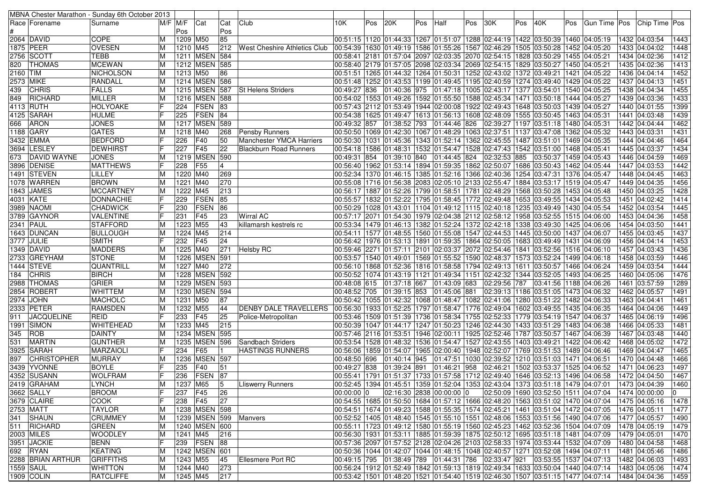|          |                    | MBNA Chester Marathon - Sunday 6th October 2013 |             |                       |                 |     |                                     |                |     |              |     |                                                                                                    |     |                                                                                          |     |                            |     |  |                            |             |
|----------|--------------------|-------------------------------------------------|-------------|-----------------------|-----------------|-----|-------------------------------------|----------------|-----|--------------|-----|----------------------------------------------------------------------------------------------------|-----|------------------------------------------------------------------------------------------|-----|----------------------------|-----|--|----------------------------|-------------|
|          | Race   Forename    | Surname                                         | $M/F$ $M/F$ |                       | Cat             | Cat | Club                                | 10K.           | Pos | 20K          | Pos | Half                                                                                               | Pos | 30K                                                                                      | Pos | 40K                        | Pos |  | Gun Time Pos Chip Time Pos |             |
|          |                    |                                                 |             | Pos                   |                 | Pos |                                     |                |     |              |     |                                                                                                    |     |                                                                                          |     |                            |     |  |                            |             |
|          | 2064 DAVID         | <b>COPE</b>                                     | ΙM          | 1209 M50              |                 | 85  |                                     |                |     |              |     | 00:51:15  1120  01:44:33  1267  01:51:07  1288  02:44:19  1422  03:50:39  1460  04:05:19           |     |                                                                                          |     |                            |     |  | 1432 04:03:54              | 1443        |
|          | 1875 PEER          | <b>OVESEN</b>                                   | ΙM          | 1210 M45              |                 | 212 | <b>West Cheshire Athletics Club</b> |                |     |              |     | 00:54:39  1630  01:49:19  1586  01:55:26  1567  02:46:29  1505  03:50:28  1452  04:05:20           |     |                                                                                          |     |                            |     |  | 1433 04:04:02              | 1448        |
|          | 2756 SCOTT         | <b>TEBB</b>                                     |             | 1211 MSEN 584         |                 |     |                                     |                |     |              |     | 00:58:41 2181 01:57:04 2097 02:03:35 2070 02:54:15 1828 03:50:29 1455 04:05:21                     |     |                                                                                          |     |                            |     |  | 1434 04:02:36              | 1412        |
| 820      | <b>THOMAS</b>      | <b>MCEWAN</b>                                   | ΙM          | 1212 MSEN 585         |                 |     |                                     |                |     |              |     | 00:58:40  2179  01:57:05  2098  02:03:34  2069  02:54:15  1829  03:50:27  1450  04:05:21           |     |                                                                                          |     |                            |     |  | 1435 04:02:36              | 1413        |
| 2160 TIM |                    | NICHOLSON                                       | ΙM          | 1213 M50              |                 | 86  |                                     |                |     |              |     | 00:51:51  1265  01:44:32  1264  01:50:31  1252  02:43:02  1372  03:49:21  1421  04:05:22           |     |                                                                                          |     |                            |     |  | 1436 04:04:14              | 1452        |
|          | 2573 MIKE          | RANDALL                                         | м           | 1214 MSEN 586         |                 |     |                                     |                |     |              |     | 00:51:48   1252   01:43:53   1199   01:49:45   1195   02:40:59   1274   03:49:40   1429   04:05:22 |     |                                                                                          |     |                            |     |  | 1437 04:04:13              | 1451        |
| 439      | <b>CHRIS</b>       | <b>FALLS</b>                                    | ΙM          | 1215 MSEN             |                 | 587 | <b>St Helens Striders</b>           | 00:49:27 836   |     |              |     | $ 01:40:36 975 01:47:18 1005 02:43:17 1377 03:54:01 1540 04:05:25$                                 |     |                                                                                          |     |                            |     |  | 1438 04:04:34              | 1455        |
| 849      | <b>RICHARD</b>     | <b>MILLER</b>                                   | ΙM          | 1216                  | MSEN 588        |     |                                     |                |     |              |     | 00:54:02  1553  01:49:26  1592  01:55:50  1588  02:45:34  1471  03:50:18  1444  04:05:27           |     |                                                                                          |     |                            |     |  | 1439 04:03:36              | 1433        |
|          | 4113 RUTH          | <b>HOLYOAKE</b>                                 |             | 224                   | <b>FSEN</b>     | 83  |                                     |                |     |              |     | 00:57:43 2112 01:53:49 1944 02:00:08 1922 02:49:43 1648 03:50:03 1439 04:05:27                     |     |                                                                                          |     |                            |     |  | 1440 04:01:55              | 1399        |
|          | 4125 SARAH         | <b>HULME</b>                                    |             | 225                   | <b>FSEN</b>     | 84  |                                     |                |     |              |     | 00:54:38   1625   01:49:47   1613   01:56:13   1608   02:48:09   1555   03:50:45   1463   04:05:31 |     |                                                                                          |     |                            |     |  | 1441 04:03:48              | 1439        |
| 666      | <b>ARON</b>        | <b>JONES</b>                                    | ΙM          | 1217 MSEN 589         |                 |     |                                     |                |     |              |     | 00:49:32 857 01:38:52 793 01:44:46 826                                                             |     | 02:39:27 1197 03:51:18 1480 04:05:31                                                     |     |                            |     |  | 1442 04:04:44              | 1462        |
|          | 1188 GARY          | <b>GATES</b>                                    | ΙM          | 1218 M40              |                 | 268 | <b>Pensby Runners</b>               |                |     |              |     | 00:50:50  1069  01:42:30  1067  01:48:29  1063  02:37:51  1137  03:47:08  1362  04:05:32           |     |                                                                                          |     |                            |     |  | 1443 04:03:31              | 1431        |
|          | 3432 EMMA          | <b>BEDFORD</b>                                  |             | 226                   | F40             | 50  | <b>Manchester YMCA Harriers</b>     |                |     |              |     | 00:50:30  1031  01:45:36  1343  01:52:14  1362  02:45:55  1487  03:51:01  1469  04:05:35           |     |                                                                                          |     |                            |     |  | 1444 04:04:46              | 1464        |
|          | 3694 LESLEY        | <b>DEWHIRST</b>                                 |             | 227                   | F45             | 22  | <b>Blackburn Road Runners</b>       |                |     |              |     | 00:54:18  1586  01:48:31  1532  01:54:47  1528  02:47:43  1542  03:51:00  1468  04:05:41           |     |                                                                                          |     |                            |     |  | 1445 04:03:37              | 1434        |
| 673      | <b>DAVID WAYNE</b> | <b>JONES</b>                                    | ΙM          | 1219 MSEN             |                 | 590 |                                     | 00:49:31 854   |     |              |     | 01:39:10 840 01:44:45 824                                                                          |     | 02:32:53 885                                                                             |     | 03:50:37   1459   04:05:43 |     |  | 1446 04:04:59              | 1469        |
|          | 3896 DENISE        | <b>MATTHEWS</b>                                 |             | 228                   | F55             |     |                                     |                |     |              |     | 00:56:40  1962  01:53:14  1894  01:59:35  1862 02:50:07  1686 03:50:43  1462 04:05:44              |     |                                                                                          |     |                            |     |  | 1447 04:03:53              | 1442        |
|          | 1491 STEVEN        | LILLEY                                          | M           | 1220 M40              |                 | 269 |                                     |                |     |              |     | 00:52:34  1370  01:46:15  1385  01:52:16  1366  02:40:36  1254  03:47:31  1376  04:05:47           |     |                                                                                          |     |                            |     |  | 1448 04:04:45              | 1463        |
|          | 1078  WARREN       | <b>BROWN</b>                                    | ΙM          | 1221 M40              |                 | 270 |                                     |                |     |              |     | 00:55:08 1716 01:56:38 2083 02:05:10 2133 02:55:47 1884 03:53:17 1519 04:05:47                     |     |                                                                                          |     |                            |     |  | 1449 04:04:35              | 1456        |
|          | 1843 JAMES         | <b>MCCARTNEY</b>                                | M           | 1222                  | M45             | 213 |                                     |                |     |              |     | 00:56:17  1887  01:52:26  1799  01:58:51  1781  02:48:29  1568  03:50:28  1453  04:05:48           |     |                                                                                          |     |                            |     |  | 1450 04:03:25              | 1428        |
|          | 4031 KATE          | DONNACHIE                                       |             | 229                   | <b>FSEN</b>     | 85  |                                     |                |     |              |     | 00:55:57   1832   01:52:22   1795   01:58:45   1772   02:49:48   1653   03:49:55   1434   04:05:53 |     |                                                                                          |     |                            |     |  | 1451 04:02:42              | 1414        |
|          | 3989   NAOMI       | <b>CHADWICK</b>                                 |             | 230                   | FSEN            | 86  |                                     |                |     |              |     | 00:50:29  1028  01:43:01  1104  01:49:12  1115  02:40:18  1235  03:49:49  1430  04:05:54           |     |                                                                                          |     |                            |     |  | 1452 04:03:54              | 1445        |
|          | 3789  GAYNOR       | <b>VALENTINE</b>                                |             | 231                   | F45             | 23  | <b>Wirral AC</b>                    |                |     |              |     | 00:57:17 2071 01:54:30 1979 02:04:38 2112 02:58:12 1958 03:52:55 1515 04:06:00                     |     |                                                                                          |     |                            |     |  | 1453 04:04:36              | 1458        |
|          | 2341 PAUL          | <b>STAFFORD</b>                                 | ΙM          | 1223 M55              |                 | 43  | killamarsh kestrels rc              |                |     |              |     | 00:53:34  1479  01:46:13  1382  01:52:24  1372  02:42:18  1338  03:49:30  1425  04:06:06           |     |                                                                                          |     |                            |     |  | 1454 04:03:50              | 1441        |
|          | 1643 DUNCAN        | <b>BULLOUGH</b>                                 | ΙM          | 1224 M45              |                 | 214 |                                     |                |     |              |     | 00:54:11  1577  01:48:55  1560  01:55:08  1547  02:44:53  1445  03:50:00  1437  04:06:07           |     |                                                                                          |     |                            |     |  | 1455 04:03:45              | 1437        |
|          | 3777  JULIE        | <b>SMITH</b>                                    |             | 232                   | F45             | 24  |                                     |                |     |              |     | 00:56:42  1976  01:53:13  1891  01:59:35  1864  02:50:05  1683  03:49:49  1431  04:06:09           |     |                                                                                          |     |                            |     |  | 1456 04:04:14              | 1453        |
|          | 1349  DAVID        | <b>MADDERS</b>                                  | ΙM          | 1225 M40              |                 | 271 | Helsby RC                           |                |     |              |     | 00:59:46 2271 01:57:11 2101 02:03:37 2072 02:54:46 1841 03:52:56 1516 04:06:10                     |     |                                                                                          |     |                            |     |  | 1457 04:03:43              | 1436        |
|          | 2733 GREYHAM       | <b>STONE</b>                                    | ΙM          | 1226 MSEN 591         |                 |     |                                     |                |     |              |     | 00:53:57  1540  01:49:01  1569  01:55:52  1590  02:48:37  1573  03:52:24  1499  04:06:18           |     |                                                                                          |     |                            |     |  | 1458 04:03:59              | 1446        |
|          | 1444   STEVE       | QUANTRILL                                       | M           | 1227 M40              |                 | 272 |                                     |                |     |              |     | 00:56:10  1868  01:52:36  1816  01:58:58  1794  02:49:13  1611  03:50:57  1466  04:06:24           |     |                                                                                          |     |                            |     |  | 1459 04:03:54              | 1444        |
| 184      | <b>CHRIS</b>       | <b>BIRCH</b>                                    | ΙM          | 1228 MSEN 592         |                 |     |                                     |                |     |              |     | 00:50:52   1074   01:43:19   1121   01:49:34   1151   02:42:32   1344   03:52:05   1493   04:06:25 |     |                                                                                          |     |                            |     |  | 1460 04:05:06              | 1476        |
|          | 2988 THOMAS        | <b>GRIER</b>                                    | ΙM          | 1229 MSEN 593         |                 |     |                                     | 00:48:08 615   |     | 01:37:18 667 |     | 01:43:09 683                                                                                       |     | 02:29:56 787                                                                             |     | 03:41:56 1188 04:06:26     |     |  | 1461 03:57:59              | 1289        |
|          | 2854 ROBERT        | <b>WHITTEM</b>                                  | M           | 1230 MSEN 594         |                 |     |                                     |                |     |              |     | 00:48:52 705 01:39:15 853 01:45:06 881                                                             |     | 02:39:13 1186 03:51:05 1473 04:06:32                                                     |     |                            |     |  | 1462 04:05:57              | 1491        |
|          | 2974 JOHN          | <b>MACHOLC</b>                                  | ΙM          | 1231 M50              |                 | 87  |                                     |                |     |              |     | 00:50:42   1055   01:42:32   1068   01:48:47   1082   02:41:06   1280   03:51:22   1482   04:06:33 |     |                                                                                          |     |                            |     |  | 1463 04:04:41              | 1461        |
|          | 2333 PETER         | <b>RAMSDEN</b>                                  | ΙM          | 1232                  | M55             | 44  | <b>DENBY DALE TRAVELLERS</b>        |                |     |              |     | 00:56:30  1933  01:52:25  1797  01:58:47  1776  02:49:04  1602  03:49:55  1435  04:06:35           |     |                                                                                          |     |                            |     |  | 1464 04:04:06              | 1449        |
| 911      | <b>JACQUELINE</b>  | <b>REID</b>                                     |             | 233                   | F45             | 25  | Police-Metropolitan                 |                |     |              |     | 00:53:46  1509  01:51:39  1736  01:58:34  1755  02:52:33  1779  03:54:19  1547  04:06:37           |     |                                                                                          |     |                            |     |  | 1465 04:06:19              | 1496        |
|          | 1991 SIMON         | <b>WHITEHEAD</b>                                | ΙM          | 1233                  | M45             | 215 |                                     |                |     |              |     | 00:50:39   1047   01:44:17   1247   01:50:23   1246   02:44:30   1433   03:51:29   1483   04:06:38 |     |                                                                                          |     |                            |     |  | 1466 04:05:33              | 1481        |
| 345      | <b>ROB</b>         | <b>DAINTY</b>                                   | ΙM          | 1234                  | <b>MSEN 595</b> |     |                                     |                |     |              |     | 00:57:46 2116 01:53:51 1946 02:00:11 1925 02:52:46 1787 03:50:57 1467 04:06:39                     |     |                                                                                          |     |                            |     |  | 1467 04:03:48              | 1440        |
| 531      | <b>MARTIN</b>      | <b>GUNTHER</b>                                  | M           | 1235                  | <b>MSEN</b>     | 596 | Sandbach Striders                   |                |     |              |     | 00:53:54  1528  01:48:32  1536  01:54:47  1527  02:43:55  1403  03:49:21  1422  04:06:42           |     |                                                                                          |     |                            |     |  | 1468 04:05:02              | 1472        |
|          | 3925 SARAH         | <b>MARZAIOL</b>                                 |             | 234                   | F65             |     | <b>HASTINGS RUNNERS</b>             |                |     |              |     | 00:56:06  1859  01:54:07  1965  02:00:40  1948  02:52:07  1769  03:51:53  1489  04:06:46           |     |                                                                                          |     |                            |     |  | 1469 04:04:47              | 1465        |
| 897      | <b>CHRISTOPHER</b> | <b>MURRAY</b>                                   |             | 1236                  | <b>MSEN 597</b> |     |                                     | 00:48:50 696   |     | 01:40:14 945 |     | 01:47:51 1030 02:39:52 1210 03:51:03 1471 04:06:51                                                 |     |                                                                                          |     |                            |     |  | 1470 04:04:48              | 1466        |
|          | 3439  YVONNE       | <b>BOYLE</b>                                    |             | 235                   | F40             | 51  |                                     | 00:49:27 838   |     | 01:39:24 891 |     | 01:46:21 958                                                                                       |     | 02:46:21   1502   03:53:37   1525   04:06:52                                             |     |                            |     |  | 1471 04:06:23              | 1497        |
|          | 4352 SUSANN        | <b>WOLFRAM</b>                                  | IF          | 236                   | FSEN            | 87  |                                     |                |     |              |     | 00:55:41  1791  01:51:37  1733  01:57:58  1712  02:49:40  1646  03:52:13  1496  04:06:58           |     |                                                                                          |     |                            |     |  | 1472 04:04:50              | 1467        |
|          | 2419 GRAHAM        | <b>LYNCH</b>                                    | M           | 1237 M65              |                 |     | <b>Lliswerry Runners</b>            |                |     |              |     | 00:52:45 1394 01:45:51 1359 01:52:04 1353 02:43:04 1373 03:51:18 1479 04:07:01 1473 04:04:39 1460  |     |                                                                                          |     |                            |     |  |                            |             |
|          | 3662 SALLY         | <b>BROOM</b>                                    |             | $237$ F <sub>45</sub> |                 | 26  |                                     | $00:00:00$   0 |     |              |     | 02:16:30  2838  00:00:00  0                                                                        |     | 02:50:09 1690 03:52:50 1511 04:07:04                                                     |     |                            |     |  | 1474 00:00:00              | $\mathbf 0$ |
|          | 3679 CLAIRE        | <b>COOK</b>                                     |             | 238 F45               |                 | 27  |                                     |                |     |              |     | 00:54:55  1685  01:50:50  1684  01:57:12  1666  02:48:20  1563  03:51:02  1470  04:07:04           |     |                                                                                          |     |                            |     |  | 1475 04:05:16              | 1478        |
|          | 2753 MATT          | <b>TAYLOR</b>                                   | ΙM          | 1238 MSEN 598         |                 |     |                                     |                |     |              |     | 00:54:51  1674  01:49:23  1588  01:55:35  1574  02:45:21  1461  03:51:04  1472  04:07:05           |     |                                                                                          |     |                            |     |  | 1476 04:05:11              | 1477        |
|          | 341 SHAUN          | <b>CRUMMEY</b>                                  | ΙM          |                       |                 |     | 1239   MSEN   599   Manvers         |                |     |              |     | 00:52:52 1405 01:48:40 1545 01:55:10 1551 02:48:06 1553 03:51:56 1490 04:07:06                     |     |                                                                                          |     |                            |     |  | 1477 04:05:57              | 1490        |
|          | 511 RICHARD        | GREEN                                           | ΙM          | 1240   MSEN   600     |                 |     |                                     |                |     |              |     | 00:55:11  1723  01:49:12  1580  01:55:19  1560  02:45:23  1462  03:52:36  1504  04:07:09           |     |                                                                                          |     |                            |     |  | 1478 04:05:19              | 1479        |
|          | 2003 MILES         | <b>WOODLEY</b>                                  | M           | 1241 M45              |                 | 216 |                                     |                |     |              |     | 00:56:30  1931  01:53:11  1885  01:59:39  1875  02:50:12  1695  03:51:18  1481  04:07:09           |     |                                                                                          |     |                            |     |  | 1479 04:05:01              | 1470        |
|          | 3951 JACKIE        | <b>BENN</b>                                     | F           | 239 FSEN 88           |                 |     |                                     |                |     |              |     | 00:57:36 2097 01:57:52 2128 02:04:26 2103 02:58:33 1974 03:53:44 1532 04:07:09                     |     |                                                                                          |     |                            |     |  | 1480 04:04:58              | 1468        |
|          | 692 RYAN           | KEATING                                         | M           | 1242 MSEN 601         |                 |     |                                     |                |     |              |     | 00:50:36 1044 01:42:07 1044 01:48:15 1048 02:40:57 1271 03:52:08 1494 04:07:11                     |     |                                                                                          |     |                            |     |  | 1481 04:05:46              | 1486        |
|          | 2288 BRIAN ARTHUR  | <b>GRIFFITHS</b>                                | ΙM          | 1243 M55              |                 | 45  | <b>Ellesmere Port RC</b>            |                |     |              |     | 00:49:15 795 01:38:49 789 01:44:31 786 02:33:47 921                                                |     |                                                                                          |     | 03:53:55 1537 04:07:13     |     |  | 1482 04:06:03              | 1493        |
|          | 1559 SAUL          | <b>WHITTON</b>                                  | M           | 1244 M40              |                 | 273 |                                     |                |     |              |     | 00:56:24  1912  01:52:49  1842  01:59:13  1819  02:49:34  1633  03:50:04  1440  04:07:14           |     |                                                                                          |     |                            |     |  | 1483 04:05:06              | 1474        |
|          | 1909 COLIN         | <b>RATCLIFFE</b>                                | M           | 1245 M45              |                 | 217 |                                     |                |     |              |     |                                                                                                    |     | 00:53:42  1501  01:48:20  1521  01:54:40  1519  02:46:30  1507  03:51:15  1477  04:07:14 |     |                            |     |  | 1484 04:04:36              | 1459        |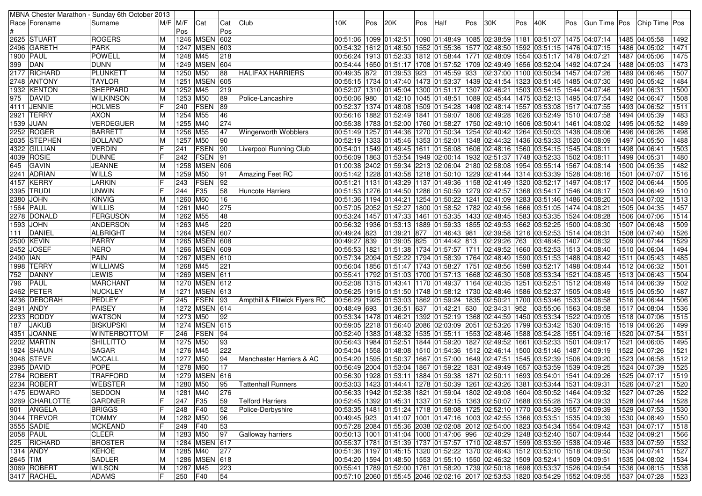|                  |                    | MBNA Chester Marathon - Sunday 6th October 2013 |                |          |                 |                 |                               |                                                                                                    |     |              |     |                                                                                                    |     |          |     |                                      |     |                                                                                                          |                                |      |
|------------------|--------------------|-------------------------------------------------|----------------|----------|-----------------|-----------------|-------------------------------|----------------------------------------------------------------------------------------------------|-----|--------------|-----|----------------------------------------------------------------------------------------------------|-----|----------|-----|--------------------------------------|-----|----------------------------------------------------------------------------------------------------------|--------------------------------|------|
|                  | Race   Forename    | Surname                                         | M/F M/F        |          | Cat             | Cat             | Club                          | 10K                                                                                                | Pos | 20K          | Pos | Half                                                                                               | Pos | 30K      | Pos | 40K                                  | Pos | Gun Time   Pos   Chip Time   Pos                                                                         |                                |      |
|                  |                    |                                                 |                | Pos      |                 | Pos             |                               |                                                                                                    |     |              |     |                                                                                                    |     |          |     |                                      |     |                                                                                                          |                                |      |
|                  | <b>2625 STUART</b> | <b>ROGERS</b>                                   | ΙM             |          | 1246 MSEN       | 602             |                               | 00:51:07  1475  04:07:14  2012  2013  02:38:59  2013  02:38:59  1181  03:51:07  1475  04:07:14     |     |              |     |                                                                                                    |     |          |     |                                      |     |                                                                                                          | 1485 04:05:58                  | 1492 |
|                  | 2496 GARETH        | <b>PARK</b>                                     | ΙM             |          | 1247 MSEN 603   |                 |                               | 00:54:32 1612 01:48:50 1552 01:55:36 1577 02:48:50                                                 |     |              |     |                                                                                                    |     |          |     | 1592 03:51:15  1476 04:07:15         |     |                                                                                                          | 1486 04:05:02                  | 1471 |
| <b>1900 PAUL</b> |                    | <b>POWELL</b>                                   | ΙM             | 1248 M45 |                 | 218             |                               | 00:56:24  1913  01:52:33  1812  01:58:44  1771  02:48:09                                           |     |              |     |                                                                                                    |     |          |     | 1554 03:51:17 1478 04:07:21          |     |                                                                                                          | 1487 04:05:06                  | 1475 |
| 399              | DAN                | <b>DUNN</b>                                     | ΙM             |          | 1249 MSEN       | 604             |                               | 00:54:44  1650  01:51:17  1708  01:57:52  1709  02:49:49                                           |     |              |     |                                                                                                    |     |          |     | 1656 03:52:04 1492 04:07:24          |     |                                                                                                          | 1488 04:05:03                  | 1473 |
|                  | 2177 RICHARD       | PLUNKETT                                        | ΙM             | 1250 M50 |                 | 88              | <b>HALIFAX HARRIERS</b>       | 00:49:35 872 01:39:53 923                                                                          |     |              |     | 01:45:59 933                                                                                       |     | 02:37:00 |     | 1100 03:50:34 1457 04:07:26          |     |                                                                                                          | 1489 04:06:46                  | 1507 |
|                  | 2748 ANTONY        | <b>TAYLOR</b>                                   | ΙM             |          | 1251   MSEN     | 605             |                               | 00:55:15  1734  01:47:40  1473  01:53:37  1439  02:41:54                                           |     |              |     |                                                                                                    |     |          |     | 1323 03:51:45 1485 04:07:30          |     |                                                                                                          | 1490 04:05:42                  | 1484 |
|                  | 1932 KENTON        | SHEPPARD                                        | ΙM             | 1252 M45 |                 | 219             |                               | 00:52:07  1310  01:45:04  1300  01:51:17  1307  02:46:21                                           |     |              |     |                                                                                                    |     |          |     | 1503 03:54:15                        |     | 1544 04:07:46                                                                                            | 1491 04:06:31                  | 1500 |
| 975              | <b>IDAVID</b>      | <b>WILKINSON</b>                                | ΙM             | 1253 M50 |                 | 89              | Police-Lancashire             |                                                                                                    |     |              |     |                                                                                                    |     |          |     | 1475 03:52:13  1495 04:07:54         |     |                                                                                                          | 1492 04:06:47                  | 1508 |
|                  | 4111 JENNIE        | <b>HOLMES</b>                                   | lF             | 240      | FSEN            | 89              |                               | 00:52:37 1374 01:48:08 1509 01:54:28 1498 02:48:14 1557 03:53:08 1517 04:07:55                     |     |              |     |                                                                                                    |     |          |     |                                      |     |                                                                                                          | 1493 04:06:52                  | 1511 |
|                  | 2921 TERRY         | <b>AXON</b>                                     | ΙM             | 1254 M55 |                 | 46              |                               |                                                                                                    |     |              |     | 00:56:16   1882   01:52:49   1841   01:59:07   1806   02:49:28                                     |     |          |     | 1626 03:52:49 1510 04:07:58          |     |                                                                                                          | 1494 04:05:39                  | 1483 |
| 1539             | JUAN               | VERDEGUER                                       | ΙM             | 1255 M40 |                 | 274             |                               | 00:55:38 1783 01:52:00 1760 01:58:27 1750 02:49:10 1606 03:50:41                                   |     |              |     |                                                                                                    |     |          |     |                                      |     | 1461 04:08:02                                                                                            | 1495 04:05:52                  | 1489 |
|                  | $2252$ ROGER       | <b>BARRETT</b>                                  | M              | 1256 M55 |                 | 47              | <b>Wingerworth Wobblers</b>   | 00:51:49 1257 01:44:36 1270 01:50:34 1254 02:40:42                                                 |     |              |     |                                                                                                    |     |          |     | 1264 03:50:03 1438 04:08:06          |     |                                                                                                          | 1496 04:06:26                  | 1498 |
|                  | 2035 STEPHEN       | <b>BOLLAND</b>                                  | ΙM             | 1257     | M50             | 90              |                               | 00:52:19 1333 01:45:46 1353 01:52:01 1348 02:44:32                                                 |     |              |     |                                                                                                    |     |          |     | 1436 03:53:33                        |     | 1520 04:08:09                                                                                            | 1497 04:05:50                  | 1488 |
|                  | 4322 GILLIAN       | <b>VERDIN</b>                                   |                | 241      | <b>FSEN</b>     | 90              | Liverpool Running Club        | 04:08:11   1549   11:49:45   1611   01:56:08   1606   02:48:16   1560   03:54:15   1545   04:08:11 |     |              |     |                                                                                                    |     |          |     |                                      |     |                                                                                                          | 1498 04:06:41                  | 1503 |
|                  | 4039 ROSIE         | <b>DUNNE</b>                                    |                | 242      | FSEN            | 91              |                               | 00:56:09  1863  01:53:54  1949  02:00:14  1932  02:51:37  1748  03:52:33                           |     |              |     |                                                                                                    |     |          |     |                                      |     | 1502 04:08:11                                                                                            | 1499 04:05:31                  | 1480 |
| 645              | <b>GAVIN</b>       | JEANNE                                          | ΙM             |          | 1258 MSEN       | 606             |                               | 01:00:38 2402 01:59:34 2213 02:06:04 2180 02:58:08                                                 |     |              |     |                                                                                                    |     |          |     | 1954   03:55:14   1567   04:08:14    |     |                                                                                                          | 1500 04:05:35                  | 1482 |
|                  | 2241 ADRIAN        | <b>WILLS</b>                                    | ΙM             | 1259 M50 |                 | 91              |                               | 00:51:42  1228  01:43:58  1218  01:50:10  1229  02:41:44  1314  03:53:39                           |     |              |     |                                                                                                    |     |          |     |                                      |     | 1528 04:08:16                                                                                            | 1501 04:07:07                  | 1516 |
|                  | 4157 KERRY         |                                                 |                |          | FSEN            | 92              | Amazing Feet RC               |                                                                                                    |     |              |     |                                                                                                    |     |          |     | 1320 03:52:17 1497 04:08:17          |     |                                                                                                          | 1502 04:06:44                  | 1505 |
|                  |                    | <b>LARKIN</b>                                   |                | 243      |                 |                 |                               | 00:51:21  1131  01:43:29  1137  01:49:36  1158  02:41:49                                           |     |              |     |                                                                                                    |     |          |     |                                      |     |                                                                                                          |                                |      |
|                  | 3395 TRUDI         | <b>UNWIN</b>                                    |                | 244      | F35             | 58              | Huncote Harriers              | 00:51:53  1276  01:44:50  1286  01:50:59  1279  02:42:57                                           |     |              |     |                                                                                                    |     |          |     | 1368 03:54:17 1546 04:08:17          |     |                                                                                                          | 1503 04:06:49                  | 1510 |
|                  | 2380 JOHN          | KINVIG                                          | M              | 1260 M60 |                 | 16              |                               | 00:51:36 1194 01:44:21 1254 01:50:22 1241 02:41:09                                                 |     |              |     |                                                                                                    |     |          |     | 1283 03:51:46                        |     | 1486 04:08:20                                                                                            | 1504 04:07:02                  | 1513 |
| 1564 PAUL        |                    | <b>WILLIS</b>                                   | ΙM             | 1261 M40 |                 | 275             |                               | 00:57:05 2052 01:52:27 1800 01:58:52 1782 02:49:56                                                 |     |              |     |                                                                                                    |     |          |     | 1666 03:51:05 1474 04:08:21          |     |                                                                                                          | 1505 04:04:35                  | 1457 |
|                  | 2278  DONALD       | <b>FERGUSON</b>                                 | ΙM             | 1262 M55 |                 | 48              |                               | 00:53:24  1457  01:47:33  1461  01:53:35  1433  02:48:45                                           |     |              |     |                                                                                                    |     |          |     | 1583 03:53:35  1524 04:08:28         |     |                                                                                                          | 1506 04:07:06                  | 1514 |
|                  | 1593 JOHN          | <b>ANDERSON</b>                                 | ΙM             | 1263 M45 |                 | 220             |                               |                                                                                                    |     |              |     | 00:56:32   1936   01:53:13   1889   01:59:33   1855   02:49:53   1662   03:52:25   1500   04:08:30 |     |          |     |                                      |     |                                                                                                          | 1507 04:06:48                  | 1509 |
| 111              | DANIEL             | <b>ALBRIGHT</b>                                 | ΙM             |          | 1264 MSEN 607   |                 |                               | 00:49:24 823                                                                                       |     | 01:39:21 877 |     | 01:46:43 981                                                                                       |     |          |     | 02:39:58 1216 03:52:53 1514 04:08:31 |     |                                                                                                          | 1508 04:07:40                  | 1526 |
|                  | 2500 KEVIN         | PARRY                                           | M              |          | 1265 MSEN 608   |                 |                               | 00:49:27 839                                                                                       |     | 01:39:05 825 |     | 01:44:42 813                                                                                       |     | 02:29:26 | 763 | 03:48:45 1407 04:08:32               |     |                                                                                                          | 1509 04:07:44                  | 1529 |
| 2452             | <b>JOSEF</b>       | <b>NERO</b>                                     | ΙM             | 1266     | <b>MSEN</b>     | 609             |                               | 00:55:53   1821   01:51:38   1734   01:57:57   1711                                                |     |              |     |                                                                                                    |     |          |     | 02:49:52 1660 03:52:53 1513 04:08:40 |     |                                                                                                          | 1510 04:06:04                  | 1494 |
| 2490   IAN       |                    | <b>PAIN</b>                                     | ΙM             |          | 1267 MSEN 610   |                 |                               | 00:57:34 2094 01:52:22 1794 01:58:39 1764 02:48:49 1590 03:51:53 1488 04:08:42                     |     |              |     |                                                                                                    |     |          |     |                                      |     |                                                                                                          | 1511 04:05:43                  | 1485 |
|                  | 1998 TERRY         | <b>WILLIAMS</b>                                 | ΙM             | 1268 M45 |                 | 221             |                               | 00:56:04  1856  01:51:47  1743  01:58:27  1751  02:48:56  1598  03:52:17  1498  04:08:44           |     |              |     |                                                                                                    |     |          |     |                                      |     |                                                                                                          | 1512 04:06:32                  | 1501 |
| 752              | <b>DANNY</b>       | LEWIS                                           | ΙM             |          | 1269 MSEN 611   |                 |                               | 00:55:41  1792  01:51:03  1700  01:57:13  1668  02:46:30                                           |     |              |     |                                                                                                    |     |          |     | 1508 03:53:34 1521 04:08:45          |     |                                                                                                          | 1513 04:06:43                  | 1504 |
| 796              | PAUL               | <b>MARCHANT</b>                                 | ΙM             |          | 1270 MSEN 612   |                 |                               | 00:52:08 1315 01:43:41 1170 01:49:37 1164 02:40:35 1251 03:52:51 1512 04:08:49                     |     |              |     |                                                                                                    |     |          |     |                                      |     |                                                                                                          | 1514 04:06:39                  | 1502 |
|                  | 2462 PETER         | <b>NUCKLEY</b>                                  | ΙM             |          | 1271 MSEN 613   |                 |                               | 00:56:25  1915  01:51:50  1748  01:58:12  1730  02:48:46                                           |     |              |     |                                                                                                    |     |          |     | 1586 03:52:37 1505 04:08:49          |     |                                                                                                          | 1515 04:05:50                  | 1487 |
|                  | 4236 DEBORAH       | PEDLEY                                          |                | 245      | <b>FSEN</b>     | 93              | Ampthill & Flitwick Flyers RC | 00:56:29 1925 01:53:03 1862 01:59:24 1835 02:50:21                                                 |     |              |     |                                                                                                    |     |          |     | 1700 03:53:46 1533 04:08:58          |     |                                                                                                          | 1516 04:06:44                  | 1506 |
|                  | 2491 ANDY          | PAISEY                                          | IМ             |          | 1272 MSEN 614   |                 |                               | 00:48:49 693                                                                                       |     | 01:36:51 637 |     | 01:42:21 630                                                                                       |     | 02:34:31 | 952 | 03:55:06                             |     | 1563 04:08:58                                                                                            | 1517 04:08:04                  | 1536 |
|                  | 2233 RODDY         | <b>WATSON</b>                                   | ΙM             | 1273 M50 |                 | 92              |                               | 00:53:34  1478  01:46:21  1392  01:52:19  1368  02:44:59  1450  03:53:34  1522  04:09:05           |     |              |     |                                                                                                    |     |          |     |                                      |     |                                                                                                          | 1518 04:07:06                  | 1515 |
| 187              | <b>JAKUB</b>       | <b>BISKUPSKI</b>                                | ΙM             |          | 1274 MSEN 615   |                 |                               |                                                                                                    |     |              |     | 00:59:05 2218 01:56:40 2086 02:03:09 2051 02:53:26                                                 |     |          |     | 1799 03:53:42 1530 04:09:15          |     |                                                                                                          | 1519 04:06:26                  | 1499 |
|                  | 4351 JOANNE        | <b>WINTERBOTTOM</b>                             | IF             | 246      | <b>FSEN</b>     | 94              |                               | 00:52:40 1383 01:48:32 1535 01:55:11 1553 02:48:46                                                 |     |              |     |                                                                                                    |     |          |     | 1588 03:54:28 1551 04:09:16          |     |                                                                                                          | 1520 04:07:54                  | 1531 |
|                  | 2202 MARTIN        | <b>SHILLITTO</b>                                | ΙM             | 1275 M50 |                 | 93              |                               |                                                                                                    |     |              |     | 00:56:43 1984 01:52:51 1844 01:59:20 1827 02:49:52                                                 |     |          |     | 1661 03:52:33 1501 04:09:17          |     |                                                                                                          | 1521 04:06:05                  | 1495 |
|                  | 1924  SHAUN        | <b>SAGAR</b>                                    | ΙM             | 1276 M45 |                 | 222             |                               | 00:54:04  1558  01:48:08  1510  01:54:36  1512  02:46:14                                           |     |              |     |                                                                                                    |     |          |     | 1500 03:51:46                        |     | 1487 04:09:19                                                                                            | 1522 04:07:26                  | 1521 |
|                  | 3048 STEVE         | MCCALL                                          | ΙM             | 1277 M50 |                 | 94              | Manchester Harriers & AC      | 00:54:20  1595  01:50:37  1667  01:57:00  1649  02:47:51  1545  03:52:39  1506  04:09:20           |     |              |     |                                                                                                    |     |          |     |                                      |     |                                                                                                          | 1523 04:06:58                  | 1512 |
|                  | 2395 DAVID         | <b>POPE</b>                                     | M              | 1278 M60 |                 | 17              |                               | 00:56:49 2004 01:53:04 1867 01:59:22 1831 02:49:49                                                 |     |              |     |                                                                                                    |     |          |     | 1657   03:53:59   1539   04:09:25    |     |                                                                                                          | 1524 04:07:39                  | 1525 |
|                  | 2784  ROBERT       | <b>TRAFFORD</b>                                 | ΙM             |          | 1279 MSEN 616   |                 |                               | 00:56:30  1928  01:53:11  1884  01:59:38  1871  02:50:11  1693  03:54:01  1541  04:09:26           |     |              |     |                                                                                                    |     |          |     |                                      |     |                                                                                                          | 1525 04:07:17                  | 1519 |
|                  | 2234 ROBERT        | <b>WEBSTER</b>                                  | $\overline{M}$ | 1280 M50 |                 | $\overline{95}$ | Tattenhall Runners            |                                                                                                    |     |              |     |                                                                                                    |     |          |     |                                      |     | 00:53:03   1423 01:44:41   1278 01:50:39   1261 02:43:26   1381 03:53:44   1531 04:09:31   1526 04:07:21 |                                | 1520 |
|                  | 1475 EDWARD        | <b>SEDDON</b>                                   | M              | 1281 M40 |                 | 276             |                               |                                                                                                    |     |              |     |                                                                                                    |     |          |     |                                      |     | 00:56:33  1942  01:52:38  1821  01:59:04  1802  02:49:08  1604  03:50:52  1464  04:09:32  1527  04:07:26 |                                | 1522 |
|                  | 3269 CHARLOTTE     | <b>GARDNER</b>                                  | IF             | 247      | F35             | 59              | <b>Telford Harriers</b>       |                                                                                                    |     |              |     |                                                                                                    |     |          |     |                                      |     | 00:52:45  1392  01:45:31  1337  01:52:15  1363  02:50:07  1688  03:55:28  1573  04:09:33                 | 1528 04:07:44                  | 1528 |
|                  | 901 ANGELA         | <b>BRIGGS</b>                                   | IF             | 248 F40  |                 | 52              | Police-Derbyshire             | 00:53:35  1481  01:51:24  1718  01:58:08  1725  02:52:10  1770  03:54:39  1557  04:09:39           |     |              |     |                                                                                                    |     |          |     |                                      |     |                                                                                                          | 1529 04:07:53                  | 1530 |
|                  | 3044 TREVOR        | <b>TOMMY</b>                                    | ΙM             | 1282 M50 |                 | 96              |                               | 00:49:45 923 01:41:07 1001 01:47:16 1003 02:42:55 1366 03:53:51 1535 04:09:39                      |     |              |     |                                                                                                    |     |          |     |                                      |     |                                                                                                          | 1530 04:08:49                  | 1550 |
|                  | 3555 SADIE         | <b>MCKEAND</b>                                  |                | 249      | F40             | 53              |                               | 00:57:28 2084 01:55:36 2038 02:02:08 2012 02:54:00 1823 03:54:34 1554 04:09:42                     |     |              |     |                                                                                                    |     |          |     |                                      |     |                                                                                                          | 1531 04:07:17                  | 1518 |
|                  | 2058 PAUL          | <b>CLEER</b>                                    | ΙM             | 1283 M50 |                 | 97              | Galloway harriers             | 00:50:13  1001  01:41:04  1000  01:47:06  996    02:40:29  1248  03:52:40  1507  04:09:44          |     |              |     |                                                                                                    |     |          |     |                                      |     |                                                                                                          | 1532 04:09:21                  | 1566 |
|                  | 225  RICHARD       | <b>BROSTER</b>                                  | ΙM             |          | 1284   MSEN 617 |                 |                               | 00:55:37 1781 01:51:39 1737 01:57:57 1710 02:48:57 1599 03:53:59 1538 04:09:46                     |     |              |     |                                                                                                    |     |          |     |                                      |     |                                                                                                          | 1533 04:07:59                  | 1532 |
|                  | 1314 ANDY          | KEHOE                                           |                | 1285 M40 |                 | 277             |                               | 00:51:36  1197  01:45:15  1320  01:52:22  1370  02:46:43  1512  03:53:10  1518  04:09:50           |     |              |     |                                                                                                    |     |          |     |                                      |     |                                                                                                          |                                | 1527 |
| 2645 TIM         |                    | SADLER                                          | ΙM             |          | 1286 MSEN 618   |                 |                               |                                                                                                    |     |              |     |                                                                                                    |     |          |     |                                      |     |                                                                                                          | 1534 04:07:41<br>1535 04:08:02 | 1534 |
|                  |                    |                                                 | ΙM             |          |                 |                 |                               | 00:54:20 1594 01:48:50 1553 01:55:10 1550 02:46:32 1509 03:52:41 1509 04:09:51                     |     |              |     |                                                                                                    |     |          |     |                                      |     |                                                                                                          |                                |      |
|                  | 3069 ROBERT        | <b>WILSON</b>                                   | ΙM             | 1287 M45 |                 | 223             |                               | 00:55:41 1789 01:52:00 1761 01:58:20 1739 02:50:18 1698 03:53:37 1526 04:09:54                     |     |              |     |                                                                                                    |     |          |     |                                      |     |                                                                                                          | 1536 04:08:15                  | 1538 |
|                  | 3417 RACHEL        | <b>ADAMS</b>                                    | IF             | 250 F40  |                 | 54              |                               | 00:57:10 2060 01:55:45 2046 02:02:16 2017 02:53:53 1820 03:54:29 1552 04:09:55                     |     |              |     |                                                                                                    |     |          |     |                                      |     |                                                                                                          | 1537 04:07:28                  | 1523 |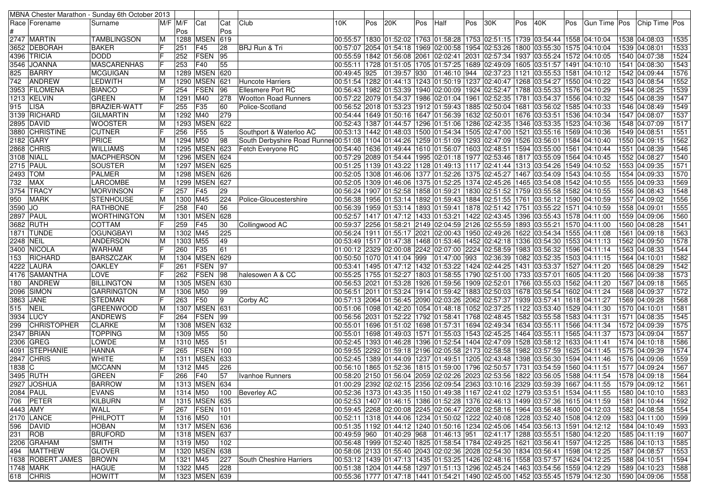|                  |                     | MBNA Chester Marathon - Sunday 6th October 2013 |    |          |                   |     |                                                                                                              |                            |     |              |     |              |     |                                                                                                          |     |                        |            |                |  |                 |      |
|------------------|---------------------|-------------------------------------------------|----|----------|-------------------|-----|--------------------------------------------------------------------------------------------------------------|----------------------------|-----|--------------|-----|--------------|-----|----------------------------------------------------------------------------------------------------------|-----|------------------------|------------|----------------|--|-----------------|------|
|                  | Race  Forename      | Surname                                         |    | M/F M/F  | Cat               | Cat | Club                                                                                                         | 10K                        | Pos | 20K          | Pos | Half         | Pos | 30K                                                                                                      | Pos | 40K                    | <b>Pos</b> | Gun Time   Pos |  | Chip Time   Pos |      |
|                  |                     |                                                 |    | Pos      |                   | Pos |                                                                                                              |                            |     |              |     |              |     |                                                                                                          |     |                        |            |                |  |                 |      |
|                  | 2747 MARTIN         | <b>TAMBLINGSON</b>                              | M  |          | 1288 MSEN         | 619 |                                                                                                              |                            |     |              |     |              |     | 00:55:57  1830  01:52:02  1763  01:58:28  1753  02:51:15  1739  03:54:44  1558  04:10:04                 |     |                        |            |                |  | 1538 04:08:03   | 1535 |
|                  | 3652  DEBORAH       | <b>BAKER</b>                                    |    | 251      | F45               | 28  | BRJ Run & Tri                                                                                                |                            |     |              |     |              |     | 00:57:07 2054 01:54:18 1969 02:00:58 1954 02:53:26 1800 03:55:30 1575 04:10:04                           |     |                        |            |                |  | 1539 04:08:01   | 1533 |
|                  | 4396  TRICIA        | <b>DODD</b>                                     | F  | 252      | <b>FSEN</b>       | 95  |                                                                                                              |                            |     |              |     |              |     | l00:55:59  1842  01:56:08  2061  02:02:41  2031  02:57:34  1937  03:55:24  1572  04:10:05                |     |                        |            |                |  | 1540 04:07:38   | 1524 |
|                  | 3546 JOANNA         | <b>MASCARENHAS</b>                              | IF | 253      | F40               | 55  |                                                                                                              |                            |     |              |     |              |     | 00:55:11  1728  01:51:05  1705  01:57:25  1689  02:49:09  1605  03:51:57  1491  04:10:10                 |     |                        |            |                |  | 1541 04:08:30   | 1543 |
| 825              | <b>BARRY</b>        | <b>MCGUIGAN</b>                                 | M  |          | 1289 MSEN 620     |     |                                                                                                              | 00:49:45 925               |     | 01:39:57 930 |     | 01:46:10 944 |     | 02:37:23 1121 03:55:53 1581 04:10:12                                                                     |     |                        |            |                |  | 1542 04:09:44   | 1576 |
| 742              | <b>ANDREW</b>       | <b>LEDWITH</b>                                  | M  |          | 1290 MSEN         | 621 | Huncote Harriers                                                                                             |                            |     |              |     |              |     | 00:51:54  1282  01:44:13  1243  01:50:19  1237  02:40:47  1268  03:54:27  1550  04:10:22                 |     |                        |            |                |  | 1543 04:08:54   | 1552 |
|                  | 3953  FILOMENA      | <b>BIANCO</b>                                   | IF | 254      | <b>FSEN</b>       | 96  | <b>Ellesmere Port RC</b>                                                                                     |                            |     |              |     |              |     | 00:56:43  1982  01:53:39  1940  02:00:09  1924  02:52:47  1788  03:55:33  1576  04:10:29                 |     |                        |            |                |  | 1544 04:08:25   | 1539 |
|                  | 1213 KELVIN         | <b>GREEN</b>                                    | M  | 1291 M40 |                   | 278 | <b>Wootton Road Runners</b>                                                                                  |                            |     |              |     |              |     | 00:57:22  2079  01:54:37  1986  02:01:04  1961  02:52:35  1781  03:54:37  1556  04:10:32                 |     |                        |            |                |  | 1545 04:08:39   | 1547 |
| 915              | <b>LISA</b>         | <b>BRAZIER-WATT</b>                             | IF | 255      | F35               | 60  | Police-Scotland                                                                                              |                            |     |              |     |              |     | 00:56:52 2018 01:53:23 1912 01:59:43 1885 02:50:04 1681                                                  |     | 03:56:02               |            | 1585 04:10:33  |  | 1546 04:08:49   | 1549 |
|                  | 3139 RICHARD        | <b>GILMARTIN</b>                                | M  | 1292 M40 |                   | 279 |                                                                                                              |                            |     |              |     |              |     | 00:54:44  1649  01:50:16  1647  01:56:39  1632  02:50:01  1676  03:53:51  1536  04:10:34                 |     |                        |            |                |  | 1547 04:08:07   | 1537 |
|                  | 2895 DAVID          | <b>WOOSTER</b>                                  | M  |          | 1293 MSEN 622     |     |                                                                                                              |                            |     |              |     |              |     | 00:52:43  1387  01:44:57  1296  01:51:06  1286  02:42:35  1346  03:53:35  1523  04:10:36                 |     |                        |            |                |  | 1548 04:07:09   | 1517 |
|                  | 3880 CHRISTINE      | <b>CUTNER</b>                                   | IF | 256      | F <sub>55</sub>   | 15  | Southport & Waterloo AC                                                                                      |                            |     |              |     |              |     | 00:53:13  1442  01:48:03  1500  01:54:34  1505  02:47:00  1521                                           |     | 03:55:16 1569 04:10:36 |            |                |  | 1549 04:08:51   | 1551 |
|                  | 2182 GARY           | PRICE                                           | M  | 1294 M50 |                   | 98  | 104:10:40  03:56:01 1584 104:10:40 05:51 259 101:44:26 1259 101:51:09 1293 1293 22:47:09 1526 23:56:01   884 |                            |     |              |     |              |     |                                                                                                          |     |                        |            |                |  | 1550 04:09:15   | 1562 |
|                  | 2868 CHRIS          | <b>WILLIAMS</b>                                 | M  |          | 1295 MSEN 623     |     | Fetch Everyone RC                                                                                            |                            |     |              |     |              |     | 00:54:40  1636  01:49:44  1610  01:56:07  1603  02:48:51  1594  03:55:00  1561  04:10:44                 |     |                        |            |                |  | 1551 04:08:39   | 1546 |
|                  | 3108 NIALL          | <b>MACPHERSON</b>                               | M  |          | 1296 MSEN 624     |     |                                                                                                              |                            |     |              |     |              |     | 00:57:29  2089  01:54:44  1995  02:01:18  1977  02:53:46  1817  03:55:09  1564  04:10:45                 |     |                        |            |                |  | 1552 04:08:27   | 1540 |
|                  | 2715   PAUL         | <b>SOUSTER</b>                                  | M  |          | 1297   MSEN 625   |     |                                                                                                              |                            |     |              |     |              |     | 00:51:25  1139  01:43:22  1128  01:49:13  1117  02:41:44  1313  03:54:26  1549  04:10:52                 |     |                        |            |                |  | 1553 04:09:35   | 1571 |
| 2493 TOM         |                     | <b>PALMER</b>                                   | M  |          | 1298 MSEN 626     |     |                                                                                                              |                            |     |              |     |              |     | 00:52:05  1308  01:46:06  1377  01:52:26  1375  02:45:27  1467  03:54:09  1543  04:10:55                 |     |                        |            |                |  | 1554 04:09:33   | 1570 |
| 732              | <b>MAX</b>          | LARCOMBE                                        | M  |          | 1299 MSEN         | 627 |                                                                                                              |                            |     |              |     |              |     | 00:52:05  1309  01:46:06  1375  01:52:25  1374  02:45:26  1465  03:54:08  1542  04:10:55                 |     |                        |            |                |  | 1555 04:09:33   | 1569 |
|                  | 3754 TRACY          | <b>MORVINSON</b>                                | IF | 257      | F45               | 29  |                                                                                                              |                            |     |              |     |              |     | 00:56:24 1907 01:52:58 1858 01:59:21 1830 02:51:52 1759 03:55:58 1582 04:10:55                           |     |                        |            |                |  | 1556 04:08:43   | 1548 |
| 950              | <b>MARK</b>         | <b>STENHOUSE</b>                                | M  | 1300 M45 |                   | 224 | Police-Gloucestershire                                                                                       |                            |     |              |     |              |     | 00:56:38   1956   01:53:14   1892   01:59:43   1884   02:51:55   1761                                    |     | 03:56:12 1590 04:10:59 |            |                |  | 1557 04:09:02   | 1556 |
| 3590 JO          |                     | <b>RATHBONE</b>                                 |    | 258      | F40               | 56  |                                                                                                              |                            |     |              |     |              |     | 00:56:39 1959 01:53:14 1893 01:59:41 1878 02:51:42 1751 03:55:22 1571 04:10:59                           |     |                        |            |                |  | 1558 04:09:01   | 1555 |
|                  | 2897 PAUL           | <b>WORTHINGTON</b>                              | M  |          | 1301 MSEN         | 628 |                                                                                                              |                            |     |              |     |              |     | 00:52:57  1417  01:47:12  1433  01:53:21  1422  02:43:45  1396  03:55:43  1578  04:11:00                 |     |                        |            |                |  | 1559 04:09:06   | 1560 |
|                  | 3682 RUTH           | <b>COTTAM</b>                                   | IF | 259      | F45               | 30  | Collingwood AC                                                                                               |                            |     |              |     |              |     | 00:59:37  2256  01:58:21  2149  02:04:59  2126  02:55:59  1893  03:55:21  1570  04:11:00                 |     |                        |            |                |  | 1560 04:08:28   | 1541 |
|                  | 1871  TUNDE         | <b>OGUNGBAYI</b>                                | ΙM | 1302 M45 |                   | 225 |                                                                                                              |                            |     |              |     |              |     | 00:56:24  1911  01:55:17  2021  02:00:43  1950  02:49:26  1622  03:54:34  1555  04:11:08                 |     |                        |            |                |  | 1561 04:09:18   | 1563 |
| <b>2248 NEIL</b> |                     | <b>ANDERSON</b>                                 | M  | 1303 M55 |                   | 49  |                                                                                                              |                            |     |              |     |              |     | 00:53:49 1517 01:47:38 1468 01:53:46 1452 02:42:18 1336 03:54:30 1553 04:11:13                           |     |                        |            |                |  | 1562 04:09:50   | 1578 |
|                  | 3400 NICOLA         | <b>WARHAM</b>                                   | IF | 260      | F35               | 61  |                                                                                                              |                            |     |              |     |              |     | 01:00:12 2329 02:00:08 2242 02:07:00 2224 02:58:59 1983 03:56:32 1596 04:11:14                           |     |                        |            |                |  | 1563 04:08:33   | 1544 |
| 153              | RICHARD             | <b>BARSZCZAK</b>                                | ΙM |          | 1304 MSEN 629     |     |                                                                                                              | 00:50:50 1070 01:41:04 999 |     |              |     | 01:47:00 993 |     | 02:36:39 1082 03:52:35 1503 04:11:15                                                                     |     |                        |            |                |  | 1564 04:10:01   | 1582 |
|                  | 4222  LAURA         | <b>OAKLEY</b>                                   | IF | 261      | FSEN              | 97  |                                                                                                              |                            |     |              |     |              |     | 00:53:41  1495  01:47:12  1432  01:53:22  1424  02:44:25  1431  03:53:37  1527  04:11:20                 |     |                        |            |                |  | 1565 04:08:29   | 1542 |
|                  | 4176   SAMANTHA     | <b>LOVE</b>                                     | ١F | 262      | <b>FSEN</b>       | 98  | halesowen A & CC                                                                                             |                            |     |              |     |              |     | 00:55:25  1755  01:52:27  1803  01:58:55  1790  02:51:00  1733  03:57:01  1605  04:11:20                 |     |                        |            |                |  | 1566 04:09:38   | 1573 |
| 180              | <b>ANDREW</b>       | <b>BILLINGTON</b>                               | M  | 1305     | <b>MSEN 630</b>   |     |                                                                                                              |                            |     |              |     |              |     | 00:56:53  2021  01:53:28  1926  01:59:56  1909  02:52:01  1766  03:55:03  1562  04:11:20                 |     |                        |            |                |  | 1567 04:09:18   | 1565 |
|                  | 2096 SIMON          | <b>GARRINGTON</b>                               | M  | 1306 M50 |                   | 99  |                                                                                                              |                            |     |              |     |              |     | 00:56:51  2011  01:53:24  1914  01:59:42  1883  02:50:03  1678  03:56:54  1602  04:11:24                 |     |                        |            |                |  | 1568 04:09:37   | 1572 |
|                  | 3863 JANE           | <b>STEDMAN</b>                                  | IF | 263      | F50               | 19  | Corby AC                                                                                                     |                            |     |              |     |              |     | 00:57:13  2064  01:56:45  2090  02:03:26  2062  02:57:37  1939  03:57:41  1618  04:11:27                 |     |                        |            |                |  | 1569 04:09:28   | 1568 |
| 515              | <b>NEIL</b>         | <b>GREENWOOD</b>                                | M  |          | 1307 MSEN 631     |     |                                                                                                              |                            |     |              |     |              |     | 00:51:06  1098  01:42:20  1054  01:48:18  1052  02:37:25  1122  03:53:40  1529  04:11:30                 |     |                        |            |                |  | 1570 04:10:01   | 1581 |
|                  | 3934 LUCY           | <b>ANDREWS</b>                                  | F  | 264      | FSEN              | 99  |                                                                                                              |                            |     |              |     |              |     | 00:56:56   2031   01:52:22   1792   01:58:41   1768   02:48:45   1582   03:55:58                         |     |                        |            | 1583 04:11:31  |  | 1571 04:08:35   | 1545 |
| 299              | <b>CHRISTOPHER</b>  | <b>CLARKE</b>                                   | M  |          | 1308 MSEN         | 632 |                                                                                                              |                            |     |              |     |              |     | 00:55:01  1696  01:51:02  1698  01:57:31  1694  02:49:34  1634  03:55:11  1566  04:11:34                 |     |                        |            |                |  | 1572 04:09:39   | 1575 |
|                  | 2347 BRIAN          | <b>TOPPING</b>                                  | M  | 1309 M55 |                   | 50  |                                                                                                              |                            |     |              |     |              |     | 00:55:01  1698  01:49:03  1571  01:55:03  1543  02:45:25  1464  03:55:11  1565  04:11:37                 |     |                        |            |                |  | 1573 04:09:04   | 1557 |
|                  | 2306 GREG           | LOWDE                                           | M  | 1310 M55 |                   | 51  |                                                                                                              |                            |     |              |     |              |     | 00:52:45   1393   01:46:28   1396   01:52:54   1404   02:47:09   1528                                    |     | 03:58:12 1633 04:11:41 |            |                |  | 1574 04:10:18   | 1586 |
|                  | 4091 STEPHANIE      | <b>HANNA</b>                                    | IF | 265      | <b>FSEN</b>       | 100 |                                                                                                              |                            |     |              |     |              |     | 00:59:55 2292 01:59:18 2196 02:05:58 2173 02:58:58 1982 03:57:59 1625 04:11:45                           |     |                        |            |                |  | 1575 04:09:39   | 1574 |
|                  | 2847 CHRIS          | <b>WHITE</b>                                    | M  |          | 1311 MSEN         | 633 |                                                                                                              |                            |     |              |     |              |     | 00:52:45   1389   01:44:09   1237   01:49:51   1205   02:43:48   1398   03:56:30   1594   04:11:46       |     |                        |            |                |  | 1576 04:09:06   | 1559 |
| 1838 C           |                     | <b>MCCANN</b>                                   | M  | 1312 M45 |                   | 226 |                                                                                                              |                            |     |              |     |              |     | 00:56:10  1865  01:52:36  1815  01:59:00  1796  02:50:57  1731                                           |     | 03:54:59 1560 04:11:51 |            |                |  | 1577 04:09:24   | 1567 |
|                  | 3495  RUTH          | GREEN                                           | F  | 266      | F40               | 57  | Ivanhoe Runners                                                                                              |                            |     |              |     |              |     | 00:58:20 2150 01:56:04 2059 02:02:26 2023 02:53:56 1822 03:56:05 1588 04:11:54                           |     |                        |            |                |  | 1578 04:09:18   | 1564 |
|                  | 2927 JOSHUA         | <b>BARROW</b>                                   | M  |          | 1313 MSEN 634     |     |                                                                                                              |                            |     |              |     |              |     | 01:00:29 2392 02:02:15 2356 02:09:54 2363 03:10:16 2329 03:59:39 1667 04:11:55 1579 04:09:12             |     |                        |            |                |  |                 | 1561 |
|                  | 2084 PAUL           | <b>EVANS</b>                                    | M  | 1314 M50 |                   |     | 100 Beverley AC                                                                                              |                            |     |              |     |              |     | 00:52:36  1373  01:43:35  1150  01:49:38  1167  02:41:02  1279  03:53:51  1534  04:11:55  1580  04:10:10 |     |                        |            |                |  |                 | 1583 |
|                  | 706 PETER           | KILBURN                                         | M  |          | 1315   MSEN   635 |     |                                                                                                              |                            |     |              |     |              |     | 00:52:53 1407 01:46:15 1386 01:52:28 1376 02:46:13 1499 03:57:36 1615 04:11:59                           |     |                        |            |                |  | 1581 04:10:44   | 1592 |
| 4443 AMY         |                     | <b>WALL</b>                                     | IF |          | 267   FSEN   101  |     |                                                                                                              |                            |     |              |     |              |     | 00:59:45 2268 02:00:08 2245 02:06:47 2208 02:58:16 1964 03:56:48 1600 04:12:03                           |     |                        |            |                |  | 1582 04:08:58   | 1554 |
|                  | 2170 LANCE          | PHILPOTT                                        | M  | 1316 M50 |                   | 101 |                                                                                                              |                            |     |              |     |              |     | 00:52:11 1318 01:44:06 1234 01:50:02 1222 02:40:08 1228 03:52:40 1508 04:12:09                           |     |                        |            |                |  | 1583 04:11:00   | 1599 |
|                  | 596 DAVID           | <b>HOBAN</b>                                    | M  |          | 1317 MSEN 636     |     |                                                                                                              |                            |     |              |     |              |     | 00:51:35  1192  01:44:12  1240  01:50:16  1234  02:45:06  1454  03:56:13  1591  04:12:12                 |     |                        |            |                |  | 1584 04:10:49   | 1593 |
| $231$ ROB        |                     | <b>BRUFORD</b>                                  | M  |          | 1318 MSEN 637     |     |                                                                                                              |                            |     |              |     |              |     | 00:49:59 960 01:40:29 968 01:46:13 951 02:41:17 1288 03:55:51 1580 04:12:20                              |     |                        |            |                |  | 1585 04:11:19   | 1607 |
|                  | 2206 GRAHAM         | <b>SMITH</b>                                    | M  | 1319 M50 |                   | 102 |                                                                                                              |                            |     |              |     |              |     | 00:56:48  1999  01:52:40  1825  01:58:54  1784  02:49:25  1621  03:56:41  1597  04:12:25                 |     |                        |            |                |  | 1586 04:10:13   | 1585 |
|                  | 494   MATTHEW       | <b>GLOVER</b>                                   | M  |          | 1320 MSEN 638     |     |                                                                                                              |                            |     |              |     |              |     | 00:58:06 2133 01:55:40 2043 02:02:36 2028 02:54:30 1834 03:56:41 1598 04:12:25                           |     |                        |            |                |  | 1587 04:08:57   | 1553 |
|                  | 1638   ROBERT JAMES | <b>BROWN</b>                                    | M  | 1321 M45 |                   | 227 | South Cheshire Harriers                                                                                      |                            |     |              |     |              |     | 00:53:12  1439  01:47:13  1435  01:53:25  1426  02:48:16  1558  03:57:57  1624  04:12:25                 |     |                        |            |                |  | 1588 04:10:51   | 1594 |
|                  | 1748 MARK           | <b>HAGUE</b>                                    | M  | 1322 M45 |                   | 228 |                                                                                                              |                            |     |              |     |              |     | 00:51:38 1204 01:44:58 1297 01:51:13 1296 02:45:24 1463 03:54:56 1559 04:12:29                           |     |                        |            |                |  | 1589 04:10:23   | 1588 |
|                  | 618 CHRIS           | <b>HOWITT</b>                                   | M  |          | 1323 MSEN 639     |     |                                                                                                              |                            |     |              |     |              |     | 00:55:36  1777  01:47:18  1441  01:54:21  1490  02:45:00  1452  03:55:45  1579  04:12:30                 |     |                        |            |                |  | 1590 04:09:06   | 1558 |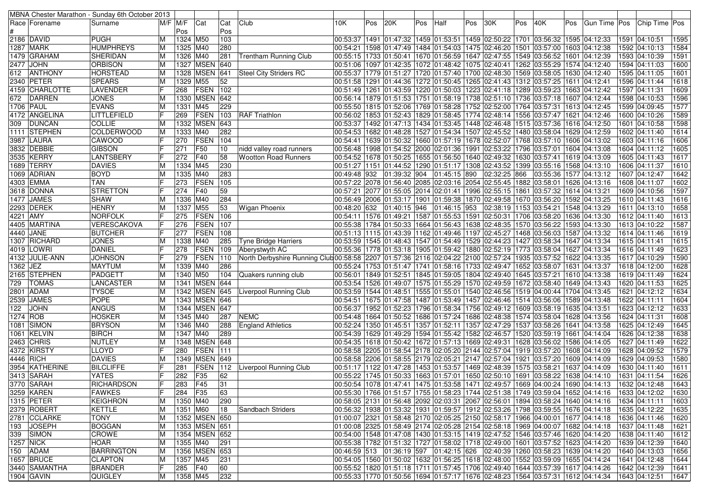| MBNA Chester Marathon - Sunday 6th October 2013 |                   |          |          |               |                 |                                                                                                              |              |     |                                                                          |     |              |     |                        |     |                                                                                                                                                                  |     |                                                                                                          |                 |              |
|-------------------------------------------------|-------------------|----------|----------|---------------|-----------------|--------------------------------------------------------------------------------------------------------------|--------------|-----|--------------------------------------------------------------------------|-----|--------------|-----|------------------------|-----|------------------------------------------------------------------------------------------------------------------------------------------------------------------|-----|----------------------------------------------------------------------------------------------------------|-----------------|--------------|
| Race Forename                                   | Surname           | M/F  M/F |          | Cat           | Cat             | Club                                                                                                         | 10K.         | Pos | 20K                                                                      | Pos | Half         | Pos | 30K                    | Pos | 40K                                                                                                                                                              | Pos | Gun Time   Pos                                                                                           | Chip Time   Pos |              |
|                                                 |                   |          | Pos      |               | Pos             |                                                                                                              |              |     |                                                                          |     |              |     |                        |     |                                                                                                                                                                  |     |                                                                                                          |                 |              |
| 2186 DAVID                                      | PUGH              | M        | 1324 M50 |               | 103             |                                                                                                              |              |     |                                                                          |     |              |     |                        |     | 00:53:37  1491  01:47:32  1459  01:53:51  1459  02:50:22  1701  03:56:32  1595  04:12:33                                                                         |     |                                                                                                          | 1591 04:10:51   | 1595         |
| 1287 MARK                                       | <b>HUMPHREYS</b>  |          | 1325 M40 |               | 280             |                                                                                                              |              |     |                                                                          |     |              |     |                        |     | 00:54:21  1598  01:47:49  1484  01:54:03  1475  02:46:20  1501  03:57:00  1603  04:12:38                                                                         |     |                                                                                                          | 1592 04:10:13   | 1584         |
| 1479 GRAHAM                                     | SHERIDAN          | м        | 1326 M40 |               | 281             | <b>Trentham Running Club</b>                                                                                 |              |     |                                                                          |     |              |     |                        |     | 00:55:15  1733  01:50:41  1670  01:56:59  1647  02:47:55  1549  03:56:52  1601  04:12:39                                                                         |     |                                                                                                          | 1593 04:10:39   | 1591         |
| 2477 JOHN                                       | <b>ORBISON</b>    | M        |          | 1327 MSEN 640 |                 |                                                                                                              |              |     |                                                                          |     |              |     |                        |     | 00:51:06   1097   01:42:35   1072   01:48:42   1075   02:40:41   1262   03:55:29   1574   04:12:40                                                               |     |                                                                                                          | 1594 04:11:03   | 1600         |
| ANTHONY<br>612                                  | <b>HORSTEAD</b>   | M        |          | 1328 MSEN 641 |                 | Steel City Striders RC                                                                                       |              |     |                                                                          |     |              |     |                        |     | 00:55:37  1779  01:51:27  1720  01:57:40  1700  02:48:30  1569  03:58:05  1630  04:12:40                                                                         |     |                                                                                                          | 1595 04:11:05   | 1601         |
| 2340 PETER                                      | <b>SPEARS</b>     |          | 1329 M55 |               | 52              |                                                                                                              |              |     |                                                                          |     |              |     |                        |     | 00:51:58  1291  01:44:36  1272  01:50:45  1265  02:41:43  1312  03:57:25  1611  04:12:41                                                                         |     |                                                                                                          | 1596 04:11:44   | 1618         |
| 4159 CHARLOTTE                                  | LAVENDER          |          | 268      | FSEN          | 102             |                                                                                                              |              |     | 00:51:49  1261  01:43:59  1220  01:50:03  1223  02:41:18  1289  03:59:23 |     |              |     |                        |     |                                                                                                                                                                  |     | 1663 04:12:42                                                                                            | 1597 04:11:31   | 1609         |
| 672<br><b>DARREN</b>                            | JONES             |          |          | 1330 MSEN 642 |                 |                                                                                                              |              |     |                                                                          |     |              |     |                        |     | 00:56:14  1879  01:51:53  1751  01:58:19  1738  02:51:10  1736  03:57:18  1607  04:12:44                                                                         |     |                                                                                                          | 1598 04:10:53   | 1596         |
| <b>1706 PAUL</b>                                | <b>EVANS</b>      |          | 1331 M45 |               | 229             |                                                                                                              |              |     | 00:55:50  1815  01:52:06  1769  01:58:28  1752  02:52:00  1764  03:57:31 |     |              |     |                        |     |                                                                                                                                                                  |     | 1613 04:12:45                                                                                            | 1599 04:09:45   | 1577         |
| 4172 ANGELINA                                   | LITTLEFIELD       |          | 269      | FSEN          | 103             | <b>RAF Triathlon</b>                                                                                         |              |     |                                                                          |     |              |     |                        |     | 00:56:02   1853   01:52:43   1829   01:58:45   1774   02:48:14   1556   03:57:47   1621   04:12:46                                                               |     |                                                                                                          | 1600 04:10:26   | 1589         |
| <b>DUNCAN</b><br>309                            | <b>COLLIE</b>     |          |          | 1332 MSEN 643 |                 |                                                                                                              |              |     |                                                                          |     |              |     |                        |     | 00:53:37  1492  01:47:13  1434  01:53:45  1448  02:46:48  1515  03:57:36  1616  04:12:50                                                                         |     |                                                                                                          | 1601 04:10:58   | 1598         |
| 1111 STEPHEN                                    | <b>COLDERWOOD</b> |          | 1333 M40 |               | 282             |                                                                                                              |              |     | 00:54:53   1682   01:48:28   1527   01:54:34   1507   02:45:52           |     |              |     |                        |     | 1480 03:58:04 1629 04:12:59                                                                                                                                      |     |                                                                                                          | 1602 04:11:40   | 1614         |
| 3987 LAURA                                      | CAWOOD            |          | 270      | FSEN          | 104             |                                                                                                              | 00:54:41     |     | 1639 01:50:32 1660 01:57:19 1678 02:52:07                                |     |              |     |                        |     | 1768 03:57:10 1606 04:13:02                                                                                                                                      |     |                                                                                                          | 1603 04:11:16   | 1606         |
| 3832 DEBBIE                                     | <b>GIBSON</b>     |          | 271      | F50           | 10              | nidd valley road runners                                                                                     |              |     |                                                                          |     |              |     |                        |     | 00:56:48  1998  01:54:52  2000  02:01:36  1991  02:53:22  1796  03:57:01  1604  04:13:08                                                                         |     |                                                                                                          | 1604 04:11:12   | 1605         |
| 3535 KERRY                                      | LANTSBERY         |          | 272      | F40           | 58              | <b>Wootton Road Runners</b>                                                                                  |              |     | 00:54:52  1678  01:50:25  1655  01:56:50  1640  02:49:32  1630  03:57:41 |     |              |     |                        |     |                                                                                                                                                                  |     | 1619 04:13:09                                                                                            | 1605 04:11:43   | 1617         |
| 1689 TERRY                                      | DAVIES            |          | 1334 M45 |               | 230             |                                                                                                              |              |     | 00:51:27 1151 01:44:52 1290 01:51:17 1308 02:43:52                       |     |              |     |                        |     | 1399 03:55:16   1568 04:13:10                                                                                                                                    |     |                                                                                                          | 1606 04:11:37   | 1610         |
| 1069 ADRIAN                                     | <b>BOYD</b>       |          | 1335 M40 |               | 283             |                                                                                                              | 00:49:48 932 |     | 01:39:32 904                                                             |     | 01:45:15 890 |     | 02:32:25 866           |     | 03:55:36 1577 04:13:12                                                                                                                                           |     |                                                                                                          | 1607 04:12:47   | 1642         |
| 4303 EMMA                                       | TAN               |          | 273      | FSEN          | 105             |                                                                                                              |              |     | 00:57:22 2078 01:56:40 2085 02:03:16 2054 02:55:45 1882 03:58:01         |     |              |     |                        |     |                                                                                                                                                                  |     | 1626 04:13:16                                                                                            | 1608 04:11:07   | 1602         |
| 3618   DONNA                                    | STRETTON          |          | 274      | <b>F40</b>    | 59              |                                                                                                              |              |     | 00:57:21 2077 01:55:05 2014 02:01:41 1996 02:55:15 1861                  |     |              |     |                        |     | 03:57:32 1614 04:13:21                                                                                                                                           |     |                                                                                                          | 1609 04:10:56   | 1597         |
| 1477 JAMES                                      | <b>SHAW</b>       |          | 1336 M40 |               | 284             |                                                                                                              |              |     | 00:56:49 2006 01:53:17 1901 01:59:38 1870 02:49:58                       |     |              |     |                        |     | 1670 03:56:20                                                                                                                                                    |     | 1592 04:13:25                                                                                            | 1610 04:11:43   | 1616         |
| 2293 DEREK                                      | <b>HENRY</b>      |          | 1337 M55 |               | 53              | <b>Wigan Phoenix</b>                                                                                         |              |     | 00:48:20 632 01:40:15 946                                                |     | 01:46:15 953 |     | 02:38:19 1153 03:54:21 |     |                                                                                                                                                                  |     | 1548 04:13:29                                                                                            | 1611 04:13:10   | 1658         |
| 4221 AMY                                        | NORFOLK           |          | 275      | FSEN          | 106             |                                                                                                              |              |     |                                                                          |     |              |     |                        |     | 00:54:11  1576  01:49:21  1587  01:55:53  1591  02:50:31  1706  03:58:20  1636  04:13:30                                                                         |     |                                                                                                          | 1612 04:11:40   | 1613         |
| 4405 MARTINA                                    | VERESCAKOVA       |          | 276      | FSEN          | 107             |                                                                                                              |              |     |                                                                          |     |              |     |                        |     | 00:55:38  1784  01:50:33  1664  01:56:43  1638  02:48:35  1570  03:56:22  1593  04:13:30                                                                         |     |                                                                                                          | 1613 04:10:22   | 1587         |
| 4440 JANE                                       | <b>BUTCHER</b>    |          | 277      | FSEN          | 108             |                                                                                                              |              |     |                                                                          |     |              |     |                        |     | 00:51:13 1115 01:43:39 1162 01:49:46 1197 02:45:27 1468 03:56:03 1587 04:13:32                                                                                   |     |                                                                                                          | 1614 04:11:46   | 1619         |
| 1307 RICHARD                                    | <b>JONES</b>      |          | 1338 M40 |               | 285             | <b>Tyne Bridge Harriers</b>                                                                                  |              |     | 00:53:59  1545  01:48:43  1547  01:54:49  1529  02:44:23                 |     |              |     |                        |     | 1427   03:58:34   1647   04:13:34                                                                                                                                |     |                                                                                                          | 1615 04:11:41   | 1615         |
| 4019 LOWRI                                      | <b>DANIEL</b>     |          | 278      | FSEN          | 109             | Aberystwyth AC                                                                                               |              |     | 00:55:36  1778  01:53:18  1905  01:59:42  1880  02:52:19  1773  03:58:04 |     |              |     |                        |     |                                                                                                                                                                  |     | 1627 04:13:34                                                                                            | 1616 04:11:49   | 1623         |
| 4132 JULIE-ANN                                  | <b>JOHNSON</b>    |          | 279      | FSEN          | 110             | North Derbyshire Running Club 00:58:58 2207 01:57:36 2116 02:04:22 2100 02:57:24 1935 03:57:52 1622 04:13:35 |              |     |                                                                          |     |              |     |                        |     |                                                                                                                                                                  |     |                                                                                                          | 1617 04:10:29   | 1590         |
| $1362$ JEZ                                      | <b>MAYTUM</b>     |          | 1339 M40 |               | 286             |                                                                                                              |              |     |                                                                          |     |              |     |                        |     | 04:13:37  20:55:24 1753   01:51:47   1741   01:58:16   1733   02:49:47   1652   03:58:07   1631   04:13:37                                                       |     |                                                                                                          | 1618 04:12:00   | 1628         |
| 2165 STEPHEN                                    | PADGETT           |          | 1340 M50 |               | 104             | Quakers running club                                                                                         | 00:56:01     |     | 1849 01:52:51  1845 01:59:05  1804 02:49:40  1645 03:57:21               |     |              |     |                        |     |                                                                                                                                                                  |     | 1610 04:13:38                                                                                            | 1619 04:11:49   | 1624         |
| <b>TOMAS</b><br>729                             | LANCASTER         |          |          | 1341 MSEN 644 |                 |                                                                                                              |              |     |                                                                          |     |              |     |                        |     | 00:53:54  1526  01:49:07  1575  01:55:29  1570  02:49:59  1672  03:58:40  1649  04:13:43                                                                         |     |                                                                                                          | 1620 04:11:53   | 1625         |
| 2801 ADAM                                       | <b>TYSOE</b>      |          |          | 1342 MSEN 645 |                 | Liverpool Running Club                                                                                       |              |     |                                                                          |     |              |     |                        |     | 00:53:59 1544 01:48:51 1555 01:55:01 1540 02:46:56 1519 04:00:44 1704 04:13:45                                                                                   |     |                                                                                                          | 1621 04:12:12   | 1634         |
| 2539 JAMES                                      | <b>POPE</b>       |          |          | 1343 MSEN 646 |                 |                                                                                                              |              |     | 00:54:51  1675  01:47:58  1487  01:53:49  1457  02:46:46                 |     |              |     |                        |     | 1514 03:56:06                                                                                                                                                    |     | 1589 04:13:48                                                                                            | 1622 04:11:11   | 1604         |
| 122<br><b>JOHN</b>                              | <b>ANGUS</b>      |          |          | 1344 MSEN 647 |                 |                                                                                                              |              |     |                                                                          |     |              |     |                        |     | 00:56:37  1952  01:52:23  1796  01:58:34  1756  02:49:12  1609  03:58:19  1635  04:13:51                                                                         |     |                                                                                                          | 1623 04:12:12   | 1633         |
| 1274 ROB                                        | <b>HOSKER</b>     |          | 1345 M40 |               | 287             | <b>NEMC</b>                                                                                                  |              |     |                                                                          |     |              |     |                        |     | 00:54:48  1664  01:50:52  1686  01:57:24  1686  02:48:38  1574  03:58:04  1628  04:13:56                                                                         |     |                                                                                                          | 1624 04:11:31   | 1608         |
| 1081 SIMON                                      | <b>BRYSON</b>     |          | 1346 M40 |               | 288             | England Athletics                                                                                            |              |     | 00:52:24  1350  01:45:51  1357  01:52:11  1357  02:47:29                 |     |              |     |                        |     | 1537 03:58:26 1641 04:13:58                                                                                                                                      |     |                                                                                                          | 1625 04:12:49   | 1645         |
| 1061 KELVIN                                     | <b>BIRCH</b>      |          | 1347 M40 |               | 289             |                                                                                                              |              |     |                                                                          |     |              |     |                        |     | 00:54:39 1661 04:14:04 01:55:42 1582 02:46:57 1520 03:59:19 1661 04:14:04                                                                                        |     |                                                                                                          | 1626 04:12:38   | 1638         |
| 2463 CHRIS                                      | NUTLEY            |          |          | 1348 MSEN 648 |                 |                                                                                                              |              |     |                                                                          |     |              |     |                        |     | 00:54:35 1618 01:50:42 1672 01:57:13 1669 02:49:31 1628 03:56:02 1586 04:14:05                                                                                   |     |                                                                                                          | 1627 04:11:49   | 1622         |
| 4372 KIRSTY                                     | LLOYD             |          | 280      | <b>FSEN</b>   | 111             |                                                                                                              |              |     | 00:58:58 2205 01:58:54 2178 02:05:20 2144 02:57:04                       |     |              |     |                        |     | 1919 03:57:20 1608 04:14:09                                                                                                                                      |     |                                                                                                          | 1628 04:09:52   | 1579         |
| 4446 RICH                                       | <b>DAVIES</b>     |          |          | 1349 MSEN 649 |                 |                                                                                                              |              |     |                                                                          |     |              |     |                        |     | 00:58:58 2206 01:58:55 2179 02:05:21 2147 02:57:04 1921 03:57:20 1609 04:14:09                                                                                   |     |                                                                                                          | 1629 04:09:53   | 1580         |
| 3954 KATHERINE                                  | <b>BILCLIFFE</b>  |          | 281      | FSEN          | 112             | Liverpool Running Club                                                                                       |              |     | 00:51:17  1122  01:47:28  1453  01:53:57  1469  02:48:39                 |     |              |     |                        |     | 1575 03:58:21                                                                                                                                                    |     | 1637 04:14:09                                                                                            | 1630 04:11:40   | 1611         |
| 3413 SARAH                                      | YATES             |          | 282      | <b>F35</b>    | 62              |                                                                                                              |              |     |                                                                          |     |              |     |                        |     | 00:55:22 1638 04:14:10 00:55:22 1638 01:57:01 1650 02:50:10 1691 03:58:22 1638 04:14:10                                                                          |     |                                                                                                          | 1631 04:11:54   | 1626         |
| 3770 SARAH                                      | RICHARDSON        | E.       | 283 F45  |               | 31              |                                                                                                              |              |     |                                                                          |     |              |     |                        |     |                                                                                                                                                                  |     | 00:50:54   1078 01:47:41   1475 01:53:58   1471 02:49:57   1669 04:00:24   1690 04:14:13   1632 04:12:48 |                 | 1643         |
| 3259 KAREN                                      | <b>FAWKES</b>     |          | 284 F35  |               | 63              |                                                                                                              |              |     |                                                                          |     |              |     |                        |     |                                                                                                                                                                  |     | 00:55:30 1766 01:51:57 1755 01:58:23 1744 02:51:38 1749 03:59:04 1652 04:14:16                           | 1633 04:12:02   | 1630         |
| 1315 PETER                                      | <b>KEIGHRON</b>   |          | 1350 M40 |               | 290             |                                                                                                              |              |     |                                                                          |     |              |     |                        |     |                                                                                                                                                                  |     | 00:58:05 2131 01:56:48 2092 02:03:31 2067 02:56:01 1894 03:58:24 1640 04:14:16                           | 1634 04:11:11   | 1603         |
| 2379 ROBERT                                     | KETTLE            | M        | 1351 M60 |               | 18              | Sandbach Striders                                                                                            |              |     |                                                                          |     |              |     |                        |     | 00:56:32  1938  01:53:32  1931  01:59:57  1912  02:53:26  1798  03:59:55  1676  04:14:18                                                                         |     |                                                                                                          | 1635 04:12:22   | 1635         |
| 2781 CCLARKE                                    | <b>TONY</b>       | M        |          | 1352 MSEN 650 |                 |                                                                                                              |              |     |                                                                          |     |              |     |                        |     | 01:00:07 2321 01:58:48 2170 02:05:25 2150 02:58:17 1966 04:00:01 1677 04:14:18                                                                                   |     |                                                                                                          | 1636 04:11:46   | 1620         |
| 193 JOSEPH                                      | <b>BOGGAN</b>     |          |          | 1353 MSEN 651 |                 |                                                                                                              |              |     |                                                                          |     |              |     |                        |     | 01:00:08 2325 01:58:49 2174 02:05:28 2154 02:58:18 1969 04:00:07 1682 04:14:18                                                                                   |     |                                                                                                          | 1637 04:11:48   | 1621         |
| 339 SIMON                                       | CROWE             | M        |          | 1354 MSEN 652 |                 |                                                                                                              |              |     |                                                                          |     |              |     |                        |     | 00:54:00 1548 01:47:08 1430 01:53:15 1419 02:47:52 1546 03:57:46 1620 04:14:20                                                                                   |     |                                                                                                          | 1638 04:11:40   | 1612         |
| 1257 NICK                                       | HOAR              | M        | 1355 M40 |               | 291             |                                                                                                              |              |     |                                                                          |     |              |     |                        |     | 00:55:38 1782 01:51:32 1727 01:58:02 1718 02:49:00 1601 03:57:52 1623 04:14:20                                                                                   |     |                                                                                                          | 1639 04:12:39   |              |
| 150 ADAM                                        | <b>BARRINGTON</b> |          |          |               |                 |                                                                                                              |              |     |                                                                          |     |              |     |                        |     | 00:46:59 513 01:36:19 597 01:42:15 626 02:40:39 1260 03:58:23 1639 04:14:20                                                                                      |     |                                                                                                          | 1640 04:13:03   | 1640         |
| 1657 BRUCE                                      | <b>CLAPTON</b>    | M        | 1357 M45 | 1356 MSEN 653 | 231             |                                                                                                              |              |     |                                                                          |     |              |     |                        |     |                                                                                                                                                                  |     |                                                                                                          | 1641 04:12:48   | 1656<br>1644 |
| 3440 SAMANTHA                                   |                   | M<br>IF. | 285 F40  |               | $\overline{60}$ |                                                                                                              |              |     |                                                                          |     |              |     |                        |     | 00:54:05 1560 01:50:02 1632 01:56:25 1618 02:48:00 1552 03:59:09 1655 04:14:24<br>00:55:52 1820 01:51:18 1711 01:57:45 1706 02:49:40 1644 03:57:39 1617 04:14:26 |     |                                                                                                          |                 |              |
|                                                 | <b>BRANDER</b>    |          |          |               |                 |                                                                                                              |              |     |                                                                          |     |              |     |                        |     |                                                                                                                                                                  |     |                                                                                                          | 1642 04:12:39   | 1641         |
| 1904 GAVIN                                      | <b>QUIGLEY</b>    | M        | 1358 M45 |               | 232             |                                                                                                              |              |     |                                                                          |     |              |     |                        |     | 00:55:33 1770 01:50:56 1694 01:57:17 1676 02:48:23 1564 03:57:31 1612 04:14:34                                                                                   |     |                                                                                                          | 1643 04:12:51   | 1647         |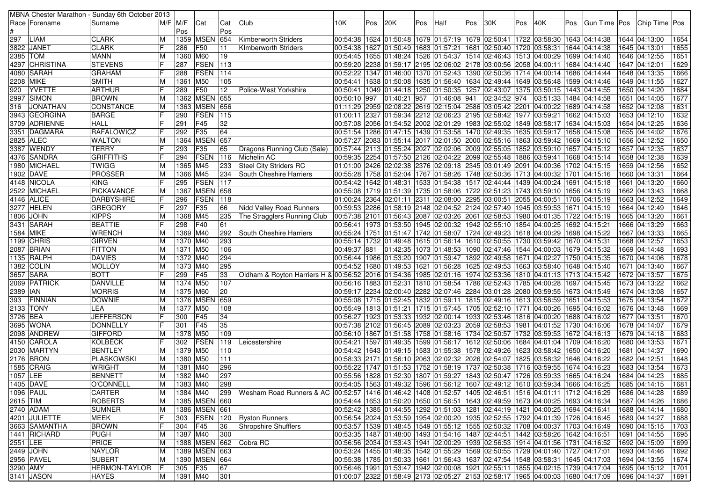|          |                 | MBNA Chester Marathon - Sunday 6th October 2013 |    |                    |                   |            |                                                                                                                                                                |                                                                                                    |     |              |     |              |     |              |     |                                                                     |     |              |               |      |
|----------|-----------------|-------------------------------------------------|----|--------------------|-------------------|------------|----------------------------------------------------------------------------------------------------------------------------------------------------------------|----------------------------------------------------------------------------------------------------|-----|--------------|-----|--------------|-----|--------------|-----|---------------------------------------------------------------------|-----|--------------|---------------|------|
|          | Race   Forename | Surname                                         |    | $M/F$ $M/F$<br>Pos | Cat               | Cat<br>Pos | Club                                                                                                                                                           | 10K.                                                                                               | Pos | 20K          | Pos | Half         | Pos | 30K          | Pos | 40K                                                                 | Pos | Gun Time Pos | Chip Time Pos |      |
| 297      | <b>LIAM</b>     | <b>CLARK</b>                                    | M  |                    | 1359 MSEN         | 654        | Kimberworth Striders                                                                                                                                           | 00:54:38 1624 01:50:48 1679 01:57:19 1679 02:50:41 1722 03:58:30 1643 04:14:38                     |     |              |     |              |     |              |     |                                                                     |     |              | 1644 04:13:00 | 1654 |
|          | 3822  JANET     | <b>CLARK</b>                                    | E  | 286                | F50               | 111        | <b>KImberworth Striders</b>                                                                                                                                    | 00:54:38  1627  01:50:49  1683  01:57:21  1681  02:50:40  1720  03:58:31  1644  04:14:38           |     |              |     |              |     |              |     |                                                                     |     |              | 1645 04:13:01 | 1655 |
| 2385 TOM |                 | <b>MANN</b>                                     | M  | 1360 M60           |                   | 19         |                                                                                                                                                                | 00:54:45   1655   01:48:24   1526   01:54:37   1514   02:46:43   1513   04:00:29   1699   04:14:40 |     |              |     |              |     |              |     |                                                                     |     |              | 1646 04:12:55 | 1651 |
|          | 4297 CHRISTINA  | <b>STEVENS</b>                                  | IF | 287                | <b>FSEN</b>       | 113        |                                                                                                                                                                | 00:59:20 2238 01:59:17 2195 02:06:02 2178 03:00:56 2058 04:00:11 1684 04:14:40                     |     |              |     |              |     |              |     |                                                                     |     |              | 1647 04:12:01 | 1629 |
|          | 4080 SARAH      | <b>GRAHAM</b>                                   |    | 288                | FSEN              | 114        |                                                                                                                                                                | 00:52:22   1347   01:46:00   1370   01:52:43   1390   02:50:36   1714   04:00:14   1686   04:14:44 |     |              |     |              |     |              |     |                                                                     |     |              | 1648 04:13:35 | 1666 |
|          | 2208 MIKE       | <b>SMITH</b>                                    | M  | 1361               | M50               | 105        |                                                                                                                                                                | 00:54:41  1638  01:50:08  1635  01:56:40  1634  02:49:44  1649  03:56:48  1599  04:14:46           |     |              |     |              |     |              |     |                                                                     |     |              | 1649 04:11:55 | 1627 |
| 920      | <b>YVETTE</b>   | <b>ARTHUR</b>                                   | IF | 289                | F50               | 12         | Police-West Yorkshire                                                                                                                                          | 00:50:41  1049  01:44:18  1250  01:50:35  1257  02:43:07  1375  03:50:15  1443  04:14:55           |     |              |     |              |     |              |     |                                                                     |     |              | 1650 04:14:20 | 1684 |
|          | 2997 SIMON      | <b>BROWN</b>                                    | M  |                    | 1362 MSEN 655     |            |                                                                                                                                                                | 00:50:10 997                                                                                       |     | 01:40:21 957 |     | 01:46:08 941 |     | 02:34:52 974 |     | 03:51:33 1484 04:14:58                                              |     |              | 1651 04:14:05 | 1677 |
| 316      | JONATHAN        | CONSTANCE                                       | M  |                    | 1363 MSEN 656     |            |                                                                                                                                                                | 01:11:29 2959 02:08:22 2619 02:15:04 2586 03:05:42 2201                                            |     |              |     |              |     |              |     | 04:00:22 1689 04:14:58                                              |     |              | 1652 04:12:08 | 1631 |
|          | 3943 GEORGINA   | <b>BARGE</b>                                    | IF | 290                | <b>FSEN</b>       | 115        |                                                                                                                                                                | 01:00:11 2327 01:59:34 2212 02:06:23 2195 02:58:42 1977 03:59:21 1662 04:15:03                     |     |              |     |              |     |              |     |                                                                     |     |              | 1653 04:12:10 | 1632 |
|          | 3709  ADRIENNE  | <b>HALL</b>                                     |    | 291                | F45               | 32         |                                                                                                                                                                | 00:57:08 2056 01:54:52 2002 02:01:29 1983 02:55:02 1849 03:58:17 1634 04:15:03 ا                   |     |              |     |              |     |              |     |                                                                     |     |              | 1654 04:12:25 | 1636 |
|          | 3351  DAGMARA   | <b>RAFALOWICZ</b>                               | IF | 292                | F35               | 64         |                                                                                                                                                                | 00:51:54  1286  01:47:15  1439  01:53:58  1470  02:49:35  1635  03:59:17  1658  04:15:08           |     |              |     |              |     |              |     |                                                                     |     |              | 1655 04:14:02 | 1676 |
|          | 2825 ALEC       | <b>WALTON</b>                                   | M  |                    | 1364 MSEN         | 657        |                                                                                                                                                                | 00:57:27  2083  01:55:14  2017  02:01:50  2000  02:55:16  1863  03:59:42  1669  04:15:10           |     |              |     |              |     |              |     |                                                                     |     |              | 1656 04:12:52 | 1650 |
|          | 3387  WENDY     | <b>TERRY</b>                                    |    | 293                | F35               | 65         | Dragons Running Club (Sale)                                                                                                                                    | 00:57:44 2113 01:55:24 2027 02:02:06 2009 02:55:05 1852 03:59:10 1657 04:15:12                     |     |              |     |              |     |              |     |                                                                     |     |              | 1657 04:12:35 | 1637 |
|          | 4376 SANDRA     | <b>GRIFFITHS</b>                                |    | 294                | <b>FSEN</b>       | 116        | Michelin AC                                                                                                                                                    | 00:59:35  2254  01:57:50  2126  02:04:22  2099  02:55:48  1886  03:59:41  1668  04:15:14           |     |              |     |              |     |              |     |                                                                     |     |              | 1658 04:12:38 | 1639 |
|          | 1980  MICHAEL   | <b>TWIGG</b>                                    | M  | 1365               | M45               | 233        | <b>Steel City Striders RC</b>                                                                                                                                  | 01:01:00 2426 02:02:38 2376 02:09:18 2345 03:01:49 2091 04:00:36 1702 04:15:15 01:00               |     |              |     |              |     |              |     |                                                                     |     |              | 1659 04:12:56 | 1652 |
|          | 1902 DAVE       | <b>PROSSER</b>                                  | M  | 1366               | M45               | 234        | South Cheshire Harriers                                                                                                                                        | 00:55:28  1758  01:52:04  1767  01:58:26  1748  02:50:36  1713  04:00:32  1701  04:15:16           |     |              |     |              |     |              |     |                                                                     |     |              | 1660 04:13:31 | 1664 |
|          | 4148 NICOLA     | <b>KING</b>                                     |    | 295                | FSEN              | 117        |                                                                                                                                                                | 00:54:42  1642  01:48:31  1533  01:54:38  1517  02:44:44  1439  04:00:24  1691  04:15:18           |     |              |     |              |     |              |     |                                                                     |     |              | 1661 04:13:20 | 1660 |
|          | 2522 MICHAEL    | PICKAVANCE                                      | M  |                    | 1367 MSEN         | 658        |                                                                                                                                                                | 00:55:08  1719  01:51:39  1735  01:58:06  1722  02:51:23  1743  03:59:10  1656  04:15:19           |     |              |     |              |     |              |     |                                                                     |     |              | 1662 04:13:43 | 1668 |
|          | 4146 ALICE      | <b>DARBYSHIRE</b>                               | IF | 296                | <b>FSEN</b>       | 118        |                                                                                                                                                                | 01:00:24 2364 02:01:11 2311 02:08:00 2295 03:00:51 2055 04:00:51 1706 04:15:19                     |     |              |     |              |     |              |     |                                                                     |     |              | 1663 04:12:52 | 1649 |
|          | 3277 HELEN      | <b>GREGORY</b>                                  | F  | 297                | F35               | 66         | <b>Nidd Valley Road Runners</b>                                                                                                                                | 00:59:53  2286  01:58:19  2148  02:04:52  2124  02:57:49  1945  03:59:53  1671  04:15:19           |     |              |     |              |     |              |     |                                                                     |     |              | 1664 04:12:49 | 1646 |
|          | 1806 JOHN       | <b>KIPPS</b>                                    | M  | 1368 M45           |                   | 235        | The Stragglers Running Club                                                                                                                                    | 00:57:38  2101  01:56:43  2087  02:03:26  2061  02:58:53  1980  04:01:35  1722  04:15:19           |     |              |     |              |     |              |     |                                                                     |     |              | 1665 04:13:20 | 1661 |
|          | 3431 SARAH      | <b>BEATTIE</b>                                  |    | 298                | F40               | 61         |                                                                                                                                                                | 00:56:41  1973  01:53:50  1945  02:00:32  1942  02:55:10  1854  04:00:25  1692  04:15:21           |     |              |     |              |     |              |     |                                                                     |     |              | 1666 04:13:29 | 1663 |
|          | 1584 MIKE       | <b>WRENCH</b>                                   | M  | 1369 M40           |                   | 292        | South Cheshire Harriers                                                                                                                                        | 00:55:24 1751 01:51:47 1742 01:58:07 1724 02:49:23 1618 04:00:29 1698 04:15:22                     |     |              |     |              |     |              |     |                                                                     |     |              | 1667 04:13:33 | 1665 |
|          | 1199   CHRIS    | <b>GIRVEN</b>                                   | M  | 1370 M40           |                   | 293        |                                                                                                                                                                | 00:55:14  1732  01:49:48  1615  01:56:14  1610  02:50:55  1730  03:59:42  1670  04:15:31           |     |              |     |              |     |              |     |                                                                     |     |              | 1668 04:12:57 | 1653 |
|          | 2087 BRIAN      | <b>FITTON</b>                                   | M  | 1371 M50           |                   | 106        |                                                                                                                                                                | 00:49:37 881                                                                                       |     |              |     |              |     |              |     | $ 01:42:35 1073 01:48:53 1090 02:47:46 1544 04:00:03 1679 04:15:32$ |     |              | 1669 04:14:48 | 1693 |
|          | 1135 RALPH      | <b>DAVIES</b>                                   | M  | 1372 M40           |                   | 294        |                                                                                                                                                                | 00:56:44  1986  01:53:20  1907  01:59:47  1892  02:49:58  1671  04:02:27  1750  04:15:35           |     |              |     |              |     |              |     |                                                                     |     |              | 1670 04:14:06 | 1678 |
|          | 1382   COLIN    | MOLLOY                                          | M  | 1373 M40           |                   | 295        |                                                                                                                                                                | 00:54:52  1680  01:49:53  1621  01:56:28  1625  02:49:53  1663  03:58:40  1648  04:15:40           |     |              |     |              |     |              |     |                                                                     |     |              | 1671 04:13:40 | 1667 |
|          | 3657 SARA       | <b>BOTT</b>                                     | IF | 299                | F45               | 33         | 24:15:42 02:53:36   1810 04:01:13   1713 04:15:42 02:50   1976 05:56   10:54:36   184:6   185   02:01:16   1974   02:53:36   1810   04:01:13   1713   04:15:42 |                                                                                                    |     |              |     |              |     |              |     |                                                                     |     |              | 1672 04:13:57 | 1675 |
|          | 2069 PATRICK    | DANVILLE                                        | M  | 1374 M50           |                   | 107        |                                                                                                                                                                | 00:56:16  1883  01:52:31  1810  01:58:54  1786  02:52:43  1785  04:00:28  1697  04:15:45           |     |              |     |              |     |              |     |                                                                     |     |              | 1673 04:13:22 | 1662 |
| 2389 IAN |                 | <b>MORRIS</b>                                   | M  | 1375 M60           |                   | 20         |                                                                                                                                                                | 00:59:17  2234  02:00:40  2282  02:07:46  2284  03:01:28  2080  03:59:55  1673  04:15:49           |     |              |     |              |     |              |     |                                                                     |     |              | 1674 04:13:08 | 1657 |
| 393      | FINNIAN         | <b>DOWNIE</b>                                   | M  |                    | 1376 MSEN         | 659        |                                                                                                                                                                | 00:55:08 1651 04:15:53 05:58 1613 05:58 16 1613 02:49:16 1613 03:58:59 1651 04:15:53               |     |              |     |              |     |              |     |                                                                     |     |              | 1675 04:13:54 | 1672 |
|          | 2133   TONY     | LEA                                             | M  | 1377 M50           |                   | 108        |                                                                                                                                                                | 00:55:49  1813  01:51:21  1715  01:57:45  1705  02:52:10  1771  04:00:26  1695  04:16:02           |     |              |     |              |     |              |     |                                                                     |     |              | 1676 04:13:48 | 1669 |
| 3726 BEA |                 | <b>JEFFERSON</b>                                | IF | 300                | F45               | 34         |                                                                                                                                                                | 00:56:27   1923   01:53:33   1932   02:00:14   1933   02:53:46   1816   04:00:20   1688   04:16:02 |     |              |     |              |     |              |     |                                                                     |     |              | 1677 04:13:51 | 1670 |
|          | 3695 WONA       | DONNELLY                                        | IF | 301                | F45               | 35         |                                                                                                                                                                | 00:57:38  2102  01:56:45  2089  02:03:23  2059  02:58:53  1981  04:01:52  1730  04:16:06           |     |              |     |              |     |              |     |                                                                     |     |              | 1678 04:14:07 | 1679 |
|          | 2098  ANDREW    | <b>GIFFORD</b>                                  | ΙM | 1378 M50           |                   | 109        |                                                                                                                                                                | 00:56:10  1867  01:51:58  1758  01:58:16  1734  02:50:57  1732  03:59:53  1672  04:16:13           |     |              |     |              |     |              |     |                                                                     |     |              | 1679 04:14:18 | 1683 |
|          | 4150 CAROLA     | <b>KOLBECK</b>                                  | IF | 302                | FSEN              | 119        | Leicestershire                                                                                                                                                 | 00:54:21  1597  01:49:35  1599  01:56:17  1612  02:50:06  1684  04:01:04  1709  04:16:20           |     |              |     |              |     |              |     |                                                                     |     |              | 1680 04:13:53 | 1671 |
|          | 2030 MARTYN     | <b>BENTLEY</b>                                  | M  | 1379 M50           |                   | 110        |                                                                                                                                                                | 00:54:42   1643   01:49:15   1583   01:55:38   1578   02:49:26   1623   03:58:42   1650   04:16:20 |     |              |     |              |     |              |     |                                                                     |     |              | 1681 04:14:37 | 1690 |
|          | 2176 BRON       | PLASKOWSKI                                      | M  | 1380 M50           |                   | 111        |                                                                                                                                                                | 00:58:33  2171  01:56:10  2063  02:02:32  2026  02:54:07  1825  03:58:32  1646  04:16:22           |     |              |     |              |     |              |     |                                                                     |     |              | 1682 04:12:51 | 1648 |
|          | 1585 CRAIG      | <b>WRIGHT</b>                                   | M  | 1381   M40         |                   | 296        |                                                                                                                                                                | 00:55:22   1747   01:51:53   1752   01:58:19   1737   02:50:38   1716   03:59:55   1674   04:16:23 |     |              |     |              |     |              |     |                                                                     |     |              | 1683 04:13:54 | 1673 |
| 1057 LEE |                 | <b>BENNETT</b>                                  | M  | 1382 M40           |                   | 297        |                                                                                                                                                                | 00:55:56  1828  01:52:30  1807  01:59:27  1843  02:50:47  1726  03:59:33  1665  04:16:24           |     |              |     |              |     |              |     |                                                                     |     |              | 1684 04:14:23 | 1685 |
|          | 1405 DAVE       | <b>O'CONNELL</b>                                | M  | 1383 M40           |                   | 298        |                                                                                                                                                                | 00:54:05 1563 01:49:32 1596 01:56:12 1607 02:49:12 1610 03:59:34 1666 04:16:25 1685 04:14:15       |     |              |     |              |     |              |     |                                                                     |     |              |               | 1681 |
|          | 1096 PAUL       | CARTER                                          | M  | 1384 M40           |                   |            | 299   Wesham Road Runners & AC   00:52:57   1416   01:46:42   1408   01:52:57   1405   02:46:51   1516   04:01:11   1712   04:16:29                            |                                                                                                    |     |              |     |              |     |              |     |                                                                     |     |              | 1686 04:14:28 | 1689 |
| 2615 TIM |                 | ROBERTS                                         | M  |                    | 1385   MSEN   660 |            |                                                                                                                                                                | 00:54:44  1653  01:50:20  1650  01:56:51  1643  02:49:59  1673  04:00:25  1693  04:16:34           |     |              |     |              |     |              |     |                                                                     |     |              | 1687 04:14:26 | 1686 |
|          | 2740 ADAM       | <b>SUMNER</b>                                   | M  |                    | 1386 MSEN 661     |            |                                                                                                                                                                | 00:52:42  1385  01:44:55  1292  01:51:03  1281  02:44:19  1421  04:00:25  1694  04:16:41           |     |              |     |              |     |              |     |                                                                     |     |              | 1688 04:14:14 | 1680 |
|          | 4201 JULIETTE   | <b>MEEK</b>                                     | F  |                    |                   |            | 303   FSEN   120   Ryston Runners                                                                                                                              | 00:56:54 2024 01:53:59 1954 02:00:20 1935 02:52:55 1792 04:01:39 1726 04:16:45                     |     |              |     |              |     |              |     |                                                                     |     |              | 1689 04:14:27 | 1688 |
|          | 3663 SAMANTHA   | <b>BROWN</b>                                    | IF | 304 F45            |                   | 36         | <b>Shropshire Shufflers</b>                                                                                                                                    | 00:53:57  1539  01:48:45  1549  01:55:12  1555  02:50:32  1708  04:00:37  1703  04:16:49           |     |              |     |              |     |              |     |                                                                     |     |              | 1690 04:15:15 | 1703 |
|          | 1441 RICHARD    | <b>PUGH</b>                                     | M  | 1387 M40           |                   | 300        |                                                                                                                                                                | 00:53:35  1487  01:48:00  1493  01:54:16  1487  02:44:51  1442  03:58:26  1642  04:16:51           |     |              |     |              |     |              |     |                                                                     |     |              | 1691 04:14:55 | 1695 |
| 2551 LEE |                 | <b>PRICE</b>                                    | M  |                    |                   |            | 1388   MSEN 662 Cobra RC                                                                                                                                       | 00:56:56 2034 01:53:43 1941 02:00:29 1939 02:56:53 1914 04:01:56 1731 04:16:52                     |     |              |     |              |     |              |     |                                                                     |     |              | 1692 04:15:09 | 1699 |
|          | 2449 JOHN       | <b>NAYLOR</b>                                   | M  |                    | 1389 MSEN 663     |            |                                                                                                                                                                | 00:53:24  1455  01:48:35  1542  01:55:29  1569  02:50:55  1729  04:01:40  1727  04:17:01           |     |              |     |              |     |              |     |                                                                     |     |              | 1693 04:14:46 | 1692 |
|          | 2956 PAVEL      | <b>SUBERT</b>                                   | M  |                    | 1390 MSEN 664     |            |                                                                                                                                                                | 00:55:38 1785 01:50:33 1661 01:56:43 1637 02:47:54 1548 03:58:31 1645 04:17:03                     |     |              |     |              |     |              |     |                                                                     |     |              | 1694 04:13:55 | 1674 |
| 3290 AMY |                 | <b>HERMON-TAYLOR</b>                            | IF | 305 F35            |                   | 67         |                                                                                                                                                                | 00:56:46 1991 01:53:47 1942 02:00:08 1921 02:55:11 1855 04:02:15 1739 04:17:04                     |     |              |     |              |     |              |     |                                                                     |     |              | 1695 04:15:12 | 1701 |
|          | 3141 JASON      | <b>HAYES</b>                                    | M  | 1391 M40           |                   | 301        |                                                                                                                                                                | 01:00:07 2322 01:58:49 2173 02:05:27 2153 02:58:17 1965 04:00:03 1680 04:17:09                     |     |              |     |              |     |              |     |                                                                     |     |              | 1696 04:14:37 | 1691 |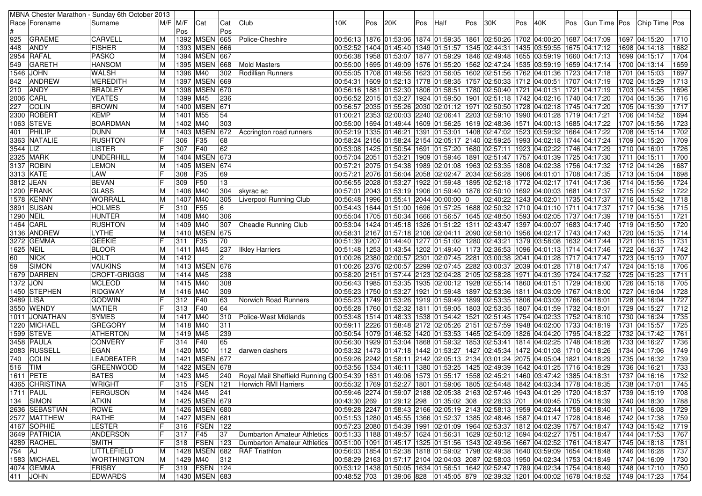|            |                              | MBNA Chester Marathon - Sunday 6th October 2013 |             |             |                                |              |                                                                                                                  |                        |     |     |     |                                                          |     |                                                                                          |     |                                   |     |                                                                                                          |      |                                |              |
|------------|------------------------------|-------------------------------------------------|-------------|-------------|--------------------------------|--------------|------------------------------------------------------------------------------------------------------------------|------------------------|-----|-----|-----|----------------------------------------------------------|-----|------------------------------------------------------------------------------------------|-----|-----------------------------------|-----|----------------------------------------------------------------------------------------------------------|------|--------------------------------|--------------|
|            | Race   Forename              | Surname                                         |             | $M/F$ $M/F$ | Cat                            | Cat          | Club                                                                                                             | 10K                    | Pos | 20K | Pos | Half                                                     | Pos | 30K                                                                                      | Pos | 40K                               | Pos | Gun Time   Pos                                                                                           |      | Chip Time Pos                  |              |
|            |                              |                                                 |             | Pos         |                                | Pos          |                                                                                                                  |                        |     |     |     |                                                          |     |                                                                                          |     |                                   |     |                                                                                                          |      |                                |              |
| 925        | <b>GRAEME</b>                | <b>CARVELL</b>                                  | ΙM          |             | 1392 MSEN                      | 665          | Police-Cheshire                                                                                                  |                        |     |     |     |                                                          |     | 00:56:13  1876  01:53:06  1874  01:59:35  1861  02:50:26  1702  04:00:20  1687  04:17:09 |     |                                   |     |                                                                                                          |      | 1697 04:15:20                  | 1710         |
| 448        | <b>ANDY</b>                  | <b>FISHER</b>                                   | IМ          |             | 1393 MSEN 666                  |              |                                                                                                                  |                        |     |     |     | 00:52:52 1404 01:45:40 1349 01:51:57 1345 02:44:31       |     |                                                                                          |     | 1435 03:59:55 1675 04:17:12       |     |                                                                                                          |      | 1698 04:14:18                  | 1682         |
|            | 2954   RAFAL                 | <b>PASKO</b>                                    | ΙM          |             | 1394 MSEN 667                  |              |                                                                                                                  |                        |     |     |     |                                                          |     | 00:56:38  1958  01:53:07  1877  01:59:29  1846  02:49:48                                 |     | 1655  03:59:19  1660  04:17:13    |     |                                                                                                          |      | 1699 04:15:17                  | 1704         |
| 549        | <b>GARETH</b>                | <b>HANSOM</b>                                   | ΙM          | 1395        | <b>MSEN 668</b>                |              | <b>Mold Masters</b>                                                                                              |                        |     |     |     |                                                          |     | 00:55:00 1695 01:49:09 1576 01:55:20 1562 02:47:24                                       |     | 1535 03:59:19   1659 04:17:14     |     |                                                                                                          |      | 1700 04:13:14                  | 1659         |
| 1546       | <b>JOHN</b>                  | <b>WALSH</b>                                    | IМ          | 1396        | M40                            | 302          | <b>Rodillian Runners</b>                                                                                         |                        |     |     |     |                                                          |     | 00:55:05 1708 01:49:56 1623 01:56:05 1602 02:51:56                                       |     | 1762 04:01:36 1723 04:17:18       |     |                                                                                                          | 1701 | 04:15:03                       | 1697         |
| 842        | <b>ANDREW</b>                | MEREDITH                                        | ΙM          |             | 1397 MSEN 669                  |              |                                                                                                                  |                        |     |     |     |                                                          |     | 00:54:31  1609  01:52:13  1778  01:58:35  1757  02:50:33                                 |     | 1712 04:00:51  1707 04:17:19      |     |                                                                                                          |      | 1702 04:15:29                  | 1713         |
| 210        | <b>ANDY</b>                  | <b>BRADLEY</b>                                  | ΙM          |             | 1398 MSEN 670                  |              |                                                                                                                  |                        |     |     |     | 00:56:16  1881  01:52:30  1806  01:58:51  1780  02:50:40 |     |                                                                                          |     | 1721 04:01:31 1721 04:17:19       |     |                                                                                                          |      | 1703 04:14:55                  | 1696         |
|            | 2006 CARL                    | <b>YEATES</b>                                   | ΙM          | 1399 M45    |                                | 236          |                                                                                                                  |                        |     |     |     |                                                          |     | 00:56:52 2015 01:53:27 1924 01:59:50 1901 02:51:18                                       |     | 1742   04:02:16   1740   04:17:20 |     |                                                                                                          |      | 1704 04:15:36                  | 1716         |
| 227        | <b>COLIN</b>                 | <b>BROWN</b>                                    | ΙM          |             | 1400 MSEN                      | 671          |                                                                                                                  |                        |     |     |     |                                                          |     | 00:56:57 2035 01:55:26 2030 02:01:12 1971 02:50:50                                       |     | 1728 04:02:18 1745 04:17:20       |     |                                                                                                          |      | 1705 04:15:39                  | 1717         |
|            | 2300 ROBERT                  | <b>KEMP</b>                                     | ΙM          | 1401        | M55                            | 54           |                                                                                                                  |                        |     |     |     | 01:00:21 2353 02:00:03 2240 02:06:41 2203 02:59:10       |     |                                                                                          |     | 1990 04:01:28 1719 04:17:21       |     |                                                                                                          |      | 1706 04:14:52                  | 1694         |
|            | 1063 STEVE                   | <b>BOARDMAN</b>                                 | ΙM          | 1402 M40    |                                | 303          |                                                                                                                  |                        |     |     |     | 00:55:00 1694 01:49:44 1609 01:56:25 1619 02:48:36       |     |                                                                                          |     | 1571 04:00:13 1685 04:17:22       |     |                                                                                                          |      | 1707 04:15:56                  | 1723         |
| 401        | PHILIP                       | <b>DUNN</b>                                     | IМ          |             | 1403 MSEN                      | 672          | Accrington road runners                                                                                          |                        |     |     |     | 00:52:19 1335 01:46:21 1391 01:53:01 1408 02:47:02       |     |                                                                                          |     | 1523 03:59:32 1664 04:17:22       |     |                                                                                                          |      | 1708 04:15:14                  | 1702         |
|            | 3363 NATALIE                 | <b>RUSHTON</b>                                  | IF          | 306         | F35                            | 68           |                                                                                                                  |                        |     |     |     | 00:58:24 2156 01:58:24 2154 02:05:17 2140 02:59:25       |     |                                                                                          |     | 1993 04:02:18 1744 04:17:24       |     |                                                                                                          |      | 1709 04:15:20                  | 1709         |
| 3544 LIZ   |                              | <b>LISTER</b>                                   |             | 307         | F40                            | 62           |                                                                                                                  |                        |     |     |     | 00:53:08 1425 01:50:54 1691 01:57:20 1680 02:57:11       |     |                                                                                          |     | 1923 04:02:22 1746 04:17:29       |     |                                                                                                          |      | 1710 04:16:01                  | 1726         |
|            | 2325  MARK                   | <b>UNDERHILL</b>                                | ΙM          |             | 1404 MSEN                      | 673          |                                                                                                                  |                        |     |     |     |                                                          |     | 00:57:04  2051  01:53:21  1909  01:59:46  1891  02:51:47  1757  04:01:39  1725  04:17:30 |     |                                   |     |                                                                                                          |      | 1711 04:15:11                  | 1700         |
|            | 3137 ROBIN                   | <b>LEMON</b>                                    | ΙM          |             | 1405   MSEN                    | 674          |                                                                                                                  |                        |     |     |     |                                                          |     | 00:57:21 2075 01:54:38 1989 02:01:08 1963 02:53:35                                       |     | 1808 04:02:38 1756 04:17:32       |     |                                                                                                          |      | 1712 04:14:26                  | 1687         |
|            | 3313 KATE                    | LAW                                             |             | 308         | F35                            | 69           |                                                                                                                  |                        |     |     |     | 00:57:21 2076 01:56:04 2058 02:02:47 2034 02:56:28       |     |                                                                                          |     | 1906 04:01:01 1708 04:17:35       |     |                                                                                                          |      | 1713 04:15:04                  | 1698         |
|            | 3812 JEAN                    | <b>BEVAN</b>                                    | IF          | 309         | F50                            | 13           |                                                                                                                  |                        |     |     |     | 00:56:55 2028 01:53:27 1922 01:59:48 1895 02:52:18       |     |                                                                                          |     | 1772 04:02:17 1741 04:17:36       |     |                                                                                                          |      | 1714 04:15:56                  | 1724         |
|            | 1200 IFRANK                  | <b>GLASS</b>                                    | M           | 1406        | M40                            | 304          | skyrac ac                                                                                                        | 00:57:01 2043 01:53:19 |     |     |     | 1906 01:59:40 1876 02:50:10                              |     |                                                                                          |     | 1692 04:00:03 1681 04:17:37       |     |                                                                                                          |      | 1715 04:15:52                  | 1722         |
|            | 1578 KENNY                   | <b>WORRALL</b>                                  | IМ          | 1407 M40    |                                | 305          | Liverpool Running Club                                                                                           |                        |     |     |     | 00:56:48 1996 01:55:41 2044 00:00:00 0                   |     | 02:40:22                                                                                 |     | 1243 04:02:01 1735 04:17:37       |     |                                                                                                          |      | 1716 04:15:42                  | 1718         |
|            | 3891 SUSAN                   | <b>HOLMES</b>                                   |             | 310         | <b>F55</b>                     | 6            |                                                                                                                  |                        |     |     |     | 00:54:43  1644  01:51:00  1696  01:57:25  1688  02:50:32 |     |                                                                                          |     | 1710  04:01:10  1711  04:17:37    |     |                                                                                                          |      | 1717 04:15:36                  | 1715         |
| 1290  NEIL |                              | <b>HUNTER</b>                                   | ΙM          | 1408 M40    |                                | 306          |                                                                                                                  |                        |     |     |     |                                                          |     | 00:55:04 1705 01:50:34 1666 01:56:57 1645 02:48:50                                       |     | 1593 04:02:05  1737 04:17:39      |     |                                                                                                          |      | 1718 04:15:51                  | 1721         |
|            | 1464 CARL                    | <b>RUSHTON</b>                                  | ΙM          | 1409 M40    |                                | 307          | Cheadle Running Club                                                                                             |                        |     |     |     |                                                          |     | 04:17:40 0.53:04 1424 01:45:18 1326 01:51:22 1311 02:43:47 1397 04:00:07 1683 04:17:40   |     |                                   |     |                                                                                                          |      | 1719 04:15:50                  | 1720         |
|            | 3136 ANDREW                  | <b>LYTHE</b>                                    | ΙM          |             | 1410 MSEN                      | 675          |                                                                                                                  |                        |     |     |     |                                                          |     | 00:58:31 2167 01:57:18 2106 02:04:11 2090 02:58:10                                       |     | 1956 04:02:17   1743 04:17:43     |     |                                                                                                          |      | 1720 04:15:35                  | 1714         |
|            | 3272 GEMMA                   | <b>GEEKIE</b>                                   | IF          | 311         | F35                            | 70           |                                                                                                                  |                        |     |     |     | 00:51:39 1207 01:44:40 1277 01:51:02 1280 02:43:21       |     |                                                                                          |     | 1379 03:58:08 1632 04:17:44       |     |                                                                                                          | 1721 | 04:16:15                       | 1731         |
| 1625 NEIL  |                              | <b>BLOOR</b>                                    | ΙM          | 1411 M45    |                                | 237          | Ilkley Harriers                                                                                                  |                        |     |     |     |                                                          |     | 00:51:48  1253  01:43:54  1202  01:49:40  1173  02:36:53                                 |     | 1096 04:01:13 1714 04:17:46       |     |                                                                                                          |      | 1722 04:16:37                  | 1742         |
| 60         | <b>NICK</b>                  | <b>HOLT</b>                                     | ΙM          | 1412        |                                | $\mathbf{2}$ |                                                                                                                  |                        |     |     |     |                                                          |     | 00:26 2380 02:00:57 2301 02:07:45 2281 03:00:38 2041 04:01:28 1717 04:17:47              |     |                                   |     |                                                                                                          |      | 1723 04:15:19                  | 1707         |
| 59         | <b>SIMON</b>                 | <b>VAUKINS</b>                                  | ΙM          |             | 1413 MSEN 676                  |              |                                                                                                                  |                        |     |     |     |                                                          |     | 00:26 2376 02:00:57 2299 02:07:45 2282 03:00:37 2039 04:01:28 1718 04:17:47 0.           |     |                                   |     |                                                                                                          |      | 1724 04:15:18                  | 1706         |
|            | 1679 DARREN                  | CROFT-GRIGGS                                    | IМ          | 1414 M45    |                                | 238          |                                                                                                                  |                        |     |     |     |                                                          |     | 00:58:20 2151 01:57:44 2123 02:04:28 2105 02:58:28                                       |     | 1971   04:01:39   1724   04:17:52 |     |                                                                                                          |      | 1725 04:15:23                  | 1711         |
| 1372       | <b>JON</b>                   | <b>MCLEOD</b>                                   | ΙM          | 1415 M40    |                                | 308          |                                                                                                                  |                        |     |     |     |                                                          |     | 00:56:43  1985  01:53:35  1935  02:00:12  1928  02:55:14  1860  04:01:51  1729  04:18:00 |     |                                   |     |                                                                                                          |      | 1726 04:15:18                  | 1705         |
|            | 1450  STEPHEN                | <b>RIDGWAY</b>                                  | ΙM          | 1416 M40    |                                | 309          |                                                                                                                  |                        |     |     |     |                                                          |     | 00:55:23  1750  01:53:27  1921  01:59:48  1897  02:53:36                                 |     | 1811 04:03:09 1767 04:18:00       |     |                                                                                                          |      | 1727 04:16:04                  | 1728         |
| 3489 LISA  |                              | <b>GODWIN</b>                                   |             | 312         | F40                            | 63           | Norwich Road Runners                                                                                             |                        |     |     |     | 00:55:23  1749  01:53:26  1919  01:59:49  1899  02:53:35 |     |                                                                                          |     | 1806 04:03:09 1766 04:18:01       |     |                                                                                                          |      | 1728 04:16:04                  | 1727         |
|            | 3550 WENDY                   | <b>MATIER</b>                                   |             | 313         | F40                            | 64           |                                                                                                                  |                        |     |     |     |                                                          |     | 00:55:28  1760  01:52:32  1811  01:59:05  1803  02:53:35                                 |     | 1807   04:01:59   1732   04:18:01 |     |                                                                                                          |      | 1729 04:15:27                  | 1712         |
|            | 1011  JONATHAN               | <b>SYMES</b>                                    | IМ          | 1417 M40    |                                | 310          | Police-West Midlands                                                                                             |                        |     |     |     |                                                          |     | 00:53:48  1514  01:48:33  1538  01:54:42  1521  02:51:45                                 |     | 1754 04:02:33 1752 04:18:10       |     |                                                                                                          |      | 1730 04:16:24                  | 1735         |
|            | 1220 MICHAEL                 | GREGORY                                         | ΙM          | 1418 M40    |                                | 311          |                                                                                                                  |                        |     |     |     | 00:59:11 2226 01:58:48 2172 02:05:26 2151 02:57:59       |     |                                                                                          |     | 1948  04:02:00  1733  04:18:19    |     |                                                                                                          |      | 1731 04:15:57                  | 1725         |
|            | 1599 STEVE                   | <b>ATHERTON</b>                                 | ΙM          | 1419 M45    |                                | 239          |                                                                                                                  |                        |     |     |     |                                                          |     | 00:50:54  1079  01:46:52  1420  01:53:53  1465  02:54:09                                 |     | 1826 04:04:20 1795 04:18:22       |     |                                                                                                          |      | 1732 04:17:42                  | 1761         |
|            | 3458 PAULA                   | CONVERY                                         | IF          | 314         | F40                            | 65           |                                                                                                                  |                        |     |     |     |                                                          |     | 00:56:30  1929  01:53:04  1868  01:59:32  1853  02:53:41                                 |     | 1814 04:02:25 1748 04:18:26       |     |                                                                                                          |      | 1733 04:16:27                  | 1736         |
|            | 2083 RUSSELL                 | <b>EGAN</b>                                     | IМ          | 1420 M50    |                                | 112          | darwen dashers                                                                                                   |                        |     |     |     |                                                          |     | 00:53:32  1473  01:47:18  1442  01:53:27  1427  02:45:34  1472  04:01:08  1710  04:18:26 |     |                                   |     |                                                                                                          |      | 1734 04:17:06                  | 1749         |
| 740        | COLIN                        | <b>LEADBEATER</b>                               | ΙM          |             | 1421 MSEN 677                  |              |                                                                                                                  |                        |     |     |     |                                                          |     | 00:59:26 2242 01:58:11 2142 02:05:13 2134 03:01:24 2075 04:05:04 1821 04:18:29           |     |                                   |     |                                                                                                          |      | 1735 04:16:32                  | 1739         |
| 516        | TIM                          | <b>GREENWOOD</b>                                | ΙM          |             | 1422 MSEN 678                  |              |                                                                                                                  |                        |     |     |     |                                                          |     | 00:53:56 1534 01:46:11 1380 01:53:25 1425 02:49:39                                       |     | 1642 04:01:25   1716 04:18:29     |     |                                                                                                          |      | 1736 04:16:21                  | 1733         |
|            | 1611 PETE                    | <b>BATES</b>                                    | ΙM          | 1423 M45    |                                |              | 240 Royal Mail Sheffield Running C00:54:39 1631 01:49:06 1573 01:55:17 1558 02:45:21 1460 03:47:42 1385 04:18:31 |                        |     |     |     |                                                          |     |                                                                                          |     |                                   |     |                                                                                                          |      | 1737 04:16:16                  | 1732         |
|            | 4365 CHRISTINA               | <b>WRIGHT</b>                                   | $\mathsf F$ |             |                                |              | 315 FSEN 121 Horwich RMI Harriers                                                                                |                        |     |     |     |                                                          |     |                                                                                          |     |                                   |     | 00:55:32  1769  01:52:27  1801  01:59:06  1805  02:54:48  1842  04:03:34  1778  04:18:35  1738  04:17:01 |      |                                | 1745         |
|            | <b>1711 PAUL</b>             | <b>FERGUSON</b>                                 | M           | 1424 M45    |                                |              |                                                                                                                  |                        |     |     |     |                                                          |     |                                                                                          |     |                                   |     | 00:59:46 2274 01:59:07 2188 02:05:38 2163 02:57:46 1943 04:01:29 1720 04:18:37 1739 04:15:19             |      |                                |              |
|            | 134 SIMON                    | ATKIN                                           |             |             | 1425 MSEN 679                  | 241          |                                                                                                                  |                        |     |     |     |                                                          |     |                                                                                          |     |                                   |     |                                                                                                          |      |                                | 1708<br>1788 |
|            |                              |                                                 | ΙM          |             |                                |              |                                                                                                                  |                        |     |     |     |                                                          |     |                                                                                          |     |                                   |     | 00:43:30 269 01:29:12 298 01:35:02 308 02:28:33 701 04:00:45 1705 04:18:39 1740 04:18:30                 |      |                                |              |
|            | 2636 SEBASTIAN               | ROWE                                            | ΙM          |             | 1426 MSEN 680<br>1427 MSEN 681 |              |                                                                                                                  |                        |     |     |     |                                                          |     | 00:59:28 2247 01:58:43 2166 02:05:19 2143 02:58:13 1959 04:02:44 1758 04:18:40           |     |                                   |     |                                                                                                          |      | 1741 04:16:08<br>1742 04:17:38 | 1729         |
|            | 2577 MATTHEW                 | <b>RATHE</b>                                    | ΙM<br>IF    |             |                                |              |                                                                                                                  |                        |     |     |     |                                                          |     | 00:51:53 1280 01:45:55 1366 01:52:37 1385 02:48:46 1587 04:01:47 1728 04:18:46           |     |                                   |     |                                                                                                          |      | 1743 04:15:42                  | 1759         |
|            | 4167 SOPHIE<br>3649 PATRICIA | <b>LESTER</b>                                   |             | 316         | <b>FSEN 122</b>                |              | Dumbarton Amateur Athletics                                                                                      |                        |     |     |     |                                                          |     | 00:57:23  2080  01:54:39  1991  02:01:09  1964  02:53:37  1812  04:02:39  1757  04:18:47 |     |                                   |     |                                                                                                          |      | 1744 04:17:53                  | 1719         |
|            |                              | ANDERSON                                        | IF<br>IF    | $ 317 $ F45 |                                | 37           |                                                                                                                  |                        |     |     |     |                                                          |     | 00:51:33  1188  01:49:57  1624  01:56:31  1629  02:50:12  1694  04:02:27  1751  04:18:47 |     |                                   |     |                                                                                                          |      |                                | 1767         |
|            | 4289 RACHEL                  | <b>SMITH</b>                                    |             |             | 318 FSEN 123                   |              | Dumbarton Amateur Athletics                                                                                      |                        |     |     |     |                                                          |     | 00:51:00 1091 01:45:17 1325 01:51:56 1343 02:49:56 1667 04:02:52 1761 04:18:47           |     |                                   |     |                                                                                                          |      | 1745 04:18:18                  | 1781         |
| 754 AJ     |                              | LITTLEFIELD                                     | ΙM          |             |                                |              | 1428   MSEN 682   RAF Triathlon                                                                                  |                        |     |     |     |                                                          |     | 00:56:03  1854  01:52:38  1818  01:59:02  1798  02:49:38  1640  03:59:09  1654  04:18:48 |     |                                   |     |                                                                                                          |      | 1746  04:16:28                 | 1737         |
|            | 1583 MICHAEL                 | <b>WORTHINGTON</b>                              | ΙM          | 1429 M40    |                                | 312          |                                                                                                                  |                        |     |     |     |                                                          |     | 00:58:29 2163 01:57:17 2104 02:04:03 2087 02:58:03 1950 04:02:34 1753 04:18:49           |     |                                   |     |                                                                                                          |      | 1747 04:16:09                  | 1730         |
|            | 4074 GEMMA                   | <b>FRISBY</b>                                   | IF.         |             | 319   FSEN   124               |              |                                                                                                                  |                        |     |     |     |                                                          |     | 00:53:12  1438  01:50:05  1634  01:56:51  1642  02:52:47  1789  04:02:34  1754  04:18:49 |     |                                   |     |                                                                                                          |      | 1748 04:17:10                  | 1750         |
|            | 411 JOHN                     | <b>EDWARDS</b>                                  | M           |             | 1430 MSEN 683                  |              |                                                                                                                  |                        |     |     |     |                                                          |     | 00:48:52 703 01:39:06 828 01:45:05 879 02:39:32 1201 04:00:02 1678 04:18:52              |     |                                   |     |                                                                                                          |      | 1749  04:17:23                 | 1754         |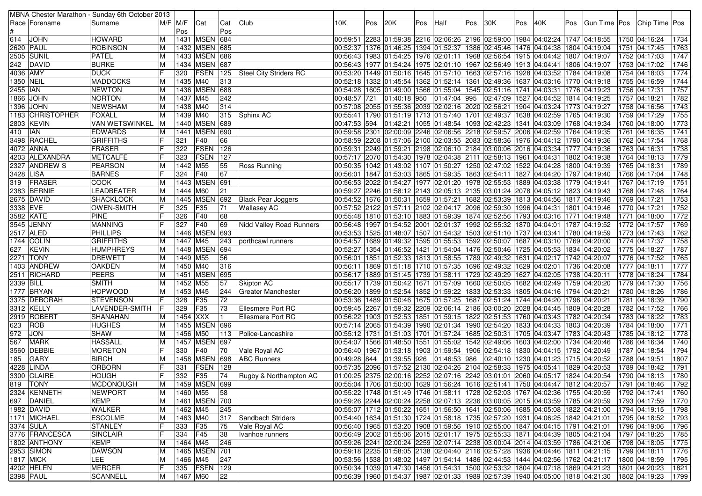|             |                       | MBNA Chester Marathon - Sunday 6th October 2013 |                |          |                   |            |                                     |                                                                                                             |     |              |     |              |     |                                                                                                    |     |                                              |     |                                                                                                   |                                |                   |
|-------------|-----------------------|-------------------------------------------------|----------------|----------|-------------------|------------|-------------------------------------|-------------------------------------------------------------------------------------------------------------|-----|--------------|-----|--------------|-----|----------------------------------------------------------------------------------------------------|-----|----------------------------------------------|-----|---------------------------------------------------------------------------------------------------|--------------------------------|-------------------|
|             | Race   Forename       | Surname                                         | $M/F$ $M/F$    | Pos      | Cat               | Cat<br>Pos | Club                                | 10K.                                                                                                        | Pos | 20K          | Pos | Half         | Pos | 30K                                                                                                | Pos | 40K                                          | Pos | Gun Time Pos Chip Time Pos                                                                        |                                |                   |
| 614         | <b>JOHN</b>           | <b>HOWARD</b>                                   | ΙM             |          | 1431   MSEN       | 684        |                                     | 00:59:51 2283 01:59:38 2216 02:06:26 2196 02:59:00 1984 04:02:24 1747 04:18:55 00:59:51                     |     |              |     |              |     |                                                                                                    |     |                                              |     |                                                                                                   | 1750 04:16:24                  | 1734              |
|             | 2620 PAUL             | <b>ROBINSON</b>                                 | ΙM             | 1432     | <b>MSEN</b>       | 685        |                                     | 00:52:37  1376  01:46:25  1394  01:52:37  1386  02:45:46                                                    |     |              |     |              |     |                                                                                                    |     | 1476  04:04:38  1804  04:19:04               |     |                                                                                                   | 1751 04:17:45                  | 1763              |
|             | 2505 SUNIL            | PATEL                                           | ΙM             |          | 1433 MSEN         | 686        |                                     |                                                                                                             |     |              |     |              |     | 00:56:43   1983   01:54:25   1976   02:01:11   1968   02:56:54   1915   04:04:42   1807   04:19:07 |     |                                              |     |                                                                                                   | 1752 04:17:03                  | 1747              |
| 242         | DAVID                 | <b>BURKE</b>                                    | ΙM             |          | 1434 MSEN         | 687        |                                     | 00:56:43  1977  01:54:24  1975  02:01:10  1967  02:56:49  1913  04:04:41  1806  04:19:07                    |     |              |     |              |     |                                                                                                    |     |                                              |     |                                                                                                   | 1753 04:17:02                  | 1746              |
| 4036 AMY    |                       | <b>DUCK</b>                                     | ΙF             | 320      | FSEN              | 125        | Steel City Striders RC              | 00:53:20  1449  01:50:16  1645  01:57:10  1663  02:57:16  1928  04:03:52  1784  04:19:08                    |     |              |     |              |     |                                                                                                    |     |                                              |     |                                                                                                   | 1754 04:18:03                  | 1774              |
| 1350 NEIL   |                       | <b>MADDOCKS</b>                                 | ΙM             | 1435 M40 |                   | 313        |                                     | 00:52:18  1332  01:45:54  1362  01:52:14  1361  02:49:36                                                    |     |              |     |              |     |                                                                                                    |     | 1637 04:03:16   1770 04:19:18                |     |                                                                                                   | 1755 04:16:59                  | 1744              |
| 2455   IAN  |                       | <b>NEWTON</b>                                   | ΙM             | 1436     | <b>MSEN</b>       | 688        |                                     |                                                                                                             |     |              |     |              |     | 00:54:28   1605   01:49:00   1566   01:55:04   1545   02:51:16   1741   04:03:31                   |     |                                              |     | 1776 04:19:23                                                                                     | 1756 04:17:31                  | 1757              |
|             | 1866  JOHN            | NORTON                                          | ΙM             | 1437 M45 |                   | 242        |                                     | 00:48:57 721                                                                                                |     | 01:40:18 950 |     | 01:47:04 995 |     | 02:47:09                                                                                           |     | 1527  04:04:52  1814  04:19:25               |     |                                                                                                   | 1757 04:18:21                  | 1782              |
| 1396        | <b>JOHN</b>           | <b>NEWSHAM</b>                                  | ΙM             | 1438 M40 |                   | 314        |                                     | 00:57:08 2055 01:55:36 2039 02:02:16 2020 02:56:21                                                          |     |              |     |              |     |                                                                                                    |     | 1904 04:03:24 1773 04:19:27                  |     |                                                                                                   | 1758 04:16:56                  | 1743              |
|             | 1183 CHRISTOPHER      | <b>FOXALL</b>                                   | ΙM             | 1439 M40 |                   | 315        | Sphinx AC                           | 00:55:41  1790  01:51:19  1713  01:57:40  1701  02:49:37                                                    |     |              |     |              |     |                                                                                                    |     | 1638 04:02:59 1765 04:19:30                  |     |                                                                                                   | 1759 04:17:29                  | 1755              |
|             | 2803  KEVIN           | VAN WETSWINKEL M                                |                |          | 1440 MSEN 689     |            |                                     | 00:47:53 594                                                                                                |     |              |     |              |     | 01:42:21  1055  01:48:54  1093  02:42:23                                                           |     | 1341 04:03:09 1768 04:19:34                  |     |                                                                                                   | 1760 04:18:00                  | 1773              |
| 410         | <b>IAN</b>            | <b>EDWARDS</b>                                  | ΙM             |          | 1441 MSEN 690     |            |                                     |                                                                                                             |     |              |     |              |     | 00:59:58 2301 02:00:09 2246 02:06:56 2218 02:59:57 2006 04:02:59 1764 04:19:35                     |     |                                              |     |                                                                                                   | 1761 04:16:35                  | 1741              |
|             | 3498 RACHEL           | <b>GRIFFITHS</b>                                |                | 321      | F40               | 66         |                                     | 00:58:59 2208 01:57:06 2100 02:03:55 2083 02:58:36                                                          |     |              |     |              |     |                                                                                                    |     | 1976 04:04:12 1790 04:19:36                  |     |                                                                                                   | 1762 04:17:54                  | 1768              |
|             | 4072  ANNA            | FRASER                                          |                | 322      | FSEN              | 126        |                                     | 00:59:31 2249 01:59:21 2198 02:06:10 2184 03:00:06                                                          |     |              |     |              |     |                                                                                                    |     | 2016 04:03:34 1777 04:19:36                  |     |                                                                                                   | 1763 04:16:31                  | 1738              |
|             | 4203 ALEXANDRA        | <b>METCALFE</b>                                 |                | 323      | <b>FSEN</b>       | 127        |                                     | 00:57:17 2070 01:54:30 1978 02:04:38 2111 02:58:13                                                          |     |              |     |              |     |                                                                                                    |     | 1961  04:04:31  1802  04:19:38               |     |                                                                                                   | 1764 04:18:13                  | 1779              |
|             | 2327 ANDREW S         | PEARSON                                         | ΙM             | 1442     | M55               | 55         | Ross Running                        | 00:50:35   1042   01:43:02   1107   01:50:27   1250   02:47:02                                              |     |              |     |              |     |                                                                                                    |     | 1522 04:04:28 1800 04:19:39                  |     |                                                                                                   | 1765 04:18:31                  | 1789              |
| 3428 LISA   |                       | <b>BARNES</b>                                   |                | 324      | F40               | 67         |                                     | 00:56:01  1847  01:53:03  1865  01:59:35  1863  02:54:11  1827  04:04:20  1797  04:19:40                    |     |              |     |              |     |                                                                                                    |     |                                              |     |                                                                                                   | 1766 04:17:04                  | 1748              |
| 319         | <b>FRASER</b>         | <b>COOK</b>                                     | ΙM             |          | 1443 MSEN         | 691        |                                     | 00:56:53 2022 01:54:27 1977 02:01:20 1978 02:55:53                                                          |     |              |     |              |     |                                                                                                    |     | 1889 04:03:38 1779 04:19:41                  |     |                                                                                                   | 1767 04:17:19                  | 1751              |
|             | 2383 BERNIE           | LEADBEATER                                      | ΙM             | 1444     | M60               | 21         |                                     | 00:59:27 2246 01:58:12 2143 02:05:13 2135 03:01:24                                                          |     |              |     |              |     |                                                                                                    |     | 2078 04:05:12 1823 04:19:43                  |     |                                                                                                   | 1768 04:17:48                  | 1764              |
|             | 2675 DAVID            | SHACKLOCK                                       | ΙM             |          | 1445 MSEN         | 692        | <b>Black Pear Joggers</b>           | 00:54:52 1676 01:50:31 1659 01:57:21 1682 02:53:39                                                          |     |              |     |              |     |                                                                                                    |     | 1813  04:04:56  1817  04:19:46               |     |                                                                                                   | 1769 04:17:21                  | 1753              |
| 3338 EVE    |                       | <b>OWEN-SMITH</b>                               | lF             | 325      | F35               | 71         | <b>Wallasey AC</b>                  | 00:57:52 2122 01:57:11 2102 02:04:17 2096 02:59:30                                                          |     |              |     |              |     |                                                                                                    |     | 1996 04:04:31                                |     | 1801 04:19:46                                                                                     | 1770 04:17:21                  | 1752              |
|             | 3582 KATE             | <b>PINE</b>                                     |                | 326      | F40               | 68         |                                     | 00:55:48  1810  01:53:10  1883  01:59:39  1874  02:52:56                                                    |     |              |     |              |     |                                                                                                    |     | 1793 04:03:16 1771 04:19:48                  |     |                                                                                                   | 1771 04:18:00                  | 1772              |
|             | 3545 JENNY            | <b>MANNING</b>                                  |                | 327      | F40               | 69         | Nidd Valley Road Runners            | 00:56:48 1997 01:54:52 2001 02:01:37 1992 02:55:32                                                          |     |              |     |              |     |                                                                                                    |     | 1870 04:04:01 1787 04:19:52                  |     |                                                                                                   | 1772 04:17:57                  | 1769              |
|             | 2517 ALED             | <b>PHILLIPS</b>                                 | ΙM             |          | 1446 MSEN         | 693        |                                     | 00:53:53  1525  01:48:07  1507  01:54:32  1503  02:51:10  1737  04:03:41  1780  04:19:59                    |     |              |     |              |     |                                                                                                    |     |                                              |     |                                                                                                   | 1773 04:17:43                  | 1762              |
|             | 1744 COLIN            | <b>GRIFFITHS</b>                                | ΙM             | 1447 M45 |                   | 243        | porthcawl runners                   | 00:54:57  1689  01:49:32  1595  01:55:53  1592  02:50:07                                                    |     |              |     |              |     |                                                                                                    |     | 1687   04:03:10   1769   04:20:00            |     |                                                                                                   | 1774 04:17:37                  | 1758              |
| 627         | <b>KEVIN</b>          | <b>HUMPHREYS</b>                                | ΙM             |          | 1448 MSEN         | 694        |                                     | 00:52:27   1354   01:46:52   1421   01:54:04   1476   02:50:46                                              |     |              |     |              |     |                                                                                                    |     | 1725 04:05:53 1834 04:20:02                  |     |                                                                                                   | 1775 04:18:27                  | 1787              |
|             | 2271 TONY             | <b>DREWETT</b>                                  | ΙM             | 1449 M55 |                   | 56         |                                     | 00:56:01  1851  01:52:33  1813  01:58:55  1789  02:49:32                                                    |     |              |     |              |     |                                                                                                    |     | 1631 04:02:17 1742 04:20:07                  |     |                                                                                                   | 1776 04:17:52                  | 1765              |
|             | 1403  ANDREW          | <b>OAKDEN</b>                                   | ΙM             | 1450 M40 |                   | 316        |                                     | 00:56:11  1869  01:51:18  1710  01:57:35  1696  02:49:32                                                    |     |              |     |              |     |                                                                                                    |     | 1629 04:02:01   1736 04:20:08                |     |                                                                                                   | 1777 04:18:11                  | 1777              |
|             | 2511 RICHARD          | <b>PEERS</b>                                    | IМ             |          | 1451   MSEN       | 695        |                                     | 00:56:17   1889   01:51:45   1739   01:58:11   1729   02:49:29                                              |     |              |     |              |     |                                                                                                    |     | 1627 04:02:05                                |     | 1738 04:20:11                                                                                     | 1778 04:18:24                  | 1784              |
| 2339 BILL   |                       | <b>SMITH</b>                                    | ΙM             | 1452 M55 |                   | 57         | Skipton AC                          | 00:55:17  1739  01:50:42  1671  01:57:09  1660  02:50:05                                                    |     |              |     |              |     |                                                                                                    |     | 1682 04:02:49 1759 04:20:20                  |     |                                                                                                   | 1779 04:17:30                  | 1756              |
|             | 1777 BRYAN            | <b>HOPWOOD</b>                                  | ΙM             | 1453 M45 |                   | 244        | <b>Greater Manchester</b>           |                                                                                                             |     |              |     |              |     | 00:56:20   1899   01:52:54   1852   01:59:22   1833   02:53:33                                     |     | 1805 04:04:16  1794 04:20:21                 |     |                                                                                                   | 1780 04:18:26                  | 1786              |
|             | 3375 DEBORAH          | STEVENSON                                       | IF             | 328      | F <sub>35</sub>   | 72         |                                     | 00:53:36  1489  01:50:46  1675  01:57:25  1687  02:51:24  1744  04:04:20  1796  04:20:21                    |     |              |     |              |     |                                                                                                    |     |                                              |     |                                                                                                   | 1781 04:18:39                  | 1790              |
|             | 3312 KELLY            | LAVENDER-SMITH                                  |                | 329      | F <sub>35</sub>   | 73         | Ellesmere Port RC                   | 00:59:45 2267 01:59:32 2209 02:06:14 2186 03:00:20                                                          |     |              |     |              |     |                                                                                                    |     | 2028 04:04:45 1809 04:20:28                  |     |                                                                                                   | 1782 04:17:52                  | 1766              |
|             | 2919 ROBERT           | <b>SHANAHAN</b>                                 | ΙM             | 1454 XXX |                   |            | <b>Ellesmere Port RC</b>            | 00:56:22  1903  01:52:53  1851  01:59:15  1822  02:51:53  1760  04:03:43  1782  04:20:34                    |     |              |     |              |     |                                                                                                    |     |                                              |     |                                                                                                   | 1783 04:18:22                  | 1783              |
| 623         | ROB                   | <b>HUGHES</b>                                   | ΙM             |          | 1455 MSEN         | 696        |                                     | 00:57:14 2065 01:54:39 1990 02:01:34 1990 02:54:20                                                          |     |              |     |              |     |                                                                                                    |     | 1833 04:04:33                                |     | 1803 04:20:39                                                                                     | 1784 04:18:00                  | 1771              |
| 972         | <b>JON</b>            | <b>SHAW</b>                                     | ΙM             | 1456     | M50               | 113        | Police-Lancashire                   | 00:55:12 1731 01:51:03 1701 01:57:24 1685 02:50:31                                                          |     |              |     |              |     |                                                                                                    |     | 1705 04:03:47  1783 04:20:43                 |     |                                                                                                   | 1785 04:18:12                  | 1778              |
| 567         | <b>MARK</b><br>DEBBIE | <b>HASSALL</b>                                  | ΙM             |          | 1457 MSEN<br>F40  | 697<br>70  |                                     | 00:54:07 1566 01:48:50 1551 01:55:02 1542 02:49:06                                                          |     |              |     |              |     |                                                                                                    |     | 1603 04:02:00<br>1830 04:04:15 1792 04:20:49 |     | 1734 04:20:46                                                                                     | 1786 04:16:34<br>1787 04:18:54 | 1740<br>1794      |
| 3560<br>185 | <b>GARY</b>           | <b>MORETON</b><br><b>BIRCH</b>                  | ΙM             | 330      | 1458 MSEN         | 698        | Vale Royal AC<br><b>ABC Runners</b> | 00:56:40 1967 01:53:18 1903 01:59:54 1906 02:54:18<br>00:49:28 844 01:39:55 926                             |     |              |     | 01:46:53 986 |     | 02:40:10                                                                                           |     | 1230 04:01:23 1715 04:20:52                  |     |                                                                                                   | 1788 04:19:51                  | 1807              |
| 4228        | LINDA                 | <b>ORBORN</b>                                   | IF             | 331      | <b>FSEN</b>       | 128        |                                     | 00:57:35 2096 01:57:52 2130 02:04:26 2104 02:58:33                                                          |     |              |     |              |     |                                                                                                    |     | 1975 04:05:41  1829 04:20:53                 |     |                                                                                                   | 1789 04:18:42                  | 1791              |
|             | 3300 CLAIRE           | <b>HOUGH</b>                                    | IF             | 332      | F35               | 74         | Rugby & Northampton AC              | 01:00:25 2375 02:00:16 2252 02:07:16 2242 03:01:01 2060 04:05:17 1824 04:20:54                              |     |              |     |              |     |                                                                                                    |     |                                              |     |                                                                                                   | 1790 04:18:13                  | 1780              |
|             | 819 TONY              | MCDONOUGH                                       | $\overline{M}$ |          | 1459 MSEN 699     |            |                                     |                                                                                                             |     |              |     |              |     |                                                                                                    |     |                                              |     | 00:55:04 1706 01:50:00 1629 01:56:24 1616 02:51:41 1750 04:04:47 1812 04:20:57 1791 04:18:46 1792 |                                |                   |
|             | 2324 KENNETH          | <b>NEWPORT</b>                                  | ΙM             | 1460 M55 |                   | 58         |                                     |                                                                                                             |     |              |     |              |     |                                                                                                    |     |                                              |     | 00:55:22 1748 01:51:49 1746 01:58:11 1728 02:52:03 1767 04:02:36 1755 04:20:59 1792 04:17:41      |                                | 1760              |
|             | 697   DANIEL          | KEMP                                            | ΙM             |          | 1461   MSEN   700 |            |                                     |                                                                                                             |     |              |     |              |     |                                                                                                    |     |                                              |     | 00:59:26 2244 02:00:24 2258 02:07:13 2236 03:00:05 2015 04:03:59 1785 04:20:59                    | 1793  04:17:59                 | 1770              |
|             | 1982 DAVID            | <b>WALKER</b>                                   | ΙM             | 1462 M45 |                   | 245        |                                     | 00:55:07  1712  01:50:22  1651  01:56:50  1641  02:50:06  1685  04:05:08  1822  04:21:00                    |     |              |     |              |     |                                                                                                    |     |                                              |     |                                                                                                   | 1794 04:19:15                  | $\overline{1798}$ |
|             | 1171 MICHAEL          | <b>ESCOLME</b>                                  | ΙM             | 1463 M40 |                   | 317        | Sandbach Striders                   | 00:54:40 1634 01:51:30 1724 01:58:18 1735 02:57:20 1931 04:06:25 1842 04:21:01                              |     |              |     |              |     |                                                                                                    |     |                                              |     |                                                                                                   | 1795 04:18:52                  | 1793              |
|             | 3374 SULA             | <b>STANLEY</b>                                  | IF             | 333 F35  |                   | 75         | Vale Royal AC                       | 01:53:20   1965   19791   1985   1987   1987   1986   1987   1988   1988   1980   1980   1980   1980   1980 |     |              |     |              |     |                                                                                                    |     |                                              |     |                                                                                                   | 1796  04:19:06                 | 1796              |
|             | 3776 FRANCESCA        | <b>SINCLAIR</b>                                 | IF             | 334 F45  |                   | 38         | Ivanhoe runners                     | 00:56:49 2002 01:55:06 2015 02:01:17 1975 02:55:33 1871 04:04:39 1805 04:21:04                              |     |              |     |              |     |                                                                                                    |     |                                              |     |                                                                                                   | 1797 04:18:25                  | 1785              |
|             | 1802 ANTHONY          | <b>KEMP</b>                                     | ΙM             | 1464 M45 |                   | 246        |                                     | 00:59:26 2241 02:00:24 2259 02:07:14 2238 03:00:04 2014 04:03:59 1786 04:21:06                              |     |              |     |              |     |                                                                                                    |     |                                              |     |                                                                                                   | 1798 04:18:05                  | 1775              |
|             | 2953 SIMON            | <b>DAWSON</b>                                   | ΙM             |          | 1465 MSEN 701     |            |                                     | 00:59:18  2235  01:58:05  2138  02:04:40  2116  02:57:28  1936  04:04:46  1811  04:21:15                    |     |              |     |              |     |                                                                                                    |     |                                              |     |                                                                                                   | 1799 04:18:11                  | 1776              |
|             | 1817 MICK             | LEE                                             | ΙM             | 1466 M45 |                   | 247        |                                     | 00:53:56  1538  01:48:02  1497  01:54:14  1486  02:44:53  1444  04:02:56  1762  04:21:17                    |     |              |     |              |     |                                                                                                    |     |                                              |     |                                                                                                   | 1800 04:18:59                  | 1795              |
|             | 4202 HELEN            | <b>MERCER</b>                                   | IF             |          | 335   FSEN   129  |            |                                     | 00:50:34  1039  01:47:30  1456  01:54:31  1500  02:53:32  1804  04:07:18  1869  04:21:23                    |     |              |     |              |     |                                                                                                    |     |                                              |     |                                                                                                   | 1801 04:20:23                  | 1821              |
|             | 2398 PAUL             | SCANNELL                                        | M              | 1467 M60 |                   | 22         |                                     | 00:56:39  1960  01:54:37  1987  02:01:33  1989  02:57:39  1940  04:05:00  1818  04:21:30                    |     |              |     |              |     |                                                                                                    |     |                                              |     |                                                                                                   | 1802 04:19:23 1799             |                   |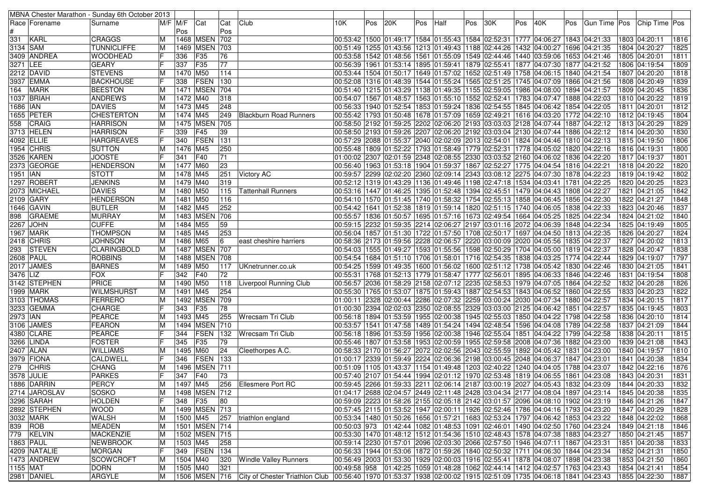|            |                  | MBNA Chester Marathon - Sunday 6th October 2013 |    |          |                   |     |                                                                                                                             |     |     |     |     |                                                                                                  |     |     |     |                                   |     |                |      |               |      |
|------------|------------------|-------------------------------------------------|----|----------|-------------------|-----|-----------------------------------------------------------------------------------------------------------------------------|-----|-----|-----|-----|--------------------------------------------------------------------------------------------------|-----|-----|-----|-----------------------------------|-----|----------------|------|---------------|------|
|            | Race   Forename  | Surname                                         |    | M/F M/F  | Cat               | Cat | Club                                                                                                                        | 10K | Pos | 20K | Pos | Half                                                                                             | Pos | 30K | Pos | 40K                               | Pos | Gun Time   Pos |      | Chip Time Pos |      |
|            |                  |                                                 |    | Pos      |                   | Pos |                                                                                                                             |     |     |     |     |                                                                                                  |     |     |     |                                   |     |                |      |               |      |
| 331        | KARL             | <b>CRAGGS</b>                                   | ΙM |          | 1468   MSEN   702 |     |                                                                                                                             |     |     |     |     | 33: 12:40  1843 27 20:62:52 1841 27:52 231 27:52 24:02:52 24:02:52 24:00:53:42 1500 25:42 25:00  |     |     |     |                                   |     |                |      | 1803 04:20:11 | 1816 |
| 3134 SAM   |                  | <b>TUNNICLIFFE</b>                              | ΙM |          | 1469 MSEN 703     |     |                                                                                                                             |     |     |     |     | 00:51:49 1255 01:43:56 1213 01:49:43 1188 02:44:26                                               |     |     |     | 1432 04:00:27 1696 04:21:35       |     |                |      | 1804 04:20:27 | 1825 |
|            | 3409  ANDREA     | lF<br><b>WOODHEAD</b>                           |    | 336      | F35               | 76  |                                                                                                                             |     |     |     |     | 00:53:58  1542  01:48:56  1561  01:55:09  1549  02:44:46                                         |     |     |     | 1440  03:59:06  1653  04:21:46    |     |                |      | 1805 04:20:01 | 1811 |
| 3271 LEE   |                  | lF<br><b>GEARY</b>                              |    | 337      | F35               | 77  |                                                                                                                             |     |     |     |     | 00:56:39  1961  01:53:14  1895  01:59:41  1879  02:55:41                                         |     |     |     | 1877   04:07:30   1877   04:21:52 |     |                |      | 1806 04:19:54 | 1809 |
|            | 2212  DAVID      | <b>STEVENS</b>                                  | IМ | 1470 M50 |                   | 114 |                                                                                                                             |     |     |     |     | 00:53:44  1504  01:50:17  1649  01:57:02  1652  02:51:49                                         |     |     |     | 1758 04:06:15  1840 04:21:54      |     |                |      | 1807 04:20:20 | 1818 |
|            | 3937 EMMA        | <b>BACKHOUSE</b><br>IF                          |    | 338      | FSEN              | 130 |                                                                                                                             |     |     |     |     | 00:52:08 1316 01:48:39 1544 01:55:24 1565 02:51:25                                               |     |     |     | 1745   04:07:09   1866   04:21:56 |     |                |      | 1808 04:20:49 | 1839 |
| 164        | <b>MARK</b>      | <b>BEESTON</b>                                  | ΙM |          | 1471   MSEN       | 704 |                                                                                                                             |     |     |     |     | 00:51:40  1215  01:43:29  1138  01:49:35  1155  02:59:05                                         |     |     |     | 1986 04:08:00 1894 04:21:57       |     |                |      | 1809 04:20:45 | 1836 |
|            | 1037 BRIAH       | <b>ANDREWS</b>                                  | ΙM | 1472 M40 |                   | 318 |                                                                                                                             |     |     |     |     | 00:54:07 1567 01:48:57 1563 01:55:10 1552 02:52:41                                               |     |     |     | 1783  04:07:47  1888  04:22:03    |     |                |      | 1810 04:20:22 | 1819 |
| 1686 IAN   |                  | <b>DAVIES</b>                                   | IМ | 1473 M45 |                   | 248 |                                                                                                                             |     |     |     |     | 00:56:33 1940 01:52:54 1853 01:59:24 1836 02:54:55                                               |     |     |     | 1845 04:06:42 1854 04:22:05       |     |                |      | 1811 04:20:01 | 1812 |
|            | 1655 PETER       | <b>CHESTERTON</b>                               | ΙM | 1474 M45 |                   | 249 | <b>Blackburn Road Runners</b>                                                                                               |     |     |     |     | 00:55:42  1793  01:50:48  1678  01:57:09  1659  02:49:21                                         |     |     |     | 1616 04:03:20   1772 04:22:10     |     |                |      | 1812 04:19:45 | 1804 |
| 558        | CRAIG            | <b>HARRISON</b>                                 | ΙM |          | 1475 MSEN 705     |     |                                                                                                                             |     |     |     |     | 00:58:50 2192 01:59:25 2202 02:06:20 2193 03:03:03 2128 04:07:44 1887 04:22:12                   |     |     |     |                                   |     |                |      | 1813 04:20:29 | 1829 |
|            | 3713 HELEN       | lF<br><b>HARRISON</b>                           |    | 339      | F45               | 39  |                                                                                                                             |     |     |     |     | 00:58:50 2193 01:59:26 2207 02:06:20 2192 03:03:04 2130 04:07:44 1886 04:22:12                   |     |     |     |                                   |     |                |      | 1814 04:20:30 | 1830 |
|            | 4092 ELLIE       | IF<br><b>HARGREAVES</b>                         |    | 340      | FSEN              | 131 |                                                                                                                             |     |     |     |     | 00:57:29 2088 01:55:37 2040 02:02:09 2013 02:54:01 1824 04:04:46 1810 04:22:13                   |     |     |     |                                   |     |                |      | 1815 04:19:50 | 1806 |
|            | 1954 CHRIS       | <b>SUTTON</b>                                   | ΙM | 1476 M45 |                   | 250 |                                                                                                                             |     |     |     |     | 00:55:48  1809  01:52:22  1793  01:58:49  1779  02:52:31  1778  04:05:02  1820  04:22:16         |     |     |     |                                   |     |                |      | 1816 04:19:31 | 1800 |
|            | 3526 KAREN       | IF<br><b>JOOSTE</b>                             |    |          |                   |     |                                                                                                                             |     |     |     |     |                                                                                                  |     |     |     |                                   |     |                |      |               |      |
|            |                  |                                                 |    | 341      | F40               | 71  |                                                                                                                             |     |     |     |     | 01:00:02  2307  02:01:59  2348  02:08:55  2330  03:03:52  2160  04:06:02  1836  04:22:20         |     |     |     |                                   |     |                |      | 1817 04:19:37 | 1801 |
|            | 2373  GEORGE     | <b>HENDERSON</b>                                | ΙM | 1477 M60 |                   | 23  |                                                                                                                             |     |     |     |     | 00:56:40  1963  01:53:18  1904  01:59:37  1867  02:52:27  1775  04:04:54  1816  04:22:21         |     |     |     |                                   |     |                |      | 1818 04:20:22 | 1820 |
| 1951  IAN  |                  | <b>STOTT</b>                                    | ΙM | 1478 M45 |                   | 251 | Victory AC                                                                                                                  |     |     |     |     | 00:59:57  2299  02:02:20  2360  02:09:14  2343  03:08:12  2275  04:07:30  1878  04:22:23         |     |     |     |                                   |     |                |      | 1819 04:19:42 | 1802 |
|            | 1297   ROBERT    | <b>JENKINS</b>                                  | ΙM | 1479 M40 |                   | 319 |                                                                                                                             |     |     |     |     | 00:52:12 1319 01:43:29 1136 01:49:46 1198 02:47:18 1534 04:03:41 1781 04:22:25                   |     |     |     |                                   |     |                |      | 1820 04:20:25 | 1823 |
|            | 2073  MICHAEL    | <b>DAVIES</b>                                   | ΙM | 1480 M50 |                   | 115 | <b>Tattenhall Runners</b>                                                                                                   |     |     |     |     | 00:53:16  1447  01:46:25  1395  01:52:48  1394  02:45:51                                         |     |     |     | 1479 04:04:43 1808 04:22:27       |     |                |      | 1821 04:21:05 | 1842 |
|            | 2109 GARY        | <b>HENDERSON</b>                                | ΙM | 1481 M50 |                   | 116 |                                                                                                                             |     |     |     |     | 00:54:10 1570 01:51:45 1740 01:58:32 1754 02:55:13                                               |     |     |     | 1858 04:06:45   1856 04:22:30     |     |                |      | 1822 04:21:27 | 1848 |
|            | 1646 GAVIN       | <b>BUTLER</b>                                   | ΙM | 1482 M45 |                   | 252 |                                                                                                                             |     |     |     |     | 00:54:42 1641 01:52:38 1819 01:59:14 1820 02:51:15                                               |     |     |     | 1740 04:06:05   1838 04:22:33     |     |                |      | 1823 04:20:46 | 1837 |
| 898        | <b>GRAEME</b>    | <b>MURRAY</b>                                   | ΙM |          | 1483   MSEN       | 706 |                                                                                                                             |     |     |     |     | 00:55:57  1836  01:50:57  1695  01:57:16  1673  02:49:54  1664  04:05:25  1825  04:22:34         |     |     |     |                                   |     |                |      | 1824 04:21:02 | 1840 |
| 2267       | <b>JOHN</b>      | <b>CUFFE</b>                                    | IМ | 1484 M55 |                   | 59  |                                                                                                                             |     |     |     |     | 00:59:15  2232  01:59:35  2214  02:06:27  2197  03:01:16  2072  04:06:39  1848  04:22:34         |     |     |     |                                   |     |                |      | 1825 04:19:49 | 1805 |
|            | <b>1967 MARK</b> | <b>THOMPSON</b>                                 | ΙM | 1485 M45 |                   | 253 |                                                                                                                             |     |     |     |     | 00:56:04  1857  01:51:30  1722  01:57:50  1708  02:50:17  1697  04:04:50  1813  04:22:35         |     |     |     |                                   |     |                |      | 1826 04:20:27 | 1824 |
|            | 2418 CHRIS       | <b>JOHNSON</b>                                  | ΙM | 1486 M65 |                   | 16  | east cheshire harriers                                                                                                      |     |     |     |     | 00:58:36  2173  01:59:56  2228  02:06:57  2220  03:00:09  2020  04:05:56  1835  04:22:37         |     |     |     |                                   |     |                |      | 1827 04:20:02 | 1813 |
| 293        | <b>STEVEN</b>    | <b>CLARINGBOLD</b>                              | ΙM |          | 1487   MSEN   707 |     |                                                                                                                             |     |     |     |     | 00:54:03  1555  01:49:27  1593  01:55:56  1598  02:50:29  1704  04:05:00  1819  04:22:37         |     |     |     |                                   |     |                |      | 1828 04:20:47 | 1838 |
|            | 2608 PAUL        | <b>ROBBINS</b>                                  | ΙM |          | 1488   MSEN   708 |     |                                                                                                                             |     |     |     |     | 00:54:54  1684  01:51:10  1706  01:58:01  1716  02:54:35  1838  04:03:25  1774  04:22:44         |     |     |     |                                   |     |                |      | 1829 04:19:07 | 1797 |
|            | 2017 JAMES       | <b>BARNES</b>                                   | ΙM | 1489 M50 |                   | 117 | UKnetrunner.co.uk                                                                                                           |     |     |     |     | 00:54:25  1599  01:49:35  1600  01:56:02  1600  02:51:12  1738  04:05:42  1830  04:22:46         |     |     |     |                                   |     |                |      | 1830 04:21:05 | 1841 |
| 3476 LIZ   |                  | IF<br><b>FOX</b>                                |    | 342      | F40               | 72  |                                                                                                                             |     |     |     |     | 00:55:31  1768  01:52:13  1779  01:58:47  1777  02:56:01                                         |     |     |     | 1895 04:06:33 1846 04:22:46       |     |                | 1831 | 04:19:54      | 1808 |
|            | 3142 STEPHEN     | PRICE                                           | ΙM | 1490 M50 |                   | 118 | Liverpool Running Club                                                                                                      |     |     |     |     | 00:56:57  2036  01:58:29  2158  02:07:12  2235  02:58:53  1979  04:07:05  1864  04:22:52         |     |     |     |                                   |     |                |      | 1832 04:20:28 | 1826 |
|            | 1999 MARK        | <b>WILMSHURST</b>                               | ΙM | 1491 M45 |                   | 254 |                                                                                                                             |     |     |     |     | 00:55:30  1765  01:53:07  1875  01:59:43  1887  02:54:53  1843  04:06:52  1860  04:22:55         |     |     |     |                                   |     |                |      | 1833 04:20:23 | 1822 |
|            | 3103 THOMAS      | FERRERO                                         | ΙM |          | 1492   MSEN       | 709 |                                                                                                                             |     |     |     |     | 01:00:11  2328  02:00:44  2286  02:07:32  2259  03:00:24  2030  04:07:34  1880  04:22:57         |     |     |     |                                   |     |                |      | 1834 04:20:15 | 1817 |
|            | 3233   GEMMA     | <b>CHARGE</b>                                   |    | 343      | F <sub>35</sub>   | 78  |                                                                                                                             |     |     |     |     | 00:30 23:94 02:02:03 2350 02:08:55 2329 03:03:00 2125 04:06:42 1851 04:22:57 04:00:10            |     |     |     |                                   |     |                |      | 1835 04:19:45 | 1803 |
| 2973   IAN |                  | <b>PEARCE</b>                                   | ΙM | 1493 M45 |                   | 255 | Wrecsam Tri Club                                                                                                            |     |     |     |     | 00:56:18  1894  01:53:59  1955  02:00:38  1945  02:55:03  1850  04:04:22  1798  04:22:58         |     |     |     |                                   |     |                |      | 1836 04:20:10 | 1814 |
|            | 3106 JAMES       | <b>FEARON</b>                                   | ΙM |          | 1494   MSEN   710 |     |                                                                                                                             |     |     |     |     | 00:53:57  1541  01:47:58  1489  01:54:24  1494  02:48:54  1596  04:04:08  1789  04:22:58         |     |     |     |                                   |     |                |      | 1837 04:21:09 | 1844 |
|            | 4380 CLARE       | PEARCE                                          |    | 344      | <b>FSEN</b>       | 132 | Wrecsam Tri Club                                                                                                            |     |     |     |     | 00:56:18  1896  01:53:59  1956  02:00:38  1946  02:55:04  1851  04:04:22  1799  04:22:58         |     |     |     |                                   |     |                |      | 1838 04:20:11 | 1815 |
|            | 3266 LINDA       | IF<br><b>FOSTER</b>                             |    | 345      | F35               | 79  |                                                                                                                             |     |     |     |     | 00:55:46  1807  01:53:58  1953  02:00:59  1955  02:59:58  2008  04:07:36  1882  04:23:00         |     |     |     |                                   |     |                |      | 1839 04:21:08 | 1843 |
|            | 2407 ALAN        | <b>WILLIAMS</b>                                 | IМ | 1495 M60 |                   | 24  | Cleethorpes A.C.                                                                                                            |     |     |     |     | 00:58:33 2170 01:56:27 2072 02:02:56 2043 02:55:59 1892 04:05:42 1831 04:23:00                   |     |     |     |                                   |     |                |      | 1840 04:19:57 | 1810 |
|            | 3979 FIONA       | <b>CALDWELL</b><br>IF                           |    | 346      | <b>FSEN</b>       | 133 |                                                                                                                             |     |     |     |     | 01:00:17 2339 01:59:49 2224 02:06:36 2198 03:00:45 2048 04:06:37 1847 04:23:01                   |     |     |     |                                   |     |                |      | 1841 04:20:38 | 1834 |
| 279        | <b>CHRIS</b>     | <b>CHANG</b>                                    | ΙM |          | 1496   MSEN       | 711 |                                                                                                                             |     |     |     |     | 00:51:09 1105 01:43:37 1154 01:49:48 1203 02:40:22                                               |     |     |     | 1240  04:04:05  1788  04:23:07    |     |                |      | 1842 04:22:16 | 1876 |
|            | 3578 JULIE       | <b>PARKES</b>                                   | IF | 347      | F40               | 73  |                                                                                                                             |     |     |     |     | 00:57:40 2107 01:54:44 1994 02:01:12 1970 02:53:48 1819 04:06:55 1861 04:23:08                   |     |     |     |                                   |     |                |      | 1843 04:20:31 | 1831 |
|            | 1886 DARRIN      | PERCY                                           | M  |          |                   |     | 1497 M45 256 Ellesmere Port RC                                                                                              |     |     |     |     | 00:59:45 2266 01:59:33 2211 02:06:14 2187 03:00:19 2027 04:05:43 1832 04:23:09                   |     |     |     |                                   |     |                |      | 1844 04:20:33 | 1832 |
|            | 2714 JAROSLAV    | SOSKO                                           | ΙM |          | 1498   MSEN   712 |     |                                                                                                                             |     |     |     |     | 01:04:17 2688 02:04:57 2449 02:11:48 2428 03:04:34 2177 04:08:04 1897 04:23:14                   |     |     |     |                                   |     |                |      | 1845 04:20:38 | 1835 |
|            | 3296 SARAH       | IF<br><b>HOLDEN</b>                             |    | 348      | F35               | 80  |                                                                                                                             |     |     |     |     | 00:59:09 2223 01:58:26 2155 02:05:18 2142 03:01:57 2096 04:08:10 1902 04:23:19                   |     |     |     |                                   |     |                |      | 1846 04:21:26 | 1847 |
|            | 2892 STEPHEN     | <b>WOOD</b>                                     | ΙM |          | 1499 MSEN 713     |     |                                                                                                                             |     |     |     |     | 00:57:45 2115 01:53:52 1947 02:00:11 1926 02:52:46 1786 04:04:16 1793 04:23:20                   |     |     |     |                                   |     |                |      | 1847 04:20:29 | 1828 |
|            | 3032 MARK        | <b>WALSH</b>                                    | ΙM | 1500 M45 |                   | 257 | triathlon england                                                                                                           |     |     |     |     | 00:53:34 1480 01:50:26 1656 01:57:21 1683 02:53:24 1797 04:06:42 1853 04:23:22                   |     |     |     |                                   |     |                |      | 1848 04:22:02 | 1868 |
| 839 ROB    |                  | <b>MEADEN</b>                                   | ΙM |          | 1501 MSEN 714     |     |                                                                                                                             |     |     |     |     | 00:50:03  973   01:42:44   1082   01:48:53   1091   02:46:01   1490   04:02:50   1760   04:23:24 |     |     |     |                                   |     |                |      | 1849 04:21:18 | 1846 |
|            | 779 KELVIN       | <b>MACKENZIE</b>                                | ΙM |          | 1502 MSEN 715     |     |                                                                                                                             |     |     |     |     | 00:53:30  1470  01:48:12  1512  01:54:36  1510  02:48:43  1578  04:07:38  1883  04:23:27         |     |     |     |                                   |     |                |      | 1850 04:21:45 | 1857 |
|            | 1863 PAUL        | NEWBROOK                                        | ΙM | 1503 M45 |                   | 258 |                                                                                                                             |     |     |     |     | 00:59:14 2230 01:57:01 2096 02:03:30 2066 02:57:50 1946 04:07:11 1867 04:23:31                   |     |     |     |                                   |     |                |      | 1851 04:20:38 | 1833 |
|            | 4209 NATALIE     | IF<br><b>MORGAN</b>                             |    |          | 349   FSEN        | 134 |                                                                                                                             |     |     |     |     | 00:56:33  1944  01:53:06  1872  01:59:26  1840  02:50:32  1711  04:06:30  1844  04:23:34         |     |     |     |                                   |     |                |      | 1852 04:21:31 | 1850 |
|            | 1473 ANDREW      | SCOWCROFT                                       | ΙM | 1504 M40 |                   | 320 | <b>Windle Valley Runners</b>                                                                                                |     |     |     |     | 00:56:49 2003 01:53:30 1929 02:00:03 1916 02:55:41 1878 04:08:07 1898 04:23:38                   |     |     |     |                                   |     |                |      | 1853 04:21:50 | 1860 |
| 1155 MAT   |                  | <b>DORN</b>                                     | ΙM | 1505 M40 |                   | 321 |                                                                                                                             |     |     |     |     | 00:49:58 958 01:42:25 1059 01:48:28 1062 02:44:14 1412 04:02:57 1763 04:23:43                    |     |     |     |                                   |     |                |      | 1854 04:21:41 | 1854 |
|            | 2981 DANIEL      | ARGYLE                                          | ΙM |          |                   |     | 1506 MSEN 716 City of Chester Triathlon Club 00:56:40 1970 01:53:37 1938 02:00:02 1915 02:51:09 1735 04:06:18 1841 04:23:43 |     |     |     |     |                                                                                                  |     |     |     |                                   |     |                |      | 1855 04:22:30 | 1887 |
|            |                  |                                                 |    |          |                   |     |                                                                                                                             |     |     |     |     |                                                                                                  |     |     |     |                                   |     |                |      |               |      |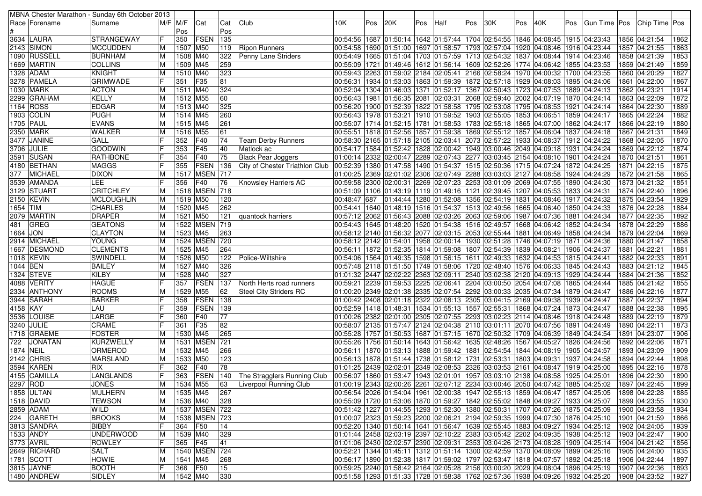|           |                    | MBNA Chester Marathon - Sunday 6th October 2013 |             |                        |               |     |                                 |              |     |     |     |                                                                                                    |     |     |     |     |     |               |                                                                                              |      |
|-----------|--------------------|-------------------------------------------------|-------------|------------------------|---------------|-----|---------------------------------|--------------|-----|-----|-----|----------------------------------------------------------------------------------------------------|-----|-----|-----|-----|-----|---------------|----------------------------------------------------------------------------------------------|------|
|           | Race   Forename    | Surname                                         | $M/F$ $M/F$ |                        | Cat           | Cat | Club                            | 10K.         | Pos | 20K | Pos | Half                                                                                               | Pos | 30K | Pos | 40K | Pos | Gun Time  Pos | Chip Time Pos                                                                                |      |
|           |                    |                                                 |             | Pos                    |               | Pos |                                 |              |     |     |     |                                                                                                    |     |     |     |     |     |               |                                                                                              |      |
|           | 3634 LAURA         | <b>STRANGEWAY</b>                               | F           | 350                    | <b>FSEN</b>   | 135 |                                 |              |     |     |     | 00:54:56  1687  01:50:14  1642  01:57:44  1704  02:54:55  1846  04:08:45  1915  04:23:43           |     |     |     |     |     |               | 1856 04:21:54                                                                                | 1862 |
|           | 2143 SIMON         | <b>MCCUDDEN</b>                                 | lΜ          | 1507 M50               |               | 119 | <b>Ripon Runners</b>            |              |     |     |     | 00:54:58 1690 01:51:00 1697 01:58:57 1793 02:57:04 1920 04:08:46 1916 04:23:44                     |     |     |     |     |     |               | 1857 04:21:55                                                                                | 1863 |
|           | 1090 RUSSELL       | <b>BURNHAM</b>                                  | M           | 1508 M40               |               | 322 | <b>Penny Lane Striders</b>      |              |     |     |     | 00:54:49 1665 01:51:04 1703 01:57:59 1713 02:54:32 1837 04:08:44 1914 04:23:46                     |     |     |     |     |     |               | 1858 04:21:39                                                                                | 1853 |
|           | 1669 MARTIN        | <b>COLLINS</b>                                  | ΙM          | 1509 M45               |               | 259 |                                 |              |     |     |     | 00:55:09 1721 01:49:46 1612 01:56:14 1609 02:52:26 1774 04:06:42 1855 04:23:53                     |     |     |     |     |     |               | 1859 04:21:49                                                                                | 1859 |
|           | 1328  ADAM         | <b>KNIGHT</b>                                   | ΙM          | 1510 M40               |               | 323 |                                 |              |     |     |     | 00:59:43 2263 01:59:02 2184 02:05:41 2166 02:58:24 1970 04:00:32 1700 04:23:55                     |     |     |     |     |     |               | 1860 04:20:29                                                                                | 1827 |
|           | 3278 PAMELA        | <b>GRIMWADE</b>                                 |             | 351                    | F35           | 81  |                                 |              |     |     |     | 00:56:31  1934  01:53:03  1863  01:59:39  1872  02:57:18  1929  04:08:03  1895  04:24:06           |     |     |     |     |     |               | 1861 04:22:00                                                                                | 1867 |
|           | 1030 MARK          | <b>ACTON</b>                                    | ΙM          | 1511 M40               |               | 324 |                                 |              |     |     |     | 00:52:04  1304  01:46:03  1371  01:52:17  1367  02:50:43  1723  04:07:53  1889  04:24:13           |     |     |     |     |     |               | 1862 04:23:21                                                                                | 1914 |
|           | 2299 GRAHAM        | <b>KELLY</b>                                    |             | 1512 M55               |               | 60  |                                 |              |     |     |     | 00:56:43  1981  01:56:35  2081  02:03:31  2068  02:59:40  2002  04:07:19  1870  04:24:14           |     |     |     |     |     |               | 1863 04:22:09                                                                                | 1872 |
|           | 1164 ROSS          | <b>EDGAR</b>                                    | ΙM          | 1513 M40               |               | 325 |                                 |              |     |     |     | 00:56:20 1900 01:52:39 1822 01:58:58 1795 02:53:08 1795 04:08:53 1921 04:24:14                     |     |     |     |     |     |               | 1864 04:22:30                                                                                | 1889 |
|           | 1903 COLIN         | <b>PUGH</b>                                     | ΙM          | $1514$ M <sub>45</sub> |               | 260 |                                 |              |     |     |     | 00:56:43   1978   01:53:21   1910   01:59:52   1903   02:55:05   1853   04:06:51   1859   04:24:17 |     |     |     |     |     |               | 1865 04:22:24                                                                                | 1882 |
|           | 1705 PAUL          |                                                 |             | 1515 M45               |               | 261 |                                 |              |     |     |     |                                                                                                    |     |     |     |     |     |               | 1866 04:22:19                                                                                | 1880 |
|           |                    | <b>EVANS</b><br><b>WALKER</b>                   | ΙM          |                        |               |     |                                 |              |     |     |     | 00:55:07   1714   01:52:15   1781   01:58:53   1783   02:55:18   1865   04:07:00   1862   04:24:17 |     |     |     |     |     |               |                                                                                              |      |
|           | 2350 MARK          |                                                 | M           | 1516 M55               |               | 61  |                                 |              |     |     |     | 00:55:51  1818  01:52:56  1857  01:59:38  1869  02:55:12  1857  04:06:04  1837  04:24:18           |     |     |     |     |     |               | 1867 04:21:31                                                                                | 1849 |
|           | <b>3477 JANINE</b> | <b>GALL</b>                                     |             | 352                    | F40           | 74  | <b>Team Derby Runners</b>       |              |     |     |     | 00:58:30 2165 01:57:18 2105 02:03:41 2073 02:57:22 1933 04:08:37 1912 04:24:22                     |     |     |     |     |     |               | 1868 04:22:05                                                                                | 1870 |
|           | 3706 JULIE         | <b>GOODWIN</b>                                  |             | 353                    | F45           | 40  | Matlock ac                      |              |     |     |     | 02:34:17  1584  01:52:42  1828  02:00:42  1949  03:00:46  2049  04:09:18  1931  04:24:24           |     |     |     |     |     |               | 1869 04:22:12                                                                                | 1874 |
|           | 3591 SUSAN         | <b>RATHBONE</b>                                 |             | 354                    | F40           | 75  | <b>Black Pear Joggers</b>       |              |     |     |     | 01:00:14 2332 02:00:47 2289 02:07:43 2277 03:03:45 2154 04:08:10 1901 04:24:24                     |     |     |     |     |     |               | 1870 04:21:51                                                                                | 1861 |
|           | 4180   BETHAN      | <b>MAGGS</b>                                    |             | 355                    | FSEN          | 136 | City of Chester Triathlon Club  |              |     |     |     | 00:52:39  1380 01:47:58  1490 01:54:37  1515 02:50:36  1715 04:07:24  1872 04:24:25                |     |     |     |     |     |               | 1871 04:22:15                                                                                | 1875 |
| 377       | <b>MICHAEL</b>     | <b>DIXON</b>                                    | ΙM          |                        | 1517 MSEN 717 |     |                                 |              |     |     |     | 01:00:25 2369 02:01:02 2306 02:07:49 2288 03:03:03 2127 04:08:58 1924 04:24:29                     |     |     |     |     |     |               | 1872 04:21:58                                                                                | 1865 |
|           | 3539 AMANDA        | LEE                                             |             | 356                    | F40           | 76  | Knowsley Harriers AC            |              |     |     |     | 00:59:58 2300 02:00:31 2269 02:07:23 2253 03:01:09 2069 04:07:55 1890 04:24:30                     |     |     |     |     |     |               | 1873 04:21:32                                                                                | 1851 |
|           | 3129 STUART        | <b>CRITCHLEY</b>                                | ΙM          |                        | 1518 MSEN 718 |     |                                 |              |     |     |     | 00:51:09  1106  01:43:19  1119  01:49:16  1121  02:39:45  1207  04:05:53  1833  04:24:31           |     |     |     |     |     |               | 1874 04:22:40                                                                                | 1896 |
|           | 2150 KEVIN         | MCLOUGHLIN                                      | M           | 1519 M50               |               | 120 |                                 | 00:48:47 687 |     |     |     | 01:44:44 1280 01:52:08 1356 02:54:19 1831 04:08:46 1917 04:24:32                                   |     |     |     |     |     |               | 1875 04:23:54                                                                                | 1929 |
| 1654 TIM  |                    | CHARLES                                         | ΙM          | 1520 M45               |               | 262 |                                 |              |     |     |     | 00:54:41  1640  01:48:19  1516  01:54:37  1513  02:49:56  1665  04:06:40  1850  04:24:33           |     |     |     |     |     |               | 1876 04:22:28                                                                                | 1884 |
|           | 2079  MARTIN       | <b>DRAPER</b>                                   |             | 1521 M50               |               | 121 | quantock harriers               |              |     |     |     | 00:57:12 2062 01:56:43 2088 02:03:26 2063 02:59:06 1987 04:07:36 1881 04:24:34                     |     |     |     |     |     |               | 1877 04:22:35                                                                                | 1892 |
| 481       | GREG               | <b>GEATONS</b>                                  | ΙM          |                        | 1522 MSEN 719 |     |                                 |              |     |     |     | 00:54:43  1645  01:48:20  1520  01:54:38  1516  02:49:57  1668  04:06:42  1852  04:24:34           |     |     |     |     |     |               | 1878 04:22:29                                                                                | 1886 |
| 1664 JON  |                    | <b>CLAYTON</b>                                  | M           | 1523 M45               |               | 263 |                                 |              |     |     |     | 00:58:12 2140 01:56:32 2077 02:03:15 2053 02:55:44 1881 04:06:49 1858 04:24:34                     |     |     |     |     |     |               | 1879 04:22:04                                                                                | 1869 |
|           | 2914 MICHAEL       | <b>YOUNG</b>                                    | ΙM          |                        | 1524 MSEN     | 720 |                                 |              |     |     |     | 00:58:12 2142 01:54:01 1958 02:00:14 1930 02:51:28 1746 04:07:19 1871 04:24:36                     |     |     |     |     |     |               | 1880 04:21:47                                                                                | 1858 |
|           | 1667 DESMOND       | <b>CLEMENTS</b>                                 | ΙM          | 1525 M45               |               | 264 |                                 |              |     |     |     | 00:56:11   1872   01:52:35   1814   01:59:08   1807   02:54:39   1839   04:08:21   1906   04:24:37 |     |     |     |     |     |               | 1881 04:22:21                                                                                | 1881 |
|           | 1018  KEVIN        | SWINDELL                                        | ΙM          | 1526 M50               |               | 122 | Police-Wiltshire                |              |     |     |     | 00:54:06 1564 01:49:35 1598 01:56:15 1611 02:49:33 1632 04:04:53 1815 04:24:41 00:54:06            |     |     |     |     |     |               | 1882 04:22:33                                                                                | 1891 |
| 1044 BEN  |                    | <b>BAILEY</b>                                   | ΙM          | 1527 M40               |               | 326 |                                 |              |     |     |     | 00:57:48 2118 01:51:50 1749 01:58:06 1720 02:48:40 1576 04:06:33 1845 04:24:43                     |     |     |     |     |     |               | 1883 04:21:12                                                                                | 1845 |
|           | 1324 STEVE         | <b>KILBY</b>                                    | ΙM          | 1528 M40               |               | 327 |                                 |              |     |     |     | 01:01:32 2447 02:02:22 2363 02:09:11 2340 03:02:38 2120 04:09:13 1929 04:24:44                     |     |     |     |     |     |               | 1884 04:21:36                                                                                | 1852 |
|           | 4088  VERITY       | <b>HAGUE</b>                                    |             | 357                    | <b>FSEN</b>   | 137 | North Herts road runners        |              |     |     |     | 00:59:21 2239 01:59:53 2225 02:06:41 2204 03:00:50 2054 04:07:08 1865 04:24:44                     |     |     |     |     |     |               | 1885 04:21:42                                                                                | 1855 |
|           | 2334  ANTHONY      | ROOMS                                           | ΙM          | 1529 M55               |               | 62  | <b>Steel City Striders RC</b>   |              |     |     |     | 01:00:20 2349 02:01:38 2335 02:07:54 2292 03:00:33 2035 04:07:34 1879 04:24:47                     |     |     |     |     |     |               | 1886 04:22:16                                                                                | 1877 |
|           | 3944 SARAH         | <b>BARKER</b>                                   |             | 358                    | <b>FSEN</b>   | 138 |                                 |              |     |     |     | 01:00:42 2408 02:01:18 2322 02:08:13 2305 03:04:15 2169 04:09:38 1939 04:24:47                     |     |     |     |     |     |               | 1887 04:22:37                                                                                | 1894 |
| 4158 KAY  |                    | LAU                                             |             | 359                    | <b>FSEN</b>   | 139 |                                 |              |     |     |     | 00:52:59 1418 01:48:31 1534 01:55:13 1557 02:55:31 1868 04:07:24 1873 04:24:47                     |     |     |     |     |     |               | 1888 04:22:38                                                                                | 1895 |
|           | 3536 LOUISE        | LARGE                                           |             | 360                    | F40           | 77  |                                 |              |     |     |     | 01:00:26 2382 02:01:00 2305 02:07:55 2293 03:02:23 2114 04:08:46 1918 04:24:48                     |     |     |     |     |     |               | 1889 04:22:19                                                                                | 1879 |
|           | 3240 JULIE         | <b>CRAME</b>                                    |             | 361                    | F35           | 82  |                                 |              |     |     |     | 00:58:07 2135 01:57:47 2124 02:04:38 2110 03:01:11 2070 04:07:56 1891 04:24:49                     |     |     |     |     |     |               | 1890 04:22:11                                                                                | 1873 |
|           | 1718 GRAEME        | <b>FOSTER</b>                                   |             | 1530 M45               |               | 265 |                                 |              |     |     |     | 00:55:28  1757  01:50:53  1687  01:57:15  1670  02:50:32  1709  04:06:39  1849  04:24:54           |     |     |     |     |     |               | 1891 04:23:07                                                                                | 1906 |
| 722       | <b>JONATAN</b>     | KURZWELLY                                       | M           |                        | 1531 MSEN     | 721 |                                 |              |     |     |     | 00:55:26 1756 01:50:14 1643 01:56:42 1635 02:48:26 1567 04:05:27 1826 04:24:56                     |     |     |     |     |     |               | 1892 04:22:06                                                                                | 1871 |
| 1874 NEIL |                    | <b>ORMEROD</b>                                  | ΙM          | 1532 M45               |               | 266 |                                 |              |     |     |     | 00:56:11  1870  01:53:13  1888  01:59:42  1881  02:54:54  1844  04:08:19  1905  04:24:57           |     |     |     |     |     |               | 1893 04:23:09                                                                                | 1909 |
|           | 2142 CHRIS         | <b>MARSLAND</b>                                 | ΙM          | 1533 M50               |               | 123 |                                 |              |     |     |     | 00:56:13  1878  01:51:44  1738  01:58:12  1731  02:53:31  1803  04:09:31  1937  04:24:58           |     |     |     |     |     |               | 1894 04:22:44                                                                                | 1898 |
|           | 3594 KAREN         | RIX                                             |             | 362                    | F40           | 78  |                                 |              |     |     |     | 01:01:25 2439 02:02:01 2349 02:08:53 2326 03:03:53 2161 04:08:47 1919 04:25:00                     |     |     |     |     |     |               | 1895 04:22:16                                                                                | 1878 |
|           | 4155  CAMILLA      | LANGLANDS                                       |             | 363                    | FSEN          |     | 140 The Stragglers Running Club |              |     |     |     | 00:56:07  1860  01:53:47  1943  02:01:01  1957  03:03:10  2138  04:08:58  1925  04:25:01           |     |     |     |     |     |               | 1896 04:22:30                                                                                | 1890 |
| 2297 ROD  |                    | <b>JONES</b>                                    | M           |                        |               | 63  |                                 |              |     |     |     |                                                                                                    |     |     |     |     |     |               |                                                                                              | 1899 |
|           |                    |                                                 |             | 1534 M55               |               |     | Liverpool Running Club          |              |     |     |     |                                                                                                    |     |     |     |     |     |               | 01:00:19 2343 02:00:26 2261 02:07:12 2234 03:00:46 2050 04:07:42 1885 04:25:02 1897 04:22:45 |      |
|           | 1858 ULTAN         | <b>MULHERN</b>                                  | M           | 1535 M45               |               | 267 |                                 |              |     |     |     | 00:56:54 2026 01:54:04 1961 02:00:38 1947 02:55:13 1859 04:06:47 1857 04:25:05                     |     |     |     |     |     |               | 1898 04:22:28                                                                                | 1885 |
|           | 1518 DAVID         | <b>TEWSON</b>                                   | м           | 1536 M40               |               | 328 |                                 |              |     |     |     | 00:55:09 1720 01:53:06 1870 01:59:27 1842 02:55:02 1848 04:09:27 1933 04:25:07                     |     |     |     |     |     |               | 1899 04:23:55                                                                                | 1930 |
|           | 2859 ADAM          | WILD                                            | ΙM          |                        | 1537 MSEN 722 |     |                                 |              |     |     |     | 00:51:42 1227 01:44:55 1293 01:52:30 1380 02:50:31 1707 04:07:26 1875 04:25:09                     |     |     |     |     |     |               | 1900 04:23:58                                                                                | 1934 |
|           | 224 GARETH         | <b>BROOKS</b>                                   | M           |                        | 1538 MSEN 723 |     |                                 |              |     |     |     | 01:00:07 2323 01:59:23 2200 02:06:21 2194 02:59:35 1999 04:07:30 1876 04:25:10                     |     |     |     |     |     |               | 1901 04:21:59                                                                                | 1866 |
|           | 3813 SANDRA        | <b>BIBBY</b>                                    |             | 364                    | F50           | 14  |                                 |              |     |     |     | 00:52:20 1340 01:50:14 1641 01:56:47 1639 02:55:45 1883 04:09:27 1934 04:25:12                     |     |     |     |     |     |               | 1902 04:24:05                                                                                | 1939 |
|           | 1533 ANDY          | UNDERWOOD                                       | ΙM          | 1539 M40               |               | 329 |                                 |              |     |     |     | 01:01:44 2458 02:03:19 2397 02:10:22 2383 03:05:42 2202 04:09:35 1938 04:25:12                     |     |     |     |     |     |               | 1903 04:22:47                                                                                | 1900 |
|           | 3773 AVRIL         | <b>ROWLEY</b>                                   |             | 365 F45                |               | 41  |                                 |              |     |     |     | 01:01:06 2430 02:02:57 2390 02:09:31 2353 03:04:26 2173 04:08:28 1909 04:25:14                     |     |     |     |     |     |               | 1904 04:21:42                                                                                | 1856 |
|           | 2649 RICHARD       | SALT                                            | M           |                        | 1540 MSEN 724 |     |                                 |              |     |     |     | 00:52:21  1344  01:45:11  1312  01:51:14  1300  02:42:59  1370  04:08:09  1899  04:25:16           |     |     |     |     |     |               | 1905 04:24:00                                                                                | 1935 |
|           | 1781 SCOTT         | <b>HOWIE</b>                                    | ΙM          | 1541 M45               |               | 268 |                                 |              |     |     |     | 00:56:17  1890  01:52:38  1817  01:59:02  1797  02:53:47  1818  04:07:57  1892  04:25:18           |     |     |     |     |     |               | 1906 04:22:44                                                                                | 1897 |
|           | 3815 JAYNE         | <b>BOOTH</b>                                    | F           | 366 F50                |               | 15  |                                 |              |     |     |     | 00:59:25 2240 01:58:42 2164 02:05:28 2156 03:00:20 2029 04:08:04 1896 04:25:19                     |     |     |     |     |     |               | 1907 04:22:36                                                                                | 1893 |
|           | 1480 ANDREW        | SIDLEY                                          | M           | 1542 M40               |               | 330 |                                 |              |     |     |     | 00:51:58  1293  01:51:33  1728  01:58:38  1762  02:57:36  1938  04:09:26  1932  04:25:20           |     |     |     |     |     |               | 1908 04:23:52                                                                                | 1927 |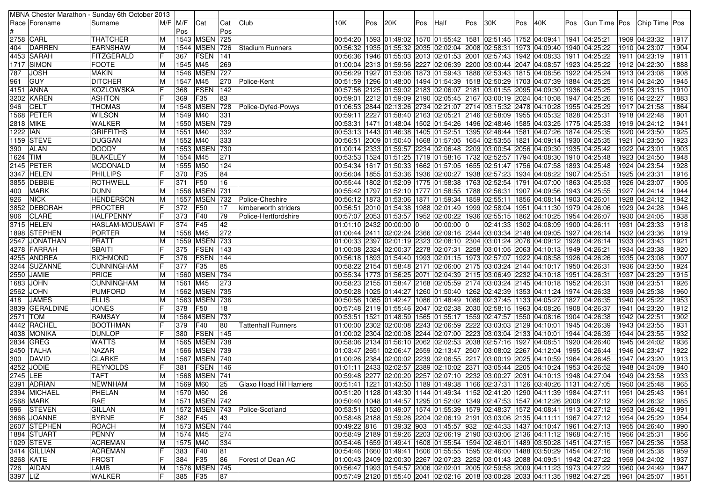|            |                | MBNA Chester Marathon - Sunday 6th October 2013 |    |             |                   |     |                               |                          |     |     |     |              |     |                                                                                                       |     |                                          |     |                                                                                                          |      |               |                   |
|------------|----------------|-------------------------------------------------|----|-------------|-------------------|-----|-------------------------------|--------------------------|-----|-----|-----|--------------|-----|-------------------------------------------------------------------------------------------------------|-----|------------------------------------------|-----|----------------------------------------------------------------------------------------------------------|------|---------------|-------------------|
|            | Race  Forename | Surname                                         |    | $M/F$ $M/F$ | Cat               | Cat | Club                          | 10K                      | Pos | 20K | Pos | Half         | Pos | 30K                                                                                                   | Pos | 40K                                      | Pos | Gun Time Pos                                                                                             |      | Chip Time Pos |                   |
|            |                |                                                 |    | Pos         |                   | Pos |                               |                          |     |     |     |              |     |                                                                                                       |     |                                          |     |                                                                                                          |      |               |                   |
| 2758 CARL  |                | THATCHER                                        | M  |             | 1543 MSEN 725     |     |                               |                          |     |     |     |              |     | 00:54:20  1593  01:49:02  1570  01:55:42  1581  02:51:45  1752  04:09:41  1941  04:25:21              |     |                                          |     |                                                                                                          |      | 1909 04:23:32 | 1917              |
|            | 404 DARREN     | <b>EARNSHAW</b>                                 | M  |             |                   |     | 1544 MSEN 726 Stadium Runners |                          |     |     |     |              |     | 00:56:32 1935 01:55:32 2035 02:02:04 2008 02:58:31 1973 04:09:40 1940 04:25:22                        |     |                                          |     |                                                                                                          |      | 1910 04:23:07 | 1904              |
|            | 4453 SARAH     | FITZGERALD                                      | IF | 367         | <b>FSEN</b>       | 141 |                               |                          |     |     |     |              |     | 00:56:36 1946 01:55:03 2013 02:01:53 2001 02:57:43 1942 04:08:33 1911 04:25:22                        |     |                                          |     |                                                                                                          |      | 1911 04:23:19 | 1911              |
|            | 1717 SIMON     | <b>FOOTE</b>                                    | М  | 1545 M45    |                   | 269 |                               |                          |     |     |     |              |     | 01:00:04 2313 01:59:56 2227 02:06:39 2200 03:00:44 2047 04:08:57 1923 04:25:22                        |     |                                          |     |                                                                                                          |      | 1912 04:22:30 | 1888              |
| 787        | <b>JOSH</b>    | <b>MAKIN</b>                                    | M  |             | 1546 MSEN 727     |     |                               |                          |     |     |     |              |     | 00:56:29 1927 01:53:06 1873 01:59:43 1886 02:53:43 1815 04:08:56 1922 04:25:24                        |     |                                          |     |                                                                                                          |      | 1913 04:23:08 | 1908              |
| 961        | <b>GUY</b>     | <b>DITCHER</b>                                  | M  | 1547 M45    |                   | 270 | Police-Kent                   |                          |     |     |     |              |     | 00:51:59  1296  01:48:00  1494  01:54:39  1518  02:50:29  1703  04:07:39  1884  04:25:25              |     |                                          |     |                                                                                                          |      | 1914 04:24:20 | 1945              |
|            | 4151 ANNA      | <b>KOZLOWSKA</b>                                | lF | 368         | FSEN              | 142 |                               |                          |     |     |     |              |     | 00:57:56 2125 01:59:02 2183 02:06:07 2181 03:01:55 2095 04:09:30 1936 04:25:25 00:57:56 2125 01:59:02 |     |                                          |     |                                                                                                          |      | 1915 04:23:15 | 1910              |
|            | 3202  KAREN    | <b>ASHTON</b>                                   |    | 369         | F35               | 83  |                               |                          |     |     |     |              |     | 00:59:01 2212 01:59:09 2190 02:05:45 2167 03:00:19 2024 04:10:08 1947 04:25:26                        |     |                                          |     |                                                                                                          |      | 1916 04:22:27 | 1883              |
| 946        | <b>CELT</b>    | <b>THOMAS</b>                                   | M  |             | 1548 MSEN 728     |     | Police-Dyfed-Powys            |                          |     |     |     |              |     | 01:06:53 2844 02:13:26 2734 02:21:07 2714 03:15:32 2478 04:10:28 1955 04:25:29                        |     |                                          |     |                                                                                                          |      | 1917 04:21:58 | 1864              |
|            | 1568 PETER     | <b>WILSON</b>                                   | M  | 1549 M40    |                   | 331 |                               |                          |     |     |     |              |     | 00:59:11 2227 01:58:40 2163 02:05:21 2146 02:58:09 1955 04:05:32 1828 04:25:31                        |     |                                          |     |                                                                                                          |      | 1918 04:22:48 | 1901              |
| 2818 MIKE  |                | <b>WALKER</b>                                   |    |             | 1550 MSEN 729     |     |                               |                          |     |     |     |              |     | 00:53:31  1471  01:48:04  1502  01:54:26  1496  02:48:46  1585  04:03:25  1775  04:25:33              |     |                                          |     |                                                                                                          |      | 1919 04:24:12 | 1941              |
| 1222 IAN   |                | <b>GRIFFITHS</b>                                | M  | 1551 M40    |                   | 332 |                               |                          |     |     |     |              |     | 00:53:13   1443   01:46:38   1405   01:52:51   1395   02:48:44   1581   04:07:26   1874   04:25:35    |     |                                          |     |                                                                                                          |      | 1920 04:23:50 | 1925              |
|            | 1159 STEVE     | <b>DUGGAN</b>                                   |    |             |                   |     |                               |                          |     |     |     |              |     |                                                                                                       |     |                                          |     |                                                                                                          | 1921 |               | 1923              |
|            |                |                                                 | M  | 1552 M40    |                   | 333 |                               |                          |     |     |     |              |     | 00:56:51  2009  01:50:40  1668  01:57:05  1654  02:53:55  1821  04:09:14  1930  04:25:35              |     |                                          |     |                                                                                                          |      | 04:23:50      | 1903              |
|            | 390   ALAN     | <b>DOODY</b>                                    | М  |             | 1553 MSEN 730     |     |                               |                          |     |     |     |              |     | 01:00:14 2333 01:59:57 2234 02:06:48 2209 03:00:54 2056 04:09:30 1935 04:25:42                        |     |                                          |     |                                                                                                          |      | 1922 04:23:01 |                   |
| 1624 TIM   |                | <b>BLAKELEY</b>                                 | M  | 1554 M45    |                   | 271 |                               |                          |     |     |     |              |     | 00:53:53  1524  01:51:25  1719  01:58:16  1732  02:52:57  1794  04:08:30  1910  04:25:48              |     |                                          |     |                                                                                                          |      | 1923 04:24:50 | 1948              |
|            | 2145 PETER     | MCDONALD                                        | M  | 1555 M50    |                   | 124 |                               |                          |     |     |     |              |     | 00:54:34  1617  01:50:33  1662  01:57:05  1655  02:51:47  1756  04:07:58  1893  04:25:48              |     |                                          |     |                                                                                                          |      | 1924 04:23:54 | 1928              |
|            | 3347 HELEN     | <b>PHILLIPS</b>                                 |    | 370         | <b>F35</b>        | 84  |                               |                          |     |     |     |              |     | 00:56:04 1855 01:53:36 1936 02:00:27 1938 02:57:23 1934 04:08:22 1907 04:25:51                        |     |                                          |     |                                                                                                          |      | 1925 04:23:31 | 1916              |
|            | 3855 DEBBIE    | ROTHWELL                                        |    | 371         | <b>F50</b>        | 16  |                               |                          |     |     |     |              |     | 00:55:44  1802  01:52:09  1775  01:58:38  1763  02:52:54  1791  04:07:00  1863  04:25:53              |     |                                          |     |                                                                                                          |      | 1926 04:23:07 | 1905              |
|            | 400 MARK       | DUNN                                            | M  |             | 1556 MSEN 731     |     |                               |                          |     |     |     |              |     | 00:55:42  1797  01:52:10  1777  01:58:55  1788  02:56:31  1907  04:09:56  1943  04:25:55              |     |                                          |     |                                                                                                          |      | 1927 04:24:14 | 1944              |
| 926        | <b>NICK</b>    | <b>HENDERSON</b>                                | M  |             | 1557 MSEN 732     |     | Police-Cheshire               |                          |     |     |     |              |     | 00:56:12 1873 01:53:06 1871 01:59:34 1859 02:55:11 1856 04:08:14 1903 04:26:01                        |     |                                          |     |                                                                                                          |      | 1928 04:24:12 | 1942              |
|            | 3852 DEBORAH   | <b>PROCTER</b>                                  |    | 372 F50     |                   | 17  | kimberworth striders          |                          |     |     |     |              |     | 00:56:51  2010  01:54:38  1988  02:01:49  1999  02:58:04  1951  04:11:30  1979  04:26:06              |     |                                          |     |                                                                                                          |      | 1929 04:24:28 | 1946              |
|            | 906 CLARE      | <b>HALFPENNY</b>                                |    | 373 F40     |                   | 79  | Police-Hertfordshire          |                          |     |     |     |              |     | 00:57:07  2053  01:53:57  1952  02:00:22  1936  02:55:15  1862  04:10:25  1954  04:26:07              |     |                                          |     |                                                                                                          |      | 1930 04:24:05 | 1938              |
|            | 3715 HELEN     | <b>HASLAM-MOUSAWI F</b>                         |    | 374 F45     |                   | 42  |                               | 01:01:10 2432 00:00:00 0 |     |     |     | $00:00:00$ 0 |     |                                                                                                       |     | 02:41:33  1302  04:08:09  1900  04:26:11 |     |                                                                                                          |      | 1931 04:23:33 | 1918              |
|            | 1898 STEPHEN   | <b>PORTER</b>                                   | M  | 1558 M45    |                   | 272 |                               |                          |     |     |     |              |     | 01:00:44 2411 02:02:24 2366 02:09:16 2344 03:03:34 2148 04:09:05 1927 04:26:14                        |     |                                          |     |                                                                                                          |      | 1932 04:23:36 | 1919              |
|            | 2547 JONATHAN  | PRATT                                           | M  |             | 1559 MSEN 733     |     |                               |                          |     |     |     |              |     | 01:00:33 2397 02:01:19 2323 02:08:10 2304 03:01:24 2076 04:09:12 1928 04:26:14                        |     |                                          |     |                                                                                                          |      | 1933 04:23:43 | 1921              |
|            | 4278 FARRAH    | <b>SBAITI</b>                                   |    | 375         | <b>FSEN</b>       | 143 |                               |                          |     |     |     |              |     | 01:00:08  2324  02:00:37  2278  02:07:31  2258  03:01:05  2063  04:10:13  1949  04:26:21              |     |                                          |     |                                                                                                          |      | 1934 04:23:38 | 1920              |
|            | 4255 ANDREA    | <b>RICHMOND</b>                                 |    | 376         | <b>FSEN</b> 144   |     |                               |                          |     |     |     |              |     | 00:56:18  1893  01:54:40  1993  02:01:15  1973  02:57:07  1922  04:08:58  1926  04:26:26              |     |                                          |     |                                                                                                          |      | 1935 04:23:08 | 1907              |
|            | 3244 SUZANNE   | <b>CUNNINGHAM</b>                               |    | 377         | F35               | 85  |                               |                          |     |     |     |              |     | 00:58:22 2154 01:58:48 2171 02:06:00 2175 03:03:24 2144 04:10:17 1950 04:26:31                        |     |                                          |     |                                                                                                          |      | 1936 04:23:50 | 1924              |
|            | 2550 JAMIE     | PRICE                                           | M  |             | 1560 MSEN 734     |     |                               |                          |     |     |     |              |     | 00:55:34 1773 01:56:25 2071 02:04:39 2115 03:06:49 2232 04:10:18 1951 04:26:31                        |     |                                          |     |                                                                                                          |      | 1937 04:23:29 | 1915              |
|            | 1683 JOHN      | <b>CUNNINGHAM</b>                               | М  | 1561 M45    |                   | 273 |                               |                          |     |     |     |              |     | 00:58:23 2155 01:58:47 2168 02:05:59 2174 03:03:24 2145 04:10:18 1952 04:26:31                        |     |                                          |     |                                                                                                          |      | 1938 04:23:51 | 1926              |
|            | 2562 JOHN      | PUMFORD                                         |    |             | 1562 MSEN 735     |     |                               |                          |     |     |     |              |     | 00:50:28   1025   01:44:27   1260   01:50:40   1262   02:42:39   1353   04:11:24   1974   04:26:33    |     |                                          |     |                                                                                                          |      | 1939 04:25:38 | 1960              |
|            | 418 JAMES      | <b>ELLIS</b>                                    | M  |             | 1563 MSEN 736     |     |                               |                          |     |     |     |              |     | 00:50:56  1085  01:42:47  1086  01:48:49  1086  02:37:45  1133  04:05:27  1827  04:26:35              |     |                                          |     |                                                                                                          |      | 1940 04:25:22 | 1953              |
|            | 3839 GERALDINE | <b>JONES</b>                                    |    | 378         | <b>F50</b>        | 18  |                               |                          |     |     |     |              |     | 00:57:48  2119  01:55:46  2047  02:02:38  2030  02:58:15  1963  04:08:26  1908  04:26:37              |     |                                          |     |                                                                                                          | 1941 | 04:23:20      | 1912              |
| 2571   TOM |                | <b>RAMSAY</b>                                   | М  |             | 1564 MSEN 737     |     |                               |                          |     |     |     |              |     | 00:53:51  1521  01:48:59  1565  01:55:17  1559  02:47:57  1550  04:08:16  1904  04:26:38              |     |                                          |     |                                                                                                          |      | 1942 04:22:51 | 1902              |
|            | 4442 RACHEL    | <b>BOOTHMAN</b>                                 |    | 379         | $ F40\rangle$     | 80  | Tattenhall Runners            |                          |     |     |     |              |     | 01:00:00 2302 02:00:08 2243 02:06:59 2222 03:03:03 2129 04:10:01 1945 04:26:39                        |     |                                          |     |                                                                                                          |      | 1943 04:23:55 | 1931              |
|            | 4038 MONIKA    | <b>DUNLOP</b>                                   |    | 380         | <b>FSEN 145</b>   |     |                               |                          |     |     |     |              |     | 01:00:02 2304 02:00:08 2244 02:07:00 2223 03:03:04 2133 04:10:01 1944 04:26:39                        |     |                                          |     |                                                                                                          |      | 1944 04:23:55 | 1932              |
|            | 2834 GREG      | <b>WATTS</b>                                    | M  |             | 1565 MSEN 738     |     |                               |                          |     |     |     |              |     | 00:58:06 2134 01:56:10 2062 02:02:53 2038 02:57:16 1927 04:08:51 1920 04:26:40                        |     |                                          |     |                                                                                                          |      | 1945 04:24:02 | 1936              |
|            | 2450 TALHA     | <b>NAZAR</b>                                    | M  |             | 1566 MSEN 739     |     |                               |                          |     |     |     |              |     | 03:47 2651 02:06:47 2559 02:13:47 2507 03:08:02 2267 04:12:04 1995 04:26:44                           |     |                                          |     |                                                                                                          |      | 1946 04:23:47 | 1922              |
|            | 300 DAVID      | <b>CLARKE</b>                                   | М  |             | 1567 MSEN 740     |     |                               |                          |     |     |     |              |     | $ 01:00:26 2384 02:00:02 2239 02:06:55 2217 03:00:19 2025 04:10:59 1964 04:26:45$                     |     |                                          |     |                                                                                                          |      | 1947 04:23:20 | 1913              |
|            | 4252 JODIE     | <b>REYNOLDS</b>                                 | F  | 381         | <b>FSEN</b>       | 146 |                               |                          |     |     |     |              |     | 01:01:11 2433 02:02:57 2389 02:10:02 2371 03:05:44 2205 04:10:24 1953 04:26:52                        |     |                                          |     |                                                                                                          |      | 1948 04:24:09 | 1940              |
| 2745 LEE   |                | <b>TAFT</b>                                     | M  |             | 1568   MSEN   741 |     |                               |                          |     |     |     |              |     | 00:59:48 2277 02:00:20 2257 02:07:10 2232 03:00:27 2031 04:10:13 1948 04:27:04                        |     |                                          |     |                                                                                                          |      | 1949 04:23:58 | 1933              |
|            | 2391 ADRIAN    | <b>NEWNHAM</b>                                  |    |             | M 1569 M60 25     |     | Glaxo Hoad Hill Harriers      |                          |     |     |     |              |     |                                                                                                       |     |                                          |     | 00:51:41  1221 01:43:50  1189 01:49:38  1166 02:37:31  1126 03:40:26  1131 04:27:05  1950 04:25:48       |      |               | 1965              |
|            | 2394 MICHAEL   | PHELAN                                          | M  | 1570 M60    |                   | 26  |                               |                          |     |     |     |              |     |                                                                                                       |     |                                          |     | 00:51:20  1128  01:43:30  1144  01:49:34  1152  02:41:20  1290  04:11:39  1984  04:27:11  1951  04:25:43 |      |               | 1961              |
|            | 2568 MARK      | <b>RAE</b>                                      | M  |             | 1571   MSEN   742 |     |                               |                          |     |     |     |              |     |                                                                                                       |     |                                          |     | 00:50:40  1048  01:44:57  1295  01:52:02  1349  02:47:53  1547  04:12:26  2008  04:27:12  1952  04:26:32 |      |               | 1985              |
|            | 996 STEVEN     | <b>GILLAN</b>                                   | M  |             |                   |     | 1572 MSEN 743 Police-Scotland |                          |     |     |     |              |     |                                                                                                       |     |                                          |     | 00:53:51 1520 01:49:07 1574 01:55:39 1579 02:48:37 1572 04:08:41 1913 04:27:12 1953 04:26:42             |      |               | 1991              |
|            | 3666 JOANNE    | <b>BYRNE</b>                                    | F  | 382 F45     |                   | 43  |                               |                          |     |     |     |              |     | 00:58:48 2188 01:59:26 2204 02:06:19 2191 03:03:06 2135 04:11:11 1967 04:27:12                        |     |                                          |     |                                                                                                          |      | 1954 04:25:29 | 1954              |
|            | 2607 STEPHEN   | ROACH                                           | M  |             | 1573 MSEN 744     |     |                               |                          |     |     |     |              |     | 00:49:22 816  01:39:32  903  01:45:57  932  02:44:33  1437  04:10:47  1961  04:27:13                  |     |                                          |     |                                                                                                          |      | 1955 04:26:40 | 1990              |
|            | 1884 STUART    | <b>PENNY</b>                                    | M  | 1574 M45    |                   | 274 |                               |                          |     |     |     |              |     | 00:58:49 2189 01:59:26 2203 02:06:19 2190 03:03:06 2136 04:11:12 1968 04:27:15                        |     |                                          |     |                                                                                                          |      | 1956 04:25:31 | 1956              |
|            | 1029 STEVE     | <b>ACREMAN</b>                                  | M  | 1575 M40    |                   | 334 |                               |                          |     |     |     |              |     | 00:54:46 1659 01:49:41 1608 01:55:54 1594 02:46:01 1489 03:50:28 1451 04:27:15                        |     |                                          |     |                                                                                                          |      | 1957 04:25:36 | 1958              |
|            | 3414 GILLIAN   |                                                 | lF |             |                   |     |                               |                          |     |     |     |              |     |                                                                                                       |     |                                          |     |                                                                                                          |      |               |                   |
|            |                | <b>ACREMAN</b>                                  | IF | 383 F40     |                   | 81  |                               |                          |     |     |     |              |     | 00:54:46  1660  01:49:41  1606  01:55:55  1595  02:46:00  1488  03:50:29  1454  04:27:16              |     |                                          |     |                                                                                                          |      | 1958 04:25:38 | 1959              |
|            | 3268 KATE      | <b>FROST</b>                                    |    | 384 F35     |                   | 86  | Forest of Dean AC             |                          |     |     |     |              |     | 01:00:43  2409  02:00:30  2267  02:07:23  2252  03:01:43  2088  04:09:51  1942  04:27:22              |     |                                          |     |                                                                                                          |      | 1959 04:24:02 | 1937              |
|            | 726 AIDAN      | LAMB                                            | M  |             | 1576 MSEN 745     |     |                               |                          |     |     |     |              |     | 00:56:47  1993  01:54:57  2006  02:02:01  2005  02:59:58  2009  04:11:23  1973  04:27:22              |     |                                          |     |                                                                                                          |      | 1960 04:24:49 | 1947              |
| 3397 LIZ   |                | <b>WALKER</b>                                   | F  | 385 F35     |                   | 87  |                               |                          |     |     |     |              |     |                                                                                                       |     |                                          |     | 00:57:49 2120 01:55:40 2041 02:02:16 2018 03:00:28 2033 04:11:35 1982 04:27:25 1961 04:25:07             |      |               | $\overline{1951}$ |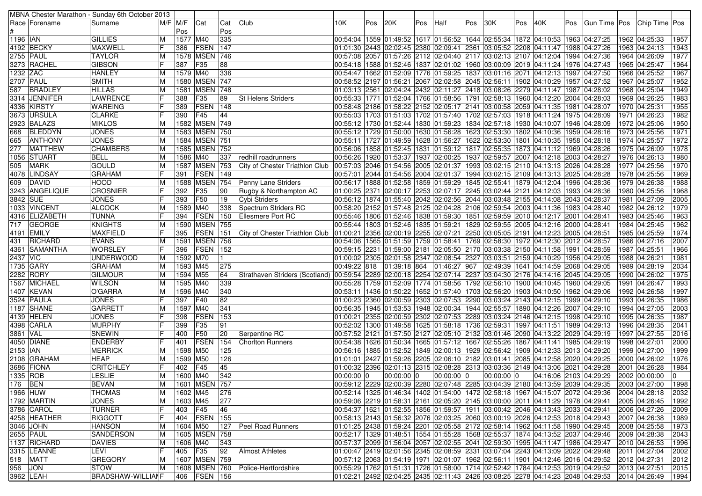|                  |                 | MBNA Chester Marathon - Sunday 6th October 2013 |             |          |                  |     |                                                                                                               |              |     |             |     |            |     |            |     |                                                                                                                                                                                                                                 |     |  |                                                                                              |   |      |
|------------------|-----------------|-------------------------------------------------|-------------|----------|------------------|-----|---------------------------------------------------------------------------------------------------------------|--------------|-----|-------------|-----|------------|-----|------------|-----|---------------------------------------------------------------------------------------------------------------------------------------------------------------------------------------------------------------------------------|-----|--|----------------------------------------------------------------------------------------------|---|------|
|                  | Race   Forename | Surname                                         | $M/F$ $M/F$ |          | Cat              | Cat | Club                                                                                                          | 10K.         | Pos | 20K         | Pos | Half       | Pos | 30K        | Pos | 40K                                                                                                                                                                                                                             | Pos |  | Gun Time Pos Chip Time Pos                                                                   |   |      |
|                  |                 |                                                 |             | Pos      |                  | Pos |                                                                                                               |              |     |             |     |            |     |            |     |                                                                                                                                                                                                                                 |     |  |                                                                                              |   |      |
| 1196   IAN       |                 | <b>GILLIES</b>                                  | M           | 1577 M40 |                  | 335 |                                                                                                               |              |     |             |     |            |     |            |     | 00:54:04  1559  01:49:52  1617  01:56:52  1644  02:55:34  1872  04:10:53  1963  04:27:25                                                                                                                                        |     |  | 1962 04:25:33                                                                                |   | 1957 |
|                  | 4192 BECKY      | <b>MAXWELL</b>                                  |             | 386      | <b>FSEN</b>      | 147 |                                                                                                               |              |     |             |     |            |     |            |     | 01:01:30 2443 02:02:45 2380 02:09:41 2361 03:05:52 2208 04:11:47 1988 04:27:26                                                                                                                                                  |     |  | 1963 04:24:13                                                                                |   | 1943 |
| <b>2755 PAUL</b> |                 | <b>TAYLOR</b>                                   | ΙM          |          | 1578 MSEN 746    |     |                                                                                                               |              |     |             |     |            |     |            |     | 00:57:08 2057 01:57:26 2112 02:04:40 2117 03:02:13 2107 04:12:04 1994 04:27:36                                                                                                                                                  |     |  | 1964 04:26:09                                                                                |   | 1977 |
|                  | 3273 RACHEL     | <b>GIBSON</b>                                   |             | 387      | F35              | 88  |                                                                                                               |              |     |             |     |            |     |            |     | 00:54:18   1588   01:52:46   1837   02:01:02   1960   03:00:09   2019   04:11:24   1976   04:27:43                                                                                                                              |     |  | 1965 04:25:47                                                                                |   | 1964 |
| 1232 ZAC         |                 | <b>HANLEY</b>                                   | ΙM          | 1579 M40 |                  | 336 |                                                                                                               |              |     |             |     |            |     |            |     | 00:54:47  1662  01:52:09  1776  01:59:25  1837  03:01:16  2071  04:12:13  1997  04:27:50                                                                                                                                        |     |  | 1966 04:25:52                                                                                |   | 1967 |
| <b>2707 PAUL</b> |                 | <b>SMITH</b>                                    | M           |          | 1580 MSEN 747    |     |                                                                                                               |              |     |             |     |            |     |            |     | 00:58:52  2197  01:56:21  2067  02:02:58  2045  02:56:11  1902  04:10:29  1957  04:27:52                                                                                                                                        |     |  | 1967 04:25:07                                                                                |   | 1952 |
| 587              | <b>BRADLEY</b>  | <b>HILLAS</b>                                   | ΙM          |          | 1581 MSEN 748    |     |                                                                                                               |              |     |             |     |            |     |            |     | 04:28:02 04:11:47   1987   1987   28:02   28:02   28:10   28:20   29:10   24:24   24:24   24:24   24:24   24:24   24:24   24:24   24:24   24:24   24:24   24:24   24:24   24:24   24:24   24:24   24:24   24:24   24:24   24:24 |     |  | 1968 04:25:04                                                                                |   | 1949 |
|                  | 3314  JENNIFER  | LAWRENCE                                        |             | 388      | F35              | 89  | <b>St Helens Striders</b>                                                                                     |              |     |             |     |            |     |            |     | 00:55:33   1771   01:52:04   1766   01:58:56   1791   02:58:13   1960   04:12:20   2004   04:28:03                                                                                                                              |     |  | 1969 04:26:25                                                                                |   | 1983 |
|                  | 4336 KIRSTY     | <b>WAREING</b>                                  |             | 389      | <b>FSEN</b>      | 148 |                                                                                                               |              |     |             |     |            |     |            |     | 02:58:48 2186 01:58:22 2152 02:05:17 2141 03:00:58 2059 04:11:35 1981 04:28:07 04:58:48                                                                                                                                         |     |  | 1970 04:25:31                                                                                |   | 1955 |
|                  | 3673 URSULA     | <b>CLARKE</b>                                   |             | 390      | F45              | 44  |                                                                                                               |              |     |             |     |            |     |            |     | 00:55:03 1703 01:51:03 1702 01:57:40 1702 02:57:03 1918 04:11:24 1975 04:28:09                                                                                                                                                  |     |  | 1971 04:26:23                                                                                |   | 1982 |
|                  | 2923 BALAZS     | <b>MIKLOS</b>                                   |             |          | 1582 MSEN 749    |     |                                                                                                               |              |     |             |     |            |     |            |     | 00:55:12  1730  01:52:44  1830  01:59:23  1834  02:57:18  1930  04:10:07  1946  04:28:09                                                                                                                                        |     |  | 1972 04:25:06                                                                                |   | 1950 |
|                  | BLEDDYN         |                                                 | ΙM          |          | 1583 MSEN 750    |     |                                                                                                               |              |     |             |     |            |     |            |     |                                                                                                                                                                                                                                 |     |  |                                                                                              |   |      |
| 668              |                 | <b>JONES</b>                                    | M           |          |                  |     |                                                                                                               |              |     |             |     |            |     |            |     | 00:55:12  1729  01:50:00  1630  01:56:28  1623  02:53:30  1802  04:10:36  1959  04:28:16                                                                                                                                        |     |  | 1973 04:25:56                                                                                |   | 1971 |
| 665              | ANTHONY         | <b>JONES</b>                                    | ΙM          |          | 1584 MSEN 751    |     |                                                                                                               |              |     |             |     |            |     |            |     | 00:55:11 1727 01:49:59 1628 01:56:27 1622 02:53:30 1801 04:10:35 1958 04:28:18                                                                                                                                                  |     |  | 1974 04:25:57                                                                                |   | 1972 |
| 277              | <b>MATTHEW</b>  | <b>CHAMBERS</b>                                 | ΙM          |          | 1585 MSEN 752    |     |                                                                                                               |              |     |             |     |            |     |            |     | 00:56:06  1858  01:52:45  1831  01:59:12  1817  02:55:35  1873  04:11:12  1969  04:28:26                                                                                                                                        |     |  | 1975 04:26:09                                                                                |   | 1978 |
|                  | 1056 STUART     | <b>BELL</b>                                     | ΙM          | 1586 M40 |                  | 337 | redhill roadrunners                                                                                           |              |     |             |     |            |     |            |     | 00:56:26 1920 01:53:37 1937 02:00:25 1937 02:59:57 2007 04:12:18 2003 04:28:27                                                                                                                                                  |     |  | 1976 04:26:13                                                                                |   | 1980 |
| 505              | <b>MARK</b>     | <b>GOULD</b>                                    | ΙM          |          | 1587 MSEN 753    |     | City of Chester Triathlon Club 00:57:03 2046 01:54:56 2005 02:01:37 1993 03:02:15 2110 04:13:13 2026 04:28:28 |              |     |             |     |            |     |            |     |                                                                                                                                                                                                                                 |     |  | 1977 04:25:56                                                                                |   | 1970 |
|                  | 4078 LINDSAY    | <b>GRAHAM</b>                                   |             | 391      | <b>FSEN</b>      | 149 |                                                                                                               |              |     |             |     |            |     |            |     | 00:57:01 2044 01:54:56 2004 02:01:37 1994 03:02:15 2109 04:13:13 2025 04:28:28                                                                                                                                                  |     |  | 1978 04:25:56                                                                                |   | 1969 |
| 609              | <b>IDAVID</b>   | <b>HOOD</b>                                     | ΙM          |          | 1588 MSEN 754    |     | Penny Lane Striders                                                                                           |              |     |             |     |            |     |            |     | 00:56:17  1888  01:52:58  1859  01:59:29  1845  02:55:41  1879  04:12:04  1996  04:28:36                                                                                                                                        |     |  | 1979 04:26:38                                                                                |   | 1988 |
|                  | 3243  ANGELIQUE | <b>CROSNIER</b>                                 |             | 392      | F35              | 90  | Rugby & Northampton AC                                                                                        |              |     |             |     |            |     |            |     | 01:00:25 2371 02:00:17 2253 02:07:17 2245 03:02:44 2121 04:12:03 1993 04:28:36                                                                                                                                                  |     |  | 1980 04:25:56                                                                                |   | 1968 |
| 3842 SUE         |                 | <b>JONES</b>                                    |             | 393      | F50              | 19  | Cybi Striders                                                                                                 |              |     |             |     |            |     |            |     | 00:56:12 1874 01:55:40 2042 02:02:56 2044 03:03:48 2155 04:14:08 2043 04:28:37                                                                                                                                                  |     |  | 1981 04:27:09                                                                                |   | 2005 |
|                  | 1033 VINCENT    | <b>ALCOCK</b>                                   | ΙM          | 1589 M40 |                  | 338 | Spectrum Striders RC                                                                                          |              |     |             |     |            |     |            |     | 00:58:20 2152 01:57:48 2125 02:04:28 2106 02:59:54 2003 04:11:36 1983 04:28:40                                                                                                                                                  |     |  | 1982 04:26:12                                                                                |   | 1979 |
|                  | 4316  ELIZABETH | <b>TUNNA</b>                                    |             | 394      | <b>FSEN</b>      | 150 | <b>Ellesmere Port RC</b>                                                                                      |              |     |             |     |            |     |            |     | 00:55:46  1806  01:52:46  1838  01:59:30  1851  02:59:59  2010  04:12:17  2001  04:28:41                                                                                                                                        |     |  | 1983 04:25:46                                                                                |   | 1963 |
| 717              | <b>GEORGE</b>   | <b>KNIGHTS</b>                                  | ΙM          |          | 1590 MSEN 755    |     |                                                                                                               |              |     |             |     |            |     |            |     | 00:55:44  1803  01:52:46  1835  01:59:21  1829  02:59:55  2005  04:12:16  2000  04:28:41                                                                                                                                        |     |  | 1984 04:25:45                                                                                |   | 1962 |
|                  | 4191 EMILY      | <b>MAXFIELD</b>                                 |             | 395      | <b>FSEN</b>      | 151 | City of Chester Triathlon Club                                                                                |              |     |             |     |            |     |            |     | $ 01:00:21 2356 02:00:19 2255 02:07:21 2250 03:05:05 2191 04:12:23 2005 04:28:51$                                                                                                                                               |     |  | 1985 04:25:59                                                                                |   | 1974 |
| 431              | <b>RICHARD</b>  | <b>EVANS</b>                                    | ΙM          |          | 1591 MSEN 756    |     |                                                                                                               |              |     |             |     |            |     |            |     | 00:54:06 1565 01:51:59 1759 01:58:41 1769 02:58:30 1972 04:12:30 2012 04:28:57                                                                                                                                                  |     |  | 1986 04:27:16                                                                                |   | 2007 |
|                  | 4361 SAMANTHA   | <b>WORSLEY</b>                                  |             | 396      | <b>FSEN</b>      | 152 |                                                                                                               |              |     |             |     |            |     |            |     | 00:59:15 2231 01:59:00 2181 02:05:50 2170 03:03:38 2150 04:11:58 1991 04:28:59                                                                                                                                                  |     |  | 1987 04:25:51                                                                                |   | 1966 |
| 2437 VIC         |                 | <b>UNDERWOOD</b>                                | ΙM          | 1592 M70 |                  |     |                                                                                                               |              |     |             |     |            |     |            |     | 01:00:02 2305 02:01:58 2347 02:08:54 2327 03:03:51 2159 04:10:29 1956 04:29:05                                                                                                                                                  |     |  | 1988 04:26:21                                                                                |   | 1981 |
|                  | 1735   GARY     | <b>GRAHAM</b>                                   | ΙM          | 1593 M45 |                  | 275 |                                                                                                               |              |     |             |     |            |     |            |     | 00:49:22 818 01:39:18 864 01:46:27 967 02:49:39 1641 04:14:59 2068 04:29:05                                                                                                                                                     |     |  | 1989 04:28:19                                                                                |   | 2034 |
|                  | 2282 RORY       | <b>GILMOUR</b>                                  | ΙM          | 1594 M55 |                  | 64  | Strathaven Striders (Scotland)                                                                                |              |     |             |     |            |     |            |     | 00:59:54 2289 02:00:18 2254 02:07:14 2237 03:04:30 2176 04:14:16 2045 04:29:05                                                                                                                                                  |     |  | 1990 04:26:02                                                                                |   | 1975 |
|                  | 1567 MICHAEL    | <b>WILSON</b>                                   | ΙM          | 1595 M40 |                  | 339 |                                                                                                               |              |     |             |     |            |     |            |     | 00:55:28  1759  01:52:09  1774  01:58:56  1792  02:56:10  1900  04:10:45  1960  04:29:05                                                                                                                                        |     |  | 1991 04:26:47                                                                                |   | 1993 |
|                  | 1407 KEVAN      | O'GARRA                                         |             | 1596 M40 |                  | 340 |                                                                                                               |              |     |             |     |            |     |            |     | 00:53:11 1436 01:50:22 1652 01:57:40 1703 02:56:20 1903 04:10:50 1962 04:29:06                                                                                                                                                  |     |  | 1992 04:26:58                                                                                |   | 1997 |
|                  |                 |                                                 | ΙM          |          | F40              | 82  |                                                                                                               |              |     |             |     |            |     |            |     |                                                                                                                                                                                                                                 |     |  |                                                                                              |   |      |
|                  | 3524 PAULA      | <b>JONES</b>                                    |             | 397      |                  |     |                                                                                                               |              |     |             |     |            |     |            |     | 01:00:23 2360 02:00:59 2303 02:07:53 2290 03:03:24 2143 04:12:15 1999 04:29:10                                                                                                                                                  |     |  | 1993 04:26:35                                                                                |   | 1986 |
|                  | 1187 SHANE      | <b>GARRETT</b>                                  |             | 1597 M40 |                  | 341 |                                                                                                               |              |     |             |     |            |     |            |     | 00:56:35  1945  01:53:53  1948  02:00:34  1944  02:55:57  1890  04:12:26  2007  04:29:10                                                                                                                                        |     |  | 1994 04:27:05                                                                                |   | 2003 |
|                  | 4139 HELEN      | <b>JONES</b>                                    |             | 398      | <b>FSEN</b>      | 153 |                                                                                                               |              |     |             |     |            |     |            |     | 01:00:21 2355 02:00:59 2302 02:07:53 2289 03:03:24 2146 04:12:15 1998 04:29:10                                                                                                                                                  |     |  | 1995 04:26:35                                                                                |   | 1987 |
|                  | 4398 CARLA      | <b>MURPHY</b>                                   |             | 399      | F35              | 91  |                                                                                                               |              |     |             |     |            |     |            |     | 00:52:02  1300  01:49:58  1625  01:58:18  1736  02:59:31  1997  04:11:51  1989  04:29:13                                                                                                                                        |     |  | 1996 04:28:35                                                                                |   | 2041 |
| 3861 VAL         |                 | SNEWIN                                          |             | 400      | F50              | 20  | Serpentine RC                                                                                                 |              |     |             |     |            |     |            |     | 00:57:52 2121 01:57:50 2127 02:05:10 2132 03:01:46 2090 04:13:22 2029 04:29:19                                                                                                                                                  |     |  | 1997 04:27:55                                                                                |   | 2016 |
|                  | 4050 DIANE      | <b>ENDERBY</b>                                  |             | 401      | FSEN             | 154 | Choriton Runners                                                                                              |              |     |             |     |            |     |            |     | 00:54:38 1626 01:50:34 1665 01:57:12 1667 02:55:26 1867 04:11:41 1985 04:29:19                                                                                                                                                  |     |  | 1998 04:27:01                                                                                |   | 2000 |
| 2153   IAN       |                 | <b>MERRICK</b>                                  | ΙM          | 1598 M50 |                  | 125 |                                                                                                               |              |     |             |     |            |     |            |     | 00:56:16  1885  01:52:52  1849  02:00:13  1929  02:56:42  1909  04:12:33  2013  04:29:20                                                                                                                                        |     |  | 1999 04:27:00                                                                                |   | 1999 |
|                  | 2108 GRAHAM     | <b>HEAP</b>                                     | ΙM          | 1599 M50 |                  | 126 |                                                                                                               |              |     |             |     |            |     |            |     | 01:01:01 2427 01:59:26 2205 02:06:10 2182 03:01:41 2085 04:12:58 2020 04:29:25                                                                                                                                                  |     |  | 2000 04:26:02                                                                                |   | 1976 |
|                  | 3686 FIONA      | <b>CRITCHLEY</b>                                |             | 402      | <b>F45</b>       | 45  |                                                                                                               |              |     |             |     |            |     |            |     | 01:00:32 2396 02:01:13 2315 02:08:28 2313 03:03:36 2149 04:13:06 2021 04:29:28                                                                                                                                                  |     |  | 2001 04:26:28                                                                                |   | 1984 |
| 1335 ROB         |                 | <b>LESLIE</b>                                   | lΜ          | 1600 M40 |                  | 342 |                                                                                                               | $00:00:00$ 0 |     | 00:00:00  0 |     | 00:00:00 0 |     | 00:00:00 0 |     | 04:16:06 2103 04:29:29                                                                                                                                                                                                          |     |  | 2002 00:00:00                                                                                | 0 |      |
| 176 BEN          |                 | <b>BEVAN</b>                                    | M           |          | 1601 MSEN 757    |     |                                                                                                               |              |     |             |     |            |     |            |     |                                                                                                                                                                                                                                 |     |  | 00:59:12 2229 02:00:39 2280 02:07:48 2285 03:04:39 2180 04:13:59 2039 04:29:35 2003 04:27:00 |   | 1998 |
| 1966 HUW         |                 | <b>THOMAS</b>                                   | ΙM          | 1602 M45 |                  | 276 |                                                                                                               |              |     |             |     |            |     |            |     | 00:52:14  1325  01:46:34  1402  01:54:00  1472  02:58:18  1967  04:15:07  2072  04:29:36                                                                                                                                        |     |  | 2004 04:28:18                                                                                |   | 2032 |
|                  | 1792 MARTIN     | <b>JONES</b>                                    | M           | 1603 M45 |                  | 277 |                                                                                                               |              |     |             |     |            |     |            |     | 00:59:06 2219 01:58:31 2161 02:05:20 2145 03:00:00 2011 04:11:29 1978 04:29:41                                                                                                                                                  |     |  | 2005 04:26:45                                                                                |   | 1992 |
|                  | 3786 CAROL      | <b>TURNER</b>                                   |             | 403 F45  |                  | 46  |                                                                                                               |              |     |             |     |            |     |            |     | 00:54:37 1621 01:52:55 1856 01:59:57 1911 03:00:42 2046 04:13:43 2033 04:29:41                                                                                                                                                  |     |  | 2006 04:27:26                                                                                |   | 2009 |
|                  | 4258 HEATHER    | <b>RIGGOTT</b>                                  | F           |          | 404   FSEN   155 |     |                                                                                                               |              |     |             |     |            |     |            |     | 00:58:13 2143 01:56:32 2076 02:03:25 2060 03:00:19 2026 04:12:53 2018 04:29:43                                                                                                                                                  |     |  | 2007 04:26:38                                                                                |   | 1989 |
|                  | 3046 JOHN       | <b>HANSON</b>                                   | M           | 1604 M50 |                  | 127 | <b>Peel Road Runners</b>                                                                                      |              |     |             |     |            |     |            |     | 01:01:25 2438 01:59:24 2201 02:05:58 2172 02:58:14 1962 04:11:58 1990 04:29:45                                                                                                                                                  |     |  | 2008 04:25:58                                                                                |   | 1973 |
| <b>2655 PAUL</b> |                 | SANDERSON                                       | ΙM          |          | 1605 MSEN 758    |     |                                                                                                               |              |     |             |     |            |     |            |     | 00:52:17   1329   01:48:51   1554   01:55:28   1568   02:55:37   1874   04:13:52   2037   04:29:46                                                                                                                              |     |  | 2009 04:28:38                                                                                |   | 2043 |
|                  | 1137 RICHARD    | <b>DAVIES</b>                                   | ΙM          | 1606 M40 |                  | 343 |                                                                                                               |              |     |             |     |            |     |            |     | 00:57:37 2099 01:56:04 2057 02:02:55 2041 02:59:30 1995 04:11:47 1986 04:29:47                                                                                                                                                  |     |  | 2010 04:26:53                                                                                |   | 1996 |
|                  | 3315   LEANNE   | LEVI                                            |             | 405 F35  |                  | 92  | <b>Almost Athletes</b>                                                                                        |              |     |             |     |            |     |            |     | 01:00:47 2419 02:01:56 2345 02:08:59 2331 03:07:04 2243 04:13:09 2022 04:29:48                                                                                                                                                  |     |  | 2011 04:27:04                                                                                |   | 2002 |
|                  | 518 MATT        | <b>GREGORY</b>                                  |             |          | 1607 MSEN 759    |     |                                                                                                               |              |     |             |     |            |     |            |     | 00:57:12 2063 01:54:19 1971 02:01:07 1962 02:56:11 1901 04:12:46 2016 04:29:52                                                                                                                                                  |     |  | 2012 04:27:31                                                                                |   |      |
|                  |                 |                                                 | ΙM          |          |                  |     | 1608 MSEN 760 Police-Hertfordshire                                                                            |              |     |             |     |            |     |            |     |                                                                                                                                                                                                                                 |     |  |                                                                                              |   | 2012 |
| 956 JON          |                 | <b>STOW</b>                                     | ΙM          |          |                  |     |                                                                                                               |              |     |             |     |            |     |            |     | 00:55:29 1762 01:51:31 1726 01:58:00 1714 02:52:42 1784 04:12:53 2019 04:29:52                                                                                                                                                  |     |  | 2013 04:27:51                                                                                |   | 2015 |
| 3962 LEAH        |                 | <b>BRADSHAW-WILLIANF</b>                        |             |          | 406   FSEN   156 |     |                                                                                                               |              |     |             |     |            |     |            |     | 01:02:21 2492 02:04:25 2435 02:11:43 2426 03:08:25 2278 04:14:23 2048 04:29:53                                                                                                                                                  |     |  | 2014 04:26:49                                                                                |   | 1994 |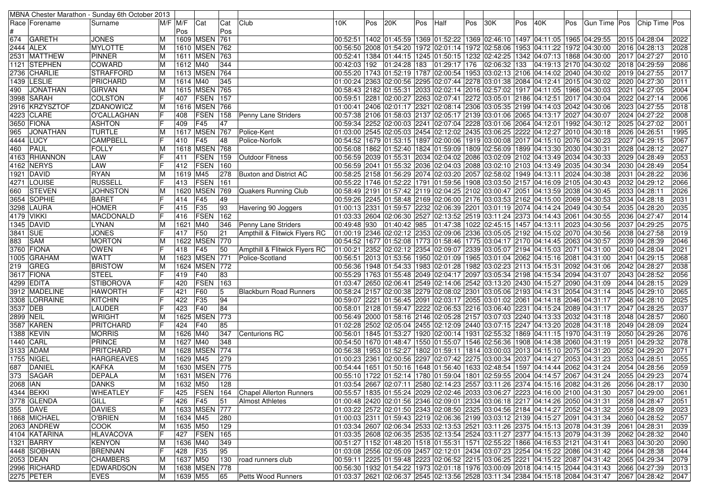|           |                 | MBNA Chester Marathon - Sunday 6th October 2013 |         |             |                   |     |                                            |      |     |     |     |                                                                                                                                                                                                               |     |              |     |                        |     |                            |               |               |      |
|-----------|-----------------|-------------------------------------------------|---------|-------------|-------------------|-----|--------------------------------------------|------|-----|-----|-----|---------------------------------------------------------------------------------------------------------------------------------------------------------------------------------------------------------------|-----|--------------|-----|------------------------|-----|----------------------------|---------------|---------------|------|
|           | Race   Forename | Surname                                         |         | $M/F$ $M/F$ | Cat               | Cat | Club                                       | 10K. | Pos | 20K | Pos | Half                                                                                                                                                                                                          | Pos | 30K          | Pos | 40K                    | Pos | Gun Time Pos Chip Time Pos |               |               |      |
|           |                 |                                                 |         | Pos         |                   | Pos |                                            |      |     |     |     |                                                                                                                                                                                                               |     |              |     |                        |     |                            |               |               |      |
| 674       | <b>GARETH</b>   | <b>JONES</b>                                    | M       |             | 1609 MSEN 761     |     |                                            |      |     |     |     | 00:52:51  1402  01:45:59  1369  01:52:22  1369  02:46:10  1497  04:11:05  1965  04:29:55                                                                                                                      |     |              |     |                        |     |                            |               | 2015 04:28:04 | 2022 |
| 2444 ALEX |                 | <b>MYLOTTE</b>                                  | ΙM      |             | 1610 MSEN 762     |     |                                            |      |     |     |     | 00:56:50 2008 01:54:20 1972 02:01:14 1972 02:58:06 1953 04:11:22 1972 04:30:00                                                                                                                                |     |              |     |                        |     |                            |               | 2016 04:28:13 | 2028 |
|           | 2531 MATTHEW    | <b>PINNER</b>                                   | ΙM      |             | 1611 MSEN 763     |     |                                            |      |     |     |     | 00:52:41  1384  01:44:15  1245  01:50:15  1232  02:42:25  1342  04:07:13  1868  04:30:00                                                                                                                      |     |              |     |                        |     |                            |               | 2017 04:27:27 | 2010 |
|           | 1121 STEPHEN    | <b>COWARD</b>                                   | ΙM      | 1612 M40    |                   | 344 |                                            |      |     |     |     | 00:42:03   192   01:24:28   183   01:29:17   176                                                                                                                                                              |     | 02:06:32 133 |     | 04:19:13 2170 04:30:02 |     |                            |               | 2018 04:29:59 | 2086 |
|           | 2736   CHARLIE  | STRAFFORD                                       | ΙM      |             | 1613 MSEN 764     |     |                                            |      |     |     |     | 00:55:20 1743 01:52:19 1787 02:00:54 1953 03:02:13 2106 04:14:02 2040 04:30:02                                                                                                                                |     |              |     |                        |     |                            |               | 2019 04:27:55 | 2017 |
|           | 1439   LESLIE   | PRICHARD                                        | ΙM      | 1614 M40    |                   | 345 |                                            |      |     |     |     | 01:00:24 2363 02:00:56 2295 02:07:44 2278 03:01:38 2084 04:12:41 2015 04:30:02                                                                                                                                |     |              |     |                        |     |                            |               | 2020 04:27:30 | 2011 |
| 490       | <b>JONATHAN</b> | <b>GIRVAN</b>                                   | ΙM      |             | 1615 MSEN 765     |     |                                            |      |     |     |     | 00:58:43  2182  01:55:31  2033  02:02:14  2016  02:57:02  1917  04:11:05  1966  04:30:03                                                                                                                      |     |              |     |                        |     |                            |               | 2021 04:27:05 | 2004 |
|           | 3998   SARAH    | <b>COLSTON</b>                                  |         | 407         | <b>FSEN</b>       | 157 |                                            |      |     |     |     | 00:59:51 2281 02:00:27 2263 02:07:41 2272 03:05:01 2186 04:12:51 2017 04:30:04 04:                                                                                                                            |     |              |     |                        |     |                            |               | 2022 04:27:14 | 2006 |
|           | 2916 KRZYSZTOF  | ZDANOWICZ                                       | ΙM      |             | 1616 MSEN 766     |     |                                            |      |     |     |     | 01:00:41 2406 02:01:17 2321 02:08:14 2306 03:05:35 2199 04:14:03 2042 04:30:06                                                                                                                                |     |              |     |                        |     |                            |               | 2023 04:27:55 | 2018 |
|           | 4223 CLARE      | O'CALLAGHAN                                     | F       | 408         | <b>FSEN</b>       | 158 | Penny Lane Striders                        |      |     |     |     | 00:57:38 2106 01:58:03 2137 02:05:17 2139 03:01:06 2065 04:13:17 2027 04:30:07                                                                                                                                |     |              |     |                        |     |                            |               | 2024 04:27:22 | 2008 |
|           | 3650 FIONA      | <b>ASHTON</b>                                   |         | 409         | F45               | 47  |                                            |      |     |     |     | 00:59:34 2252 02:00:03 2241 02:07:04 2228 03:01:06 2064 04:12:01 1992 04:30:12                                                                                                                                |     |              |     |                        |     |                            |               | 2025 04:27:02 | 2001 |
| 965       | <b>JONATHAN</b> | <b>TURTLE</b>                                   | ΙM      |             | <b>1617 MSEN</b>  | 767 | Police-Kent                                |      |     |     |     | 01:03:00 2545 02:05:03 2454 02:12:02 2435 03:06:25 2222 04:12:27 2010 04:30:18                                                                                                                                |     |              |     |                        |     |                            | 2026 04:26:51 |               | 1995 |
| 4444 LUCY |                 | <b>CAMPBELL</b>                                 |         | 410         | F45               | 48  | Police-Norfolk                             |      |     |     |     | 00:54:52   1679   01:53:15   1897   02:00:06   1919   03:00:08   2017   04:15:10   2076   04:30:23                                                                                                            |     |              |     |                        |     |                            |               | 2027 04:29:15 | 2067 |
| 460       | <b>PAUL</b>     | <b>FOLLY</b>                                    | ΙM      |             | 1618 MSEN 768     |     |                                            |      |     |     |     | 00:56:08  1862  01:52:40  1824  01:59:09  1809  02:56:09  1899  04:13:30  2030  04:30:31                                                                                                                      |     |              |     |                        |     |                            |               | 2028 04:28:12 | 2027 |
|           | 4163 RHIANNON   | LAW                                             |         | 411         | FSEN              | 159 | <b>Outdoor Fitness</b>                     |      |     |     |     | 00:56:59 2039 01:55:31 2034 02:04:02 2086 03:02:09 2102 04:13:49 2034 04:30:33                                                                                                                                |     |              |     |                        |     |                            |               | 2029 04:28:49 | 2053 |
|           | 4162 NERYS      | LAW                                             |         | 412         | <b>FSEN</b>       | 160 |                                            |      |     |     |     | 00:56:59  2041  01:55:32  2036  02:04:03  2088  03:02:10  2103  04:13:49  2035  04:30:34                                                                                                                      |     |              |     |                        |     |                            |               | 2030 04:28:49 | 2054 |
|           | 1921 DAVID      | <b>RYAN</b>                                     | ΙM      | 1619 M45    |                   | 278 | <b>Buxton and District AC</b>              |      |     |     |     | 00:58:25  2158  01:56:29  2074  02:03:20  2057  02:58:02  1949  04:13:11  2024  04:30:38                                                                                                                      |     |              |     |                        |     |                            |               | 2031 04:28:22 | 2036 |
|           | 4271  LOUISE    | <b>RUSSELL</b>                                  |         | 413         | FSEN              | 161 |                                            |      |     |     |     | 00:55:22 1746 01:52:22 1791 01:59:56 1908 03:03:50 2157 04:16:09 2105 04:30:43                                                                                                                                |     |              |     |                        |     |                            |               | 2032 04:29:12 | 2066 |
| 660       | <b>STEVEN</b>   | <b>JOHNSTON</b>                                 | ΙM      | 1620        | <b>MSEN</b>       | 769 | Quakers Running Club                       |      |     |     |     | 00:58:49  2191  01:57:42  2119  02:04:25  2102  03:00:47  2051  04:13:59  2038  04:30:45                                                                                                                      |     |              |     |                        |     |                            | 2033 04:28:11 |               | 2026 |
|           | 3654 SOPHIE     | <b>BARET</b>                                    |         | 414         | F45               | 49  |                                            |      |     |     |     | 00:59:26 2245 01:58:48 2169 02:06:00 2176 03:03:53 2162 04:15:00 2069 04:30:53                                                                                                                                |     |              |     |                        |     |                            |               | 2034 04:28:18 | 2031 |
|           | 3298 LAURA      | <b>HOMER</b>                                    |         | 415         | F35               | 93  | Havering 90 Joggers                        |      |     |     |     | 01:00:13 2331 01:59:57 2232 02:06:39 2201 03:01:19 2074 04:14:24 2049 04:30:54                                                                                                                                |     |              |     |                        |     |                            |               | 2035 04:28:20 | 2035 |
|           | 4179   VIKKI    | MACDONALD                                       |         | 416         | <b>FSEN</b>       | 162 |                                            |      |     |     |     | 01:03:33 2604 02:06:30 2527 02:13:52 2519 03:11:24 2373 04:14:43 2061 04:30:55                                                                                                                                |     |              |     |                        |     |                            |               | 2036 04:27:47 | 2014 |
|           | 1345 DAVID      | LYNAN                                           | ΙM      | 1621 M40    |                   | 346 | Penny Lane Striders                        |      |     |     |     | 00:49:48  930  01:40:42  985  01:47:38  1022  02:45:15  1457  04:13:11  2023  04:30:56                                                                                                                        |     |              |     |                        |     |                            |               | 2037 04:29:25 | 2075 |
| 3841 SUE  |                 | <b>JONES</b>                                    |         | 417         | F50               | 21  | Ampthill & Flitwick Flyers RC              |      |     |     |     | 01:00:19 2346 02:02:12 2353 02:09:06 2336 03:05:05 2192 04:15:02 2070 04:30:56                                                                                                                                |     |              |     |                        |     |                            |               | 2038 04:27:58 | 2019 |
| 883       | <b>SAM</b>      | <b>MORTON</b>                                   | ΙM      | 1622        | <b>MSEN 770</b>   |     |                                            |      |     |     |     | 00:54:52   1677   01:52:08   1773   01:58:46   1775   03:04:17   2170   04:14:45   2063   04:30:57                                                                                                            |     |              |     |                        |     |                            |               | 2039 04:28:39 | 2046 |
|           | 3760 FIONA      | <b>OWEN</b>                                     |         | 418         | F45               | 50  | Ampthill & Flitwick Flyers RC              |      |     |     |     | 01:00:21 2352 02:02:12 2354 02:09:07 2339 03:05:07 2194 04:15:03 2071 04:31:00                                                                                                                                |     |              |     |                        |     |                            |               | 2040 04:28:04 | 2021 |
|           | 1005 GRAHAM     | <b>WATT</b>                                     | ΙM      |             | 1623 MSEN 771     |     | Police-Scotland                            |      |     |     |     | 00:56:51 2013 01:53:56 1950 02:01:09 1965 03:01:04 2062 04:15:16 2081 04:31:00 00:56:51                                                                                                                       |     |              |     |                        |     |                            |               | 2041 04:29:15 | 2068 |
| 219       | GREG            | <b>BRISTOW</b>                                  | ΙM      |             | 1624 MSEN 772     |     |                                            |      |     |     |     | 00:56:36  1948  01:54:33  1983  02:01:28  1982  03:02:23  2113  04:15:31  2092  04:31:06                                                                                                                      |     |              |     |                        |     |                            |               | 2042 04:28:27 | 2038 |
|           | 3617 FIONA      | <b>STEEL</b>                                    |         | 419         | F40               | 83  |                                            |      |     |     |     | 00:55:29 1763 01:55:48 2049 02:04:17 2097 03:05:34 2198 04:15:34 2094 04:31:07                                                                                                                                |     |              |     |                        |     |                            |               | 2043 04:28:52 | 2056 |
|           | 4299 EDITA      | STIBOROVA                                       |         | 420         | <b>FSEN</b>       | 163 |                                            |      |     |     |     | 01:03:47 2650 02:06:41 2549 02:14:06 2542 03:13:20 2430 04:15:27 2090 04:31:09                                                                                                                                |     |              |     |                        |     |                            |               | 2044 04:28:15 | 2029 |
|           | 3912 MADELINE   | <b>HAWORTH</b>                                  |         | 421         | F60               | 5   | <b>Blackburn Road Runners</b>              |      |     |     |     | 00:58:24 2157 02:00:38 2279 02:08:02 2301 03:05:06 2193 04:14:31 2054 04:31:14                                                                                                                                |     |              |     |                        |     |                            |               | 2045 04:29:10 | 2065 |
|           | 3308  LORRAINE  | KITCHIN                                         |         | 422         | F35               | 94  |                                            |      |     |     |     | 00:59:07 2221 01:56:45 2091 02:03:17 2055 03:01:02 2061 04:14:18 2046 04:31:17                                                                                                                                |     |              |     |                        |     |                            |               | 2046 04:28:10 | 2025 |
| 3537 DEB  |                 | LAUDER                                          |         | 423         | F40               | 84  |                                            |      |     |     |     | 00:58:01 2128 01:59:47 2222 02:06:53 2216 03:06:40 2231 04:15:24 2089 04:31:17                                                                                                                                |     |              |     |                        |     |                            |               | 2047 04:28:25 | 2037 |
| 2899 NEIL |                 | <b>WRIGHT</b>                                   | M       |             | 1625 MSEN         | 773 |                                            |      |     |     |     | 00:56:49 2000 01:58:16 2146 02:05:28 2157 03:07:03 2240 04:13:33 2032 04:31:18                                                                                                                                |     |              |     |                        |     |                            |               | 2048 04:28:57 | 2060 |
|           | 3587 KAREN      | <b>PRITCHARD</b>                                |         | 424         | F40               | 85  |                                            |      |     |     |     | 02:28 2502 02:05:04 2455 02:12:09 2440 03:07:15 2247 04:13:20 2028 04:31:18                                                                                                                                   |     |              |     |                        |     |                            |               | 2049 04:28:09 | 2024 |
|           | 1388  KEVIN     | <b>MORRIS</b>                                   | ΙM      | 1626 M40    |                   | 347 | Centurions RC                              |      |     |     |     | 00:56:01  1845  01:53:27  1920  02:00:14  1931  02:55:32  1869  04:11:15  1970  04:31:19                                                                                                                      |     |              |     |                        |     |                            |               | 2050 04:29:26 | 2076 |
|           | 1440 CARL       | PRINCE                                          | M       | 1627 M40    |                   | 348 |                                            |      |     |     |     | 00:54:50   1670   01:48:47   1550   01:55:07   1546   02:56:36   1908   04:14:38   2060   04:31:19                                                                                                            |     |              |     |                        |     |                            |               | 2051 04:29:32 | 2078 |
|           | 3133 ADAM       | PRITCHARD                                       |         |             | 1628   MSEN   774 |     |                                            |      |     |     |     | 00:56:38 1953 01:52:27 1802 01:59:11 1814 03:00:03 2013 04:15:10 2075 04:31:20                                                                                                                                |     |              |     |                        |     |                            |               | 2052 04:29:20 | 2071 |
|           | 1755 NIGEL      | <b>HARGREAVES</b>                               | ΙM<br>M | 1629 M45    |                   | 279 |                                            |      |     |     |     | 01:00:23 2361 02:00:56 2297 02:07:42 2275 03:00:34 2037 04:14:27 2053 04:31:23                                                                                                                                |     |              |     |                        |     |                            | 2053 04:28:51 |               | 2055 |
| 687       | DANIEL          | KAFKA                                           | M       |             | 1630 MSEN 775     |     |                                            |      |     |     |     | 00:54:44   1651   01:50:16   1648   01:56:40   1633   02:48:54   1597   04:14:44   2062   04:31:24                                                                                                            |     |              |     |                        |     |                            |               | 2054 04:28:56 | 2059 |
| 373       | <b>SAGAR</b>    | <b>DEPALA</b>                                   | ΙM      |             | 1631 MSEN 776     |     |                                            |      |     |     |     | 00:55:10 1722 01:52:14 1780 01:59:04 1801 02:59:55 2004 04:14:57 2067 04:31:24                                                                                                                                |     |              |     |                        |     |                            |               | 2055 04:29:23 | 2074 |
| 2068 IAN  |                 | <b>DANKS</b>                                    | M       | 1632 M50    |                   | 128 |                                            |      |     |     |     | 01:03:54 2667 02:07:11 2580 02:14:23 2557 03:11:26 2374 04:15:16 2082 04:31:26 2056 04:28:17                                                                                                                  |     |              |     |                        |     |                            |               |               | 2030 |
|           | 4344 BEKKI      | <b>WHEATLEY</b>                                 |         |             |                   |     | 425   FSEN   164   Chapel Allerton Runners |      |     |     |     | 00:55:57  1835  01:55:24  2029  02:02:46  2033  03:06:27  2223  04:16:00  2100  04:31:30  2057  04:29:00                                                                                                      |     |              |     |                        |     |                            |               |               | 2061 |
|           |                 |                                                 | lF      |             |                   |     |                                            |      |     |     |     |                                                                                                                                                                                                               |     |              |     |                        |     |                            |               |               |      |
|           | 3778 GLENDA     | GILL                                            |         | 426 F45     |                   | 51  | <b>Almost Athletes</b>                     |      |     |     |     | 01:00:48 2420 02:01:56 2346 02:09:01 2334 03:06:18 2217 04:14:26 2050 04:31:31 2058 04:28:47                                                                                                                  |     |              |     |                        |     |                            |               |               | 2051 |
|           | 355 DAVE        | <b>DAVIES</b>                                   | M       | 1634 M45    | 1633 MSEN 777     |     |                                            |      |     |     |     | 04:28:09 04:28:09 04:28:09 052 1:32 02:03:04:56 03:04:56 03:04:56 03:04:56 04:14:27 052 04:31:32 059 04:28:09<br>01:00:03 2311 01:59:43 2219 02:06:36 2199 03:03:12 2139 04:15:27 2091 04:31:34 2060 04:28:52 |     |              |     |                        |     |                            |               |               | 2023 |
|           | 1868 MICHAEL    | O'BRIEN                                         | ΙM      |             |                   | 280 |                                            |      |     |     |     |                                                                                                                                                                                                               |     |              |     |                        |     |                            |               |               | 2057 |
|           | 2063 ANDREW     | <b>COOK</b>                                     | M       | 1635 M50    |                   | 129 |                                            |      |     |     |     | 01:03:34 2607 02:06:34 2533 02:13:53 2521 03:11:26 2375 04:15:13 2078 04:31:39                                                                                                                                |     |              |     |                        |     |                            |               | 2061 04:28:31 | 2039 |
|           | 4104 KATARINA   | <b>HLAVACOVA</b>                                | IF      |             | 427   FSEN   165  |     |                                            |      |     |     |     | 01:03:35 2608 02:06:35 2535 02:13:54 2524 03:11:27 2377 04:15:13 2079 04:31:39                                                                                                                                |     |              |     |                        |     |                            |               | 2062 04:28:32 | 2040 |
|           | 1321 BARRY      | <b>KENYON</b>                                   | ΙM      | 1636 M40    |                   | 349 |                                            |      |     |     |     | 00:51:27  1152  01:48:20  1518  01:55:31  1571  02:55:22  1866  04:16:53  2121  04:31:41                                                                                                                      |     |              |     |                        |     |                            |               | 2063 04:30:20 | 2090 |
|           | 4448 SIOBHAN    | <b>BRENNAN</b>                                  |         | 428 F35     |                   | 95  |                                            |      |     |     |     | 01:03:08 2556 02:05:09 2457 02:12:01 2434 03:07:23 2254 04:15:22 2086 04:31:42                                                                                                                                |     |              |     |                        |     |                            |               | 2064 04:28:38 | 2044 |
|           | 2053 DEAN       | <b>CHAMBERS</b>                                 | M       | 1637 M50    |                   | 130 | road runners club                          |      |     |     |     | 00:59:11 2225 01:59:48 2223 02:06:52 2215 03:06:25 2221 04:15:22 2087 04:31:42                                                                                                                                |     |              |     |                        |     |                            |               | 2065 04:29:34 | 2079 |
|           | 2996 RICHARD    | <b>EDWARDSON</b>                                | M       |             | 1638 MSEN 778     |     |                                            |      |     |     |     | 00:56:30 1932 01:54:22 1973 02:01:18 1976 03:00:09 2018 04:14:15 2044 04:31:43 2066 04:27:39                                                                                                                  |     |              |     |                        |     |                            |               |               | 2013 |
|           | 2275 PETER      | <b>EVES</b>                                     | M       | 1639 M55    |                   | 65  | Petts Wood Runners                         |      |     |     |     | 01:03:37 2621 02:06:37 2545 02:13:56 2528 03:11:34 2384 04:15:18 2084 04:31:47 2067 04:28:42 2047                                                                                                             |     |              |     |                        |     |                            |               |               |      |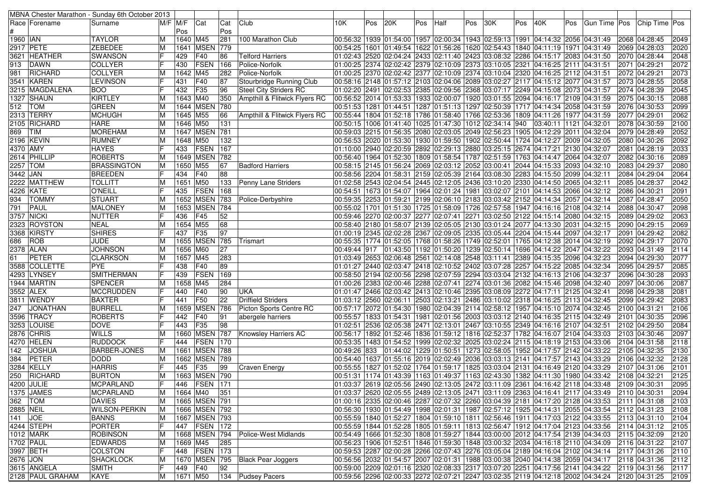|                |                  | MBNA Chester Marathon - Sunday 6th October 2013 |        |             |                   |     |                               |                                                                                              |     |     |     |      |     |     |     |                                                                          |            |  |                                                                                                                |                |
|----------------|------------------|-------------------------------------------------|--------|-------------|-------------------|-----|-------------------------------|----------------------------------------------------------------------------------------------|-----|-----|-----|------|-----|-----|-----|--------------------------------------------------------------------------|------------|--|----------------------------------------------------------------------------------------------------------------|----------------|
|                | Race  Forename   | Surname                                         |        | $M/F$ $M/F$ | Cat               | Cat | Club                          | 10K.                                                                                         | Pos | 20K | Pos | Half | Pos | 30K | Pos | 40K                                                                      | <b>Pos</b> |  | Gun Time Pos Chip Time Pos                                                                                     |                |
|                |                  |                                                 |        | Pos         |                   | Pos |                               |                                                                                              |     |     |     |      |     |     |     |                                                                          |            |  |                                                                                                                |                |
| 1960 IAN       |                  | <b>TAYLOR</b>                                   | M      | 1640 M45    |                   | 281 | 100 Marathon Club             | 00:56:32  1939  01:54:00  1957  02:00:34  1943  02:59:13  1991  04:14:32  2056  04:31:49     |     |     |     |      |     |     |     |                                                                          |            |  | 2068 04:28:45                                                                                                  | 2049           |
|                | 2917 PETE        | <b>ZEBEDEE</b>                                  | M      | 1641        | <b>MSEN 779</b>   |     |                               | 00:54:25  1601  01:49:54  1622  01:56:26  1620  02:54:43  1840  04:11:19  1971  04:31:49     |     |     |     |      |     |     |     |                                                                          |            |  | 2069 04:28:03                                                                                                  | 2020           |
|                | 3621 HEATHER     | <b>SWANSON</b>                                  |        | 429         | F40               | 86  | <b>Telford Harriers</b>       | 02:13:15) 02:43 2520 02:04:24 2433 02:11:40 2423 03:08:32 2286 04:15:17 2083 04:31:50        |     |     |     |      |     |     |     |                                                                          |            |  | 2070 04:28:44                                                                                                  | 2048           |
| 913            | <b>DAWN</b>      | COLLYER                                         | IF     | 430         | FSEN              | 166 | Police-Norfolk                | 01:00:25  2374  02:02:42  2379  02:10:09  2373  03:10:05  2321  04:16:25  2111  04:31:51     |     |     |     |      |     |     |     |                                                                          |            |  | 2071 04:29:21                                                                                                  | 2072           |
| 981            | RICHARD          | COLLYER                                         | M      | 1642 M45    |                   | 282 | Police-Norfolk                | 01:00:25 2370 02:02:42 2377 02:10:09 2374 03:10:04 2320 04:16:25 2112 04:31:51 04:31:51      |     |     |     |      |     |     |     |                                                                          |            |  | 2072 04:29:21                                                                                                  | 2073           |
|                | 3541 KAREN       | LEVINSON                                        |        | 431         | F40               | 87  | Stourbridge Running Club      | 00:58:16 2148 01:57:12 2103 02:04:06 2089 03:02:27 2117 04:15:12 2077 04:31:57 ا00:58:16     |     |     |     |      |     |     |     |                                                                          |            |  | 2073 04:28:55                                                                                                  | 2058           |
|                | 3215  MAGDALENA  | <b>BOO</b>                                      | IF     | 432         | F35               | 96  | <b>Steel City Striders RC</b> | 01:02:20  2491  02:02:53  2385  02:09:56  2368  03:07:17  2249  04:15:08  2073  04:31:57     |     |     |     |      |     |     |     |                                                                          |            |  | 2074 04:28:39                                                                                                  | 2045           |
|                | 1327 SHAUN       | <b>KIRTLEY</b>                                  | M      | 1643 M40    |                   | 350 | Ampthill & Flitwick Flyers RC | 00:56:52 2014 01:53:33 1933 02:00:07 1920 03:01:55 2094 04:16:17 2109 04:31:59               |     |     |     |      |     |     |     |                                                                          |            |  | 2075 04:30:15                                                                                                  | 2088           |
| 512   TOM      |                  | <b>GREEN</b>                                    | M      |             | 1644 MSEN         | 780 |                               | 00:51:53 1281 01:44:51 1287 01:51:13 1297 02:50:39 1717 04:14:34 2058 04:31:59               |     |     |     |      |     |     |     |                                                                          |            |  | 2076 04:30:53                                                                                                  | 2099           |
|                | 2313 TERRY       | <b>MCHUGH</b>                                   | M      | 1645 M55    |                   | 66  | Ampthill & Flitwick Flyers RC | 00:55:44  1804  01:52:18  1786  01:58:40  1766  02:53:36  1809  04:11:26  1977  04:31:59     |     |     |     |      |     |     |     |                                                                          |            |  | 2077 04:29:01                                                                                                  | 2062           |
|                | 2105  RICHARD    | <b>HARE</b>                                     | M      | 1646 M50    |                   | 131 |                               | 00:50:15  1006  01:41:40  1025  01:47:30  1012  02:34:14  940                                |     |     |     |      |     |     |     | 03:40:11 1121 04:32:01                                                   |            |  | 2078 04:30:59                                                                                                  | 2100           |
| 869            | <b>TIM</b>       | <b>MOREHAM</b>                                  | M      |             | 1647 MSEN 781     |     |                               | 00:59:03 2215 01:56:35 2080 02:03:05 2049 02:56:23 1905 04:12:29 2011 04:32:04               |     |     |     |      |     |     |     |                                                                          |            |  | 2079 04:28:49                                                                                                  | 2052           |
|                | 2196 KEVIN       | RUMNEY                                          | M      | 1648 M50    |                   | 132 |                               | 00:56:53 2020 01:53:30 1930 01:59:50 1902 02:50:44 1724 04:12:27 2009 04:32:05               |     |     |     |      |     |     |     |                                                                          |            |  | 2080 04:30:26                                                                                                  | 2092           |
| 4370 AMY       |                  | <b>HAYES</b>                                    |        | 433         | <b>FSEN</b>       | 167 |                               | 01:10:00 2940 02:20:59 2892 02:29:13 2880 03:25:15 2674 04:17:21 2130 04:32:07               |     |     |     |      |     |     |     |                                                                          |            |  | 2081 04:28:19                                                                                                  | 2033           |
|                | 2614 PHILLIP     | <b>ROBERTS</b>                                  | M      |             | 1649 MSEN 782     |     |                               | 00:56:40  1964  01:52:30  1809  01:58:54  1787  02:51:59  1763  04:14:47  2064  04:32:07     |     |     |     |      |     |     |     |                                                                          |            |  | 2082 04:30:16                                                                                                  | 2089           |
| 2257 TOM       |                  | <b>BRASSINGTON</b>                              | M      | 1650 M55    |                   | 67  | <b>Badford Harriers</b>       | 00:58:15 2145 01:56:24 2069 02:03:12 2052 03:00:41 2044 04:15:33 2093 04:32:10               |     |     |     |      |     |     |     |                                                                          |            |  | 2083 04:29:37                                                                                                  | 2080           |
| 3442 JAN       |                  | <b>BREEDEN</b>                                  | IF     | 434         | F40               | 88  |                               | 00:58:56 2204 01:58:31 2159 02:05:39 2164 03:08:30 2283 04:15:50 2099 04:32:11               |     |     |     |      |     |     |     |                                                                          |            |  | 2084 04:29:04                                                                                                  | 2064           |
|                | 2222 MATTHEW     | <b>TOLLITT</b>                                  | M      | 1651 M50    |                   | 133 | Penny Lane Striders           | 01:02:58 2543 02:04:54 2445 02:12:05 2436 03:10:20 2330 04:14:50 2065 04:32:11               |     |     |     |      |     |     |     |                                                                          |            |  | 2085 04:28:37                                                                                                  | 2042           |
|                | 4226 KATE        | <b>O'NEILL</b>                                  | IF     | 435         | <b>FSEN</b>       | 168 |                               | 00:54:51  1673  01:54:07  1964  02:01:24  1981  03:02:07  2101  04:14:53  2066  04:32:12     |     |     |     |      |     |     |     |                                                                          |            |  | 2086 04:30:21                                                                                                  | 2091           |
| 934            | <b>TOMMY</b>     | <b>STUART</b>                                   | M      |             | 1652 MSEN         | 783 | Police-Derbyshire             | 00:59:35  2253  01:59:21  2199  02:06:10  2183  03:03:42  2152  04:14:34  2057  04:32:14     |     |     |     |      |     |     |     |                                                                          |            |  | 2087 04:28:47                                                                                                  | 2050           |
| 791            | PAUL             | MALONEY                                         | M      |             | 1653 MSEN         | 784 |                               | 00:55:02  1701  01:51:30  1725  01:58:09  1726  02:57:58  1947  04:16:16  2108  04:32:14     |     |     |     |      |     |     |     |                                                                          |            |  | 2088 04:30:47                                                                                                  | 2098           |
|                | 3757 NICKI       | <b>NUTTER</b>                                   |        | 436         | F45               | 52  |                               | 00:59:46 2270 02:00:37 2277 02:07:41 2271 03:02:50 2122 04:15:14 2080 04:32:15               |     |     |     |      |     |     |     |                                                                          |            |  | 2089 04:29:02                                                                                                  | 2063           |
|                | 2323 ROYSTON     | <b>NEAL</b>                                     | M      | 1654 M55    |                   | 68  |                               | 00:58:40 2180 01:58:07 2139 02:05:05 2130 03:01:24 2077 04:13:30 2031 04:32:15               |     |     |     |      |     |     |     |                                                                          |            |  | 2090 04:29:15                                                                                                  | 2069           |
|                | 3368 KIRSTY      | <b>SHIRES</b>                                   | F      | 437         | F35               | 97  |                               | 01:00:19 2345 02:02:28 2367 02:09:05 2335 03:05:44 2204 04:15:44 2097 04:32:17               |     |     |     |      |     |     |     |                                                                          |            |  | 2091 04:29:42                                                                                                  | 2082           |
|                |                  | <b>JUDE</b>                                     | M      |             | 1655 MSEN         | 785 |                               |                                                                                              |     |     |     |      |     |     |     |                                                                          |            |  |                                                                                                                | 2070           |
| 686            | ROB              |                                                 |        |             |                   |     | Trismart                      | 00:55:35  1774  01:52:05  1768  01:58:26  1749  02:52:01  1765  04:12:38  2014  04:32:19     |     |     |     |      |     |     |     |                                                                          |            |  | 2092 04:29:17                                                                                                  |                |
|                | 2378  ALAN       | <b>JOHNSON</b>                                  | M      | 1656 M60    |                   | 27  |                               | 00:49:44 917                                                                                 |     |     |     |      |     |     |     | $ 01:43:50 1192 01:50:20 1239 02:50:14 1696 04:14:22 2047 04:32:22$      |            |  | 2093 04:31:49                                                                                                  | 2114           |
| 61             | PETER            | <b>CLARKSON</b>                                 | M      | 1657 M45    |                   | 283 |                               | 01:03:49 2653 02:06:48 2561 02:14:08 2548 03:11:41 2389 04:15:35 2096 04:32:23               |     |     |     |      |     |     |     |                                                                          |            |  | 2094 04:29:30                                                                                                  | 2077           |
|                | 3588 COLLETTE    | <b>PYE</b>                                      |        | 438         | F40               | 89  |                               | 01:01:27 2440 02:03:47 2418 02:10:52 2402 03:07:28 2257 04:15:22 2085 04:32:34 [01:01:27 ]   |     |     |     |      |     |     |     |                                                                          |            |  | 2095 04:29:57                                                                                                  | 2085           |
|                | 4293  LYNSEY     | <b>SMITHERMAN</b>                               | IF     | 439         | FSEN              | 169 |                               | 00:58:50 2194 02:00:56 2298 02:07:59 2294 03:03:04 2132 04:16:13 2106 04:32:37               |     |     |     |      |     |     |     |                                                                          |            |  | 2096 04:30:28                                                                                                  | 2093           |
|                | 1944 MARTIN      | <b>SPENCER</b>                                  |        | 1658 M45    |                   | 284 |                               | 01:00:26 2383 02:00:46 2288 02:07:41 2274 03:01:36 2082 04:15:46 2098 04:32:40               |     |     |     |      |     |     |     |                                                                          |            |  | 2097 04:30:06                                                                                                  | 2087           |
|                | 3552  ALEX       | <b>MCCRUDDEN</b>                                |        | 440         | F40               | 90  | <b>UKA</b>                    | 01:01:47 2466 02:03:42 2413 02:10:46 2395 03:08:09 2272 04:17:11 2125 04:32:41 01:47         |     |     |     |      |     |     |     |                                                                          |            |  | 2098 04:29:38                                                                                                  | 2081           |
|                | 3811  WENDY      | <b>BAXTER</b>                                   |        | 441         | F50               | 22  | <b>Driffield Striders</b>     | 01:03:12 2560 02:06:11 2503 02:13:21 2486 03:10:02 2318 04:16:25 2113 04:32:45               |     |     |     |      |     |     |     |                                                                          |            |  | 2099 04:29:42                                                                                                  | 2083           |
| 247            | JONATHAN         | <b>BURRELL</b>                                  | M      |             | 1659 MSEN         | 786 | Picton Sports Centre RC       | 00:57:17  2072  01:54:30  1980  02:04:39  2114  02:58:12  1957  04:15:10  2074  04:32:45     |     |     |     |      |     |     |     |                                                                          |            |  | 2100 04:31:21                                                                                                  | 2106           |
|                | 3596 TRACY       | <b>ROBERTS</b>                                  |        | 442         | F40               | 91  | abergele harriers             | 00:55:57  1833  01:54:31  1981  02:01:56  2003  03:03:12  2140  04:16:35  2115  04:32:49     |     |     |     |      |     |     |     |                                                                          |            |  | 2101 04:30:35                                                                                                  | 2096           |
|                | 3253 LOUISE      | <b>DOVE</b>                                     | lF     | 443         | F35               | 98  |                               | 01:02:51  2536  02:05:38  2471  02:13:01  2467  03:10:55  2349  04:16:16  2107  04:32:51     |     |     |     |      |     |     |     |                                                                          |            |  | 2102 04:29:50                                                                                                  | 2084           |
|                | 2876  CHRIS      | <b>WILLS</b>                                    | ΙM     |             | 1660 MSEN 787     |     | Knowsley Harriers AC          | 00:56:17  1892  01:52:46  1836  01:59:12  1816  02:52:37  1782  04:16:07  2104  04:33:03     |     |     |     |      |     |     |     |                                                                          |            |  | 2103 04:30:46                                                                                                  | 2097           |
|                | 4270 HELEN       | <b>RUDDOCK</b>                                  |        | 444         | <b>FSEN</b>       | 170 |                               | 00:53:35  1483  01:54:52  1999  02:02:32  2025  03:02:24  2115  04:18:19  2153  04:33:06     |     |     |     |      |     |     |     |                                                                          |            |  | 2104 04:31:58                                                                                                  | 2118           |
| 142            | JOSHUA           | <b>BARBER-JONES</b>                             | M      | 1661        | MSEN 788          |     |                               | 00:49:26 833                                                                                 |     |     |     |      |     |     |     | 01:44:02  1229  01:50:51  1273  02:58:05  1952  04:17:57  2142  04:33:22 |            |  | 2105 04:32:35                                                                                                  | 2130           |
| 384            | <b>PETER</b>     | <b>DODD</b>                                     |        | 1662        | <b>MSEN 789</b>   |     |                               | 00:54:40  1637  01:55:16  2019  02:02:49  2036  03:03:13  2141  04:17:57  2143  04:33:29     |     |     |     |      |     |     |     |                                                                          |            |  | 2106 04:32:32                                                                                                  | 2128           |
|                | 3284 KELLY       | <b>HARRIS</b>                                   |        | 445         | F35               | 99  | Craven Energy                 | 00:55:55  1827  01:52:02  1764  01:59:17  1825  03:03:04  2131  04:16:49  2120  04:33:29     |     |     |     |      |     |     |     |                                                                          |            |  | 2107 04:31:06                                                                                                  | 2101           |
| 250            | RICHARD          | <b>BURTON</b>                                   | M      |             | 1663 MSEN 790     |     |                               | 00:51:31  1174  01:43:39  1163  01:49:37  1163  02:43:30  1382  04:11:30  1980  04:33:42     |     |     |     |      |     |     |     |                                                                          |            |  | 2108 04:32:21                                                                                                  | 2125           |
|                | 4200 JULIE       | MCPARLAND                                       | F      |             | 446 FSEN 171      |     |                               | 01:03:37 2619 02:05:56 2490 02:13:05 2472 03:11:09 2361 04:16:42 2118 04:33:48 2109 04:30:31 |     |     |     |      |     |     |     |                                                                          |            |  |                                                                                                                | 2095           |
|                | 1375 JAMES       | <b>MCPARLAND</b>                                | M      |             | 1664 M40          | 351 |                               | 01:03:37 2620 02:05:55 2489 02:13:05 2471 03:11:09 2363 04:16:41 2117 04:33:49 2110 04:30:31 |     |     |     |      |     |     |     |                                                                          |            |  |                                                                                                                | 2094           |
| 362   TOM      |                  | <b>DAVIES</b>                                   | M      |             | 1665   MSEN   791 |     |                               | 01:00:16 2335 02:00:46 2287 02:07:32 2260 03:04:39 2181 04:17:20 2128 04:33:53 2111 04:31:08 |     |     |     |      |     |     |     |                                                                          |            |  |                                                                                                                | 2103           |
| 2885 NEIL      |                  | <b>WILSON-PERKIN</b>                            | M      |             | 1666 MSEN 792     |     |                               | 00:56:30  1930  01:54:49  1998  02:01:31  1987  02:57:12  1925  04:14:31  2055  04:33:54     |     |     |     |      |     |     |     |                                                                          |            |  | 2112 04:31:23                                                                                                  | 2108           |
| 141 <b>JOE</b> |                  | <b>BANNS</b>                                    | M      |             | 1667 MSEN 793     |     |                               | 00:55:59 1840 01:52:27 1804 01:59:10 1811 02:56:46 1911 04:17:03 2122 04:33:55               |     |     |     |      |     |     |     |                                                                          |            |  | 2113 04:31:10                                                                                                  | 2104           |
|                | 4244 STEPH       | PORTER                                          | IF     |             | 447   FSEN   172  |     |                               | 00:55:59  1844  01:52:28  1805  01:59:11  1813  02:56:47  1912  04:17:04  2123  04:33:56     |     |     |     |      |     |     |     |                                                                          |            |  | 2114 04:31:12                                                                                                  | 2105           |
|                | 1012 MARK        | <b>ROBINSON</b>                                 | M      |             | 1668 MSEN 794     |     | Police-West Midlands          | 00:54:49 1666 01:52:30 1808 01:59:27 1844 03:00:00 2012 04:17:54 2139 04:34:03               |     |     |     |      |     |     |     |                                                                          |            |  | 2115 04:32:09                                                                                                  | $\boxed{2120}$ |
|                | 1702 PAUL        | <b>EDWARDS</b>                                  | M      | 1669 M45    |                   | 285 |                               | 00:56:23  1906  01:52:51  1846  01:59:30  1848  03:00:32  2034  04:16:18  2110  04:34:09     |     |     |     |      |     |     |     |                                                                          |            |  | 2116 04:31:22                                                                                                  | 2107           |
|                | 3997 BETH        | <b>COLSTON</b>                                  | IF     |             | 448   FSEN   173  |     |                               | 00:59:53 2287 02:00:28 2266 02:07:43 2276 03:05:04 2189 04:16:04 2102 04:34:14               |     |     |     |      |     |     |     |                                                                          |            |  | 2117 04:31:26                                                                                                  | 2110           |
| 2676 JON       |                  | SHACKLOCK                                       |        |             | 1670 MSEN 795     |     | <b>Black Pear Joggers</b>     | 00:56:56 2032 01:54:57 2007 02:01:31 1988 03:00:38 2040 04:14:38 2059 04:34:17               |     |     |     |      |     |     |     |                                                                          |            |  | 2118 04:31:36                                                                                                  |                |
|                |                  |                                                 | M<br>F |             |                   |     |                               |                                                                                              |     |     |     |      |     |     |     |                                                                          |            |  |                                                                                                                | 2112           |
|                | 3615 ANGELA      | <b>SMITH</b>                                    |        | 449 F40     |                   | 92  |                               | 00:59:00 2209 02:01:16 2320 02:08:33 2317 03:07:20 2251 04:17:56 2141 04:34:22               |     |     |     |      |     |     |     |                                                                          |            |  | 2119 04:31:56                                                                                                  | 2117           |
|                | 2128 PAUL GRAHAM | KAYE                                            | M      | 1671 M50    |                   |     | 134   Pudsey Pacers           |                                                                                              |     |     |     |      |     |     |     |                                                                          |            |  | 00:59:56  2296  02:00:33  2272  02:07:21  2247  03:02:35  2119  04:12:18  2002  04:34:24  2120  04:31:25  2109 |                |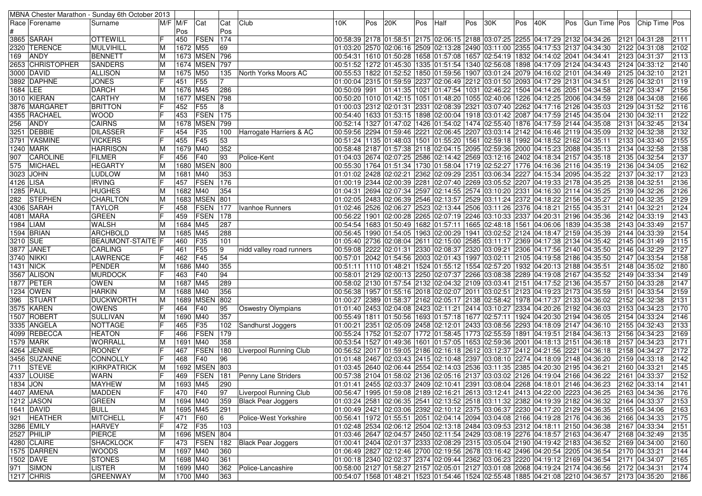| $M/F$ $M/F$<br>Club<br>Race   Forename<br>Cat<br>Cat<br>10K.<br>Pos<br>20K<br>Pos<br>Half<br>Pos<br>30K<br>Pos<br>40K<br> Gun Time   Pos   Chip Time   Pos<br>Surname<br>Pos<br>Pos<br>Pos<br>FSEN<br>IF<br> 174<br>00:58:39 2178 01:58:51 2175 02:06:15 2188 03:07:25 2255 04:17:29 2132 04:34:26<br>3865 SARAH<br><b>OTTEWILL</b><br>450<br>2121 04:31:28<br>2111<br>2320 TERENCE<br>MULVIHILL<br>1672 M55<br>69<br>01:03:20 2570 02:06:16 2509 02:13:28 2490 03:11:00 2355 04:17:53 2137 04:34:30<br>2102<br>ΙM<br>2122 04:31:08<br><b>ANDY</b><br>1673 MSEN 796<br>00:54:31  1610  01:50:28  1658  01:57:08  1657  02:54:19  1832  04:14:02  2041  04:34:41  <br>2113<br>169<br><b>BENNETT</b><br>2123 04:31:37<br>ΙM<br>2653 CHRISTOPHER<br><b>SANDERS</b><br>1674 MSEN<br>797<br>2140<br>ΙM<br>00:51:52   1272   01:45:30   1335   01:51:54   1340   02:56:08   1898   04:17:09   2124   04:34:43<br>2124 04:33:12<br>2121<br><b>ALLISON</b><br>1675 M50<br> 00:55:53  1822  01:52:52  1850  01:59:56  1907  03:01:24  2079  04:16:02  2101  04:34:49<br>2125 04:32:10<br>3000  DAVID<br>ΙM<br>135<br>North Yorks Moors AC<br> 2119<br>3892 DAPHNE<br><b>JONES</b><br>IF<br><b>F55</b><br>01:00:04 2315 01:59:59 2237 02:06:49 2212 03:01:50 2093 04:17:29 2131 04:34:51 01:00:04<br>2126 04:32:01<br>451<br>2156<br><b>DARCH</b><br>1676 M45<br>286<br>1684 LEE<br>00:50:09 991<br> 01:41:35  1021  01:47:54  1031  02:46:22  1504  04:14:26  2051  04:34:58<br>2127 04:33:47<br>ΙM<br>2166<br><b>CARTHY</b><br>1677 MSEN 798<br>3010  KIERAN<br>00:50:20  1010  01:42:15  1051  01:48:20  1055  02:40:06<br> 1226 04:12:25 2006 04:34:59<br>2128 04:34:08<br>ΙM<br>lF<br><b>BRITTON</b><br>452<br><b>F55</b><br>01:00:03 2312 02:01:31 2331 02:08:39 2321 03:07:40 2262 04:17:16 2126 04:35:03<br>2129 04:31:52<br>2116<br>3876  MARGARET<br>8<br>FSEN<br>2122<br><b>WOOD</b><br>453<br>175<br>00:54:40   1633   01:53:15   1898   02:00:04   1918   03:01:42   2087   04:17:59   2145   04:35:04<br>4355 RACHAEL<br>2130 04:32:11<br>2134<br>256<br><b>ANDY</b><br><b>CAIRNS</b><br>1678 MSEN<br>799<br>00:52:14  1327  01:47:02  1426  01:54:02  1474  02:55:40  1876  04:17:59  2144  04:35:08  <br>2131 04:32:45<br>ΙM<br>2132<br>3251 DEBBIE<br><b>DILASSER</b><br>IF<br>F35<br>00:59:56 2294 01:59:46 2221 02:06:45 2207 03:03:14 2142 04:16:46 2119 04:35:09<br>2132 04:32:38<br>454<br>100<br>Harrogate Harriers & AC<br>IF<br>F45<br>53<br>2155<br><b>VICKERS</b><br>455<br>00:51:24  1135  01:48:03  1501  01:55:20  1561  02:59:18  1992  04:18:52  2162  04:35:11<br>3791 YASMINE<br>2133 04:33:40<br>352<br>2138<br><b>HARRISON</b><br>1679 M40<br>2134 04:32:58<br>1240 MARK<br> 00:58:48  2187  01:57:38  2118  02:04:15  2095  02:59:36  2000  04:15:23  2088  04:35:13<br>ΙM<br>IF<br>2137<br><b>CAROLINE</b><br><b>FILMER</b><br>F40<br>2135 04:32:54<br>456<br>93<br>Police-Kent<br> 01:04:03  2674  02:07:25  2586  02:14:42  2569  03:12:16  2402  04:18:34  2157  04:35:18<br>907<br>2162<br><b>MICHAEL</b><br><b>HEGARTY</b><br>1680 MSEN<br>800<br>575<br>ΙM<br> 00:55:30  1764  01:51:34  1730  01:58:04  1719  02:52:27  1776  04:16:36  2116  04:35:19<br>2136 04:34:05<br>2123<br>3023 JOHN<br><b>LUDLOW</b><br>1681 M40<br>353<br>01:01:02 2428 02:02:21 2362 02:09:29 2351 03:06:34 2227 04:15:34 2095 04:35:22<br>2137 04:32:17<br>ΙM<br>IF<br>FSEN<br>2136<br>4126 LISA<br><b>IRVING</b><br>457<br>176<br> 01:00:19  2344  02:00:39  2281  02:07:40  2269  03:05:52  2207  04:19:33  2178  04:35:25<br>2138 04:32:51<br>2126<br>M40<br>354<br>1285  PAUL<br><b>HUGHES</b><br>ΙM<br>1682<br> 01:04:31  2694  02:07:34  2597  02:14:55  2574  03:10:20  2331  04:16:30  2114  04:35:25<br>2139 04:32:26<br><b>STEPHEN</b><br><b>MSEN</b><br>2129<br><b>CHARLTON</b><br>801<br>01:02:05 2483 02:06:39 2546<br>02:13:57 2529 03:11:24 2372 04:18:22 2156 04:35:27<br>282<br>ΙM<br>1683<br>2140 04:32:35<br>4306 SARAH<br><b>TAYLOR</b><br><b>FSEN</b><br>01:02:46 2526 02:06:27 2523 02:13:44 2506 03:11:26 2376 04:18:21 2155 04:35:31<br>2124<br>458<br>177<br>Ivanhoe Runners<br>2141 04:32:21<br> 2143<br>FSEN<br>178<br>4081   MARA<br><b>GREEN</b><br>459<br>00:56:22 1901 02:00:28 2265 02:07:19 2246 03:10:33 2337 04:20:31 2196 04:35:36<br>2142 04:33:19<br>287<br>2157<br><b>WALSH</b><br>1684 M45<br>1984 LIAM<br>ΙM<br>00:54:54   1683   01:50:49   1682   01:57:11   1665   02:48:18   1561   04:06:06   1839   04:35:38<br>2143 04:33:49<br>2154<br>1594 BRIAN<br><b>ARCHBOLD</b><br>1685 M45<br>288<br> 00:56:45  1990  01:54:05  1963  02:00:29  1941  03:02:52  2124  04:18:47  2159  04:35:39<br>2144 04:33:39<br>ΙM<br>2115<br>F35<br>101<br>3210 SUE<br><b>BEAUMONT-STAITE F</b><br>460<br>01:05:40 2736 02:08:04 2611 02:15:00 2585 03:11:17 2369 04:17:38 2134 04:35:42<br>2145 04:31:49<br>2127<br>3877 JANET<br><b>CARLING</b><br><b>F55</b><br>9<br>461<br> 00:59:08  2222  02:01:31  2330  02:08:37  2320  03:09:21  2306  04:17:56  2140  04:35:50<br>2146 04:32:29<br>nidd valley road runners<br>2158<br><b>LAWRENCE</b><br>F45<br>54<br>3740  NIKKI<br>462<br>00:57:01  2042  01:54:56  2003  02:01:43  1997  03:02:11  2105  04:19:58  2186  04:35:50  <br>2147 04:33:54<br>355<br>2180<br>1431 NICK<br><b>PENDER</b><br>1686 M40<br>00:51:11 1110 01:48:21 1524 01:55:12 1554 02:57:20 1932 04:20:13 2188 04:35:51<br>ΙM<br>2148 04:35:02<br>IF<br>94<br>3567 ALISON<br><b>MURDOCK</b><br>F40<br>00:58:01 2129 02:00:13 2250 02:07:37 2266 03:08:38 2289 04:19:08 2167 04:35:52<br>2149 04:33:34<br>2149<br>463<br>1877 PETER<br><b>OWEN</b><br>289<br>2147<br>ΙM<br>1687 M45<br> 00:58:02  2130  01:57:54  2132  02:04:32  2109  03:03:41  2151  04:17:52  2136  04:35:57<br>2150 04:33:28<br>356<br>2159<br><b>HARKIN</b><br>1688 M40<br>00:56:38 1957 01:55:16 2018 02:02:07 2011 03:02:51 2123 04:19:23 2173 04:35:59<br>1234   OWEN<br>2151 04:33:54<br>ΙM<br>2131<br>STUART<br><b>DUCKWORTH</b><br><b>MSEI</b><br>802<br>01:00:27 2389 01:58:37 2162 02:05:17 2138 02:58:42 1978 04:17:37 2133 04:36:02<br>2152 04:32:38<br>396<br>ΙM<br>1689<br>2170<br><b>OWENS</b><br>F40<br>95<br>3575 KAREN<br>464<br><b>Oswestry Olympians</b><br>01:01:40 2453 02:04:08 2423 02:11:21 2414 03:10:27 2334 04:20:26 2192 04:36:03 [01:01:40<br>2153 04:34:23<br>1507 ROBERT<br><b>SULLIVAN</b><br>357<br>2146<br>M<br>1690 M40<br>00:55:49  1811  01:50:56  1693  01:57:18  1677  02:57:11  1924  04:20:30  2194  04:36:05  <br>2154 04:33:24<br>2133<br>3335 ANGELA<br>F35<br>NOTTAGE<br>465<br>102<br>01:00:21 2351 02:05:09 2458 02:12:01 2433 03:08:56 2293 04:18:09 2147 04:36:10<br>2155 04:32:43<br>Sandhurst Joggers<br>FSEN<br>$\overline{179}$<br>2169<br>4099 REBECCA<br><b>HEATON</b><br>466<br>00:55:24 1752 01:52:07 1772 01:58:45 1773 02:55:59 1891 04:19:51 2184 04:36:13<br>2156 04:34:23<br>2171<br><b>WORRALL</b><br>1691 M40<br>358<br>00:53:54 1527 01:49:36 1601 01:57:05 1653 02:59:36 2001 04:18:13 2151 04:36:18<br>2157 04:34:23<br>1579 MARK<br>M<br>2172<br>4264 JENNIE<br><b>ROONEY</b><br>FSEN<br>180<br>00:56:52 2017 01:59:05 2186 02:16:18 2612 03:12:37 2412 04:21:56 2221 04:36:18<br>467<br>Liverpool Running Club<br>2158 04:34:27<br>468<br>F40<br>96<br>2159 04:33:18<br>2142<br>3456 SUZANNE<br><b>CONNOLLY</b><br>01:01:48 2467 02:03:43 2415 02:10:48 2397 03:08:10 2274 04:18:09 2148 04:36:20<br>2145<br><b>STEVE</b><br>KIRKPATRICK<br>M<br>1692 MSEN<br>803<br>711<br> 01:03:45  2640  02:06:44  2554  02:14:03  2536  03:11:35  2385  04:20:30  2195  04:36:21<br>2160 04:33:21<br>IF<br>2152<br><b>FSEN</b><br>4337  LOUISE<br>469<br>181<br>Penny Lane Striders<br>00:57:38 2104 01:58:02 2136 02:05:16 2137 03:03:02 2126 04:19:04 2166 04:36:22<br>2161 04:33:37<br>WARN<br>1834 JON<br><b>MAYHEW</b><br>M<br>1693 M45<br>290<br>01:01:41 2455 02:03:37 2409 02:10:41 2391 03:08:04 2268 04:18:01 2146 04:36:23 2162 04:33:14<br>2141<br>IF<br>4407 AMENA<br>97<br>Liverpool Running Club<br>00:56:47  1995  01:59:08  2189  02:16:21  2613  03:12:41  2413  04:22:00  2223  04:36:25  2163  04:34:36  <br><b>MADDEN</b><br>470 F40<br>2176<br><b>GREEN</b><br>01:03:24 2581 02:06:35 2541 02:13:52 2518 03:11:32 2382 04:19:39 2182 04:36:32<br>1212 JASON<br>1694 M40<br>359<br><b>Black Pear Joggers</b><br>2164 04:33:37<br>2153<br>ΙM<br>1641 DAVID<br><b>BULL</b><br>291<br>01:00:49 2421 02:03:06 2392 02:10:12 2375 03:06:37 2230 04:17:20 2129 04:36:35<br>2163<br>ΙM<br>1695 M45<br>2165 04:34:06<br><b>MITCHELL</b><br>00:56:41  1972  01:55:51  2051  02:04:14  2094  03:04:08  2166  04:19:28  2176  04:36:36<br>921 HEATHER<br>IF<br>F60<br>6<br>Police-West Yorkshire<br>2166 04:34:33<br>2175<br>471<br><b>HARVEY</b><br>IF<br><b>F35</b><br>103<br>01:02:48 2534 02:06:12 2504 02:13:18 2484 03:09:53 2312 04:18:11 2150 04:36:38<br>2151<br>3286 EMILY<br>472<br>2167 04:33:34<br>PIERCE<br>1696 MSEN<br>2527 PHILIP<br>804<br>01:03:46 2647 02:04:57 2450 02:11:54 2429 03:08:19 2276 04:18:57 2163 04:36:47<br>2135<br>ΙM<br>2168 04:32:49<br>01:00:41 2404 02:01:37 2333 02:08:29 2315 03:05:04 2190 04:19:42 2183 04:36:52<br>4280 CLAIRE<br><b>SHACKLOCK</b><br>IF<br>473   FSEN<br>2169 04:34:00<br>2160<br>182 Black Pear Joggers<br>1575 DARREN<br>01:06:49 2827 02:12:46 2700 02:19:56 2678 03:16:42 2496 04:20:54 2205 04:36:54<br><b>WOODS</b><br>1697 M40<br>360<br>2170 04:33:21<br>2144<br>ΙM<br>1502 DAVE<br><b>STONES</b><br>1698 M40<br>361<br>01:00:18 2340 02:02:37 2374 02:09:44 2362 03:06:23 2220 04:19:12 2169 04:36:54<br>ΙM<br>2171 04:34:07<br>2165<br><b>LISTER</b><br>00:58:00 2127 01:58:27 2157 02:05:01 2127 03:01:08 2068 04:19:24 2174 04:36:56<br>971 SIMON<br>1699 M40<br>Police-Lancashire<br>2172 04:34:31<br>2174<br>ΙM<br>362<br>1217 CHRIS<br><b>GREENWAY</b><br>00:54:07  1568  01:48:21  1523  01:54:46  1524  02:55:48  1885  04:21:08  2210  04:36:57<br>2173 04:35:20 2186<br>M<br>1700 M40<br>363 |  | MBNA Chester Marathon - Sunday 6th October 2013 |  |  |  |  |  |  |  |  |  |  |
|---------------------------------------------------------------------------------------------------------------------------------------------------------------------------------------------------------------------------------------------------------------------------------------------------------------------------------------------------------------------------------------------------------------------------------------------------------------------------------------------------------------------------------------------------------------------------------------------------------------------------------------------------------------------------------------------------------------------------------------------------------------------------------------------------------------------------------------------------------------------------------------------------------------------------------------------------------------------------------------------------------------------------------------------------------------------------------------------------------------------------------------------------------------------------------------------------------------------------------------------------------------------------------------------------------------------------------------------------------------------------------------------------------------------------------------------------------------------------------------------------------------------------------------------------------------------------------------------------------------------------------------------------------------------------------------------------------------------------------------------------------------------------------------------------------------------------------------------------------------------------------------------------------------------------------------------------------------------------------------------------------------------------------------------------------------------------------------------------------------------------------------------------------------------------------------------------------------------------------------------------------------------------------------------------------------------------------------------------------------------------------------------------------------------------------------------------------------------------------------------------------------------------------------------------------------------------------------------------------------------------------------------------------------------------------------------------------------------------------------------------------------------------------------------------------------------------------------------------------------------------------------------------------------------------------------------------------------------------------------------------------------------------------------------------------------------------------------------------------------------------------------------------------------------------------------------------------------------------------------------------------------------------------------------------------------------------------------------------------------------------------------------------------------------------------------------------------------------------------------------------------------------------------------------------------------------------------------------------------------------------------------------------------------------------------------------------------------------------------------------------------------------------------------------------------------------------------------------------------------------------------------------------------------------------------------------------------------------------------------------------------------------------------------------------------------------------------------------------------------------------------------------------------------------------------------------------------------------------------------------------------------------------------------------------------------------------------------------------------------------------------------------------------------------------------------------------------------------------------------------------------------------------------------------------------------------------------------------------------------------------------------------------------------------------------------------------------------------------------------------------------------------------------------------------------------------------------------------------------------------------------------------------------------------------------------------------------------------------------------------------------------------------------------------------------------------------------------------------------------------------------------------------------------------------------------------------------------------------------------------------------------------------------------------------------------------------------------------------------------------------------------------------------------------------------------------------------------------------------------------------------------------------------------------------------------------------------------------------------------------------------------------------------------------------------------------------------------------------------------------------------------------------------------------------------------------------------------------------------------------------------------------------------------------------------------------------------------------------------------------------------------------------------------------------------------------------------------------------------------------------------------------------------------------------------------------------------------------------------------------------------------------------------------------------------------------------------------------------------------------------------------------------------------------------------------------------------------------------------------------------------------------------------------------------------------------------------------------------------------------------------------------------------------------------------------------------------------------------------------------------------------------------------------------------------------------------------------------------------------------------------------------------------------------------------------------------------------------------------------------------------------------------------------------------------------------------------------------------------------------------------------------------------------------------------------------------------------------------------------------------------------------------------------------------------------------------------------------------------------------------------------------------------------------------------------------------------------------------------------------------------------------------------------------------------------------------------------------------------------------------------------------------------------------------------------------------------------------------------------------------------------------------------------------------------------------------------------------------------------------------------------------------------------------------------------------------------------------------------------------------------------------------------------------------------------------------------------------------------------------------------------------------------------------------------------------------------------------------------------------------------------------------------------------------------------------------------------------------------------------------------------------------------------------------------------------------------------------------------------------------------------------------------------------------------------------------------------------------------------------------------------------------------------------------------------------------------------------------------------------------------------------------------------------------------------------------------------------------------------------------------------------------------------------------------------------------------------------------------------------------------------------------------------------------------------------------------------------------------------------------------------------------------------------------------------------------------------------------------------------------------------------------------------------------------------------------------------------------------------------------------------------------------------------------------------------------------------------------------------------------------------------------------------------------------------------------------------------------------------------------------------------------------------------------------------------------------------------------------------------------------------------------------------------------------------------------------------------------------------------------------------------------------------------------------------------------------------------------------------|--|-------------------------------------------------|--|--|--|--|--|--|--|--|--|--|
|                                                                                                                                                                                                                                                                                                                                                                                                                                                                                                                                                                                                                                                                                                                                                                                                                                                                                                                                                                                                                                                                                                                                                                                                                                                                                                                                                                                                                                                                                                                                                                                                                                                                                                                                                                                                                                                                                                                                                                                                                                                                                                                                                                                                                                                                                                                                                                                                                                                                                                                                                                                                                                                                                                                                                                                                                                                                                                                                                                                                                                                                                                                                                                                                                                                                                                                                                                                                                                                                                                                                                                                                                                                                                                                                                                                                                                                                                                                                                                                                                                                                                                                                                                                                                                                                                                                                                                                                                                                                                                                                                                                                                                                                                                                                                                                                                                                                                                                                                                                                                                                                                                                                                                                                                                                                                                                                                                                                                                                                                                                                                                                                                                                                                                                                                                                                                                                                                                                                                                                                                                                                                                                                                                                                                                                                                                                                                                                                                                                                                                                                                                                                                                                                                                                                                                                                                                                                                                                                                                                                                                                                                                                                                                                                                                                                                                                                                                                                                                                                                                                                                                                                                                                                                                                                                                                                                                                                                                                                                                                                                                                                                                                                                                                                                                                                                                                                                                                                                                                                                                                                                                                                                                                                                                                                                                                                                                                                                                                                                                                                                                                                                                                                                                                                                                                                                                                                                                                                                                                                                                                                                                                                                                                                                                                                                                                                                                                                                                                                                                                       |  |                                                 |  |  |  |  |  |  |  |  |  |  |
|                                                                                                                                                                                                                                                                                                                                                                                                                                                                                                                                                                                                                                                                                                                                                                                                                                                                                                                                                                                                                                                                                                                                                                                                                                                                                                                                                                                                                                                                                                                                                                                                                                                                                                                                                                                                                                                                                                                                                                                                                                                                                                                                                                                                                                                                                                                                                                                                                                                                                                                                                                                                                                                                                                                                                                                                                                                                                                                                                                                                                                                                                                                                                                                                                                                                                                                                                                                                                                                                                                                                                                                                                                                                                                                                                                                                                                                                                                                                                                                                                                                                                                                                                                                                                                                                                                                                                                                                                                                                                                                                                                                                                                                                                                                                                                                                                                                                                                                                                                                                                                                                                                                                                                                                                                                                                                                                                                                                                                                                                                                                                                                                                                                                                                                                                                                                                                                                                                                                                                                                                                                                                                                                                                                                                                                                                                                                                                                                                                                                                                                                                                                                                                                                                                                                                                                                                                                                                                                                                                                                                                                                                                                                                                                                                                                                                                                                                                                                                                                                                                                                                                                                                                                                                                                                                                                                                                                                                                                                                                                                                                                                                                                                                                                                                                                                                                                                                                                                                                                                                                                                                                                                                                                                                                                                                                                                                                                                                                                                                                                                                                                                                                                                                                                                                                                                                                                                                                                                                                                                                                                                                                                                                                                                                                                                                                                                                                                                                                                                                                                       |  |                                                 |  |  |  |  |  |  |  |  |  |  |
|                                                                                                                                                                                                                                                                                                                                                                                                                                                                                                                                                                                                                                                                                                                                                                                                                                                                                                                                                                                                                                                                                                                                                                                                                                                                                                                                                                                                                                                                                                                                                                                                                                                                                                                                                                                                                                                                                                                                                                                                                                                                                                                                                                                                                                                                                                                                                                                                                                                                                                                                                                                                                                                                                                                                                                                                                                                                                                                                                                                                                                                                                                                                                                                                                                                                                                                                                                                                                                                                                                                                                                                                                                                                                                                                                                                                                                                                                                                                                                                                                                                                                                                                                                                                                                                                                                                                                                                                                                                                                                                                                                                                                                                                                                                                                                                                                                                                                                                                                                                                                                                                                                                                                                                                                                                                                                                                                                                                                                                                                                                                                                                                                                                                                                                                                                                                                                                                                                                                                                                                                                                                                                                                                                                                                                                                                                                                                                                                                                                                                                                                                                                                                                                                                                                                                                                                                                                                                                                                                                                                                                                                                                                                                                                                                                                                                                                                                                                                                                                                                                                                                                                                                                                                                                                                                                                                                                                                                                                                                                                                                                                                                                                                                                                                                                                                                                                                                                                                                                                                                                                                                                                                                                                                                                                                                                                                                                                                                                                                                                                                                                                                                                                                                                                                                                                                                                                                                                                                                                                                                                                                                                                                                                                                                                                                                                                                                                                                                                                                                                                       |  |                                                 |  |  |  |  |  |  |  |  |  |  |
|                                                                                                                                                                                                                                                                                                                                                                                                                                                                                                                                                                                                                                                                                                                                                                                                                                                                                                                                                                                                                                                                                                                                                                                                                                                                                                                                                                                                                                                                                                                                                                                                                                                                                                                                                                                                                                                                                                                                                                                                                                                                                                                                                                                                                                                                                                                                                                                                                                                                                                                                                                                                                                                                                                                                                                                                                                                                                                                                                                                                                                                                                                                                                                                                                                                                                                                                                                                                                                                                                                                                                                                                                                                                                                                                                                                                                                                                                                                                                                                                                                                                                                                                                                                                                                                                                                                                                                                                                                                                                                                                                                                                                                                                                                                                                                                                                                                                                                                                                                                                                                                                                                                                                                                                                                                                                                                                                                                                                                                                                                                                                                                                                                                                                                                                                                                                                                                                                                                                                                                                                                                                                                                                                                                                                                                                                                                                                                                                                                                                                                                                                                                                                                                                                                                                                                                                                                                                                                                                                                                                                                                                                                                                                                                                                                                                                                                                                                                                                                                                                                                                                                                                                                                                                                                                                                                                                                                                                                                                                                                                                                                                                                                                                                                                                                                                                                                                                                                                                                                                                                                                                                                                                                                                                                                                                                                                                                                                                                                                                                                                                                                                                                                                                                                                                                                                                                                                                                                                                                                                                                                                                                                                                                                                                                                                                                                                                                                                                                                                                                                       |  |                                                 |  |  |  |  |  |  |  |  |  |  |
|                                                                                                                                                                                                                                                                                                                                                                                                                                                                                                                                                                                                                                                                                                                                                                                                                                                                                                                                                                                                                                                                                                                                                                                                                                                                                                                                                                                                                                                                                                                                                                                                                                                                                                                                                                                                                                                                                                                                                                                                                                                                                                                                                                                                                                                                                                                                                                                                                                                                                                                                                                                                                                                                                                                                                                                                                                                                                                                                                                                                                                                                                                                                                                                                                                                                                                                                                                                                                                                                                                                                                                                                                                                                                                                                                                                                                                                                                                                                                                                                                                                                                                                                                                                                                                                                                                                                                                                                                                                                                                                                                                                                                                                                                                                                                                                                                                                                                                                                                                                                                                                                                                                                                                                                                                                                                                                                                                                                                                                                                                                                                                                                                                                                                                                                                                                                                                                                                                                                                                                                                                                                                                                                                                                                                                                                                                                                                                                                                                                                                                                                                                                                                                                                                                                                                                                                                                                                                                                                                                                                                                                                                                                                                                                                                                                                                                                                                                                                                                                                                                                                                                                                                                                                                                                                                                                                                                                                                                                                                                                                                                                                                                                                                                                                                                                                                                                                                                                                                                                                                                                                                                                                                                                                                                                                                                                                                                                                                                                                                                                                                                                                                                                                                                                                                                                                                                                                                                                                                                                                                                                                                                                                                                                                                                                                                                                                                                                                                                                                                                                       |  |                                                 |  |  |  |  |  |  |  |  |  |  |
|                                                                                                                                                                                                                                                                                                                                                                                                                                                                                                                                                                                                                                                                                                                                                                                                                                                                                                                                                                                                                                                                                                                                                                                                                                                                                                                                                                                                                                                                                                                                                                                                                                                                                                                                                                                                                                                                                                                                                                                                                                                                                                                                                                                                                                                                                                                                                                                                                                                                                                                                                                                                                                                                                                                                                                                                                                                                                                                                                                                                                                                                                                                                                                                                                                                                                                                                                                                                                                                                                                                                                                                                                                                                                                                                                                                                                                                                                                                                                                                                                                                                                                                                                                                                                                                                                                                                                                                                                                                                                                                                                                                                                                                                                                                                                                                                                                                                                                                                                                                                                                                                                                                                                                                                                                                                                                                                                                                                                                                                                                                                                                                                                                                                                                                                                                                                                                                                                                                                                                                                                                                                                                                                                                                                                                                                                                                                                                                                                                                                                                                                                                                                                                                                                                                                                                                                                                                                                                                                                                                                                                                                                                                                                                                                                                                                                                                                                                                                                                                                                                                                                                                                                                                                                                                                                                                                                                                                                                                                                                                                                                                                                                                                                                                                                                                                                                                                                                                                                                                                                                                                                                                                                                                                                                                                                                                                                                                                                                                                                                                                                                                                                                                                                                                                                                                                                                                                                                                                                                                                                                                                                                                                                                                                                                                                                                                                                                                                                                                                                                                       |  |                                                 |  |  |  |  |  |  |  |  |  |  |
|                                                                                                                                                                                                                                                                                                                                                                                                                                                                                                                                                                                                                                                                                                                                                                                                                                                                                                                                                                                                                                                                                                                                                                                                                                                                                                                                                                                                                                                                                                                                                                                                                                                                                                                                                                                                                                                                                                                                                                                                                                                                                                                                                                                                                                                                                                                                                                                                                                                                                                                                                                                                                                                                                                                                                                                                                                                                                                                                                                                                                                                                                                                                                                                                                                                                                                                                                                                                                                                                                                                                                                                                                                                                                                                                                                                                                                                                                                                                                                                                                                                                                                                                                                                                                                                                                                                                                                                                                                                                                                                                                                                                                                                                                                                                                                                                                                                                                                                                                                                                                                                                                                                                                                                                                                                                                                                                                                                                                                                                                                                                                                                                                                                                                                                                                                                                                                                                                                                                                                                                                                                                                                                                                                                                                                                                                                                                                                                                                                                                                                                                                                                                                                                                                                                                                                                                                                                                                                                                                                                                                                                                                                                                                                                                                                                                                                                                                                                                                                                                                                                                                                                                                                                                                                                                                                                                                                                                                                                                                                                                                                                                                                                                                                                                                                                                                                                                                                                                                                                                                                                                                                                                                                                                                                                                                                                                                                                                                                                                                                                                                                                                                                                                                                                                                                                                                                                                                                                                                                                                                                                                                                                                                                                                                                                                                                                                                                                                                                                                                                                       |  |                                                 |  |  |  |  |  |  |  |  |  |  |
|                                                                                                                                                                                                                                                                                                                                                                                                                                                                                                                                                                                                                                                                                                                                                                                                                                                                                                                                                                                                                                                                                                                                                                                                                                                                                                                                                                                                                                                                                                                                                                                                                                                                                                                                                                                                                                                                                                                                                                                                                                                                                                                                                                                                                                                                                                                                                                                                                                                                                                                                                                                                                                                                                                                                                                                                                                                                                                                                                                                                                                                                                                                                                                                                                                                                                                                                                                                                                                                                                                                                                                                                                                                                                                                                                                                                                                                                                                                                                                                                                                                                                                                                                                                                                                                                                                                                                                                                                                                                                                                                                                                                                                                                                                                                                                                                                                                                                                                                                                                                                                                                                                                                                                                                                                                                                                                                                                                                                                                                                                                                                                                                                                                                                                                                                                                                                                                                                                                                                                                                                                                                                                                                                                                                                                                                                                                                                                                                                                                                                                                                                                                                                                                                                                                                                                                                                                                                                                                                                                                                                                                                                                                                                                                                                                                                                                                                                                                                                                                                                                                                                                                                                                                                                                                                                                                                                                                                                                                                                                                                                                                                                                                                                                                                                                                                                                                                                                                                                                                                                                                                                                                                                                                                                                                                                                                                                                                                                                                                                                                                                                                                                                                                                                                                                                                                                                                                                                                                                                                                                                                                                                                                                                                                                                                                                                                                                                                                                                                                                                                       |  |                                                 |  |  |  |  |  |  |  |  |  |  |
|                                                                                                                                                                                                                                                                                                                                                                                                                                                                                                                                                                                                                                                                                                                                                                                                                                                                                                                                                                                                                                                                                                                                                                                                                                                                                                                                                                                                                                                                                                                                                                                                                                                                                                                                                                                                                                                                                                                                                                                                                                                                                                                                                                                                                                                                                                                                                                                                                                                                                                                                                                                                                                                                                                                                                                                                                                                                                                                                                                                                                                                                                                                                                                                                                                                                                                                                                                                                                                                                                                                                                                                                                                                                                                                                                                                                                                                                                                                                                                                                                                                                                                                                                                                                                                                                                                                                                                                                                                                                                                                                                                                                                                                                                                                                                                                                                                                                                                                                                                                                                                                                                                                                                                                                                                                                                                                                                                                                                                                                                                                                                                                                                                                                                                                                                                                                                                                                                                                                                                                                                                                                                                                                                                                                                                                                                                                                                                                                                                                                                                                                                                                                                                                                                                                                                                                                                                                                                                                                                                                                                                                                                                                                                                                                                                                                                                                                                                                                                                                                                                                                                                                                                                                                                                                                                                                                                                                                                                                                                                                                                                                                                                                                                                                                                                                                                                                                                                                                                                                                                                                                                                                                                                                                                                                                                                                                                                                                                                                                                                                                                                                                                                                                                                                                                                                                                                                                                                                                                                                                                                                                                                                                                                                                                                                                                                                                                                                                                                                                                                                       |  |                                                 |  |  |  |  |  |  |  |  |  |  |
|                                                                                                                                                                                                                                                                                                                                                                                                                                                                                                                                                                                                                                                                                                                                                                                                                                                                                                                                                                                                                                                                                                                                                                                                                                                                                                                                                                                                                                                                                                                                                                                                                                                                                                                                                                                                                                                                                                                                                                                                                                                                                                                                                                                                                                                                                                                                                                                                                                                                                                                                                                                                                                                                                                                                                                                                                                                                                                                                                                                                                                                                                                                                                                                                                                                                                                                                                                                                                                                                                                                                                                                                                                                                                                                                                                                                                                                                                                                                                                                                                                                                                                                                                                                                                                                                                                                                                                                                                                                                                                                                                                                                                                                                                                                                                                                                                                                                                                                                                                                                                                                                                                                                                                                                                                                                                                                                                                                                                                                                                                                                                                                                                                                                                                                                                                                                                                                                                                                                                                                                                                                                                                                                                                                                                                                                                                                                                                                                                                                                                                                                                                                                                                                                                                                                                                                                                                                                                                                                                                                                                                                                                                                                                                                                                                                                                                                                                                                                                                                                                                                                                                                                                                                                                                                                                                                                                                                                                                                                                                                                                                                                                                                                                                                                                                                                                                                                                                                                                                                                                                                                                                                                                                                                                                                                                                                                                                                                                                                                                                                                                                                                                                                                                                                                                                                                                                                                                                                                                                                                                                                                                                                                                                                                                                                                                                                                                                                                                                                                                                                       |  |                                                 |  |  |  |  |  |  |  |  |  |  |
|                                                                                                                                                                                                                                                                                                                                                                                                                                                                                                                                                                                                                                                                                                                                                                                                                                                                                                                                                                                                                                                                                                                                                                                                                                                                                                                                                                                                                                                                                                                                                                                                                                                                                                                                                                                                                                                                                                                                                                                                                                                                                                                                                                                                                                                                                                                                                                                                                                                                                                                                                                                                                                                                                                                                                                                                                                                                                                                                                                                                                                                                                                                                                                                                                                                                                                                                                                                                                                                                                                                                                                                                                                                                                                                                                                                                                                                                                                                                                                                                                                                                                                                                                                                                                                                                                                                                                                                                                                                                                                                                                                                                                                                                                                                                                                                                                                                                                                                                                                                                                                                                                                                                                                                                                                                                                                                                                                                                                                                                                                                                                                                                                                                                                                                                                                                                                                                                                                                                                                                                                                                                                                                                                                                                                                                                                                                                                                                                                                                                                                                                                                                                                                                                                                                                                                                                                                                                                                                                                                                                                                                                                                                                                                                                                                                                                                                                                                                                                                                                                                                                                                                                                                                                                                                                                                                                                                                                                                                                                                                                                                                                                                                                                                                                                                                                                                                                                                                                                                                                                                                                                                                                                                                                                                                                                                                                                                                                                                                                                                                                                                                                                                                                                                                                                                                                                                                                                                                                                                                                                                                                                                                                                                                                                                                                                                                                                                                                                                                                                                                       |  |                                                 |  |  |  |  |  |  |  |  |  |  |
|                                                                                                                                                                                                                                                                                                                                                                                                                                                                                                                                                                                                                                                                                                                                                                                                                                                                                                                                                                                                                                                                                                                                                                                                                                                                                                                                                                                                                                                                                                                                                                                                                                                                                                                                                                                                                                                                                                                                                                                                                                                                                                                                                                                                                                                                                                                                                                                                                                                                                                                                                                                                                                                                                                                                                                                                                                                                                                                                                                                                                                                                                                                                                                                                                                                                                                                                                                                                                                                                                                                                                                                                                                                                                                                                                                                                                                                                                                                                                                                                                                                                                                                                                                                                                                                                                                                                                                                                                                                                                                                                                                                                                                                                                                                                                                                                                                                                                                                                                                                                                                                                                                                                                                                                                                                                                                                                                                                                                                                                                                                                                                                                                                                                                                                                                                                                                                                                                                                                                                                                                                                                                                                                                                                                                                                                                                                                                                                                                                                                                                                                                                                                                                                                                                                                                                                                                                                                                                                                                                                                                                                                                                                                                                                                                                                                                                                                                                                                                                                                                                                                                                                                                                                                                                                                                                                                                                                                                                                                                                                                                                                                                                                                                                                                                                                                                                                                                                                                                                                                                                                                                                                                                                                                                                                                                                                                                                                                                                                                                                                                                                                                                                                                                                                                                                                                                                                                                                                                                                                                                                                                                                                                                                                                                                                                                                                                                                                                                                                                                                                       |  |                                                 |  |  |  |  |  |  |  |  |  |  |
|                                                                                                                                                                                                                                                                                                                                                                                                                                                                                                                                                                                                                                                                                                                                                                                                                                                                                                                                                                                                                                                                                                                                                                                                                                                                                                                                                                                                                                                                                                                                                                                                                                                                                                                                                                                                                                                                                                                                                                                                                                                                                                                                                                                                                                                                                                                                                                                                                                                                                                                                                                                                                                                                                                                                                                                                                                                                                                                                                                                                                                                                                                                                                                                                                                                                                                                                                                                                                                                                                                                                                                                                                                                                                                                                                                                                                                                                                                                                                                                                                                                                                                                                                                                                                                                                                                                                                                                                                                                                                                                                                                                                                                                                                                                                                                                                                                                                                                                                                                                                                                                                                                                                                                                                                                                                                                                                                                                                                                                                                                                                                                                                                                                                                                                                                                                                                                                                                                                                                                                                                                                                                                                                                                                                                                                                                                                                                                                                                                                                                                                                                                                                                                                                                                                                                                                                                                                                                                                                                                                                                                                                                                                                                                                                                                                                                                                                                                                                                                                                                                                                                                                                                                                                                                                                                                                                                                                                                                                                                                                                                                                                                                                                                                                                                                                                                                                                                                                                                                                                                                                                                                                                                                                                                                                                                                                                                                                                                                                                                                                                                                                                                                                                                                                                                                                                                                                                                                                                                                                                                                                                                                                                                                                                                                                                                                                                                                                                                                                                                                                       |  |                                                 |  |  |  |  |  |  |  |  |  |  |
|                                                                                                                                                                                                                                                                                                                                                                                                                                                                                                                                                                                                                                                                                                                                                                                                                                                                                                                                                                                                                                                                                                                                                                                                                                                                                                                                                                                                                                                                                                                                                                                                                                                                                                                                                                                                                                                                                                                                                                                                                                                                                                                                                                                                                                                                                                                                                                                                                                                                                                                                                                                                                                                                                                                                                                                                                                                                                                                                                                                                                                                                                                                                                                                                                                                                                                                                                                                                                                                                                                                                                                                                                                                                                                                                                                                                                                                                                                                                                                                                                                                                                                                                                                                                                                                                                                                                                                                                                                                                                                                                                                                                                                                                                                                                                                                                                                                                                                                                                                                                                                                                                                                                                                                                                                                                                                                                                                                                                                                                                                                                                                                                                                                                                                                                                                                                                                                                                                                                                                                                                                                                                                                                                                                                                                                                                                                                                                                                                                                                                                                                                                                                                                                                                                                                                                                                                                                                                                                                                                                                                                                                                                                                                                                                                                                                                                                                                                                                                                                                                                                                                                                                                                                                                                                                                                                                                                                                                                                                                                                                                                                                                                                                                                                                                                                                                                                                                                                                                                                                                                                                                                                                                                                                                                                                                                                                                                                                                                                                                                                                                                                                                                                                                                                                                                                                                                                                                                                                                                                                                                                                                                                                                                                                                                                                                                                                                                                                                                                                                                                       |  |                                                 |  |  |  |  |  |  |  |  |  |  |
|                                                                                                                                                                                                                                                                                                                                                                                                                                                                                                                                                                                                                                                                                                                                                                                                                                                                                                                                                                                                                                                                                                                                                                                                                                                                                                                                                                                                                                                                                                                                                                                                                                                                                                                                                                                                                                                                                                                                                                                                                                                                                                                                                                                                                                                                                                                                                                                                                                                                                                                                                                                                                                                                                                                                                                                                                                                                                                                                                                                                                                                                                                                                                                                                                                                                                                                                                                                                                                                                                                                                                                                                                                                                                                                                                                                                                                                                                                                                                                                                                                                                                                                                                                                                                                                                                                                                                                                                                                                                                                                                                                                                                                                                                                                                                                                                                                                                                                                                                                                                                                                                                                                                                                                                                                                                                                                                                                                                                                                                                                                                                                                                                                                                                                                                                                                                                                                                                                                                                                                                                                                                                                                                                                                                                                                                                                                                                                                                                                                                                                                                                                                                                                                                                                                                                                                                                                                                                                                                                                                                                                                                                                                                                                                                                                                                                                                                                                                                                                                                                                                                                                                                                                                                                                                                                                                                                                                                                                                                                                                                                                                                                                                                                                                                                                                                                                                                                                                                                                                                                                                                                                                                                                                                                                                                                                                                                                                                                                                                                                                                                                                                                                                                                                                                                                                                                                                                                                                                                                                                                                                                                                                                                                                                                                                                                                                                                                                                                                                                                                                       |  |                                                 |  |  |  |  |  |  |  |  |  |  |
|                                                                                                                                                                                                                                                                                                                                                                                                                                                                                                                                                                                                                                                                                                                                                                                                                                                                                                                                                                                                                                                                                                                                                                                                                                                                                                                                                                                                                                                                                                                                                                                                                                                                                                                                                                                                                                                                                                                                                                                                                                                                                                                                                                                                                                                                                                                                                                                                                                                                                                                                                                                                                                                                                                                                                                                                                                                                                                                                                                                                                                                                                                                                                                                                                                                                                                                                                                                                                                                                                                                                                                                                                                                                                                                                                                                                                                                                                                                                                                                                                                                                                                                                                                                                                                                                                                                                                                                                                                                                                                                                                                                                                                                                                                                                                                                                                                                                                                                                                                                                                                                                                                                                                                                                                                                                                                                                                                                                                                                                                                                                                                                                                                                                                                                                                                                                                                                                                                                                                                                                                                                                                                                                                                                                                                                                                                                                                                                                                                                                                                                                                                                                                                                                                                                                                                                                                                                                                                                                                                                                                                                                                                                                                                                                                                                                                                                                                                                                                                                                                                                                                                                                                                                                                                                                                                                                                                                                                                                                                                                                                                                                                                                                                                                                                                                                                                                                                                                                                                                                                                                                                                                                                                                                                                                                                                                                                                                                                                                                                                                                                                                                                                                                                                                                                                                                                                                                                                                                                                                                                                                                                                                                                                                                                                                                                                                                                                                                                                                                                                                       |  |                                                 |  |  |  |  |  |  |  |  |  |  |
|                                                                                                                                                                                                                                                                                                                                                                                                                                                                                                                                                                                                                                                                                                                                                                                                                                                                                                                                                                                                                                                                                                                                                                                                                                                                                                                                                                                                                                                                                                                                                                                                                                                                                                                                                                                                                                                                                                                                                                                                                                                                                                                                                                                                                                                                                                                                                                                                                                                                                                                                                                                                                                                                                                                                                                                                                                                                                                                                                                                                                                                                                                                                                                                                                                                                                                                                                                                                                                                                                                                                                                                                                                                                                                                                                                                                                                                                                                                                                                                                                                                                                                                                                                                                                                                                                                                                                                                                                                                                                                                                                                                                                                                                                                                                                                                                                                                                                                                                                                                                                                                                                                                                                                                                                                                                                                                                                                                                                                                                                                                                                                                                                                                                                                                                                                                                                                                                                                                                                                                                                                                                                                                                                                                                                                                                                                                                                                                                                                                                                                                                                                                                                                                                                                                                                                                                                                                                                                                                                                                                                                                                                                                                                                                                                                                                                                                                                                                                                                                                                                                                                                                                                                                                                                                                                                                                                                                                                                                                                                                                                                                                                                                                                                                                                                                                                                                                                                                                                                                                                                                                                                                                                                                                                                                                                                                                                                                                                                                                                                                                                                                                                                                                                                                                                                                                                                                                                                                                                                                                                                                                                                                                                                                                                                                                                                                                                                                                                                                                                                                       |  |                                                 |  |  |  |  |  |  |  |  |  |  |
|                                                                                                                                                                                                                                                                                                                                                                                                                                                                                                                                                                                                                                                                                                                                                                                                                                                                                                                                                                                                                                                                                                                                                                                                                                                                                                                                                                                                                                                                                                                                                                                                                                                                                                                                                                                                                                                                                                                                                                                                                                                                                                                                                                                                                                                                                                                                                                                                                                                                                                                                                                                                                                                                                                                                                                                                                                                                                                                                                                                                                                                                                                                                                                                                                                                                                                                                                                                                                                                                                                                                                                                                                                                                                                                                                                                                                                                                                                                                                                                                                                                                                                                                                                                                                                                                                                                                                                                                                                                                                                                                                                                                                                                                                                                                                                                                                                                                                                                                                                                                                                                                                                                                                                                                                                                                                                                                                                                                                                                                                                                                                                                                                                                                                                                                                                                                                                                                                                                                                                                                                                                                                                                                                                                                                                                                                                                                                                                                                                                                                                                                                                                                                                                                                                                                                                                                                                                                                                                                                                                                                                                                                                                                                                                                                                                                                                                                                                                                                                                                                                                                                                                                                                                                                                                                                                                                                                                                                                                                                                                                                                                                                                                                                                                                                                                                                                                                                                                                                                                                                                                                                                                                                                                                                                                                                                                                                                                                                                                                                                                                                                                                                                                                                                                                                                                                                                                                                                                                                                                                                                                                                                                                                                                                                                                                                                                                                                                                                                                                                                                       |  |                                                 |  |  |  |  |  |  |  |  |  |  |
|                                                                                                                                                                                                                                                                                                                                                                                                                                                                                                                                                                                                                                                                                                                                                                                                                                                                                                                                                                                                                                                                                                                                                                                                                                                                                                                                                                                                                                                                                                                                                                                                                                                                                                                                                                                                                                                                                                                                                                                                                                                                                                                                                                                                                                                                                                                                                                                                                                                                                                                                                                                                                                                                                                                                                                                                                                                                                                                                                                                                                                                                                                                                                                                                                                                                                                                                                                                                                                                                                                                                                                                                                                                                                                                                                                                                                                                                                                                                                                                                                                                                                                                                                                                                                                                                                                                                                                                                                                                                                                                                                                                                                                                                                                                                                                                                                                                                                                                                                                                                                                                                                                                                                                                                                                                                                                                                                                                                                                                                                                                                                                                                                                                                                                                                                                                                                                                                                                                                                                                                                                                                                                                                                                                                                                                                                                                                                                                                                                                                                                                                                                                                                                                                                                                                                                                                                                                                                                                                                                                                                                                                                                                                                                                                                                                                                                                                                                                                                                                                                                                                                                                                                                                                                                                                                                                                                                                                                                                                                                                                                                                                                                                                                                                                                                                                                                                                                                                                                                                                                                                                                                                                                                                                                                                                                                                                                                                                                                                                                                                                                                                                                                                                                                                                                                                                                                                                                                                                                                                                                                                                                                                                                                                                                                                                                                                                                                                                                                                                                                                       |  |                                                 |  |  |  |  |  |  |  |  |  |  |
|                                                                                                                                                                                                                                                                                                                                                                                                                                                                                                                                                                                                                                                                                                                                                                                                                                                                                                                                                                                                                                                                                                                                                                                                                                                                                                                                                                                                                                                                                                                                                                                                                                                                                                                                                                                                                                                                                                                                                                                                                                                                                                                                                                                                                                                                                                                                                                                                                                                                                                                                                                                                                                                                                                                                                                                                                                                                                                                                                                                                                                                                                                                                                                                                                                                                                                                                                                                                                                                                                                                                                                                                                                                                                                                                                                                                                                                                                                                                                                                                                                                                                                                                                                                                                                                                                                                                                                                                                                                                                                                                                                                                                                                                                                                                                                                                                                                                                                                                                                                                                                                                                                                                                                                                                                                                                                                                                                                                                                                                                                                                                                                                                                                                                                                                                                                                                                                                                                                                                                                                                                                                                                                                                                                                                                                                                                                                                                                                                                                                                                                                                                                                                                                                                                                                                                                                                                                                                                                                                                                                                                                                                                                                                                                                                                                                                                                                                                                                                                                                                                                                                                                                                                                                                                                                                                                                                                                                                                                                                                                                                                                                                                                                                                                                                                                                                                                                                                                                                                                                                                                                                                                                                                                                                                                                                                                                                                                                                                                                                                                                                                                                                                                                                                                                                                                                                                                                                                                                                                                                                                                                                                                                                                                                                                                                                                                                                                                                                                                                                                                       |  |                                                 |  |  |  |  |  |  |  |  |  |  |
|                                                                                                                                                                                                                                                                                                                                                                                                                                                                                                                                                                                                                                                                                                                                                                                                                                                                                                                                                                                                                                                                                                                                                                                                                                                                                                                                                                                                                                                                                                                                                                                                                                                                                                                                                                                                                                                                                                                                                                                                                                                                                                                                                                                                                                                                                                                                                                                                                                                                                                                                                                                                                                                                                                                                                                                                                                                                                                                                                                                                                                                                                                                                                                                                                                                                                                                                                                                                                                                                                                                                                                                                                                                                                                                                                                                                                                                                                                                                                                                                                                                                                                                                                                                                                                                                                                                                                                                                                                                                                                                                                                                                                                                                                                                                                                                                                                                                                                                                                                                                                                                                                                                                                                                                                                                                                                                                                                                                                                                                                                                                                                                                                                                                                                                                                                                                                                                                                                                                                                                                                                                                                                                                                                                                                                                                                                                                                                                                                                                                                                                                                                                                                                                                                                                                                                                                                                                                                                                                                                                                                                                                                                                                                                                                                                                                                                                                                                                                                                                                                                                                                                                                                                                                                                                                                                                                                                                                                                                                                                                                                                                                                                                                                                                                                                                                                                                                                                                                                                                                                                                                                                                                                                                                                                                                                                                                                                                                                                                                                                                                                                                                                                                                                                                                                                                                                                                                                                                                                                                                                                                                                                                                                                                                                                                                                                                                                                                                                                                                                                                       |  |                                                 |  |  |  |  |  |  |  |  |  |  |
|                                                                                                                                                                                                                                                                                                                                                                                                                                                                                                                                                                                                                                                                                                                                                                                                                                                                                                                                                                                                                                                                                                                                                                                                                                                                                                                                                                                                                                                                                                                                                                                                                                                                                                                                                                                                                                                                                                                                                                                                                                                                                                                                                                                                                                                                                                                                                                                                                                                                                                                                                                                                                                                                                                                                                                                                                                                                                                                                                                                                                                                                                                                                                                                                                                                                                                                                                                                                                                                                                                                                                                                                                                                                                                                                                                                                                                                                                                                                                                                                                                                                                                                                                                                                                                                                                                                                                                                                                                                                                                                                                                                                                                                                                                                                                                                                                                                                                                                                                                                                                                                                                                                                                                                                                                                                                                                                                                                                                                                                                                                                                                                                                                                                                                                                                                                                                                                                                                                                                                                                                                                                                                                                                                                                                                                                                                                                                                                                                                                                                                                                                                                                                                                                                                                                                                                                                                                                                                                                                                                                                                                                                                                                                                                                                                                                                                                                                                                                                                                                                                                                                                                                                                                                                                                                                                                                                                                                                                                                                                                                                                                                                                                                                                                                                                                                                                                                                                                                                                                                                                                                                                                                                                                                                                                                                                                                                                                                                                                                                                                                                                                                                                                                                                                                                                                                                                                                                                                                                                                                                                                                                                                                                                                                                                                                                                                                                                                                                                                                                                                       |  |                                                 |  |  |  |  |  |  |  |  |  |  |
|                                                                                                                                                                                                                                                                                                                                                                                                                                                                                                                                                                                                                                                                                                                                                                                                                                                                                                                                                                                                                                                                                                                                                                                                                                                                                                                                                                                                                                                                                                                                                                                                                                                                                                                                                                                                                                                                                                                                                                                                                                                                                                                                                                                                                                                                                                                                                                                                                                                                                                                                                                                                                                                                                                                                                                                                                                                                                                                                                                                                                                                                                                                                                                                                                                                                                                                                                                                                                                                                                                                                                                                                                                                                                                                                                                                                                                                                                                                                                                                                                                                                                                                                                                                                                                                                                                                                                                                                                                                                                                                                                                                                                                                                                                                                                                                                                                                                                                                                                                                                                                                                                                                                                                                                                                                                                                                                                                                                                                                                                                                                                                                                                                                                                                                                                                                                                                                                                                                                                                                                                                                                                                                                                                                                                                                                                                                                                                                                                                                                                                                                                                                                                                                                                                                                                                                                                                                                                                                                                                                                                                                                                                                                                                                                                                                                                                                                                                                                                                                                                                                                                                                                                                                                                                                                                                                                                                                                                                                                                                                                                                                                                                                                                                                                                                                                                                                                                                                                                                                                                                                                                                                                                                                                                                                                                                                                                                                                                                                                                                                                                                                                                                                                                                                                                                                                                                                                                                                                                                                                                                                                                                                                                                                                                                                                                                                                                                                                                                                                                                                       |  |                                                 |  |  |  |  |  |  |  |  |  |  |
|                                                                                                                                                                                                                                                                                                                                                                                                                                                                                                                                                                                                                                                                                                                                                                                                                                                                                                                                                                                                                                                                                                                                                                                                                                                                                                                                                                                                                                                                                                                                                                                                                                                                                                                                                                                                                                                                                                                                                                                                                                                                                                                                                                                                                                                                                                                                                                                                                                                                                                                                                                                                                                                                                                                                                                                                                                                                                                                                                                                                                                                                                                                                                                                                                                                                                                                                                                                                                                                                                                                                                                                                                                                                                                                                                                                                                                                                                                                                                                                                                                                                                                                                                                                                                                                                                                                                                                                                                                                                                                                                                                                                                                                                                                                                                                                                                                                                                                                                                                                                                                                                                                                                                                                                                                                                                                                                                                                                                                                                                                                                                                                                                                                                                                                                                                                                                                                                                                                                                                                                                                                                                                                                                                                                                                                                                                                                                                                                                                                                                                                                                                                                                                                                                                                                                                                                                                                                                                                                                                                                                                                                                                                                                                                                                                                                                                                                                                                                                                                                                                                                                                                                                                                                                                                                                                                                                                                                                                                                                                                                                                                                                                                                                                                                                                                                                                                                                                                                                                                                                                                                                                                                                                                                                                                                                                                                                                                                                                                                                                                                                                                                                                                                                                                                                                                                                                                                                                                                                                                                                                                                                                                                                                                                                                                                                                                                                                                                                                                                                                                       |  |                                                 |  |  |  |  |  |  |  |  |  |  |
|                                                                                                                                                                                                                                                                                                                                                                                                                                                                                                                                                                                                                                                                                                                                                                                                                                                                                                                                                                                                                                                                                                                                                                                                                                                                                                                                                                                                                                                                                                                                                                                                                                                                                                                                                                                                                                                                                                                                                                                                                                                                                                                                                                                                                                                                                                                                                                                                                                                                                                                                                                                                                                                                                                                                                                                                                                                                                                                                                                                                                                                                                                                                                                                                                                                                                                                                                                                                                                                                                                                                                                                                                                                                                                                                                                                                                                                                                                                                                                                                                                                                                                                                                                                                                                                                                                                                                                                                                                                                                                                                                                                                                                                                                                                                                                                                                                                                                                                                                                                                                                                                                                                                                                                                                                                                                                                                                                                                                                                                                                                                                                                                                                                                                                                                                                                                                                                                                                                                                                                                                                                                                                                                                                                                                                                                                                                                                                                                                                                                                                                                                                                                                                                                                                                                                                                                                                                                                                                                                                                                                                                                                                                                                                                                                                                                                                                                                                                                                                                                                                                                                                                                                                                                                                                                                                                                                                                                                                                                                                                                                                                                                                                                                                                                                                                                                                                                                                                                                                                                                                                                                                                                                                                                                                                                                                                                                                                                                                                                                                                                                                                                                                                                                                                                                                                                                                                                                                                                                                                                                                                                                                                                                                                                                                                                                                                                                                                                                                                                                                                       |  |                                                 |  |  |  |  |  |  |  |  |  |  |
|                                                                                                                                                                                                                                                                                                                                                                                                                                                                                                                                                                                                                                                                                                                                                                                                                                                                                                                                                                                                                                                                                                                                                                                                                                                                                                                                                                                                                                                                                                                                                                                                                                                                                                                                                                                                                                                                                                                                                                                                                                                                                                                                                                                                                                                                                                                                                                                                                                                                                                                                                                                                                                                                                                                                                                                                                                                                                                                                                                                                                                                                                                                                                                                                                                                                                                                                                                                                                                                                                                                                                                                                                                                                                                                                                                                                                                                                                                                                                                                                                                                                                                                                                                                                                                                                                                                                                                                                                                                                                                                                                                                                                                                                                                                                                                                                                                                                                                                                                                                                                                                                                                                                                                                                                                                                                                                                                                                                                                                                                                                                                                                                                                                                                                                                                                                                                                                                                                                                                                                                                                                                                                                                                                                                                                                                                                                                                                                                                                                                                                                                                                                                                                                                                                                                                                                                                                                                                                                                                                                                                                                                                                                                                                                                                                                                                                                                                                                                                                                                                                                                                                                                                                                                                                                                                                                                                                                                                                                                                                                                                                                                                                                                                                                                                                                                                                                                                                                                                                                                                                                                                                                                                                                                                                                                                                                                                                                                                                                                                                                                                                                                                                                                                                                                                                                                                                                                                                                                                                                                                                                                                                                                                                                                                                                                                                                                                                                                                                                                                                                       |  |                                                 |  |  |  |  |  |  |  |  |  |  |
|                                                                                                                                                                                                                                                                                                                                                                                                                                                                                                                                                                                                                                                                                                                                                                                                                                                                                                                                                                                                                                                                                                                                                                                                                                                                                                                                                                                                                                                                                                                                                                                                                                                                                                                                                                                                                                                                                                                                                                                                                                                                                                                                                                                                                                                                                                                                                                                                                                                                                                                                                                                                                                                                                                                                                                                                                                                                                                                                                                                                                                                                                                                                                                                                                                                                                                                                                                                                                                                                                                                                                                                                                                                                                                                                                                                                                                                                                                                                                                                                                                                                                                                                                                                                                                                                                                                                                                                                                                                                                                                                                                                                                                                                                                                                                                                                                                                                                                                                                                                                                                                                                                                                                                                                                                                                                                                                                                                                                                                                                                                                                                                                                                                                                                                                                                                                                                                                                                                                                                                                                                                                                                                                                                                                                                                                                                                                                                                                                                                                                                                                                                                                                                                                                                                                                                                                                                                                                                                                                                                                                                                                                                                                                                                                                                                                                                                                                                                                                                                                                                                                                                                                                                                                                                                                                                                                                                                                                                                                                                                                                                                                                                                                                                                                                                                                                                                                                                                                                                                                                                                                                                                                                                                                                                                                                                                                                                                                                                                                                                                                                                                                                                                                                                                                                                                                                                                                                                                                                                                                                                                                                                                                                                                                                                                                                                                                                                                                                                                                                                                       |  |                                                 |  |  |  |  |  |  |  |  |  |  |
|                                                                                                                                                                                                                                                                                                                                                                                                                                                                                                                                                                                                                                                                                                                                                                                                                                                                                                                                                                                                                                                                                                                                                                                                                                                                                                                                                                                                                                                                                                                                                                                                                                                                                                                                                                                                                                                                                                                                                                                                                                                                                                                                                                                                                                                                                                                                                                                                                                                                                                                                                                                                                                                                                                                                                                                                                                                                                                                                                                                                                                                                                                                                                                                                                                                                                                                                                                                                                                                                                                                                                                                                                                                                                                                                                                                                                                                                                                                                                                                                                                                                                                                                                                                                                                                                                                                                                                                                                                                                                                                                                                                                                                                                                                                                                                                                                                                                                                                                                                                                                                                                                                                                                                                                                                                                                                                                                                                                                                                                                                                                                                                                                                                                                                                                                                                                                                                                                                                                                                                                                                                                                                                                                                                                                                                                                                                                                                                                                                                                                                                                                                                                                                                                                                                                                                                                                                                                                                                                                                                                                                                                                                                                                                                                                                                                                                                                                                                                                                                                                                                                                                                                                                                                                                                                                                                                                                                                                                                                                                                                                                                                                                                                                                                                                                                                                                                                                                                                                                                                                                                                                                                                                                                                                                                                                                                                                                                                                                                                                                                                                                                                                                                                                                                                                                                                                                                                                                                                                                                                                                                                                                                                                                                                                                                                                                                                                                                                                                                                                                                       |  |                                                 |  |  |  |  |  |  |  |  |  |  |
|                                                                                                                                                                                                                                                                                                                                                                                                                                                                                                                                                                                                                                                                                                                                                                                                                                                                                                                                                                                                                                                                                                                                                                                                                                                                                                                                                                                                                                                                                                                                                                                                                                                                                                                                                                                                                                                                                                                                                                                                                                                                                                                                                                                                                                                                                                                                                                                                                                                                                                                                                                                                                                                                                                                                                                                                                                                                                                                                                                                                                                                                                                                                                                                                                                                                                                                                                                                                                                                                                                                                                                                                                                                                                                                                                                                                                                                                                                                                                                                                                                                                                                                                                                                                                                                                                                                                                                                                                                                                                                                                                                                                                                                                                                                                                                                                                                                                                                                                                                                                                                                                                                                                                                                                                                                                                                                                                                                                                                                                                                                                                                                                                                                                                                                                                                                                                                                                                                                                                                                                                                                                                                                                                                                                                                                                                                                                                                                                                                                                                                                                                                                                                                                                                                                                                                                                                                                                                                                                                                                                                                                                                                                                                                                                                                                                                                                                                                                                                                                                                                                                                                                                                                                                                                                                                                                                                                                                                                                                                                                                                                                                                                                                                                                                                                                                                                                                                                                                                                                                                                                                                                                                                                                                                                                                                                                                                                                                                                                                                                                                                                                                                                                                                                                                                                                                                                                                                                                                                                                                                                                                                                                                                                                                                                                                                                                                                                                                                                                                                                                       |  |                                                 |  |  |  |  |  |  |  |  |  |  |
|                                                                                                                                                                                                                                                                                                                                                                                                                                                                                                                                                                                                                                                                                                                                                                                                                                                                                                                                                                                                                                                                                                                                                                                                                                                                                                                                                                                                                                                                                                                                                                                                                                                                                                                                                                                                                                                                                                                                                                                                                                                                                                                                                                                                                                                                                                                                                                                                                                                                                                                                                                                                                                                                                                                                                                                                                                                                                                                                                                                                                                                                                                                                                                                                                                                                                                                                                                                                                                                                                                                                                                                                                                                                                                                                                                                                                                                                                                                                                                                                                                                                                                                                                                                                                                                                                                                                                                                                                                                                                                                                                                                                                                                                                                                                                                                                                                                                                                                                                                                                                                                                                                                                                                                                                                                                                                                                                                                                                                                                                                                                                                                                                                                                                                                                                                                                                                                                                                                                                                                                                                                                                                                                                                                                                                                                                                                                                                                                                                                                                                                                                                                                                                                                                                                                                                                                                                                                                                                                                                                                                                                                                                                                                                                                                                                                                                                                                                                                                                                                                                                                                                                                                                                                                                                                                                                                                                                                                                                                                                                                                                                                                                                                                                                                                                                                                                                                                                                                                                                                                                                                                                                                                                                                                                                                                                                                                                                                                                                                                                                                                                                                                                                                                                                                                                                                                                                                                                                                                                                                                                                                                                                                                                                                                                                                                                                                                                                                                                                                                                                       |  |                                                 |  |  |  |  |  |  |  |  |  |  |
|                                                                                                                                                                                                                                                                                                                                                                                                                                                                                                                                                                                                                                                                                                                                                                                                                                                                                                                                                                                                                                                                                                                                                                                                                                                                                                                                                                                                                                                                                                                                                                                                                                                                                                                                                                                                                                                                                                                                                                                                                                                                                                                                                                                                                                                                                                                                                                                                                                                                                                                                                                                                                                                                                                                                                                                                                                                                                                                                                                                                                                                                                                                                                                                                                                                                                                                                                                                                                                                                                                                                                                                                                                                                                                                                                                                                                                                                                                                                                                                                                                                                                                                                                                                                                                                                                                                                                                                                                                                                                                                                                                                                                                                                                                                                                                                                                                                                                                                                                                                                                                                                                                                                                                                                                                                                                                                                                                                                                                                                                                                                                                                                                                                                                                                                                                                                                                                                                                                                                                                                                                                                                                                                                                                                                                                                                                                                                                                                                                                                                                                                                                                                                                                                                                                                                                                                                                                                                                                                                                                                                                                                                                                                                                                                                                                                                                                                                                                                                                                                                                                                                                                                                                                                                                                                                                                                                                                                                                                                                                                                                                                                                                                                                                                                                                                                                                                                                                                                                                                                                                                                                                                                                                                                                                                                                                                                                                                                                                                                                                                                                                                                                                                                                                                                                                                                                                                                                                                                                                                                                                                                                                                                                                                                                                                                                                                                                                                                                                                                                                                       |  |                                                 |  |  |  |  |  |  |  |  |  |  |
|                                                                                                                                                                                                                                                                                                                                                                                                                                                                                                                                                                                                                                                                                                                                                                                                                                                                                                                                                                                                                                                                                                                                                                                                                                                                                                                                                                                                                                                                                                                                                                                                                                                                                                                                                                                                                                                                                                                                                                                                                                                                                                                                                                                                                                                                                                                                                                                                                                                                                                                                                                                                                                                                                                                                                                                                                                                                                                                                                                                                                                                                                                                                                                                                                                                                                                                                                                                                                                                                                                                                                                                                                                                                                                                                                                                                                                                                                                                                                                                                                                                                                                                                                                                                                                                                                                                                                                                                                                                                                                                                                                                                                                                                                                                                                                                                                                                                                                                                                                                                                                                                                                                                                                                                                                                                                                                                                                                                                                                                                                                                                                                                                                                                                                                                                                                                                                                                                                                                                                                                                                                                                                                                                                                                                                                                                                                                                                                                                                                                                                                                                                                                                                                                                                                                                                                                                                                                                                                                                                                                                                                                                                                                                                                                                                                                                                                                                                                                                                                                                                                                                                                                                                                                                                                                                                                                                                                                                                                                                                                                                                                                                                                                                                                                                                                                                                                                                                                                                                                                                                                                                                                                                                                                                                                                                                                                                                                                                                                                                                                                                                                                                                                                                                                                                                                                                                                                                                                                                                                                                                                                                                                                                                                                                                                                                                                                                                                                                                                                                                                       |  |                                                 |  |  |  |  |  |  |  |  |  |  |
|                                                                                                                                                                                                                                                                                                                                                                                                                                                                                                                                                                                                                                                                                                                                                                                                                                                                                                                                                                                                                                                                                                                                                                                                                                                                                                                                                                                                                                                                                                                                                                                                                                                                                                                                                                                                                                                                                                                                                                                                                                                                                                                                                                                                                                                                                                                                                                                                                                                                                                                                                                                                                                                                                                                                                                                                                                                                                                                                                                                                                                                                                                                                                                                                                                                                                                                                                                                                                                                                                                                                                                                                                                                                                                                                                                                                                                                                                                                                                                                                                                                                                                                                                                                                                                                                                                                                                                                                                                                                                                                                                                                                                                                                                                                                                                                                                                                                                                                                                                                                                                                                                                                                                                                                                                                                                                                                                                                                                                                                                                                                                                                                                                                                                                                                                                                                                                                                                                                                                                                                                                                                                                                                                                                                                                                                                                                                                                                                                                                                                                                                                                                                                                                                                                                                                                                                                                                                                                                                                                                                                                                                                                                                                                                                                                                                                                                                                                                                                                                                                                                                                                                                                                                                                                                                                                                                                                                                                                                                                                                                                                                                                                                                                                                                                                                                                                                                                                                                                                                                                                                                                                                                                                                                                                                                                                                                                                                                                                                                                                                                                                                                                                                                                                                                                                                                                                                                                                                                                                                                                                                                                                                                                                                                                                                                                                                                                                                                                                                                                                                       |  |                                                 |  |  |  |  |  |  |  |  |  |  |
|                                                                                                                                                                                                                                                                                                                                                                                                                                                                                                                                                                                                                                                                                                                                                                                                                                                                                                                                                                                                                                                                                                                                                                                                                                                                                                                                                                                                                                                                                                                                                                                                                                                                                                                                                                                                                                                                                                                                                                                                                                                                                                                                                                                                                                                                                                                                                                                                                                                                                                                                                                                                                                                                                                                                                                                                                                                                                                                                                                                                                                                                                                                                                                                                                                                                                                                                                                                                                                                                                                                                                                                                                                                                                                                                                                                                                                                                                                                                                                                                                                                                                                                                                                                                                                                                                                                                                                                                                                                                                                                                                                                                                                                                                                                                                                                                                                                                                                                                                                                                                                                                                                                                                                                                                                                                                                                                                                                                                                                                                                                                                                                                                                                                                                                                                                                                                                                                                                                                                                                                                                                                                                                                                                                                                                                                                                                                                                                                                                                                                                                                                                                                                                                                                                                                                                                                                                                                                                                                                                                                                                                                                                                                                                                                                                                                                                                                                                                                                                                                                                                                                                                                                                                                                                                                                                                                                                                                                                                                                                                                                                                                                                                                                                                                                                                                                                                                                                                                                                                                                                                                                                                                                                                                                                                                                                                                                                                                                                                                                                                                                                                                                                                                                                                                                                                                                                                                                                                                                                                                                                                                                                                                                                                                                                                                                                                                                                                                                                                                                                                       |  |                                                 |  |  |  |  |  |  |  |  |  |  |
|                                                                                                                                                                                                                                                                                                                                                                                                                                                                                                                                                                                                                                                                                                                                                                                                                                                                                                                                                                                                                                                                                                                                                                                                                                                                                                                                                                                                                                                                                                                                                                                                                                                                                                                                                                                                                                                                                                                                                                                                                                                                                                                                                                                                                                                                                                                                                                                                                                                                                                                                                                                                                                                                                                                                                                                                                                                                                                                                                                                                                                                                                                                                                                                                                                                                                                                                                                                                                                                                                                                                                                                                                                                                                                                                                                                                                                                                                                                                                                                                                                                                                                                                                                                                                                                                                                                                                                                                                                                                                                                                                                                                                                                                                                                                                                                                                                                                                                                                                                                                                                                                                                                                                                                                                                                                                                                                                                                                                                                                                                                                                                                                                                                                                                                                                                                                                                                                                                                                                                                                                                                                                                                                                                                                                                                                                                                                                                                                                                                                                                                                                                                                                                                                                                                                                                                                                                                                                                                                                                                                                                                                                                                                                                                                                                                                                                                                                                                                                                                                                                                                                                                                                                                                                                                                                                                                                                                                                                                                                                                                                                                                                                                                                                                                                                                                                                                                                                                                                                                                                                                                                                                                                                                                                                                                                                                                                                                                                                                                                                                                                                                                                                                                                                                                                                                                                                                                                                                                                                                                                                                                                                                                                                                                                                                                                                                                                                                                                                                                                                                       |  |                                                 |  |  |  |  |  |  |  |  |  |  |
|                                                                                                                                                                                                                                                                                                                                                                                                                                                                                                                                                                                                                                                                                                                                                                                                                                                                                                                                                                                                                                                                                                                                                                                                                                                                                                                                                                                                                                                                                                                                                                                                                                                                                                                                                                                                                                                                                                                                                                                                                                                                                                                                                                                                                                                                                                                                                                                                                                                                                                                                                                                                                                                                                                                                                                                                                                                                                                                                                                                                                                                                                                                                                                                                                                                                                                                                                                                                                                                                                                                                                                                                                                                                                                                                                                                                                                                                                                                                                                                                                                                                                                                                                                                                                                                                                                                                                                                                                                                                                                                                                                                                                                                                                                                                                                                                                                                                                                                                                                                                                                                                                                                                                                                                                                                                                                                                                                                                                                                                                                                                                                                                                                                                                                                                                                                                                                                                                                                                                                                                                                                                                                                                                                                                                                                                                                                                                                                                                                                                                                                                                                                                                                                                                                                                                                                                                                                                                                                                                                                                                                                                                                                                                                                                                                                                                                                                                                                                                                                                                                                                                                                                                                                                                                                                                                                                                                                                                                                                                                                                                                                                                                                                                                                                                                                                                                                                                                                                                                                                                                                                                                                                                                                                                                                                                                                                                                                                                                                                                                                                                                                                                                                                                                                                                                                                                                                                                                                                                                                                                                                                                                                                                                                                                                                                                                                                                                                                                                                                                                                       |  |                                                 |  |  |  |  |  |  |  |  |  |  |
|                                                                                                                                                                                                                                                                                                                                                                                                                                                                                                                                                                                                                                                                                                                                                                                                                                                                                                                                                                                                                                                                                                                                                                                                                                                                                                                                                                                                                                                                                                                                                                                                                                                                                                                                                                                                                                                                                                                                                                                                                                                                                                                                                                                                                                                                                                                                                                                                                                                                                                                                                                                                                                                                                                                                                                                                                                                                                                                                                                                                                                                                                                                                                                                                                                                                                                                                                                                                                                                                                                                                                                                                                                                                                                                                                                                                                                                                                                                                                                                                                                                                                                                                                                                                                                                                                                                                                                                                                                                                                                                                                                                                                                                                                                                                                                                                                                                                                                                                                                                                                                                                                                                                                                                                                                                                                                                                                                                                                                                                                                                                                                                                                                                                                                                                                                                                                                                                                                                                                                                                                                                                                                                                                                                                                                                                                                                                                                                                                                                                                                                                                                                                                                                                                                                                                                                                                                                                                                                                                                                                                                                                                                                                                                                                                                                                                                                                                                                                                                                                                                                                                                                                                                                                                                                                                                                                                                                                                                                                                                                                                                                                                                                                                                                                                                                                                                                                                                                                                                                                                                                                                                                                                                                                                                                                                                                                                                                                                                                                                                                                                                                                                                                                                                                                                                                                                                                                                                                                                                                                                                                                                                                                                                                                                                                                                                                                                                                                                                                                                                                       |  |                                                 |  |  |  |  |  |  |  |  |  |  |
|                                                                                                                                                                                                                                                                                                                                                                                                                                                                                                                                                                                                                                                                                                                                                                                                                                                                                                                                                                                                                                                                                                                                                                                                                                                                                                                                                                                                                                                                                                                                                                                                                                                                                                                                                                                                                                                                                                                                                                                                                                                                                                                                                                                                                                                                                                                                                                                                                                                                                                                                                                                                                                                                                                                                                                                                                                                                                                                                                                                                                                                                                                                                                                                                                                                                                                                                                                                                                                                                                                                                                                                                                                                                                                                                                                                                                                                                                                                                                                                                                                                                                                                                                                                                                                                                                                                                                                                                                                                                                                                                                                                                                                                                                                                                                                                                                                                                                                                                                                                                                                                                                                                                                                                                                                                                                                                                                                                                                                                                                                                                                                                                                                                                                                                                                                                                                                                                                                                                                                                                                                                                                                                                                                                                                                                                                                                                                                                                                                                                                                                                                                                                                                                                                                                                                                                                                                                                                                                                                                                                                                                                                                                                                                                                                                                                                                                                                                                                                                                                                                                                                                                                                                                                                                                                                                                                                                                                                                                                                                                                                                                                                                                                                                                                                                                                                                                                                                                                                                                                                                                                                                                                                                                                                                                                                                                                                                                                                                                                                                                                                                                                                                                                                                                                                                                                                                                                                                                                                                                                                                                                                                                                                                                                                                                                                                                                                                                                                                                                                                                       |  |                                                 |  |  |  |  |  |  |  |  |  |  |
|                                                                                                                                                                                                                                                                                                                                                                                                                                                                                                                                                                                                                                                                                                                                                                                                                                                                                                                                                                                                                                                                                                                                                                                                                                                                                                                                                                                                                                                                                                                                                                                                                                                                                                                                                                                                                                                                                                                                                                                                                                                                                                                                                                                                                                                                                                                                                                                                                                                                                                                                                                                                                                                                                                                                                                                                                                                                                                                                                                                                                                                                                                                                                                                                                                                                                                                                                                                                                                                                                                                                                                                                                                                                                                                                                                                                                                                                                                                                                                                                                                                                                                                                                                                                                                                                                                                                                                                                                                                                                                                                                                                                                                                                                                                                                                                                                                                                                                                                                                                                                                                                                                                                                                                                                                                                                                                                                                                                                                                                                                                                                                                                                                                                                                                                                                                                                                                                                                                                                                                                                                                                                                                                                                                                                                                                                                                                                                                                                                                                                                                                                                                                                                                                                                                                                                                                                                                                                                                                                                                                                                                                                                                                                                                                                                                                                                                                                                                                                                                                                                                                                                                                                                                                                                                                                                                                                                                                                                                                                                                                                                                                                                                                                                                                                                                                                                                                                                                                                                                                                                                                                                                                                                                                                                                                                                                                                                                                                                                                                                                                                                                                                                                                                                                                                                                                                                                                                                                                                                                                                                                                                                                                                                                                                                                                                                                                                                                                                                                                                                                       |  |                                                 |  |  |  |  |  |  |  |  |  |  |
|                                                                                                                                                                                                                                                                                                                                                                                                                                                                                                                                                                                                                                                                                                                                                                                                                                                                                                                                                                                                                                                                                                                                                                                                                                                                                                                                                                                                                                                                                                                                                                                                                                                                                                                                                                                                                                                                                                                                                                                                                                                                                                                                                                                                                                                                                                                                                                                                                                                                                                                                                                                                                                                                                                                                                                                                                                                                                                                                                                                                                                                                                                                                                                                                                                                                                                                                                                                                                                                                                                                                                                                                                                                                                                                                                                                                                                                                                                                                                                                                                                                                                                                                                                                                                                                                                                                                                                                                                                                                                                                                                                                                                                                                                                                                                                                                                                                                                                                                                                                                                                                                                                                                                                                                                                                                                                                                                                                                                                                                                                                                                                                                                                                                                                                                                                                                                                                                                                                                                                                                                                                                                                                                                                                                                                                                                                                                                                                                                                                                                                                                                                                                                                                                                                                                                                                                                                                                                                                                                                                                                                                                                                                                                                                                                                                                                                                                                                                                                                                                                                                                                                                                                                                                                                                                                                                                                                                                                                                                                                                                                                                                                                                                                                                                                                                                                                                                                                                                                                                                                                                                                                                                                                                                                                                                                                                                                                                                                                                                                                                                                                                                                                                                                                                                                                                                                                                                                                                                                                                                                                                                                                                                                                                                                                                                                                                                                                                                                                                                                                                       |  |                                                 |  |  |  |  |  |  |  |  |  |  |
|                                                                                                                                                                                                                                                                                                                                                                                                                                                                                                                                                                                                                                                                                                                                                                                                                                                                                                                                                                                                                                                                                                                                                                                                                                                                                                                                                                                                                                                                                                                                                                                                                                                                                                                                                                                                                                                                                                                                                                                                                                                                                                                                                                                                                                                                                                                                                                                                                                                                                                                                                                                                                                                                                                                                                                                                                                                                                                                                                                                                                                                                                                                                                                                                                                                                                                                                                                                                                                                                                                                                                                                                                                                                                                                                                                                                                                                                                                                                                                                                                                                                                                                                                                                                                                                                                                                                                                                                                                                                                                                                                                                                                                                                                                                                                                                                                                                                                                                                                                                                                                                                                                                                                                                                                                                                                                                                                                                                                                                                                                                                                                                                                                                                                                                                                                                                                                                                                                                                                                                                                                                                                                                                                                                                                                                                                                                                                                                                                                                                                                                                                                                                                                                                                                                                                                                                                                                                                                                                                                                                                                                                                                                                                                                                                                                                                                                                                                                                                                                                                                                                                                                                                                                                                                                                                                                                                                                                                                                                                                                                                                                                                                                                                                                                                                                                                                                                                                                                                                                                                                                                                                                                                                                                                                                                                                                                                                                                                                                                                                                                                                                                                                                                                                                                                                                                                                                                                                                                                                                                                                                                                                                                                                                                                                                                                                                                                                                                                                                                                                                       |  |                                                 |  |  |  |  |  |  |  |  |  |  |
|                                                                                                                                                                                                                                                                                                                                                                                                                                                                                                                                                                                                                                                                                                                                                                                                                                                                                                                                                                                                                                                                                                                                                                                                                                                                                                                                                                                                                                                                                                                                                                                                                                                                                                                                                                                                                                                                                                                                                                                                                                                                                                                                                                                                                                                                                                                                                                                                                                                                                                                                                                                                                                                                                                                                                                                                                                                                                                                                                                                                                                                                                                                                                                                                                                                                                                                                                                                                                                                                                                                                                                                                                                                                                                                                                                                                                                                                                                                                                                                                                                                                                                                                                                                                                                                                                                                                                                                                                                                                                                                                                                                                                                                                                                                                                                                                                                                                                                                                                                                                                                                                                                                                                                                                                                                                                                                                                                                                                                                                                                                                                                                                                                                                                                                                                                                                                                                                                                                                                                                                                                                                                                                                                                                                                                                                                                                                                                                                                                                                                                                                                                                                                                                                                                                                                                                                                                                                                                                                                                                                                                                                                                                                                                                                                                                                                                                                                                                                                                                                                                                                                                                                                                                                                                                                                                                                                                                                                                                                                                                                                                                                                                                                                                                                                                                                                                                                                                                                                                                                                                                                                                                                                                                                                                                                                                                                                                                                                                                                                                                                                                                                                                                                                                                                                                                                                                                                                                                                                                                                                                                                                                                                                                                                                                                                                                                                                                                                                                                                                                                       |  |                                                 |  |  |  |  |  |  |  |  |  |  |
|                                                                                                                                                                                                                                                                                                                                                                                                                                                                                                                                                                                                                                                                                                                                                                                                                                                                                                                                                                                                                                                                                                                                                                                                                                                                                                                                                                                                                                                                                                                                                                                                                                                                                                                                                                                                                                                                                                                                                                                                                                                                                                                                                                                                                                                                                                                                                                                                                                                                                                                                                                                                                                                                                                                                                                                                                                                                                                                                                                                                                                                                                                                                                                                                                                                                                                                                                                                                                                                                                                                                                                                                                                                                                                                                                                                                                                                                                                                                                                                                                                                                                                                                                                                                                                                                                                                                                                                                                                                                                                                                                                                                                                                                                                                                                                                                                                                                                                                                                                                                                                                                                                                                                                                                                                                                                                                                                                                                                                                                                                                                                                                                                                                                                                                                                                                                                                                                                                                                                                                                                                                                                                                                                                                                                                                                                                                                                                                                                                                                                                                                                                                                                                                                                                                                                                                                                                                                                                                                                                                                                                                                                                                                                                                                                                                                                                                                                                                                                                                                                                                                                                                                                                                                                                                                                                                                                                                                                                                                                                                                                                                                                                                                                                                                                                                                                                                                                                                                                                                                                                                                                                                                                                                                                                                                                                                                                                                                                                                                                                                                                                                                                                                                                                                                                                                                                                                                                                                                                                                                                                                                                                                                                                                                                                                                                                                                                                                                                                                                                                                       |  |                                                 |  |  |  |  |  |  |  |  |  |  |
|                                                                                                                                                                                                                                                                                                                                                                                                                                                                                                                                                                                                                                                                                                                                                                                                                                                                                                                                                                                                                                                                                                                                                                                                                                                                                                                                                                                                                                                                                                                                                                                                                                                                                                                                                                                                                                                                                                                                                                                                                                                                                                                                                                                                                                                                                                                                                                                                                                                                                                                                                                                                                                                                                                                                                                                                                                                                                                                                                                                                                                                                                                                                                                                                                                                                                                                                                                                                                                                                                                                                                                                                                                                                                                                                                                                                                                                                                                                                                                                                                                                                                                                                                                                                                                                                                                                                                                                                                                                                                                                                                                                                                                                                                                                                                                                                                                                                                                                                                                                                                                                                                                                                                                                                                                                                                                                                                                                                                                                                                                                                                                                                                                                                                                                                                                                                                                                                                                                                                                                                                                                                                                                                                                                                                                                                                                                                                                                                                                                                                                                                                                                                                                                                                                                                                                                                                                                                                                                                                                                                                                                                                                                                                                                                                                                                                                                                                                                                                                                                                                                                                                                                                                                                                                                                                                                                                                                                                                                                                                                                                                                                                                                                                                                                                                                                                                                                                                                                                                                                                                                                                                                                                                                                                                                                                                                                                                                                                                                                                                                                                                                                                                                                                                                                                                                                                                                                                                                                                                                                                                                                                                                                                                                                                                                                                                                                                                                                                                                                                                                       |  |                                                 |  |  |  |  |  |  |  |  |  |  |
|                                                                                                                                                                                                                                                                                                                                                                                                                                                                                                                                                                                                                                                                                                                                                                                                                                                                                                                                                                                                                                                                                                                                                                                                                                                                                                                                                                                                                                                                                                                                                                                                                                                                                                                                                                                                                                                                                                                                                                                                                                                                                                                                                                                                                                                                                                                                                                                                                                                                                                                                                                                                                                                                                                                                                                                                                                                                                                                                                                                                                                                                                                                                                                                                                                                                                                                                                                                                                                                                                                                                                                                                                                                                                                                                                                                                                                                                                                                                                                                                                                                                                                                                                                                                                                                                                                                                                                                                                                                                                                                                                                                                                                                                                                                                                                                                                                                                                                                                                                                                                                                                                                                                                                                                                                                                                                                                                                                                                                                                                                                                                                                                                                                                                                                                                                                                                                                                                                                                                                                                                                                                                                                                                                                                                                                                                                                                                                                                                                                                                                                                                                                                                                                                                                                                                                                                                                                                                                                                                                                                                                                                                                                                                                                                                                                                                                                                                                                                                                                                                                                                                                                                                                                                                                                                                                                                                                                                                                                                                                                                                                                                                                                                                                                                                                                                                                                                                                                                                                                                                                                                                                                                                                                                                                                                                                                                                                                                                                                                                                                                                                                                                                                                                                                                                                                                                                                                                                                                                                                                                                                                                                                                                                                                                                                                                                                                                                                                                                                                                                                       |  |                                                 |  |  |  |  |  |  |  |  |  |  |
|                                                                                                                                                                                                                                                                                                                                                                                                                                                                                                                                                                                                                                                                                                                                                                                                                                                                                                                                                                                                                                                                                                                                                                                                                                                                                                                                                                                                                                                                                                                                                                                                                                                                                                                                                                                                                                                                                                                                                                                                                                                                                                                                                                                                                                                                                                                                                                                                                                                                                                                                                                                                                                                                                                                                                                                                                                                                                                                                                                                                                                                                                                                                                                                                                                                                                                                                                                                                                                                                                                                                                                                                                                                                                                                                                                                                                                                                                                                                                                                                                                                                                                                                                                                                                                                                                                                                                                                                                                                                                                                                                                                                                                                                                                                                                                                                                                                                                                                                                                                                                                                                                                                                                                                                                                                                                                                                                                                                                                                                                                                                                                                                                                                                                                                                                                                                                                                                                                                                                                                                                                                                                                                                                                                                                                                                                                                                                                                                                                                                                                                                                                                                                                                                                                                                                                                                                                                                                                                                                                                                                                                                                                                                                                                                                                                                                                                                                                                                                                                                                                                                                                                                                                                                                                                                                                                                                                                                                                                                                                                                                                                                                                                                                                                                                                                                                                                                                                                                                                                                                                                                                                                                                                                                                                                                                                                                                                                                                                                                                                                                                                                                                                                                                                                                                                                                                                                                                                                                                                                                                                                                                                                                                                                                                                                                                                                                                                                                                                                                                                                       |  |                                                 |  |  |  |  |  |  |  |  |  |  |
|                                                                                                                                                                                                                                                                                                                                                                                                                                                                                                                                                                                                                                                                                                                                                                                                                                                                                                                                                                                                                                                                                                                                                                                                                                                                                                                                                                                                                                                                                                                                                                                                                                                                                                                                                                                                                                                                                                                                                                                                                                                                                                                                                                                                                                                                                                                                                                                                                                                                                                                                                                                                                                                                                                                                                                                                                                                                                                                                                                                                                                                                                                                                                                                                                                                                                                                                                                                                                                                                                                                                                                                                                                                                                                                                                                                                                                                                                                                                                                                                                                                                                                                                                                                                                                                                                                                                                                                                                                                                                                                                                                                                                                                                                                                                                                                                                                                                                                                                                                                                                                                                                                                                                                                                                                                                                                                                                                                                                                                                                                                                                                                                                                                                                                                                                                                                                                                                                                                                                                                                                                                                                                                                                                                                                                                                                                                                                                                                                                                                                                                                                                                                                                                                                                                                                                                                                                                                                                                                                                                                                                                                                                                                                                                                                                                                                                                                                                                                                                                                                                                                                                                                                                                                                                                                                                                                                                                                                                                                                                                                                                                                                                                                                                                                                                                                                                                                                                                                                                                                                                                                                                                                                                                                                                                                                                                                                                                                                                                                                                                                                                                                                                                                                                                                                                                                                                                                                                                                                                                                                                                                                                                                                                                                                                                                                                                                                                                                                                                                                                                       |  |                                                 |  |  |  |  |  |  |  |  |  |  |
|                                                                                                                                                                                                                                                                                                                                                                                                                                                                                                                                                                                                                                                                                                                                                                                                                                                                                                                                                                                                                                                                                                                                                                                                                                                                                                                                                                                                                                                                                                                                                                                                                                                                                                                                                                                                                                                                                                                                                                                                                                                                                                                                                                                                                                                                                                                                                                                                                                                                                                                                                                                                                                                                                                                                                                                                                                                                                                                                                                                                                                                                                                                                                                                                                                                                                                                                                                                                                                                                                                                                                                                                                                                                                                                                                                                                                                                                                                                                                                                                                                                                                                                                                                                                                                                                                                                                                                                                                                                                                                                                                                                                                                                                                                                                                                                                                                                                                                                                                                                                                                                                                                                                                                                                                                                                                                                                                                                                                                                                                                                                                                                                                                                                                                                                                                                                                                                                                                                                                                                                                                                                                                                                                                                                                                                                                                                                                                                                                                                                                                                                                                                                                                                                                                                                                                                                                                                                                                                                                                                                                                                                                                                                                                                                                                                                                                                                                                                                                                                                                                                                                                                                                                                                                                                                                                                                                                                                                                                                                                                                                                                                                                                                                                                                                                                                                                                                                                                                                                                                                                                                                                                                                                                                                                                                                                                                                                                                                                                                                                                                                                                                                                                                                                                                                                                                                                                                                                                                                                                                                                                                                                                                                                                                                                                                                                                                                                                                                                                                                                                       |  |                                                 |  |  |  |  |  |  |  |  |  |  |
|                                                                                                                                                                                                                                                                                                                                                                                                                                                                                                                                                                                                                                                                                                                                                                                                                                                                                                                                                                                                                                                                                                                                                                                                                                                                                                                                                                                                                                                                                                                                                                                                                                                                                                                                                                                                                                                                                                                                                                                                                                                                                                                                                                                                                                                                                                                                                                                                                                                                                                                                                                                                                                                                                                                                                                                                                                                                                                                                                                                                                                                                                                                                                                                                                                                                                                                                                                                                                                                                                                                                                                                                                                                                                                                                                                                                                                                                                                                                                                                                                                                                                                                                                                                                                                                                                                                                                                                                                                                                                                                                                                                                                                                                                                                                                                                                                                                                                                                                                                                                                                                                                                                                                                                                                                                                                                                                                                                                                                                                                                                                                                                                                                                                                                                                                                                                                                                                                                                                                                                                                                                                                                                                                                                                                                                                                                                                                                                                                                                                                                                                                                                                                                                                                                                                                                                                                                                                                                                                                                                                                                                                                                                                                                                                                                                                                                                                                                                                                                                                                                                                                                                                                                                                                                                                                                                                                                                                                                                                                                                                                                                                                                                                                                                                                                                                                                                                                                                                                                                                                                                                                                                                                                                                                                                                                                                                                                                                                                                                                                                                                                                                                                                                                                                                                                                                                                                                                                                                                                                                                                                                                                                                                                                                                                                                                                                                                                                                                                                                                                                       |  |                                                 |  |  |  |  |  |  |  |  |  |  |
|                                                                                                                                                                                                                                                                                                                                                                                                                                                                                                                                                                                                                                                                                                                                                                                                                                                                                                                                                                                                                                                                                                                                                                                                                                                                                                                                                                                                                                                                                                                                                                                                                                                                                                                                                                                                                                                                                                                                                                                                                                                                                                                                                                                                                                                                                                                                                                                                                                                                                                                                                                                                                                                                                                                                                                                                                                                                                                                                                                                                                                                                                                                                                                                                                                                                                                                                                                                                                                                                                                                                                                                                                                                                                                                                                                                                                                                                                                                                                                                                                                                                                                                                                                                                                                                                                                                                                                                                                                                                                                                                                                                                                                                                                                                                                                                                                                                                                                                                                                                                                                                                                                                                                                                                                                                                                                                                                                                                                                                                                                                                                                                                                                                                                                                                                                                                                                                                                                                                                                                                                                                                                                                                                                                                                                                                                                                                                                                                                                                                                                                                                                                                                                                                                                                                                                                                                                                                                                                                                                                                                                                                                                                                                                                                                                                                                                                                                                                                                                                                                                                                                                                                                                                                                                                                                                                                                                                                                                                                                                                                                                                                                                                                                                                                                                                                                                                                                                                                                                                                                                                                                                                                                                                                                                                                                                                                                                                                                                                                                                                                                                                                                                                                                                                                                                                                                                                                                                                                                                                                                                                                                                                                                                                                                                                                                                                                                                                                                                                                                                                       |  |                                                 |  |  |  |  |  |  |  |  |  |  |
|                                                                                                                                                                                                                                                                                                                                                                                                                                                                                                                                                                                                                                                                                                                                                                                                                                                                                                                                                                                                                                                                                                                                                                                                                                                                                                                                                                                                                                                                                                                                                                                                                                                                                                                                                                                                                                                                                                                                                                                                                                                                                                                                                                                                                                                                                                                                                                                                                                                                                                                                                                                                                                                                                                                                                                                                                                                                                                                                                                                                                                                                                                                                                                                                                                                                                                                                                                                                                                                                                                                                                                                                                                                                                                                                                                                                                                                                                                                                                                                                                                                                                                                                                                                                                                                                                                                                                                                                                                                                                                                                                                                                                                                                                                                                                                                                                                                                                                                                                                                                                                                                                                                                                                                                                                                                                                                                                                                                                                                                                                                                                                                                                                                                                                                                                                                                                                                                                                                                                                                                                                                                                                                                                                                                                                                                                                                                                                                                                                                                                                                                                                                                                                                                                                                                                                                                                                                                                                                                                                                                                                                                                                                                                                                                                                                                                                                                                                                                                                                                                                                                                                                                                                                                                                                                                                                                                                                                                                                                                                                                                                                                                                                                                                                                                                                                                                                                                                                                                                                                                                                                                                                                                                                                                                                                                                                                                                                                                                                                                                                                                                                                                                                                                                                                                                                                                                                                                                                                                                                                                                                                                                                                                                                                                                                                                                                                                                                                                                                                                                                       |  |                                                 |  |  |  |  |  |  |  |  |  |  |
|                                                                                                                                                                                                                                                                                                                                                                                                                                                                                                                                                                                                                                                                                                                                                                                                                                                                                                                                                                                                                                                                                                                                                                                                                                                                                                                                                                                                                                                                                                                                                                                                                                                                                                                                                                                                                                                                                                                                                                                                                                                                                                                                                                                                                                                                                                                                                                                                                                                                                                                                                                                                                                                                                                                                                                                                                                                                                                                                                                                                                                                                                                                                                                                                                                                                                                                                                                                                                                                                                                                                                                                                                                                                                                                                                                                                                                                                                                                                                                                                                                                                                                                                                                                                                                                                                                                                                                                                                                                                                                                                                                                                                                                                                                                                                                                                                                                                                                                                                                                                                                                                                                                                                                                                                                                                                                                                                                                                                                                                                                                                                                                                                                                                                                                                                                                                                                                                                                                                                                                                                                                                                                                                                                                                                                                                                                                                                                                                                                                                                                                                                                                                                                                                                                                                                                                                                                                                                                                                                                                                                                                                                                                                                                                                                                                                                                                                                                                                                                                                                                                                                                                                                                                                                                                                                                                                                                                                                                                                                                                                                                                                                                                                                                                                                                                                                                                                                                                                                                                                                                                                                                                                                                                                                                                                                                                                                                                                                                                                                                                                                                                                                                                                                                                                                                                                                                                                                                                                                                                                                                                                                                                                                                                                                                                                                                                                                                                                                                                                                                                       |  |                                                 |  |  |  |  |  |  |  |  |  |  |
|                                                                                                                                                                                                                                                                                                                                                                                                                                                                                                                                                                                                                                                                                                                                                                                                                                                                                                                                                                                                                                                                                                                                                                                                                                                                                                                                                                                                                                                                                                                                                                                                                                                                                                                                                                                                                                                                                                                                                                                                                                                                                                                                                                                                                                                                                                                                                                                                                                                                                                                                                                                                                                                                                                                                                                                                                                                                                                                                                                                                                                                                                                                                                                                                                                                                                                                                                                                                                                                                                                                                                                                                                                                                                                                                                                                                                                                                                                                                                                                                                                                                                                                                                                                                                                                                                                                                                                                                                                                                                                                                                                                                                                                                                                                                                                                                                                                                                                                                                                                                                                                                                                                                                                                                                                                                                                                                                                                                                                                                                                                                                                                                                                                                                                                                                                                                                                                                                                                                                                                                                                                                                                                                                                                                                                                                                                                                                                                                                                                                                                                                                                                                                                                                                                                                                                                                                                                                                                                                                                                                                                                                                                                                                                                                                                                                                                                                                                                                                                                                                                                                                                                                                                                                                                                                                                                                                                                                                                                                                                                                                                                                                                                                                                                                                                                                                                                                                                                                                                                                                                                                                                                                                                                                                                                                                                                                                                                                                                                                                                                                                                                                                                                                                                                                                                                                                                                                                                                                                                                                                                                                                                                                                                                                                                                                                                                                                                                                                                                                                                                       |  |                                                 |  |  |  |  |  |  |  |  |  |  |
|                                                                                                                                                                                                                                                                                                                                                                                                                                                                                                                                                                                                                                                                                                                                                                                                                                                                                                                                                                                                                                                                                                                                                                                                                                                                                                                                                                                                                                                                                                                                                                                                                                                                                                                                                                                                                                                                                                                                                                                                                                                                                                                                                                                                                                                                                                                                                                                                                                                                                                                                                                                                                                                                                                                                                                                                                                                                                                                                                                                                                                                                                                                                                                                                                                                                                                                                                                                                                                                                                                                                                                                                                                                                                                                                                                                                                                                                                                                                                                                                                                                                                                                                                                                                                                                                                                                                                                                                                                                                                                                                                                                                                                                                                                                                                                                                                                                                                                                                                                                                                                                                                                                                                                                                                                                                                                                                                                                                                                                                                                                                                                                                                                                                                                                                                                                                                                                                                                                                                                                                                                                                                                                                                                                                                                                                                                                                                                                                                                                                                                                                                                                                                                                                                                                                                                                                                                                                                                                                                                                                                                                                                                                                                                                                                                                                                                                                                                                                                                                                                                                                                                                                                                                                                                                                                                                                                                                                                                                                                                                                                                                                                                                                                                                                                                                                                                                                                                                                                                                                                                                                                                                                                                                                                                                                                                                                                                                                                                                                                                                                                                                                                                                                                                                                                                                                                                                                                                                                                                                                                                                                                                                                                                                                                                                                                                                                                                                                                                                                                                                       |  |                                                 |  |  |  |  |  |  |  |  |  |  |
|                                                                                                                                                                                                                                                                                                                                                                                                                                                                                                                                                                                                                                                                                                                                                                                                                                                                                                                                                                                                                                                                                                                                                                                                                                                                                                                                                                                                                                                                                                                                                                                                                                                                                                                                                                                                                                                                                                                                                                                                                                                                                                                                                                                                                                                                                                                                                                                                                                                                                                                                                                                                                                                                                                                                                                                                                                                                                                                                                                                                                                                                                                                                                                                                                                                                                                                                                                                                                                                                                                                                                                                                                                                                                                                                                                                                                                                                                                                                                                                                                                                                                                                                                                                                                                                                                                                                                                                                                                                                                                                                                                                                                                                                                                                                                                                                                                                                                                                                                                                                                                                                                                                                                                                                                                                                                                                                                                                                                                                                                                                                                                                                                                                                                                                                                                                                                                                                                                                                                                                                                                                                                                                                                                                                                                                                                                                                                                                                                                                                                                                                                                                                                                                                                                                                                                                                                                                                                                                                                                                                                                                                                                                                                                                                                                                                                                                                                                                                                                                                                                                                                                                                                                                                                                                                                                                                                                                                                                                                                                                                                                                                                                                                                                                                                                                                                                                                                                                                                                                                                                                                                                                                                                                                                                                                                                                                                                                                                                                                                                                                                                                                                                                                                                                                                                                                                                                                                                                                                                                                                                                                                                                                                                                                                                                                                                                                                                                                                                                                                                                       |  |                                                 |  |  |  |  |  |  |  |  |  |  |
|                                                                                                                                                                                                                                                                                                                                                                                                                                                                                                                                                                                                                                                                                                                                                                                                                                                                                                                                                                                                                                                                                                                                                                                                                                                                                                                                                                                                                                                                                                                                                                                                                                                                                                                                                                                                                                                                                                                                                                                                                                                                                                                                                                                                                                                                                                                                                                                                                                                                                                                                                                                                                                                                                                                                                                                                                                                                                                                                                                                                                                                                                                                                                                                                                                                                                                                                                                                                                                                                                                                                                                                                                                                                                                                                                                                                                                                                                                                                                                                                                                                                                                                                                                                                                                                                                                                                                                                                                                                                                                                                                                                                                                                                                                                                                                                                                                                                                                                                                                                                                                                                                                                                                                                                                                                                                                                                                                                                                                                                                                                                                                                                                                                                                                                                                                                                                                                                                                                                                                                                                                                                                                                                                                                                                                                                                                                                                                                                                                                                                                                                                                                                                                                                                                                                                                                                                                                                                                                                                                                                                                                                                                                                                                                                                                                                                                                                                                                                                                                                                                                                                                                                                                                                                                                                                                                                                                                                                                                                                                                                                                                                                                                                                                                                                                                                                                                                                                                                                                                                                                                                                                                                                                                                                                                                                                                                                                                                                                                                                                                                                                                                                                                                                                                                                                                                                                                                                                                                                                                                                                                                                                                                                                                                                                                                                                                                                                                                                                                                                                                       |  |                                                 |  |  |  |  |  |  |  |  |  |  |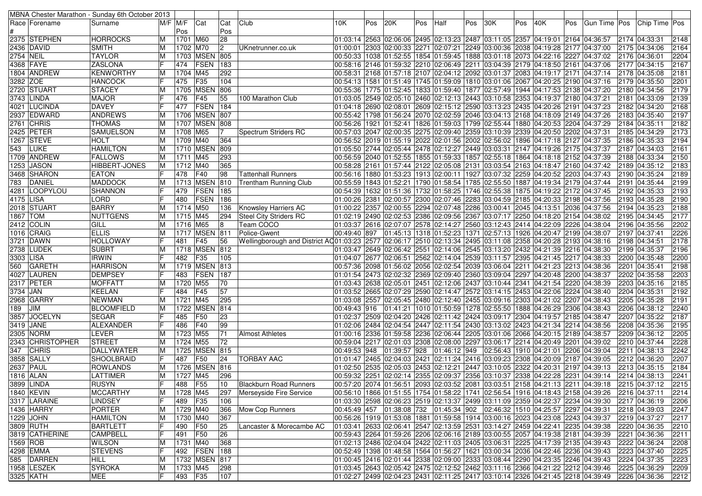|            |                  | MBNA Chester Marathon - Sunday 6th October 2013 |    |                        |                   |              |                                                                                                                                  |              |     |              |     |              |     |                                                                                                    |     |     |     |               |                                                                                              |      |
|------------|------------------|-------------------------------------------------|----|------------------------|-------------------|--------------|----------------------------------------------------------------------------------------------------------------------------------|--------------|-----|--------------|-----|--------------|-----|----------------------------------------------------------------------------------------------------|-----|-----|-----|---------------|----------------------------------------------------------------------------------------------|------|
|            | Race  Forename   | Surname                                         |    | $\overline{M}/F$ $M/F$ | Cat               | Cat          | Club                                                                                                                             | 10K.         | Pos | 20K          | Pos | Half         | Pos | 30K                                                                                                | Pos | 40K | Pos | Gun Time  Pos | Chip Time Pos                                                                                |      |
|            |                  |                                                 |    | Pos                    |                   | Pos          |                                                                                                                                  |              |     |              |     |              |     |                                                                                                    |     |     |     |               |                                                                                              |      |
|            | 2375 STEPHEN     | <b>HORROCKS</b>                                 | M  | 1701 M60               |                   | 28           |                                                                                                                                  |              |     |              |     |              |     | 01:03:14 2563 02:06:06 2495 02:13:23 2487 03:11:05 2357 04:19:01 2164 04:36:57                     |     |     |     |               | 2174 04:33:31                                                                                | 2148 |
|            | 2436 DAVID       | <b>SMITH</b>                                    | M  | 1702 M70               |                   | $\vert$ 2    | UKnetrunner.co.uk                                                                                                                |              |     |              |     |              |     | 01:00:01 2303 02:00:33 2271 02:07:21 2249 03:00:36 2038 04:19:28 2177 04:37:00                     |     |     |     |               | 2175 04:34:06                                                                                | 2164 |
| 2754 NEIL  |                  | <b>TAYLOR</b>                                   | M  |                        | 1703 MSEN 805     |              |                                                                                                                                  |              |     |              |     |              |     | 00:50:33  1038  01:52:55  1854  01:59:45  1888  03:01:18  2073  04:22:16  2227  04:37:02           |     |     |     |               | 2176 04:36:01                                                                                | 2204 |
|            | 4368 FAYE        | <b>ZASLONA</b>                                  |    | 474                    | <b>FSEN</b>       | 183          |                                                                                                                                  |              |     |              |     |              |     | 00:58:16  2146  01:59:32  2210  02:06:49  2211  03:04:39  2179  04:18:50  2161  04:37:06           |     |     |     |               | 2177 04:34:15                                                                                | 2167 |
|            | 1804 ANDREW      | KENWORTHY                                       | ΙM | 1704 M45               |                   | 292          |                                                                                                                                  |              |     |              |     |              |     | 00:58:31 2168 01:57:18 2107 02:04:12 2092 03:01:37 2083 04:19:17 2171 04:37:14                     |     |     |     |               | 2178 04:35:08                                                                                | 2181 |
| 3282 ZOE   |                  | <b>HANCOCK</b>                                  |    | 475                    | F35               | 104          |                                                                                                                                  |              |     |              |     |              |     | 00:54:13   1581   01:51:49   1745   01:59:09   1810   03:01:06   2067   04:20:25   2190   04:37:16 |     |     |     |               | 2179 04:35:50                                                                                | 2201 |
|            | 2720 STUART      | STACEY                                          | M  |                        | 1705 MSEN         | 806          |                                                                                                                                  |              |     |              |     |              |     | 00:55:36  1775  01:52:45  1833  01:59:40  1877  02:57:49  1944  04:17:53  2138  04:37:20           |     |     |     |               | 2180 04:34:56                                                                                | 2179 |
|            | 3743 LINDA       | <b>MAJOR</b>                                    |    | 476                    | F45               | 55           | 100 Marathon Club                                                                                                                |              |     |              |     |              |     | 01:03:05  2549  02:05:10  2460  02:12:13  2443  03:10:58  2353  04:19:37  2180  04:37:21           |     |     |     |               | 2181 04:33:09                                                                                | 2139 |
|            |                  | <b>DAVEY</b>                                    |    |                        | FSEN              | 184          |                                                                                                                                  |              |     |              |     |              |     |                                                                                                    |     |     |     |               |                                                                                              |      |
|            | 4021 LUCINDA     |                                                 |    | 477                    |                   |              |                                                                                                                                  |              |     |              |     |              |     | 04:18 2690 02:08:01 2609 02:15:12 2590 03:13:23 2435 04:20:26 2191 04:37:23                        |     |     |     |               | 2182 04:34:20                                                                                | 2168 |
|            | 2937 EDWARD      | <b>ANDREWS</b>                                  | ΙM |                        | 1706 MSEN 807     |              |                                                                                                                                  |              |     |              |     |              |     | 00:55:42  1798  01:56:24  2070  02:02:59  2046  03:04:13  2168  04:18:09  2149  04:37:26           |     |     |     |               | 2183 04:35:40                                                                                | 2197 |
|            | 2761 CHRIS       | <b>THOMAS</b>                                   | M  |                        | 1707 MSEN 808     |              |                                                                                                                                  |              |     |              |     |              |     | 00:56:26  1921  01:52:41  1826  01:59:03  1799  02:55:44  1880  04:20:53  2204  04:37:29           |     |     |     |               | 2184 04:35:11                                                                                | 2182 |
|            | 2425 PETER       | <b>SAMUELSON</b>                                | M  | 1708 M65               |                   |              | Spectrum Striders RC                                                                                                             |              |     |              |     |              |     | 00:57:03 2047 02:00:35 2275 02:09:40 2359 03:10:39 2339 04:20:50 2202 04:37:31                     |     |     |     |               | 2185 04:34:29                                                                                | 2173 |
|            | 1267 STEVE       | <b>HOLT</b>                                     | M  | 1709 M40               |                   | 364          |                                                                                                                                  |              |     |              |     |              |     | 00:56:52 2019 01:55:19 2022 02:01:56 2002 02:56:02 1896 04:17:18 2127 04:37:35                     |     |     |     |               | 2186 04:35:33                                                                                | 2194 |
| 543        | LUKE             | <b>HAMILTON</b>                                 | M  |                        | 1710 MSEN 809     |              |                                                                                                                                  |              |     |              |     |              |     | 01:05:50 2744 02:05:44 2478 02:12:27 2449 03:03:31 2147 04:19:26 2175 04:37:37 05:50 04:37:37      |     |     |     |               | 2187 04:34:03                                                                                | 2161 |
|            | 1709 ANDREW      | <b>FALLOWS</b>                                  | M  | 1711 M45               |                   | 293          |                                                                                                                                  |              |     |              |     |              |     | 00:56:59 2040 01:52:55 1855 01:59:33 1857 02:55:18 1864 04:18:18 2152 04:37:39                     |     |     |     |               | 2188 04:33:34                                                                                | 2150 |
|            | 1253  JASON      | HIBBERT-JONES                                   | M  | 1712 M40               |                   | 365          |                                                                                                                                  |              |     |              |     |              |     | 00:58:28  2161  01:57:44  2122  02:05:08  2131  03:03:54  2163  04:18:47  2160  04:37:42           |     |     |     |               | 2189 04:35:12                                                                                | 2183 |
|            | 3468 SHARON      | <b>EATON</b>                                    |    | 478                    | F40               | 98           | <b>Tattenhall Runners</b>                                                                                                        |              |     |              |     |              |     | 00:56:16   1880   01:53:23   1913   02:00:11   1927   03:07:32   2259   04:20:52   2203   04:37:43 |     |     |     |               | 2190 04:35:24                                                                                | 2189 |
|            | 783 DANIEL       | <b>MADDOCK</b>                                  | M  |                        | 1713 MSEN         | 810          | Trentham Running Club                                                                                                            |              |     |              |     |              |     | 00:55:59  1843  01:52:21  1790  01:58:54  1785  02:55:50  1887  04:19:34  2179  04:37:44           |     |     |     |               | 2191 04:35:44                                                                                | 2199 |
|            | 4281  LOOPYLOU   | <b>SHANNON</b>                                  |    | 479                    | FSEN              | 185          |                                                                                                                                  |              |     |              |     |              |     | 00:54:39  1632  01:51:36  1732  01:58:25  1746  02:55:38  1875  04:19:22  2172  04:37:45           |     |     |     |               | 2192 04:35:33                                                                                | 2193 |
| 4175 LISA  |                  | <b>LORD</b>                                     |    | 480                    | FSEN              | 186          |                                                                                                                                  |              |     |              |     |              |     | 01:00:26 2381 02:00:57 2300 02:07:46 2283 03:04:59 2185 04:20:33 2198 04:37:56                     |     |     |     |               | 2193 04:35:28                                                                                | 2190 |
|            | 2018 STUART      | <b>BARRY</b>                                    | M  | 1714 M50               |                   | 136          | <b>Knowsley Harriers AC</b>                                                                                                      |              |     |              |     |              |     | 01:00:22 2357 02:00:55 2294 02:07:48 2286 03:00:41 2045 04:13:51 2036 04:37:56                     |     |     |     |               | 2194 04:35:23                                                                                | 2188 |
| 1867   TOM |                  | <b>NUTTGENS</b>                                 | M  | 1715 M45               |                   | 294          | <b>Steel City Striders RC</b>                                                                                                    |              |     |              |     |              |     | 02:19 2490 02:02:53 2386 02:09:56 2367 03:07:17 2250 04:18:20 2154 04:38:02 01:02:19               |     |     |     |               | 2195 04:34:45                                                                                | 2177 |
|            | 2412 COLIN       | GILL                                            | M  | 1716 M65               |                   | 8            | Team COCO                                                                                                                        |              |     |              |     |              |     | 01:03:37 2616 02:07:07 2578 02:14:27 2560 03:12:43 2414 04:22:09 2226 04:38:04                     |     |     |     |               | 2196 04:35:56                                                                                | 2202 |
|            | 1016 CRAIG       | <b>ELLIS</b>                                    | M  |                        | 1717 MSEN 811     |              | Police-Gwent                                                                                                                     | 00:49:40 897 |     |              |     |              |     | 01:45:13 1318 01:52:23 1371 02:57:13 1926 04:20:47 2199 04:38:07                                   |     |     |     |               | 2197 04:37:41                                                                                | 2226 |
|            | 3721 DAWN        | HOLLOWAY                                        |    | 481                    | F45               | 56           | Wellingborough and District AQ01:03:23   2577   02:06:17   2510   02:13:34   2495   03:11:08   2358   04:20:28   2193   04:38:16 |              |     |              |     |              |     |                                                                                                    |     |     |     |               | 2198 04:34:51                                                                                | 2178 |
|            | 2738 LUDEK       | <b>SUBRT</b>                                    | M  |                        | 1718 MSEN 812     |              |                                                                                                                                  |              |     |              |     |              |     | 01:03:47 2649 02:06:42 2551 02:14:06 2545 03:13:20 2432 04:21:39 2216 04:38:30 [04:05:17]          |     |     |     |               | 2199 04:35:37                                                                                | 2196 |
| 3303 LISA  |                  | <b>IRWIN</b>                                    |    | 482                    | F35               | 105          |                                                                                                                                  |              |     |              |     |              |     | 04:07 28:33 04:07 2677 02:06:51 2562 02:14:04 2539 03:11:57 2395 04:21:45 2217 04:38:33            |     |     |     |               | 2200 04:35:48                                                                                | 2200 |
|            | 560 GARETH       | <b>HARRISON</b>                                 | M  |                        | 1719   MSEN   813 |              |                                                                                                                                  |              |     |              |     |              |     | 00:57:36 2098 01:56:02 2056 02:02:54 2039 03:06:04 2211 04:21:23 2213 04:38:36                     |     |     |     |               | 2201 04:35:41                                                                                | 2198 |
|            | 4027 LAUREN      | <b>DEMPSEY</b>                                  |    | 483                    | <b>FSEN</b>       | 187          |                                                                                                                                  |              |     |              |     |              |     | 01:01:54 2473 02:02:32 2369 02:09:40 2360 03:09:04 2297 04:20:48 2200 04:38:37                     |     |     |     |               | 2202 04:35:58                                                                                | 2203 |
|            | 2317 PETER       | <b>MOFFATT</b>                                  | M  | 1720 M55               |                   | 70           |                                                                                                                                  |              |     |              |     |              |     | 01:03:43 2638 02:05:01 2451 02:12:06 2437 03:10:44 2341 04:21:54 2220 04:38:39                     |     |     |     |               | 2203 04:35:16                                                                                | 2185 |
| 3734 JAN   |                  | <b>KEELAN</b>                                   | IF | 484                    | F45               | 57           |                                                                                                                                  |              |     |              |     |              |     | 01:03:52 2665 02:07:29 2590 02:14:47 2572 03:14:15 2453 04:22:06 2224 04:38:40                     |     |     |     |               | 2204 04:35:31                                                                                | 2192 |
|            | 2968 GARRY       | <b>NEWMAN</b>                                   | ΙM | 1721 M45               |                   | 295          |                                                                                                                                  |              |     |              |     |              |     | 01:03:08 2557 02:05:45 2480 02:12:40 2455 03:09:16 2303 04:21:02 2207 04:38:43                     |     |     |     |               | 2205 04:35:28                                                                                | 2191 |
|            |                  |                                                 |    |                        | <b>MSEN</b>       | 814          |                                                                                                                                  |              |     |              |     |              |     |                                                                                                    |     |     |     |               |                                                                                              | 2240 |
| 189        | <b>JIM</b>       | BLOOMFIELD                                      | M  | 1722                   |                   |              |                                                                                                                                  |              |     |              |     |              |     | 00:49:43  916  01:41:21  1010  01:50:59  1278  02:55:50  1888  04:26:29  2306  04:38:43            |     |     |     |               | 2206 04:38:12                                                                                |      |
|            | 3857  JOCELYN    | <b>SEGAR</b>                                    | IF | 485                    | F50               | 23           |                                                                                                                                  |              |     |              |     |              |     | 01:02:37  2509  02:04:20  2426  02:11:42  2424  03:09:17  2304  04:19:57  2185  04:38:47           |     |     |     |               | 2207 04:35:22                                                                                | 2187 |
|            | 3419 JANE        | ALEXANDER                                       |    | 486                    | F40               | 99           |                                                                                                                                  |              |     |              |     |              |     | 02:06 28:56 24:08 24:04:38:56 24:07 02:11:54 2430 03:13:02 2423 04:21:34 2214 04:38:56 إ $\,$      |     |     |     |               | 2208 04:35:36                                                                                | 2195 |
|            | 2305 NORM        | LEVER                                           | M  | 1723 M55               |                   | 71           | <b>Almost Athletes</b>                                                                                                           |              |     |              |     |              |     | 01:00:16 2336 01:59:58 2236 02:06:44 2205 03:01:06 2066 04:20:15 2189 04:38:57                     |     |     |     |               | 2209 04:36:12                                                                                | 2205 |
|            | 2343 CHRISTOPHER | <b>STREET</b>                                   | M  | 1724 M55               |                   | 72           |                                                                                                                                  |              |     |              |     |              |     | 00:59:04 2217 02:01:03 2308 02:08:00 2297 03:06:17 2214 04:20:49 2201 04:39:02                     |     |     |     |               | 2210 04:37:44                                                                                | 2228 |
|            | 347 CHRIS        | DALLYWATER                                      | M  |                        | 1725 MSEN 815     |              |                                                                                                                                  | 00:49:53 948 |     | 01:39:57 928 |     | 01:46:12 949 |     | 02:56:43   1910   04:21:01   2206   04:39:04                                                       |     |     |     |               | 2211 04:38:13                                                                                | 2242 |
|            | 3858 SALLY       | SHOOLBRAID                                      | IF | 487                    | F50               | 24           | <b>TORBAY AAC</b>                                                                                                                |              |     |              |     |              |     | 01:01:47 2465 02:04:03 2421 02:11:24 2416 03:09:23 2308 04:20:09 2187 04:39:05                     |     |     |     |               | 2212 04:36:20                                                                                | 2207 |
|            | 2637 PAUL        | <b>ROWLANDS</b>                                 | M  |                        | 1726   MSEN       | 816          |                                                                                                                                  |              |     |              |     |              |     | 02:30 2535 02:05:03 2453 02:12:21 2447 03:10:05 2322 04:20:31 2197 04:39:13                        |     |     |     |               | 2213 04:35:15                                                                                | 2184 |
|            | 1816   ALAN      | LATTIMER                                        | M  | 1727 M45               |                   | 296          |                                                                                                                                  |              |     |              |     |              |     | 00:59:32  2251  02:02:14  2355  02:09:37  2356  03:10:37  2338  04:22:28  2231  04:39:14           |     |     |     |               | 2214 04:38:13                                                                                | 2241 |
|            | 3899 LINDA       | <b>RUSYN</b>                                    | F  | 488 F55                |                   | $ 10\rangle$ | <b>Blackburn Road Runners</b>                                                                                                    |              |     |              |     |              |     | 00:57:20 2074 01:56:51 2093 02:03:52 2081 03:03:51 2158 04:21:13 2211 04:39:18 2215 04:37:12       |     |     |     |               |                                                                                              | 2215 |
|            | 1840 KEVIN       | <b>MCCARTHY</b>                                 | M  | 1728 M45               |                   | 297          | Merseyside Fire Service                                                                                                          |              |     |              |     |              |     | 00:56:10 1866 01:51:55 1754 01:58:22 1741 02:56:54 1916 04:18:43 2158 04:39:26 2216 04:37:11       |     |     |     |               |                                                                                              | 2214 |
|            | 3317 LARAINE     | LINDSEY                                         | IF | 489 F35                |                   | 106          |                                                                                                                                  |              |     |              |     |              |     |                                                                                                    |     |     |     |               | 01:03:30 2598 02:06:23 2519 02:13:37 2499 03:11:09 2359 04:22:37 2234 04:39:30 2217 04:36:19 | 2206 |
|            | 1436 HARRY       | PORTER                                          | M  | 1729 M40               |                   | 366          | Mow Cop Runners                                                                                                                  |              |     |              |     |              |     | 00:45:49 457 01:38:08 732 01:45:34 902 02:46:32 1510 04:25:57 2297 04:39:31                        |     |     |     |               | 2218 04:39:03                                                                                | 2247 |
|            | 1229 JOHN        | <b>HAMILTON</b>                                 | M  | 1730 M40               |                   | 367          |                                                                                                                                  |              |     |              |     |              |     | 00:56:26 1919 01:53:08 1881 01:59:58 1914 03:00:16 2023 04:23:08 2243 04:39:37                     |     |     |     |               | 2219 04:37:27                                                                                | 2217 |
|            | 3809 RUTH        | <b>BARTLETT</b>                                 | IF | 490 F50                |                   | 25           | Lancaster & Morecambe AC                                                                                                         |              |     |              |     |              |     | 01:03:41  2633  02:06:41  2547  02:13:59  2531  03:14:27  2459  04:22:41  2235  04:39:38           |     |     |     |               | 2220 04:36:35                                                                                | 2210 |
|            | 3819 CATHERINE   | <b>CAMPBELL</b>                                 | IF | 491                    | F50               | 26           |                                                                                                                                  |              |     |              |     |              |     | 00:59:43 2264 01:59:26 2206 02:06:16 2189 03:00:55 2057 04:19:38 2181 04:39:39                     |     |     |     |               | 2221 04:36:36                                                                                | 2211 |
| 1569 ROB   |                  | <b>WILSON</b>                                   | M  | 1731 M40               |                   | 368          |                                                                                                                                  |              |     |              |     |              |     | 01:02:13 2486 02:04:04 2422 02:11:03 2405 03:06:31 2225 04:17:39 2135 04:39:43                     |     |     |     |               | 2222 04:36:24                                                                                | 2208 |
|            | 4298 EMMA        | <b>STEVENS</b>                                  | IF |                        | 492   FSEN   188  |              |                                                                                                                                  |              |     |              |     |              |     | 00:52:49 1398 01:48:58 1564 01:56:27 1621 03:00:34 2036 04:22:46 2236 04:39:43                     |     |     |     |               | 2223 04:37:40                                                                                | 2225 |
|            | 585 DARREN       | HILL                                            | M  |                        | 1732 MSEN 817     |              |                                                                                                                                  |              |     |              |     |              |     | 01:00:45 2416 02:01:44 2338 02:09:00 2333 03:08:44 2290 04:23:35 2246 04:39:43                     |     |     |     |               | 2224 04:37:35                                                                                | 2223 |
|            | 1958 LESZEK      | <b>SYROKA</b>                                   | M  | 1733 M45               |                   | 298          |                                                                                                                                  |              |     |              |     |              |     | 01:03:45 2643 02:05:42 2475 02:12:52 2462 03:11:16 2366 04:21:22 2212 04:39:46                     |     |     |     |               | 2225 04:36:29                                                                                | 2209 |
|            | 3325 KATH        | <b>MEE</b>                                      | IF | 493 F35                |                   | 107          |                                                                                                                                  |              |     |              |     |              |     | 01:02:27 2499 02:04:23 2431 02:11:25 2417 03:10:14 2326 04:21:45 2218 04:39:49                     |     |     |     |               | 2226 04:36:36 2212                                                                           |      |
|            |                  |                                                 |    |                        |                   |              |                                                                                                                                  |              |     |              |     |              |     |                                                                                                    |     |     |     |               |                                                                                              |      |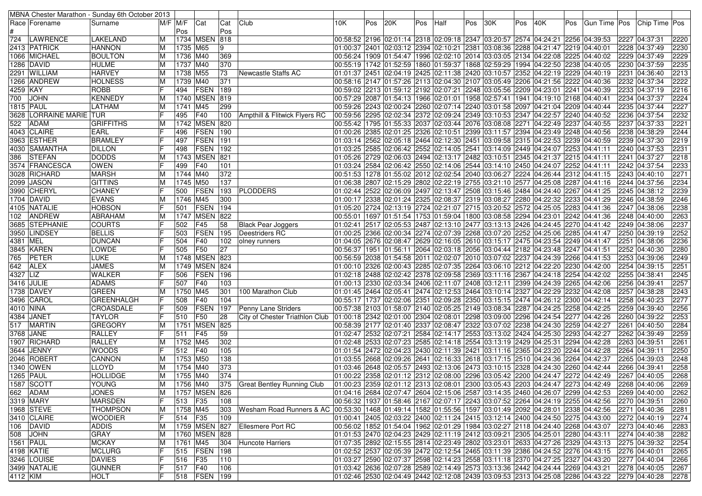|           |                            | MBNA Chester Marathon - Sunday 6th October 2013 |         |            |               |     |                                                                                                         |      |     |     |     |      |     |                                                                                                                                                                  |     |     |     |                |  |               |      |
|-----------|----------------------------|-------------------------------------------------|---------|------------|---------------|-----|---------------------------------------------------------------------------------------------------------|------|-----|-----|-----|------|-----|------------------------------------------------------------------------------------------------------------------------------------------------------------------|-----|-----|-----|----------------|--|---------------|------|
|           | Race   Forename            | Surname                                         | M/F M/F |            | Cat           | Cat | Club                                                                                                    | 10K. | Pos | 20K | Pos | Half | Pos | 30K                                                                                                                                                              | Pos | 40K | Pos | Gun Time   Pos |  | Chip Time Pos |      |
|           |                            |                                                 |         | Pos        |               | Pos |                                                                                                         |      |     |     |     |      |     |                                                                                                                                                                  |     |     |     |                |  |               |      |
| 724       | <b>LAWRENCE</b>            | LAKELAND                                        | ΙM      |            | 1734 MSEN     | 818 |                                                                                                         |      |     |     |     |      |     | 00:58:52 2196 02:01:14 2318 02:09:18 2347 03:20:57 2574 04:24:21 2256 04:39:53                                                                                   |     |     |     |                |  | 2227 04:37:31 | 2220 |
|           | 2413  PATRICK              | <b>HANNON</b>                                   | M       | 1735 M65   |               | 9   |                                                                                                         |      |     |     |     |      |     | 01:00:37 2401 02:03:12 2394 02:10:21 2381 03:08:36 2288 04:21:47 2219 04:40:01                                                                                   |     |     |     |                |  | 2228 04:37:49 | 2230 |
|           | 1066 MICHAEL               | <b>BOULTON</b>                                  | ΙM      | 1736 M40   |               | 369 |                                                                                                         |      |     |     |     |      |     | 00:56:24  1909  01:54:47  1996  02:02:10  2014  03:03:05  2134  04:22:08  2225  04:40:02                                                                         |     |     |     |                |  | 2229 04:37:49 | 2229 |
|           | 1286 DAVID                 | <b>HULME</b>                                    | ΙM      | 1737 M40   |               | 370 |                                                                                                         |      |     |     |     |      |     | 00:55:19  1742  01:52:59  1860  01:59:37  1868  02:59:29  1994  04:22:50  2238  04:40:05                                                                         |     |     |     |                |  | 2230 04:37:59 | 2235 |
|           | 2291 WILLIAM               | <b>HARVEY</b>                                   |         | 1738       | M55           | 73  | Newcastle Staffs AC                                                                                     |      |     |     |     |      |     | 01:01:37 2451 02:04:19 2425 02:11:38 2420 03:10:57 2352 04:22:19 2229 04:40:19                                                                                   |     |     |     |                |  | 2231 04:36:40 | 2213 |
|           | 1266 ANDREW                | <b>HOLNESS</b>                                  | M       | 1739 M40   |               | 371 |                                                                                                         |      |     |     |     |      |     | 00:58:16 2147 01:57:26 2113 02:04:30 2107 03:05:49 2206 04:21:56 2222 04:40:36                                                                                   |     |     |     |                |  | 2232 04:37:34 | 2222 |
| 4259 KAY  |                            | <b>ROBB</b>                                     |         | 494        | FSEN          | 189 |                                                                                                         |      |     |     |     |      |     | 00:59:02 2213 01:59:12 2192 02:07:21 2248 03:05:56 2209 04:23:01 2241 04:40:39                                                                                   |     |     |     |                |  | 2233 04:37:19 | 2216 |
| 700       | <b>JOHN</b>                | <b>KENNEDY</b>                                  | ΙM      |            | 1740 MSEN 819 |     |                                                                                                         |      |     |     |     |      |     | 00:57:29 2087 01:54:13 1966 02:01:01 1958 02:57:41 1941 04:19:10 2168 04:40:41 0.                                                                                |     |     |     |                |  | 2234 04:37:37 | 2224 |
|           | <b>1815 PAUL</b>           | LATHAM                                          | M       | 1741 M45   |               | 299 |                                                                                                         |      |     |     |     |      |     | 00:59:26 2243 02:00:24 2260 02:07:14 2240 03:01:58 2097 04:21:04 2209 04:40:44                                                                                   |     |     |     |                |  | 2235 04:37:44 | 2227 |
| 3628      | <b>LORRAINE MARIE ITUR</b> |                                                 |         | 495        | F40           | 100 | Ampthill & Flitwick Flyers RC                                                                           |      |     |     |     |      |     | 00:59:56 2295 02:02:34 2372 02:09:24 2349 03:10:53 2347 04:22:57 2240 04:40:52                                                                                   |     |     |     |                |  | 2236 04:37:54 | 2232 |
| 522       | <b>ADAM</b>                | <b>GRIFFITHS</b>                                | ΙM      |            | 1742 MSEN 820 |     |                                                                                                         |      |     |     |     |      |     | 00:55:42 1795 01:55:33 2037 02:03:44 2076 03:08:08 2271 04:22:49 2237 04:40:55                                                                                   |     |     |     |                |  | 2237 04:37:33 | 2221 |
|           | 4043 CLAIRE                | EARL                                            |         | 496        | <b>FSEN</b>   | 190 |                                                                                                         |      |     |     |     |      |     | 01:00:26 2385 02:01:25 2326 02:10:51 2399 03:11:57 2394 04:23:49 2248 04:40:56                                                                                   |     |     |     |                |  | 2238 04:38:29 | 2244 |
|           | 3963 ESTHER                | <b>BRAMLEY</b>                                  |         | 497        | FSEN          | 191 |                                                                                                         |      |     |     |     |      |     | 01:03:14 2562 02:05:18 2464 02:12:30 2451 03:09:58 2315 04:22:53 2239 04:40:59                                                                                   |     |     |     |                |  | 2239 04:37:30 | 2219 |
|           | 4030  SAMANTHA             | <b>DILLON</b>                                   |         | 498        | <b>FSEN</b>   | 192 |                                                                                                         |      |     |     |     |      |     | 01:03:25 2585 02:06:42 2552 02:14:05 2541 03:14:09 2449 04:24:07 2253 04:41:11                                                                                   |     |     |     |                |  | 2240 04:37:53 | 2231 |
| 386       | <b>STEFAN</b>              | <b>DODDS</b>                                    | ΙM      |            | 1743 MSEN     | 821 |                                                                                                         |      |     |     |     |      |     | 04:41:11  205:26  2729  02:06:03  2494  02:13:17  2482  03:10:51  2345  04:21:37  2215  04:41:11                                                                 |     |     |     |                |  | 2241 04:37:27 | 2218 |
|           | 3574 FRANCESCA             | <b>OWEN</b>                                     |         | 499        | F40           | 101 |                                                                                                         |      |     |     |     |      |     | 01:03:24 2584 02:06:42 2550 02:14:06 2544 03:14:10 2450 04:24:07 2252 04:41:11 0.                                                                                |     |     |     |                |  | 2242 04:37:54 | 2233 |
|           | 3028 RICHARD               | <b>MARSH</b>                                    | ΙM      | 1744 M40   |               | 372 |                                                                                                         |      |     |     |     |      |     | 00:51:53  1278  01:55:02  2012  02:02:54  2040  03:06:27  2224  04:26:44  2312  04:41:15                                                                         |     |     |     |                |  | 2243 04:40:10 | 2271 |
|           | 2099 JASON                 | <b>GITTINS</b>                                  | ΙM      | 1745 M50   |               | 137 |                                                                                                         |      |     |     |     |      |     | 01:06:38 2807 02:15:29 2802 02:22:19 2755 03:21:10 2577 04:25:08 2287 04:41:16                                                                                   |     |     |     |                |  | 2244 04:37:56 | 2234 |
|           | 3990 CHERYL                | <b>CHANEY</b>                                   |         | 500        | <b>FSEN</b>   | 193 | <b>PLODDERS</b>                                                                                         |      |     |     |     |      |     | 01:02:44 2522 02:06:09 2497 02:13:47 2508 03:15:46 2484 04:24:40 2267 04:41:25                                                                                   |     |     |     |                |  | 2245 04:38:12 | 2239 |
|           | 1704 DAVID                 | <b>EVANS</b>                                    | ΙM      | 1746 M45   |               | 300 |                                                                                                         |      |     |     |     |      |     | 01:00:17 2338 02:01:24 2325 02:08:37 2319 03:08:27 2280 04:22:32 2233 04:41:29                                                                                   |     |     |     |                |  | 2246 04:38:59 | 2246 |
|           | 4105 NATALIE               | <b>HOBSON</b>                                   |         | 501        | FSEN          | 194 |                                                                                                         |      |     |     |     |      |     | 04:41:36 05:20 2724 02:13:19 2724 02:21:07 2715 03:20:52 2572 04:25:05 2283 04:41:36                                                                             |     |     |     |                |  | 2247 04:38:06 | 2238 |
| 102       | <b>ANDREW</b>              | <b>ABRAHAM</b>                                  | ΙM      |            | 1747 MSEN     | 822 |                                                                                                         |      |     |     |     |      |     | 00:55:01  1697  01:51:54  1753  01:59:04  1800  03:08:58  2294  04:23:01  2242  04:41:36                                                                         |     |     |     |                |  | 2248 04:40:00 | 2263 |
|           | 3685 STEPHANIE             | <b>COURTS</b>                                   |         | 502        | F45           | 58  | <b>Black Pear Joggers</b>                                                                               |      |     |     |     |      |     | 02:13:13 2426 04:24:45 2270 04:41:42 02:05:53 2487 02:13:10 2477 03:13:13 2426 04:24:45 2270 04:41:42                                                            |     |     |     |                |  | 2249 04:38:06 | 2237 |
|           | 3950 LINDSEY               | <b>BELLIS</b>                                   |         | 503        | <b>FSEN</b>   | 195 | Deestriders RC                                                                                          |      |     |     |     |      |     | 01:00:25 2366 02:00:34 2274 02:07:39 2268 03:07:20 2252 04:25:06 2285 04:41:47                                                                                   |     |     |     |                |  | 2250 04:39:19 | 2252 |
| 4381 MEL  |                            | <b>DUNCAN</b>                                   |         | 504        | F40           | 102 | olney runners                                                                                           |      |     |     |     |      |     | 04:05 2676 02:08:47 2629 02:16:05 2610 03:15:17 2475 04:23:54 2249 04:41:47                                                                                      |     |     |     |                |  | 2251 04:38:06 | 2236 |
|           | 3845 KAREN                 | LOWDE                                           |         | 505        | F50           | 27  |                                                                                                         |      |     |     |     |      |     | 00:56:37   1951   01:56:11   2064   02:03:18   2056   03:04:44   2182   04:23:48   2247   04:41:51                                                               |     |     |     |                |  | 2252 04:40:30 | 2280 |
| 765       | PETER                      | <b>LUKE</b>                                     |         |            | 1748 MSEN 823 |     |                                                                                                         |      |     |     |     |      |     | 00:56:59 2038 01:54:58 2011 02:02:07 2010 03:07:02 2237 04:24:39 2266 04:41:53                                                                                   |     |     |     |                |  | 2253 04:39:06 | 2249 |
| 642       | <b>ALEX</b>                | <b>JAMES</b>                                    | ΙM      |            | 1749 MSEN     | 824 |                                                                                                         |      |     |     |     |      |     | 01:00:10 2326 02:00:43 2285 02:07:35 2264 03:06:10 2212 04:22:20 2230 04:42:00                                                                                   |     |     |     |                |  | 2254 04:39:15 | 2251 |
| 4327 LIZ  |                            | <b>WALKER</b>                                   |         | 506        | <b>FSEN</b>   | 196 |                                                                                                         |      |     |     |     |      |     | 02:18 2488 02:02:42 2378 02:09:58 2369 03:11:16 2367 04:24:18 2254 04:42:02                                                                                      |     |     |     |                |  | 2255 04:38:41 | 2245 |
|           | 3416 JULIE                 | <b>ADAMS</b>                                    |         | 507        | F40           | 103 |                                                                                                         |      |     |     |     |      |     | 01:00:13 2330 02:03:34 2406 02:11:07 2408 03:12:11 2399 04:24:39 2265 04:42:06                                                                                   |     |     |     |                |  | 2256 04:39:41 | 2257 |
|           | 1738 DAVEY                 | <b>GREEN</b>                                    | ΙM      | 1750 M45   |               | 301 | 100 Marathon Club                                                                                       |      |     |     |     |      |     | 01:01:45 2464 02:05:41 2474 02:12:53 2464 03:10:14 2327 04:22:29 2232 04:42:08                                                                                   |     |     |     |                |  | 2257 04:38:28 | 2243 |
|           | 3496 CAROL                 | GREENHALGH                                      |         | 508        | F40           | 104 |                                                                                                         |      |     |     |     |      |     | 00:55:17  1737  02:02:06  2351  02:09:28  2350  03:15:15  2474  04:26:12  2300  04:42:14                                                                         |     |     |     |                |  | 2258 04:40:23 | 2277 |
| 4010 NINA |                            | CROASDALE                                       |         | 509        | <b>FSEN</b>   | 197 | Penny Lane Striders                                                                                     |      |     |     |     |      |     | 00:57:38  2103  01:58:07  2140  02:05:25  2149  03:08:34  2287  04:24:25  2258  04:42:25                                                                         |     |     |     |                |  | 2259 04:39:40 | 2256 |
|           | 4384  JANET                | <b>TAYLOR</b>                                   |         | 510        | F50           | 28  | City of Chester Triathlon Club                                                                          |      |     |     |     |      |     | 01:00:18 2342 02:01:00 2304 02:08:01 2298 03:09:00 2296 04:24:54 2277 04:42:26                                                                                   |     |     |     |                |  | 2260 04:39:22 | 2253 |
| 517       | <b>MARTIN</b>              | <b>GREGORY</b>                                  |         |            | 1751 MSEN     | 825 |                                                                                                         |      |     |     |     |      |     | 00:58:39  2177  02:01:40  2337  02:08:47  2322  03:07:02  2238  04:24:30  2259  04:42:27                                                                         |     |     |     |                |  | 2261 04:40:50 | 2284 |
|           | 3768 JANE                  | <b>RALLEY</b>                                   |         | 511        | F45           | 59  |                                                                                                         |      |     |     |     |      |     | 02:47 2532 02:07:21 2584 02:14:17 2553 03:13:02 2424 04:25:30 2293 04:42:27                                                                                      |     |     |     |                |  | 2262 04:39:49 | 2259 |
| 1907      | <b>RICHARD</b>             | <b>RALLEY</b>                                   | ΙM      | 1752 M45   |               | 302 |                                                                                                         |      |     |     |     |      |     | 01:02:48 2533 02:07:23 2585 02:14:18 2554 03:13:19 2429 04:25:31 2294 04:42:28                                                                                   |     |     |     |                |  | 2263 04:39:51 | 2261 |
|           | 3644 JENNY                 | <b>WOODS</b>                                    |         | 512        | F40           | 105 |                                                                                                         |      |     |     |     |      |     | 01:01:54 2472 02:04:23 2430 02:11:39 2421 03:11:16 2365 04:23:20 2244 04:42:28                                                                                   |     |     |     |                |  | 2264 04:39:11 | 2250 |
|           | 2046 ROBERT                | <b>CANNON</b>                                   | ΙM      | 1753 M50   |               | 138 |                                                                                                         |      |     |     |     |      |     | 01:03:55 2668 02:09:26 2641 02:16:33 2618 03:17:15 2510 04:24:36 2264 04:42:37                                                                                   |     |     |     |                |  | 2265 04:39:03 | 2248 |
|           | 1340 OWEN                  | <b>LLOYD</b>                                    | M       | 1754 M40   |               | 373 |                                                                                                         |      |     |     |     |      |     | 01:03:46 2648 02:05:57 2493 02:13:06 2473 03:10:15 2328 04:24:30 2260 04:42:44                                                                                   |     |     |     |                |  | 2266 04:39:41 | 2258 |
|           | 1265  PAUL                 | <b>HOLLIDGE</b>                                 |         | 1755 M40   |               | 374 |                                                                                                         |      |     |     |     |      |     | 01:00:22 2358 02:01:12 2312 02:08:00 2296 03:05:42 2200 04:24:47 2272 04:42:49                                                                                   |     |     |     |                |  | 2267 04:40:05 | 2268 |
|           | 1587 SCOTT                 | YOUNG                                           | M       | 1756 M40   |               |     | 375 Great Bentley Running Club                                                                          |      |     |     |     |      |     | 01:00:23 2359 02:01:12 2313 02:08:01 2300 03:05:43 2203 04:24:47 2273 04:42:49 2268 04:40:06                                                                     |     |     |     |                |  |               | 2269 |
|           | 662 ADAM                   | <b>JONES</b>                                    | M       |            | 1757 MSEN 826 |     |                                                                                                         |      |     |     |     |      |     | 01:04:16 2684 02:07:47 2604 02:15:06 2587 03:14:35 2460 04:26:07 2299 04:42:53 2269 04:40:00                                                                     |     |     |     |                |  |               | 2262 |
|           | 3319 MARY                  | <b>MARSDEN</b>                                  |         | 513 F35    |               | 108 |                                                                                                         |      |     |     |     |      |     | 00:56:32 1937 01:58:46 2167 02:07:17 2243 03:07:52 2264 04:24:19 2255 04:42:56                                                                                   |     |     |     |                |  | 2270 04:39:51 | 2260 |
|           | 1968 STEVE                 | <b>THOMPSON</b>                                 | M       | $1758$ M45 |               | 303 | Wesham Road Runners & AC 00:53:30 1468 01:49:14 1582 01:55:56 1597 03:01:49 2092 04:28:01 2338 04:42:56 |      |     |     |     |      |     |                                                                                                                                                                  |     |     |     |                |  | 2271 04:40:36 | 2281 |
|           | 3410 CLAIRE                | <b>WOODIER</b>                                  |         | $514$ F35  |               | 109 |                                                                                                         |      |     |     |     |      |     | 01:00:41 2405 02:03:22 2400 02:11:24 2415 03:12:14 2400 04:24:50 2275 04:43:00                                                                                   |     |     |     |                |  | 2272 04:40:19 | 2274 |
|           | 106 DAVID                  | ADDIS                                           | ΙM      |            |               |     | 1759 MSEN 827 Ellesmere Port RC                                                                         |      |     |     |     |      |     | 00:56:02 1852 01:54:04 1962 02:01:29 1984 03:02:27 2118 04:24:40 2268 04:43:07                                                                                   |     |     |     |                |  | 2273 04:40:46 | 2283 |
|           | 508 JOHN                   | <b>GRAY</b>                                     |         |            | 1760 MSEN 828 |     |                                                                                                         |      |     |     |     |      |     | 01:01:53 2470 02:04:23 2429 02:11:19 2412 03:09:21 2305 04:25:01 2280 04:43:11                                                                                   |     |     |     |                |  | 2274 04:40:38 | 2282 |
|           | 1561 PAUL                  | <b>MCKAY</b>                                    | ΙM<br>M | 1761 M45   |               |     | 304 Huncote Harriers                                                                                    |      |     |     |     |      |     | 01:07:35 2892 02:15:55 2814 02:23:49 2802 03:23:01 2633 04:27:26 2329 04:43:13                                                                                   |     |     |     |                |  | 2275 04:39:32 | 2254 |
|           | 4198 KATIE                 | <b>MCLURG</b>                                   | F       |            | 515 FSEN      | 198 |                                                                                                         |      |     |     |     |      |     | 01:02:52 2537 02:05:39 2472 02:12:54 2465 03:11:39 2386 04:24:52 2276 04:43:15                                                                                   |     |     |     |                |  | 2276 04:40:01 | 2265 |
|           | 3246 LOUISE                | <b>DAVIES</b>                                   | IF      | 516        | F35           | 110 |                                                                                                         |      |     |     |     |      |     |                                                                                                                                                                  |     |     |     |                |  | 2277 04:40:04 | 2266 |
|           | 3499 NATALIE               | <b>GUNNER</b>                                   |         | 517        | F40           | 106 |                                                                                                         |      |     |     |     |      |     | 01:03:27 2590 02:07:37 2598 02:14:23 2558 03:11:18 2370 04:27:25 2327 04:43:20<br>01:03:42 2636 02:07:28 2589 02:14:49 2573 03:13:36 2442 04:24:44 2269 04:43:21 |     |     |     |                |  | 2278 04:40:05 | 2267 |
|           |                            |                                                 |         |            |               |     |                                                                                                         |      |     |     |     |      |     |                                                                                                                                                                  |     |     |     |                |  |               |      |
| 4112 KIM  |                            | HOLT                                            | IF      |            | 518 FSEN 199  |     |                                                                                                         |      |     |     |     |      |     | 01:02:46 2530 02:04:49 2442 02:12:08 2439 03:09:53 2313 04:25:08 2286 04:43:22 2279 04:40:28                                                                     |     |     |     |                |  |               | 2278 |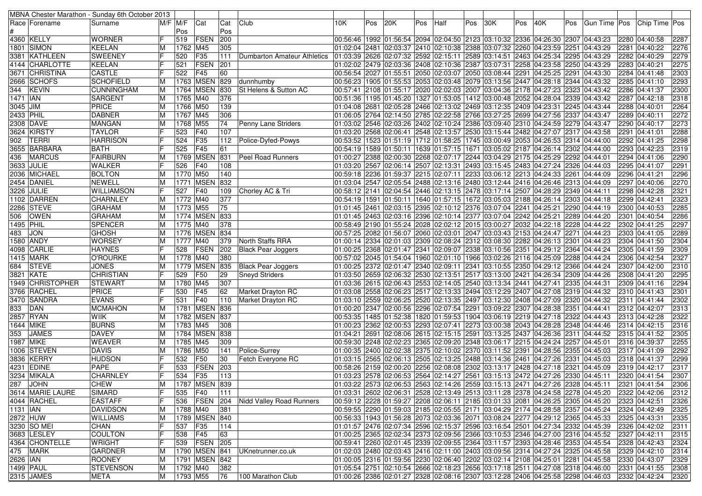|            |                  | MBNA Chester Marathon - Sunday 6th October 2013 |    |                        |                                |     |                             |     |     |     |     |      |     |                                                                                                                                                                                |     |     |     |              |  |                    |              |
|------------|------------------|-------------------------------------------------|----|------------------------|--------------------------------|-----|-----------------------------|-----|-----|-----|-----|------|-----|--------------------------------------------------------------------------------------------------------------------------------------------------------------------------------|-----|-----|-----|--------------|--|--------------------|--------------|
|            | Race  Forename   | Surname                                         |    | $\overline{M}/F$ $M/F$ | Cat                            | Cat | Club                        | 10K | Pos | 20K | Pos | Half | Pos | 30K                                                                                                                                                                            | Pos | 40K | Pos | Gun Time Pos |  | Chip Time Pos      |              |
|            |                  |                                                 |    | Pos                    |                                | Pos |                             |     |     |     |     |      |     |                                                                                                                                                                                |     |     |     |              |  |                    |              |
|            | 4360 KELLY       | <b>WORNER</b>                                   |    | 519                    | FSEN                           | 200 |                             |     |     |     |     |      |     | 00:56:46  1992  01:56:54  2094  02:04:50  2123  03:10:32  2336  04:26:30  2307  04:43:23                                                                                       |     |     |     |              |  | 2280 04:40:58      | 2287         |
|            | 1801 SIMON       | <b>KEELAN</b>                                   | M  | 1762 M45               |                                | 305 |                             |     |     |     |     |      |     | 01:02:04 2481 02:03:37 2410 02:10:38 2388 03:07:32 2260 04:23:59 2251 04:43:29                                                                                                 |     |     |     |              |  | 2281 04:40:22      | 2276         |
|            | 3381  KATHLEEN   | <b>SWEENEY</b>                                  |    | 520                    | F35                            | 111 | Dumbarton Amateur Athletics |     |     |     |     |      |     | 01:03:39 2626 02:07:32 2592 02:15:11 2589 03:14:51 2463 04:25:34 2295 04:43:29                                                                                                 |     |     |     |              |  | 2282 04:40:29      | 2279         |
|            | 4144 CHARLOTTE   | <b>KEELAN</b>                                   |    | 521                    | <b>FSEN</b>                    | 201 |                             |     |     |     |     |      |     | 02:02 250 04:43:29   2408   2408   2408   2387   2388   2380   2258   24:23:58   2250   24:43:29                                                                               |     |     |     |              |  | 2283 04:40:21      | 2275         |
|            | 3671 CHRISTINA   | <b>CASTLE</b>                                   |    | 522                    | F45                            | 60  |                             |     |     |     |     |      |     | 00:56:54 2027 01:55:51 2050 02:03:07 2050 03:08:44 2291 04:25:25 2291 04:43:30                                                                                                 |     |     |     |              |  | 2284 04:41:48      | 2303         |
|            | 2666 SCHOFS      | <b>SCHOFIELD</b>                                | M  |                        | 1763 MSEN                      | 829 | dunnhumby                   |     |     |     |     |      |     | 00:56:23  1905  01:55:53  2053  02:03:48  2079  03:13:56  2447  04:28:18  2344  04:43:32                                                                                       |     |     |     |              |  | 2285 04:41:10      | 2293         |
| 344        | KEVIN            | <b>CUNNINGHAM</b>                               | M  |                        | 1764 MSEN                      | 830 | St Helens & Sutton AC       |     |     |     |     |      |     | 00:57:41 2108 01:55:17 2020 02:02:03 2007 03:04:36 2178 04:27:23 2323 04:43:42                                                                                                 |     |     |     |              |  | 2286 04:41:37      | 2300         |
| 1471   IAN |                  | <b>SARGENT</b>                                  | M  | 1765 M40               |                                | 376 |                             |     |     |     |     |      |     | 00:51:36  1195  01:45:20  1327  01:53:05  1412  03:00:48  2052  04:28:04  2339  04:43:42                                                                                       |     |     |     |              |  | 2287 04:42:18      | 2318         |
| 3045 JIM   |                  | PRICE                                           | M  | 1766 M50               |                                | 139 |                             |     |     |     |     |      |     | 01:04:08 2681 02:05:28 2466 02:13:02 2469 03:12:35 2409 04:23:31 2245 04:43:44                                                                                                 |     |     |     |              |  | 2288 04:40:01      | 2264         |
| 2433 PHIL  |                  | <b>DABNER</b>                                   | M  | 1767 M45               |                                | 306 |                             |     |     |     |     |      |     | 01:06:05 2764 02:14:50 2785 02:22:58 2766 03:27:25 2699 04:27:56 2337 04:43:47                                                                                                 |     |     |     |              |  | 2289 04:40:11      | 2272         |
|            | 2308 DAVE        | <b>MANGAN</b>                                   | M  | 1768                   | M55                            | 74  | Penny Lane Striders         |     |     |     |     |      |     | 01:03:02 2546 02:03:26 2402 02:10:24 2386 03:09:40 2310 04:24:59 2279 04:43:47                                                                                                 |     |     |     |              |  | 2290 04:40:17      | 2273         |
|            | 3624 KIRSTY      | <b>TAYLOR</b>                                   |    | 523                    | F40                            | 107 |                             |     |     |     |     |      |     | 01:03:20 2568 02:06:41 2548 02:13:57 2530 03:15:44 2482 04:27:07 2317 04:43:58                                                                                                 |     |     |     |              |  | 2291 04:41:01      | 2288         |
| 902        | TERRI            | <b>HARRISON</b>                                 |    | 524                    | F35                            | 112 | Police-Dyfed-Powys          |     |     |     |     |      |     | 00:53:52  1523  01:51:19  1712  01:58:25  1745  03:00:49  2053  04:26:53  2314  04:44:00                                                                                       |     |     |     |              |  | 2292 04:41:25      | 2298         |
|            | 3655 BARBARA     | <b>BATH</b>                                     |    | 525                    | F45                            | 61  |                             |     |     |     |     |      |     | 00:54:19  1589  01:50:11  1639  01:57:15  1671  03:05:02  2187  04:26:14  2302  04:44:00                                                                                       |     |     |     |              |  | 2293 04:42:23      | 2319         |
| 436        | <b>MARCUS</b>    | FAIRBURN                                        | M  |                        | 1769 MSEN                      | 831 | <b>Peel Road Runners</b>    |     |     |     |     |      |     | 01:00:27 2388 02:00:30 2268 02:07:17 2244 03:04:29 2175 04:25:29 2292 04:44:01                                                                                                 |     |     |     |              |  | 2294 04:41:06      | 2290         |
|            | 3633 JULIE       | <b>WALKER</b>                                   | F  | 526                    | F40                            | 108 |                             |     |     |     |     |      |     | 01:03:20 2567 02:06:14 2507 02:13:31 2493 03:15:45 2483 04:27:24 2326 04:44:03                                                                                                 |     |     |     |              |  | 2295 04:41:07      | 2291         |
|            | 2036 MICHAEL     | <b>BOLTON</b>                                   | M  | 1770 M50               |                                | 140 |                             |     |     |     |     |      |     | 00:59:18 2236 01:59:37 2215 02:07:11 2233 03:06:12 2213 04:24:33 2261 04:44:09                                                                                                 |     |     |     |              |  | 2296 04:41:21      | 2296         |
|            | 2454 DANIEL      | <b>NEWELL</b>                                   | M  |                        | 1771   MSEN                    | 832 |                             |     |     |     |     |      |     | 01:03:04 2547 02:05:54 2488 02:13:16 2480 03:12:44 2416 04:26:46 2313 04:44:09                                                                                                 |     |     |     |              |  | 2297 04:40:06      | 2270         |
|            | 3226 JULIE       | <b>WILLIAMSON</b>                               | F  | 527                    | F40                            | 109 | Chorley AC & Tri            |     |     |     |     |      |     | 00:58:12 2141 02:04:54 2446 02:13:15 2478 03:17:14 2507 04:28:29 2349 04:44:11 (                                                                                               |     |     |     |              |  | 2298 04:42:28      | 2321         |
|            | 1102 DARREN      | <b>CHARNLEY</b>                                 | M  | 1772 M40               |                                | 377 |                             |     |     |     |     |      |     | 00:54:19  1591  01:50:11  1640  01:57:15  1672  03:05:03  2188  04:26:14  2303  04:44:18                                                                                       |     |     |     |              |  | 2299 04:42:41      | 2323         |
|            | 2286 STEVE       | <b>GRAHAM</b>                                   | M  | 1773 M55               |                                | 75  |                             |     |     |     |     |      |     | 01:01:45 2461 02:03:15 2395 02:10:12 2376 03:07:04 2241 04:25:21 2290 04:44:19                                                                                                 |     |     |     |              |  | 2300 04:40:53      | 2285         |
| 506        | <b>OWEN</b>      | <b>GRAHAM</b>                                   | M  |                        | 1774 MSEN                      | 833 |                             |     |     |     |     |      |     | 01:01:45 2463 02:03:16 2396 02:10:14 2377 03:07:04 2242 04:25:21 2289 04:44:20                                                                                                 |     |     |     |              |  | 2301 04:40:54      | 2286         |
| 1495 PHIL  |                  | <b>SPENCER</b>                                  | M  | 1775 M40               |                                | 378 |                             |     |     |     |     |      |     | 00:58:49 2190 01:55:24 2028 02:02:12 2015 03:00:27 2032 04:22:18 2228 04:44:22                                                                                                 |     |     |     |              |  | 2302 04:41:25      | 2297         |
| 483        | JON              | <b>GHOSH</b>                                    | M  |                        | 1776 MSEN                      | 834 |                             |     |     |     |     |      |     | 00:57:25  2082  01:56:07  2060  02:03:01  2047  03:03:43  2153  04:24:47  2271  04:44:23                                                                                       |     |     |     |              |  | 2303 04:41:05      | 2289         |
|            | 1580 ANDY        | <b>WORSEY</b>                                   | M  | 1777 M40               |                                | 379 | North Staffs RRA            |     |     |     |     |      |     | 01:00:14  2334  02:01:03  2309  02:08:24  2312  03:08:30  2282  04:26:13  2301  04:44:23                                                                                       |     |     |     |              |  | 2304 04:41:50      | 2304         |
|            | 4098 CARLIE      | <b>HAYNES</b>                                   | lF | 528                    | <b>FSEN</b>                    | 202 | Black Pear Joggers          |     |     |     |     |      |     | 00:25 2368 02:01:47 2341 02:09:07 2338 03:10:56 2351 04:29:12 2364 04:44:24 [04:01:00:25 ]                                                                                     |     |     |     |              |  | 2305 04:41:59      | 2309         |
|            | <b>1415 MARK</b> | O'ROURKE                                        | ΙM | 1778 M40               |                                | 380 |                             |     |     |     |     |      |     | 00:57:02 288 04:44:24 01:54:04 1960 02:01:10 1966 03:02:26 2116 04:25:09 2288 04:44:24                                                                                         |     |     |     |              |  | 2306 04:42:54      | 2327         |
|            | 684 STEVE        | <b>JONES</b>                                    | M  |                        | 1779 MSEN                      | 835 | <b>Black Pear Joggers</b>   |     |     |     |     |      |     | 01:00:25 2372 02:01:47 2340 02:09:11 2341 03:10:55 2350 04:29:12 2366 04:44:24                                                                                                 |     |     |     |              |  | 2307 04:42:00      | 2310         |
|            | 3821 KATE        | <b>CHRISTIAN</b>                                | IF | 529                    | F50                            | 29  | <b>Sneyd Striders</b>       |     |     |     |     |      |     | 01:03:50 2659 02:06:32 2530 02:13:51 2517 03:13:00 2421 04:26:34 2309 04:44:26                                                                                                 |     |     |     |              |  | 2308 04:41:20      | 2295         |
|            | 1949 CHRISTOPHER | <b>STEWART</b>                                  | M  | 1780 M45               |                                | 307 |                             |     |     |     |     |      |     | 01:03:36 2615 02:06:43 2553 02:14:05 2540 03:13:34 2441 04:27:41 2335 04:44:31                                                                                                 |     |     |     |              |  | 2309 04:41:16      | 2294         |
|            | 3766 RACHEL      | <b>PRICE</b>                                    | IF | 530                    | F45                            | 62  | <b>Market Drayton RC</b>    |     |     |     |     |      |     | 01:03:08 2558 02:06:23 2517 02:13:33 2494 03:12:29 2407 04:27:08 2319 04:44:32                                                                                                 |     |     |     |              |  | 2310 04:41:43      | 2301         |
|            | 3470 SANDRA      | <b>EVANS</b>                                    | IF | 531                    | F40                            | 110 | <b>Market Drayton RC</b>    |     |     |     |     |      |     | 01:03:10 2559 02:06:25 2520 02:13:35 2497 03:12:30 2408 04:27:09 2320 04:44:32                                                                                                 |     |     |     |              |  | 2311 04:41:44      | 2302         |
| 833        | DAN              | <b>MCMAHON</b>                                  | M  |                        | 1781   MSEN   836              |     |                             |     |     |     |     |      |     | 01:00:20  2347  02:00:56  2296  02:07:54  2291  03:09:22  2307  04:28:38  2351  04:44:41                                                                                       |     |     |     |              |  | 2312 04:42:07      | 2313         |
|            | 2857 RYAN        | WIIK                                            | M  |                        | 1782 MSEN 837                  |     |                             |     |     |     |     |      |     | 00:53:35  1485  01:52:38  1820  01:59:53  1904  03:06:19  2219  04:27:18  2322  04:44:43                                                                                       |     |     |     |              |  | 2313 04:42:28      | 2322         |
|            | 1644 MIKE        | <b>BURNS</b>                                    | ΙM | 1783 M45               |                                | 308 |                             |     |     |     |     |      |     | 01:00:23 2362 02:00:53 2293 02:07:41 2273 03:00:38 2043 04:28:28 2348 04:44:46                                                                                                 |     |     |     |              |  | 2314 04:42:15      | 2316         |
| 353        | <b>JAMES</b>     | <b>DAVEY</b>                                    | M  |                        | 1784 MSEN 838                  |     |                             |     |     |     |     |      |     | 01:04:21 2691 02:08:06 2615 02:15:15 2591 03:13:25 2437 04:26:36 2311 04:44:52                                                                                                 |     |     |     |              |  | 2315 04:41:52      | 2305         |
|            | 1987 MIKE        | <b>WEAVER</b>                                   | M  | 1785 M45               |                                | 309 |                             |     |     |     |     |      |     | 00:59:30  2248  02:02:23  2365  02:09:20  2348  03:06:17  2215  04:24:24  2257  04:45:01                                                                                       |     |     |     |              |  | 2316 04:39:37      | 2255         |
|            | 1006 STEVEN      | <b>DAVIS</b>                                    | M  | 1786 M50               |                                | 141 | Police-Surrey               |     |     |     |     |      |     | 01:00:35 2400 02:02:38 2375 02:10:02 2370 03:11:52 2391 04:28:56 2355 04:45:03                                                                                                 |     |     |     |              |  | 2317 04:41:09      | 2292         |
|            | 3836 KERRY       | <b>HUDSON</b>                                   |    | 532                    | F50                            | 30  | Fetch Everyone RC           |     |     |     |     |      |     | 03:15 2565 02:06:13 2505 02:13:25 2488 03:14:36 2461 04:27:26 2331 04:45:03                                                                                                    |     |     |     |              |  | 2318 04:41:37      | 2299         |
|            | 4231 EDINE       | <b>PAPE</b>                                     | F  | 533                    | <b>FSEN</b>                    | 203 |                             |     |     |     |     |      |     | 00:58:26 2159 02:00:20 2256 02:08:08 2302 03:13:17 2428 04:27:18 2321 04:45:09 03:17                                                                                           |     |     |     |              |  | 2319 04:42:17      | 2317         |
|            | 3234  MIKALA     | <b>CHARNLEY</b>                                 | F  | 534                    | F35                            | 113 |                             |     |     |     |     |      |     | 01:03:23 2578 02:06:53 2564 02:14:27 2561 03:15:13 2472 04:27:26 2330 04:45:11 [01:03:23                                                                                       |     |     |     |              |  | 2320 04:41:54      | 2307         |
|            | 287 JOHN         | <b>CHEW</b>                                     | M  |                        | 1787 MSEN 839                  |     |                             |     |     |     |     |      |     | 01:03:22 2573 02:06:53 2563 02:14:26 2559 03:15:13 2471 04:27:26 2328 04:45:11 2321 04:41:54                                                                                   |     |     |     |              |  |                    | 2306         |
|            | 3614 MARIE LAURE |                                                 | F  |                        | F40                            | 111 |                             |     |     |     |     |      |     | 01:03:31 2602 02:06:31 2528 02:13:49 2513 03:11:28 2378 04:24:58 2278 04:45:20 2322 04:42:06                                                                                   |     |     |     |              |  |                    |              |
|            | 4044 RACHEL      | <b>SIMARD</b><br><b>EASTAFF</b>                 | lF | 535<br>536             | <b>FSEN</b>                    | 204 | Nidd Valley Road Runners    |     |     |     |     |      |     | 00:59:12  2228  01:59:27  2208  02:06:11  2185  03:01:33  2081  04:26:25  2305  04:45:20  2323  04:42:51                                                                       |     |     |     |              |  |                    | 2312<br>2326 |
| 1131   IAN |                  | DAVIDSON                                        | M  | 1788 M40               |                                | 381 |                             |     |     |     |     |      |     | 00:59:55 2290 01:59:03 2185 02:05:55 2171 03:04:29 2174 04:28:58 2357 04:45:24 2324 04:42:49                                                                                   |     |     |     |              |  |                    | 2325         |
|            | 2872 HUW         | <b>WILLIAMS</b>                                 | M  |                        | 1789 MSEN 840                  |     |                             |     |     |     |     |      |     | 00:56:33 1943 01:56:28 2073 02:03:36 2071 03:08:24 2277 04:29:12 2365 04:45:33                                                                                                 |     |     |     |              |  | 2325 04:43:31      | 2335         |
|            | 3230 SO MEI      | <b>CHAN</b>                                     | IF | 537                    | F35                            | 114 |                             |     |     |     |     |      |     | 01:01:57 2476 02:07:34 2596 02:15:37 2596 03:16:54 2501 04:27:34 2332 04:45:39                                                                                                 |     |     |     |              |  | 2326 04:42:02      | 2311         |
|            | 3683   LESLEY    | <b>COULTON</b>                                  | IF | 538                    | F45                            | 63  |                             |     |     |     |     |      |     |                                                                                                                                                                                |     |     |     |              |  | 2327 04:42:11      | 2315         |
|            |                  |                                                 | F  |                        | 539 FSEN 205                   |     |                             |     |     |     |     |      |     | 01:00:25 2365 02:02:34 2373 02:09:56 2366 03:10:53 2346 04:27:00 2316 04:45:52<br>00:59:41 2260 02:01:45 2339 02:09:55 2364 03:11:57 2393 04:28:46 2353 04:45:54 2328 04:42:43 |     |     |     |              |  |                    |              |
|            | 4364 CHONTELLE   | <b>WRIGHT</b>                                   |    |                        |                                |     |                             |     |     |     |     |      |     |                                                                                                                                                                                |     |     |     |              |  |                    | 2324         |
|            | 475 MARK         | <b>GARDNER</b>                                  | M  |                        | 1790 MSEN 841<br>1791 MSEN 842 |     | UKnetrunner.co.uk           |     |     |     |     |      |     | 01:02:03 2480 02:03:43 2416 02:11:00 2403 03:09:56 2314 04:27:24 2325 04:45:58                                                                                                 |     |     |     |              |  | 2329 04:42:10      | 2314         |
| 2626 IAN   | 1499 PAUL        | <b>ROONEY</b>                                   | M  |                        |                                |     |                             |     |     |     |     |      |     | 01:00:05 2316 01:59:56 2230 02:06:40 2202 03:02:14 2108 04:25:01 2281 04:45:58                                                                                                 |     |     |     |              |  | 2330 04:43:07      | 2329         |
|            |                  | STEVENSON                                       | M  | 1792 M40               |                                | 382 |                             |     |     |     |     |      |     | 01:05:54 2751 02:10:54 2666 02:18:23 2656 03:17:18 2511 04:27:08 2318 04:46:00 2331 04:41:55                                                                                   |     |     |     |              |  |                    | 2308         |
|            | 2315 JAMES       | META                                            | M  | 1793 M55               |                                | 76  | 100 Marathon Club           |     |     |     |     |      |     | 01:00:26 2386 02:01:27 2328 02:08:16 2307 03:12:28 2406 04:25:58 2298 04:46:03                                                                                                 |     |     |     |              |  | 2332 04:42:24 2320 |              |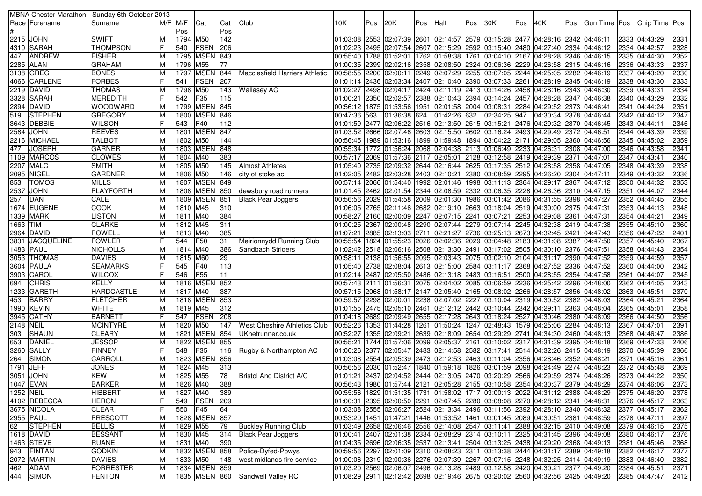|                  |                  | MBNA Chester Marathon - Sunday 6th October 2013 |             |          |                 |     |                                     |              |     |     |     |      |     |                                                                                                       |     |                        |     |              |  |                |      |
|------------------|------------------|-------------------------------------------------|-------------|----------|-----------------|-----|-------------------------------------|--------------|-----|-----|-----|------|-----|-------------------------------------------------------------------------------------------------------|-----|------------------------|-----|--------------|--|----------------|------|
|                  | Race   Forename  | Surname                                         | $M/F$ $M/F$ |          | Cat             | Cat | Club                                | 10K.         | Pos | 20K | Pos | Half | Pos | 30K                                                                                                   | Pos | 40K                    | Pos | Gun Time Pos |  | Chip Time Pos  |      |
|                  |                  |                                                 |             | Pos      |                 | Pos |                                     |              |     |     |     |      |     |                                                                                                       |     |                        |     |              |  |                |      |
|                  | 2215 JOHN        | <b>SWIFT</b>                                    | M           | 1794 M50 |                 | 142 |                                     |              |     |     |     |      |     | 01:03:08 2553 02:07:39 2601 02:14:57 2579 03:15:28 2477 04:28:16 2342 04:46:11                        |     |                        |     |              |  | 2333  04:43:29 | 2331 |
|                  | 4310 SARAH       | <b>THOMPSON</b>                                 |             | 540      | FSEN            | 206 |                                     |              |     |     |     |      |     | 01:02:23 2495 02:07:54 2607 02:15:29 2592 03:15:40 2480 04:27:40 2334 04:46:12                        |     |                        |     |              |  | 2334 04:42:57  | 2328 |
| 447              | <b>ANDREW</b>    | <b>FISHER</b>                                   |             | 1795     | <b>MSEN 843</b> |     |                                     |              |     |     |     |      |     | 00:55:40  1788  01:52:01  1762  01:58:38  1761  03:04:10  2167  04:28:28  2346  04:46:15              |     |                        |     |              |  | 2335 04:44:30  | 2352 |
|                  | 2285 ALAN        | <b>GRAHAM</b>                                   | ΙM          | 1796     | M55             | 77  |                                     |              |     |     |     |      |     | 01:00:35 2399 02:02:16 2358 02:08:50 2324 03:06:36 2229 04:26:58 2315 04:46:16                        |     |                        |     |              |  | 2336 04:43:33  | 2337 |
|                  | 3138 GREG        | <b>BONES</b>                                    | ΙM          |          | 1797 MSEN       | 844 | Macclesfield Harriers Athletic      |              |     |     |     |      |     | 00:58:55 2200 02:00:11 2249 02:07:29 2255 03:07:05 2244 04:25:05 2282 04:46:19                        |     |                        |     |              |  | 2337 04:43:20  | 2330 |
|                  | 4066  CARLENE    | <b>FORBES</b>                                   |             | 541      | <b>FSEN</b>     | 207 |                                     |              |     |     |     |      |     | 01:01:14 2436 02:03:34 2407 02:10:40 2390 03:07:33 2261 04:28:19 2345 04:46:19                        |     |                        |     |              |  | 2338 04:43:30  | 2333 |
|                  | 2219 DAVID       | <b>THOMAS</b>                                   | ΙM          | 1798     | M50             | 143 | <b>Wallasey AC</b>                  |              |     |     |     |      |     | 02:04:46:30 04:28:16 2343 04:48:30 02:04:17 2424 02:11:19 2413 03:14:26 03:44:28 04:28:16 04:28:16 0  |     |                        |     |              |  | 2339 04:43:31  | 2334 |
|                  | 3328 SARAH       | <b>MEREDITH</b>                                 |             | 542      | F35             | 115 |                                     |              |     |     |     |      |     | 01:00:21 2350 02:02:57 2388 02:10:43 2394 03:14:24 2457 04:28:28 2347 04:46:38                        |     |                        |     |              |  | 2340 04:43:29  | 2332 |
|                  | 2894  DAVID      | <b>WOODWARD</b>                                 | M           |          | 1799 MSEN 845   |     |                                     |              |     |     |     |      |     | 00:56:12  1875  01:53:56  1951  02:01:58  2004  03:08:31  2284  04:29:52  2373  04:46:41              |     |                        |     |              |  | 2341 04:44:24  | 2351 |
| 519              | <b>STEPHEN</b>   | GREGORY                                         | ΙM          | 1800     | <b>MSEN 846</b> |     |                                     | 00:47:36 563 |     |     |     |      |     | $ 01:36:38 624 01:42:26 632 02:34:25 947$                                                             |     | 04:30:34 2378 04:46:44 |     |              |  | 2342 04:44:12  | 2347 |
|                  | 3643 DEBBIE      | <b>WILSON</b>                                   |             | 543      | F40             | 112 |                                     |              |     |     |     |      |     | 01:01:59 2477 02:06:22 2516 02:13:50 2515 03:15:21 2476 04:29:32 2370 04:46:45                        |     |                        |     |              |  | 2343 04:44:11  | 2346 |
|                  | 2584 JOHN        | <b>REEVES</b>                                   | M           |          | 1801 MSEN 847   |     |                                     |              |     |     |     |      |     | 01:03:52 2666 02:07:46 2603 02:15:50 2602 03:16:24 2493 04:29:49 2372 04:46:51                        |     |                        |     |              |  | 2344 04:43:39  | 2339 |
|                  | 2216 MICHAEL     | <b>TALBOT</b>                                   | ΙM          | 1802 M50 |                 | 144 |                                     |              |     |     |     |      |     | 00:56:45  1989  01:53:16  1899  01:59:48  1894  03:04:22  2171  04:29:05  2360  04:46:56              |     |                        |     |              |  | 2345 04:45:02  | 2359 |
| 477              | <b>JOSEPH</b>    | <b>GARNER</b>                                   |             |          | 1803 MSEN 848   |     |                                     |              |     |     |     |      |     | 00:55:34   1772   01:56:24   2068   02:04:38   2113   03:06:49   2233   04:26:31   2308   04:47:00    |     |                        |     |              |  | 2346 04:43:58  | 2341 |
|                  | 1109 MARCOS      | <b>CLOWES</b>                                   | ΙM          | 1804 M40 |                 | 383 |                                     |              |     |     |     |      |     | 00:57:17  2069  01:57:36  2117  02:05:01  2128  03:12:58  2419  04:29:39  2371  04:47:01              |     |                        |     |              |  | 2347 04:43:41  | 2340 |
|                  | 2207 MALC        | <b>SMITH</b>                                    | M           | 1805 M50 |                 | 145 | <b>Almost Athletes</b>              |              |     |     |     |      |     | 01:05:40 2735 02:09:32 2644 02:16:44 2625 03:17:35 2512 04:28:58 2358 04:47:05                        |     |                        |     |              |  | 2348 04:43:39  | 2338 |
|                  | 2095 NIGEL       | GARDNER                                         | м           | 1806 M50 |                 | 146 | city of stoke ac                    |              |     |     |     |      |     | 02:05 2482 02:03:28 2403 02:10:21 2380 03:08:59 2295 04:26:20 2304 04:47:11                           |     |                        |     |              |  | 2349 04:43:32  | 2336 |
| 853              | <b>TOMOS</b>     | <b>MILLS</b>                                    | ΙM          |          | 1807 MSEN 849   |     |                                     |              |     |     |     |      |     | 00:57:14 2066 01:54:40 1992 02:01:46 1998 03:11:13 2364 04:29:17 2367 04:47:12                        |     |                        |     |              |  | 2350 04:44:32  | 2353 |
| 2537             | <b>JOHN</b>      | PLAYFORTH                                       | м           |          | 1808 MSEN       | 850 | dewsbury road runners               |              |     |     |     |      |     | 01:01:45 2462 02:01:54 2344 02:08:59 2332 03:06:35 2228 04:26:36 2310 04:47:15                        |     |                        |     |              |  | 2351 04:44:07  | 2344 |
| 257              | <b>DAN</b>       | CALE                                            | M           |          | 1809 MSEN 851   |     | <b>Black Pear Joggers</b>           |              |     |     |     |      |     | 00:56:56 2029 01:54:58 2009 02:01:30 1986 03:01:42 2086 04:31:55 2398 04:47:27                        |     |                        |     |              |  | 2352 04:44:45  | 2355 |
|                  | 1674 EUGENE      | <b>COOK</b>                                     | ΙM          | 1810 M45 |                 | 310 |                                     |              |     |     |     |      |     | 01:06:05 2765 02:11:46 2682 02:19:10 2663 03:18:04 2519 04:30:00 2375 04:47:31                        |     |                        |     |              |  | 2353 04:44:13  | 2348 |
|                  | 1339  MARK       | <b>LISTON</b>                                   | M           | 1811 M40 |                 | 384 |                                     |              |     |     |     |      |     | 00:58:27 2160 02:00:09 2247 02:07:15 2241 03:07:21 2253 04:29:08 2361 04:47:31                        |     |                        |     |              |  | 2354 04:44:21  | 2349 |
| 1663  TIM        |                  | <b>CLARKE</b>                                   | M           | 1812 M45 |                 | 311 |                                     |              |     |     |     |      |     | 01:00:25 2367 02:00:48 2290 02:07:44 2279 03:07:14 2245 04:32:38 2419 04:47:38                        |     |                        |     |              |  | 2355 04:45:10  | 2360 |
|                  | 2964 DAVID       | <b>POWELL</b>                                   | ΙM          | 1813 M40 |                 | 385 |                                     | 01:07:21     |     |     |     |      |     | 2885 02:13:03 2711 02:21:27 2736 03:25:13 2673 04:32:45 2421 04:47:43                                 |     |                        |     |              |  | 2356 04:47:22  | 2401 |
|                  | 3831  JACQUELINE | <b>FOWLER</b>                                   |             | 544      | F <sub>50</sub> | 31  | Meirionnydd Running Club            |              |     |     |     |      |     | 00:55:54  1824  01:55:23  2026  02:02:36  2029  03:04:48  2183  04:31:08  2387  04:47:50              |     |                        |     |              |  | 2357 04:45:40  | 2367 |
|                  | 1483 PAUL        | <b>NICHOLLS</b>                                 | ΙM          | 1814 M40 |                 | 386 | Sandbach Striders                   |              |     |     |     |      |     | 02:06:16 2508 03:13:30 2491 03:17:02 2505 04:30:10 2376 04:47:51 01:02:42 2518 02:06:16 2508 04:47:51 |     |                        |     |              |  | 2358 04:44:43  | 2354 |
|                  | 3053 THOMAS      | <b>DAVIES</b>                                   | M           | 1815 M60 |                 | 29  |                                     |              |     |     |     |      |     | 00:58:11 2138 01:56:55 2095 02:03:43 2075 03:02:10 2104 04:31:17 2390 04:47:52                        |     |                        |     |              |  | 2359 04:44:59  | 2357 |
|                  | 3604   PAULA     | <b>SEAMARKS</b>                                 |             | 545      | F40             | 113 |                                     |              |     |     |     |      |     | 01:05:40 2738 02:08:04 2613 02:15:00 2584 03:11:17 2368 04:27:52 2336 04:47:52                        |     |                        |     |              |  | 2360 04:44:00  | 2342 |
|                  | 3903 CAROL       | <b>WILCOX</b>                                   |             | 546      | F55             | 11  |                                     |              |     |     |     |      |     | 01:02:14 2487 02:05:50 2486 02:13:18 2483 03:16:51 2500 04:28:55 2354 04:47:58                        |     |                        |     |              |  | 2361 04:44:07  | 2345 |
| 694              | <b>CHRIS</b>     | <b>KELLY</b>                                    | ΙM          |          | 1816 MSEN 852   |     |                                     |              |     |     |     |      |     | 00:57:43 2111 01:56:31 2075 02:04:02 2085 03:06:59 2236 04:25:42 2296 04:48:00                        |     |                        |     |              |  | 2362 04:44:05  | 2343 |
|                  | 1233 GARETH      | <b>HARDCASTLE</b>                               | м           | 1817 M40 |                 | 387 |                                     |              |     |     |     |      |     | 00:57:15 2068 01:58:17 2147 02:05:40 2165 03:08:02 2266 04:28:57 2356 04:48:02                        |     |                        |     |              |  | 2363 04:45:51  | 2370 |
| 453              | BARRY            | FLETCHER                                        | ΙM          |          | 1818 MSEN       | 853 |                                     |              |     |     |     |      |     | 00:59:57 2298 02:00:01 2238 02:07:02 2227 03:10:04 2319 04:30:52 2382 04:48:03                        |     |                        |     |              |  | 2364 04:45:21  | 2364 |
|                  | 1990 KEVIN       | <b>WHITE</b>                                    | ΙM          | 1819 M45 |                 | 312 |                                     |              |     |     |     |      |     | 01:01:55 2475 02:05:10 2461 02:12:12 2442 03:10:44 2342 04:29:11 2363 04:48:04                        |     |                        |     |              |  | 2365 04:45:01  | 2358 |
| 3945             | <b>CATHY</b>     | <b>BARNETT</b>                                  |             | 547      | <b>FSEN</b>     | 208 |                                     |              |     |     |     |      |     | 01:04:18 2689 02:09:49 2655 02:17:28 2643 03:18:24 2527 04:30:46 2380 04:48:09                        |     |                        |     |              |  | 2366 04:44:50  | 2356 |
| <b>2148 NEIL</b> |                  | <b>MCINTYRE</b>                                 | ΙM          | 1820     | M50             | 147 | <b>West Cheshire Athletics Club</b> |              |     |     |     |      |     | 00:52:26 1353 01:44:28 1261 01:50:24 1247 02:48:43 1579 04:25:06 2284 04:48:13                        |     |                        |     |              |  | 2367 04:47:01  | 2391 |
| 303              | <b>SHAUN</b>     | <b>CLEARY</b>                                   |             | 1821     | <b>MSEN 854</b> |     | UKnetrunner.co.uk                   |              |     |     |     |      |     | 00:52:27  1355  02:09:21  2639  02:18:09  2654  03:29:29  2741                                        |     | 04:34:30 2460 04:48:13 |     |              |  | 2368 04:46:47  | 2386 |
| 653              | <b>DANIEL</b>    | <b>JESSOP</b>                                   | ΙM          | 1822     | <b>MSEN 855</b> |     |                                     | 00:55:21     |     |     |     |      |     | 1744  01:57:06  2099  02:05:37  2161  03:10:02  2317  04:31:39  2395  04:48:18                        |     |                        |     |              |  | 2369 04:47:33  | 2406 |
|                  | 3260 SALLY       | <b>FINNEY</b>                                   |             | 548      | F35             | 116 | Rugby & Northampton AC              |              |     |     |     |      |     | 01:00:26 2377 02:05:47 2483 02:14:58 2582 03:17:41 2514 04:32:26 2415 04:48:19                        |     |                        |     |              |  | 2370 04:45:39  | 2366 |
| 264              | <b>SIMON</b>     | CARROLL                                         |             |          | 1823 MSEN 856   |     |                                     | 01:03:08     |     |     |     |      |     | 2554 02:05:39 2473 02:12:53 2463 03:11:04 2356 04:28:46 2352 04:48:21                                 |     |                        |     |              |  | 2371 04:45:16  | 2361 |
| 1791             | <b>JEFF</b>      | <b>JONES</b>                                    | ΙM          | 1824 M45 |                 | 313 |                                     |              |     |     |     |      |     | 00:56:56 2030 01:52:47 1840 01:59:18 1826 03:01:59 2098 04:24:49 2274 04:48:23                        |     |                        |     |              |  | 2372 04:45:48  | 2369 |
|                  | 3051 JOHN        | <b>KEW</b>                                      | M           | 1825 M55 |                 | 78  | Bristol And District A/C            |              |     |     |     |      |     | 01:01:21 2437 02:04:52 2444 02:13:05 2470 03:20:29 2566 04:29:59 2374 04:48:26                        |     |                        |     |              |  | 2373 04:44:22  | 2350 |
|                  | 1047 EVAN        | <b>BARKER</b>                                   | M           | 1826 M40 |                 | 388 |                                     |              |     |     |     |      |     | 00:56:43 1980 01:57:44 2121 02:05:28 2155 03:10:58 2354 04:30:37 2379 04:48:29 2374 04:46:06          |     |                        |     |              |  |                | 2373 |
| 1252 NEIL        |                  | <b>HIBBERT</b>                                  | M           | 1827 M40 |                 | 389 |                                     |              |     |     |     |      |     | 00:55:56  1829  01:51:35  1731  01:58:02  1717  03:00:13  2022  04:31:12  2388  04:48:29              |     |                        |     |              |  | 2375 04:46:20  | 2378 |
|                  | 4102 REBECCA     | <b>HERON</b>                                    |             |          | 549   FSEN      | 209 |                                     |              |     |     |     |      |     | 01:00:31 2395 02:00:50 2291 02:07:45 2280 03:08:08 2270 04:28:12 2341 04:48:31                        |     |                        |     |              |  | 2376 04:45:17  | 2363 |
|                  | 3675 NICOLA      | <b>CLEAR</b>                                    |             | 550 F45  |                 | 64  |                                     |              |     |     |     |      |     | 01:03:08 2555 02:06:27 2524 02:13:34 2496 03:11:56 2392 04:28:10 2340 04:48:32                        |     |                        |     |              |  | 2377 04:45:17  | 2362 |
|                  | 2955 PAUL        | PRESCOTT                                        | M           |          | 1828 MSEN 857   |     |                                     |              |     |     |     |      |     | 00:53:20 1451 01:47:21 1446 01:53:52 1461 03:01:45 2089 04:30:51 2381 04:48:59                        |     |                        |     |              |  | 2378 04:47:11  | 2397 |
| 62               | STEPHEN          | <b>BELLIS</b>                                   | ΙM          | 1829 M55 |                 | 79  | <b>Buckley Running Club</b>         |              |     |     |     |      |     | 01:03:49 2658 02:06:46 2556 02:14:08 2547 03:11:41 2388 04:32:15 2410 04:49:08                        |     |                        |     |              |  | 2379 04:46:15  | 2375 |
|                  | 1618 DAVID       | <b>BESSANT</b>                                  | ΙM          | 1830 M45 |                 | 314 | <b>Black Pear Joggers</b>           |              |     |     |     |      |     | 01:00:41 2407 02:01:38 2334 02:08:29 2314 03:10:11 2325 04:31:45 2396 04:49:08                        |     |                        |     |              |  | 2380 04:46:17  | 2376 |
|                  | 1463 STEVE       | <b>RUANE</b>                                    | ΙM          | 1831 M40 |                 | 390 |                                     |              |     |     |     |      |     | 01:04:35 2696 02:06:35 2537 02:13:41 2504 03:13:25 2438 04:29:20 2368 04:49:13                        |     |                        |     |              |  | 2381 04:45:46  | 2368 |
|                  | 943 FINTAN       | <b>GODKIN</b>                                   | M           |          | 1832 MSEN 858   |     | Police-Dyfed-Powys                  |              |     |     |     |      |     | 00:59:56 2297 02:01:09 2310 02:08:23 2311 03:13:38 2444 04:31:17 2389 04:49:18                        |     |                        |     |              |  | 2382 04:46:17  | 2377 |
|                  | 2072 MARTIN      | <b>DAVIES</b>                                   | ΙM          | 1833 M50 |                 | 148 | west midlands fire service          |              |     |     |     |      |     | 01:00:06 2319 02:00:36 2276 02:07:39 2267 03:07:15 2248 04:32:25 2414 04:49:19                        |     |                        |     |              |  | 2383 04:46:40  | 2382 |
|                  | 462 ADAM         | <b>FORRESTER</b>                                | M           |          | 1834 MSEN 859   |     |                                     |              |     |     |     |      |     | 01:03:20 2569 02:06:07 2496 02:13:28 2489 03:12:58 2420 04:30:21 2377 04:49:20                        |     |                        |     |              |  | 2384 04:45:51  | 2371 |
|                  | 444 SIMON        | <b>FENTON</b>                                   | ΙM          |          |                 |     | 1835 MSEN 860 Sandwell Valley RC    |              |     |     |     |      |     | 01:08:29 2911 02:12:42 2698 02:19:46 2675 03:20:02 2560 04:32:56 2425 04:49:20                        |     |                        |     |              |  | 2385 04:47:47  | 2412 |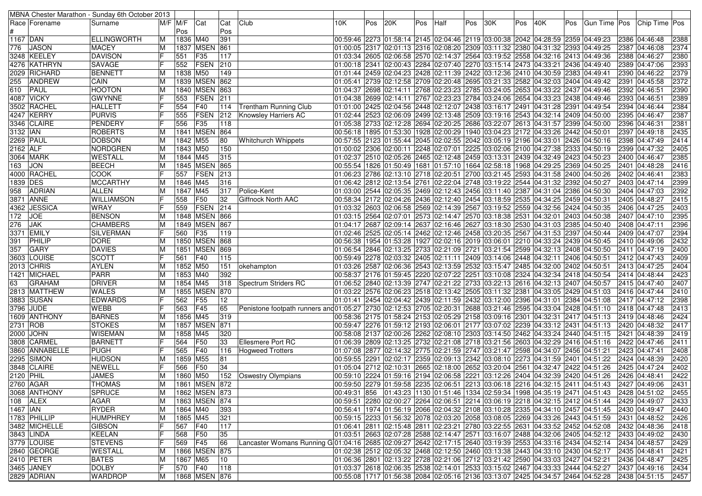|                          |                 | MBNA Chester Marathon - Sunday 6th October 2013 |                |          |                 |     |                                                                                                                                   |     |     |     |     |      |     |     |     |                                                                                                |     |                                                                                              |                    |              |
|--------------------------|-----------------|-------------------------------------------------|----------------|----------|-----------------|-----|-----------------------------------------------------------------------------------------------------------------------------------|-----|-----|-----|-----|------|-----|-----|-----|------------------------------------------------------------------------------------------------|-----|----------------------------------------------------------------------------------------------|--------------------|--------------|
|                          | Race   Forename | Surname                                         | M/F M/F        |          | Cat             | Cat | Club                                                                                                                              | 10K | Pos | 20K | Pos | Half | Pos | 30K | Pos | 40K                                                                                            | Pos | Gun Time Pos Chip Time Pos                                                                   |                    |              |
|                          |                 |                                                 |                | Pos      |                 | Pos |                                                                                                                                   |     |     |     |     |      |     |     |     |                                                                                                |     |                                                                                              |                    |              |
| 1167 DAN                 |                 | <b>ELLINGWORTH</b>                              | ΙM             | 1836 M40 |                 | 391 |                                                                                                                                   |     |     |     |     |      |     |     |     | 00:59:46 2273 01:58:14 2145 02:04:46 2119 03:00:38 2042 04:28:59 2359 04:49:23                 |     |                                                                                              | 2386 04:46:48      | 2388         |
| 776.                     | <b>JASON</b>    | <b>MACEY</b>                                    | ΙM             | 1837     | <b>MSEN</b>     | 861 |                                                                                                                                   |     |     |     |     |      |     |     |     | 01:00:05 2317 02:01:13 2316 02:08:20 2309 03:11:32 2380 04:31:32 2393 04:49:25                 |     |                                                                                              | 2387 04:46:08      | 2374         |
|                          | 3248 KEELEY     | <b>DAVISON</b>                                  | lF             | 551      | F35             | 117 |                                                                                                                                   |     |     |     |     |      |     |     |     | 01:03:34 2605 02:06:58 2570 02:14:37 2564 03:19:52 2558 04:32:16 2413 04:49:36                 |     |                                                                                              | 2388 04:46:27      | 2380         |
|                          | 4276 KATHRYN    | <b>SAVAGE</b>                                   |                | 552      | FSEN            | 210 |                                                                                                                                   |     |     |     |     |      |     |     |     | 01:00:18 2341 02:00:43 2284 02:07:40 2270 03:15:14 2473 04:33:21 2436 04:49:40                 |     |                                                                                              | 2389 04:47:06      | 2393         |
|                          | 2029 RICHARD    | <b>BENNETT</b>                                  | ΙM             | 1838     | M50             | 149 |                                                                                                                                   |     |     |     |     |      |     |     |     | 02:04:23 02:04:23 2428 02:11:39 2422 03:12:36 2410 04:30:59 2383 04:49:41 (01:01:44 )          |     |                                                                                              | 2390 04:46:22      | 2379         |
| 255                      | <b>ANDREW</b>   | CAIN                                            | ΙM             |          | 1839 MSEN       | 862 |                                                                                                                                   |     |     |     |     |      |     |     |     | 01:05:41 2739 02:12:58 2709 02:20:48 2695 03:21:33 2582 04:32:03 2404 04:49:42                 |     |                                                                                              | 2391 04:45:58      | 2372         |
| 610                      | PAUL            | <b>HOOTON</b>                                   | ΙM             |          | 1840 MSEN       | 863 |                                                                                                                                   |     |     |     |     |      |     |     |     | 01:04:37 2698 02:14:11 2768 02:23:23 2785 03:24:05 2653 04:33:22 2437 04:49:46                 |     |                                                                                              | 2392 04:46:51      | 2390         |
|                          | 4087 VICKY      | <b>GWYNNE</b>                                   |                | 553      | FSEN            | 211 |                                                                                                                                   |     |     |     |     |      |     |     |     | 01:04:38 2699 02:14:11 2767 02:23:23 2784 03:24:06 2654 04:33:23 2438 04:49:46                 |     |                                                                                              | 2393 04:46:51      | 2389         |
|                          | 3502 RACHEL     | <b>HALLETT</b>                                  | IF             | 554      | F40             | 114 | <b>Trentham Running Club</b>                                                                                                      |     |     |     |     |      |     |     |     | 01:01:00 2425 02:04:56 2448 02:12:07 2438 03:16:17 2491 04:31:28 2391 04:49:54 01:01           |     |                                                                                              | 2394 04:46:44      | 2384         |
|                          | 4247 KERRY      | <b>PURVIS</b>                                   |                | 555      | FSEN            | 212 | <b>Knowsley Harriers AC</b>                                                                                                       |     |     |     |     |      |     |     |     | 02:06:09 04:523 02:06:09 2499 02:13:48 2509 03:19:16 2543 04:32:14 2409 04:50:00               |     |                                                                                              | 2395 04:46:47      | 2387         |
|                          | 3346 CLAIRE     | PENDERY                                         |                | 556      | F35             | 118 |                                                                                                                                   |     |     |     |     |      |     |     |     | 01:05:38 2733 02:12:28 2694 02:20:25 2686 03:22:07 2613 04:31:57 2399 04:50:00                 |     |                                                                                              | 2396 04:46:31      | 2381         |
| 3132 IAN                 |                 | <b>ROBERTS</b>                                  | ΙM             |          | 1841   MSEN     | 864 |                                                                                                                                   |     |     |     |     |      |     |     |     | 00:56:18  1895  01:53:30  1928  02:00:29  1940  03:04:23  2172  04:33:26  2442  04:50:01       |     |                                                                                              | 2397 04:49:18      | 2435         |
| 2269   PAUL              |                 | <b>DOBSON</b>                                   | ΙM             | 1842     | M55             | 80  | <b>Whitchurch Whippets</b>                                                                                                        |     |     |     |     |      |     |     |     | 00:57:55 2123 01:55:44 2045 02:02:55 2042 03:05:19 2196 04:33:01 2426 04:50:16                 |     |                                                                                              | 2398 04:47:49      | 2414         |
| $2162$ ALF               |                 | NORDGREN                                        | ΙM             | 1843 M50 |                 | 150 |                                                                                                                                   |     |     |     |     |      |     |     |     | 01:00:02 2306 02:00:11 2248 02:07:01 2225 03:02:06 2100 04:27:38 2333 04:50:19                 |     |                                                                                              | 2399 04:47:32      | 2405         |
|                          | 3064 MARK       | <b>WESTALL</b>                                  | ΙM             | 1844 M45 |                 | 315 |                                                                                                                                   |     |     |     |     |      |     |     |     | 01:02:37 2510 02:05:26 2465 02:12:48 2459 03:13:31 2439 04:32:49 2423 04:50:23                 |     |                                                                                              | 2400 04:46:47      | 2385         |
| 163                      | <b>JON</b>      | <b>BEECH</b>                                    | ΙM             |          | 1845 MSEN       | 865 |                                                                                                                                   |     |     |     |     |      |     |     |     | 00:55:54  1826  01:50:49  1681  01:57:10  1664  02:58:18  1968  04:29:25  2369  04:50:25       |     |                                                                                              | 2401 04:48:28      | 2416         |
|                          | 4000 RACHEL     | <b>COOK</b>                                     | lF             | 557      | <b>FSEN</b>     | 213 |                                                                                                                                   |     |     |     |     |      |     |     |     | 01:06:23 2786 02:13:10 2718 02:20:51 2700 03:21:45 2593 04:31:58 2400 04:50:26                 |     |                                                                                              | 2402 04:46:41      | 2383         |
| 1839 DES                 |                 | <b>MCCARTHY</b>                                 | ΙM             | 1846 M45 |                 | 316 |                                                                                                                                   |     |     |     |     |      |     |     |     | 01:06:42 2812 02:13:54 2761 02:22:04 2748 03:19:22 2544 04:31:32 2392 04:50:27                 |     |                                                                                              | 2403 04:47:14      | 2399         |
| 958                      | <b>ADRIAN</b>   | <b>ALLEN</b>                                    | ΙM             | 1847 M45 |                 | 317 | Police-Kent                                                                                                                       |     |     |     |     |      |     |     |     | 01:03:00 2544 02:05:35 2469 02:12:43 2456 03:11:40 2387 04:31:04 2386 04:50:30 04:50:30        |     |                                                                                              | 2404 04:47:03      | 2392         |
|                          | 3871 ANNE       | <b>WILLIAMSON</b>                               | IF             | 558      | F50             | 32  | Giffnock North AAC                                                                                                                |     |     |     |     |      |     |     |     | 00:58:34 2172 02:04:26 2436 02:12:40 2454 03:18:59 2535 04:34:25 2459 04:50:31                 |     |                                                                                              | 2405 04:48:27      | 2415         |
|                          | 4362 JESSICA    | <b>WRAY</b>                                     |                | 559      | <b>FSEN</b>     | 214 |                                                                                                                                   |     |     |     |     |      |     |     |     | 01:03:32 2603 02:06:58 2569 02:14:39 2567 03:19:52 2559 04:32:56 2424 04:50:35                 |     |                                                                                              | 2406 04:47:25      | 2403         |
| 172                      | <b>JOE</b>      | <b>BENSON</b>                                   | ΙM             | 1848     | <b>MSEN</b>     | 866 |                                                                                                                                   |     |     |     |     |      |     |     |     | 01:03:15  2564  02:07:01  2573  02:14:47  2570  03:18:38  2531  04:32:01  2403  04:50:38       |     |                                                                                              | 2407 04:47:10      | 2395         |
| 276                      | <b>JAK</b>      | <b>CHAMBERS</b>                                 | ΙM             | 1849     | <b>MSEN</b>     | 867 |                                                                                                                                   |     |     |     |     |      |     |     |     | 02:09:17 2687 02:09:14 2637 02:16:46 2627 03:18:30 2530 04:31:03 2385 04:50:40 [01:04:17 ]     |     |                                                                                              | 2408 04:47:11      | 2396         |
|                          | 3371 EMILY      | SILVERMAN                                       |                | 560      | F <sub>35</sub> | 119 |                                                                                                                                   |     |     |     |     |      |     |     |     | 02:05:14  2525  2397  24:05:14  2462  22:12:46  2458  23:20:35  2567  24:31:53  2397  24:50:44 |     |                                                                                              | 2409 04:47:07      | 2394         |
| 391                      | PHILIP          | <b>DORE</b>                                     | ΙM             |          | 1850 MSEN       | 868 |                                                                                                                                   |     |     |     |     |      |     |     |     | 00:56:38  1954  01:53:28  1927  02:02:16  2019  03:06:01  2210  04:33:24  2439  04:50:45       |     |                                                                                              | 2410 04:49:06      | 2432         |
| 357                      | <b>GARY</b>     | <b>DAVIES</b>                                   | ΙM             |          | 1851 MSEN       | 869 |                                                                                                                                   |     |     |     |     |      |     |     |     | 01:06:54 2846 02:13:25 2733 02:21:09 2721 03:21:54 2599 04:32:13 2408 04:50:50                 |     |                                                                                              | 2411 04:47:19      | 2400         |
|                          | 3603 LOUISE     | <b>SCOTT</b>                                    |                | 561      | F40             | 115 |                                                                                                                                   |     |     |     |     |      |     |     |     | 00:59:49  2278  02:03:32  2405  02:11:11  2409  03:14:06  2448  04:32:11  2406  04:50:51       |     |                                                                                              | 2412 04:47:43      | 2409         |
|                          | 2013 CHRIS      | <b>AYLEN</b>                                    | IМ             | 1852 M50 |                 | 151 | okehampton                                                                                                                        |     |     |     |     |      |     |     |     | 01:03:26 2587 02:06:36 2543 02:13:59 2532 03:15:47 2485 04:32:00 2402 04:50:51                 |     |                                                                                              | 2413 04:47:25      | 2404         |
|                          | 1421 MICHAEL    | <b>PARR</b>                                     | ΙM             | 1853 M40 |                 | 392 |                                                                                                                                   |     |     |     |     |      |     |     |     | 00:58:37 2176 01:59:45 2220 02:07:22 2251 03:10:08 2324 04:32:34 2418 04:50:54                 |     |                                                                                              | 2414 04:48:44      | 2423         |
| 63                       | <b>GRAHAM</b>   | <b>DRIVER</b>                                   | ΙM             | 1854     | M45             | 318 | Spectrum Striders RC                                                                                                              |     |     |     |     |      |     |     |     | 01:06:52 2840 02:13:39 2747 02:21:22 2733 03:22:13 2616 04:32:13 2407 04:50:57                 |     |                                                                                              | 2415 04:47:40      | 2407         |
|                          | 2813  MATTHEW   | <b>WALES</b>                                    | IМ             | 1855     | <b>MSEN</b>     | 870 |                                                                                                                                   |     |     |     |     |      |     |     |     | 01:03:22 2576 02:06:23 2518 02:13:42 2505 03:11:32 2381 04:33:05 2429 04:51:03                 |     |                                                                                              | 2416 04:47:44      | 2410         |
|                          | 3883 SUSAN      | <b>EDWARDS</b>                                  |                | 562      | F55             | 12  |                                                                                                                                   |     |     |     |     |      |     |     |     | 01:01:41  2454  02:04:42  2439  02:11:59  2432  03:12:00  2396  04:31:01  2384  04:51:08       |     |                                                                                              | 2417 04:47:12      | 2398         |
|                          | 3796 JUDE       | <b>WEBB</b>                                     |                | 563      | F45             | 65  | Penistone footpath runners and 01:05:27   2730   02:12:53   2705   02:20:31   2688   03:21:46   2595   04:33:04   2428   04:51:10 |     |     |     |     |      |     |     |     |                                                                                                |     |                                                                                              | 2418 04:47:48      | 2413         |
|                          | 1609 ANTHONY    | <b>BARNES</b>                                   | ΙM             | 1856 M45 |                 | 319 |                                                                                                                                   |     |     |     |     |      |     |     |     | 00:58:36 2175 01:58:24 2153 02:05:29 2158 03:09:16 2301 04:32:31 2417 04:51:13                 |     |                                                                                              | 2419 04:48:46      | 2424         |
| 2731 ROB                 |                 | <b>STOKES</b>                                   | ΙM             | 1857     | <b>MSEN</b>     | 871 |                                                                                                                                   |     |     |     |     |      |     |     |     | 00:59:47  2276  01:59:12  2193  02:06:01  2177  03:07:02  2239  04:33:12  2431  04:51:13       |     |                                                                                              | 2420 04:48:32      | 2417         |
|                          | 2000 JOHN       | <b>WISEMAN</b>                                  | ΙM             | 1858 M45 |                 | 320 |                                                                                                                                   |     |     |     |     |      |     |     |     | 00:58:08 2137 02:00:26 2262 02:08:10 2303 03:14:50 2462 04:33:24 2440 04:51:15                 |     |                                                                                              | 2421 04:48:39      | 2419         |
|                          | 3808 CARMEL     | <b>BARNETT</b>                                  |                | 564      | F50             | 33  | Ellesmere Port RC                                                                                                                 |     |     |     |     |      |     |     |     | 01:06:39 2809 02:13:25 2732 02:21:08 2718 03:21:56 2603 04:32:29 2416 04:51:16                 |     |                                                                                              | 2422 04:47:46      | 2411         |
|                          | 3860  ANNABELLE | <b>PUGH</b>                                     |                | 565      | F40             | 116 | <b>Hogweed Trotters</b>                                                                                                           |     |     |     |     |      |     |     |     | 01:07:08  2877  02:14:32  2775  02:21:59  2747  03:21:47  2598  04:34:07  2456  04:51:21       |     |                                                                                              | 2423 04:47:41      | 2408         |
|                          | 2295 SIMON      | <b>HUDSON</b>                                   | ΙM             | 1859 M55 |                 | 81  |                                                                                                                                   |     |     |     |     |      |     |     |     | 00:59:55 2291 02:02:17 2359 02:09:13 2342 03:08:10 2273 04:31:59 2401 04:51:22                 |     |                                                                                              | 2424 04:48:39      | 2420         |
|                          | 3848 CLAIRE     | NEWELL                                          |                | 566      | F50             | 34  |                                                                                                                                   |     |     |     |     |      |     |     |     | 01:05:04 2712 02:10:31 2665 02:18:00 2652 03:20:04 2561 04:32:47 2422 04:51:26                 |     |                                                                                              | 2425 04:47:24      | 2402         |
| 2120 PHIL                |                 | <b>JAMES</b>                                    |                | 1860 M50 |                 |     | 152 Oswestry Olympians                                                                                                            |     |     |     |     |      |     |     |     | 00:59:10 2224 01:59:16 2194 02:06:58 2221 03:12:26 2404 04:32:39 2420 04:51:26                 |     |                                                                                              | 2426 04:48:41      | 2422         |
|                          | 2760 AGAR       | <b>THOMAS</b>                                   | $\overline{M}$ |          | 1861 MSEN 872   |     |                                                                                                                                   |     |     |     |     |      |     |     |     |                                                                                                |     | 00:59:50 2279 01:59:58 2235 02:06:51 2213 03:06:18 2216 04:32:15 2411 04:51:43 2427 04:49:06 |                    | 2431         |
|                          | 3068 ANTHONY    | <b>SPRUCE</b>                                   | ΙM             |          | 1862 MSEN 873   |     |                                                                                                                                   |     |     |     |     |      |     |     |     |                                                                                                |     |                                                                                              |                    | 2455         |
|                          | 108 ALEX        | AGAR                                            | ΙM             |          | 1863 MSEN 874   |     |                                                                                                                                   |     |     |     |     |      |     |     |     | 00:59:51 2280 02:00:27 2264 02:06:51 2214 03:06:19 2218 04:32:15 2412 04:51:44                 |     |                                                                                              | 2429 04:49:07      | 2433         |
| $1467$ $ \overline{AN} $ |                 | RYDER                                           | ΙM             | 1864 M40 |                 | 393 |                                                                                                                                   |     |     |     |     |      |     |     |     | 00:56:41  1974  01:56:19  2066  02:04:32  2108  03:10:28  2335  04:34:10  2457  04:51:45       |     |                                                                                              | 2430 04:49:47      | 2440         |
|                          | 1783 PHILLIP    | <b>HUMPHREY</b>                                 | ΙM             | 1865 M45 |                 | 321 |                                                                                                                                   |     |     |     |     |      |     |     |     | 00:59:15 2233 01:56:32 2078 02:03:20 2058 03:08:05 2269 04:33:26 2443 04:51:59                 |     |                                                                                              | 2431 04:48:52      | 2426         |
|                          | 3482 MICHELLE   | <b>GIBSON</b>                                   | IF             | 567      | F40             | 117 |                                                                                                                                   |     |     |     |     |      |     |     |     | 01:06:41 2811 02:15:48 2811 02:23:21 2780 03:22:55 2631 04:33:52 2452 04:52:08                 |     |                                                                                              | 2432 04:48:36      | 2418         |
|                          | 3843 LINDA      | KEELAN                                          | IF             | 568      | F50             | 35  |                                                                                                                                   |     |     |     |     |      |     |     |     | 01:03:51 2663 02:07:28 2588 02:14:47 2571 03:16:07 2488 04:32:06 2405 04:52:12                 |     |                                                                                              | 2433 04:49:02      | 2430         |
|                          | 3779 LOUISE     | <b>STEVENS</b>                                  | lF             | 569      | F45             | 66  | Lancaster Womans Running G 01:04:16 2685 02:09:27 2642 02:17:15 2640 03:19:39 2553 04:33:16 2434 04:52:14                         |     |     |     |     |      |     |     |     |                                                                                                |     |                                                                                              | 2434 04:48:57      | 2429         |
|                          | 2840 GEORGE     | <b>WESTALL</b>                                  | ΙM             |          | 1866 MSEN 875   |     |                                                                                                                                   |     |     |     |     |      |     |     |     | 01:02:38 2512 02:05:32 2468 02:12:50 2460 03:13:38 2443 04:33:10 2430 04:52:17                 |     |                                                                                              | 2435 04:48:41      | 2421         |
|                          | 2410 PETER      | <b>BATES</b>                                    | ΙM             | 1867 M65 |                 | 10  |                                                                                                                                   |     |     |     |     |      |     |     |     | 01:06:36 2801 02:13:22 2728 02:21:06 2712 03:21:42 2590 04:33:03 2427 04:52:21                 |     |                                                                                              | 2436 04:48:47      |              |
|                          | 3465 JANEY      | DOLBY                                           | lF             | 570 F40  |                 | 118 |                                                                                                                                   |     |     |     |     |      |     |     |     | 01:03:37 2618 02:06:35 2538 02:14:01 2533 03:15:02 2467 04:33:33 2444 04:52:27                 |     |                                                                                              | 2437 04:49:16      | 2425<br>2434 |
|                          |                 |                                                 |                |          | 1868 MSEN 876   |     |                                                                                                                                   |     |     |     |     |      |     |     |     |                                                                                                |     |                                                                                              |                    |              |
|                          | 2829 ADRIAN     | <b>WARDROP</b>                                  | M              |          |                 |     |                                                                                                                                   |     |     |     |     |      |     |     |     | 00:55:08 1717 01:56:38 2084 02:05:16 2136 03:13:07 2425 04:34:57 2464 04:52:28                 |     |                                                                                              | 2438 04:51:15 2457 |              |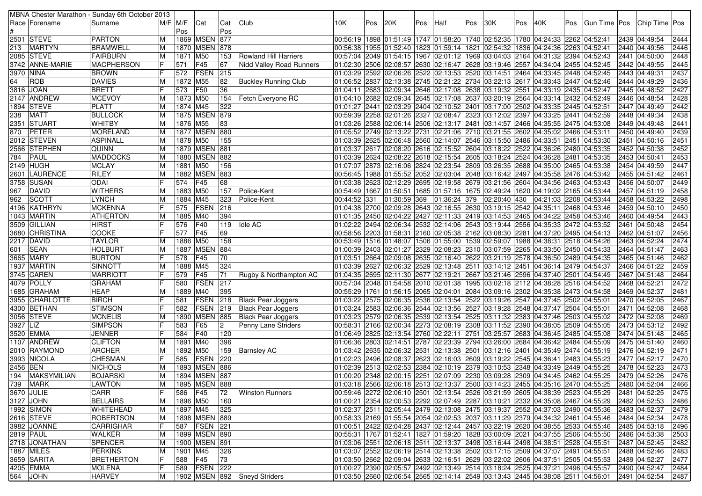|            |                    | MBNA Chester Marathon - Sunday 6th October 2013 |    |             |                   |                 |                                 |                                                                                          |     |              |     |              |     |              |     |                                                                                          |     |                                                                                                   |                                  |      |
|------------|--------------------|-------------------------------------------------|----|-------------|-------------------|-----------------|---------------------------------|------------------------------------------------------------------------------------------|-----|--------------|-----|--------------|-----|--------------|-----|------------------------------------------------------------------------------------------|-----|---------------------------------------------------------------------------------------------------|----------------------------------|------|
|            | Race   Forename    | Surname                                         |    | $M/F$ $M/F$ | Cat               | Cat             | Club                            | 10K                                                                                      | Pos | 20K          | Pos | Half         | Pos | 30K          | Pos | 40K                                                                                      | Pos |                                                                                                   | Gun Time   Pos   Chip Time   Pos |      |
|            |                    |                                                 |    | Pos         |                   | Pos             |                                 |                                                                                          |     |              |     |              |     |              |     |                                                                                          |     |                                                                                                   |                                  |      |
|            | 2501 STEVE         | <b>PARTON</b>                                   | ΙM |             | 1869 MSEN         | 877             |                                 | 00:56:19  1898  01:51:49  1747  01:58:20  1740  02:52:35  1780  04:24:33  2262  04:52:41 |     |              |     |              |     |              |     |                                                                                          |     |                                                                                                   | 2439  04:49:54                   | 2444 |
| 213        | <b>MARTYN</b>      | BRAMWELL                                        | ΙM |             | 1870 MSEN         | 878             |                                 | 00:56:38 1955 01:52:40 1823 01:59:14 1821 02:54:32 1836 04:24:36 2263 04:52:41           |     |              |     |              |     |              |     |                                                                                          |     |                                                                                                   | 2440 04:49:56                    | 2446 |
|            | 2085 STEVE         | FAIRBURN                                        | ΙM | 1871 M50    |                   | 153             | Rowland Hill Harriers           | 02:52:43.04  2049 01:54:15 1967 02:01:12 1969 03:04:03 2164 04:31:32 2394 04:52:43       |     |              |     |              |     |              |     |                                                                                          |     |                                                                                                   | 2441 04:50:00                    | 2448 |
|            | 3742 ANNE-MARIE    | <b>MACPHERSON</b>                               | IF | 571         | F45               | 67              | <b>Nidd Valley Road Runners</b> | 01:02:30  2506  02:08:57  2630  02:16:47  2628  03:19:46  2557  04:34:04  2455  04:52:45 |     |              |     |              |     |              |     |                                                                                          |     |                                                                                                   | 2442 04:49:55                    | 2445 |
| 3970  NINA |                    | <b>BROWN</b>                                    |    | 572         | FSEN              | 215             |                                 | 01:03:29 2592 02:06:26 2522 02:13:53 2520 03:14:51 2464 04:33:45 2448 04:52:45           |     |              |     |              |     |              |     |                                                                                          |     |                                                                                                   | 2443 04:49:31                    | 2437 |
| 64         | <b>ROB</b>         | <b>DAVIES</b>                                   | ΙM | 1872 M55    |                   | 82              | <b>Buckley Running Club</b>     | 01:06:52 2837 02:13:38 2745 02:21:22 2734 03:22:13 2617 04:33:43 2447 04:52:46           |     |              |     |              |     |              |     |                                                                                          |     |                                                                                                   | 2444 04:49:29                    | 2436 |
|            | 3816 JOAN          | <b>BRETT</b>                                    | lF |             | <b>F50</b>        | 36              |                                 | 01:04:11 2683 02:09:34 2646 02:17:08 2638 03:19:32 2551 04:33:19 2435 04:52:47           |     |              |     |              |     |              |     |                                                                                          |     |                                                                                                   | 2445 04:48:52                    | 2427 |
|            |                    |                                                 |    | 573         |                   |                 |                                 |                                                                                          |     |              |     |              |     |              |     |                                                                                          |     |                                                                                                   |                                  |      |
|            | 2147 ANDREW        | <b>MCEVOY</b>                                   | ΙM | 1873 M50    |                   | 154             | Fetch Everyone RC               | 01:04:10 2682 02:09:34 2645 02:17:08 2637 03:20:19 2564 04:33:14 2432 04:52:49           |     |              |     |              |     |              |     |                                                                                          |     |                                                                                                   | 2446 04:48:54                    | 2428 |
|            | 1894 STEVE         | <b>PLATT</b>                                    | ΙM | 1874 M45    |                   | 322             |                                 | 01:01:27 2441 02:03:29 2404 02:10:52 2401 03:17:00 2502 04:33:35 2445 04:52:51           |     |              |     |              |     |              |     |                                                                                          |     |                                                                                                   | 2447 04:49:49                    | 2442 |
| 238        | <b>MATT</b>        | <b>BULLOCK</b>                                  | ΙM |             | 1875 MSEN 879     |                 |                                 | 00:59:39  2258  02:01:26  2327  02:08:47  2323  03:12:02  2397  04:33:25  2441  04:52:59 |     |              |     |              |     |              |     |                                                                                          |     |                                                                                                   | 2448 04:49:34                    | 2438 |
|            | 2351  STUART       | <b>WHITBY</b>                                   | ΙM | 1876 M55    |                   | 83              |                                 | 01:03:26 2588 02:06:14 2506 02:13:17 2481 03:14:57 2466 04:35:55 2475 04:53:08           |     |              |     |              |     |              |     |                                                                                          |     |                                                                                                   | 2449 04:49:48                    | 2441 |
| 870        | PETER              | <b>MORELAND</b>                                 | M  |             | 1877 MSEN 880     |                 |                                 | 01:05:52 2749 02:13:22 2731 02:21:06 2710 03:21:55 2602 04:35:02 2466 04:53:11           |     |              |     |              |     |              |     |                                                                                          |     |                                                                                                   | 2450 04:49:40                    | 2439 |
|            | 2012 STEVEN        | <b>ASPINALL</b>                                 | ΙM | 1878 M50    |                   | 155             |                                 | 01:03:39 2625 02:06:48 2560 02:14:07 2546 03:15:50 2486 04:33:51 2451 04:53:30           |     |              |     |              |     |              |     |                                                                                          |     |                                                                                                   | 2451 04:50:16                    | 2451 |
|            | 2566 STEPHEN       | <b>QUINN</b>                                    | ΙM |             | 1879 MSEN 881     |                 |                                 | 01:03:37 2617 02:08:20 2616 02:15:52 2604 03:18:22 2522 04:36:26 2480 04:53:35           |     |              |     |              |     |              |     |                                                                                          |     |                                                                                                   | 2452 04:50:38                    | 2452 |
| 784        | PAUL               | <b>MADDOCKS</b>                                 | ΙM |             | 1880 MSEN         | 882             |                                 | 01:03:39 2624 02:08:22 2618 02:15:54 2605 03:18:24 2524 04:36:28 2481 04:53:35           |     |              |     |              |     |              |     |                                                                                          |     |                                                                                                   | 2453 04:50:41                    | 2453 |
|            | 2149 HUGH          | <b>MCLAY</b>                                    | ΙM | 1881        | M50               | 156             |                                 | 01:07:07 2873 02:16:06 2824 02:23:54 2809 03:26:35 2688 04:35:00 2465 04:53:38           |     |              |     |              |     |              |     |                                                                                          |     |                                                                                                   | 2454 04:49:59                    | 2447 |
|            | 2601  LAURENCE     | <b>RILEY</b>                                    | ΙM |             | 1882   MSEN       | 883             |                                 | 00:56:45  1988  01:55:52  2052  02:03:04  2048  03:16:42  2497  04:35:58  2476  04:53:42 |     |              |     |              |     |              |     |                                                                                          |     |                                                                                                   | 2455 04:51:42                    | 2461 |
|            | 3758 SUSAN         | <b>ODAI</b>                                     | IF | 574         | F45               | 68              |                                 | 01:03:38 2623 02:12:29 2695 02:19:58 2679 03:21:56 2604 04:34:56 2463 04:53:43           |     |              |     |              |     |              |     |                                                                                          |     |                                                                                                   | 2456 04:50:07                    | 2449 |
| 967        | DAVID              | <b>WITHERS</b>                                  | ΙM | 1883 M50    |                   | 157             | Police-Kent                     | 00:54:49  1667  01:50:51  1685  01:57:16  1675  02:49:24  1620  04:19:02  2165  04:53:44 |     |              |     |              |     |              |     |                                                                                          |     |                                                                                                   | 2457 04:51:19                    | 2458 |
| 962        | SCOTT              | <b>LYNCH</b>                                    | ΙM | 1884 M45    |                   | 323             | Police-Kent                     | 00:44:52 331                                                                             |     | 01:30:59 369 |     | 01:36:24 379 |     | 02:20:40 430 |     | 04:21:03 2208 04:53:44                                                                   |     |                                                                                                   | 2458 04:53:22                    | 2498 |
|            | 4196 KATHRYN       | <b>MCKENNA</b>                                  |    | 575         | <b>FSEN</b>       | 216             |                                 | 04:38 2700 02:09:28 2643 02:16:55 2630 03:19:15 2542 04:35:11 2468 04:53:46              |     |              |     |              |     |              |     |                                                                                          |     |                                                                                                   | 2459 04:50:10                    | 2450 |
|            | 1043 MARTIN        | <b>ATHERTON</b>                                 | ΙM | 1885        | M40               | 394             |                                 | 01:01:35 2450 02:04:22 2427 02:11:33 2419 03:14:53 2465 04:34:22 2458 04:53:46           |     |              |     |              |     |              |     |                                                                                          |     |                                                                                                   | 2460 04:49:54                    | 2443 |
|            |                    |                                                 | IF |             |                   |                 |                                 |                                                                                          |     |              |     |              |     |              |     |                                                                                          |     |                                                                                                   |                                  |      |
|            | 3509 GILLIAN       | <b>HIRST</b><br>IF                              |    | 576         | F40               | 119             | <b>Idle AC</b>                  | 01:02:22 2494 02:06:34 2532 02:14:06 2543 03:19:44 2556 04:35:33 2472 04:53:52           |     |              |     |              |     |              |     |                                                                                          |     |                                                                                                   | 2461 04:50:48                    | 2454 |
|            | 3680 CHRISTINA     | <b>COOKE</b>                                    |    | 577         | F45               | 69              |                                 | 00:58:56 2203 01:58:31 2160 02:05:38 2162 03:08:30 2281 04:37:20 2495 04:54:13           |     |              |     |              |     |              |     |                                                                                          |     |                                                                                                   | 2462 04:51:07                    | 2456 |
|            | 2217 DAVID         | <b>TAYLOR</b>                                   |    | 1886        | M50               | 158             |                                 |                                                                                          |     |              |     |              |     |              |     | 00:53:49  1516  01:48:07  1506  01:55:00  1539  02:59:07  1988  04:38:31  2518  04:54:26 |     |                                                                                                   | 2463 04:52:24                    | 2474 |
| 601        | <b>SEAN</b>        | <b>HOLBURT</b>                                  | ΙM |             | 1887 MSEN         | 884             |                                 | 01:00:39 2403 02:01:27 2329 02:08:23 2310 03:07:59 2265 04:33:50 2450 04:54:33           |     |              |     |              |     |              |     |                                                                                          |     |                                                                                                   | 2464 04:51:47                    | 2463 |
|            | 3665 MARY          | <b>BURTON</b>                                   |    | 578         | F45               | 70              |                                 | 01:03:51 2664 02:09:08 2635 02:16:40 2622 03:21:19 2578 04:36:50 2489 04:54:35           |     |              |     |              |     |              |     |                                                                                          |     |                                                                                                   | 2465 04:51:46                    | 2462 |
|            | 1937 MARTIN        | SINNOTT                                         | ΙM | 1888 M45    |                   | 324             |                                 | 01:03:39  2627  02:06:32  2529  02:13:48  2511  03:14:12  2451  04:36:14  2479  04:54:37 |     |              |     |              |     |              |     |                                                                                          |     |                                                                                                   | 2466 04:51:22                    | 2459 |
|            | 3745 CAREN         | <b>MARRIOTT</b>                                 | lF | 579         | F45               | 71              | Rugby & Northampton AC          | 01:04:35 2695 02:11:30 2677 02:19:21 2667 03:21:46 2596 04:37:40 2501 04:54:49           |     |              |     |              |     |              |     |                                                                                          |     |                                                                                                   | 2467 04:51:48                    | 2464 |
|            | 4079 POLLY         | <b>GRAHAM</b>                                   |    | 580         | FSEN              | 217             |                                 | 00:57:04 2048 01:54:58 2010 02:01:38 1995 03:02:18 2112 04:38:28 2516 04:54:52           |     |              |     |              |     |              |     |                                                                                          |     |                                                                                                   | 2468 04:52:21                    | 2472 |
|            | 1685   GRAHAM      | <b>HEAP</b>                                     | ΙM | 1889 M40    |                   | 395             |                                 | 00:55:29  1761  01:56:15  2065  02:04:01  2084  03:09:16  2302  04:35:38  2473  04:54:58 |     |              |     |              |     |              |     |                                                                                          |     |                                                                                                   | 2469 04:52:37                    | 2481 |
|            | 3955 CHARLOTTE     | <b>BIRCH</b>                                    | lF | 581         | <b>FSEN</b>       | 218             | <b>Black Pear Joggers</b>       | 01:03:22  2575  02:06:35  2536  02:13:54  2522  03:19:26  2547  04:37:45  2502  04:55:01 |     |              |     |              |     |              |     |                                                                                          |     |                                                                                                   | 2470 04:52:05                    | 2467 |
|            | 4300  BETHAN       | <b>STIMSON</b>                                  |    | 582         | FSEN              | 219             | <b>Black Pear Joggers</b>       | 01:03:24 2583 02:06:36 2544 02:13:56 2527 03:19:28 2548 04:37:47 2504 04:55:01           |     |              |     |              |     |              |     |                                                                                          |     |                                                                                                   | 2471 04:52:08                    | 2468 |
|            | 3056 STEVE         | <b>MCNELIS</b>                                  | ΙM |             | 1890 MSEN 885     |                 | <b>Black Pear Joggers</b>       | 01:03:23 2579 02:06:35 2539 02:13:54 2525 03:11:32 2383 04:37:46 2503 04:55:02           |     |              |     |              |     |              |     |                                                                                          |     |                                                                                                   | 2472 04:52:08                    | 2469 |
| 3927 LIZ   |                    | SIMPSON                                         |    | 583         | F65               | $\overline{2}$  | <b>Penny Lane Striders</b>      |                                                                                          |     |              |     |              |     |              |     | 00:58:31 2166 02:00:34 2273 02:08:19 2308 03:11:52 2390 04:38:05 2509 04:55:05           |     |                                                                                                   | 2473 04:53:12                    | 2492 |
|            | 3520 EMMA          | JENNER                                          |    | 584         | F40               | 120             |                                 | 01:06:49 2825 02:13:54 2760 02:22:11 2751 03:25:57 2683 04:36:45 2485 04:55:08           |     |              |     |              |     |              |     |                                                                                          |     |                                                                                                   | 2474 04:51:48                    | 2465 |
|            |                    |                                                 |    |             |                   |                 |                                 |                                                                                          |     |              |     |              |     |              |     |                                                                                          |     |                                                                                                   |                                  |      |
|            | 1107 ANDREW        | <b>CLIFTON</b>                                  | M  | 1891        | M40               | 396             |                                 | 01:06:36 2803 02:14:51 2787 02:23:39 2794 03:26:00 2684 04:36:42 2484 04:55:09           |     |              |     |              |     |              |     |                                                                                          |     |                                                                                                   | 2475 04:51:40                    | 2460 |
|            | 2010 RAYMOND       | <b>ARCHER</b>                                   | ΙM | 1892        | M50               | 159             | <b>Barnsley AC</b>              | 01:03:42 2635 02:06:32 2531 02:13:38 2501 03:12:16 2401 04:35:49 2474 04:55:19           |     |              |     |              |     |              |     |                                                                                          |     |                                                                                                   | 2476 04:52:19                    | 2471 |
|            | 3993 NICOLA        | <b>CHESMAN</b>                                  |    | 585         | <b>FSEN</b>       | 220             |                                 | 01:02:23  2496  02:08:37  2623  02:16:03  2609  03:19:22  2545  04:36:41  2483  04:55:23 |     |              |     |              |     |              |     |                                                                                          |     |                                                                                                   | 2477 04:52:17                    | 2470 |
| 2456 BEN   |                    | <b>NICHOLS</b>                                  | ΙM |             | 1893 MSEN         | 886             |                                 | 01:02:39  2513  02:02:53  2384  02:10:19  2379  03:10:53  2348  04:33:49  2449  04:55:25 |     |              |     |              |     |              |     |                                                                                          |     |                                                                                                   | 2478 04:52:23                    | 2473 |
| 194        | <b>MAKSYMILIAN</b> | <b>BOJARSKI</b>                                 | ΙM |             | 1894 MSEN 887     |                 |                                 |                                                                                          |     |              |     |              |     |              |     | 01:00:20 2348 02:00:15 2251 02:07:09 2230 03:09:28 2309 04:34:45 2462 04:55:25           |     |                                                                                                   | 2479 04:52:26                    | 2476 |
|            | 739 MARK           | LAWTON                                          | M  |             | 1895 MSEN 888     |                 |                                 |                                                                                          |     |              |     |              |     |              |     |                                                                                          |     | 01:03:18 2566 02:06:18 2513 02:13:37 2500 03:14:23 2455 04:35:16 2470 04:55:25 2480 04:52:04 2466 |                                  |      |
|            | 3670 JULIE         | <b>CARR</b>                                     | lF | 586 F45     |                   | 72              | Winston Runners                 |                                                                                          |     |              |     |              |     |              |     |                                                                                          |     | 00:59:46 2272 02:06:10 2501 02:13:54 2526 03:21:59 2605 04:38:39 2523 04:55:29                    | 2481 04:52:25                    | 2475 |
|            | 3127 JOHN          | <b>BELLAIRS</b>                                 | ΙM | 1896 M50    |                   | 160             |                                 | 01:00:21 2354 02:00:53 2292 02:07:49 2287 03:10:21 2332 04:35:08 2467 04:55:29           |     |              |     |              |     |              |     |                                                                                          |     |                                                                                                   | 2482 04:52:53                    | 2486 |
|            | 1992 SIMON         | <b>WHITEHEAD</b>                                | ΙM | 1897 M45    |                   | 325             |                                 | 01:02:37 2511 02:05:44 2479 02:13:08 2475 03:19:37 2552 04:37:03 2490 04:55:36           |     |              |     |              |     |              |     |                                                                                          |     |                                                                                                   | 2483 04:52:37                    | 2479 |
|            | 2616 STEVE         | ROBERTSON                                       | ΙM |             | 1898 MSEN 889     |                 |                                 | 00:58:33 2169 01:55:54 2054 02:02:53 2037 03:11:29 2379 04:34:32 2461 04:55:46           |     |              |     |              |     |              |     |                                                                                          |     |                                                                                                   | 2484 04:52:34                    | 2478 |
|            | 3982 JOANNE        | <b>CARRIGHAR</b>                                | IF |             | 587   FSEN   221  |                 |                                 | 01:00:51 2422 02:04:28 2437 02:12:44 2457 03:22:19 2620 04:38:55 2533 04:55:46           |     |              |     |              |     |              |     |                                                                                          |     |                                                                                                   | 2485 04:53:18                    | 2496 |
|            | 2819 PAUL          | <b>WALKER</b>                                   | ΙM |             | 1899   MSEN   890 |                 |                                 | 00:55:31  1767  01:52:41  1827  01:59:20  1828  03:00:09  2021  04:37:55  2506  04:55:50 |     |              |     |              |     |              |     |                                                                                          |     |                                                                                                   | 2486 04:53:38                    | 2503 |
|            | 2718 JONATHAN      | <b>SPENCER</b>                                  | ΙM |             | 1900 MSEN 891     |                 |                                 | 01:03:06 2551 02:06:18 2511 02:13:37 2498 03:16:44 2498 04:38:51 2528 04:55:51           |     |              |     |              |     |              |     |                                                                                          |     |                                                                                                   | 2487 04:52:45                    | 2482 |
|            | 1887 MILES         | <b>PERKINS</b>                                  | ΙM | 1901 M45    |                   | 326             |                                 | 01:03:07 2491 02:06:19 2514 02:13:38 2502 03:17:15 2509 04:37:07 2491 04:55:51           |     |              |     |              |     |              |     |                                                                                          |     |                                                                                                   | 2488 04:52:46                    | 2483 |
|            | 3659 SARITA        | <b>BRETHERTON</b>                               | IF | 588         | F45               | $\overline{73}$ |                                 | 01:03:50 2662 02:09:04 2633 02:16:51 2629 03:22:02 2606 04:37:51 2505 04:55:53           |     |              |     |              |     |              |     |                                                                                          |     |                                                                                                   | 2489 04:52:27                    | 2477 |
|            | 4205 EMMA          |                                                 | IF |             | <b>FSEN 222</b>   |                 |                                 | 01:00:27 2390 02:05:57 2492 02:13:49 2514 03:18:24 2525 04:37:21 2496 04:55:57           |     |              |     |              |     |              |     |                                                                                          |     |                                                                                                   |                                  |      |
|            |                    | <b>MOLENA</b>                                   |    | 589         |                   |                 |                                 |                                                                                          |     |              |     |              |     |              |     |                                                                                          |     |                                                                                                   | 2490 04:52:47                    | 2484 |
|            | 564 JOHN           | <b>HARVEY</b>                                   | M  |             |                   |                 | 1902 MSEN 892 Sneyd Striders    | 01:03:50 2660 02:06:54 2565 02:14:14 2549 03:13:43 2445 04:38:08 2511 04:56:01           |     |              |     |              |     |              |     |                                                                                          |     |                                                                                                   | 2491 04:52:54 2487               |      |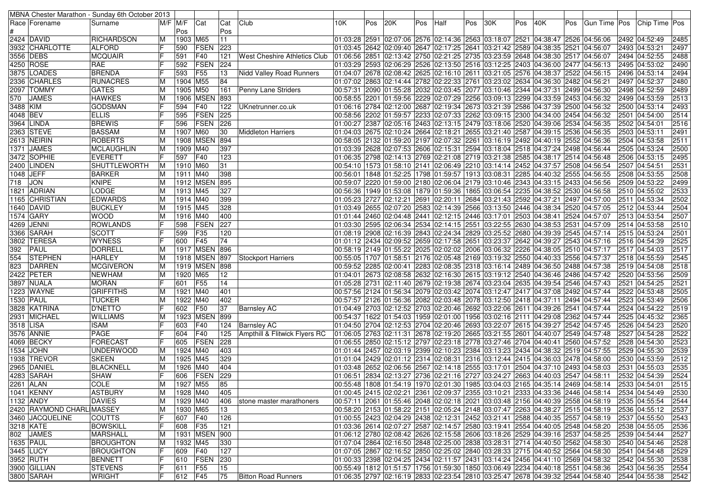|           |                           | MBNA Chester Marathon - Sunday 6th October 2013 |                         |          |                   |                 |                               |                                                                                |     |     |     |                                                                                                    |     |     |     |     |     |               |                                                                                                   |      |
|-----------|---------------------------|-------------------------------------------------|-------------------------|----------|-------------------|-----------------|-------------------------------|--------------------------------------------------------------------------------|-----|-----|-----|----------------------------------------------------------------------------------------------------|-----|-----|-----|-----|-----|---------------|---------------------------------------------------------------------------------------------------|------|
|           | Race  Forename            | Surname                                         |                         | M/F M/F  | Cat               | Cat             | Club                          | 10K                                                                            | Pos | 20K | Pos | Half                                                                                               | Pos | 30K | Pos | 40K | Pos | Gun Time  Pos | Chip Time Pos                                                                                     |      |
|           |                           |                                                 |                         | Pos      |                   | Pos             |                               |                                                                                |     |     |     |                                                                                                    |     |     |     |     |     |               |                                                                                                   |      |
|           | 2424 DAVID                | RICHARDSON                                      | M                       | 1903 M65 |                   | 11              |                               |                                                                                |     |     |     | 01:03:28 2591 02:07:06 2576 02:14:36 2563 03:18:07 2521 04:38:47 2526 04:56:06                     |     |     |     |     |     |               | 2492 04:52:49                                                                                     | 2485 |
|           | 3932 CHARLOTTE            | <b>ALFORD</b>                                   |                         | 590      | FSEN              | 223             |                               |                                                                                |     |     |     | 01:03:45 2642 02:09:40 2647 02:17:25 2641 03:21:42 2589 04:38:35 2521 04:56:07                     |     |     |     |     |     |               | 2493 04:53:21                                                                                     | 2497 |
|           | 3556 DEBS                 | <b>MCQUAIR</b>                                  |                         | 591      | F40               | 121             | West Cheshire Athletics Club  | 01:06:56 2851 02:13:42 2750 02:21:25 2735 03:23:59 2648 04:38:30 2517 04:56:07 |     |     |     |                                                                                                    |     |     |     |     |     |               | 2494 04:52:55                                                                                     | 2488 |
|           | 4250 ROSE                 | <b>RAE</b>                                      |                         | 592      | FSEN              | 224             |                               |                                                                                |     |     |     | 01:03:29 2593 02:06:29 2526 02:13:50 2516 03:12:25 2403 04:36:00 2477 04:56:13                     |     |     |     |     |     |               | 2495 04:53:02                                                                                     | 2490 |
|           | 3875 LOADES               | <b>BRENDA</b>                                   |                         | 593      | F55               | 13              | Nidd Valley Road Runners      |                                                                                |     |     |     | 04:07 2522 04:56:15 2528 2629 2625 2625 26216:10 2611 03:21:05 2576 04:38:37 2522 04:56:15         |     |     |     |     |     |               | 2496 04:53:14                                                                                     | 2494 |
|           | 2336 CHARLES              | <b>RUNACRES</b>                                 | M                       | 1904 M55 |                   | 84              |                               |                                                                                |     |     |     | 01:07:02 2863 02:14:44 2782 02:22:33 2761 03:23:02 2634 04:36:30 2482 04:56:21                     |     |     |     |     |     |               | 2497 04:52:37                                                                                     | 2480 |
|           | 2097   TOMMY              | <b>GATES</b>                                    | M                       | 1905     | M50               | 161             | Penny Lane Striders           |                                                                                |     |     |     | 00:57:31 2090 01:55:28 2032 02:03:45 2077 03:10:46 2344 04:37:31 2499 04:56:30                     |     |     |     |     |     |               | 2498 04:52:59                                                                                     | 2489 |
|           | 570 JAMES                 | <b>HAWKES</b>                                   | M                       | 1906     | <b>MSEN</b>       | 893             |                               |                                                                                |     |     |     | 00:58:55  2201  01:59:56  2229  02:07:29  2256  03:09:13  2299  04:33:59  2453  04:56:32           |     |     |     |     |     |               | 2499 04:53:59                                                                                     | 2513 |
|           |                           |                                                 | F                       |          |                   |                 |                               |                                                                                |     |     |     |                                                                                                    |     |     |     |     |     |               |                                                                                                   |      |
| 3488 KIM  |                           | <b>GODSMAN</b>                                  |                         | 594      | F40               | 122             | UKnetrunner.co.uk             |                                                                                |     |     |     | 01:06:16  2784  02:12:00  2687  02:19:34  2673  03:21:39  2586  04:37:39  2500  04:56:32           |     |     |     |     |     |               | 2500 04:53:14                                                                                     | 2493 |
| 4048 BEV  |                           | <b>ELLIS</b>                                    |                         | 595      | FSEN              | 225             |                               |                                                                                |     |     |     | 00:58:56 2202 01:59:57 2233 02:07:33 2262 03:09:15 2300 04:34:00 2454 04:56:32                     |     |     |     |     |     |               | 2501 04:54:00                                                                                     | 2514 |
|           | 3964  LINDA               | <b>BREWIS</b>                                   |                         | 596      | <b>FSEN</b>       | 226             |                               |                                                                                |     |     |     | 01:00:27 2387 02:05:16 2463 02:13:15 2479 03:18:06 2520 04:39:06 2534 04:56:35                     |     |     |     |     |     |               | 2502 04:54:01                                                                                     | 2516 |
|           | 2363 STEVE                | <b>BASSAM</b>                                   | M                       | 1907 M60 |                   | 30              | <b>Middleton Harriers</b>     |                                                                                |     |     |     | 01:04:03 2675 02:10:24 2664 02:18:21 2655 03:21:40 2587 04:39:15 2536 04:56:35                     |     |     |     |     |     |               | 2503 04:53:11                                                                                     | 2491 |
|           | 2613 NEIRIN               | ROBERTS                                         | ΙM                      |          | 1908   MSEN       | 894             |                               |                                                                                |     |     |     | 00:58:05 2132 01:59:20 2197 02:07:32 2261 03:16:19 2492 04:40:19 2552 04:56:36                     |     |     |     |     |     |               | 2504 04:53:58                                                                                     | 2511 |
|           | 1371 JAMES                | <b>MCLAUGHLIN</b>                               | M                       | 1909 M40 |                   | 397             |                               |                                                                                |     |     |     | 01:03:39 2628 02:07:53 2606 02:15:31 2594 03:18:04 2518 04:37:24 2498 04:56:44                     |     |     |     |     |     |               | 2505 04:53:24                                                                                     | 2500 |
|           | 3472 SOPHIE               | <b>EVERETT</b>                                  |                         | 597      | F40               | 123             |                               |                                                                                |     |     |     | 01:06:35 2798 02:14:13 2769 02:21:08 2719 03:21:38 2585 04:38:17 2514 04:56:48                     |     |     |     |     |     |               | 2506 04:53:15                                                                                     | 2495 |
|           | 2400  LINDEN              | SHUTTLEWORTH                                    | M                       | 1910 M60 |                   | 31              |                               |                                                                                |     |     |     | 00:54:10  1573  01:58:10  2141  02:06:49  2210  03:14:14  2452  04:37:57  2508  04:56:54           |     |     |     |     |     |               | 2507 04:54:51                                                                                     | 2531 |
| 1048 JEFF |                           | <b>BARKER</b>                                   | M                       | 1911 M40 |                   | 398             |                               |                                                                                |     |     |     | 00:56:01  1848  01:52:25  1798  01:59:57  1913  03:08:31  2285  04:40:32  2555  04:56:55           |     |     |     |     |     |               | 2508 04:53:55                                                                                     | 2508 |
| 718 JON   |                           | <b>KNIPE</b>                                    | M                       |          | 1912 MSEN         | 895             |                               |                                                                                |     |     |     | 00:59:07 2220 01:59:00 2180 02:06:04 2179 03:10:46 2343 04:33:15 2433 04:56:56                     |     |     |     |     |     |               | 2509 04:53:22                                                                                     | 2499 |
|           | 1821  ADRIAN              | LODGE                                           | M                       | 1913 M45 |                   | 327             |                               |                                                                                |     |     |     | 00:56:36  1949  01:53:08  1879  01:59:36  1865  03:06:54  2235  04:38:52  2530  04:56:58           |     |     |     |     |     |               | 2510 04:55:02                                                                                     | 2533 |
|           | 1165 CHRISTIAN            | <b>EDWARDS</b>                                  | M                       | 1914 M40 |                   | 399             |                               |                                                                                |     |     |     | 01:05:23 2727 02:12:21 2691 02:20:11 2684 03:21:43 2592 04:37:21 2497 04:57:00                     |     |     |     |     |     |               | 2511 04:53:34                                                                                     | 2502 |
|           | 1640   DAVID              | <b>BUCKLEY</b>                                  | M                       | 1915 M45 |                   | 328             |                               |                                                                                |     |     |     | 01:03:49 2655 02:07:20 2583 02:14:39 2566 03:13:50 2446 04:38:34 2520 04:57:05                     |     |     |     |     |     |               | 2512 04:53:44                                                                                     | 2504 |
|           | 1574 GARY                 | <b>WOOD</b>                                     | M                       | 1916 M40 |                   | 400             |                               |                                                                                |     |     |     | 01:01:44 2460 02:04:48 2441 02:12:15 2446 03:17:01 2503 04:38:41 2524 04:57:07 01:44               |     |     |     |     |     |               | 2513 04:53:54                                                                                     | 2507 |
|           | 4269 JENNI                | <b>ROWLANDS</b>                                 | IF                      | 598      | FSEN              | 227             |                               |                                                                                |     |     |     | 01:03:30 2595 02:06:34 2534 02:14:15 2551 03:22:55 2630 04:38:53 2531 04:57:09                     |     |     |     |     |     |               | 2514 04:53:58                                                                                     | 2510 |
|           | 3366 SARAH                | <b>SCOTT</b>                                    |                         | 599      | F35               | 120             |                               |                                                                                |     |     |     | 01:08:19 2908 02:16:39 2843 02:24:34 2829 03:25:52 2680 04:39:39 2545 04:57:14                     |     |     |     |     |     |               | 2515 04:53:24                                                                                     | 2501 |
|           | 3802  TERESA              | <b>WYNESS</b>                                   |                         | 600      | F45               | 74              |                               |                                                                                |     |     |     | 01:01:12  2434  02:09:52  2659  02:17:58  2651  03:23:37  2642  04:39:27  2543  04:57:16           |     |     |     |     |     |               | 2516 04:54:39                                                                                     | 2525 |
| 392       | <b>PAUL</b>               | DORRELL                                         | M                       |          | 1917   MSEN   896 |                 |                               |                                                                                |     |     |     | 00:58:19 2149 01:55:22 2025 02:02:02 2006 03:06:32 2226 04:38:05 2510 04:57:17                     |     |     |     |     |     |               | 2517 04:54:03                                                                                     | 2517 |
|           | 554 STEPHEN               | <b>HARLEY</b>                                   | M                       |          | 1918 MSEN 897     |                 | Stockport Harriers            |                                                                                |     |     |     | 00:55:05  1707  01:58:51  2176  02:05:48  2169  03:19:32  2550  04:40:33  2556  04:57:37           |     |     |     |     |     |               | 2518 04:55:59                                                                                     | 2545 |
| 823       | DARREN                    | <b>MCGIVERON</b>                                | M                       |          | 1919 MSEN 898     |                 |                               |                                                                                |     |     |     | 00:59:52   2285   02:00:41   2283   02:08:35   2318   03:16:14   2489   04:36:50   2488   04:57:38 |     |     |     |     |     |               | 2519 04:54:08                                                                                     | 2518 |
|           |                           |                                                 |                         |          |                   | 12              |                               |                                                                                |     |     |     |                                                                                                    |     |     |     |     |     |               |                                                                                                   | 2509 |
|           | 2422 PETER                | <b>NEWHAM</b><br><b>MORAN</b>                   | M                       | 1920 M65 | <b>F55</b>        |                 |                               |                                                                                |     |     |     | 01:04:01 2673 02:08:58 2632 02:16:30 2615 03:19:12 2540 04:36:46 2486 04:57:42                     |     |     |     |     |     |               | 2520 04:53:56                                                                                     | 2521 |
|           | 3897  NUALA               |                                                 |                         | 601      |                   | 14              |                               |                                                                                |     |     |     | 01:05:28 2731 02:11:40 2679 02:19:38 2674 03:23:04 2635 04:39:54 2546 04:57:43                     |     |     |     |     |     |               | 2521 04:54:25                                                                                     |      |
|           | 1223 WAYNE                | <b>GRIFFITHS</b>                                | M                       | 1921     | M40               | 401             |                               |                                                                                |     |     |     | 00:57:56 2124 01:56:34 2079 02:03:42 2074 03:12:47 2417 04:37:08 2492 04:57:44                     |     |     |     |     |     |               | 2522 04:53:48                                                                                     | 2505 |
| 1530 PAUL |                           | <b>TUCKER</b>                                   | M                       | 1922     | M40               | 402             |                               |                                                                                |     |     |     | 00:57:57 2126 01:56:36 2082 02:03:48 2078 03:12:50 2418 04:37:11 2494 04:57:44                     |     |     |     |     |     |               | 2523 04:53:49                                                                                     | 2506 |
|           | 3828 KATRINA              | <b>D'NETTO</b>                                  |                         | 602      | F50               | 37              | <b>Barnsley AC</b>            |                                                                                |     |     |     | 01:04:49 2703 02:12:52 2703 02:20:46 2692 03:22:06 2611 04:39:26 2541 04:57:44                     |     |     |     |     |     |               | 2524 04:54:22                                                                                     | 2519 |
|           | 2931 MICHAEL              | <b>WILLIAMS</b>                                 | M                       |          | 1923 MSEN         | 899             |                               |                                                                                |     |     |     | 00:54:37  1622  01:54:03  1959  02:01:00  1956  03:02:16  2111  04:29:08  2362  04:57:44           |     |     |     |     |     |               | 2525 04:45:32                                                                                     | 2365 |
| 3518 LISA |                           | <b>ISAM</b>                                     |                         | 603      | F40               | 124             | Barnsley AC                   |                                                                                |     |     |     | 04:50 2704 02:12:53 2704 02:20:46 2693 03:22:07 2615 04:39:27 2542 04:57:45                        |     |     |     |     |     |               | 2526 04:54:23                                                                                     | 2520 |
|           | 3576 ANNIE                | PAGE                                            |                         | 604      | F40               | 125             | Ampthill & Flitwick Flyers RC | 01:06:05 2763 02:11:31 2678 02:19:20 2665 03:21:55 2601 04:40:07 2549 04:57:48 |     |     |     |                                                                                                    |     |     |     |     |     |               | 2527 04:54:28                                                                                     | 2522 |
|           | 4069 BECKY                | FORECAST                                        |                         | 605      | FSEN              | 228             |                               |                                                                                |     |     |     | 01:06:55 2850 02:15:12 2797 02:23:18 2778 03:27:46 2704 04:40:41 2560 04:57:52                     |     |     |     |     |     |               | 2528 04:54:30                                                                                     | 2523 |
|           | 1534 JOHN                 | <b>UNDERWOOD</b>                                | M                       | 1924 M40 |                   | 403             |                               |                                                                                |     |     |     | 01:01:44 2457 02:03:19 2399 02:10:23 2384 03:13:23 2434 04:38:32 2519 04:57:55 [01:01:44           |     |     |     |     |     |               | 2529 04:55:30                                                                                     | 2539 |
|           | 1938 TREVOR               | <b>SKEEN</b>                                    | M                       | 1925 M45 |                   | 329             |                               |                                                                                |     |     |     | 01:01:04 2429 02:01:12 2314 02:08:31 2316 03:12:44 2415 04:36:03 2478 04:58:00                     |     |     |     |     |     |               | 2530 04:53:59                                                                                     | 2512 |
|           | 2965 DANIEL               | <b>BLACKNELL</b>                                | M                       | 1926 M40 |                   | 404             |                               |                                                                                |     |     |     | 03:18  2652  2652  26:06:56  2567  27:14:18  2555  2517:01  2504  24:37:10  2493  24:58:03         |     |     |     |     |     |               | 2531 04:55:03                                                                                     | 2535 |
|           | 4283  SARAH               | <b>SHAW</b>                                     | IF                      | 606      | <b>FSEN</b>       | 229             |                               |                                                                                |     |     |     | 01:06:51 2834 02:13:27 2736 02:21:16 2727 03:24:27 2663 04:40:03 2547 04:58:11                     |     |     |     |     |     |               | 2532 04:54:39                                                                                     | 2524 |
|           | 2261 ALAN                 | <b>COLE</b>                                     | $\overline{\mathsf{M}}$ | 1927 M55 |                   | $\overline{85}$ |                               |                                                                                |     |     |     |                                                                                                    |     |     |     |     |     |               | 00:55:48  1808 01:54:19  1970 02:01:30  1985 03:04:03 2165 04:35:14  2469 04:58:14  2533 04:54:01 | 2515 |
|           | 1041 KENNY                | <b>ASTBURY</b>                                  | M                       | 1928 M40 |                   | 405             |                               |                                                                                |     |     |     |                                                                                                    |     |     |     |     |     |               | 01:00:45 2415 02:02:21 2361 02:09:37 2355 03:10:21 2333 04:33:36 2446 04:58:14 2534 04:54:49      | 2530 |
|           | 1132 ANDY                 | DAVIES                                          | M                       | 1929 M40 |                   | 406             | stone master marathoners      |                                                                                |     |     |     | 00:57:11 2061 01:55:46 2048 02:02:18 2021 03:03:48 2156 04:40:39 2558 04:58:19                     |     |     |     |     |     |               | 2535 04:55:54                                                                                     | 2544 |
|           | 2420 RAYMOND CHARL MASSEY |                                                 | M                       | 1930 M65 |                   | 13              |                               |                                                                                |     |     |     |                                                                                                    |     |     |     |     |     |               | 00:58:20 2153 01:58:22 2151 02:05:24 2148 03:07:47 2263 04:38:27 2515 04:58:19 2536 04:55:12      | 2537 |
|           | 3460 JACQUELINE           | COUTTS                                          | F                       | 607 F40  |                   | 126             |                               |                                                                                |     |     |     | 01:00:55 2423 02:04:29 2438 02:12:31 2452 03:21:41 2588 04:40:35 2557 04:58:19                     |     |     |     |     |     |               | 2537 04:55:50                                                                                     | 2543 |
|           | 3218 KATE                 | <b>BOWSKILL</b>                                 | IF                      | 608      | F35               | 121             |                               |                                                                                |     |     |     | 01:03:36  2614  02:07:27  2587  02:14:57  2580  03:19:41  2554  04:40:05  2548  04:58:20           |     |     |     |     |     |               | 2538 04:55:05                                                                                     | 2536 |
|           | 802 JAMES                 | <b>MARSHALL</b>                                 | M                       |          | 1931   MSEN       | 900             |                               |                                                                                |     |     |     | 01:06:12 2780 02:08:42 2626 02:15:58 2606 03:18:26 2529 04:39:16 2537 04:58:25                     |     |     |     |     |     |               | 2539 04:54:44                                                                                     | 2527 |
| 1635 PAUL |                           | <b>BROUGHTON</b>                                | M                       | 1932 M45 |                   | 330             |                               |                                                                                |     |     |     | 01:07:04 2864 02:16:50 2848 02:25:00 2838 03:28:31 2714 04:40:50 2562 04:58:30                     |     |     |     |     |     |               | 2540 04:54:46                                                                                     | 2528 |
|           |                           | <b>BROUGHTON</b>                                | IF                      | 609 F40  |                   | 127             |                               |                                                                                |     |     |     | 01:07:05 2867 02:16:52 2850 02:25:02 2840 03:28:33 2715 04:40:52 2564 04:58:30                     |     |     |     |     |     |               |                                                                                                   | 2529 |
|           | 3445   LUCY               |                                                 | F                       |          | 610 FSEN          |                 |                               |                                                                                |     |     |     |                                                                                                    |     |     |     |     |     |               | 2541 04:54:48                                                                                     |      |
|           | 3952 RUTH                 | <b>BENNETT</b>                                  | ΙF                      |          |                   | 230             |                               |                                                                                |     |     |     | 01:00:33 2398 02:04:25 2434 02:11:57 2431 03:14:24 2456 04:41:10 2569 04:58:32                     |     |     |     |     |     |               | 2542 04:55:30                                                                                     | 2538 |
|           | 3900 GILLIAN              | <b>STEVENS</b>                                  |                         | 611      | <b>F55</b>        | 15              |                               |                                                                                |     |     |     | 00:55:49  1812  01:51:57  1756  01:59:30  1850  03:06:49  2234  04:40:18  2551  04:58:36           |     |     |     |     |     |               | 2543 04:56:35                                                                                     | 2554 |
|           | 3800 SARAH                | <b>WRIGHT</b>                                   | F                       | 612 F45  |                   | 75              | <b>Bitton Road Runners</b>    |                                                                                |     |     |     | 01:06:35 2797 02:16:19 2833 02:23:54 2810 03:25:47 2678 04:39:32 2544 04:58:40                     |     |     |     |     |     |               | 2544 04:55:38                                                                                     | 2542 |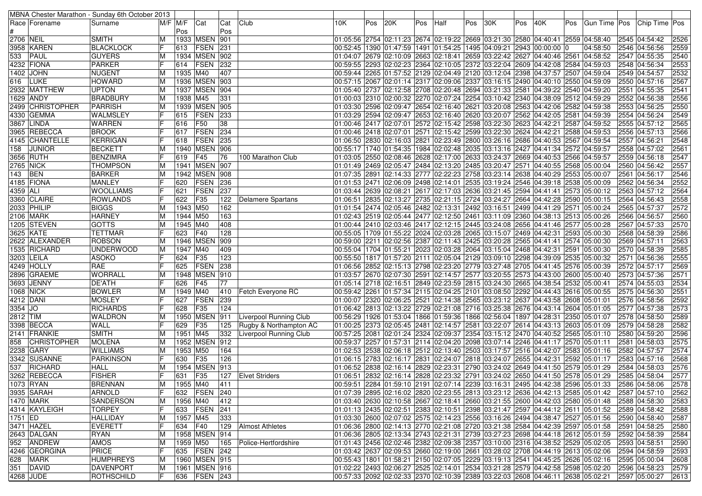|                  | MBNA Chester Marathon - Sunday 6th October 2013 |                               |                |                |                   |            |                               |                                                                                                                                                                  |     |     |     |      |     |     |     |                                                                                |     |               |                                                                                                       |              |
|------------------|-------------------------------------------------|-------------------------------|----------------|----------------|-------------------|------------|-------------------------------|------------------------------------------------------------------------------------------------------------------------------------------------------------------|-----|-----|-----|------|-----|-----|-----|--------------------------------------------------------------------------------|-----|---------------|-------------------------------------------------------------------------------------------------------|--------------|
|                  | Race  Forename                                  | Surname                       |                | M/F M/F<br>Pos | Cat               | Cat<br>Pos | Club                          | 10K                                                                                                                                                              | Pos | 20K | Pos | Half | Pos | 30K | Pos | 40K                                                                            | Pos |               | Gun Time Pos Chip Time Pos                                                                            |              |
| 2706 NEIL        |                                                 | <b>SMITH</b>                  | M              |                | 1933 MSEN 901     |            |                               | 04:56 2754 02:11:23 2674 02:19:22 2669 03:21:30 2580 04:40:41 2559 04:58:40                                                                                      |     |     |     |      |     |     |     |                                                                                |     |               | 2545 04:54:42                                                                                         | 2526         |
|                  | 3958  KAREN                                     | <b>BLACKLOCK</b>              | F              | 613            | <b>FSEN</b>       | 231        |                               | 00:52:45  1390  01:47:59  1491  01:54:25  1495  04:09:21  2943  00:00:00  0                                                                                      |     |     |     |      |     |     |     |                                                                                |     | 04:58:50      | 2546 04:56:56                                                                                         | 2559         |
| 533              | PAUL                                            | <b>GUYERS</b>                 | M              |                | 1934 MSEN 902     |            |                               | 02:10:07 2561 38:52 34:07 2663 3562 2663 26:10:09 2653 32:10:01 2659 36:22:42 36:27 36:47 36:47 36:5                                                             |     |     |     |      |     |     |     |                                                                                |     |               | 2547 04:55:35                                                                                         | 2540         |
|                  | 4232  FIONA                                     | <b>PARKER</b>                 | IF             | 614            | FSEN              | 232        |                               |                                                                                                                                                                  |     |     |     |      |     |     |     | 00:59:55 2293 02:02:23 2364 02:10:05 2372 03:22:04 2609 04:42:08 2584 04:59:03 |     |               | 2548 04:56:34                                                                                         | 2553         |
|                  | 1402 JOHN                                       | <b>NUGENT</b>                 | M              | 1935 M40       |                   | 407        |                               |                                                                                                                                                                  |     |     |     |      |     |     |     | 00:59:44 2265 01:57:52 2129 02:04:49 2120 03:12:04 2398 04:37:57 2507 04:59:04 |     |               | 2549 04:54:57                                                                                         | 2532         |
| 616              | <b>LUKE</b>                                     | HOWARD                        | M              |                | 1936 MSEN 903     |            |                               | 00:57:15  2067  02:01:14  2317  02:09:06  2337  03:16:15  2490  04:40:10  2550  04:59:09                                                                         |     |     |     |      |     |     |     |                                                                                |     |               | 2550 04:57:16                                                                                         | 2567         |
|                  | 2932  MATTHEW                                   | <b>UPTON</b>                  | M              |                | 1937   MSEN   904 |            |                               | 01:05:40  2737  02:12:58  2708  02:20:48  2694  03:21:33  2581  04:39:22  2540  04:59:20                                                                         |     |     |     |      |     |     |     |                                                                                |     |               | 2551 04:55:35                                                                                         | 2541         |
|                  | 1629 ANDY                                       | <b>BRADBURY</b>               | M              | 1938 M45       |                   | 331        |                               | 01:00:03 2310 02:00:32 2270 02:07:24 2254 03:10:42 2340 04:38:09 2512 04:59:29                                                                                   |     |     |     |      |     |     |     |                                                                                |     |               | 2552 04:56:38                                                                                         | 2556         |
|                  | 2499 CHRISTOPHER                                | PARRISH                       | M              |                | 1939 MSEN 905     |            |                               | 01:03:30 2596 02:09:47 2654 02:16:40 2621 03:20:08 2563 04:42:06 2582 04:59:38                                                                                   |     |     |     |      |     |     |     |                                                                                |     |               | 2553 04:56:25                                                                                         | 2550         |
|                  | 4330 GEMMA                                      | <b>WALMSLEY</b>               | IF             | 615            | <b>FSEN</b>       | 233        |                               | 01:03:29 2594 02:09:47 2653 02:16:40 2620 03:20:07 2562 04:42:05                                                                                                 |     |     |     |      |     |     |     |                                                                                |     | 2581 04:59:39 | 2554 04:56:24                                                                                         | 2549         |
|                  | 3867  LINDA                                     | <b>WARREN</b>                 |                | 616            | F50               | 38         |                               | 01:00:46 2417 02:07:01 2572 02:15:42 2598 03:22:30 2623 04:42:21 2587 04:59:52                                                                                   |     |     |     |      |     |     |     |                                                                                |     |               | 2555 04:57:12                                                                                         | 2565         |
|                  | 3965 REBECCA                                    | <b>BROOK</b>                  | lF             | 617            | FSEN              | 234        |                               | 01:00:46 2418 02:07:01 2571 02:15:42 2599 03:22:30 2624 04:42:21 2588 04:59:53                                                                                   |     |     |     |      |     |     |     |                                                                                |     |               | 2556 04:57:13                                                                                         | 2566         |
|                  | 4145   CHANTELLE                                | KERRIGAN                      | lF             | 618            | <b>FSEN</b>       | 235        |                               | 01:06:50  2830  02:16:03  2821  02:23:49  2800  03:26:16  2686  04:40:53  2567  04:59:54                                                                         |     |     |     |      |     |     |     |                                                                                |     |               | 2557 04:56:21                                                                                         | 2548         |
| 158              | <b>JUNIOR</b>                                   | BECKETT                       |                |                | 1940   MSEN   906 |            |                               | 02:05:17  1740  01:54:35  1984  02:02:48  2035  03:13:16  2427  04:41:34  2572  04:59:57                                                                         |     |     |     |      |     |     |     |                                                                                |     |               | 2558 04:57:02                                                                                         | 2561         |
|                  | 3656 RUTH                                       | <b>BENZIMRA</b>               | l F            | 619            | F45               | 76         | 100 Marathon Club             | 01:03:05  2550  02:08:46  2628  02:17:00  2633  03:24:37  2669  04:40:53  2566  04:59:57                                                                         |     |     |     |      |     |     |     |                                                                                |     |               | 2559 04:56:18                                                                                         | 2547         |
| <b>2765 NICK</b> |                                                 | <b>THOMPSON</b>               | M              |                | 1941 MSEN 907     |            |                               | 01:01:49 2469 02:05:47 2484 02:13:20 2485 03:20:47 2571 04:40:55 2568 05:00:04                                                                                   |     |     |     |      |     |     |     |                                                                                |     |               | 2560 04:56:42                                                                                         | 2557         |
| 143 BEN          |                                                 | <b>BARKER</b>                 | M              |                | 1942 MSEN 908     |            |                               | 01:07:35 2891 02:14:33 2777 02:22:23 2758 03:23:14 2638 04:40:29 2553 05:00:07                                                                                   |     |     |     |      |     |     |     |                                                                                |     |               | 2561 04:56:17                                                                                         | 2546         |
|                  | 4185 FIONA                                      | <b>MANLEY</b>                 |                | 620            | <b>FSEN</b>       | 236        |                               | 01:01:53 2471 02:06:09 2498 02:14:01 2535 03:19:24 2546 04:39:18 2538 05:00:09                                                                                   |     |     |     |      |     |     |     |                                                                                |     |               | 2562 04:56:34                                                                                         | 2552         |
| 4359 ALI         |                                                 | <b>WOOLLIAMS</b>              |                | 621            | FSEN              | 237        |                               | 01:03:44 2639 02:08:21 2617 02:17:03 2636 03:21:45 2594 04:41:41 2573 05:00:12                                                                                   |     |     |     |      |     |     |     |                                                                                |     |               | 2563 04:57:12                                                                                         | 2564         |
|                  | 3360 CLAIRE                                     | <b>ROWLANDS</b>               |                | 622            | F35               | 122        | Delamere Spartans             | 01:06:51 2835 02:13:27 2735 02:21:15 2724 03:24:27 2664 04:42:28 2590 05:00:15                                                                                   |     |     |     |      |     |     |     |                                                                                |     |               | 2564 04:56:43                                                                                         | 2558         |
|                  | 2033  PHILIP                                    | <b>BIGGS</b>                  | M              | 1943 M50       |                   | 162        |                               | 01:01:54  2474  02:05:46  2482  02:13:31  2492  03:16:51  2499  04:41:29  2571  05:00:24                                                                         |     |     |     |      |     |     |     |                                                                                |     |               | 2565 04:57:37                                                                                         | 2572         |
|                  | 2106  MARK                                      | <b>HARNEY</b>                 | M              | 1944 M50       |                   | 163        |                               | 01:02:43  2519  02:05:44  2477  02:12:50  2461  03:11:09  2360  04:38:13  2513  05:00:26                                                                         |     |     |     |      |     |     |     |                                                                                |     |               | 2566 04:56:57                                                                                         | 2560         |
|                  | 1205   STEVEN                                   | <b>GOTTS</b>                  | M              | 1945 M40       |                   | 408        |                               | 01:00:44 2410 02:03:46 2417 02:12:15 2445 03:24:08 2656 04:41:46 2577 05:00:28                                                                                   |     |     |     |      |     |     |     |                                                                                |     |               | 2567 04:57:33                                                                                         | 2570         |
|                  | 3625 KATE                                       | <b>TETTMAR</b>                |                | 623            | F40               | 128        |                               | 00:55:05 1709 01:55:22 2024 02:03:28 2065 03:15:07 2469 04:42:31 2593 05:00:30                                                                                   |     |     |     |      |     |     |     |                                                                                |     |               | 2568 04:58:39                                                                                         | 2586         |
|                  | 2622  ALEXANDER                                 | <b>ROBSON</b>                 | M              | 1946           | <b>MSEN</b>       | 909        |                               |                                                                                                                                                                  |     |     |     |      |     |     |     | 00:59:00 2211 02:02:56 2387 02:11:43 2425 03:20:28 2565 04:41:41 2574 05:00:30 |     |               | 2569 04:57:11                                                                                         | 2563         |
|                  | 1535 RICHARD                                    | <b>UNDERWOOD</b>              | M              | 1947 M40       |                   | 409        |                               |                                                                                                                                                                  |     |     |     |      |     |     |     | 00:55:04 1704 01:55:21 2023 02:03:28 2064 03:15:04 2468 04:42:31 2591 05:00:30 |     |               | 2570 04:58:39                                                                                         | 2585         |
|                  | 3203 LEILA                                      | <b>ASOKO</b>                  |                | 624            | F35               | 123        |                               | 00:55:50  1817  01:57:20  2111  02:05:04  2129  03:09:10  2298  04:39:09  2535  05:00:32                                                                         |     |     |     |      |     |     |     |                                                                                |     |               | 2571 04:56:36                                                                                         | 2555         |
|                  | 4249  HOLLY                                     | RAE                           |                | 625            | <b>FSEN</b>       | 238        |                               | 06:56 2852 02:15:13 2798 02:23:20 2779 03:27:48 2705 04:41:45 2576 05:00:39                                                                                      |     |     |     |      |     |     |     |                                                                                |     |               | 2572 04:57:17                                                                                         | 2569         |
|                  | 2896 GRAEME                                     | <b>WORRALL</b>                | M              |                | 1948 MSEN         | 910        |                               | 01:03:57  2670  02:07:30  2591  02:14:57  2577  03:20:55  2573  04:43:00  2600  05:00:40                                                                         |     |     |     |      |     |     |     |                                                                                |     |               | 2573 04:57:36                                                                                         | 2571         |
|                  | 3693 JENNY                                      | <b>DE'ATH</b>                 |                | 626            | F45               | 77         |                               | 01:05:14 2718 02:16:51 2849 02:23:59 2815 03:24:30 2665 04:38:54 2532 05:00:41                                                                                   |     |     |     |      |     |     |     |                                                                                |     |               | 2574 04:55:03                                                                                         | 2534         |
|                  | 1068 NICK                                       | <b>BOWLER</b>                 | M              | 1949 M40       |                   | 410        | Fetch Everyone RC             | 00:59:42  2261  01:57:34  2115  02:04:25  2101  03:08:50  2292  04:44:43  2616  05:00:55                                                                         |     |     |     |      |     |     |     |                                                                                |     |               | 2575 04:56:30                                                                                         | 2551         |
| 4212 DANI        |                                                 | <b>MOSLEY</b>                 | IF             | 627            | <b>FSEN</b>       | 239        |                               | 01:00:07  2320  02:06:25  2521  02:14:38  2565  03:23:12  2637  04:43:58  2608  05:01:01                                                                         |     |     |     |      |     |     |     |                                                                                |     |               | 2576 04:58:56                                                                                         | 2592         |
| $3354$ JO        |                                                 | <b>RICHARDS</b>               |                | 628            | F35               | 124        |                               | 01:06:42 2813 02:13:22 2729 02:21:08 2716 03:25:38 2676 04:43:14 2604 05:01:05                                                                                   |     |     |     |      |     |     |     |                                                                                |     |               | 2577 04:57:38                                                                                         | 2573         |
| 2812 TIM         |                                                 | <b>WALDRON</b>                | M<br>IF        |                | 1950 MSEN         | 911        | <b>Liverpool Running Club</b> | 00:56:29  1926  01:53:04  1866  01:59:36  1866  02:56:04  1897  04:28:31  2350  05:01:07                                                                         |     |     |     |      |     |     |     |                                                                                |     |               | 2578 04:58:50                                                                                         | 2589         |
|                  | 3398 BECCA<br>2141 FRANKIE                      | <b>WALL</b>                   |                | 629            | F35               | 125        | Rugby & Northampton AC        | 01:00:25  2373  02:05:45  2481  02:14:57  2581  03:22:07  2614  04:43:13  2603  05:01:09                                                                         |     |     |     |      |     |     |     |                                                                                |     |               | 2579 04:58:28                                                                                         | 2582         |
|                  | <b>CHRISTOPHER</b>                              | <b>SMITH</b><br><b>MOLENA</b> | ΙM<br>M        | 1951 M45       | 1952 MSEN 912     | 332        | Liverpool Running Club        | 00:57:25 2081 02:01:24 2324 02:09:37 2354 03:15:12 2470 04:40:52 2565 05:01:10<br>00:59:37 2257 01:57:31 2114 02:04:20 2098 03:07:14 2246 04:41:17 2570 05:01:11 |     |     |     |      |     |     |     |                                                                                |     |               | 2580 04:59:20                                                                                         | 2596<br>2575 |
| 858              | 2238 GARY                                       | <b>WILLIAMS</b>               | M              | 1953 M50       |                   | 164        |                               | 02:53 2538 02:06:18 2512 02:13:40 2503 03:17:57 2516 04:42:07 2583 05:01:16                                                                                      |     |     |     |      |     |     |     |                                                                                |     |               | 2581 04:58:03<br>2582 04:57:57                                                                        | 2574         |
|                  | 3342  SUSANNE                                   | <b>PARKINSON</b>              |                | 630            | F35               | 126        |                               | 01:06:15 2783 02:16:17 2831 02:24:07 2818 03:24:07 2655 04:42:31 2592 05:01:17                                                                                   |     |     |     |      |     |     |     |                                                                                |     |               | 2583 04:57:16                                                                                         | 2568         |
|                  | 537 RICHARD                                     | <b>HALL</b>                   | M              |                | 1954 MSEN         | 913        |                               | 01:06:52 2838 02:16:14 2829 02:23:31 2790 03:24:02 2649 04:41:50 2579 05:01:29                                                                                   |     |     |     |      |     |     |     |                                                                                |     |               | 2584 04:58:03                                                                                         | 2576         |
|                  | 3262 REBECCA                                    | <b>FISHER</b>                 | F              | 631            | F35               | 127        | Elvet Striders                | 01:06:51 2832 02:16:14 2828 02:23:32 2791 03:24:02 2650 04:41:50 2578 05:01:29                                                                                   |     |     |     |      |     |     |     |                                                                                |     |               | 2585 04:58:04                                                                                         | 2577         |
|                  | 1073 RYAN                                       | <b>BRENNAN</b>                | $\overline{M}$ | 1955 M40       |                   | 411        |                               |                                                                                                                                                                  |     |     |     |      |     |     |     |                                                                                |     |               | 00:59:51 2284 01:59:10 2191 02:07:14 2239 03:16:31 2495 04:42:38 2596 05:01:33 2586 04:58:06          | 2578         |
|                  | 3935 SARAH                                      | ARNOLD                        | IF             |                | 632   FSEN   240  |            |                               |                                                                                                                                                                  |     |     |     |      |     |     |     |                                                                                |     |               | 01:07:39 2895 02:16:02 2820 02:23:55 2813 03:23:12 2636 04:42:13 2585 05:01:42 2587 04:57:10          | 2562         |
|                  | 1470 MARK                                       | SANDERSON                     | M              | 1956 M40       |                   | 412        |                               |                                                                                                                                                                  |     |     |     |      |     |     |     |                                                                                |     |               | 01:03:40 2588 04:58:30 02:10:58 2667 02:18:41 2660 03:21:55 2600 04:42:03 2580 05:01:48 2588 04:58:30 | 2583         |
|                  | 4314 KAYLEIGH                                   | <b>TORPEY</b>                 | IF             | 633            | <b>FSEN 241</b>   |            |                               | 01:01:13 2435 02:02:51 2383 02:10:51 2398 03:21:47 2597 04:44:12 2611 05:01:52                                                                                   |     |     |     |      |     |     |     |                                                                                |     |               | 2589 04:58:42                                                                                         | 2588         |
| 1751 ED          |                                                 | <b>HALLIDAY</b>               | M              | 1957 M45       |                   | 333        |                               | 01:03:30 2600 02:07:02 2575 02:14:23 2556 03:16:26 2494 04:38:47 2527 05:01:56                                                                                   |     |     |     |      |     |     |     |                                                                                |     |               | 2590 04:58:40                                                                                         | 2587         |
|                  | 3471 HAZEL                                      | <b>EVERETT</b>                | IF             | 634 F40        |                   | 129        | Almost Athletes               | 01:06:36 2800 02:14:13 2770 02:21:08 2720 03:21:38 2584 04:42:39 2597 05:01:58                                                                                   |     |     |     |      |     |     |     |                                                                                |     |               | 2591 04:58:25                                                                                         | 2580         |
|                  | 2643 DALGAN                                     | <b>RYAN</b>                   | M              |                | 1958   MSEN 914   |            |                               | 01:06:36 2805 02:13:34 2743 02:21:31 2739 03:27:23 2698 04:44:18 2612 05:01:59                                                                                   |     |     |     |      |     |     |     |                                                                                |     |               | 2592 04:58:39                                                                                         | 2584         |
|                  | 952 ANDREW                                      | AMOS                          | M              | 1959 M50       |                   |            | 165 Police-Hertfordshire      | 01:01:43 2456 02:02:46 2382 02:09:38 2357 03:10:00 2316 04:38:52 2529 05:02:05                                                                                   |     |     |     |      |     |     |     |                                                                                |     |               | 2593 04:58:51                                                                                         | 2590         |
|                  | 4246 GEORGINA                                   | <b>PRICE</b>                  | F              |                | 635   FSEN   242  |            |                               | 03:42 2637 02:09:53 2660 02:19:00 2661 03:28:02 2708 04:44:19 2613 05:02:06                                                                                      |     |     |     |      |     |     |     |                                                                                |     |               | 2594 04:58:59                                                                                         | 2593         |
|                  | 628 MARK                                        | <b>HUMPHREYS</b>              | M              |                | 1960 MSEN 915     |            |                               | 00:55:43  1801  01:58:21  2150  02:07:05  2229  03:19:13  2541  04:45:25  2626  05:02:16                                                                         |     |     |     |      |     |     |     |                                                                                |     |               | 2595 05:00:04                                                                                         | 2608         |
|                  | 351 DAVID                                       | DAVENPORT                     | M              |                | 1961   MSEN 916   |            |                               | 01:02:22 2493 02:06:27 2525 02:14:01 2534 03:21:28 2579 04:42:58 2598 05:02:20                                                                                   |     |     |     |      |     |     |     |                                                                                |     |               | 2596 04:58:23                                                                                         | 2579         |
|                  | 4268 JUDE                                       | ROTHSCHILD                    | IF             |                | 636   FSEN   243  |            |                               | 00:57:33 2092 02:02:33 2370 02:10:39 2389 03:22:03 2608 04:46:11 2638 05:02:21                                                                                   |     |     |     |      |     |     |     |                                                                                |     |               | 2597 05:00:27                                                                                         | 2613         |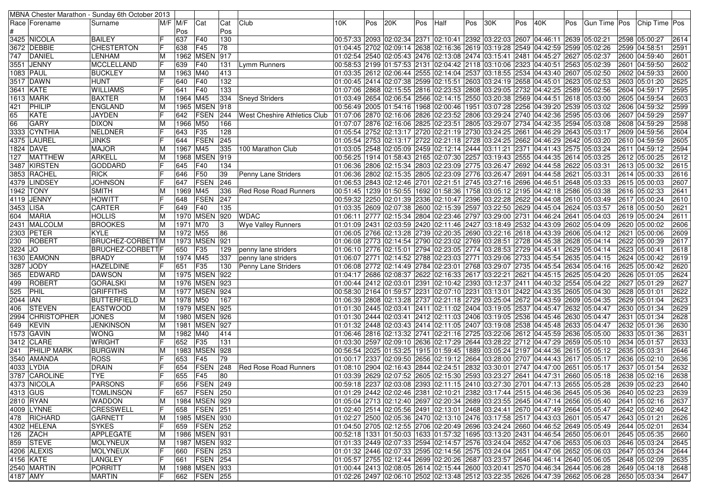|           |                    | MBNA Chester Marathon - Sunday 6th October 2013 |     |             |                         |     |                                     |     |     |     |     |                                                                                                                                                                  |     |     |     |     |     |               |                 |      |
|-----------|--------------------|-------------------------------------------------|-----|-------------|-------------------------|-----|-------------------------------------|-----|-----|-----|-----|------------------------------------------------------------------------------------------------------------------------------------------------------------------|-----|-----|-----|-----|-----|---------------|-----------------|------|
|           | Race  Forename     | Surname                                         |     | $M/F$ $M/F$ | Cat                     | Cat | Club                                | 10K | Pos | 20K | Pos | Half                                                                                                                                                             | Pos | 30K | Pos | 40K | Pos | Gun Time  Pos | Chip Time   Pos |      |
|           |                    |                                                 |     | Pos         |                         | Pos |                                     |     |     |     |     |                                                                                                                                                                  |     |     |     |     |     |               |                 |      |
|           | 3425 NICOLA        | <b>BAILEY</b>                                   |     | 637         | F40                     | 130 |                                     |     |     |     |     | 00:57:33  2093  02:02:34  2371  02:10:41  2392  03:22:03  2607  04:46:11  2639  05:02:21                                                                         |     |     |     |     |     |               | 2598 05:00:27   | 2614 |
|           | 3672 DEBBIE        | <b>CHESTERTON</b>                               |     | 638         | F45                     | 78  |                                     |     |     |     |     | 01:04:45 2702 02:09:14 2638 02:16:36 2619 03:19:28 2549 04:42:59 2599 05:02:26                                                                                   |     |     |     |     |     |               | 2599 04:58:51   | 2591 |
|           | 747 DANIEL         | LENHAM                                          | M   |             | 1962 MSEN               | 917 |                                     |     |     |     |     | 02:54 256:00 02:05:43 2476 02:13:08 2474 03:15:41 2481 04:45:27 2627 05:02:37                                                                                    |     |     |     |     |     |               | 2600 04:59:40   | 2601 |
|           | 3551  JENNY        | <b>MCCLELLAND</b>                               | IF  | 639         | F40                     | 131 | Lymm Runners                        |     |     |     |     | 00:58:53 2199 01:57:53 2131 02:04:42 2118 03:10:06 2323 04:40:51 2563 05:02:39                                                                                   |     |     |     |     |     |               | 2601 04:59:50   | 2602 |
|           | 1083   PAUL        | <b>BUCKLEY</b>                                  | M   | 1963 M40    |                         | 413 |                                     |     |     |     |     | 01:03:35 2612 02:06:44 2555 02:14:04 2537 03:18:55 2534 04:43:40 2607 05:02:50                                                                                   |     |     |     |     |     |               | 2602 04:59:33   | 2600 |
|           | 3517 DAWN          | <b>HUNT</b>                                     |     | 640         | F40                     | 132 |                                     |     |     |     |     | 01:00:45 2414 02:07:38 2599 02:15:51 2603 03:24:19 2658 04:45:01 2623 05:02:53                                                                                   |     |     |     |     |     |               | 2603 05:01:20   | 2625 |
|           | 3641 KATE          | <b>WILLIAMS</b>                                 |     | 641         | F40                     | 133 |                                     |     |     |     |     | 01:07:06 2868 02:15:55 2816 02:23:53 2808 03:29:05 2732 04:42:25 2589 05:02:56                                                                                   |     |     |     |     |     |               | 2604 04:59:17   | 2595 |
|           | 1613   MARK        | BAXTER                                          |     | 1964 M45    |                         | 334 | <b>Sneyd Striders</b>               |     |     |     |     | 01:03:49 2654 02:06:54 2566 02:14:15 2550 03:20:38 2569 04:44:51 2618 05:03:00                                                                                   |     |     |     |     |     |               | 2605 04:59:54   | 2603 |
| 421       | PHILIP             | ENGLAND                                         | M   |             | 1965 MSEN 918           |     |                                     |     |     |     |     | 00:56:49 2005 01:54:16 1968 02:00:46 1951 03:07:28 2256 04:39:20 2539 05:03:02                                                                                   |     |     |     |     |     |               | 2606 04:59:32   | 2599 |
| 65        | <b>KATE</b>        | <b>JAYDEN</b>                                   |     | 642         | <b>FSEN</b>             | 244 | <b>West Cheshire Athletics Club</b> |     |     |     |     | 01:07:06 2870 02:16:06 2826 02:23:52 2806 03:29:24 2740 04:42:36 2595 05:03:06                                                                                   |     |     |     |     |     |               | 2607 04:59:29   | 2597 |
| 66        | <b>GARY</b>        | <b>DIXON</b>                                    | M   | 1966 M50    |                         | 166 |                                     |     |     |     |     | 01:07:07 2876 02:16:06 2825 02:23:51 2805 03:29:07 2734 04:42:35 2594 05:03:08                                                                                   |     |     |     |     |     |               | 2608 04:59:29   | 2598 |
|           | 3333  CYNTHIA      | <b>NELDNER</b>                                  |     | 643         | <b>F35</b>              | 128 |                                     |     |     |     |     | 01:05:54 2752 02:13:17 2720 02:21:19 2730 03:24:25 2661 04:46:29 2643 05:03:17                                                                                   |     |     |     |     |     |               | 2609 04:59:56   | 2604 |
|           | 4375  LAUREL       | <b>JINKS</b>                                    |     | 644         | FSEN                    | 245 |                                     |     |     |     |     | 01:05:54 2753 02:13:17 2722 02:21:18 2728 03:24:25 2662 04:46:29 2642 05:03:20                                                                                   |     |     |     |     |     |               | 2610 04:59:59   | 2605 |
|           | 1824   DAVE        | <b>MAJOR</b>                                    | M   | 1967 M45    |                         | 335 | 100 Marathon Club                   |     |     |     |     | 03:05 2575 05:03:24  2575  2459 02:12:14  2444  03:11:21  2371  04:41:43  2575  05:03:24                                                                         |     |     |     |     |     |               | 2611 04:59:12   | 2594 |
| 127       | <b>MATTHEW</b>     | <b>ARKELL</b>                                   | M   |             | 1968 MSEN               | 919 |                                     |     |     |     |     | 00:56:25  1914  01:58:43  2165  02:07:30  2257  03:19:43  2555  04:44:35  2614  05:03:25                                                                         |     |     |     |     |     |               | 2612 05:00:25   | 2612 |
|           | 3487 KIRSTEN       | <b>GODDARD</b>                                  |     | 645         | F40                     | 134 |                                     |     |     |     |     | 01:06:36 2806 02:15:34 2803 02:23:09 2775 03:26:47 2692 04:44:58 2622 05:03:31                                                                                   |     |     |     |     |     |               | 2613 05:00:32   | 2615 |
|           | 3853  RACHEL       | <b>RICK</b>                                     |     | 646         | F50                     | 39  | Penny Lane Striders                 |     |     |     |     | 01:06:36  2802  02:15:35  2805  02:23:09  2776  03:26:47  2691  04:44:58  2621  05:03:31                                                                         |     |     |     |     |     |               | 2614 05:00:33   | 2616 |
|           | 4379 LINDSEY       | <b>JOHNSON</b>                                  |     | 647         | FSEN                    | 246 |                                     |     |     |     |     | 01:06:53 2843 02:12:46 2701 02:21:51 2745 03:27:16 2696 04:46:51 2648 05:03:33                                                                                   |     |     |     |     |     |               | 2615 05:00:03   | 2607 |
|           | 1942 TONY          | <b>SMITH</b>                                    |     | 1969 M45    |                         | 336 | Red Rose Road Runners               |     |     |     |     | 00:51:45  1239  01:50:55  1692  01:58:36  1758  03:05:12  2195  04:42:18  2586  05:03:38                                                                         |     |     |     |     |     |               | 2616 05:02:33   | 2641 |
|           | 4119 JENNY         | <b>HOWITT</b>                                   |     |             | FSEN                    | 247 |                                     |     |     |     |     |                                                                                                                                                                  |     |     |     |     |     |               | 2617 05:00:24   | 2610 |
|           |                    | <b>CARTER</b>                                   |     | 648         |                         |     |                                     |     |     |     |     | 00:59:32 2250 02:01:39 2336 02:10:47 2396 03:22:28 2622 04:44:08 2610 05:03:49<br>01:03:35 2609 02:07:38 2600 02:15:39 2597 03:22:50 2629 04:45:04 2624 05:03:57 |     |     |     |     |     |               |                 |      |
| 3453 LISA |                    |                                                 |     | 649         | F40<br><b>1970 MSEN</b> | 135 |                                     |     |     |     |     |                                                                                                                                                                  |     |     |     |     |     |               | 2618 05:00:50   | 2621 |
| 604       | MARIA              | HOLLIS                                          | M   |             |                         | 920 | <b>WDAC</b>                         |     |     |     |     | 01:06:11 2777 02:15:34 2804 02:23:46 2797 03:29:00 2731 04:46:24 2641 05:04:03                                                                                   |     |     |     |     |     |               | 2619 05:00:24   | 2611 |
|           | 2431 MALCOLM       | <b>BROOKES</b>                                  | M   | 1971 M70    |                         | 13  | Wye Valley Runners                  |     |     |     |     | 01:01:09  2431  02:03:59  2420  02:11:46  2427  03:18:49  2532  04:43:09  2602  05:04:09                                                                         |     |     |     |     |     |               | 2620 05:00:02   | 2606 |
|           | 2303 PETER         | <b>KYLE</b>                                     | M   | 1972 M55    |                         | 86  |                                     |     |     |     |     | 01:06:05 2766 02:13:28 2739 02:20:35 2690 03:22:16 2618 04:43:39 2606 05:04:12                                                                                   |     |     |     |     |     |               | 2621 05:00:06   | 2609 |
|           | 230 ROBERT         | <b>BRUCHEZ-CORBETTM</b>                         |     |             | 1973 MSEN               | 921 |                                     |     |     |     |     | 01:06:08 2773 02:14:54 2790 02:23:02 2769 03:28:51 2728 04:45:38 2628 05:04:14]                                                                                  |     |     |     |     |     |               | 2622 05:00:39   | 2617 |
| 3224 JO   |                    | <b>BRUCHEZ-CORBETTF</b>                         |     | 650         | <b>F35</b>              | 129 | penny lane striders                 |     |     |     |     | 01:06:10 2776 02:15:01 2794 02:23:05 2774 03:28:53 2729 04:45:41 2629 05:04:14                                                                                   |     |     |     |     |     |               | 2623 05:00:41   | 2618 |
|           | 1630 EAMONN        | <b>BRADY</b>                                    | ΙM  | 1974 M45    |                         | 337 | penny lane striders                 |     |     |     |     | 01:06:07  2771  02:14:52  2788  02:23:03  2771  03:29:06  2733  04:45:54  2635  05:04:15                                                                         |     |     |     |     |     |               | 2624 05:00:42   | 2619 |
|           | 3287 JODY          | <b>HAZELDINE</b>                                |     | 651         | F35                     | 130 | Penny Lane Striders                 |     |     |     |     | 01:06:08 2772 02:14:49 2784 02:23:01 2768 03:29:07 2735 04:45:54 2634 05:04:16                                                                                   |     |     |     |     |     |               | 2625 05:00:42   | 2620 |
| 365       | <b>EDWARD</b>      | <b>DAWSON</b>                                   | M   |             | 1975 MSEN 922           |     |                                     |     |     |     |     | 01:04:17 2686 02:08:37 2622 02:16:33 2617 03:22:21 2621 04:45:15 2625 05:04:20                                                                                   |     |     |     |     |     |               | 2626 05:01:05   | 2624 |
| 499       | ROBERT             | <b>GORALSKI</b>                                 | M   |             | 1976 MSEN 923           |     |                                     |     |     |     |     | 01:00:44 2412 02:03:01 2391 02:10:42 2393 03:12:37 2411 04:40:32 2554 05:04:22                                                                                   |     |     |     |     |     |               | 2627 05:01:29   | 2627 |
| 525       | PHIL               | <b>GRIFFITHS</b>                                | M   |             | 1977 MSEN 924           |     |                                     |     |     |     |     | 00:58:30 2164 01:59:57 2231 02:07:10 2231 03:13:01 2422 04:43:35 2605 05:04:30                                                                                   |     |     |     |     |     |               | 2628 05:01:01   | 2622 |
| 2044  IAN |                    | BUTTERFIELD                                     | M   | 1978 M50    |                         | 167 |                                     |     |     |     |     | 01:06:39  2808  02:13:28  2737  02:21:18  2729  03:25:04  2672  04:43:59  2609  05:04:35                                                                         |     |     |     |     |     |               | 2629 05:01:04   | 2623 |
| 406       | <b>STEVEN</b>      | <b>EASTWOOD</b>                                 | M   |             | 1979 MSEN 925           |     |                                     |     |     |     |     | 01:01:30 2445 02:03:41 2411 02:11:02 2404 03:19:05 2537 04:45:47 2632 05:04:47                                                                                   |     |     |     |     |     |               | 2630 05:01:34   | 2629 |
|           | 2994 CHRISTOPHER   | <b>JONES</b>                                    | М   |             | 1980 MSEN 926           |     |                                     |     |     |     |     | 01:01:30 2444 02:03:41 2412 02:11:03 2406 03:19:05 2536 04:45:46 2630 05:04:47                                                                                   |     |     |     |     |     |               | 2631 05:01:34   | 2628 |
| 649       | KEVIN              | <b>JENKINSON</b>                                | M   |             | 1981 MSEN 927           |     |                                     |     |     |     |     | 01:01:32 2448 02:03:43 2414 02:11:05 2407 03:19:08 2538 04:45:48 2633 05:04:47                                                                                   |     |     |     |     |     |               | 2632 05:01:36   | 2630 |
|           | 1573 GAVIN         | <b>WONG</b>                                     | M   | 1982 M40    |                         | 414 |                                     |     |     |     |     | 01:06:46 2816 02:13:32 2741 02:21:16 2725 03:22:06 2612 04:45:59 2636 05:05:00                                                                                   |     |     |     |     |     |               | 2633 05:01:36   | 2631 |
|           | 3412 CLARE         | <b>WRIGHT</b>                                   |     | 652         | <b>F35</b>              | 131 |                                     |     |     |     |     | 01:03:30 2597 02:09:10 2636 02:17:29 2644 03:28:22 2712 04:47:29 2659 05:05:10                                                                                   |     |     |     |     |     |               | 2634 05:01:57   | 2633 |
| 241       | <b>PHILIP MARK</b> | <b>BURGWIN</b>                                  | M   |             | 1983 MSEN               | 928 |                                     |     |     |     |     | 00:56:54 2025 01:53:25 1915 01:59:45 1889 03:05:24 2197 04:44:36 2615 05:05:12                                                                                   |     |     |     |     |     |               | 2635 05:03:31   | 2646 |
|           | 3540 AMANDA        | <b>ROSS</b>                                     |     | 653         | F45                     | 79  |                                     |     |     |     |     | 01:00:17 2337 02:09:50 2656 02:19:12 2664 03:28:00 2707 04:44:43 2617 05:05:17 0.                                                                                |     |     |     |     |     |               | 2636 05:02:10   | 2636 |
|           | 4033 LYDIA         | <b>DRAIN</b>                                    |     | 654         | FSEN                    | 248 | Red Rose Road Runners               |     |     |     |     | 01:08:10 2904 02:16:43 2844 02:24:51 2832 03:30:01 2747 04:47:00 2651 05:05:17 0.                                                                                |     |     |     |     |     |               | 2637 05:01:54   | 2632 |
|           | 3787  CAROLINE     | <b>TYE</b>                                      | IF  | 655         | F45                     | 80  |                                     |     |     |     |     | 01:03:39 2629 02:07:52 2605 02:15:30 2593 03:23:27 2641 04:47:31 2660 05:05:18                                                                                   |     |     |     |     |     |               | 2638 05:02:16   | 2638 |
|           | 4373 NICOLA        | <b>PARSONS</b>                                  | l ⊏ |             | 656 FSEN 249            |     |                                     |     |     |     |     | 00:59:18 2237 02:03:08 2393 02:11:15 2410 03:27:30 2701 04:47:13 2655 05:05:28 2639 05:02:23                                                                     |     |     |     |     |     |               |                 | 2640 |
| 4313 GUS  |                    | <b>TOMLINSON</b>                                | IF  |             | 657   FSEN   250        |     |                                     |     |     |     |     | 01:01:29 2442 02:02:46 2381 02:10:21 2382 03:17:44 2515 04:46:36 2645 05:05:36 2640 05:02:23                                                                     |     |     |     |     |     |               |                 | 2639 |
|           | 2810 RYAN          | <b>WADDON</b>                                   | M   |             | 1984   MSEN   929       |     |                                     |     |     |     |     | 01:05:04 2713 02:12:40 2697 02:20:34 2689 03:23:55 2645 04:47:14 2656 05:05:40                                                                                   |     |     |     |     |     |               | 2641 05:02:16   | 2637 |
|           | 4009 LYNNE         | <b>CRESSWELL</b>                                | IF  | 658         | <b>FSEN 251</b>         |     |                                     |     |     |     |     | 01:02:40 2514 02:05:56 2491 02:13:01 2468 03:24:41 2670 04:47:49 2664 05:05:47                                                                                   |     |     |     |     |     |               | 2642 05:02:40   | 2642 |
|           | 478 RICHARD        | <b>GARNETT</b>                                  | M   |             | 1985   MSEN 930         |     |                                     |     |     |     |     | 01:02:27 2500 02:05:36 2470 02:13:10 2476 03:17:58 2517 04:43:03 2601 05:05:47                                                                                   |     |     |     |     |     |               | 2643 05:01:21   | 2626 |
|           | 4302 HELENA        | <b>SYKES</b>                                    |     |             | 659   FSEN   252        |     |                                     |     |     |     |     | 01:04:50 2705 02:12:55 2706 02:20:49 2696 03:24:24 2660 04:46:52 2649 05:05:49                                                                                   |     |     |     |     |     |               | 2644 05:02:01   | 2634 |
|           | $126$ ZACH         | APPLEGATE                                       | M   |             | 1986 MSEN 931           |     |                                     |     |     |     |     | 00:52:18  1331  01:50:03  1633  01:57:32  1695  03:13:20  2431  04:46:54  2650  05:06:01                                                                         |     |     |     |     |     |               | 2645 05:05:35   | 2660 |
|           | 859 STEVE          | MOLYNEUX                                        | M   |             | 1987 MSEN 932           |     |                                     |     |     |     |     | 01:01:33 2449 02:07:33 2594 02:14:57 2576 03:24:04 2652 04:47:06 2653 05:06:03 2646 05:03:24                                                                     |     |     |     |     |     |               |                 | 2645 |
|           | 4206 ALEXIS        | <b>MOLYNEUX</b>                                 | IF  |             | 660   FSEN   253        |     |                                     |     |     |     |     | 01:01:32 2446 02:07:33 2595 02:14:56 2575 03:24:04 2651 04:47:06 2652 05:06:03                                                                                   |     |     |     |     |     |               | 2647 05:03:24   | 2644 |
|           | 4156 KATE          | LANGLEY                                         | IF  | 661         | <b>FSEN 254</b>         |     |                                     |     |     |     |     | 01:05:57 2755 02:12:44 2699 02:20:26 2687 03:23:57 2646 04:46:14 2640 05:06:05                                                                                   |     |     |     |     |     |               | 2648 05:02:09   | 2635 |
|           | 2540 MARTIN        | <b>PORRITT</b>                                  | M   |             | 1988   MSEN   933       |     |                                     |     |     |     |     | 01:00:44 2413 02:08:05 2614 02:15:44 2600 03:20:41 2570 04:46:34 2644 05:06:28                                                                                   |     |     |     |     |     |               | 2649 05:04:18   | 2648 |
| 4187 AMY  |                    | <b>MARTIN</b>                                   | IF  |             | 662 FSEN 255            |     |                                     |     |     |     |     | 01:02:26 2497 02:06:10 2502 02:13:48 2512 03:22:35 2626 04:47:39 2662 05:06:28                                                                                   |     |     |     |     |     |               | 2650 05:03:34   | 2647 |
|           |                    |                                                 |     |             |                         |     |                                     |     |     |     |     |                                                                                                                                                                  |     |     |     |     |     |               |                 |      |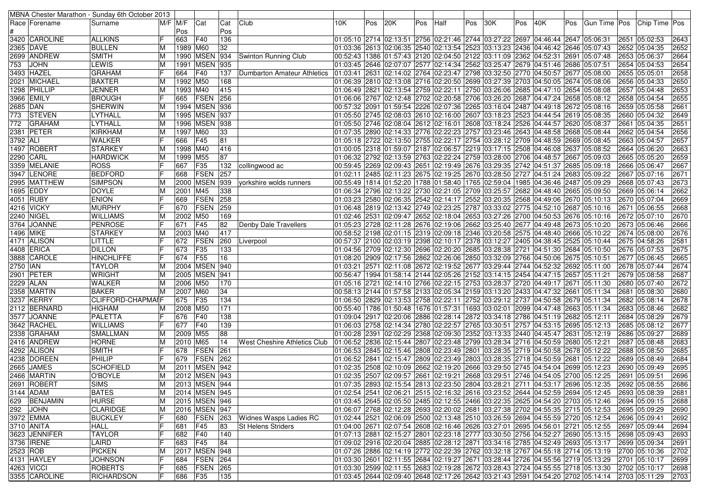|                  |                   | MBNA Chester Marathon - Sunday 6th October 2013 |                |             |                   |     |                              |      |     |     |     |                                                                                                            |     |     |     |     |     |                                                                                              |                                                                                                   |      |
|------------------|-------------------|-------------------------------------------------|----------------|-------------|-------------------|-----|------------------------------|------|-----|-----|-----|------------------------------------------------------------------------------------------------------------|-----|-----|-----|-----|-----|----------------------------------------------------------------------------------------------|---------------------------------------------------------------------------------------------------|------|
|                  | Race   Forename   | Surname                                         |                | $M/F$ $M/F$ | Cat               | Cat | Club                         | 10K. | Pos | 20K | Pos | Half                                                                                                       | Pos | 30K | Pos | 40K | Pos |                                                                                              | Gun Time Pos Chip Time Pos                                                                        |      |
|                  |                   |                                                 |                | Pos         |                   | Pos |                              |      |     |     |     |                                                                                                            |     |     |     |     |     |                                                                                              |                                                                                                   |      |
|                  | 3420 CAROLINE     | <b>ALLKINS</b>                                  |                | 663         | F40               | 136 |                              |      |     |     |     | 01:05:10 2714 02:13:51 2756 02:21:46 2744 03:27:22 2697 04:46:44 2647 05:06:31                             |     |     |     |     |     |                                                                                              | 2651 05:02:53                                                                                     | 2643 |
|                  | 2365 DAVE         | <b>BULLEN</b>                                   | ΙM             | 1989 M60    |                   | 32  |                              |      |     |     |     | 01:03:36 2613 02:06:35 2540 02:13:54 2523 03:13:23 2436 04:46:42 2646 05:07:43                             |     |     |     |     |     |                                                                                              | 2652 05:04:35                                                                                     | 2652 |
|                  | 2699  ANDREW      | <b>SMITH</b>                                    | ΙM             |             | 1990 MSEN         | 934 | Swinton Running Club         |      |     |     |     | 00:52:43 1386 01:57:43 2120 02:04:50 2122 03:11:09 2362 04:52:31 2691 05:07:48                             |     |     |     |     |     |                                                                                              | 2653 05:06:37                                                                                     | 2664 |
| 753              | <b>JOHN</b>       | <b>LEWIS</b>                                    | ΙM             |             | 1991   MSEN   935 |     |                              |      |     |     |     | 03:45  2646  02:07:07  2577  02:14:34  2562  03:25:47  2679  04:51:46  2686  05:07:51                      |     |     |     |     |     |                                                                                              | 2654 05:04:53                                                                                     | 2654 |
|                  | 3493  HAZEL       | <b>GRAHAM</b>                                   |                | 664         | F40               | 137 | Dumbarton Amateur Athletics  |      |     |     |     | 01:03:41 2631 02:14:02 2764 02:23:47 2798 03:32:50 2770 04:50:57 2677 05:08:00                             |     |     |     |     |     |                                                                                              | 2655 05:05:01                                                                                     | 2658 |
|                  | 2021 MICHAEL      | <b>BAXTER</b>                                   | ΙM             | 1992 M50    |                   | 168 |                              |      |     |     |     | 01:06:39 2810 02:13:08 2716 02:20:50 2699 03:27:39 2703 04:50:05 2674 05:08:06                             |     |     |     |     |     |                                                                                              | 2656 05:04:33                                                                                     | 2650 |
|                  | 1298   PHILLIP    | <b>JENNER</b>                                   |                | 1993 M40    |                   | 415 |                              |      |     |     |     | 06:49 2821 02:13:54 2759 02:22:11 2750 03:26:06 2685 04:47:10 2654 05:08:08                                |     |     |     |     |     |                                                                                              | 2657 05:04:48                                                                                     | 2653 |
|                  | 3966  EMILY       | <b>BROUGH</b>                                   |                | 665         | <b>FSEN</b>       | 256 |                              |      |     |     |     | 01:06:06 2767 02:12:48 2702 02:20:58 2706 03:26:20 2687 04:47:24 2658 05:08:12                             |     |     |     |     |     |                                                                                              | 2658 05:04:54                                                                                     | 2655 |
| 2685 DAN         |                   | <b>SHERWIN</b>                                  | ΙM             |             | 1994 MSEN 936     |     |                              |      |     |     |     | 00:57:32 2091 01:59:54 2226 02:07:36 2265 03:16:04 2487 04:49:18 2672 05:08:16                             |     |     |     |     |     |                                                                                              | 2659 05:05:58                                                                                     | 2661 |
| 773              | STEVEN            | LYTHALL                                         | ΙM             |             | 1995 MSEN 937     |     |                              |      |     |     |     | 01:05:50 2745 02:08:03 2610 02:16:00 2607 03:18:23 2523 04:44:54 2619 05:08:35                             |     |     |     |     |     |                                                                                              | 2660 05:04:32                                                                                     | 2649 |
| 772              | <b>GRAHAM</b>     | LYTHALL                                         | M              |             | 1996 MSEN 938     |     |                              |      |     |     |     | 05:08:37 05:50 2746 02:08:04 2612 02:16:01 2608 03:18:24 2526 04:44:57 2620 05:08:37                       |     |     |     |     |     |                                                                                              | 2661 05:04:35                                                                                     | 2651 |
|                  | 2381 PETER        | KIRKHAM                                         | M              | 1997 M60    |                   | 33  |                              |      |     |     |     | 01:07:35 2890 02:14:33 2776 02:22:23 2757 03:23:46 2643 04:48:58 2668 05:08:44                             |     |     |     |     |     |                                                                                              | 2662 05:04:54                                                                                     | 2656 |
| 3792 ALI         |                   | <b>WALKER</b>                                   |                | 666         | F45               | 81  |                              |      |     |     |     | 05:08:45 05:18 2722 02:13:50 2755 02:22:17 2754 03:28:12 2709 04:48:59 2669 05:08:45                       |     |     |     |     |     |                                                                                              | 2663 05:04:57                                                                                     | 2657 |
|                  | 1497 ROBERT       | STARKEY                                         | M              | 1998 M40    |                   | 416 |                              |      |     |     |     | 00:05  2318  01:59:07  2187  02:06:57  2219  03:17:15  2508  04:46:08  2637  05:08:52                      |     |     |     |     |     |                                                                                              | 2664 05:06:20                                                                                     | 2663 |
|                  | 2290 CARL         | <b>HARDWICK</b>                                 | M              | 1999 M55    |                   | 87  |                              |      |     |     |     | 01:06:32 2792 02:13:59 2763 02:22:24 2759 03:28:00 2706 04:48:57 2667 05:09:03                             |     |     |     |     |     |                                                                                              | 2665 05:05:20                                                                                     | 2659 |
|                  | 3359 MELANIE      | <b>ROSS</b>                                     |                | 667         | F35               | 132 | collingwood ac               |      |     |     |     | 00:59:45  2269  02:09:43  2651  02:19:49  2676  03:29:35  2742  04:51:37  2685  05:09:18                   |     |     |     |     |     |                                                                                              | 2666 05:06:47                                                                                     | 2667 |
|                  | 3947 LENORE       | <b>BEDFORD</b>                                  |                | 668         | FSEN              | 257 |                              |      |     |     |     | 02:11 2485 02:11:23 2675 02:19:25 2670 03:28:50 2727 04:51:24 2683 05:09:22                                |     |     |     |     |     |                                                                                              | 2667 05:07:16                                                                                     | 2671 |
|                  | 2995 MATTHEW      | <b>SIMPSON</b>                                  | M              |             | 2000 MSEN         | 939 | yorkshire wolds runners      |      |     |     |     | 00:55:49 1814 01:52:20 1788 01:58:40 1765 02:59:04 1985 04:36:46 2487 05:09:29                             |     |     |     |     |     |                                                                                              | 2668 05:07:43                                                                                     | 2673 |
|                  | 1695 EDDY         | <b>DOYLE</b>                                    |                | 2001 M45    |                   | 338 |                              |      |     |     |     | 06:34 2796 02:13:22 2730 02:21:05 2709 03:25:57 2682 04:48:40 2665 05:09:50                                |     |     |     |     |     |                                                                                              | 2669 05:06:14                                                                                     | 2662 |
|                  | 4051 RUBY         | <b>ENION</b>                                    |                | 669         | <b>FSEN</b>       | 258 |                              |      |     |     |     | 01:03:23 2580 02:06:35 2542 02:14:17 2552 03:20:35 2568 04:49:06 2670 05:10:13                             |     |     |     |     |     |                                                                                              | 2670 05:07:04                                                                                     | 2669 |
|                  | 4216 VICKY        | <b>MURPHY</b>                                   |                | 670         | FSEN              | 259 |                              |      |     |     |     | 01:06:48 2819 02:13:42 2749 02:23:25 2787 03:33:02 2775 04:52:10 2687 05:10:16                             |     |     |     |     |     |                                                                                              | 2671 05:06:55                                                                                     | 2668 |
|                  | 2240  NIGEL       | <b>WILLIAMS</b>                                 |                | 2002 M50    |                   | 169 |                              |      |     |     |     | 02:46 2531 02:09:47 2652 02:18:04 2653 03:27:26 2700 04:50:53 2676 05:10:16                                |     |     |     |     |     |                                                                                              | 2672 05:07:10                                                                                     | 2670 |
|                  | 3764 JOANNE       | PENROSE                                         |                | 671         | <b>F45</b>        | 82  | Denby Dale Travellers        |      |     |     |     | 05:10:20 05:23 2728 02:11:28 2676 02:19:06 2662 03:25:40 2677 04:49:48 2673 05:10:20                       |     |     |     |     |     |                                                                                              | 2673 05:06:46                                                                                     | 2666 |
| <b>1496 MIKE</b> |                   | STARKEY                                         |                | 2003 M40    |                   | 417 |                              |      |     |     |     | 00:58:52 2198 02:01:15 2319 02:09:18 2346 03:20:58 2575 04:48:40 2666 05:10:22                             |     |     |     |     |     |                                                                                              | 2674 05:08:00                                                                                     | 2676 |
|                  | 4171  ALISON      | LITTLE                                          |                | 672         | FSEN              | 260 | Liverpool                    |      |     |     |     | 00:57:37 2100 02:03:19 2398 02:10:17 2378 03:12:27 2405 04:38:45 2525 05:10:44                             |     |     |     |     |     |                                                                                              | 2675 04:58:26                                                                                     | 2581 |
|                  | 4408 ERICA        | <b>DILLON</b>                                   |                | 673         | F35               | 133 |                              |      |     |     |     | 04:56 2709 02:12:30 2696 02:20:20 2685 03:28:38 2721 04:51:30 2684 05:10:50                                |     |     |     |     |     |                                                                                              | 2676 05:07:53                                                                                     | 2675 |
|                  | 3888 CAROLE       | <b>HINCHLIFFE</b>                               |                | 674         | <b>F55</b>        | 16  |                              |      |     |     |     | 03:32:00 2675 05:10:51 09:20 02:17:56 08:20 02:26:06 08:32:09 03:32:09 04:50:06 04:50:06 04:50:05 05:10:51 |     |     |     |     |     |                                                                                              | 2677 05:06:45                                                                                     | 2665 |
| 2750   IAN       |                   | <b>TAYLOR</b>                                   | ΙM             |             | 2004 MSEN 940     |     |                              |      |     |     |     | 01:03:21 2571 02:11:08 2672 02:19:52 2677 03:29:44 2744 04:52:32 2692 05:11:00                             |     |     |     |     |     |                                                                                              | 2678 05:07:44                                                                                     | 2674 |
|                  | 2901 PETER        | <b>WRIGHT</b>                                   | ΙM             |             | 2005 MSEN         | 941 |                              |      |     |     |     | 00:56:47   1994   01:58:14   2144   02:05:26   2152   03:14:15   2454   04:47:15   2657   05:11:21         |     |     |     |     |     |                                                                                              | 2679 05:08:58                                                                                     | 2687 |
|                  | 2229 ALAN         | <b>WALKER</b>                                   | ΙM             | 2006 M50    |                   | 170 |                              |      |     |     |     | 05:11:30  2721  2721  02:14:10  2766  02:22:15  2753  03:28:37  2720  04:49:17  2671  05:11:30             |     |     |     |     |     |                                                                                              | 2680 05:07:40                                                                                     | 2672 |
|                  | 2358 MARTIN       | <b>BAKER</b>                                    | ΙM             | 2007 M60    |                   | 34  |                              |      |     |     |     | 00:58:13 2144 01:57:58 2133 02:05:34 2159 03:13:20 2433 04:47:32 2661 05:11:34                             |     |     |     |     |     |                                                                                              | 2681 05:08:30                                                                                     | 2680 |
|                  | 3237 KERRY        | CLIFFORD-CHAPMAIF                               |                | 675         | F35               | 134 |                              |      |     |     |     | 01:06:50 2829 02:13:53 2758 02:22:11 2752 03:29:12 2737 04:50:58 2679 05:11:34                             |     |     |     |     |     |                                                                                              | 2682 05:08:14                                                                                     | 2678 |
|                  | 2112 BERNARD      | <b>HIGHAM</b>                                   |                | 2008 M50    |                   | 171 |                              |      |     |     |     | 05:11:34  05:1209 04:47:48 05:11:34 03:02:01 04:47:48 05:11:34  05:11:34                                   |     |     |     |     |     |                                                                                              | 2683 05:08:46                                                                                     | 2682 |
|                  | 3577 JOANNE       | PALETTA                                         |                | 676         | <b>F40</b>        | 138 |                              |      |     |     |     | 01:09:04 2917 02:20:06 2886 02:28:14 2872 03:34:18 2786 04:51:19 2682 05:12:11                             |     |     |     |     |     |                                                                                              | 2684 05:08:29                                                                                     | 2679 |
|                  | 3642 RACHEL       | <b>WILLIAMS</b>                                 |                | 677         | F40               | 139 |                              |      |     |     |     | 01:06:03 2758 02:14:34 2780 02:22:57 2765 03:30:51 2757 04:53:15 2695 05:12:13                             |     |     |     |     |     |                                                                                              | 2685 05:08:12                                                                                     | 2677 |
|                  | 2338 GRAHAM       | <b>SMALLMAN</b>                                 | ΙM             | 2009 M55    |                   | 88  |                              |      |     |     |     | 01:00:28 2391 02:02:29 2368 02:09:30 2352 03:13:33 2440 04:45:47 2631 05:12:19                             |     |     |     |     |     |                                                                                              | 2686 05:09:27                                                                                     | 2689 |
|                  | 2416 ANDREW       | <b>HORNE</b>                                    | M              | 2010 M65    |                   | 14  | West Cheshire Athletics Club |      |     |     |     | 01:06:52 2836 02:15:44 2807 02:23:48 2799 03:28:34 2716 04:50:59 2680 05:12:21                             |     |     |     |     |     |                                                                                              | 2687 05:08:48                                                                                     | 2683 |
|                  | 4292 ALISON       | <b>SMITH</b>                                    |                | 678         | <b>FSEN</b>       | 261 |                              |      |     |     |     | 01:06:53 2845 02:15:46 2808 02:23:49 2801 03:28:35 2719 04:50:58 2678 05:12:22                             |     |     |     |     |     |                                                                                              | 2688 05:08:50                                                                                     | 2685 |
|                  | 4238 DOREEN       | PHILIP                                          |                | 679         | FSEN              | 262 |                              |      |     |     |     | 01:06:52 2841 02:15:47 2809 02:23:49 2803 03:28:35 2718 04:50:59 2681 05:12:22                             |     |     |     |     |     |                                                                                              | 2689 05:08:49                                                                                     | 2684 |
|                  | 2665 JAMES        | <b>SCHOFIELD</b>                                | M              |             | 2011   MSEN   942 |     |                              |      |     |     |     | 02:35 2699 05:12:23 10:09 2662 02:19:20 2666 03:29:50 2745 04:54:04 2699 05:12:23                          |     |     |     |     |     |                                                                                              | 2690 05:09:49                                                                                     | 2695 |
|                  | 2466  MARTIN      | <b>O'BOYLE</b>                                  | M              |             | 2012  MSEN  943   |     |                              |      |     |     |     | 01:02:35 2507 02:09:57 2661 02:19:21 2668 03:29:51 2746 04:54:05 2700 05:12:25                             |     |     |     |     |     |                                                                                              | 2691 05:09:51                                                                                     | 2696 |
|                  | 2691 ROBERT       | <b>SIMS</b>                                     | $\overline{M}$ |             | 2013 MSEN 944     |     |                              |      |     |     |     |                                                                                                            |     |     |     |     |     | 01:07:35 2893 02:15:54 2813 02:23:50 2804 03:28:21 2711 04:53:17 2696 05:12:35 2692 05:08:55 |                                                                                                   | 2686 |
|                  | 3144 ADAM         | <b>BATES</b>                                    | ΙM             |             | 2014 MSEN 945     |     |                              |      |     |     |     |                                                                                                            |     |     |     |     |     | 01:02:54 2541 02:06:21 2515 02:16:32 2616 03:23:52 2644 04:52:59 2694 05:12:45 2693 05:08:39 |                                                                                                   | 2681 |
|                  | 629 BENJAMIN      | <b>HURSE</b>                                    | ΙM             |             | 2015   MSEN   946 |     |                              |      |     |     |     |                                                                                                            |     |     |     |     |     | 01:03:45 2645 02:05:50 2485 02:12:55 2466 03:22:35 2625 04:54:20 2703 05:12:46 2694 05:09:15 |                                                                                                   | 2688 |
|                  | 292 JOHN          | <b>CLARIDGE</b>                                 |                |             | 2016 MSEN 947     |     |                              |      |     |     |     |                                                                                                            |     |     |     |     |     | 01:06:07 2768 02:12:28 2693 02:20:02 2681 03:27:38 2702 04:55:35 2715 05:12:53               | 2695 05:09:29                                                                                     | 2690 |
|                  | 3972 EMMA         | <b>BUCKLEY</b>                                  | M<br>F         |             | <b>FSEN 263</b>   |     | Widnes Wasps Ladies RC       |      |     |     |     |                                                                                                            |     |     |     |     |     | 01:02:44 2521 02:06:09 2500 02:13:48 2510 03:26:59 2694 04:55:59 2720 05:12:54               | 2696 05:09:41                                                                                     | 2692 |
|                  | 3710 ANITA        | <b>HALL</b>                                     |                | 680<br>681  | F45               | 83  | <b>St Helens Striders</b>    |      |     |     |     | 01:04:00 2671 02:07:54 2608 02:16:46 2626 03:27:01 2695 04:56:01 2721 05:12:55                             |     |     |     |     |     |                                                                                              | 2697 05:09:44                                                                                     | 2694 |
|                  |                   |                                                 |                |             |                   |     |                              |      |     |     |     |                                                                                                            |     |     |     |     |     |                                                                                              |                                                                                                   | 2693 |
|                  | 3623 JENNIFER     | <b>TAYLOR</b>                                   | 'F             | 682         | <b>F40</b>        | 140 |                              |      |     |     |     | 01:07:13 2881 02:15:27 2801 02:23:18 2777 03:30:50 2756 04:52:27 2690 05:13:15                             |     |     |     |     |     |                                                                                              | 2698 05:09:43                                                                                     |      |
|                  | 3736 <b>IRENE</b> | LAIRD                                           |                | 683         | F45               | 84  |                              |      |     |     |     |                                                                                                            |     |     |     |     |     | 01:09:02 2916 02:20:04 2885 02:28:12 2871 03:34:16 2785 04:52:49 2693 05:13:17               | 2699 05:09:34                                                                                     | 2691 |
| 2523 ROB         |                   | <b>PICKEN</b>                                   | M              |             | 2017 MSEN 948     |     |                              |      |     |     |     | 01:07:26 2886 02:14:19 2772 02:22:39 2762 03:32:18 2767 04:55:18 2714 05:13:19                             |     |     |     |     |     |                                                                                              | 2700 05:10:36                                                                                     | 2702 |
|                  | 4131 HAYLEY       | <b>JOHNSON</b>                                  | F              | 684         | <b>FSEN 264</b>   |     |                              |      |     |     |     | 01:03:30 2601 02:11:55 2684 02:19:27 2671 03:28:44 2726 04:55:56 2719 05:13:29                             |     |     |     |     |     |                                                                                              | 2701 05:10:17                                                                                     | 2699 |
|                  | 4263 VICCI        | ROBERTS                                         | F              | 685         | <b>FSEN 265</b>   |     |                              |      |     |     |     |                                                                                                            |     |     |     |     |     | 01:03:30 2599 02:11:55 2683 02:19:28 2672 03:28:43 2724 04:55:55 2718 05:13:30 2702 05:10:17 |                                                                                                   | 2698 |
|                  | 3355 CAROLINE     | RICHARDSON                                      | IF             | 686 F35     |                   | 135 |                              |      |     |     |     |                                                                                                            |     |     |     |     |     |                                                                                              | 01:03:45 2644 02:09:40 2648 02:17:26 2642 03:21:43 2591 04:54:20 2702 05:14:14 2703 05:11:29 2703 |      |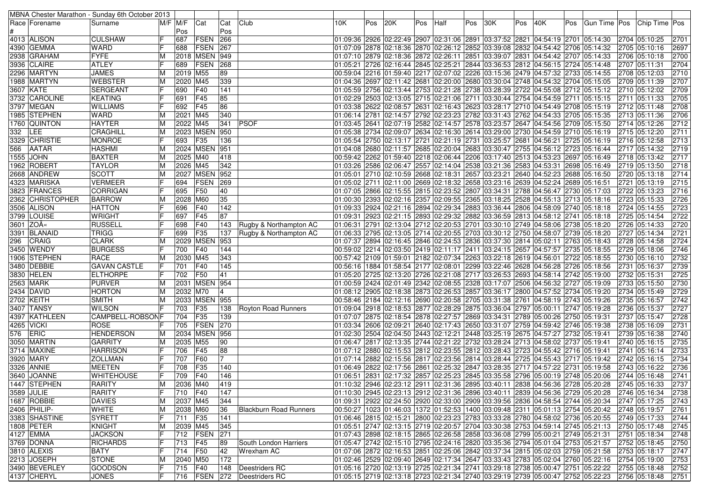| $M/F$ $M/F$<br>Gun Time Pos Chip Time Pos<br>Race   Forename<br> Cat<br>Club<br>10K.<br>Pos<br>20K<br>Pos<br>Pos<br> 30K<br>Pos<br>40K<br>Pos<br>Surname<br>Cat<br>Half<br>Pos<br>Pos<br>FSEN<br>266<br>4013 ALISON<br><b>CULSHAW</b><br>687<br>01:09:36 2926 02:22:49 2907 02:31:06 2891 03:37:52 2821 04:54:19 2701 05:14:30<br>2704 05:10:25<br>2701<br><b>FSEN</b><br>4390 GEMMA<br><b>WARD</b><br>267<br>01:07:09 2878 02:18:36 2870 02:26:12 2852 03:39:08 2832 04:54:42 2706 05:14:32<br>2697<br>688<br>2705 05:10:16<br>2938 GRAHAM<br><b>FYFE</b><br>2018   MSEN<br>2700<br>949<br>01:07:10 2879 02:18:36 2872 02:26:11 2851 03:39:07 2831 04:54:42 2707 05:14:33<br>2706 05:10:18<br><b>ATLEY</b><br>FSEN<br>268<br>2704<br>3936 CLAIRE<br>689<br>01:05:21 2726 02:16:44 2845 02:25:21 2844 03:36:53 2812 04:56:15 2724 05:14:48<br>2707 05:11:31<br><b>JAMES</b><br>2019 M55<br>89<br>00:59:04 2216 01:59:40 2217 02:07:02 2226 03:15:36 2479 04:57:32 2733 05:14:55<br>2710<br>2296  MARTYN<br>ΙM<br>2708 05:12:03<br><b>WEBSTER</b><br>339<br>2707<br>1988 MARTYN<br>2020 M45<br>04:36 2697 02:11:42 2681 02:20:00 2680 03:30:04 2748 04:54:32 2704 05:15:05<br>2709 05:11:39<br>ΙM<br>2709<br><b>SERGEANT</b><br>F40<br>141<br>3607 KATE<br>690<br>01:05:59 2756 02:13:44 2753 02:21:28 2738 03:28:39 2722 04:55:08 2712 05:15:12<br>2710 05:12:02<br><b>KEATING</b><br>F45<br>85<br>2705<br>3732 CAROLINE<br>691<br>02:15:15   2711   22:29   2503   26:13:05   2715   2710   22:106   2711   2711   23:0:44   2754   24:54:59   2711   25:15:15<br>2711 05:11:33<br>F45<br>86<br>01:03:38 2622 02:08:57 2631 02:16:43 2623 03:28:17 2710 04:54:49 2708 05:15:19<br>2708<br>3797 MEGAN<br><b>WILLIAMS</b><br>692<br>2712 05:11:48<br><b>WARD</b><br>2706<br>1985 STEPHEN<br>2021 M45<br>340<br>06:14 2781 02:14:57 2792 02:23:23 2782 03:31:43 2762 04:54:33 2705 05:15:35<br>2713 05:11:36<br><b>HAYTER</b><br>2022 M45<br><b>PSOF</b><br>01:03:45 2641 02:07:19 2582 02:14:57 2578 03:23:57 2647 04:54:56 2709 05:15:50<br>2712<br>1760  QUINTON<br>341<br>2714 05:12:26<br>ΙM<br>2023 MSEN 950<br>01:05:38 2734 02:09:07 2634 02:16:30 2614 03:29:00 2730 04:54:59 2710 05:16:19<br>2711<br>332 LEE<br>CRAGHILL<br>2715 05:12:20<br>ΙM<br>3329 CHRISTIE<br><b>MONROE</b><br>F35<br>2713<br>693<br>136<br>05:54 2725 05:16:19 02:13:17 2721 02:21:19 2731 03:25:57 2681 04:56:21 2725 05:16:19<br>2716 05:12:58<br>2024 MSEN 951<br><b>HASHMI</b><br>2719<br>566<br><b>AATAR</b><br>01:04:08 2680 02:11:57 2685 02:20:04 2683 03:30:47 2755 04:56:12 2723 05:16:44<br>2717 05:14:32<br><b>BAXTER</b><br>2717<br>1555 JOHN<br>ΙM<br>2025 M40<br>418<br>00:59:42 2262 01:59:40 2218 02:06:44 2206 03:17:40 2513 04:53:23 2697 05:16:49<br>2718 05:13:42<br><b>TAYLOR</b><br>2026 M45<br>342<br>2718<br>1962 ROBERT<br>03:26 2586 02:06:47 2557 02:14:04 2538 03:21:36 2583 04:53:31 2698 05:16:49<br>2719 05:13:50<br><b>SCOTT</b><br>2027 MSEN 952<br>2714<br>2668 ANDREW<br>05:16:50   05:10   02:10:59   02:18:31   2657   03:23:21   2640   04:52:23   2688   05:16:50   05:2<br>2720 05:13:18<br>M<br>FSEN<br>01:05:02 2711 02:11:00 2669 02:18:32 2658 03:23:16 2639 04:52:24 2689 05:16:51<br>2715<br>4323  MARISKA<br><b>VERMEER</b><br>694<br>269<br>2721 05:13:19<br>F50<br>2716<br>3823 FRANCES<br>CORRIGAN<br>695<br>40<br>01:07:05 2866 02:15:55 2815 02:23:52 2807 03:34:31 2788 04:56:47 2730 05:17:03<br>2722 05:13:23<br>35<br>2726<br>2362 CHRISTOPHER<br><b>BARROW</b><br>2028 M60<br>01:00:30 2393 02:02:16 2357 02:09:55 2365 03:18:25 2528 04:55:13 2713 05:18:16<br>2723 05:15:33<br>2723<br>3506 ALISON<br><b>HATTON</b><br>696<br>F40<br>142<br>01:09:33 2924 02:21:16 2894 02:29:34 2883 03:36:44 2806 04:58:09 2740 05:18:18<br>2724 05:14:55<br><b>WRIGHT</b><br>87<br>2722<br>3799 LOUISE<br>697<br>F45<br>01:09:31 2923 02:21:15 2893 02:29:32 2882 03:36:59 2813 04:58:12 2741 05:18:18<br>2725 05:14:54<br>2720<br>3601 ZOA«<br><b>RUSSELL</b><br>F40<br>01:06:31 2791 02:13:04 2712 02:20:53 2701 03:30:10 2749 04:58:06 2738 05:18:20<br>698<br>143<br>Rugby & Northampton AC<br>2726 05:14:33<br><b>TRIGG</b><br>F35<br>01:06:33 2795 02:13:05 2714 02:20:55 2703 03:30:12 2750 04:58:07 2739 05:18:20<br>2721<br>3391 BLANAID<br>699<br>137<br>2727 05:14:34<br>Rugby & Northampton AC<br>2029 MSEN<br>953<br>2724<br>296<br>CRAIG<br><b>CLARK</b><br>01:07:37 2894 02:16:45 2846 02:24:53 2836 03:37:30 2814 05:02:11 2763 05:18:43<br>2728 05:14:58<br>2746<br>3450 WENDY<br><b>BURGESS</b><br>F40<br>144<br>700<br>00:59:02 2214 02:03:50 2419 02:11:17 2411 03:24:15 2657 04:57:57 2735 05:18:55<br>2729 05:18:06<br>2732<br>1906 STEPHEN<br><b>RACE</b><br>343<br>00:57:42 2109 01:59:01 2182 02:07:34 2263 03:22:18 2619 04:56:01 2722 05:18:55<br>2030 M45<br>2730 05:16:10<br>3480   DEBBIE<br>145<br>00:56:16   1884   01:58:54   2177   02:08:01   2299   03:22:46   2628   04:56:28   2726   05:18:56<br>2739<br><b>GAVAN CASTLE</b><br>701<br>F40<br>2731 05:16:37<br>41<br>2725<br><b>ELTHORPE</b><br>F50<br> 01:05:20  2725  02:13:20  2726  02:21:08  2717  03:26:53  2693  04:58:14  2742  05:19:00<br>3830 HELEN<br>702<br>2732 05:15:31<br>2730<br><b>PURVER</b><br>2031 MSEN 954<br>01:00:59 2424 02:01:49 2342 02:08:55 2328 03:17:07 2506 04:56:32 2727 05:19:09<br>2563 MARK<br>2733 05:15:50<br>ΙM<br><b>HORTON</b><br>2729<br>2434 DAVID<br>2032 M70<br>01:08:12 2905 02:18:38 2873 02:26:53 2857 03:36:17 2800 04:57:52 2734 05:19:20<br>2734 05:15:49<br>ΙM<br>2742<br>2702 KEITH<br>2033 MSEN 955<br><b>SMITH</b><br> 00:58:46  2184  02:12:16  2690  02:20:58  2705  03:31:38  2761  04:58:19  2743  05:19:26<br>2735 05:16:57<br>ΙM<br><b>WILSON</b><br>F35<br>2727<br>3407  TANSY<br>703<br>01:09:04 2918 02:18:53 2877 02:28:29 2875 03:36:04 2797 05:00:11 2747 05:19:28<br>2736 05:15:37<br>138<br>Royton Road Runners<br>2728<br>CAMPBELL-ROBSONF<br>704<br>F35<br>139<br>07:07 2875 02:18:54 2878 02:27:57 2869 03:34:31 2789 05:00:26 2750 05:19:31 07:07 2875<br>4397  KATHLEEN<br>2737 05:15:47<br>270<br><b>ROSE</b><br>FSEN<br>2731<br>4265 VICKI<br>705<br>01:03:34 2606 02:09:21 2640 02:17:43 2650 03:31:07 2759 04:59:42 2746 05:19:38<br>2738 05:16:09<br>ERIC<br><b>HENDERSON</b><br>2034 MSEN 956<br>2740<br>576<br>02:04:50 2504 02:04:50 2443 02:12:21 2448 03:25:19 2675 04:57:27 2732 05:19:41<br>2739 05:16:38<br>ΙM<br>3050 MARTIN<br><b>GARRITY</b><br>90<br>01:06:47 2817 02:13:35 2744 02:21:22 2732 03:28:24 2713 04:58:02 2737 05:19:41<br>2735<br>M<br>2035 M55<br>2740 05:16:15<br><b>HARRISON</b><br>F45<br>88<br>2733<br>3714 MAXINE<br>706<br> 01:07:12  2880  02:15:53  2812  02:23:55  2812  03:28:43  2723  04:55:42  2716  05:19:41<br>2741 05:16:14<br>2734<br>3920 MARY<br><b>ZOLLMAN</b><br>707<br>F60<br>01:07:14 2882 02:15:56 2817 02:23:56 2814 03:28:44 2725 04:55:43 2717 05:19:42<br>2742 05:16:15<br>3326  ANNIE<br>MEETEN<br>F35<br>140<br>01:06:49 2822 02:17:56 2861 02:25:32 2847 03:28:35 2717 04:57:22 2731 05:19:58<br>2743 05:16:22<br>2736<br>708<br>3640 JOANNE<br><b>WHITEHOUSE</b><br>F40<br>01:06:51 2831 02:17:32 2857 02:25:23 2845 03:35:58 2796 05:00:19 2748 05:20:06<br>2741<br>709<br>146<br>2744 05:16:48<br>2036 M40<br>01:10:32 2946 02:23:12 2911 02:31:36 2895 03:40:11 2838 04:56:36 2728 05:20:28 2745 05:16:33<br>2737<br>1447 STEPHEN<br>RARITY<br>$\overline{M}$<br>419<br>F<br>3589 JULIE<br><b>RARITY</b><br>147<br>01:10:30 2945 02:23:13 2912 02:31:36 2896 03:40:11 2839 04:56:36 2729 05:20:28<br>710 F40<br>2746 05:16:34<br>2738<br>01:09:31 2922 02:24:50 2920 02:33:00 2909 03:39:56 2836 04:58:54 2744 05:20:34 2747 05:17:25<br>1687 ROBBIE<br><b>DAVIES</b><br>2037 M45<br>ΙM<br>344<br>2743<br><b>WHITE</b><br>2406 PHILIP-<br>36<br><b>Blackburn Road Runners</b><br>00:50:27  1023  01:46:03  1372  01:52:53  1400  03:09:48  2311  05:01:13  2754  05:20:42<br>2748 05:19:57<br>2761<br>2038 M60<br>ΙM<br>3383 SHASTINE<br>F<br>01:06:46 2815 02:15:21 2800 02:23:23 2783 03:33:28 2780 04:58:02 2736 05:20:55<br>SYRETT<br>711 F35<br>2749 05:17:33<br>2744<br>141<br> 01:05:51  2747  02:13:15  2719  02:20:57  2704  03:30:38  2753  04:59:14  2745  05:21:13<br>1808 PETER<br>KNIGHT<br>2039 M45<br>345<br>2745<br>2750 05:17:48<br>ΙM<br>271<br>4127 EMMA<br><b>JACKSON</b><br>712   FSEN<br>01:07:43 2898 02:18:15 2865 02:26:58 2858 03:36:08 2799 05:00:21 2749 05:21:31<br>2751 05:18:34<br>2748<br>3769 DONNA<br><b>RICHARDS</b><br>IF<br>F45<br>01:04 2753 05:21:57 02:15:10 2795 02:24:16 2820 03:35:36 2794 05:01:04 2753 05:21:57<br>2750<br>713<br>89<br>South London Harriers<br>2752 05:18:45<br>IF<br>42<br>01:07:06 2872 02:16:53 2851 02:25:06 2842 03:37:34 2815 05:02:03 2759 05:21:58<br>3810 ALEXIS<br><b>BATY</b><br>714<br>F50<br><b>Wrexham AC</b><br>2753 05:18:17<br>2747<br>2213 JOSEPH<br>172<br>01:02:46 2529 02:09:40 2649 02:17:34 2647 03:33:43 2783 05:02:04 2760 05:22:16<br>2753<br>STONE<br>M<br>2040 M50<br>2754 05:19:00<br>F<br>01:05:16 2720 02:13:19 2725 02:21:34 2741 03:29:18 2738 05:00:47 2751 05:22:22 2755 05:18:48<br>3490 BEVERLEY<br><b>GOODSON</b><br>$ 715 $ F <sub>40</sub><br>2752<br>148   Deestriders RC<br>IF<br>4137 CHERYL<br><b>JONES</b><br>716   FSEN   272   Deestriders RC<br>01:05:15 2719 02:13:18 2723 02:21:34 2740 03:29:19 2739 05:00:47 2752 05:22:23<br>2756 05:18:48 2751 |  | MBNA Chester Marathon - Sunday 6th October 2013 |  |  |  |  |  |  |  |  |  |  |
|----------------------------------------------------------------------------------------------------------------------------------------------------------------------------------------------------------------------------------------------------------------------------------------------------------------------------------------------------------------------------------------------------------------------------------------------------------------------------------------------------------------------------------------------------------------------------------------------------------------------------------------------------------------------------------------------------------------------------------------------------------------------------------------------------------------------------------------------------------------------------------------------------------------------------------------------------------------------------------------------------------------------------------------------------------------------------------------------------------------------------------------------------------------------------------------------------------------------------------------------------------------------------------------------------------------------------------------------------------------------------------------------------------------------------------------------------------------------------------------------------------------------------------------------------------------------------------------------------------------------------------------------------------------------------------------------------------------------------------------------------------------------------------------------------------------------------------------------------------------------------------------------------------------------------------------------------------------------------------------------------------------------------------------------------------------------------------------------------------------------------------------------------------------------------------------------------------------------------------------------------------------------------------------------------------------------------------------------------------------------------------------------------------------------------------------------------------------------------------------------------------------------------------------------------------------------------------------------------------------------------------------------------------------------------------------------------------------------------------------------------------------------------------------------------------------------------------------------------------------------------------------------------------------------------------------------------------------------------------------------------------------------------------------------------------------------------------------------------------------------------------------------------------------------------------------------------------------------------------------------------------------------------------------------------------------------------------------------------------------------------------------------------------------------------------------------------------------------------------------------------------------------------------------------------------------------------------------------------------------------------------------------------------------------------------------------------------------------------------------------------------------------------------------------------------------------------------------------------------------------------------------------------------------------------------------------------------------------------------------------------------------------------------------------------------------------------------------------------------------------------------------------------------------------------------------------------------------------------------------------------------------------------------------------------------------------------------------------------------------------------------------------------------------------------------------------------------------------------------------------------------------------------------------------------------------------------------------------------------------------------------------------------------------------------------------------------------------------------------------------------------------------------------------------------------------------------------------------------------------------------------------------------------------------------------------------------------------------------------------------------------------------------------------------------------------------------------------------------------------------------------------------------------------------------------------------------------------------------------------------------------------------------------------------------------------------------------------------------------------------------------------------------------------------------------------------------------------------------------------------------------------------------------------------------------------------------------------------------------------------------------------------------------------------------------------------------------------------------------------------------------------------------------------------------------------------------------------------------------------------------------------------------------------------------------------------------------------------------------------------------------------------------------------------------------------------------------------------------------------------------------------------------------------------------------------------------------------------------------------------------------------------------------------------------------------------------------------------------------------------------------------------------------------------------------------------------------------------------------------------------------------------------------------------------------------------------------------------------------------------------------------------------------------------------------------------------------------------------------------------------------------------------------------------------------------------------------------------------------------------------------------------------------------------------------------------------------------------------------------------------------------------------------------------------------------------------------------------------------------------------------------------------------------------------------------------------------------------------------------------------------------------------------------------------------------------------------------------------------------------------------------------------------------------------------------------------------------------------------------------------------------------------------------------------------------------------------------------------------------------------------------------------------------------------------------------------------------------------------------------------------------------------------------------------------------------------------------------------------------------------------------------------------------------------------------------------------------------------------------------------------------------------------------------------------------------------------------------------------------------------------------------------------------------------------------------------------------------------------------------------------------------------------------------------------------------------------------------------------------------------------------------------------------------------------------------------------------------------------------------------------------------------------------------------------------------------------------------------------------------------------------------------------------------------------------------------------------------------------------------------------------------------------------------------------------------------------------------------------------------------------------------------------------------------------------------------------------------------------------------------------------------------------------------------------------------------------------------------------------------------------------------------------------------------------------------------------------------------------------------------------------------------------------------------------------------------------------------------------------------------------------------------------------------------------------|--|-------------------------------------------------|--|--|--|--|--|--|--|--|--|--|
|                                                                                                                                                                                                                                                                                                                                                                                                                                                                                                                                                                                                                                                                                                                                                                                                                                                                                                                                                                                                                                                                                                                                                                                                                                                                                                                                                                                                                                                                                                                                                                                                                                                                                                                                                                                                                                                                                                                                                                                                                                                                                                                                                                                                                                                                                                                                                                                                                                                                                                                                                                                                                                                                                                                                                                                                                                                                                                                                                                                                                                                                                                                                                                                                                                                                                                                                                                                                                                                                                                                                                                                                                                                                                                                                                                                                                                                                                                                                                                                                                                                                                                                                                                                                                                                                                                                                                                                                                                                                                                                                                                                                                                                                                                                                                                                                                                                                                                                                                                                                                                                                                                                                                                                                                                                                                                                                                                                                                                                                                                                                                                                                                                                                                                                                                                                                                                                                                                                                                                                                                                                                                                                                                                                                                                                                                                                                                                                                                                                                                                                                                                                                                                                                                                                                                                                                                                                                                                                                                                                                                                                                                                                                                                                                                                                                                                                                                                                                                                                                                                                                                                                                                                                                                                                                                                                                                                                                                                                                                                                                                                                                                                                                                                                                                                                                                                                                                                                                                                                                                                                                                                                                                                                                                                                                                                                                                                                                                                                                                                                                                                                                                                                                                                                                                                                                                                                                                                                                                                        |  |                                                 |  |  |  |  |  |  |  |  |  |  |
|                                                                                                                                                                                                                                                                                                                                                                                                                                                                                                                                                                                                                                                                                                                                                                                                                                                                                                                                                                                                                                                                                                                                                                                                                                                                                                                                                                                                                                                                                                                                                                                                                                                                                                                                                                                                                                                                                                                                                                                                                                                                                                                                                                                                                                                                                                                                                                                                                                                                                                                                                                                                                                                                                                                                                                                                                                                                                                                                                                                                                                                                                                                                                                                                                                                                                                                                                                                                                                                                                                                                                                                                                                                                                                                                                                                                                                                                                                                                                                                                                                                                                                                                                                                                                                                                                                                                                                                                                                                                                                                                                                                                                                                                                                                                                                                                                                                                                                                                                                                                                                                                                                                                                                                                                                                                                                                                                                                                                                                                                                                                                                                                                                                                                                                                                                                                                                                                                                                                                                                                                                                                                                                                                                                                                                                                                                                                                                                                                                                                                                                                                                                                                                                                                                                                                                                                                                                                                                                                                                                                                                                                                                                                                                                                                                                                                                                                                                                                                                                                                                                                                                                                                                                                                                                                                                                                                                                                                                                                                                                                                                                                                                                                                                                                                                                                                                                                                                                                                                                                                                                                                                                                                                                                                                                                                                                                                                                                                                                                                                                                                                                                                                                                                                                                                                                                                                                                                                                                                                        |  |                                                 |  |  |  |  |  |  |  |  |  |  |
|                                                                                                                                                                                                                                                                                                                                                                                                                                                                                                                                                                                                                                                                                                                                                                                                                                                                                                                                                                                                                                                                                                                                                                                                                                                                                                                                                                                                                                                                                                                                                                                                                                                                                                                                                                                                                                                                                                                                                                                                                                                                                                                                                                                                                                                                                                                                                                                                                                                                                                                                                                                                                                                                                                                                                                                                                                                                                                                                                                                                                                                                                                                                                                                                                                                                                                                                                                                                                                                                                                                                                                                                                                                                                                                                                                                                                                                                                                                                                                                                                                                                                                                                                                                                                                                                                                                                                                                                                                                                                                                                                                                                                                                                                                                                                                                                                                                                                                                                                                                                                                                                                                                                                                                                                                                                                                                                                                                                                                                                                                                                                                                                                                                                                                                                                                                                                                                                                                                                                                                                                                                                                                                                                                                                                                                                                                                                                                                                                                                                                                                                                                                                                                                                                                                                                                                                                                                                                                                                                                                                                                                                                                                                                                                                                                                                                                                                                                                                                                                                                                                                                                                                                                                                                                                                                                                                                                                                                                                                                                                                                                                                                                                                                                                                                                                                                                                                                                                                                                                                                                                                                                                                                                                                                                                                                                                                                                                                                                                                                                                                                                                                                                                                                                                                                                                                                                                                                                                                                                        |  |                                                 |  |  |  |  |  |  |  |  |  |  |
|                                                                                                                                                                                                                                                                                                                                                                                                                                                                                                                                                                                                                                                                                                                                                                                                                                                                                                                                                                                                                                                                                                                                                                                                                                                                                                                                                                                                                                                                                                                                                                                                                                                                                                                                                                                                                                                                                                                                                                                                                                                                                                                                                                                                                                                                                                                                                                                                                                                                                                                                                                                                                                                                                                                                                                                                                                                                                                                                                                                                                                                                                                                                                                                                                                                                                                                                                                                                                                                                                                                                                                                                                                                                                                                                                                                                                                                                                                                                                                                                                                                                                                                                                                                                                                                                                                                                                                                                                                                                                                                                                                                                                                                                                                                                                                                                                                                                                                                                                                                                                                                                                                                                                                                                                                                                                                                                                                                                                                                                                                                                                                                                                                                                                                                                                                                                                                                                                                                                                                                                                                                                                                                                                                                                                                                                                                                                                                                                                                                                                                                                                                                                                                                                                                                                                                                                                                                                                                                                                                                                                                                                                                                                                                                                                                                                                                                                                                                                                                                                                                                                                                                                                                                                                                                                                                                                                                                                                                                                                                                                                                                                                                                                                                                                                                                                                                                                                                                                                                                                                                                                                                                                                                                                                                                                                                                                                                                                                                                                                                                                                                                                                                                                                                                                                                                                                                                                                                                                                                        |  |                                                 |  |  |  |  |  |  |  |  |  |  |
|                                                                                                                                                                                                                                                                                                                                                                                                                                                                                                                                                                                                                                                                                                                                                                                                                                                                                                                                                                                                                                                                                                                                                                                                                                                                                                                                                                                                                                                                                                                                                                                                                                                                                                                                                                                                                                                                                                                                                                                                                                                                                                                                                                                                                                                                                                                                                                                                                                                                                                                                                                                                                                                                                                                                                                                                                                                                                                                                                                                                                                                                                                                                                                                                                                                                                                                                                                                                                                                                                                                                                                                                                                                                                                                                                                                                                                                                                                                                                                                                                                                                                                                                                                                                                                                                                                                                                                                                                                                                                                                                                                                                                                                                                                                                                                                                                                                                                                                                                                                                                                                                                                                                                                                                                                                                                                                                                                                                                                                                                                                                                                                                                                                                                                                                                                                                                                                                                                                                                                                                                                                                                                                                                                                                                                                                                                                                                                                                                                                                                                                                                                                                                                                                                                                                                                                                                                                                                                                                                                                                                                                                                                                                                                                                                                                                                                                                                                                                                                                                                                                                                                                                                                                                                                                                                                                                                                                                                                                                                                                                                                                                                                                                                                                                                                                                                                                                                                                                                                                                                                                                                                                                                                                                                                                                                                                                                                                                                                                                                                                                                                                                                                                                                                                                                                                                                                                                                                                                                                        |  |                                                 |  |  |  |  |  |  |  |  |  |  |
|                                                                                                                                                                                                                                                                                                                                                                                                                                                                                                                                                                                                                                                                                                                                                                                                                                                                                                                                                                                                                                                                                                                                                                                                                                                                                                                                                                                                                                                                                                                                                                                                                                                                                                                                                                                                                                                                                                                                                                                                                                                                                                                                                                                                                                                                                                                                                                                                                                                                                                                                                                                                                                                                                                                                                                                                                                                                                                                                                                                                                                                                                                                                                                                                                                                                                                                                                                                                                                                                                                                                                                                                                                                                                                                                                                                                                                                                                                                                                                                                                                                                                                                                                                                                                                                                                                                                                                                                                                                                                                                                                                                                                                                                                                                                                                                                                                                                                                                                                                                                                                                                                                                                                                                                                                                                                                                                                                                                                                                                                                                                                                                                                                                                                                                                                                                                                                                                                                                                                                                                                                                                                                                                                                                                                                                                                                                                                                                                                                                                                                                                                                                                                                                                                                                                                                                                                                                                                                                                                                                                                                                                                                                                                                                                                                                                                                                                                                                                                                                                                                                                                                                                                                                                                                                                                                                                                                                                                                                                                                                                                                                                                                                                                                                                                                                                                                                                                                                                                                                                                                                                                                                                                                                                                                                                                                                                                                                                                                                                                                                                                                                                                                                                                                                                                                                                                                                                                                                                                                        |  |                                                 |  |  |  |  |  |  |  |  |  |  |
|                                                                                                                                                                                                                                                                                                                                                                                                                                                                                                                                                                                                                                                                                                                                                                                                                                                                                                                                                                                                                                                                                                                                                                                                                                                                                                                                                                                                                                                                                                                                                                                                                                                                                                                                                                                                                                                                                                                                                                                                                                                                                                                                                                                                                                                                                                                                                                                                                                                                                                                                                                                                                                                                                                                                                                                                                                                                                                                                                                                                                                                                                                                                                                                                                                                                                                                                                                                                                                                                                                                                                                                                                                                                                                                                                                                                                                                                                                                                                                                                                                                                                                                                                                                                                                                                                                                                                                                                                                                                                                                                                                                                                                                                                                                                                                                                                                                                                                                                                                                                                                                                                                                                                                                                                                                                                                                                                                                                                                                                                                                                                                                                                                                                                                                                                                                                                                                                                                                                                                                                                                                                                                                                                                                                                                                                                                                                                                                                                                                                                                                                                                                                                                                                                                                                                                                                                                                                                                                                                                                                                                                                                                                                                                                                                                                                                                                                                                                                                                                                                                                                                                                                                                                                                                                                                                                                                                                                                                                                                                                                                                                                                                                                                                                                                                                                                                                                                                                                                                                                                                                                                                                                                                                                                                                                                                                                                                                                                                                                                                                                                                                                                                                                                                                                                                                                                                                                                                                                                                        |  |                                                 |  |  |  |  |  |  |  |  |  |  |
|                                                                                                                                                                                                                                                                                                                                                                                                                                                                                                                                                                                                                                                                                                                                                                                                                                                                                                                                                                                                                                                                                                                                                                                                                                                                                                                                                                                                                                                                                                                                                                                                                                                                                                                                                                                                                                                                                                                                                                                                                                                                                                                                                                                                                                                                                                                                                                                                                                                                                                                                                                                                                                                                                                                                                                                                                                                                                                                                                                                                                                                                                                                                                                                                                                                                                                                                                                                                                                                                                                                                                                                                                                                                                                                                                                                                                                                                                                                                                                                                                                                                                                                                                                                                                                                                                                                                                                                                                                                                                                                                                                                                                                                                                                                                                                                                                                                                                                                                                                                                                                                                                                                                                                                                                                                                                                                                                                                                                                                                                                                                                                                                                                                                                                                                                                                                                                                                                                                                                                                                                                                                                                                                                                                                                                                                                                                                                                                                                                                                                                                                                                                                                                                                                                                                                                                                                                                                                                                                                                                                                                                                                                                                                                                                                                                                                                                                                                                                                                                                                                                                                                                                                                                                                                                                                                                                                                                                                                                                                                                                                                                                                                                                                                                                                                                                                                                                                                                                                                                                                                                                                                                                                                                                                                                                                                                                                                                                                                                                                                                                                                                                                                                                                                                                                                                                                                                                                                                                                                        |  |                                                 |  |  |  |  |  |  |  |  |  |  |
|                                                                                                                                                                                                                                                                                                                                                                                                                                                                                                                                                                                                                                                                                                                                                                                                                                                                                                                                                                                                                                                                                                                                                                                                                                                                                                                                                                                                                                                                                                                                                                                                                                                                                                                                                                                                                                                                                                                                                                                                                                                                                                                                                                                                                                                                                                                                                                                                                                                                                                                                                                                                                                                                                                                                                                                                                                                                                                                                                                                                                                                                                                                                                                                                                                                                                                                                                                                                                                                                                                                                                                                                                                                                                                                                                                                                                                                                                                                                                                                                                                                                                                                                                                                                                                                                                                                                                                                                                                                                                                                                                                                                                                                                                                                                                                                                                                                                                                                                                                                                                                                                                                                                                                                                                                                                                                                                                                                                                                                                                                                                                                                                                                                                                                                                                                                                                                                                                                                                                                                                                                                                                                                                                                                                                                                                                                                                                                                                                                                                                                                                                                                                                                                                                                                                                                                                                                                                                                                                                                                                                                                                                                                                                                                                                                                                                                                                                                                                                                                                                                                                                                                                                                                                                                                                                                                                                                                                                                                                                                                                                                                                                                                                                                                                                                                                                                                                                                                                                                                                                                                                                                                                                                                                                                                                                                                                                                                                                                                                                                                                                                                                                                                                                                                                                                                                                                                                                                                                                                        |  |                                                 |  |  |  |  |  |  |  |  |  |  |
|                                                                                                                                                                                                                                                                                                                                                                                                                                                                                                                                                                                                                                                                                                                                                                                                                                                                                                                                                                                                                                                                                                                                                                                                                                                                                                                                                                                                                                                                                                                                                                                                                                                                                                                                                                                                                                                                                                                                                                                                                                                                                                                                                                                                                                                                                                                                                                                                                                                                                                                                                                                                                                                                                                                                                                                                                                                                                                                                                                                                                                                                                                                                                                                                                                                                                                                                                                                                                                                                                                                                                                                                                                                                                                                                                                                                                                                                                                                                                                                                                                                                                                                                                                                                                                                                                                                                                                                                                                                                                                                                                                                                                                                                                                                                                                                                                                                                                                                                                                                                                                                                                                                                                                                                                                                                                                                                                                                                                                                                                                                                                                                                                                                                                                                                                                                                                                                                                                                                                                                                                                                                                                                                                                                                                                                                                                                                                                                                                                                                                                                                                                                                                                                                                                                                                                                                                                                                                                                                                                                                                                                                                                                                                                                                                                                                                                                                                                                                                                                                                                                                                                                                                                                                                                                                                                                                                                                                                                                                                                                                                                                                                                                                                                                                                                                                                                                                                                                                                                                                                                                                                                                                                                                                                                                                                                                                                                                                                                                                                                                                                                                                                                                                                                                                                                                                                                                                                                                                                                        |  |                                                 |  |  |  |  |  |  |  |  |  |  |
|                                                                                                                                                                                                                                                                                                                                                                                                                                                                                                                                                                                                                                                                                                                                                                                                                                                                                                                                                                                                                                                                                                                                                                                                                                                                                                                                                                                                                                                                                                                                                                                                                                                                                                                                                                                                                                                                                                                                                                                                                                                                                                                                                                                                                                                                                                                                                                                                                                                                                                                                                                                                                                                                                                                                                                                                                                                                                                                                                                                                                                                                                                                                                                                                                                                                                                                                                                                                                                                                                                                                                                                                                                                                                                                                                                                                                                                                                                                                                                                                                                                                                                                                                                                                                                                                                                                                                                                                                                                                                                                                                                                                                                                                                                                                                                                                                                                                                                                                                                                                                                                                                                                                                                                                                                                                                                                                                                                                                                                                                                                                                                                                                                                                                                                                                                                                                                                                                                                                                                                                                                                                                                                                                                                                                                                                                                                                                                                                                                                                                                                                                                                                                                                                                                                                                                                                                                                                                                                                                                                                                                                                                                                                                                                                                                                                                                                                                                                                                                                                                                                                                                                                                                                                                                                                                                                                                                                                                                                                                                                                                                                                                                                                                                                                                                                                                                                                                                                                                                                                                                                                                                                                                                                                                                                                                                                                                                                                                                                                                                                                                                                                                                                                                                                                                                                                                                                                                                                                                                        |  |                                                 |  |  |  |  |  |  |  |  |  |  |
|                                                                                                                                                                                                                                                                                                                                                                                                                                                                                                                                                                                                                                                                                                                                                                                                                                                                                                                                                                                                                                                                                                                                                                                                                                                                                                                                                                                                                                                                                                                                                                                                                                                                                                                                                                                                                                                                                                                                                                                                                                                                                                                                                                                                                                                                                                                                                                                                                                                                                                                                                                                                                                                                                                                                                                                                                                                                                                                                                                                                                                                                                                                                                                                                                                                                                                                                                                                                                                                                                                                                                                                                                                                                                                                                                                                                                                                                                                                                                                                                                                                                                                                                                                                                                                                                                                                                                                                                                                                                                                                                                                                                                                                                                                                                                                                                                                                                                                                                                                                                                                                                                                                                                                                                                                                                                                                                                                                                                                                                                                                                                                                                                                                                                                                                                                                                                                                                                                                                                                                                                                                                                                                                                                                                                                                                                                                                                                                                                                                                                                                                                                                                                                                                                                                                                                                                                                                                                                                                                                                                                                                                                                                                                                                                                                                                                                                                                                                                                                                                                                                                                                                                                                                                                                                                                                                                                                                                                                                                                                                                                                                                                                                                                                                                                                                                                                                                                                                                                                                                                                                                                                                                                                                                                                                                                                                                                                                                                                                                                                                                                                                                                                                                                                                                                                                                                                                                                                                                                                        |  |                                                 |  |  |  |  |  |  |  |  |  |  |
|                                                                                                                                                                                                                                                                                                                                                                                                                                                                                                                                                                                                                                                                                                                                                                                                                                                                                                                                                                                                                                                                                                                                                                                                                                                                                                                                                                                                                                                                                                                                                                                                                                                                                                                                                                                                                                                                                                                                                                                                                                                                                                                                                                                                                                                                                                                                                                                                                                                                                                                                                                                                                                                                                                                                                                                                                                                                                                                                                                                                                                                                                                                                                                                                                                                                                                                                                                                                                                                                                                                                                                                                                                                                                                                                                                                                                                                                                                                                                                                                                                                                                                                                                                                                                                                                                                                                                                                                                                                                                                                                                                                                                                                                                                                                                                                                                                                                                                                                                                                                                                                                                                                                                                                                                                                                                                                                                                                                                                                                                                                                                                                                                                                                                                                                                                                                                                                                                                                                                                                                                                                                                                                                                                                                                                                                                                                                                                                                                                                                                                                                                                                                                                                                                                                                                                                                                                                                                                                                                                                                                                                                                                                                                                                                                                                                                                                                                                                                                                                                                                                                                                                                                                                                                                                                                                                                                                                                                                                                                                                                                                                                                                                                                                                                                                                                                                                                                                                                                                                                                                                                                                                                                                                                                                                                                                                                                                                                                                                                                                                                                                                                                                                                                                                                                                                                                                                                                                                                                                        |  |                                                 |  |  |  |  |  |  |  |  |  |  |
|                                                                                                                                                                                                                                                                                                                                                                                                                                                                                                                                                                                                                                                                                                                                                                                                                                                                                                                                                                                                                                                                                                                                                                                                                                                                                                                                                                                                                                                                                                                                                                                                                                                                                                                                                                                                                                                                                                                                                                                                                                                                                                                                                                                                                                                                                                                                                                                                                                                                                                                                                                                                                                                                                                                                                                                                                                                                                                                                                                                                                                                                                                                                                                                                                                                                                                                                                                                                                                                                                                                                                                                                                                                                                                                                                                                                                                                                                                                                                                                                                                                                                                                                                                                                                                                                                                                                                                                                                                                                                                                                                                                                                                                                                                                                                                                                                                                                                                                                                                                                                                                                                                                                                                                                                                                                                                                                                                                                                                                                                                                                                                                                                                                                                                                                                                                                                                                                                                                                                                                                                                                                                                                                                                                                                                                                                                                                                                                                                                                                                                                                                                                                                                                                                                                                                                                                                                                                                                                                                                                                                                                                                                                                                                                                                                                                                                                                                                                                                                                                                                                                                                                                                                                                                                                                                                                                                                                                                                                                                                                                                                                                                                                                                                                                                                                                                                                                                                                                                                                                                                                                                                                                                                                                                                                                                                                                                                                                                                                                                                                                                                                                                                                                                                                                                                                                                                                                                                                                                                        |  |                                                 |  |  |  |  |  |  |  |  |  |  |
|                                                                                                                                                                                                                                                                                                                                                                                                                                                                                                                                                                                                                                                                                                                                                                                                                                                                                                                                                                                                                                                                                                                                                                                                                                                                                                                                                                                                                                                                                                                                                                                                                                                                                                                                                                                                                                                                                                                                                                                                                                                                                                                                                                                                                                                                                                                                                                                                                                                                                                                                                                                                                                                                                                                                                                                                                                                                                                                                                                                                                                                                                                                                                                                                                                                                                                                                                                                                                                                                                                                                                                                                                                                                                                                                                                                                                                                                                                                                                                                                                                                                                                                                                                                                                                                                                                                                                                                                                                                                                                                                                                                                                                                                                                                                                                                                                                                                                                                                                                                                                                                                                                                                                                                                                                                                                                                                                                                                                                                                                                                                                                                                                                                                                                                                                                                                                                                                                                                                                                                                                                                                                                                                                                                                                                                                                                                                                                                                                                                                                                                                                                                                                                                                                                                                                                                                                                                                                                                                                                                                                                                                                                                                                                                                                                                                                                                                                                                                                                                                                                                                                                                                                                                                                                                                                                                                                                                                                                                                                                                                                                                                                                                                                                                                                                                                                                                                                                                                                                                                                                                                                                                                                                                                                                                                                                                                                                                                                                                                                                                                                                                                                                                                                                                                                                                                                                                                                                                                                                        |  |                                                 |  |  |  |  |  |  |  |  |  |  |
|                                                                                                                                                                                                                                                                                                                                                                                                                                                                                                                                                                                                                                                                                                                                                                                                                                                                                                                                                                                                                                                                                                                                                                                                                                                                                                                                                                                                                                                                                                                                                                                                                                                                                                                                                                                                                                                                                                                                                                                                                                                                                                                                                                                                                                                                                                                                                                                                                                                                                                                                                                                                                                                                                                                                                                                                                                                                                                                                                                                                                                                                                                                                                                                                                                                                                                                                                                                                                                                                                                                                                                                                                                                                                                                                                                                                                                                                                                                                                                                                                                                                                                                                                                                                                                                                                                                                                                                                                                                                                                                                                                                                                                                                                                                                                                                                                                                                                                                                                                                                                                                                                                                                                                                                                                                                                                                                                                                                                                                                                                                                                                                                                                                                                                                                                                                                                                                                                                                                                                                                                                                                                                                                                                                                                                                                                                                                                                                                                                                                                                                                                                                                                                                                                                                                                                                                                                                                                                                                                                                                                                                                                                                                                                                                                                                                                                                                                                                                                                                                                                                                                                                                                                                                                                                                                                                                                                                                                                                                                                                                                                                                                                                                                                                                                                                                                                                                                                                                                                                                                                                                                                                                                                                                                                                                                                                                                                                                                                                                                                                                                                                                                                                                                                                                                                                                                                                                                                                                                                        |  |                                                 |  |  |  |  |  |  |  |  |  |  |
|                                                                                                                                                                                                                                                                                                                                                                                                                                                                                                                                                                                                                                                                                                                                                                                                                                                                                                                                                                                                                                                                                                                                                                                                                                                                                                                                                                                                                                                                                                                                                                                                                                                                                                                                                                                                                                                                                                                                                                                                                                                                                                                                                                                                                                                                                                                                                                                                                                                                                                                                                                                                                                                                                                                                                                                                                                                                                                                                                                                                                                                                                                                                                                                                                                                                                                                                                                                                                                                                                                                                                                                                                                                                                                                                                                                                                                                                                                                                                                                                                                                                                                                                                                                                                                                                                                                                                                                                                                                                                                                                                                                                                                                                                                                                                                                                                                                                                                                                                                                                                                                                                                                                                                                                                                                                                                                                                                                                                                                                                                                                                                                                                                                                                                                                                                                                                                                                                                                                                                                                                                                                                                                                                                                                                                                                                                                                                                                                                                                                                                                                                                                                                                                                                                                                                                                                                                                                                                                                                                                                                                                                                                                                                                                                                                                                                                                                                                                                                                                                                                                                                                                                                                                                                                                                                                                                                                                                                                                                                                                                                                                                                                                                                                                                                                                                                                                                                                                                                                                                                                                                                                                                                                                                                                                                                                                                                                                                                                                                                                                                                                                                                                                                                                                                                                                                                                                                                                                                                                        |  |                                                 |  |  |  |  |  |  |  |  |  |  |
|                                                                                                                                                                                                                                                                                                                                                                                                                                                                                                                                                                                                                                                                                                                                                                                                                                                                                                                                                                                                                                                                                                                                                                                                                                                                                                                                                                                                                                                                                                                                                                                                                                                                                                                                                                                                                                                                                                                                                                                                                                                                                                                                                                                                                                                                                                                                                                                                                                                                                                                                                                                                                                                                                                                                                                                                                                                                                                                                                                                                                                                                                                                                                                                                                                                                                                                                                                                                                                                                                                                                                                                                                                                                                                                                                                                                                                                                                                                                                                                                                                                                                                                                                                                                                                                                                                                                                                                                                                                                                                                                                                                                                                                                                                                                                                                                                                                                                                                                                                                                                                                                                                                                                                                                                                                                                                                                                                                                                                                                                                                                                                                                                                                                                                                                                                                                                                                                                                                                                                                                                                                                                                                                                                                                                                                                                                                                                                                                                                                                                                                                                                                                                                                                                                                                                                                                                                                                                                                                                                                                                                                                                                                                                                                                                                                                                                                                                                                                                                                                                                                                                                                                                                                                                                                                                                                                                                                                                                                                                                                                                                                                                                                                                                                                                                                                                                                                                                                                                                                                                                                                                                                                                                                                                                                                                                                                                                                                                                                                                                                                                                                                                                                                                                                                                                                                                                                                                                                                                                        |  |                                                 |  |  |  |  |  |  |  |  |  |  |
|                                                                                                                                                                                                                                                                                                                                                                                                                                                                                                                                                                                                                                                                                                                                                                                                                                                                                                                                                                                                                                                                                                                                                                                                                                                                                                                                                                                                                                                                                                                                                                                                                                                                                                                                                                                                                                                                                                                                                                                                                                                                                                                                                                                                                                                                                                                                                                                                                                                                                                                                                                                                                                                                                                                                                                                                                                                                                                                                                                                                                                                                                                                                                                                                                                                                                                                                                                                                                                                                                                                                                                                                                                                                                                                                                                                                                                                                                                                                                                                                                                                                                                                                                                                                                                                                                                                                                                                                                                                                                                                                                                                                                                                                                                                                                                                                                                                                                                                                                                                                                                                                                                                                                                                                                                                                                                                                                                                                                                                                                                                                                                                                                                                                                                                                                                                                                                                                                                                                                                                                                                                                                                                                                                                                                                                                                                                                                                                                                                                                                                                                                                                                                                                                                                                                                                                                                                                                                                                                                                                                                                                                                                                                                                                                                                                                                                                                                                                                                                                                                                                                                                                                                                                                                                                                                                                                                                                                                                                                                                                                                                                                                                                                                                                                                                                                                                                                                                                                                                                                                                                                                                                                                                                                                                                                                                                                                                                                                                                                                                                                                                                                                                                                                                                                                                                                                                                                                                                                                                        |  |                                                 |  |  |  |  |  |  |  |  |  |  |
|                                                                                                                                                                                                                                                                                                                                                                                                                                                                                                                                                                                                                                                                                                                                                                                                                                                                                                                                                                                                                                                                                                                                                                                                                                                                                                                                                                                                                                                                                                                                                                                                                                                                                                                                                                                                                                                                                                                                                                                                                                                                                                                                                                                                                                                                                                                                                                                                                                                                                                                                                                                                                                                                                                                                                                                                                                                                                                                                                                                                                                                                                                                                                                                                                                                                                                                                                                                                                                                                                                                                                                                                                                                                                                                                                                                                                                                                                                                                                                                                                                                                                                                                                                                                                                                                                                                                                                                                                                                                                                                                                                                                                                                                                                                                                                                                                                                                                                                                                                                                                                                                                                                                                                                                                                                                                                                                                                                                                                                                                                                                                                                                                                                                                                                                                                                                                                                                                                                                                                                                                                                                                                                                                                                                                                                                                                                                                                                                                                                                                                                                                                                                                                                                                                                                                                                                                                                                                                                                                                                                                                                                                                                                                                                                                                                                                                                                                                                                                                                                                                                                                                                                                                                                                                                                                                                                                                                                                                                                                                                                                                                                                                                                                                                                                                                                                                                                                                                                                                                                                                                                                                                                                                                                                                                                                                                                                                                                                                                                                                                                                                                                                                                                                                                                                                                                                                                                                                                                                                        |  |                                                 |  |  |  |  |  |  |  |  |  |  |
|                                                                                                                                                                                                                                                                                                                                                                                                                                                                                                                                                                                                                                                                                                                                                                                                                                                                                                                                                                                                                                                                                                                                                                                                                                                                                                                                                                                                                                                                                                                                                                                                                                                                                                                                                                                                                                                                                                                                                                                                                                                                                                                                                                                                                                                                                                                                                                                                                                                                                                                                                                                                                                                                                                                                                                                                                                                                                                                                                                                                                                                                                                                                                                                                                                                                                                                                                                                                                                                                                                                                                                                                                                                                                                                                                                                                                                                                                                                                                                                                                                                                                                                                                                                                                                                                                                                                                                                                                                                                                                                                                                                                                                                                                                                                                                                                                                                                                                                                                                                                                                                                                                                                                                                                                                                                                                                                                                                                                                                                                                                                                                                                                                                                                                                                                                                                                                                                                                                                                                                                                                                                                                                                                                                                                                                                                                                                                                                                                                                                                                                                                                                                                                                                                                                                                                                                                                                                                                                                                                                                                                                                                                                                                                                                                                                                                                                                                                                                                                                                                                                                                                                                                                                                                                                                                                                                                                                                                                                                                                                                                                                                                                                                                                                                                                                                                                                                                                                                                                                                                                                                                                                                                                                                                                                                                                                                                                                                                                                                                                                                                                                                                                                                                                                                                                                                                                                                                                                                                                        |  |                                                 |  |  |  |  |  |  |  |  |  |  |
|                                                                                                                                                                                                                                                                                                                                                                                                                                                                                                                                                                                                                                                                                                                                                                                                                                                                                                                                                                                                                                                                                                                                                                                                                                                                                                                                                                                                                                                                                                                                                                                                                                                                                                                                                                                                                                                                                                                                                                                                                                                                                                                                                                                                                                                                                                                                                                                                                                                                                                                                                                                                                                                                                                                                                                                                                                                                                                                                                                                                                                                                                                                                                                                                                                                                                                                                                                                                                                                                                                                                                                                                                                                                                                                                                                                                                                                                                                                                                                                                                                                                                                                                                                                                                                                                                                                                                                                                                                                                                                                                                                                                                                                                                                                                                                                                                                                                                                                                                                                                                                                                                                                                                                                                                                                                                                                                                                                                                                                                                                                                                                                                                                                                                                                                                                                                                                                                                                                                                                                                                                                                                                                                                                                                                                                                                                                                                                                                                                                                                                                                                                                                                                                                                                                                                                                                                                                                                                                                                                                                                                                                                                                                                                                                                                                                                                                                                                                                                                                                                                                                                                                                                                                                                                                                                                                                                                                                                                                                                                                                                                                                                                                                                                                                                                                                                                                                                                                                                                                                                                                                                                                                                                                                                                                                                                                                                                                                                                                                                                                                                                                                                                                                                                                                                                                                                                                                                                                                                                        |  |                                                 |  |  |  |  |  |  |  |  |  |  |
|                                                                                                                                                                                                                                                                                                                                                                                                                                                                                                                                                                                                                                                                                                                                                                                                                                                                                                                                                                                                                                                                                                                                                                                                                                                                                                                                                                                                                                                                                                                                                                                                                                                                                                                                                                                                                                                                                                                                                                                                                                                                                                                                                                                                                                                                                                                                                                                                                                                                                                                                                                                                                                                                                                                                                                                                                                                                                                                                                                                                                                                                                                                                                                                                                                                                                                                                                                                                                                                                                                                                                                                                                                                                                                                                                                                                                                                                                                                                                                                                                                                                                                                                                                                                                                                                                                                                                                                                                                                                                                                                                                                                                                                                                                                                                                                                                                                                                                                                                                                                                                                                                                                                                                                                                                                                                                                                                                                                                                                                                                                                                                                                                                                                                                                                                                                                                                                                                                                                                                                                                                                                                                                                                                                                                                                                                                                                                                                                                                                                                                                                                                                                                                                                                                                                                                                                                                                                                                                                                                                                                                                                                                                                                                                                                                                                                                                                                                                                                                                                                                                                                                                                                                                                                                                                                                                                                                                                                                                                                                                                                                                                                                                                                                                                                                                                                                                                                                                                                                                                                                                                                                                                                                                                                                                                                                                                                                                                                                                                                                                                                                                                                                                                                                                                                                                                                                                                                                                                                                        |  |                                                 |  |  |  |  |  |  |  |  |  |  |
|                                                                                                                                                                                                                                                                                                                                                                                                                                                                                                                                                                                                                                                                                                                                                                                                                                                                                                                                                                                                                                                                                                                                                                                                                                                                                                                                                                                                                                                                                                                                                                                                                                                                                                                                                                                                                                                                                                                                                                                                                                                                                                                                                                                                                                                                                                                                                                                                                                                                                                                                                                                                                                                                                                                                                                                                                                                                                                                                                                                                                                                                                                                                                                                                                                                                                                                                                                                                                                                                                                                                                                                                                                                                                                                                                                                                                                                                                                                                                                                                                                                                                                                                                                                                                                                                                                                                                                                                                                                                                                                                                                                                                                                                                                                                                                                                                                                                                                                                                                                                                                                                                                                                                                                                                                                                                                                                                                                                                                                                                                                                                                                                                                                                                                                                                                                                                                                                                                                                                                                                                                                                                                                                                                                                                                                                                                                                                                                                                                                                                                                                                                                                                                                                                                                                                                                                                                                                                                                                                                                                                                                                                                                                                                                                                                                                                                                                                                                                                                                                                                                                                                                                                                                                                                                                                                                                                                                                                                                                                                                                                                                                                                                                                                                                                                                                                                                                                                                                                                                                                                                                                                                                                                                                                                                                                                                                                                                                                                                                                                                                                                                                                                                                                                                                                                                                                                                                                                                                                                        |  |                                                 |  |  |  |  |  |  |  |  |  |  |
|                                                                                                                                                                                                                                                                                                                                                                                                                                                                                                                                                                                                                                                                                                                                                                                                                                                                                                                                                                                                                                                                                                                                                                                                                                                                                                                                                                                                                                                                                                                                                                                                                                                                                                                                                                                                                                                                                                                                                                                                                                                                                                                                                                                                                                                                                                                                                                                                                                                                                                                                                                                                                                                                                                                                                                                                                                                                                                                                                                                                                                                                                                                                                                                                                                                                                                                                                                                                                                                                                                                                                                                                                                                                                                                                                                                                                                                                                                                                                                                                                                                                                                                                                                                                                                                                                                                                                                                                                                                                                                                                                                                                                                                                                                                                                                                                                                                                                                                                                                                                                                                                                                                                                                                                                                                                                                                                                                                                                                                                                                                                                                                                                                                                                                                                                                                                                                                                                                                                                                                                                                                                                                                                                                                                                                                                                                                                                                                                                                                                                                                                                                                                                                                                                                                                                                                                                                                                                                                                                                                                                                                                                                                                                                                                                                                                                                                                                                                                                                                                                                                                                                                                                                                                                                                                                                                                                                                                                                                                                                                                                                                                                                                                                                                                                                                                                                                                                                                                                                                                                                                                                                                                                                                                                                                                                                                                                                                                                                                                                                                                                                                                                                                                                                                                                                                                                                                                                                                                                                        |  |                                                 |  |  |  |  |  |  |  |  |  |  |
|                                                                                                                                                                                                                                                                                                                                                                                                                                                                                                                                                                                                                                                                                                                                                                                                                                                                                                                                                                                                                                                                                                                                                                                                                                                                                                                                                                                                                                                                                                                                                                                                                                                                                                                                                                                                                                                                                                                                                                                                                                                                                                                                                                                                                                                                                                                                                                                                                                                                                                                                                                                                                                                                                                                                                                                                                                                                                                                                                                                                                                                                                                                                                                                                                                                                                                                                                                                                                                                                                                                                                                                                                                                                                                                                                                                                                                                                                                                                                                                                                                                                                                                                                                                                                                                                                                                                                                                                                                                                                                                                                                                                                                                                                                                                                                                                                                                                                                                                                                                                                                                                                                                                                                                                                                                                                                                                                                                                                                                                                                                                                                                                                                                                                                                                                                                                                                                                                                                                                                                                                                                                                                                                                                                                                                                                                                                                                                                                                                                                                                                                                                                                                                                                                                                                                                                                                                                                                                                                                                                                                                                                                                                                                                                                                                                                                                                                                                                                                                                                                                                                                                                                                                                                                                                                                                                                                                                                                                                                                                                                                                                                                                                                                                                                                                                                                                                                                                                                                                                                                                                                                                                                                                                                                                                                                                                                                                                                                                                                                                                                                                                                                                                                                                                                                                                                                                                                                                                                                                        |  |                                                 |  |  |  |  |  |  |  |  |  |  |
|                                                                                                                                                                                                                                                                                                                                                                                                                                                                                                                                                                                                                                                                                                                                                                                                                                                                                                                                                                                                                                                                                                                                                                                                                                                                                                                                                                                                                                                                                                                                                                                                                                                                                                                                                                                                                                                                                                                                                                                                                                                                                                                                                                                                                                                                                                                                                                                                                                                                                                                                                                                                                                                                                                                                                                                                                                                                                                                                                                                                                                                                                                                                                                                                                                                                                                                                                                                                                                                                                                                                                                                                                                                                                                                                                                                                                                                                                                                                                                                                                                                                                                                                                                                                                                                                                                                                                                                                                                                                                                                                                                                                                                                                                                                                                                                                                                                                                                                                                                                                                                                                                                                                                                                                                                                                                                                                                                                                                                                                                                                                                                                                                                                                                                                                                                                                                                                                                                                                                                                                                                                                                                                                                                                                                                                                                                                                                                                                                                                                                                                                                                                                                                                                                                                                                                                                                                                                                                                                                                                                                                                                                                                                                                                                                                                                                                                                                                                                                                                                                                                                                                                                                                                                                                                                                                                                                                                                                                                                                                                                                                                                                                                                                                                                                                                                                                                                                                                                                                                                                                                                                                                                                                                                                                                                                                                                                                                                                                                                                                                                                                                                                                                                                                                                                                                                                                                                                                                                                                        |  |                                                 |  |  |  |  |  |  |  |  |  |  |
|                                                                                                                                                                                                                                                                                                                                                                                                                                                                                                                                                                                                                                                                                                                                                                                                                                                                                                                                                                                                                                                                                                                                                                                                                                                                                                                                                                                                                                                                                                                                                                                                                                                                                                                                                                                                                                                                                                                                                                                                                                                                                                                                                                                                                                                                                                                                                                                                                                                                                                                                                                                                                                                                                                                                                                                                                                                                                                                                                                                                                                                                                                                                                                                                                                                                                                                                                                                                                                                                                                                                                                                                                                                                                                                                                                                                                                                                                                                                                                                                                                                                                                                                                                                                                                                                                                                                                                                                                                                                                                                                                                                                                                                                                                                                                                                                                                                                                                                                                                                                                                                                                                                                                                                                                                                                                                                                                                                                                                                                                                                                                                                                                                                                                                                                                                                                                                                                                                                                                                                                                                                                                                                                                                                                                                                                                                                                                                                                                                                                                                                                                                                                                                                                                                                                                                                                                                                                                                                                                                                                                                                                                                                                                                                                                                                                                                                                                                                                                                                                                                                                                                                                                                                                                                                                                                                                                                                                                                                                                                                                                                                                                                                                                                                                                                                                                                                                                                                                                                                                                                                                                                                                                                                                                                                                                                                                                                                                                                                                                                                                                                                                                                                                                                                                                                                                                                                                                                                                                                        |  |                                                 |  |  |  |  |  |  |  |  |  |  |
|                                                                                                                                                                                                                                                                                                                                                                                                                                                                                                                                                                                                                                                                                                                                                                                                                                                                                                                                                                                                                                                                                                                                                                                                                                                                                                                                                                                                                                                                                                                                                                                                                                                                                                                                                                                                                                                                                                                                                                                                                                                                                                                                                                                                                                                                                                                                                                                                                                                                                                                                                                                                                                                                                                                                                                                                                                                                                                                                                                                                                                                                                                                                                                                                                                                                                                                                                                                                                                                                                                                                                                                                                                                                                                                                                                                                                                                                                                                                                                                                                                                                                                                                                                                                                                                                                                                                                                                                                                                                                                                                                                                                                                                                                                                                                                                                                                                                                                                                                                                                                                                                                                                                                                                                                                                                                                                                                                                                                                                                                                                                                                                                                                                                                                                                                                                                                                                                                                                                                                                                                                                                                                                                                                                                                                                                                                                                                                                                                                                                                                                                                                                                                                                                                                                                                                                                                                                                                                                                                                                                                                                                                                                                                                                                                                                                                                                                                                                                                                                                                                                                                                                                                                                                                                                                                                                                                                                                                                                                                                                                                                                                                                                                                                                                                                                                                                                                                                                                                                                                                                                                                                                                                                                                                                                                                                                                                                                                                                                                                                                                                                                                                                                                                                                                                                                                                                                                                                                                                                        |  |                                                 |  |  |  |  |  |  |  |  |  |  |
|                                                                                                                                                                                                                                                                                                                                                                                                                                                                                                                                                                                                                                                                                                                                                                                                                                                                                                                                                                                                                                                                                                                                                                                                                                                                                                                                                                                                                                                                                                                                                                                                                                                                                                                                                                                                                                                                                                                                                                                                                                                                                                                                                                                                                                                                                                                                                                                                                                                                                                                                                                                                                                                                                                                                                                                                                                                                                                                                                                                                                                                                                                                                                                                                                                                                                                                                                                                                                                                                                                                                                                                                                                                                                                                                                                                                                                                                                                                                                                                                                                                                                                                                                                                                                                                                                                                                                                                                                                                                                                                                                                                                                                                                                                                                                                                                                                                                                                                                                                                                                                                                                                                                                                                                                                                                                                                                                                                                                                                                                                                                                                                                                                                                                                                                                                                                                                                                                                                                                                                                                                                                                                                                                                                                                                                                                                                                                                                                                                                                                                                                                                                                                                                                                                                                                                                                                                                                                                                                                                                                                                                                                                                                                                                                                                                                                                                                                                                                                                                                                                                                                                                                                                                                                                                                                                                                                                                                                                                                                                                                                                                                                                                                                                                                                                                                                                                                                                                                                                                                                                                                                                                                                                                                                                                                                                                                                                                                                                                                                                                                                                                                                                                                                                                                                                                                                                                                                                                                                                        |  |                                                 |  |  |  |  |  |  |  |  |  |  |
|                                                                                                                                                                                                                                                                                                                                                                                                                                                                                                                                                                                                                                                                                                                                                                                                                                                                                                                                                                                                                                                                                                                                                                                                                                                                                                                                                                                                                                                                                                                                                                                                                                                                                                                                                                                                                                                                                                                                                                                                                                                                                                                                                                                                                                                                                                                                                                                                                                                                                                                                                                                                                                                                                                                                                                                                                                                                                                                                                                                                                                                                                                                                                                                                                                                                                                                                                                                                                                                                                                                                                                                                                                                                                                                                                                                                                                                                                                                                                                                                                                                                                                                                                                                                                                                                                                                                                                                                                                                                                                                                                                                                                                                                                                                                                                                                                                                                                                                                                                                                                                                                                                                                                                                                                                                                                                                                                                                                                                                                                                                                                                                                                                                                                                                                                                                                                                                                                                                                                                                                                                                                                                                                                                                                                                                                                                                                                                                                                                                                                                                                                                                                                                                                                                                                                                                                                                                                                                                                                                                                                                                                                                                                                                                                                                                                                                                                                                                                                                                                                                                                                                                                                                                                                                                                                                                                                                                                                                                                                                                                                                                                                                                                                                                                                                                                                                                                                                                                                                                                                                                                                                                                                                                                                                                                                                                                                                                                                                                                                                                                                                                                                                                                                                                                                                                                                                                                                                                                                                        |  |                                                 |  |  |  |  |  |  |  |  |  |  |
|                                                                                                                                                                                                                                                                                                                                                                                                                                                                                                                                                                                                                                                                                                                                                                                                                                                                                                                                                                                                                                                                                                                                                                                                                                                                                                                                                                                                                                                                                                                                                                                                                                                                                                                                                                                                                                                                                                                                                                                                                                                                                                                                                                                                                                                                                                                                                                                                                                                                                                                                                                                                                                                                                                                                                                                                                                                                                                                                                                                                                                                                                                                                                                                                                                                                                                                                                                                                                                                                                                                                                                                                                                                                                                                                                                                                                                                                                                                                                                                                                                                                                                                                                                                                                                                                                                                                                                                                                                                                                                                                                                                                                                                                                                                                                                                                                                                                                                                                                                                                                                                                                                                                                                                                                                                                                                                                                                                                                                                                                                                                                                                                                                                                                                                                                                                                                                                                                                                                                                                                                                                                                                                                                                                                                                                                                                                                                                                                                                                                                                                                                                                                                                                                                                                                                                                                                                                                                                                                                                                                                                                                                                                                                                                                                                                                                                                                                                                                                                                                                                                                                                                                                                                                                                                                                                                                                                                                                                                                                                                                                                                                                                                                                                                                                                                                                                                                                                                                                                                                                                                                                                                                                                                                                                                                                                                                                                                                                                                                                                                                                                                                                                                                                                                                                                                                                                                                                                                                                                        |  |                                                 |  |  |  |  |  |  |  |  |  |  |
|                                                                                                                                                                                                                                                                                                                                                                                                                                                                                                                                                                                                                                                                                                                                                                                                                                                                                                                                                                                                                                                                                                                                                                                                                                                                                                                                                                                                                                                                                                                                                                                                                                                                                                                                                                                                                                                                                                                                                                                                                                                                                                                                                                                                                                                                                                                                                                                                                                                                                                                                                                                                                                                                                                                                                                                                                                                                                                                                                                                                                                                                                                                                                                                                                                                                                                                                                                                                                                                                                                                                                                                                                                                                                                                                                                                                                                                                                                                                                                                                                                                                                                                                                                                                                                                                                                                                                                                                                                                                                                                                                                                                                                                                                                                                                                                                                                                                                                                                                                                                                                                                                                                                                                                                                                                                                                                                                                                                                                                                                                                                                                                                                                                                                                                                                                                                                                                                                                                                                                                                                                                                                                                                                                                                                                                                                                                                                                                                                                                                                                                                                                                                                                                                                                                                                                                                                                                                                                                                                                                                                                                                                                                                                                                                                                                                                                                                                                                                                                                                                                                                                                                                                                                                                                                                                                                                                                                                                                                                                                                                                                                                                                                                                                                                                                                                                                                                                                                                                                                                                                                                                                                                                                                                                                                                                                                                                                                                                                                                                                                                                                                                                                                                                                                                                                                                                                                                                                                                                                        |  |                                                 |  |  |  |  |  |  |  |  |  |  |
|                                                                                                                                                                                                                                                                                                                                                                                                                                                                                                                                                                                                                                                                                                                                                                                                                                                                                                                                                                                                                                                                                                                                                                                                                                                                                                                                                                                                                                                                                                                                                                                                                                                                                                                                                                                                                                                                                                                                                                                                                                                                                                                                                                                                                                                                                                                                                                                                                                                                                                                                                                                                                                                                                                                                                                                                                                                                                                                                                                                                                                                                                                                                                                                                                                                                                                                                                                                                                                                                                                                                                                                                                                                                                                                                                                                                                                                                                                                                                                                                                                                                                                                                                                                                                                                                                                                                                                                                                                                                                                                                                                                                                                                                                                                                                                                                                                                                                                                                                                                                                                                                                                                                                                                                                                                                                                                                                                                                                                                                                                                                                                                                                                                                                                                                                                                                                                                                                                                                                                                                                                                                                                                                                                                                                                                                                                                                                                                                                                                                                                                                                                                                                                                                                                                                                                                                                                                                                                                                                                                                                                                                                                                                                                                                                                                                                                                                                                                                                                                                                                                                                                                                                                                                                                                                                                                                                                                                                                                                                                                                                                                                                                                                                                                                                                                                                                                                                                                                                                                                                                                                                                                                                                                                                                                                                                                                                                                                                                                                                                                                                                                                                                                                                                                                                                                                                                                                                                                                                                        |  |                                                 |  |  |  |  |  |  |  |  |  |  |
|                                                                                                                                                                                                                                                                                                                                                                                                                                                                                                                                                                                                                                                                                                                                                                                                                                                                                                                                                                                                                                                                                                                                                                                                                                                                                                                                                                                                                                                                                                                                                                                                                                                                                                                                                                                                                                                                                                                                                                                                                                                                                                                                                                                                                                                                                                                                                                                                                                                                                                                                                                                                                                                                                                                                                                                                                                                                                                                                                                                                                                                                                                                                                                                                                                                                                                                                                                                                                                                                                                                                                                                                                                                                                                                                                                                                                                                                                                                                                                                                                                                                                                                                                                                                                                                                                                                                                                                                                                                                                                                                                                                                                                                                                                                                                                                                                                                                                                                                                                                                                                                                                                                                                                                                                                                                                                                                                                                                                                                                                                                                                                                                                                                                                                                                                                                                                                                                                                                                                                                                                                                                                                                                                                                                                                                                                                                                                                                                                                                                                                                                                                                                                                                                                                                                                                                                                                                                                                                                                                                                                                                                                                                                                                                                                                                                                                                                                                                                                                                                                                                                                                                                                                                                                                                                                                                                                                                                                                                                                                                                                                                                                                                                                                                                                                                                                                                                                                                                                                                                                                                                                                                                                                                                                                                                                                                                                                                                                                                                                                                                                                                                                                                                                                                                                                                                                                                                                                                                                                        |  |                                                 |  |  |  |  |  |  |  |  |  |  |
|                                                                                                                                                                                                                                                                                                                                                                                                                                                                                                                                                                                                                                                                                                                                                                                                                                                                                                                                                                                                                                                                                                                                                                                                                                                                                                                                                                                                                                                                                                                                                                                                                                                                                                                                                                                                                                                                                                                                                                                                                                                                                                                                                                                                                                                                                                                                                                                                                                                                                                                                                                                                                                                                                                                                                                                                                                                                                                                                                                                                                                                                                                                                                                                                                                                                                                                                                                                                                                                                                                                                                                                                                                                                                                                                                                                                                                                                                                                                                                                                                                                                                                                                                                                                                                                                                                                                                                                                                                                                                                                                                                                                                                                                                                                                                                                                                                                                                                                                                                                                                                                                                                                                                                                                                                                                                                                                                                                                                                                                                                                                                                                                                                                                                                                                                                                                                                                                                                                                                                                                                                                                                                                                                                                                                                                                                                                                                                                                                                                                                                                                                                                                                                                                                                                                                                                                                                                                                                                                                                                                                                                                                                                                                                                                                                                                                                                                                                                                                                                                                                                                                                                                                                                                                                                                                                                                                                                                                                                                                                                                                                                                                                                                                                                                                                                                                                                                                                                                                                                                                                                                                                                                                                                                                                                                                                                                                                                                                                                                                                                                                                                                                                                                                                                                                                                                                                                                                                                                                                        |  |                                                 |  |  |  |  |  |  |  |  |  |  |
|                                                                                                                                                                                                                                                                                                                                                                                                                                                                                                                                                                                                                                                                                                                                                                                                                                                                                                                                                                                                                                                                                                                                                                                                                                                                                                                                                                                                                                                                                                                                                                                                                                                                                                                                                                                                                                                                                                                                                                                                                                                                                                                                                                                                                                                                                                                                                                                                                                                                                                                                                                                                                                                                                                                                                                                                                                                                                                                                                                                                                                                                                                                                                                                                                                                                                                                                                                                                                                                                                                                                                                                                                                                                                                                                                                                                                                                                                                                                                                                                                                                                                                                                                                                                                                                                                                                                                                                                                                                                                                                                                                                                                                                                                                                                                                                                                                                                                                                                                                                                                                                                                                                                                                                                                                                                                                                                                                                                                                                                                                                                                                                                                                                                                                                                                                                                                                                                                                                                                                                                                                                                                                                                                                                                                                                                                                                                                                                                                                                                                                                                                                                                                                                                                                                                                                                                                                                                                                                                                                                                                                                                                                                                                                                                                                                                                                                                                                                                                                                                                                                                                                                                                                                                                                                                                                                                                                                                                                                                                                                                                                                                                                                                                                                                                                                                                                                                                                                                                                                                                                                                                                                                                                                                                                                                                                                                                                                                                                                                                                                                                                                                                                                                                                                                                                                                                                                                                                                                                                        |  |                                                 |  |  |  |  |  |  |  |  |  |  |
|                                                                                                                                                                                                                                                                                                                                                                                                                                                                                                                                                                                                                                                                                                                                                                                                                                                                                                                                                                                                                                                                                                                                                                                                                                                                                                                                                                                                                                                                                                                                                                                                                                                                                                                                                                                                                                                                                                                                                                                                                                                                                                                                                                                                                                                                                                                                                                                                                                                                                                                                                                                                                                                                                                                                                                                                                                                                                                                                                                                                                                                                                                                                                                                                                                                                                                                                                                                                                                                                                                                                                                                                                                                                                                                                                                                                                                                                                                                                                                                                                                                                                                                                                                                                                                                                                                                                                                                                                                                                                                                                                                                                                                                                                                                                                                                                                                                                                                                                                                                                                                                                                                                                                                                                                                                                                                                                                                                                                                                                                                                                                                                                                                                                                                                                                                                                                                                                                                                                                                                                                                                                                                                                                                                                                                                                                                                                                                                                                                                                                                                                                                                                                                                                                                                                                                                                                                                                                                                                                                                                                                                                                                                                                                                                                                                                                                                                                                                                                                                                                                                                                                                                                                                                                                                                                                                                                                                                                                                                                                                                                                                                                                                                                                                                                                                                                                                                                                                                                                                                                                                                                                                                                                                                                                                                                                                                                                                                                                                                                                                                                                                                                                                                                                                                                                                                                                                                                                                                                                        |  |                                                 |  |  |  |  |  |  |  |  |  |  |
|                                                                                                                                                                                                                                                                                                                                                                                                                                                                                                                                                                                                                                                                                                                                                                                                                                                                                                                                                                                                                                                                                                                                                                                                                                                                                                                                                                                                                                                                                                                                                                                                                                                                                                                                                                                                                                                                                                                                                                                                                                                                                                                                                                                                                                                                                                                                                                                                                                                                                                                                                                                                                                                                                                                                                                                                                                                                                                                                                                                                                                                                                                                                                                                                                                                                                                                                                                                                                                                                                                                                                                                                                                                                                                                                                                                                                                                                                                                                                                                                                                                                                                                                                                                                                                                                                                                                                                                                                                                                                                                                                                                                                                                                                                                                                                                                                                                                                                                                                                                                                                                                                                                                                                                                                                                                                                                                                                                                                                                                                                                                                                                                                                                                                                                                                                                                                                                                                                                                                                                                                                                                                                                                                                                                                                                                                                                                                                                                                                                                                                                                                                                                                                                                                                                                                                                                                                                                                                                                                                                                                                                                                                                                                                                                                                                                                                                                                                                                                                                                                                                                                                                                                                                                                                                                                                                                                                                                                                                                                                                                                                                                                                                                                                                                                                                                                                                                                                                                                                                                                                                                                                                                                                                                                                                                                                                                                                                                                                                                                                                                                                                                                                                                                                                                                                                                                                                                                                                                                                        |  |                                                 |  |  |  |  |  |  |  |  |  |  |
|                                                                                                                                                                                                                                                                                                                                                                                                                                                                                                                                                                                                                                                                                                                                                                                                                                                                                                                                                                                                                                                                                                                                                                                                                                                                                                                                                                                                                                                                                                                                                                                                                                                                                                                                                                                                                                                                                                                                                                                                                                                                                                                                                                                                                                                                                                                                                                                                                                                                                                                                                                                                                                                                                                                                                                                                                                                                                                                                                                                                                                                                                                                                                                                                                                                                                                                                                                                                                                                                                                                                                                                                                                                                                                                                                                                                                                                                                                                                                                                                                                                                                                                                                                                                                                                                                                                                                                                                                                                                                                                                                                                                                                                                                                                                                                                                                                                                                                                                                                                                                                                                                                                                                                                                                                                                                                                                                                                                                                                                                                                                                                                                                                                                                                                                                                                                                                                                                                                                                                                                                                                                                                                                                                                                                                                                                                                                                                                                                                                                                                                                                                                                                                                                                                                                                                                                                                                                                                                                                                                                                                                                                                                                                                                                                                                                                                                                                                                                                                                                                                                                                                                                                                                                                                                                                                                                                                                                                                                                                                                                                                                                                                                                                                                                                                                                                                                                                                                                                                                                                                                                                                                                                                                                                                                                                                                                                                                                                                                                                                                                                                                                                                                                                                                                                                                                                                                                                                                                                                        |  |                                                 |  |  |  |  |  |  |  |  |  |  |
|                                                                                                                                                                                                                                                                                                                                                                                                                                                                                                                                                                                                                                                                                                                                                                                                                                                                                                                                                                                                                                                                                                                                                                                                                                                                                                                                                                                                                                                                                                                                                                                                                                                                                                                                                                                                                                                                                                                                                                                                                                                                                                                                                                                                                                                                                                                                                                                                                                                                                                                                                                                                                                                                                                                                                                                                                                                                                                                                                                                                                                                                                                                                                                                                                                                                                                                                                                                                                                                                                                                                                                                                                                                                                                                                                                                                                                                                                                                                                                                                                                                                                                                                                                                                                                                                                                                                                                                                                                                                                                                                                                                                                                                                                                                                                                                                                                                                                                                                                                                                                                                                                                                                                                                                                                                                                                                                                                                                                                                                                                                                                                                                                                                                                                                                                                                                                                                                                                                                                                                                                                                                                                                                                                                                                                                                                                                                                                                                                                                                                                                                                                                                                                                                                                                                                                                                                                                                                                                                                                                                                                                                                                                                                                                                                                                                                                                                                                                                                                                                                                                                                                                                                                                                                                                                                                                                                                                                                                                                                                                                                                                                                                                                                                                                                                                                                                                                                                                                                                                                                                                                                                                                                                                                                                                                                                                                                                                                                                                                                                                                                                                                                                                                                                                                                                                                                                                                                                                                                                        |  |                                                 |  |  |  |  |  |  |  |  |  |  |
|                                                                                                                                                                                                                                                                                                                                                                                                                                                                                                                                                                                                                                                                                                                                                                                                                                                                                                                                                                                                                                                                                                                                                                                                                                                                                                                                                                                                                                                                                                                                                                                                                                                                                                                                                                                                                                                                                                                                                                                                                                                                                                                                                                                                                                                                                                                                                                                                                                                                                                                                                                                                                                                                                                                                                                                                                                                                                                                                                                                                                                                                                                                                                                                                                                                                                                                                                                                                                                                                                                                                                                                                                                                                                                                                                                                                                                                                                                                                                                                                                                                                                                                                                                                                                                                                                                                                                                                                                                                                                                                                                                                                                                                                                                                                                                                                                                                                                                                                                                                                                                                                                                                                                                                                                                                                                                                                                                                                                                                                                                                                                                                                                                                                                                                                                                                                                                                                                                                                                                                                                                                                                                                                                                                                                                                                                                                                                                                                                                                                                                                                                                                                                                                                                                                                                                                                                                                                                                                                                                                                                                                                                                                                                                                                                                                                                                                                                                                                                                                                                                                                                                                                                                                                                                                                                                                                                                                                                                                                                                                                                                                                                                                                                                                                                                                                                                                                                                                                                                                                                                                                                                                                                                                                                                                                                                                                                                                                                                                                                                                                                                                                                                                                                                                                                                                                                                                                                                                                                                        |  |                                                 |  |  |  |  |  |  |  |  |  |  |
|                                                                                                                                                                                                                                                                                                                                                                                                                                                                                                                                                                                                                                                                                                                                                                                                                                                                                                                                                                                                                                                                                                                                                                                                                                                                                                                                                                                                                                                                                                                                                                                                                                                                                                                                                                                                                                                                                                                                                                                                                                                                                                                                                                                                                                                                                                                                                                                                                                                                                                                                                                                                                                                                                                                                                                                                                                                                                                                                                                                                                                                                                                                                                                                                                                                                                                                                                                                                                                                                                                                                                                                                                                                                                                                                                                                                                                                                                                                                                                                                                                                                                                                                                                                                                                                                                                                                                                                                                                                                                                                                                                                                                                                                                                                                                                                                                                                                                                                                                                                                                                                                                                                                                                                                                                                                                                                                                                                                                                                                                                                                                                                                                                                                                                                                                                                                                                                                                                                                                                                                                                                                                                                                                                                                                                                                                                                                                                                                                                                                                                                                                                                                                                                                                                                                                                                                                                                                                                                                                                                                                                                                                                                                                                                                                                                                                                                                                                                                                                                                                                                                                                                                                                                                                                                                                                                                                                                                                                                                                                                                                                                                                                                                                                                                                                                                                                                                                                                                                                                                                                                                                                                                                                                                                                                                                                                                                                                                                                                                                                                                                                                                                                                                                                                                                                                                                                                                                                                                                                        |  |                                                 |  |  |  |  |  |  |  |  |  |  |
|                                                                                                                                                                                                                                                                                                                                                                                                                                                                                                                                                                                                                                                                                                                                                                                                                                                                                                                                                                                                                                                                                                                                                                                                                                                                                                                                                                                                                                                                                                                                                                                                                                                                                                                                                                                                                                                                                                                                                                                                                                                                                                                                                                                                                                                                                                                                                                                                                                                                                                                                                                                                                                                                                                                                                                                                                                                                                                                                                                                                                                                                                                                                                                                                                                                                                                                                                                                                                                                                                                                                                                                                                                                                                                                                                                                                                                                                                                                                                                                                                                                                                                                                                                                                                                                                                                                                                                                                                                                                                                                                                                                                                                                                                                                                                                                                                                                                                                                                                                                                                                                                                                                                                                                                                                                                                                                                                                                                                                                                                                                                                                                                                                                                                                                                                                                                                                                                                                                                                                                                                                                                                                                                                                                                                                                                                                                                                                                                                                                                                                                                                                                                                                                                                                                                                                                                                                                                                                                                                                                                                                                                                                                                                                                                                                                                                                                                                                                                                                                                                                                                                                                                                                                                                                                                                                                                                                                                                                                                                                                                                                                                                                                                                                                                                                                                                                                                                                                                                                                                                                                                                                                                                                                                                                                                                                                                                                                                                                                                                                                                                                                                                                                                                                                                                                                                                                                                                                                                                                        |  |                                                 |  |  |  |  |  |  |  |  |  |  |
|                                                                                                                                                                                                                                                                                                                                                                                                                                                                                                                                                                                                                                                                                                                                                                                                                                                                                                                                                                                                                                                                                                                                                                                                                                                                                                                                                                                                                                                                                                                                                                                                                                                                                                                                                                                                                                                                                                                                                                                                                                                                                                                                                                                                                                                                                                                                                                                                                                                                                                                                                                                                                                                                                                                                                                                                                                                                                                                                                                                                                                                                                                                                                                                                                                                                                                                                                                                                                                                                                                                                                                                                                                                                                                                                                                                                                                                                                                                                                                                                                                                                                                                                                                                                                                                                                                                                                                                                                                                                                                                                                                                                                                                                                                                                                                                                                                                                                                                                                                                                                                                                                                                                                                                                                                                                                                                                                                                                                                                                                                                                                                                                                                                                                                                                                                                                                                                                                                                                                                                                                                                                                                                                                                                                                                                                                                                                                                                                                                                                                                                                                                                                                                                                                                                                                                                                                                                                                                                                                                                                                                                                                                                                                                                                                                                                                                                                                                                                                                                                                                                                                                                                                                                                                                                                                                                                                                                                                                                                                                                                                                                                                                                                                                                                                                                                                                                                                                                                                                                                                                                                                                                                                                                                                                                                                                                                                                                                                                                                                                                                                                                                                                                                                                                                                                                                                                                                                                                                                                        |  |                                                 |  |  |  |  |  |  |  |  |  |  |
|                                                                                                                                                                                                                                                                                                                                                                                                                                                                                                                                                                                                                                                                                                                                                                                                                                                                                                                                                                                                                                                                                                                                                                                                                                                                                                                                                                                                                                                                                                                                                                                                                                                                                                                                                                                                                                                                                                                                                                                                                                                                                                                                                                                                                                                                                                                                                                                                                                                                                                                                                                                                                                                                                                                                                                                                                                                                                                                                                                                                                                                                                                                                                                                                                                                                                                                                                                                                                                                                                                                                                                                                                                                                                                                                                                                                                                                                                                                                                                                                                                                                                                                                                                                                                                                                                                                                                                                                                                                                                                                                                                                                                                                                                                                                                                                                                                                                                                                                                                                                                                                                                                                                                                                                                                                                                                                                                                                                                                                                                                                                                                                                                                                                                                                                                                                                                                                                                                                                                                                                                                                                                                                                                                                                                                                                                                                                                                                                                                                                                                                                                                                                                                                                                                                                                                                                                                                                                                                                                                                                                                                                                                                                                                                                                                                                                                                                                                                                                                                                                                                                                                                                                                                                                                                                                                                                                                                                                                                                                                                                                                                                                                                                                                                                                                                                                                                                                                                                                                                                                                                                                                                                                                                                                                                                                                                                                                                                                                                                                                                                                                                                                                                                                                                                                                                                                                                                                                                                                                        |  |                                                 |  |  |  |  |  |  |  |  |  |  |
|                                                                                                                                                                                                                                                                                                                                                                                                                                                                                                                                                                                                                                                                                                                                                                                                                                                                                                                                                                                                                                                                                                                                                                                                                                                                                                                                                                                                                                                                                                                                                                                                                                                                                                                                                                                                                                                                                                                                                                                                                                                                                                                                                                                                                                                                                                                                                                                                                                                                                                                                                                                                                                                                                                                                                                                                                                                                                                                                                                                                                                                                                                                                                                                                                                                                                                                                                                                                                                                                                                                                                                                                                                                                                                                                                                                                                                                                                                                                                                                                                                                                                                                                                                                                                                                                                                                                                                                                                                                                                                                                                                                                                                                                                                                                                                                                                                                                                                                                                                                                                                                                                                                                                                                                                                                                                                                                                                                                                                                                                                                                                                                                                                                                                                                                                                                                                                                                                                                                                                                                                                                                                                                                                                                                                                                                                                                                                                                                                                                                                                                                                                                                                                                                                                                                                                                                                                                                                                                                                                                                                                                                                                                                                                                                                                                                                                                                                                                                                                                                                                                                                                                                                                                                                                                                                                                                                                                                                                                                                                                                                                                                                                                                                                                                                                                                                                                                                                                                                                                                                                                                                                                                                                                                                                                                                                                                                                                                                                                                                                                                                                                                                                                                                                                                                                                                                                                                                                                                                                        |  |                                                 |  |  |  |  |  |  |  |  |  |  |
|                                                                                                                                                                                                                                                                                                                                                                                                                                                                                                                                                                                                                                                                                                                                                                                                                                                                                                                                                                                                                                                                                                                                                                                                                                                                                                                                                                                                                                                                                                                                                                                                                                                                                                                                                                                                                                                                                                                                                                                                                                                                                                                                                                                                                                                                                                                                                                                                                                                                                                                                                                                                                                                                                                                                                                                                                                                                                                                                                                                                                                                                                                                                                                                                                                                                                                                                                                                                                                                                                                                                                                                                                                                                                                                                                                                                                                                                                                                                                                                                                                                                                                                                                                                                                                                                                                                                                                                                                                                                                                                                                                                                                                                                                                                                                                                                                                                                                                                                                                                                                                                                                                                                                                                                                                                                                                                                                                                                                                                                                                                                                                                                                                                                                                                                                                                                                                                                                                                                                                                                                                                                                                                                                                                                                                                                                                                                                                                                                                                                                                                                                                                                                                                                                                                                                                                                                                                                                                                                                                                                                                                                                                                                                                                                                                                                                                                                                                                                                                                                                                                                                                                                                                                                                                                                                                                                                                                                                                                                                                                                                                                                                                                                                                                                                                                                                                                                                                                                                                                                                                                                                                                                                                                                                                                                                                                                                                                                                                                                                                                                                                                                                                                                                                                                                                                                                                                                                                                                                                        |  |                                                 |  |  |  |  |  |  |  |  |  |  |
|                                                                                                                                                                                                                                                                                                                                                                                                                                                                                                                                                                                                                                                                                                                                                                                                                                                                                                                                                                                                                                                                                                                                                                                                                                                                                                                                                                                                                                                                                                                                                                                                                                                                                                                                                                                                                                                                                                                                                                                                                                                                                                                                                                                                                                                                                                                                                                                                                                                                                                                                                                                                                                                                                                                                                                                                                                                                                                                                                                                                                                                                                                                                                                                                                                                                                                                                                                                                                                                                                                                                                                                                                                                                                                                                                                                                                                                                                                                                                                                                                                                                                                                                                                                                                                                                                                                                                                                                                                                                                                                                                                                                                                                                                                                                                                                                                                                                                                                                                                                                                                                                                                                                                                                                                                                                                                                                                                                                                                                                                                                                                                                                                                                                                                                                                                                                                                                                                                                                                                                                                                                                                                                                                                                                                                                                                                                                                                                                                                                                                                                                                                                                                                                                                                                                                                                                                                                                                                                                                                                                                                                                                                                                                                                                                                                                                                                                                                                                                                                                                                                                                                                                                                                                                                                                                                                                                                                                                                                                                                                                                                                                                                                                                                                                                                                                                                                                                                                                                                                                                                                                                                                                                                                                                                                                                                                                                                                                                                                                                                                                                                                                                                                                                                                                                                                                                                                                                                                                                                        |  |                                                 |  |  |  |  |  |  |  |  |  |  |
|                                                                                                                                                                                                                                                                                                                                                                                                                                                                                                                                                                                                                                                                                                                                                                                                                                                                                                                                                                                                                                                                                                                                                                                                                                                                                                                                                                                                                                                                                                                                                                                                                                                                                                                                                                                                                                                                                                                                                                                                                                                                                                                                                                                                                                                                                                                                                                                                                                                                                                                                                                                                                                                                                                                                                                                                                                                                                                                                                                                                                                                                                                                                                                                                                                                                                                                                                                                                                                                                                                                                                                                                                                                                                                                                                                                                                                                                                                                                                                                                                                                                                                                                                                                                                                                                                                                                                                                                                                                                                                                                                                                                                                                                                                                                                                                                                                                                                                                                                                                                                                                                                                                                                                                                                                                                                                                                                                                                                                                                                                                                                                                                                                                                                                                                                                                                                                                                                                                                                                                                                                                                                                                                                                                                                                                                                                                                                                                                                                                                                                                                                                                                                                                                                                                                                                                                                                                                                                                                                                                                                                                                                                                                                                                                                                                                                                                                                                                                                                                                                                                                                                                                                                                                                                                                                                                                                                                                                                                                                                                                                                                                                                                                                                                                                                                                                                                                                                                                                                                                                                                                                                                                                                                                                                                                                                                                                                                                                                                                                                                                                                                                                                                                                                                                                                                                                                                                                                                                                                        |  |                                                 |  |  |  |  |  |  |  |  |  |  |
|                                                                                                                                                                                                                                                                                                                                                                                                                                                                                                                                                                                                                                                                                                                                                                                                                                                                                                                                                                                                                                                                                                                                                                                                                                                                                                                                                                                                                                                                                                                                                                                                                                                                                                                                                                                                                                                                                                                                                                                                                                                                                                                                                                                                                                                                                                                                                                                                                                                                                                                                                                                                                                                                                                                                                                                                                                                                                                                                                                                                                                                                                                                                                                                                                                                                                                                                                                                                                                                                                                                                                                                                                                                                                                                                                                                                                                                                                                                                                                                                                                                                                                                                                                                                                                                                                                                                                                                                                                                                                                                                                                                                                                                                                                                                                                                                                                                                                                                                                                                                                                                                                                                                                                                                                                                                                                                                                                                                                                                                                                                                                                                                                                                                                                                                                                                                                                                                                                                                                                                                                                                                                                                                                                                                                                                                                                                                                                                                                                                                                                                                                                                                                                                                                                                                                                                                                                                                                                                                                                                                                                                                                                                                                                                                                                                                                                                                                                                                                                                                                                                                                                                                                                                                                                                                                                                                                                                                                                                                                                                                                                                                                                                                                                                                                                                                                                                                                                                                                                                                                                                                                                                                                                                                                                                                                                                                                                                                                                                                                                                                                                                                                                                                                                                                                                                                                                                                                                                                                                        |  |                                                 |  |  |  |  |  |  |  |  |  |  |
|                                                                                                                                                                                                                                                                                                                                                                                                                                                                                                                                                                                                                                                                                                                                                                                                                                                                                                                                                                                                                                                                                                                                                                                                                                                                                                                                                                                                                                                                                                                                                                                                                                                                                                                                                                                                                                                                                                                                                                                                                                                                                                                                                                                                                                                                                                                                                                                                                                                                                                                                                                                                                                                                                                                                                                                                                                                                                                                                                                                                                                                                                                                                                                                                                                                                                                                                                                                                                                                                                                                                                                                                                                                                                                                                                                                                                                                                                                                                                                                                                                                                                                                                                                                                                                                                                                                                                                                                                                                                                                                                                                                                                                                                                                                                                                                                                                                                                                                                                                                                                                                                                                                                                                                                                                                                                                                                                                                                                                                                                                                                                                                                                                                                                                                                                                                                                                                                                                                                                                                                                                                                                                                                                                                                                                                                                                                                                                                                                                                                                                                                                                                                                                                                                                                                                                                                                                                                                                                                                                                                                                                                                                                                                                                                                                                                                                                                                                                                                                                                                                                                                                                                                                                                                                                                                                                                                                                                                                                                                                                                                                                                                                                                                                                                                                                                                                                                                                                                                                                                                                                                                                                                                                                                                                                                                                                                                                                                                                                                                                                                                                                                                                                                                                                                                                                                                                                                                                                                                                        |  |                                                 |  |  |  |  |  |  |  |  |  |  |
|                                                                                                                                                                                                                                                                                                                                                                                                                                                                                                                                                                                                                                                                                                                                                                                                                                                                                                                                                                                                                                                                                                                                                                                                                                                                                                                                                                                                                                                                                                                                                                                                                                                                                                                                                                                                                                                                                                                                                                                                                                                                                                                                                                                                                                                                                                                                                                                                                                                                                                                                                                                                                                                                                                                                                                                                                                                                                                                                                                                                                                                                                                                                                                                                                                                                                                                                                                                                                                                                                                                                                                                                                                                                                                                                                                                                                                                                                                                                                                                                                                                                                                                                                                                                                                                                                                                                                                                                                                                                                                                                                                                                                                                                                                                                                                                                                                                                                                                                                                                                                                                                                                                                                                                                                                                                                                                                                                                                                                                                                                                                                                                                                                                                                                                                                                                                                                                                                                                                                                                                                                                                                                                                                                                                                                                                                                                                                                                                                                                                                                                                                                                                                                                                                                                                                                                                                                                                                                                                                                                                                                                                                                                                                                                                                                                                                                                                                                                                                                                                                                                                                                                                                                                                                                                                                                                                                                                                                                                                                                                                                                                                                                                                                                                                                                                                                                                                                                                                                                                                                                                                                                                                                                                                                                                                                                                                                                                                                                                                                                                                                                                                                                                                                                                                                                                                                                                                                                                                                                        |  |                                                 |  |  |  |  |  |  |  |  |  |  |
|                                                                                                                                                                                                                                                                                                                                                                                                                                                                                                                                                                                                                                                                                                                                                                                                                                                                                                                                                                                                                                                                                                                                                                                                                                                                                                                                                                                                                                                                                                                                                                                                                                                                                                                                                                                                                                                                                                                                                                                                                                                                                                                                                                                                                                                                                                                                                                                                                                                                                                                                                                                                                                                                                                                                                                                                                                                                                                                                                                                                                                                                                                                                                                                                                                                                                                                                                                                                                                                                                                                                                                                                                                                                                                                                                                                                                                                                                                                                                                                                                                                                                                                                                                                                                                                                                                                                                                                                                                                                                                                                                                                                                                                                                                                                                                                                                                                                                                                                                                                                                                                                                                                                                                                                                                                                                                                                                                                                                                                                                                                                                                                                                                                                                                                                                                                                                                                                                                                                                                                                                                                                                                                                                                                                                                                                                                                                                                                                                                                                                                                                                                                                                                                                                                                                                                                                                                                                                                                                                                                                                                                                                                                                                                                                                                                                                                                                                                                                                                                                                                                                                                                                                                                                                                                                                                                                                                                                                                                                                                                                                                                                                                                                                                                                                                                                                                                                                                                                                                                                                                                                                                                                                                                                                                                                                                                                                                                                                                                                                                                                                                                                                                                                                                                                                                                                                                                                                                                                                                        |  |                                                 |  |  |  |  |  |  |  |  |  |  |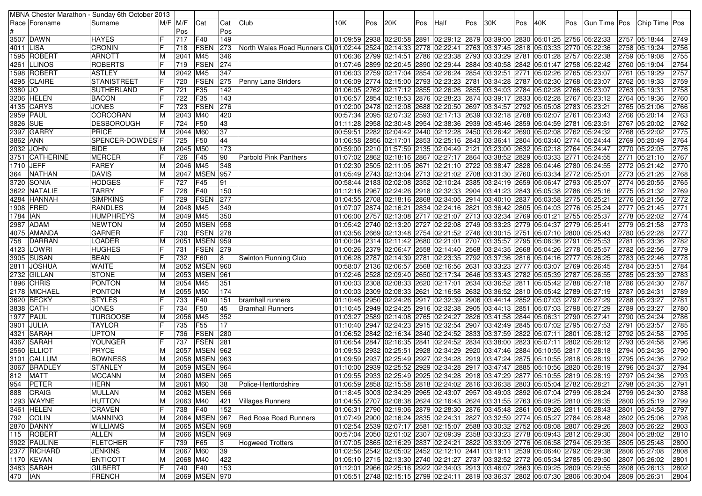|           |                  | MBNA Chester Marathon - Sunday 6th October 2013 |             |                     |                   |     |                                                                                                                      |                        |     |     |     |      |                                                                                                                                                                  |     |     |     |                            |                                |              |
|-----------|------------------|-------------------------------------------------|-------------|---------------------|-------------------|-----|----------------------------------------------------------------------------------------------------------------------|------------------------|-----|-----|-----|------|------------------------------------------------------------------------------------------------------------------------------------------------------------------|-----|-----|-----|----------------------------|--------------------------------|--------------|
|           | Race   Forename  | Surname                                         | $M/F$ $M/F$ |                     | Cat               | Cat | Club                                                                                                                 | 10K                    | Pos | 20K | Pos | Half | Pos 30K                                                                                                                                                          | Pos | 40K | Pos | Gun Time Pos Chip Time Pos |                                |              |
|           |                  |                                                 |             | Pos                 |                   | Pos |                                                                                                                      |                        |     |     |     |      |                                                                                                                                                                  |     |     |     |                            |                                |              |
|           | 3507 DAWN        | <b>HAYES</b>                                    |             | 717                 | F40               | 149 |                                                                                                                      |                        |     |     |     |      | 01:09:59 2938 02:20:58 2891 02:29:12 2879 03:39:00 2830 05:01:25 2756 05:22:33                                                                                   |     |     |     |                            | 2757 05:18:44                  | 2749         |
| 4011 LISA |                  | <b>CRONIN</b>                                   |             | 718                 | <b>FSEN</b>       | 273 | North Wales Road Runners Clu01:02:44  2524  02:14:33  2778  02:22:41  2763  03:37:45  2818  05:03:33  2770  05:22:36 |                        |     |     |     |      |                                                                                                                                                                  |     |     |     |                            | 2758 05:19:24                  | 2756         |
|           | 1595 ROBERT      | <b>ARNOTT</b>                                   |             | 2041 M45            |                   | 346 |                                                                                                                      |                        |     |     |     |      | 01:06:36 2799 02:14:51 2786 02:23:38 2793 03:33:29 2781 05:01:28 2757 05:22:38                                                                                   |     |     |     |                            | 2759 05:19:08                  | 2755         |
|           | 4261  LLINOS     | <b>ROBERTS</b>                                  |             | 719                 | <b>FSEN</b>       | 274 |                                                                                                                      |                        |     |     |     |      | 01:07:46 2899 02:20:45 2890 02:29:44 2884 03:40:58 2842 05:01:47 2758 05:22:42                                                                                   |     |     |     |                            | 2760 05:19:04                  | 2754         |
|           | 1598 ROBERT      | <b>ASTLEY</b>                                   |             | 2042                | M45               | 347 |                                                                                                                      |                        |     |     |     |      | 06:03 2759 02:17:04 2854 02:26:24 2854 03:32:51 2771 05:02:26 2765 05:23:07                                                                                      |     |     |     |                            | 2761 05:19:29                  | 2757         |
|           | 4295 CLAIRE      | STANISTREET                                     |             | 720                 | FSEN              | 275 | Penny Lane Striders                                                                                                  |                        |     |     |     |      | 01:06:09 2774 02:15:00 2793 02:23:23 2781 03:34:28 2787 05:02:30 2768 05:23:07                                                                                   |     |     |     |                            | 2762 05:19:33                  | 2759         |
| 3380 JO   |                  | SUTHERLAND                                      |             | 721                 | F35               | 142 |                                                                                                                      |                        |     |     |     |      | 06:05 23:07 06:05 2762 2762 2855 2855 2855 2855 2855 2856 2784 2784 2766 2766 2766 28:07                                                                         |     |     |     |                            | 2763 05:19:31                  | 2758         |
|           | 3206 HELEN       | <b>BACON</b>                                    |             | 722                 | F35               | 143 |                                                                                                                      |                        |     |     |     |      | 01:06:57 2854 02:18:53 2876 02:28:23 2874 03:39:17 2833 05:02:28 2767 05:23:12                                                                                   |     |     |     |                            | 2764 05:19:36                  | 2760         |
|           | 4135 CARYS       | <b>JONES</b>                                    |             | 723                 | FSEN              | 276 |                                                                                                                      |                        |     |     |     |      | 01:02:00 2478 02:12:08 2688 02:20:50 2697 03:34:57 2792 05:05:08 2783 05:23:21                                                                                   |     |     |     |                            | 2765 05:21:06                  | 2766         |
|           | 2959 PAUL        | CORCORAN                                        |             | 2043 M40            |                   | 420 |                                                                                                                      |                        |     |     |     |      | 00:57:34 2095 02:07:32 2593 02:17:13 2639 03:32:18 2768 05:02:07 2761 05:23:43                                                                                   |     |     |     |                            | 2766 05:20:14                  | 2763         |
| 3826 SUE  |                  | DESBOROUGH                                      |             | 724                 | F50               | 43  |                                                                                                                      |                        |     |     |     |      | 01:11:28 2958 02:30:48 2954 02:38:36 2939 03:45:46 2859 05:04:59 2781 05:23:51                                                                                   |     |     |     |                            | 2767 05:20:02                  | 2762         |
|           | 2397 GARRY       | PRICE                                           |             | 2044 M60            |                   | 37  |                                                                                                                      | 00:59:51               |     |     |     |      | 2282 02:04:42 2440 02:12:28 2450 03:26:42 2690 05:02:08 2762 05:24:32                                                                                            |     |     |     |                            | 2768 05:22:02                  | 2775         |
| 3862 ANN  |                  | SPENCER-DOWDES\F                                |             | 725                 | <b>F50</b>        | 44  |                                                                                                                      |                        |     |     |     |      | 01:06:58 2856 02:17:01 2853 02:25:16 2843 03:36:41 2804 05:03:40 2774 05:24:44                                                                                   |     |     |     |                            | 2769 05:20:49                  | 2764         |
|           | 2032 JOHN        | <b>BIDE</b>                                     |             | 2045 M50            |                   | 173 |                                                                                                                      |                        |     |     |     |      | 00:59:00 2210 01:57:59 2135 02:04:49 2121 03:23:00 2632 05:02:18 2764 05:24:47                                                                                   |     |     |     |                            | 2770 05:22:05                  | 2776         |
|           | 3751 CATHERINE   | <b>MERCER</b>                                   |             | 726                 | F45               | 90  | <b>Parbold Pink Panthers</b>                                                                                         |                        |     |     |     |      | 01:07:02 2862 02:18:16 2867 02:27:17 2864 03:38:52 2829 05:03:33 2771 05:24:55                                                                                   |     |     |     |                            | 2771 05:21:10                  | 2767         |
| 1710 JEFF |                  | <b>FAREY</b>                                    |             | 2046 M45            |                   | 348 |                                                                                                                      |                        |     |     |     |      | 01:02:30 2505 02:11:05 2671 02:21:10 2722 03:38:47 2828 05:04:46 2780 05:24:55                                                                                   |     |     |     |                            | 2772 05:21:42                  | 2770         |
| 364       | NATHAN           | <b>DAVIS</b>                                    |             |                     | 2047   MSEN   957 |     |                                                                                                                      |                        |     |     |     |      | 01:05:49 2743 02:13:04 2713 02:21:02 2708 03:31:30 2760 05:03:34 2772 05:25:01                                                                                   |     |     |     |                            | 2773 05:21:26                  | 2768         |
|           | 3720 SONIA       | <b>HODGES</b>                                   |             | 727                 | F45               | 91  |                                                                                                                      |                        |     |     |     |      | 00:58:44 2183 02:02:08 2352 02:10:24 2385 03:24:19 2659 05:06:47 2793 05:25:07                                                                                   |     |     |     |                            | 2774 05:20:55                  | 2765         |
|           | 3622  NATALIE    | <b>TARRY</b>                                    |             | 728                 | F40               | 150 |                                                                                                                      |                        |     |     |     |      | 01:12:16 2967 02:24:26 2918 02:32:33 2904 03:41:23 2843 05:05:38 2786 05:25:16                                                                                   |     |     |     |                            | 2775 05:21:32                  | 2769         |
|           | 4284 HANNAH      | <b>SIMPKINS</b>                                 |             | 729                 | FSEN              | 277 |                                                                                                                      |                        |     |     |     |      | 01:04:55 2708 02:18:16 2868 02:34:05 2914 03:40:10 2837 05:03:58 2775 05:25:21                                                                                   |     |     |     |                            | 2776 05:21:56                  | 2772         |
|           | 1908 FRED        | <b>RANDLES</b>                                  | M           | 2048 M45            |                   | 349 |                                                                                                                      |                        |     |     |     |      | 01:07:07 2874 02:16:21 2834 02:24:16 2821 03:36:42 2805 05:04:03 2776 05:25:24                                                                                   |     |     |     |                            | 2777 05:21:45                  | 2771         |
| 1784 IAN  |                  | <b>HUMPHREYS</b>                                |             | 2049 M45            |                   | 350 |                                                                                                                      |                        |     |     |     |      | 01:06:00 2757 02:13:08 2717 02:21:07 2713 03:32:34 2769 05:01:21 2755 05:25:37                                                                                   |     |     |     |                            | 2778 05:22:02                  | 2774         |
|           | 2987 ADAM        | <b>NEWTON</b>                                   | M           |                     | 2050 MSEN 958     |     |                                                                                                                      |                        |     |     |     |      | 01:05:42 2740 02:13:20 2727 02:22:08 2749 03:33:23 2779 05:04:37 2779 05:25:41                                                                                   |     |     |     |                            | 2779 05:21:58                  | 2773         |
|           | 4075  AMANDA     | <b>GARNER</b>                                   |             | 730                 | FSEN              | 278 |                                                                                                                      |                        |     |     |     |      | 01:03:56 2669 02:13:48 2754 02:21:52 2746 03:30:15 2751 05:07:10 2800 05:25:43                                                                                   |     |     |     |                            | 2780 05:22:28                  | 2777         |
| 758       | DARRAN           | <b>LOADER</b>                                   | M           |                     | 2051 MSEN 959     |     |                                                                                                                      |                        |     |     |     |      | 01:00:04 2314 02:11:42 2680 02:21:01 2707 03:35:57 2795 05:06:36 2791 05:25:53                                                                                   |     |     |     |                            | 2781 05:23:36                  | 2782         |
|           | 4123 LOWRI       | <b>HUGHES</b>                                   |             | 731                 | <b>FSEN</b>       | 279 |                                                                                                                      |                        |     |     |     |      | 01:00:26 2379 02:06:47 2558 02:14:40 2568 03:24:35 2668 05:04:26 2778 05:25:57                                                                                   |     |     |     |                            | 2782 05:22:56                  | 2779         |
|           | 3905 SUSAN       | <b>BEAN</b>                                     |             | 732                 | F60               | 18  | Swinton Running Club                                                                                                 |                        |     |     |     |      | 01:06:28 2787 02:14:39 2781 02:23:35 2792 03:37:36 2816 05:04:16 2777 05:26:25                                                                                   |     |     |     |                            | 2783 05:22:46                  | 2778         |
|           | 2811 JOSHUA      | <b>WAITE</b>                                    |             |                     | 2052 MSEN 960     |     |                                                                                                                      |                        |     |     |     |      | 00:58:07 2136 02:06:57 2568 02:16:56 2631 03:33:23 2777 05:03:07 2769 05:26:45                                                                                   |     |     |     |                            | 2784 05:23:51                  | 2784         |
|           | 2732 GILLAN      | <b>STONE</b>                                    | M           |                     | 2053 MSEN 961     |     |                                                                                                                      |                        |     |     |     |      | 02:05:39 2787 05:26:55 02:09:40 2650 02:17:34 2646 03:33:43 2782 05:05:39 2787 05:26:55                                                                          |     |     |     |                            | 2785 05:23:39                  | 2783         |
|           | 1896 CHRIS       | <b>PONTON</b>                                   | M           | 2054 M45            |                   | 351 |                                                                                                                      |                        |     |     |     |      | 01:00:03 2308 02:08:33 2620 02:17:01 2634 03:36:52 2811 05:05:42 2788 05:27:18                                                                                   |     |     |     |                            | 2786 05:24:30                  | 2787         |
|           | 2178 MICHAEL     | <b>PONTON</b>                                   |             | 2055 M50            |                   | 174 |                                                                                                                      |                        |     |     |     |      | 01:00:03 2309 02:08:33 2621 02:16:58 2632 03:36:52 2810 05:05:42 2789 05:27:19                                                                                   |     |     |     |                            | 2787 05:24:31                  | 2789         |
|           | 3620 BECKY       | <b>STYLES</b>                                   |             | 733                 | F40               | 151 | bramhall runners                                                                                                     |                        |     |     |     |      | 01:10:46 2950 02:24:26 2917 02:32:39 2906 03:44:14 2852 05:07:03 2797 05:27:29                                                                                   |     |     |     |                            | 2788 05:23:27                  | 2781         |
|           | 3838   CATH      | <b>JONES</b>                                    |             | 734                 | F50               | 45  | <b>Bramhall Runners</b>                                                                                              |                        |     |     |     |      | 01:10:45 2949 02:24:25 2916 02:32:38 2905 03:44:13 2851 05:07:03 2798 05:27:29                                                                                   |     |     |     |                            | 2789 05:23:27                  | 2780         |
|           | <b>1977 PAUL</b> | <b>TURGOOSE</b>                                 | M           | 2056 M45            |                   | 352 |                                                                                                                      |                        |     |     |     |      | 01:03:27 2589 02:14:08 2765 02:24:27 2826 03:41:58 2844 05:06:31 2790 05:27:41                                                                                   |     |     |     |                            | 2790 05:24:24                  | 2786         |
|           | 3901 JULIA       | <b>TAYLOR</b>                                   |             | 735                 | F55               | 17  |                                                                                                                      |                        |     |     |     |      | 01:10:40 2947 02:24:23 2915 02:32:54 2907 03:42:49 2845 05:07:02 2795 05:27:53                                                                                   |     |     |     |                            | 2791 05:23:57                  | 2785         |
|           | 4321 SARAH       | <b>UPTON</b>                                    |             | 736                 | <b>FSEN</b>       | 280 |                                                                                                                      |                        |     |     |     |      | 01:06:52 2842 02:16:34 2840 02:24:52 2833 03:37:59 2822 05:07:11 2801 05:28:12                                                                                   |     |     |     |                            | 2792 05:24:58                  | 2795         |
|           | 4367 SARAH       | YOUNGER                                         |             | 737                 | <b>FSEN</b>       | 281 |                                                                                                                      |                        |     |     |     |      | 01:06:54 2847 02:16:35 2841 02:24:52 2834 03:38:00 2823 05:07:11 2802 05:28:12                                                                                   |     |     |     |                            | 2793 05:24:58                  | 2796         |
|           | 2560 ELLIOT      | PRYCE                                           |             |                     | 2057 MSEN 962     |     |                                                                                                                      | 01:09:53 2932 02:25:51 |     |     |     |      | 2928 02:34:29 2920 03:47:46 2884 05:10:55 2817 05:28:18                                                                                                          |     |     |     |                            | 2794 05:24:35                  | 2790         |
|           | 3101 CALLUM      | <b>BOWNESS</b>                                  | M           |                     | 2058 MSEN 963     |     |                                                                                                                      |                        |     |     |     |      | 01:09:59 2818 02:25:49 2927 02:34:28 2919 03:47:24 2875 05:10:55 2818 05:28:19                                                                                   |     |     |     |                            | 2795 05:24:36                  | 2792         |
|           | 3067 BRADLEY     | <b>STANLEY</b>                                  |             |                     | 2059 MSEN 964     |     |                                                                                                                      |                        |     |     |     |      | 01:10:00 2939 02:25:52 2929 02:34:28 2917 03:47:47 2885 05:10:56 2820 05:28:19                                                                                   |     |     |     |                            | 2796 05:24:37                  | 2794         |
| 812       | <b>MATT</b>      | <b>MCCANN</b>                                   | M           |                     | 2060 MSEN 965     |     |                                                                                                                      |                        |     |     |     |      | 01:09:55 2833 02:25:49 2925 02:34:28 2918 03:47:29 2877 05:10:55 2819 05:28:19                                                                                   |     |     |     |                            | 2797 05:24:36                  | 2793         |
|           | 954 PETER        | <b>HERN</b>                                     | M           | 2061 M60            |                   | 38  | Police-Hertfordshire                                                                                                 |                        |     |     |     |      | 01:06:59 2858 02:15:58 2818 02:24:02 2816 03:36:38 2803 05:05:04 2782 05:28:21                                                                                   |     |     |     |                            | 2798 05:24:35                  | 2791         |
|           | 888 CRAIG        | MULLAN                                          |             |                     | 2062 MSEN 966     |     |                                                                                                                      |                        |     |     |     |      | 01:18:45 3003 02:34:29 2965 02:43:07 2957 03:49:03 2892 05:07:04 2799 05:28:24                                                                                   |     |     |     |                            |                                | 2788         |
|           |                  |                                                 | M           |                     |                   |     |                                                                                                                      |                        |     |     |     |      | 01:04:55 2707 02:08:38 2624 02:16:43 2624 03:31:55 2763 05:09:25 2810 05:28:35                                                                                   |     |     |     |                            | 2799 05:24:30                  |              |
|           | 1293 WAYNE       | <b>HUTTON</b><br><b>CRAVEN</b>                  |             | 2063 M40<br>738 F40 |                   | 152 | 421   Villages Runners                                                                                               |                        |     |     |     |      |                                                                                                                                                                  |     |     |     |                            | 2800 05:25:19<br>2801 05:24:58 | 2799<br>2797 |
|           | 3461 HELEN       |                                                 |             |                     |                   |     |                                                                                                                      |                        |     |     |     |      | 01:06:31 2790 02:19:06 2879 02:28:30 2876 03:45:48 2861 05:09:26 2811 05:28:43                                                                                   |     |     |     |                            |                                |              |
|           | 792 COLIN        | <b>MANNING</b>                                  | M           |                     |                   |     | 2064 MSEN 967 Red Rose Road Runners                                                                                  |                        |     |     |     |      | 01:07:49 2900 02:16:24 2835 02:24:31 2827 03:32:59 2774 05:05:27 2784 05:28:48<br>01:02:54 2539 02:07:17 2581 02:15:07 2588 03:30:32 2752 05:08:08 2807 05:29:26 |     |     |     |                            | 2802 05:25:06                  | 2798         |
|           | 2870 DANNY       | <b>WILLIAMS</b>                                 |             |                     | 2065 MSEN 968     |     |                                                                                                                      |                        |     |     |     |      |                                                                                                                                                                  |     |     |     |                            | 2803 05:26:22                  | 2803         |
|           | 115 ROBERT       | ALLEN                                           | M<br>F      |                     | 2066 MSEN 969     |     |                                                                                                                      |                        |     |     |     |      | 00:57:04 2050 02:01:02 2307 02:09:39 2358 03:33:23 2778 05:09:43 2812 05:29:30                                                                                   |     |     |     |                            | 2804 05:28:02                  | 2810         |
|           | 3922 PAULINE     | <b>FLETCHER</b>                                 |             | 739 F65             |                   | 3   | <b>Hogweed Trotters</b>                                                                                              |                        |     |     |     |      | 01:07:05 2865 02:16:29 2837 02:24:21 2822 03:33:09 2776 05:06:58 2794 05:29:35                                                                                   |     |     |     |                            | 2805 05:25:48                  | 2800         |
|           | 2377 RICHARD     | <b>JENKINS</b>                                  | M           | 2067 M60            |                   | 39  |                                                                                                                      |                        |     |     |     |      | 01:02:56  2542  02:05:02  2452  02:12:10  2441  03:19:11  2539  05:06:40  2792  05:29:38                                                                         |     |     |     |                            | 2806 05:27:08                  | 2808         |
|           | 1170 KEVAN       | <b>ENTICOTT</b>                                 | M           | 2068 M40            |                   | 422 |                                                                                                                      |                        |     |     |     |      | 01:05:10 2715 02:13:30 2740 02:21:27 2737 03:32:52 2772 05:05:34 2785 05:29:50                                                                                   |     |     |     |                            | 2807 05:26:02                  | 2801         |
|           | 3483 SARAH       | <b>GILBERT</b>                                  |             | 740 F40             |                   | 153 |                                                                                                                      |                        |     |     |     |      | 01:12:01 2966 02:25:16 2922 02:34:03 2913 03:46:07 2863 05:09:25 2809 05:29:55                                                                                   |     |     |     |                            | 2808 05:26:13                  | 2802         |
| 470 IAN   |                  | <b>FRENCH</b>                                   | М           |                     | 2069 MSEN 970     |     |                                                                                                                      |                        |     |     |     |      | 01:05:51 2748 02:15:15 2799 02:24:11 2819 03:36:37 2802 05:07:30 2806 05:30:04                                                                                   |     |     |     |                            | 2809 05:26:31                  | 2804         |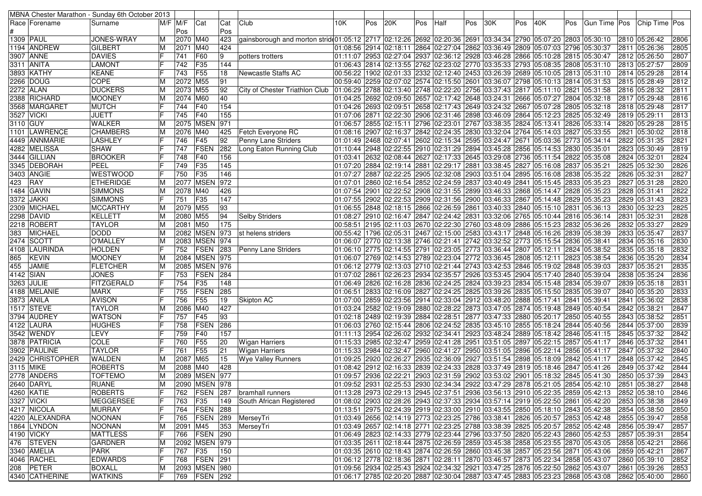|            |                  | MBNA Chester Marathon - Sunday 6th October 2013 |             |          |                  |     |                                                                                                                                  |          |     |     |     |                                                                                          |     |     |     |                        |     |               |                                                                                              |      |
|------------|------------------|-------------------------------------------------|-------------|----------|------------------|-----|----------------------------------------------------------------------------------------------------------------------------------|----------|-----|-----|-----|------------------------------------------------------------------------------------------|-----|-----|-----|------------------------|-----|---------------|----------------------------------------------------------------------------------------------|------|
|            | Race   Forename  | Surname                                         | $M/F$ $M/F$ |          | Cat              | Cat | Club                                                                                                                             | 10K.     | Pos | 20K | Pos | Half                                                                                     | Pos | 30K | Pos | 40K                    | Pos | Gun Time  Pos | <b>Chip Time Pos</b>                                                                         |      |
|            |                  |                                                 |             | Pos      |                  | Pos |                                                                                                                                  |          |     |     |     |                                                                                          |     |     |     |                        |     |               |                                                                                              |      |
|            | 1309   PAUL      | JONES-WRAY                                      | M           | 2070 M40 |                  | 423 | gainsborough and morton strid(01:05:12   2717   02:12:26   2692   02:20:36   2691   03:34:34   2790   05:07:20   2803   05:30:10 |          |     |     |     |                                                                                          |     |     |     |                        |     |               | 2810 05:26:42                                                                                | 2806 |
|            | 1194 ANDREW      | <b>GILBERT</b>                                  | M           | 2071 M40 |                  | 424 |                                                                                                                                  |          |     |     |     | 01:08:56 2914 02:18:11 2864 02:27:04 2862 03:36:49 2809 05:07:03 2796 05:30:37           |     |     |     |                        |     |               | 2811 05:26:36                                                                                | 2805 |
|            | 3907   ANNE      | <b>DAVIES</b>                                   |             | 741      | F60              | 9   | potters trotters                                                                                                                 |          |     |     |     | 01:11:07 2953 02:27:04 2937 02:36:12 2928 03:46:28 2866 05:10:28 2815 05:30:47           |     |     |     |                        |     |               | 2812 05:26:50                                                                                | 2807 |
|            | 3311 ANITA       | <b>LAMONT</b>                                   |             | 742      | F35              | 144 |                                                                                                                                  |          |     |     |     | 01:06:43 2814 02:13:55 2762 02:23:02 2770 03:35:33 2793 05:08:35 2808 05:31:10           |     |     |     |                        |     |               | 2813 05:27:57                                                                                | 2809 |
|            | 3893 KATHY       | <b>KEANE</b>                                    |             | 743      | F55              | 18  | Newcastle Staffs AC                                                                                                              |          |     |     |     | 00:56:22 1902 02:01:33 2332 02:12:40 2453 03:26:39 2689 05:10:05 2813 05:31:10           |     |     |     |                        |     |               | 2814 05:29:28                                                                                | 2814 |
|            | 2266 DOUG        | <b>COPE</b>                                     | M           | 2072     | M55              | 91  |                                                                                                                                  |          |     |     |     | 00:59:40 2259 02:07:02 2574 02:15:50 2601 03:36:07 2798 05:10:13 2814 05:31:53           |     |     |     |                        |     |               | 2815 05:28:49                                                                                | 2812 |
|            | 2272 ALAN        | <b>DUCKERS</b>                                  | ΙM          | 2073 M55 |                  | 92  | City of Chester Triathlon Club                                                                                                   |          |     |     |     | 01:06:29  2788  02:13:40  2748  02:22:20  2756  03:37:43  2817  05:11:10  2821  05:31:58 |     |     |     |                        |     |               | 2816 05:28:32                                                                                | 2811 |
|            | 2388 RICHARD     | <b>MOONEY</b>                                   |             | 2074     | <b>M60</b>       | 40  |                                                                                                                                  |          |     |     |     | 01:04:25 2692 02:09:50 2657 02:17:42 2648 03:24:31 2666 05:07:27 2804 05:32:18           |     |     |     |                        |     |               | 2817 05:29:48                                                                                | 2816 |
|            | 3568 MARGARET    |                                                 |             |          | F40              | 154 |                                                                                                                                  |          |     |     |     | 01:04:26 2693 02:09:51 2658 02:17:43 2649 03:24:32 2667 05:07:28 2805 05:32:18           |     |     |     |                        |     |               |                                                                                              | 2817 |
|            |                  | MUTCH                                           |             | 744      |                  |     |                                                                                                                                  |          |     |     |     |                                                                                          |     |     |     |                        |     |               | 2818 05:29:48                                                                                | 2813 |
|            | 3527 VICKI       | <b>JUETT</b>                                    |             | 745      | F40              | 155 |                                                                                                                                  |          |     |     |     | 01:07:06 2871 02:22:30 2906 02:31:46 2898 03:46:09 2864 05:12:23 2825 05:32:49           |     |     |     |                        |     |               | 2819 05:29:11                                                                                |      |
| 3110   GUY |                  | <b>WALKER</b>                                   | ΙM          |          | 2075 MSEN        | 971 |                                                                                                                                  |          |     |     |     | 06:57 2855 02:15:11 2796 02:23:01 2767 03:38:35 2824 05:13:41 2826 05:33:14              |     |     |     |                        |     |               | 2820 05:29:28                                                                                | 2815 |
|            | 1101  LAWRENCE   | <b>CHAMBERS</b>                                 | ΙM          | 2076     | M40              | 425 | Fetch Everyone RC                                                                                                                |          |     |     |     | 01:08:16 2907 02:16:37 2842 02:24:35 2830 03:32:04 2764 05:14:03 2827 05:33:55           |     |     |     |                        |     |               | 2821 05:30:02                                                                                | 2818 |
|            | 4449 ANNMARIE    | LASHLEY                                         |             | 746      | F45              | 92  | Penny Lane Striders                                                                                                              |          |     |     |     | 01:01:49 2468 02:07:41 2602 02:15:34 2595 03:24:47 2671                                  |     |     |     | 05:03:36 2773 05:34:14 |     |               | 2822 05:31:35                                                                                | 2821 |
|            | 4282 MELISSA     | <b>SHAW</b>                                     |             | 747      | FSEN             | 282 | Long Eaton Running Club                                                                                                          |          |     |     |     | 01:10:44 2948 02:22:55 2910 02:31:29 2894 03:45:28 2856 05:14:53 2830 05:35:01           |     |     |     |                        |     |               | 2823 05:30:49                                                                                | 2819 |
|            | 3444  GILLIAN    | <b>BROOKER</b>                                  |             | 748      | F40              | 156 |                                                                                                                                  | 01:03:41 |     |     |     | 2632 02:08:44 2627 02:17:33 2645 03:29:08 2736                                           |     |     |     | 05:11:54 2822 05:35:08 |     |               | 2824 05:32:01                                                                                | 2824 |
|            | 3345  DEBORAH    | PEEL                                            |             | 749      | F35              | 145 |                                                                                                                                  |          |     |     |     | 01:07:20 2884 02:19:14 2881 02:29:17 2881 03:38:45 2827                                  |     |     |     | 05:16:08 2837 05:35:21 |     |               | 2825 05:32:30                                                                                | 2826 |
|            | 3403 ANGIE       | <b>WESTWOOD</b>                                 |             | 750      | F <sub>35</sub>  | 146 |                                                                                                                                  |          |     |     |     | 01:07:27 2887 02:22:25 2905 02:32:08 2903 03:51:04 2895 05:16:08 2838 05:35:22           |     |     |     |                        |     |               | 2826 05:32:31                                                                                | 2827 |
| 423        | RAY              | <b>ETHERIDGE</b>                                | ΙM          |          | <b>2077 MSEN</b> | 972 |                                                                                                                                  | 01:07:01 |     |     |     | 2860 02:16:54 2852 02:24:59 2837 03:40:49 2841                                           |     |     |     | 05:15:45 2833 05:35:23 |     |               | 2827 05:31:28                                                                                | 2820 |
|            | 1484  GAVIN      | <b>SIMMONS</b>                                  | ΙM          | 2078 M40 |                  | 426 |                                                                                                                                  |          |     |     |     | 01:07:54 2901 02:22:52 2908 02:31:55 2899 03:46:33 2868 05:14:47 2828 05:35:23           |     |     |     |                        |     |               | 2828 05:31:41                                                                                | 2822 |
| 3372       | <b>JAKKI</b>     | <b>SIMMONS</b>                                  |             | 751      | F35              | 147 |                                                                                                                                  |          |     |     |     | 01:07:55 2902 02:22:53 2909 02:31:56 2900 03:46:33 2867 05:14:48 2829 05:35:23           |     |     |     |                        |     |               | 2829 05:31:43                                                                                | 2823 |
|            | 2309 MICHAEL     | <b>MCCARTHY</b>                                 | ΙM          | 2079 M55 |                  | 93  |                                                                                                                                  |          |     |     |     | 01:06:55 2848 02:18:15 2866 02:26:59 2861 03:40:33 2840 05:15:10 2831 05:36:13           |     |     |     |                        |     |               | 2830 05:32:23                                                                                | 2825 |
|            | 2298 DAVID       | KELLETT                                         |             | 2080 M55 |                  | 94  | <b>Selby Striders</b>                                                                                                            |          |     |     |     | 01:08:27  2910  02:16:47  2847  02:24:42  2831  03:32:06  2765  05:10:44  2816  05:36:14 |     |     |     |                        |     |               | 2831 05:32:31                                                                                | 2828 |
|            | 2218 ROBERT      | <b>TAYLOR</b>                                   | ΙM          | 2081 M50 |                  | 175 |                                                                                                                                  |          |     |     |     | 00:58:51 2195 02:11:03 2670 02:22:30 2760 03:48:09 2886 05:15:23 2832 05:36:26           |     |     |     |                        |     |               | 2832 05:33:27                                                                                | 2829 |
| 383        | MICHAEL          | <b>DODD</b>                                     | ΙM          |          | 2082 MSEN 973    |     | st helens striders                                                                                                               |          |     |     |     | 00:55:42 1796 02:05:31 2467 02:15:00 2583 03:43:17 2848 05:16:26 2839 05:38:39           |     |     |     |                        |     |               | 2833 05:35:47                                                                                | 2837 |
|            | 2474 SCOTT       | <b>O'MALLEY</b>                                 | ΙM          |          | 2083 MSEN 974    |     |                                                                                                                                  |          |     |     |     | 01:06:07 2770 02:13:38 2746 02:21:41 2742 03:32:52 2773 05:15:54 2836 05:38:41           |     |     |     |                        |     |               | 2834 05:35:16                                                                                | 2830 |
| 4108       | LAURINDA         | <b>HOLDEN</b>                                   |             | 752      | <b>FSEN</b>      | 283 | Penny Lane Striders                                                                                                              |          |     |     |     | 06:10 2775 02:14:55 2791 02:23:05 2773 03:36:44 2807 05:12:11 2824 05:38:52              |     |     |     |                        |     |               | 2835 05:35:18                                                                                | 2832 |
| 865        | <b>KEVIN</b>     | <b>MOONEY</b>                                   | ΙM          |          | 2084 MSEN 975    |     |                                                                                                                                  |          |     |     |     | 01:06:07 2769 02:14:53 2789 02:23:04 2772 03:36:45 2808 05:12:11 2823 05:38:54           |     |     |     |                        |     |               | 2836 05:35:20                                                                                | 2834 |
| 455        | JAMIE            | <b>FLETCHER</b>                                 | ΙM          |          | 2085 MSEN 976    |     |                                                                                                                                  |          |     |     |     | 06:12 2779 02:13:03 2710 02:21:44 2743 03:42:53 2846 05:19:02 2848 05:39:03              |     |     |     |                        |     |               | 2837 05:35:21                                                                                | 2835 |
| 4142 SIAN  |                  | <b>JONES</b>                                    |             | 753      | <b>FSEN</b>      | 284 |                                                                                                                                  |          |     |     |     | 01:07:02 2861 02:26:23 2934 02:35:57 2926 03:53:45 2904 05:17:40 2840 05:39:04           |     |     |     |                        |     |               | 2838 05:35:24                                                                                | 2836 |
|            | 3263 JULIE       | FITZGERALD                                      |             | 754      | F35              | 148 |                                                                                                                                  |          |     |     |     | 01:06:49 2826 02:16:28 2836 02:24:25 2824 03:39:23 2834 05:15:48 2834 05:39:07           |     |     |     |                        |     |               | 2839 05:35:18                                                                                | 2831 |
|            | 4188 MELANIE     | <b>MARX</b>                                     |             | 755      | FSEN             | 285 |                                                                                                                                  |          |     |     |     | 01:06:51 2833 02:16:09 2827 02:24:25 2825 03:39:26 2835 05:15:50 2835 05:39:07           |     |     |     |                        |     |               | 2840 05:35:20                                                                                | 2833 |
|            | 3873 ANILA       | <b>AVISON</b>                                   |             | 756      | F55              | 19  | Skipton AC                                                                                                                       |          |     |     |     | 01:07:00 2859 02:23:56 2914 02:33:04 2912 03:48:20 2888 05:17:41 2841 05:39:41           |     |     |     |                        |     |               | 2841 05:36:02                                                                                | 2838 |
|            | 1517 STEVE       | <b>TAYLOR</b>                                   |             | 2086     | M40              | 427 |                                                                                                                                  |          |     |     |     | 01:03:24 2582 02:19:09 2880 02:28:22 2873 03:47:05 2874 05:19:48 2849 05:40:54           |     |     |     |                        |     |               | 2842 05:38:21                                                                                | 2847 |
|            | 3794 AUDREY      | <b>WATSON</b>                                   |             | 757      | F45              | 93  |                                                                                                                                  |          |     |     |     | 01:02:18 2489 02:19:39 2884 02:28:51 2877 03:47:33 2880 05:20:17 2850 05:40:55           |     |     |     |                        |     |               | 2843 05:38:52                                                                                | 2851 |
|            | 4122 LAURA       | <b>HUGHES</b>                                   |             | 758      | FSEN             | 286 |                                                                                                                                  |          |     |     |     | 01:06:03 2760 02:15:44 2806 02:24:52 2835 03:45:10 2855 05:18:24 2844 05:40:56           |     |     |     |                        |     |               | 2844 05:37:00                                                                                | 2839 |
|            | 3542 WENDY       | LEVY                                            |             | 759      | F40              | 157 |                                                                                                                                  |          |     |     |     | 01:11:13 2954 02:26:02 2932 02:34:41 2923 03:48:24 2889 05:18:42 2846 05:41:15           |     |     |     |                        |     |               | 2845 05:37:32                                                                                | 2842 |
|            |                  | <b>COLE</b>                                     |             |          | <b>F55</b>       |     |                                                                                                                                  |          |     |     |     |                                                                                          |     |     |     |                        |     |               | 2846 05:37:32                                                                                | 2841 |
|            | 3878 PATRICIA    | <b>TAYLOR</b>                                   |             | 760      | <b>F55</b>       | 20  | <b>Wigan Harriers</b>                                                                                                            |          |     |     |     | 01:15:33 2985 02:32:47 2959 02:41:28 2951 03:51:05 2897 05:22:15 2857 05:41:17           |     |     |     |                        |     |               | 2847 05:37:32                                                                                |      |
|            | 3902 PAULINE     |                                                 |             | 761      |                  | 21  | <b>Wigan Harriers</b>                                                                                                            |          |     |     |     | 01:15:33 2984 02:32:47 2960 02:41:27 2950 03:51:05 2896 05:22:14 2856 05:41:17           |     |     |     |                        |     |               |                                                                                              | 2840 |
|            | 2429 CHRISTOPHER | <b>WALDEN</b>                                   | ΙM          | 2087 M65 |                  | 15  | <b>Wye Valley Runners</b>                                                                                                        |          |     |     |     | 01:09:25 2920 02:26:27 2935 02:36:09 2927 03:51:54 2898 05:18:09 2842 05:41:17           |     |     |     |                        |     |               | 2848 05:37:42                                                                                | 2845 |
| 3115 MIKE  |                  | ROBERTS                                         | ΙM          | 2088 M40 |                  | 428 |                                                                                                                                  |          |     |     |     | 01:08:42 2912 02:16:33 2839 02:24:33 2828 03:37:49 2819 05:18:46 2847 05:41:26           |     |     |     |                        |     |               | 2849 05:37:42                                                                                | 2844 |
|            | 2778  ANDERS     | <b>TOFTEMO</b>                                  |             |          | 2089 MSEN 977    |     |                                                                                                                                  |          |     |     |     | 01:09:57 2936 02:22:21 2903 02:31:59 2902 03:53:02 2901 05:18:32 2845 05:41:30           |     |     |     |                        |     |               | 2850 05:37:39                                                                                | 2843 |
|            | 2640 DARYL       | <b>RUANE</b>                                    | M           |          | 2090 MSEN 978    |     |                                                                                                                                  |          |     |     |     |                                                                                          |     |     |     |                        |     |               | 01:09:52 2931 02:25:53 2930 02:34:34 2922 03:47:29 2878 05:21:05 2854 05:42:10 2851 05:38:27 | 2848 |
|            | 4260 KATIE       | <b>ROBERTS</b>                                  |             |          | 762   FSEN   287 |     | bramhall runners                                                                                                                 |          |     |     |     |                                                                                          |     |     |     |                        |     |               | 01:13:28 2973 02:29:13 2945 02:37:51 2936 03:56:13 2910 05:22:35 2859 05:42:13 2852 05:38:10 | 2846 |
|            | 3327 VICKI       | MEGGERSEE                                       | IF          | 763      | F35              | 149 | South African Registered                                                                                                         |          |     |     |     | 01:08:02 2903 02:28:26 2943 02:37:33 2934 03:57:14 2919 05:22:50 2861 05:42:20           |     |     |     |                        |     |               | 2853 05:38:38                                                                                | 2849 |
|            | 4217 NICOLA      | <b>MURRAY</b>                                   | F           |          | 764   FSEN   288 |     |                                                                                                                                  |          |     |     |     | 01:13:51 2975 02:24:39 2919 02:33:00 2910 03:43:55 2850 05:18:10 2843 05:42:38           |     |     |     |                        |     |               | 2854 05:38:50                                                                                | 2850 |
|            | 4220 ALEXANDRA   | <b>NOONAN</b>                                   | F           | 765      |                  |     | FSEN 289 MerseyTri                                                                                                               |          |     |     |     | 01:03:49 2656 02:14:19 2773 02:23:25 2786 03:38:41 2826 05:20:57 2853 05:42:48           |     |     |     |                        |     |               | 2855 05:39:47                                                                                | 2858 |
|            | 1864 LYNDON      | <b>NOONAN</b>                                   | M           | 2091 M45 |                  | 353 | MerseyTri                                                                                                                        |          |     |     |     | 01:03:49 2657 02:14:18 2771 02:23:25 2788 03:38:39 2825 05:20:57 2852 05:42:48           |     |     |     |                        |     |               | 2856 05:39:47                                                                                | 2857 |
|            | 4190 VICKY       | <b>MATTLESS</b>                                 | IF          | 766      | <b>FSEN 290</b>  |     |                                                                                                                                  |          |     |     |     | 01:06:49 2823 02:14:33 2779 02:23:44 2796 03:37:50 2820 05:22:43 2860 05:42:53           |     |     |     |                        |     |               | 2857 05:39:31                                                                                | 2854 |
|            | 476 STEVEN       | GARDNER                                         | ΙM          |          | 2092 MSEN 979    |     |                                                                                                                                  |          |     |     |     | 01:03:35 2611 02:18:44 2875 02:26:59 2859 03:45:38 2858 05:23:55 2870 05:43:05           |     |     |     |                        |     |               | 2858 05:42:21                                                                                | 2866 |
|            | 3340 AMELIA      | <b>PARK</b>                                     |             | 767      | F35              | 150 |                                                                                                                                  |          |     |     |     | 01:03:35 2610 02:18:43 2874 02:26:59 2860 03:45:38 2857 05:23:56 2871 05:43:06           |     |     |     |                        |     |               | 2859 05:42:21                                                                                | 2867 |
|            | 4046 RACHEL      | <b>EDWARDS</b>                                  | IF          |          | 768 FSEN 291     |     |                                                                                                                                  |          |     |     |     | 01:06:12 2778 02:18:36 2871 02:28:11 2870 03:46:57 2873 05:22:34 2858 05:43:07           |     |     |     |                        |     |               | 2860 05:39:10                                                                                | 2852 |
|            | 208 PETER        | <b>BOXALL</b>                                   | M           |          | 2093 MSEN 980    |     |                                                                                                                                  |          |     |     |     | 01:09:56 2934 02:25:43 2924 02:34:32 2921 03:47:25 2876 05:22:50 2862 05:43:07           |     |     |     |                        |     |               | 2861 05:39:26                                                                                | 2853 |
|            | 4340 CATHERINE   | <b>WATKINS</b>                                  | IF.         |          | 769 FSEN 292     |     |                                                                                                                                  |          |     |     |     | 01:06:17 2785 02:20:20 2887 02:30:04 2887 03:47:45 2883 05:23:23 2868 05:43:08           |     |     |     |                        |     |               | 2862 05:40:00                                                                                | 2860 |